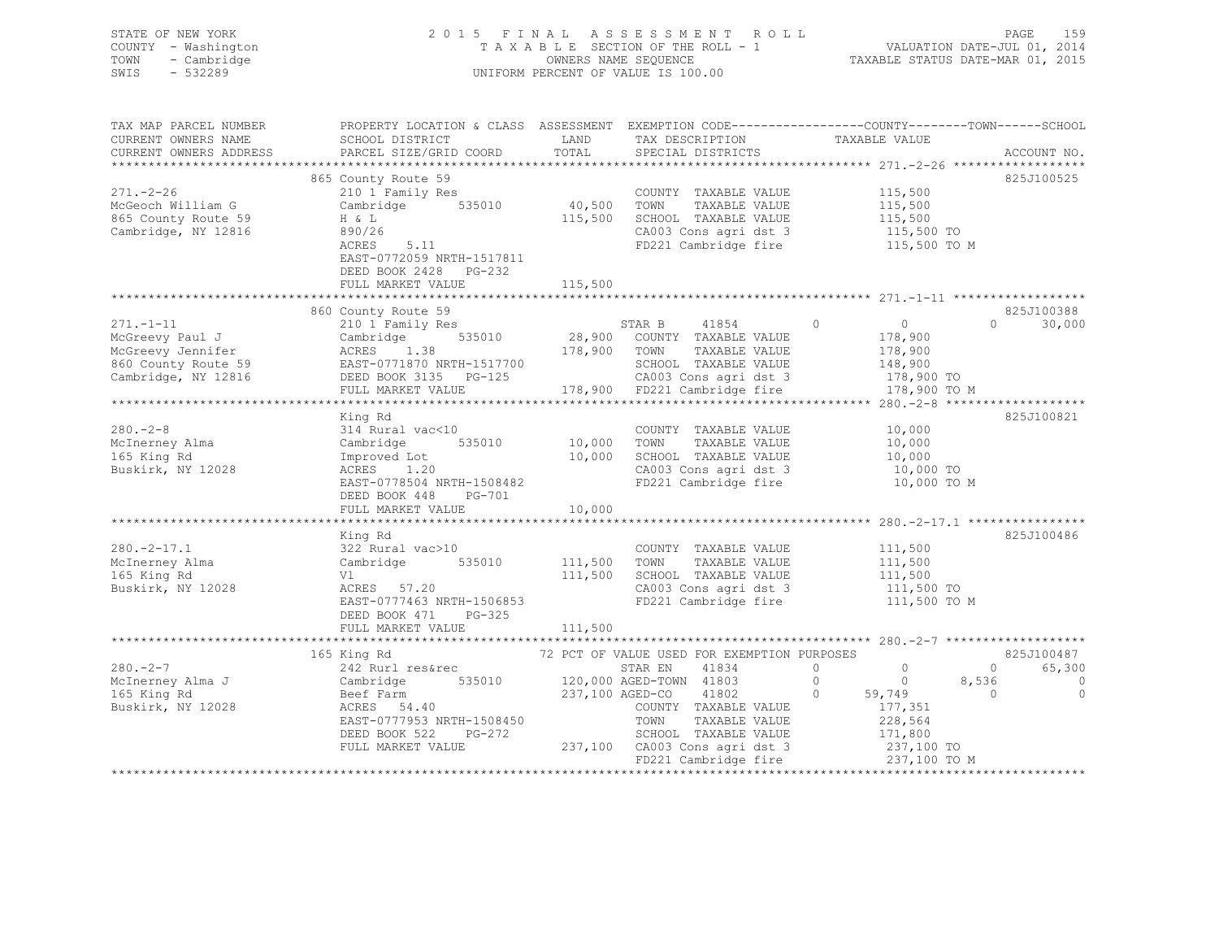| STATE OF NEW YORK<br>COUNTY - Washington<br>TOWN - Cambridge<br>- 532289<br>SWIS |                                                                                                           |      | 2015 FINAL ASSESSMENT ROLL<br>TAXABLE SECTION OF THE ROLL - 1<br>OWNERS NAME SEOUENCE<br>UNIFORM PERCENT OF VALUE IS 100.00 | TAXABLE STATUS DATE-MAR 01, 2015                                              | PAGE<br>VALUATION DATE-JUL 01, 2014 | 159 |
|----------------------------------------------------------------------------------|-----------------------------------------------------------------------------------------------------------|------|-----------------------------------------------------------------------------------------------------------------------------|-------------------------------------------------------------------------------|-------------------------------------|-----|
| TAX MAP PARCEL NUMBER<br>CURRENT OWNERS NAME<br>CURRENT OWNERS ADDRESS           | PROPERTY LOCATION & CLASS ASSESSMENT<br>SCHOOL DISTRICT<br>PARCEL SIZE/GRID COORD TOTAL SPECIAL DISTRICTS | LAND | TAX DESCRIPTION                                                                                                             | EXEMPTION CODE-----------------COUNTY-------TOWN------SCHOOL<br>TAXABLE VALUE | ACCOUNT NO.                         |     |

|                     |                           |         |                                             |                            | $271. - 2 - 26$ ******************* |
|---------------------|---------------------------|---------|---------------------------------------------|----------------------------|-------------------------------------|
|                     | 865 County Route 59       |         |                                             |                            | 825J100525                          |
| $271. - 2 - 26$     | 210 1 Family Res          |         | COUNTY TAXABLE VALUE                        | 115,500                    |                                     |
| McGeoch William G   | 535010<br>Cambridge       | 40,500  | TOWN<br>TAXABLE VALUE                       | 115,500                    |                                     |
|                     | $H \& L$                  | 115,500 | SCHOOL TAXABLE VALUE                        | 115,500                    |                                     |
| 865 County Route 59 |                           |         |                                             |                            |                                     |
| Cambridge, NY 12816 | 890/26                    |         | CA003 Cons agri dst 3                       | 115,500 TO                 |                                     |
|                     | ACRES<br>5.11             |         | FD221 Cambridge fire                        |                            | 115,500 TO M                        |
|                     | EAST-0772059 NRTH-1517811 |         |                                             |                            |                                     |
|                     | DEED BOOK 2428 PG-232     |         |                                             |                            |                                     |
|                     | FULL MARKET VALUE         | 115,500 |                                             |                            |                                     |
|                     |                           |         |                                             |                            |                                     |
|                     |                           |         |                                             |                            |                                     |
|                     | 860 County Route 59       |         |                                             |                            | 825J100388                          |
| $271. - 1 - 11$     | 210 1 Family Res          |         | STAR B<br>41854                             | $\Omega$<br>$\Omega$       | $\Omega$<br>30,000                  |
| McGreevy Paul J     | 535010<br>Cambridge       | 28,900  | COUNTY TAXABLE VALUE                        | 178,900                    |                                     |
| McGreevy Jennifer   | ACRES 1.38                | 178,900 | TOWN<br>TAXABLE VALUE                       | 178,900                    |                                     |
| 860 County Route 59 | EAST-0771870 NRTH-1517700 |         | SCHOOL TAXABLE VALUE                        | 148,900                    |                                     |
| Cambridge, NY 12816 | DEED BOOK 3135 PG-125     |         | CA003 Cons agri dst 3                       | 178,900 TO                 |                                     |
|                     |                           |         | 178,900 FD221 Cambridge fire                |                            | 178,900 TO M                        |
|                     | FULL MARKET VALUE         |         |                                             |                            |                                     |
|                     |                           |         |                                             |                            |                                     |
|                     | King Rd                   |         |                                             |                            | 825J100821                          |
| $280 - 2 - 8$       | 314 Rural vac<10          |         | COUNTY TAXABLE VALUE                        | 10,000                     |                                     |
| McInerney Alma      | 535010<br>Cambridge       | 10,000  | TOWN<br>TAXABLE VALUE                       | 10,000                     |                                     |
| 165 King Rd         | Improved Lot              | 10,000  | SCHOOL TAXABLE VALUE                        | 10,000                     |                                     |
| Buskirk, NY 12028   | ACRES 1.20                |         | CA003 Cons agri dst 3 10,000 TO             |                            |                                     |
|                     |                           |         |                                             |                            |                                     |
|                     | EAST-0778504 NRTH-1508482 |         | FD221 Cambridge fire                        | 10,000 TO M                |                                     |
|                     | DEED BOOK 448<br>PG-701   |         |                                             |                            |                                     |
|                     | FULL MARKET VALUE         | 10,000  |                                             |                            |                                     |
|                     |                           |         |                                             |                            |                                     |
|                     | King Rd                   |         |                                             |                            | 825J100486                          |
| $280. -2 - 17.1$    | 322 Rural vac>10          |         | COUNTY TAXABLE VALUE                        | 111,500                    |                                     |
| McInerney Alma      | 535010<br>Cambridge       | 111,500 | TAXABLE VALUE<br>TOWN                       | 111,500                    |                                     |
| 165 King Rd         | Vl                        | 111,500 | SCHOOL TAXABLE VALUE                        | 111,500                    |                                     |
|                     |                           |         |                                             |                            |                                     |
| Buskirk, NY 12028   | ACRES 57.20               |         | CA003 Cons agri dst 3                       | $111,500$ To<br>111,500 To |                                     |
|                     | EAST-0777463 NRTH-1506853 |         | FD221 Cambridge fire                        |                            | 111,500 TO M                        |
|                     | DEED BOOK 471<br>PG-325   |         |                                             |                            |                                     |
|                     |                           |         |                                             |                            |                                     |
|                     |                           |         |                                             |                            |                                     |
|                     | 165 King Rd               |         | 72 PCT OF VALUE USED FOR EXEMPTION PURPOSES |                            | 825J100487                          |
| $280 - 2 - 7$       | 242 Rurl res&rec          |         | 41834<br>STAR EN                            | $\circ$<br>$\circ$         | 65,300<br>$\circ$                   |
| McInerney Alma J    | Cambridge                 |         | 535010 120,000 AGED-TOWN 41803              | $\circ$<br>$\circ$         | 8,536<br>$\Omega$                   |
|                     |                           |         |                                             |                            |                                     |
| 165 King Rd         | Beef Farm                 |         | 237,100 AGED-CO 41802                       | $\circ$<br>59,749          | $\Omega$<br>$\Omega$                |
| Buskirk, NY 12028   | ACRES 54.40               |         | COUNTY TAXABLE VALUE                        | 177,351                    |                                     |
|                     | EAST-0777953 NRTH-1508450 |         | TOWN<br>TAXABLE VALUE                       | 228,564                    |                                     |
|                     | DEED BOOK 522<br>PG-272   |         | SCHOOL TAXABLE VALUE                        | 171,800                    |                                     |
|                     | FULL MARKET VALUE         |         | 237,100 CA003 Cons agri dst 3               | 237,100 TO                 |                                     |
|                     |                           |         | FD221 Cambridge fire                        |                            | 237,100 TO M                        |
|                     |                           |         |                                             |                            |                                     |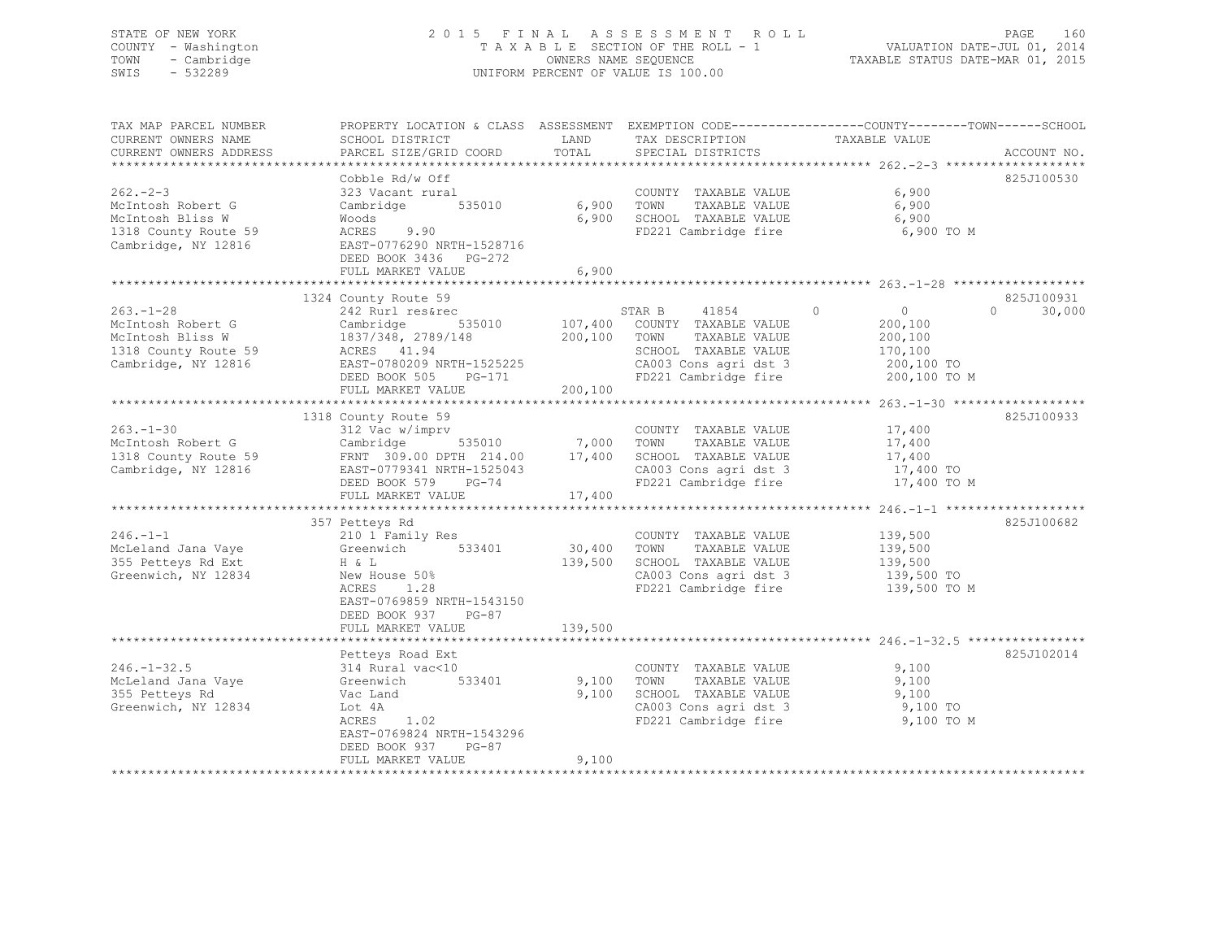## STATE OF NEW YORK 2 0 1 5 F I N A L A S S E S S M E N T R O L L PAGE 160 COUNTY - Washington T A X A B L E SECTION OF THE ROLL - 1 VALUATION DATE-JUL 01, 2014 TOWN - Cambridge OWNERS NAME SEQUENCE TAXABLE STATUS DATE-MAR 01, 2015 SWIS - 532289 UNIFORM PERCENT OF VALUE IS 100.00

| TAX MAP PARCEL NUMBER<br>CURRENT OWNERS NAME<br>CURRENT OWNERS ADDRESS<br>**************************    | PROPERTY LOCATION & CLASS ASSESSMENT<br>SCHOOL DISTRICT<br>PARCEL SIZE/GRID COORD                                                                                                  | LAND<br>TOTAL                 | TAX DESCRIPTION<br>SPECIAL DISTRICTS                                                                                                      | EXEMPTION CODE-----------------COUNTY-------TOWN------SCHOOL<br>TAXABLE VALUE            | ACCOUNT NO.                      |
|---------------------------------------------------------------------------------------------------------|------------------------------------------------------------------------------------------------------------------------------------------------------------------------------------|-------------------------------|-------------------------------------------------------------------------------------------------------------------------------------------|------------------------------------------------------------------------------------------|----------------------------------|
| $262 - 2 - 3$<br>McIntosh Robert G<br>McIntosh Bliss W<br>1318 County Route 59<br>Cambridge, NY 12816   | Cobble Rd/w Off<br>323 Vacant rural<br>Cambridge<br>535010<br>Woods<br>9.90<br>ACRES<br>EAST-0776290 NRTH-1528716<br>DEED BOOK 3436 PG-272<br>FULL MARKET VALUE                    | 6,900<br>6,900<br>6,900       | COUNTY TAXABLE VALUE<br>TOWN<br>TAXABLE VALUE<br>SCHOOL TAXABLE VALUE<br>FD221 Cambridge fire                                             | 6,900<br>6,900<br>6,900<br>6,900 TO M                                                    | 825J100530                       |
| $263. - 1 - 28$<br>McIntosh Robert G<br>McIntosh Bliss W<br>1318 County Route 59<br>Cambridge, NY 12816 | 1324 County Route 59<br>242 Rurl res&rec<br>535010<br>Cambridge<br>1837/348, 2789/148<br>ACRES 41.94<br>EAST-0780209 NRTH-1525225<br>DEED BOOK 505<br>PG-171<br>FULL MARKET VALUE  | 107,400<br>200,100<br>200,100 | STAR B<br>41854<br>COUNTY TAXABLE VALUE<br>TOWN<br>TAXABLE VALUE<br>SCHOOL TAXABLE VALUE<br>CA003 Cons agri dst 3<br>FD221 Cambridge fire | $\overline{0}$<br>$\circ$<br>200,100<br>200,100<br>170,100<br>200,100 TO<br>200,100 TO M | 825J100931<br>$\Omega$<br>30,000 |
| $263. -1 - 30$<br>McIntosh Robert G<br>1318 County Route 59<br>Cambridge, NY 12816                      | 1318 County Route 59<br>312 Vac w/imprv<br>535010<br>Cambridge<br>FRNT 309.00 DPTH 214.00<br>EAST-0779341 NRTH-1525043<br>DEED BOOK 579<br>PG-74<br>FULL MARKET VALUE              | 7,000<br>17,400<br>17,400     | COUNTY TAXABLE VALUE<br>TAXABLE VALUE<br>TOWN<br>SCHOOL TAXABLE VALUE<br>CA003 Cons agri dst 3<br>FD221 Cambridge fire                    | 17,400<br>17,400<br>17,400<br>17,400 TO<br>17,400 TO M                                   | 825J100933                       |
| $246. -1 -1$<br>McLeland Jana Vaye<br>355 Petteys Rd Ext<br>Greenwich, NY 12834                         | 357 Petteys Rd<br>210 1 Family Res<br>533401<br>Greenwich<br>H & L<br>New House 50%<br>1.28<br>ACRES<br>EAST-0769859 NRTH-1543150<br>DEED BOOK 937<br>$PG-87$<br>FULL MARKET VALUE | 30,400<br>139,500<br>139,500  | COUNTY TAXABLE VALUE<br>TAXABLE VALUE<br>TOWN<br>SCHOOL TAXABLE VALUE<br>CA003 Cons agri dst 3<br>FD221 Cambridge fire                    | 139,500<br>139,500<br>139,500<br>139,500 TO<br>139,500 TO M                              | 825J100682                       |
| $246. - 1 - 32.5$<br>McLeland Jana Vaye<br>355 Petteys Rd<br>Greenwich, NY 12834                        | Petteys Road Ext<br>314 Rural vac<10<br>533401<br>Greenwich<br>Vac Land<br>Lot 4A<br>ACRES<br>1.02<br>EAST-0769824 NRTH-1543296<br>DEED BOOK 937<br>$PG-87$<br>FULL MARKET VALUE   | 9,100<br>9,100<br>9,100       | COUNTY TAXABLE VALUE<br>TOWN<br>TAXABLE VALUE<br>SCHOOL TAXABLE VALUE<br>CA003 Cons agri dst 3<br>FD221 Cambridge fire                    | 9,100<br>9,100<br>9,100<br>9,100 TO<br>9,100 TO M                                        | 825J102014                       |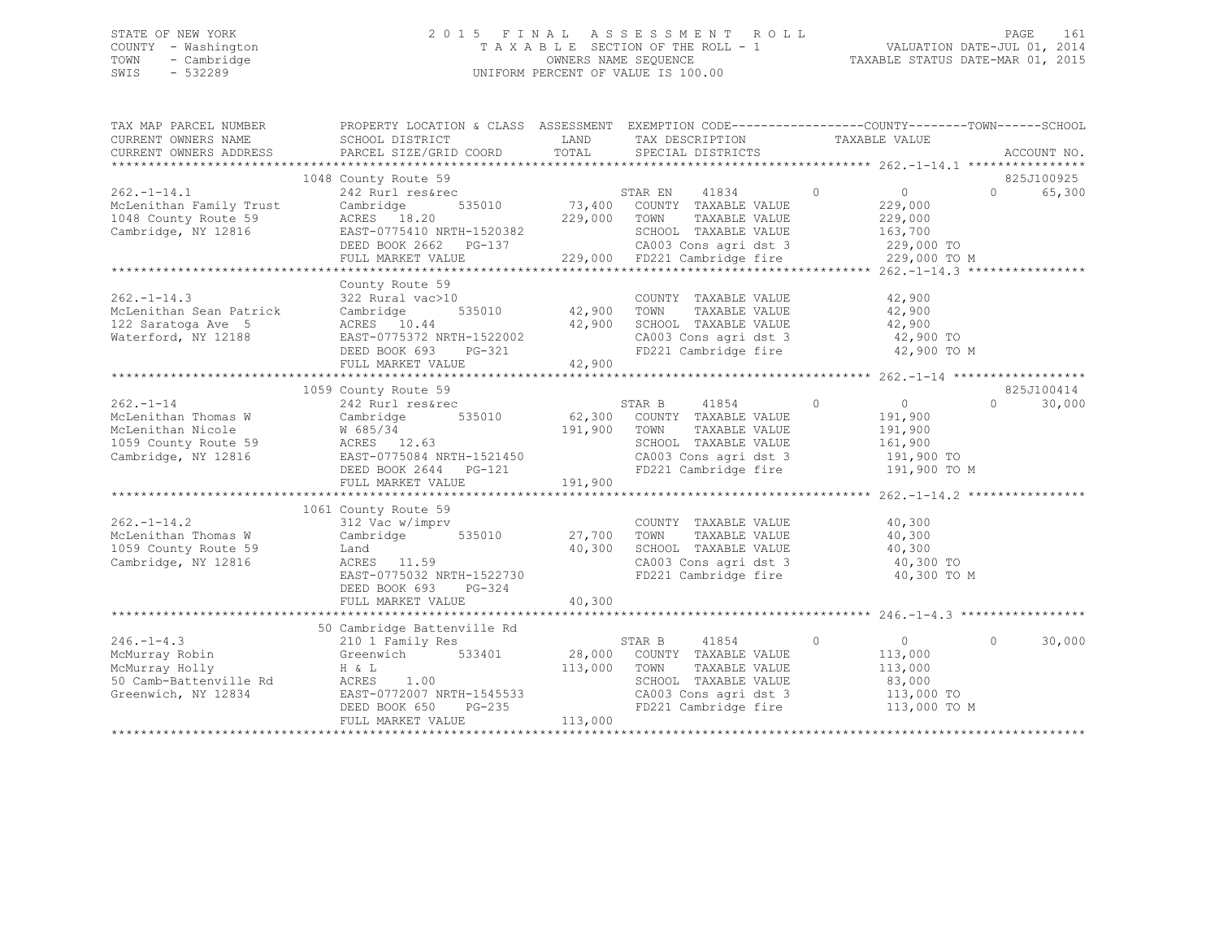## STATE OF NEW YORK 2 0 1 5 F I N A L A S S E S S M E N T R O L L PAGE 161 COUNTY - Washington T A X A B L E SECTION OF THE ROLL - 1 VALUATION DATE-JUL 01, 2014 TOWN - Cambridge OWNERS NAME SEQUENCE TAXABLE STATUS DATE-MAR 01, 2015 SWIS - 532289 UNIFORM PERCENT OF VALUE IS 100.00

| TAX MAP PARCEL NUMBER                              | PROPERTY LOCATION & CLASS ASSESSMENT EXEMPTION CODE---------------COUNTY-------TOWN-----SCHOOL                                                                                            |              |                                                                  |                      |                    |
|----------------------------------------------------|-------------------------------------------------------------------------------------------------------------------------------------------------------------------------------------------|--------------|------------------------------------------------------------------|----------------------|--------------------|
| CURRENT OWNERS NAME                                | SCHOOL DISTRICT                                                                                                                                                                           | LAND         | TAX DESCRIPTION                                                  | TAXABLE VALUE        |                    |
| CURRENT OWNERS ADDRESS                             | PARCEL SIZE/GRID COORD                                                                                                                                                                    | TOTAL        | SPECIAL DISTRICTS                                                |                      | ACCOUNT NO.        |
|                                                    |                                                                                                                                                                                           |              |                                                                  |                      |                    |
|                                                    | 1048 County Route 59                                                                                                                                                                      |              |                                                                  |                      | 825J100925         |
| $262. -1 - 14.1$                                   | 242 Rurl res&rec                                                                                                                                                                          |              | 2<br>535010 73,400 COUNTY TAXABLE VALUE                          | $\overline{0}$       | $\Omega$<br>65,300 |
| McLenithan Family Trust                            | Cambridge                                                                                                                                                                                 |              |                                                                  | 229,000              |                    |
| 1048 County Route 59                               |                                                                                                                                                                                           |              | TAXABLE VALUE                                                    | 229,000<br>163,700   |                    |
| Cambridge, NY 12816                                |                                                                                                                                                                                           |              |                                                                  |                      |                    |
|                                                    | ACRES 18.20 229,000 TOWN TAXABLE VALUE<br>EAST-0775410 NRTH-1520382 SCHOOL TAXABLE VALUE<br>DEED BOOK 2662 PG-137 CA003 Cons agri dst 3<br>FULL MARKET VALUE 229,000 FD221 Cambridge fire |              | CA003 Cons agri dst 3 229,000 TO                                 | 229,000 TO M         |                    |
|                                                    |                                                                                                                                                                                           |              |                                                                  |                      |                    |
|                                                    | County Route 59                                                                                                                                                                           |              |                                                                  |                      |                    |
| $262 - 1 - 14.3$                                   | 322 Rural vac>10                                                                                                                                                                          |              | COUNTY TAXABLE VALUE                                             | 42,900               |                    |
| McLenithan Sean Patrick                            | 535010 42,900 TOWN<br>Cambridge                                                                                                                                                           |              |                                                                  | TAXABLE VALUE 42,900 |                    |
| 122 Saratoga Ave 5                                 |                                                                                                                                                                                           |              |                                                                  |                      |                    |
| Waterford, NY 12188                                |                                                                                                                                                                                           |              | SCHOOL TAXABLE VALUE 42,900<br>CA003 Cons agri dst 3 42,900 TO   |                      |                    |
|                                                    |                                                                                                                                                                                           |              | FD221 Cambridge fire 42,900 TO M                                 |                      |                    |
|                                                    | ACRES 10.44<br>EAST-0775372 NRTH-1522002<br>DEED BOOK 693 PG-321<br>42,900                                                                                                                |              |                                                                  |                      |                    |
|                                                    |                                                                                                                                                                                           |              |                                                                  |                      |                    |
|                                                    | 1059 County Route 59                                                                                                                                                                      |              |                                                                  |                      | 825J100414         |
| $262 - 1 - 14$                                     | 242 Rurl res&rec                                                                                                                                                                          |              | STAR B 41854 0                                                   | $\overline{0}$       | $\cap$<br>30,000   |
|                                                    |                                                                                                                                                                                           |              |                                                                  | 191,900<br>191,900   |                    |
|                                                    |                                                                                                                                                                                           |              |                                                                  |                      |                    |
|                                                    | M 685/34 191<br>191<br>191<br>Cambridge, NY 12816 EAST-0775084 NRTH-1521450                                                                                                               |              | SCHOOL TAXABLE VALUE 161,900<br>CA003 Cons agri dst 3 191,900 TO |                      |                    |
|                                                    |                                                                                                                                                                                           |              | CA003 Cons agri dst 3<br>FD221 Cambridge fire                    |                      |                    |
|                                                    | DEED BOOK 2644 PG-121                                                                                                                                                                     |              |                                                                  | 191,900 TO M         |                    |
|                                                    | FULL MARKET VALUE                                                                                                                                                                         | 191,900      |                                                                  |                      |                    |
|                                                    |                                                                                                                                                                                           |              |                                                                  |                      |                    |
|                                                    | 1061 County Route 59                                                                                                                                                                      |              |                                                                  |                      |                    |
| $262 - 1 - 14.2$                                   | 312 Vac w/imprv                                                                                                                                                                           |              | COUNTY TAXABLE VALUE                                             | 40,300               |                    |
| McLenithan Thomas W                                | Cambridge 535010 27,700 TOWN                                                                                                                                                              |              | TAXABLE VALUE                                                    | 40,300               |                    |
| 1059 County Route 59                               | Land<br>ACRES 11.59                                                                                                                                                                       | 40,300       | SCHOOL TAXABLE VALUE 40,300<br>CA003 Cons agri dst 3 40,300 TO   |                      |                    |
| Cambridge, NY 12816                                |                                                                                                                                                                                           |              |                                                                  |                      |                    |
|                                                    | EAST-0775032 NRTH-1522730                                                                                                                                                                 |              | FD221 Cambridge fire 40,300 TO M                                 |                      |                    |
|                                                    | DEED BOOK 693 PG-324                                                                                                                                                                      |              |                                                                  |                      |                    |
|                                                    | FULL MARKET VALUE                                                                                                                                                                         | 40,300       |                                                                  |                      |                    |
|                                                    |                                                                                                                                                                                           |              |                                                                  |                      |                    |
| $246. -1 - 4.3$                                    | 50 Cambridge Battenville Rd                                                                                                                                                               |              |                                                                  | $\sim$ 0             | $\Omega$<br>30,000 |
|                                                    | 210 1 Family Res<br>Greenwich 533401                                                                                                                                                      |              | STAR B<br>41854<br>$\sim$ 0<br>28,000 COUNTY TAXABLE VALUE       | 113,000              |                    |
| McMurray Robin<br>McMurray Holly<br>McMurray Holly |                                                                                                                                                                                           | 113,000 TOWN | TAXABLE VALUE                                                    | 113,000              |                    |
| 50 Camb-Battenville Rd                             | H & L<br>ACRES<br>1.00                                                                                                                                                                    |              |                                                                  |                      |                    |
| Greenwich, NY 12834                                | EAST-0772007 NRTH-1545533                                                                                                                                                                 |              | SCHOOL TAXABLE VALUE<br>CA003 Cons agri dst 3                    | 83,000<br>113,000 TO |                    |
|                                                    | $PG-235$<br>DEED BOOK 650                                                                                                                                                                 |              | FD221 Cambridge fire                                             | 113,000 TO M         |                    |
|                                                    | FULL MARKET VALUE                                                                                                                                                                         | 113,000      |                                                                  |                      |                    |
|                                                    |                                                                                                                                                                                           |              |                                                                  |                      |                    |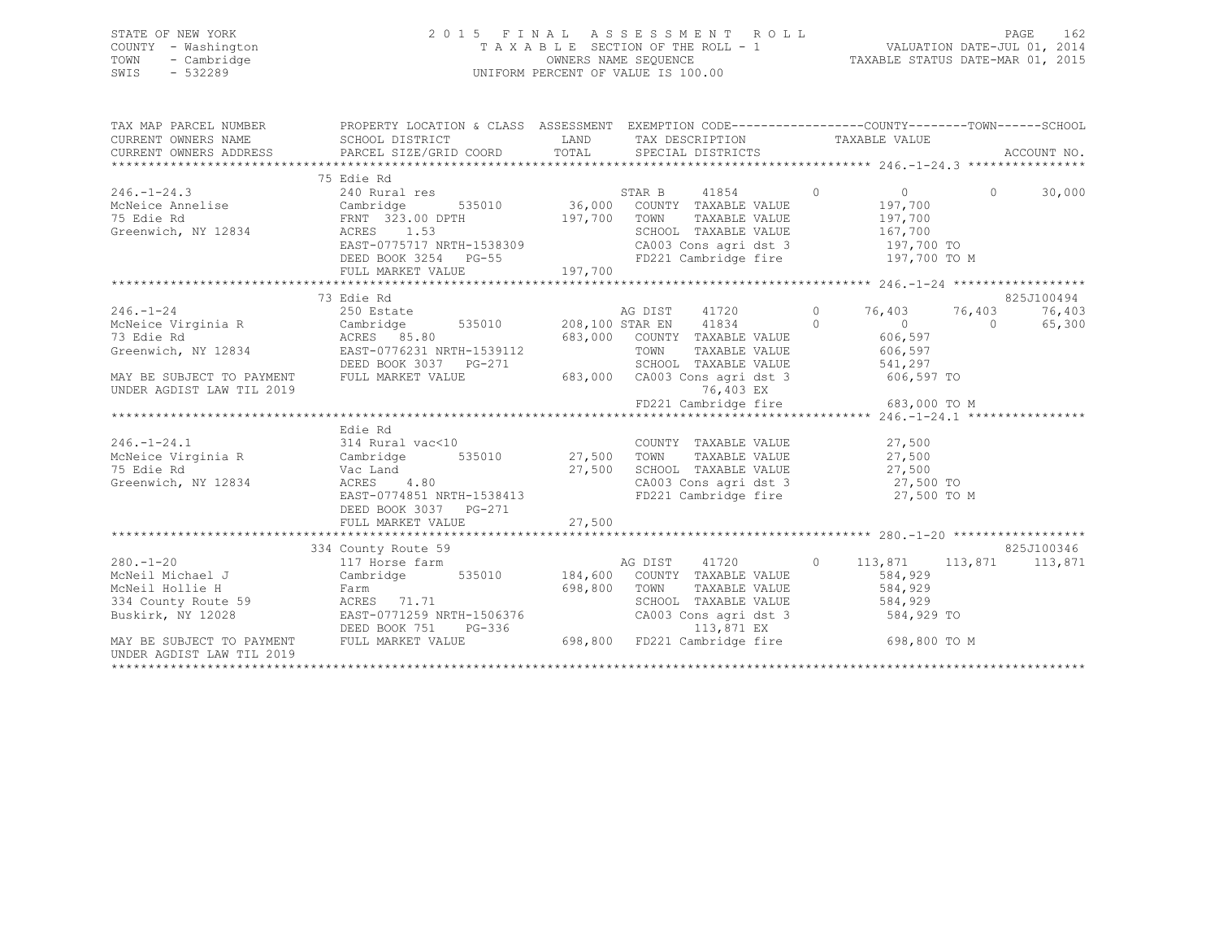## STATE OF NEW YORK 2 0 1 5 F I N A L A S S E S S M E N T R O L L PAGE 162 COUNTY - Washington T A X A B L E SECTION OF THE ROLL - 1 VALUATION DATE-JUL 01, 2014 TOWN - Cambridge OWNERS NAME SEQUENCE TAXABLE STATUS DATE-MAR 01, 2015 SWIS - 532289 UNIFORM PERCENT OF VALUE IS 100.00

| TAX MAP PARCEL NUMBER                                                                                                                                                                                                                        | PROPERTY LOCATION & CLASS ASSESSMENT EXEMPTION CODE---------------COUNTY-------TOWN-----SCHOOL |                                                                                                                                                                                                                                                                                                  |                         |                                |
|----------------------------------------------------------------------------------------------------------------------------------------------------------------------------------------------------------------------------------------------|------------------------------------------------------------------------------------------------|--------------------------------------------------------------------------------------------------------------------------------------------------------------------------------------------------------------------------------------------------------------------------------------------------|-------------------------|--------------------------------|
| 246.-1-24.3<br>McNeice Annelise 240 Rural res<br>McNeice Annelise 240 Rural res<br>240 Rural res<br>Cambridge 535010 36,000 COUNTY TAXABLE VALUE 197,700<br>36,000 COUNTY TAXABLE VALUE 197,700<br>SCHOOL TAXABLE VALUE 197,700<br>SCHOOL TA | 75 Edie Rd                                                                                     |                                                                                                                                                                                                                                                                                                  | 0<br>197,700<br>197,700 |                                |
| 246.-1-24<br>McNeice Virginia R 250 Estate 208,100 STAR EN 41720 0 76,403 76,403<br>73 Edie Rd ACRES 85.80 683,000 COUNTY TAXABLE VALUE 606,597<br>Greenwich, NY 12834 EAST-0776231 NRTH-1539112 TOWN TAXABLE VALUE 606,597<br>Greenwi       | 73 Edie Rd                                                                                     |                                                                                                                                                                                                                                                                                                  |                         | 825J100494<br>76,403<br>65,300 |
| DEED BOOK 3037 PG-271 SCHOOL TAXABLE VALUE 541,297<br>MAY BE SUBJECT TO PAYMENT FULL MARKET VALUE 683,000 CA003 Consider 13 606,597 TO                                                                                                       |                                                                                                |                                                                                                                                                                                                                                                                                                  |                         |                                |
| UNDER AGDIST LAW TIL 2019                                                                                                                                                                                                                    |                                                                                                | 76,403 EX                                                                                                                                                                                                                                                                                        |                         |                                |
| 246.-1-24.1<br>McNeice Virginia R 314 Rural vac<10 COUNTY<br>75 Edie Rd Vac Land 27,500 TOWN<br>Greenwich, NY 12834 ACRES 4.80 CA003 Conservation, NY 12834 ACRES 4.80 CA003 Conservation, NY 12834 SERST-0774851 NRTH-1538413 FD221         | Edie Rd<br>DEED BOOK 3037 PG-271                                                               | $\begin{tabular}{lllllllll} \multicolumn{2}{c}{\text{COUNTY}} & \text{TAXABLE VALUE} & & & 27,500 \\ \multicolumn{2}{c}{\text{TONN}} & \text{TAXABLE VALUE} & & & 27,500 \\ \end{tabular}$<br>SCHOOL TAXABLE VALUE 27,500<br>CA003 Cons agri dst 3 27,500 TO<br>FD221 Cambridge fire 27,500 TO M |                         |                                |
|                                                                                                                                                                                                                                              |                                                                                                |                                                                                                                                                                                                                                                                                                  |                         |                                |
| 334 County Route 59<br>280.-1-20 280.-1-20 117 Horse farm AG DIST 41720 0 113,871 113,871 113,871<br>280.-1-20 McNeil Michael J Cambridge 535010 184,600 COUNTY TAXABLE VALUE 584,929                                                        | 334 County Route 59                                                                            |                                                                                                                                                                                                                                                                                                  |                         | 825J100346                     |
|                                                                                                                                                                                                                                              |                                                                                                | TAXABLE VALUE 584,929<br>SCHOOL TAXABLE VALUE 584,929                                                                                                                                                                                                                                            | 584,929 TO              |                                |
|                                                                                                                                                                                                                                              |                                                                                                |                                                                                                                                                                                                                                                                                                  | 698,800 TO M            |                                |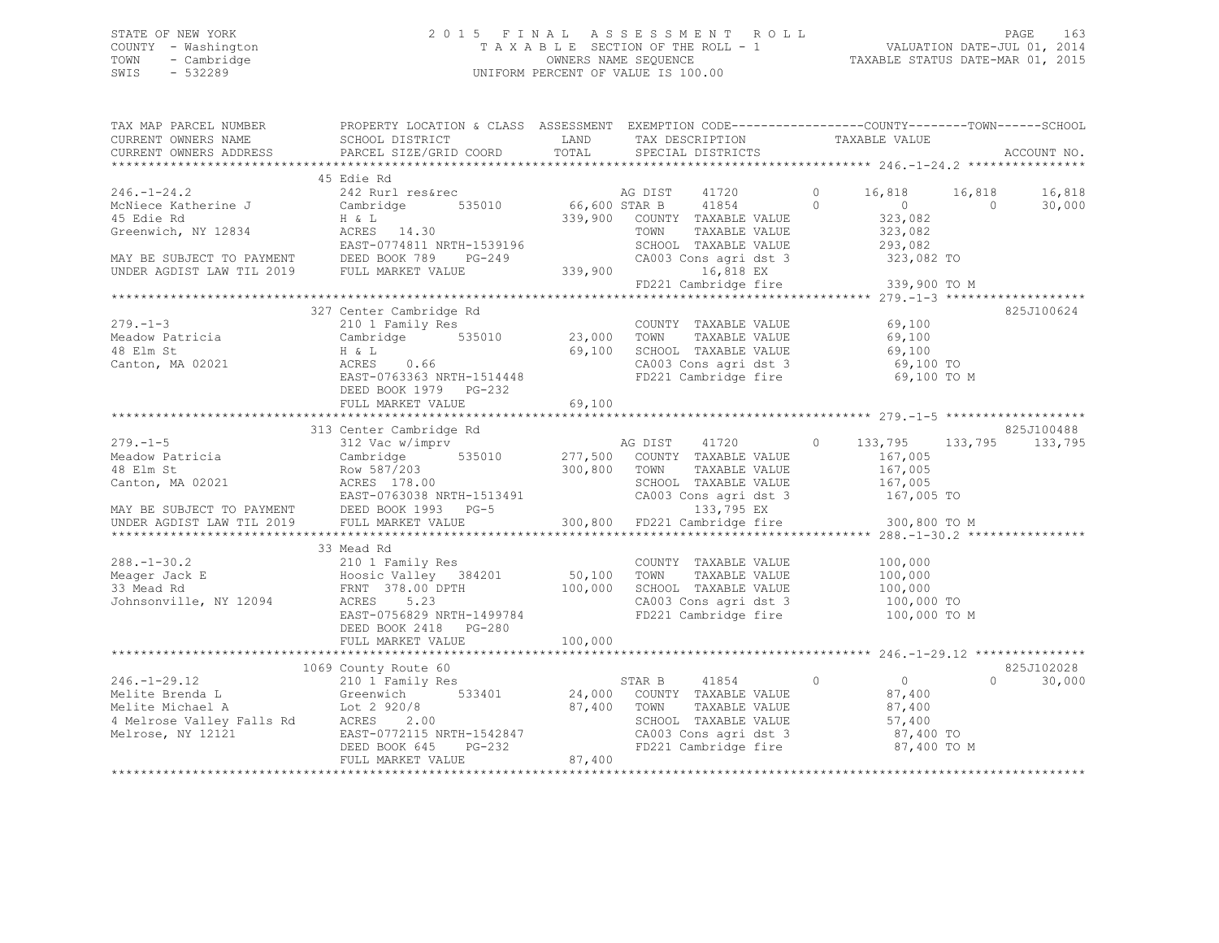# STATE OF NEW YORK<br>COUNTY - Washington 2015 F I N A L A S S E S S M E N T R O L L<br>T A X A B L E SECTION OF THE ROLL - 1 COUNTY - Washington T A X A B L E SECTION OF THE ROLL - 1<br>
TOWN - Cambridge COUNTERS NAME SEQUENCE TOWN - Cambridge OWNERS NAME SEQUENCE TAXABLE STATUS DATE-MAR 01, 2015 UNIFORM PERCENT OF VALUE IS 100.00

| TAX MAP PARCEL NUMBER<br>CURRENT OWNERS NAME<br>CURRENT OWNERS ADDRESS                                                                                       | PROPERTY LOCATION & CLASS ASSESSMENT EXEMPTION CODE----------------COUNTY-------TOWN------SCHOOL<br>SCHOOL DISTRICT<br>PARCEL SIZE/GRID COORD                                          | LAND<br>TOTAL            | TAX DESCRIPTION<br>SPECIAL DISTRICTS                                                                                                                                 | TAXABLE VALUE                                                                                                                       | ACCOUNT NO.                              |
|--------------------------------------------------------------------------------------------------------------------------------------------------------------|----------------------------------------------------------------------------------------------------------------------------------------------------------------------------------------|--------------------------|----------------------------------------------------------------------------------------------------------------------------------------------------------------------|-------------------------------------------------------------------------------------------------------------------------------------|------------------------------------------|
|                                                                                                                                                              |                                                                                                                                                                                        |                          |                                                                                                                                                                      |                                                                                                                                     |                                          |
| $246. - 1 - 24.2$<br>McNiece Katherine J<br>45 Edie Rd<br>Greenwich, NY 12834                                                                                | 45 Edie Rd<br>242 Rurl res&rec<br>535010<br>Cambridge<br>H & L<br>ACRES 14.30<br>EAST-0774811 NRTH-1539196<br>MAY BE SUBJECT TO PAYMENT<br>UNDER AGDIST LAW TIL 2019 FULL MARKET VALUE | 66,600 STAR B<br>339,900 | AG DIST<br>41720<br>41854<br>339,900 COUNTY TAXABLE VALUE<br>TOWN<br>TAXABLE VALUE<br>SCHOOL TAXABLE VALUE<br>CA003 Cons agri dst 3<br>16,818 EX                     | $\circ$<br>16,818<br>$\Omega$<br>$\overline{0}$<br>323,082<br>323,082<br>293,082<br>323,082 TO<br>FD221 Cambridge fire 339,900 TO M | 16,818<br>16,818<br>$\bigcirc$<br>30,000 |
|                                                                                                                                                              |                                                                                                                                                                                        |                          |                                                                                                                                                                      |                                                                                                                                     |                                          |
| $279. - 1 - 3$<br>Meadow Patricia<br>48 Elm St<br>Canton, MA 02021                                                                                           | 327 Center Cambridge Rd<br>210 1 Family Res<br>Cambridge 535010 23,000<br>H & L<br>0.66<br>ACRES<br>EAST-0763363 NRTH-1514448<br>DEED BOOK 1979 PG-232<br>FULL MARKET VALUE            | 69,100<br>69,100         | COUNTY TAXABLE VALUE<br>TAXABLE VALUE<br>TOWN<br>SCHOOL TAXABLE VALUE<br>CA003 Cons agri dst 3<br>FD221 Cambridge fire                                               | 69,100<br>69,100<br>69,100<br>69,100 TO<br>69,100 TO M                                                                              | 825J100624                               |
|                                                                                                                                                              |                                                                                                                                                                                        |                          |                                                                                                                                                                      |                                                                                                                                     |                                          |
| $279. - 1 - 5$<br>Meadow Patricia<br>48 Elm St<br>Canton, MA 02021<br>MAY BE SUBJECT TO PAYMENT DEED BOOK 1993 PG-5<br>UNDER AGDIST LAW TIL 2019             | 313 Center Cambridge Rd<br>312 Vac w/imprv<br>Cambridge<br>Row 587/203<br>ACRES 178.00<br>EAST-0763038 NRTH-1513491<br>DEED BOOK 1993 - PC-5<br>FULL MARKET VALUE                      | 300,800 TOWN             | AG DIST 41720<br>535010 277,500 COUNTY TAXABLE VALUE<br>TAXABLE VALUE<br>SCHOOL TAXABLE VALUE<br>CA003 Cons agri dst 3<br>133,795 EX<br>300,800 FD221 Cambridge fire | $\circ$<br>133,795 133,795<br>167,005<br>167,005<br>167,005<br>167,005 TO<br>300,800 TO M                                           | 825J100488<br>133,795                    |
|                                                                                                                                                              | 33 Mead Rd                                                                                                                                                                             |                          |                                                                                                                                                                      |                                                                                                                                     |                                          |
| $288. - 1 - 30.2$<br>Meager Jack E<br>33 Mead Rd<br>Johnsonville, NY 12094                                                                                   | 210 1 Family Res<br>Hoosic Valley 384201<br>FRNT 378.00 DPTH<br>ACRES 5.23<br>EAST-0756829 NRTH-1499784<br>DEED BOOK 2418 PG-280                                                       | $50,100$<br>100,000      | COUNTY TAXABLE VALUE<br>TOWN<br>TAXABLE VALUE<br>SCHOOL TAXABLE VALUE<br>CA003 Cons agri dst 3<br>FD221 Cambridge fire                                               | 100,000<br>100,000<br>100,000<br>100,000 TO<br>100,000 TO M                                                                         |                                          |
|                                                                                                                                                              | FULL MARKET VALUE                                                                                                                                                                      | 100,000                  |                                                                                                                                                                      |                                                                                                                                     |                                          |
|                                                                                                                                                              | 1069 County Route 60                                                                                                                                                                   |                          |                                                                                                                                                                      |                                                                                                                                     | 825J102028                               |
| $246. - 1 - 29.12$<br>X40.-1-29.12<br>Melite Brenda L Greenwich<br>Melite Michael A Lot 2 920/8<br>4 Melrose Valley Falls Rd ACRES 2.00<br>Melrose, NY 12121 | 210 1 Family Res<br>533401<br>EAST-0772115 NRTH-1542847<br>DEED BOOK 645 PG-232<br>FULL MARKET VALUE<br>******************                                                             | 87,400<br>87,400         | STAR B 41854<br>24,000 COUNTY TAXABLE VALUE<br>TOWN<br>TAXABLE VALUE<br>SCHOOL TAXABLE VALUE<br>CA003 Cons agri dst 3<br>FD221 Cambridge fire                        | $\circ$<br>$\overline{0}$<br>87,400<br>87,400<br>57,400<br>87,400 TO<br>87,400 TO M                                                 | $\Omega$<br>30,000                       |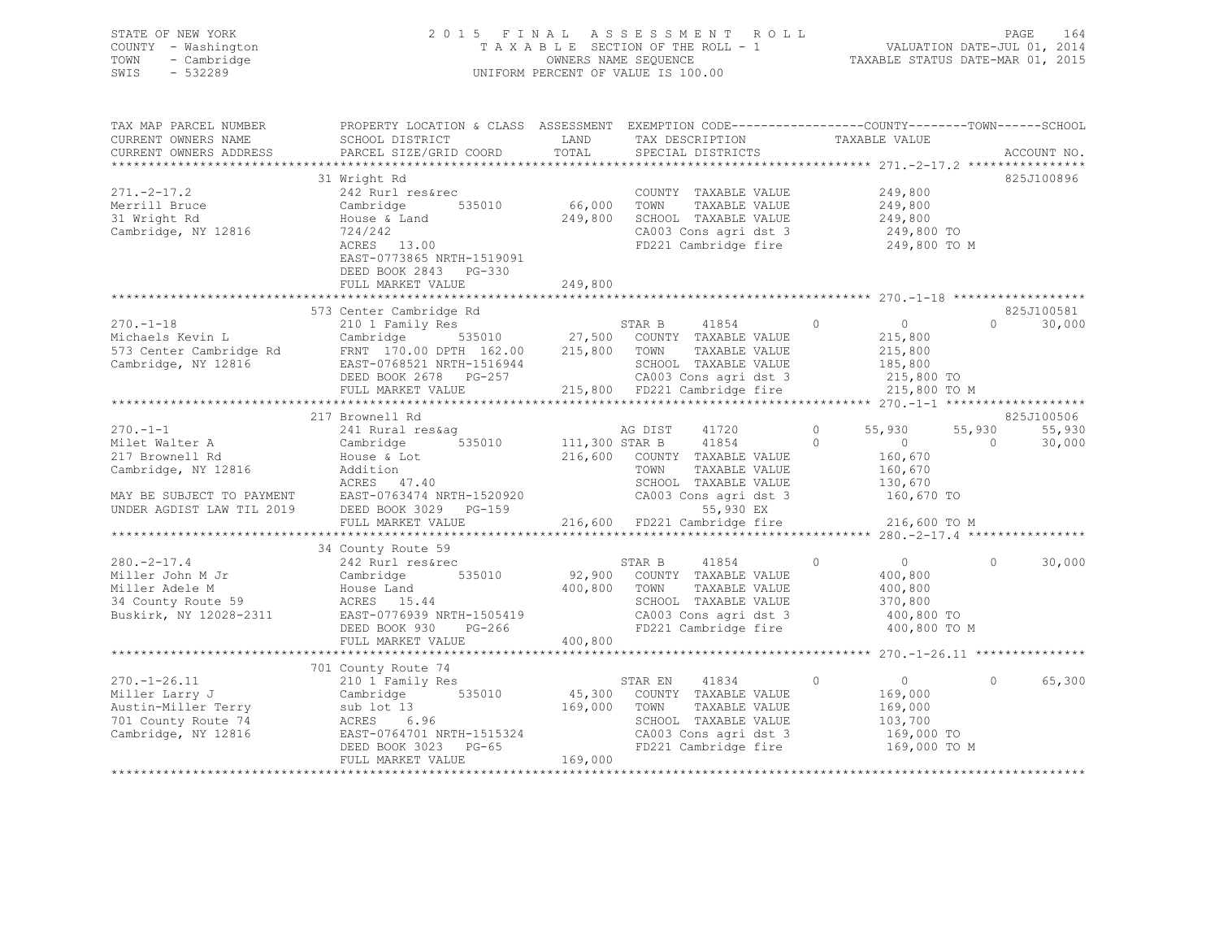| STATE OF NEW YORK<br>COUNTY - Washington<br>- Cambridge<br>TOWN<br>SWIS<br>$-532289$ |                                                                                                                                                                                                                                                                                                          |                        | 2015 FINAL ASSESSMENT ROLL<br>FINAL ASSESSMENT KOLL<br>TAXABLE SECTION OF THE ROLL - 1 VALUATION DATE-JUL 01, 2014<br>OWNERS NAME SEQUENCE  TAXABLE STATUS DATE-MAR 01, 2015<br>UNIFORM PERCENT OF VALUE IS 100.00 |                                                                                           | PAGE<br>164                                                |
|--------------------------------------------------------------------------------------|----------------------------------------------------------------------------------------------------------------------------------------------------------------------------------------------------------------------------------------------------------------------------------------------------------|------------------------|--------------------------------------------------------------------------------------------------------------------------------------------------------------------------------------------------------------------|-------------------------------------------------------------------------------------------|------------------------------------------------------------|
| CURRENT OWNERS NAME<br>CURRENT OWNERS ADDRESS                                        | TAX MAP PARCEL NUMBER THE PROPERTY LOCATION & CLASS ASSESSMENT EXEMPTION CODE---------------COUNTY-------TOWN------SCHOOL<br>SCHOOL DISTRICT LAND<br>PARCEL SIZE/GRID COORD                                                                                                                              | TOTAL                  | TAX DESCRIPTION TAXABLE VALUE<br>SPECIAL DISTRICTS                                                                                                                                                                 |                                                                                           | ACCOUNT NO.                                                |
| $271 - 2 - 17.2$<br>Merrill Bruce<br>31 Wright Rd<br>Cambridge, NY 12816             | 31 Wright Rd<br>242 Rurl res&rec<br>Cambridge 535010<br>House & Land<br>724/242<br>ACRES 13.00<br>EAST-0773865 NRTH-1519091<br>DEED BOOK 2843 PG-330<br>FULL MARKET VALUE                                                                                                                                | 66,000 TOWN<br>249,800 | COUNTY TAXABLE VALUE<br>TOWN TAXABLE VALUE 249,800<br>TAXABLE VALUE<br>249,800 SCHOOL TAXABLE VALUE<br>CA003 Cons agri dst 3<br>FD221 Cambridge fire                                                               | 249,800<br>$249,800$ TO<br>249,800 TO M                                                   | 825J100896                                                 |
|                                                                                      |                                                                                                                                                                                                                                                                                                          |                        |                                                                                                                                                                                                                    |                                                                                           |                                                            |
|                                                                                      | 573 Center Cambridge Rd<br>370.-1-18<br>Michaels Kevin L<br>Michaels Kevin L<br>STAR B<br>2101 Family Res<br>2101 Family Res<br>215,800<br>27,500 COUNTY TAXABLE VALUE<br>215,800<br>215,800<br>215,800<br>Cambridge, NY 12816<br>DEED BOOK 2678 PG-257<br>215,800<br>PULL MARKET VAL                    |                        |                                                                                                                                                                                                                    |                                                                                           | 825J100581<br>$0 \t 30,000$                                |
|                                                                                      |                                                                                                                                                                                                                                                                                                          |                        |                                                                                                                                                                                                                    |                                                                                           |                                                            |
| $270. -1 - 1$<br>Milet Walter A<br>217 Brownell Rd<br>Cambridge, NY 12816            | 217 Brownell Rd<br>241 Rural res&aq<br>Cambridge 535010 111,300 STAR B 41854<br>House & Lot 216,60<br>Addition 2016<br>ACRES 47.40<br>ACKES 47.40<br>MAY BE SUBJECT TO PAYMENT EAST-0763474 NRTH-1520920<br>UNDER AGDIST LAW TIL 2019 DEED BOOK 3029 PG-159 CA003 Cons agridst 3<br>FIII.I. MAPPER VALUE |                        | AG DIST<br>41720<br>216,600 COUNTY TAXABLE VALUE<br>TOWN<br>TAXABLE VALUE                                                                                                                                          | $0 \t 55,930$<br>$\circ$<br>$\overline{0}$<br>160,670<br>160,670<br>130,670<br>160,670 TO | 825J100506<br>55,930<br>55,930<br>$\overline{0}$<br>30,000 |
|                                                                                      |                                                                                                                                                                                                                                                                                                          |                        |                                                                                                                                                                                                                    |                                                                                           |                                                            |
|                                                                                      | FULL MARKET VALUE 216,600 FD221 Cambridge fire 216,600 TO M                                                                                                                                                                                                                                              |                        |                                                                                                                                                                                                                    |                                                                                           |                                                            |
|                                                                                      |                                                                                                                                                                                                                                                                                                          |                        |                                                                                                                                                                                                                    |                                                                                           |                                                            |
|                                                                                      | 34 County Route 3<br>242 Rurl resserc<br>Miller John M Jr Cambridge 535010 92,900 COUNTY TAXABLE VALUE<br>Miller Adele M House Land<br>34 County Route 59 ACRES 15.44 SCHOOL TAXABLE VALUE<br>Buskirk, NY 12028-2311 EAST-0776939 NRTH-1                                                                 |                        |                                                                                                                                                                                                                    | $0$<br>400,800<br>400,800<br>370,800<br>400,800 TO<br>400,800 TO M                        | $\circ$<br>30,000                                          |
|                                                                                      | FULL MARKET VALUE 400,800                                                                                                                                                                                                                                                                                |                        |                                                                                                                                                                                                                    |                                                                                           |                                                            |
|                                                                                      |                                                                                                                                                                                                                                                                                                          |                        |                                                                                                                                                                                                                    |                                                                                           |                                                            |
|                                                                                      | Aller Larry J<br>Miller Larry J<br>Miller Terry and Loudwight and Market Market (1990)<br>2010 East Cambridge 535010 (1990)<br>2010 COUNTY Sub lot 13<br>2011 County Route 74<br>2011 EAST-0764701 When It are series of the country of th                                                               |                        | 41834<br>STAR EN<br>45,300 COUNTY TAXABLE VALUE<br>TAXABLE VALUE<br>SCHOOL TAXABLE VALUE<br>CA003 Cons agri dst 3<br>FD221 Cambridge fire<br>re consagri dst 3<br>FD221 Cambridge fire                             | $\overline{0}$<br>$\Omega$<br>169,000<br>169,000<br>103,700<br>169,000 TO<br>169,000 TO M | $\Omega$<br>65,300                                         |

\*\*\*\*\*\*\*\*\*\*\*\*\*\*\*\*\*\*\*\*\*\*\*\*\*\*\*\*\*\*\*\*\*\*\*\*\*\*\*\*\*\*\*\*\*\*\*\*\*\*\*\*\*\*\*\*\*\*\*\*\*\*\*\*\*\*\*\*\*\*\*\*\*\*\*\*\*\*\*\*\*\*\*\*\*\*\*\*\*\*\*\*\*\*\*\*\*\*\*\*\*\*\*\*\*\*\*\*\*\*\*\*\*\*\*\*\*\*\*\*\*\*\*\*\*\*\*\*\*\*\*\*

FULL MARKET VALUE 169,000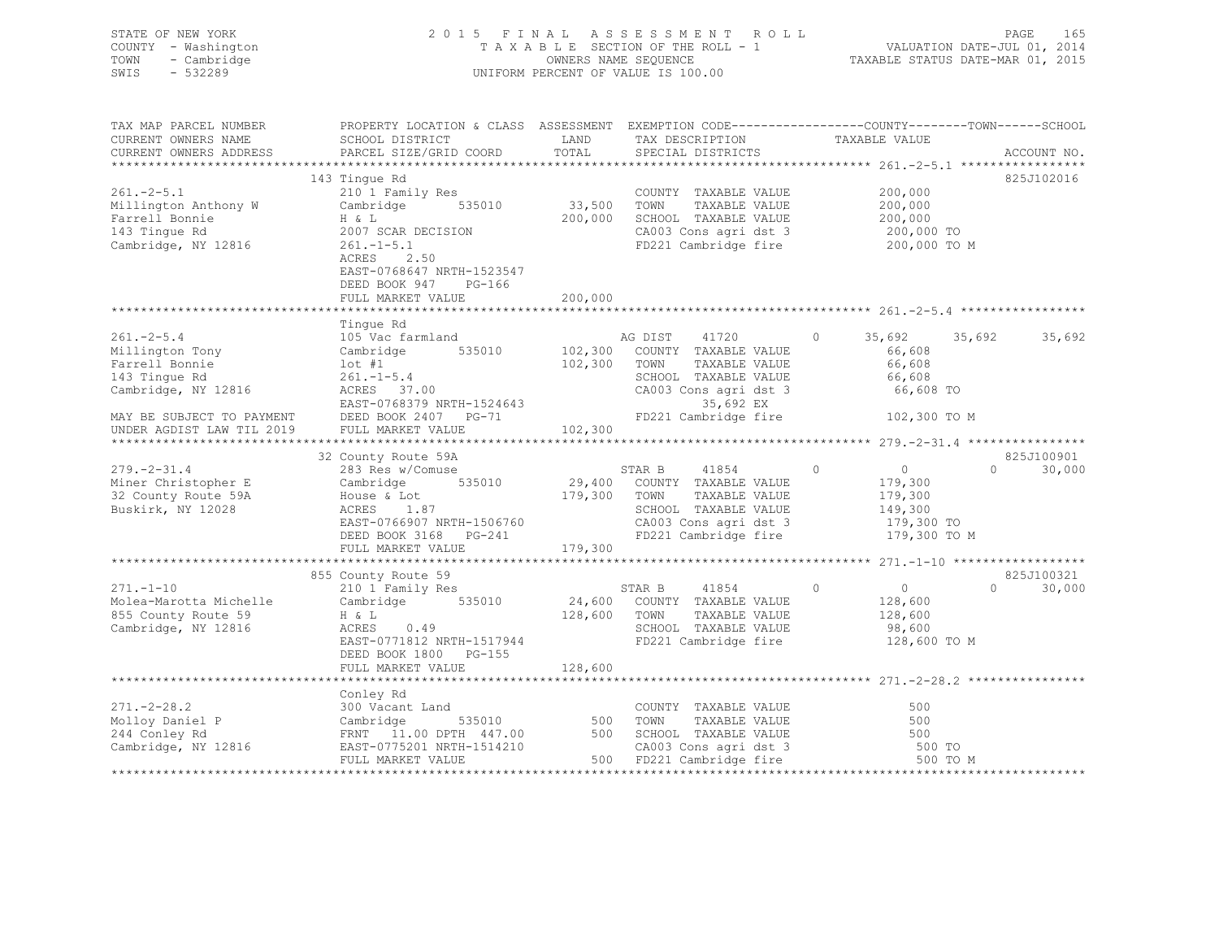| STATE OF NEW YORK<br>COUNTY - Washington<br>TOWN<br>- Cambridge<br>SWIS<br>$-532289$ |                                                                                                                                                                                                                                                                                                                                                                                                           |                       | 2015 FINAL ASSESSMENT ROLL<br>T A X A B L E SECTION OF THE ROLL - 1<br>OWNERS NAME SEQUENCE<br>UNIFORM PERCENT OF VALUE IS 100.00      | rast 165<br>VALUATION DATE-JUL 01, 2014<br>TAXABLE STATUS DATE-MAR 01, 2015 | PAGE<br>165                               |
|--------------------------------------------------------------------------------------|-----------------------------------------------------------------------------------------------------------------------------------------------------------------------------------------------------------------------------------------------------------------------------------------------------------------------------------------------------------------------------------------------------------|-----------------------|----------------------------------------------------------------------------------------------------------------------------------------|-----------------------------------------------------------------------------|-------------------------------------------|
| TAX MAP PARCEL NUMBER                                                                | PROPERTY LOCATION & CLASS ASSESSMENT EXEMPTION CODE---------------COUNTY-------TOWN-----SCHOOL<br>SCHOOL DISTRICT                                                                                                                                                                                                                                                                                         |                       |                                                                                                                                        |                                                                             |                                           |
| CURRENT OWNERS NAME<br>CURRENT OWNERS ADDRESS                                        | PARCEL SIZE/GRID COORD                                                                                                                                                                                                                                                                                                                                                                                    |                       |                                                                                                                                        |                                                                             | ACCOUNT NO.                               |
|                                                                                      |                                                                                                                                                                                                                                                                                                                                                                                                           |                       |                                                                                                                                        |                                                                             |                                           |
|                                                                                      | 143 Tingue Rd                                                                                                                                                                                                                                                                                                                                                                                             |                       |                                                                                                                                        |                                                                             | 825J102016                                |
| $261 - 2 - 5.1$                                                                      | 210 1 Family Res                                                                                                                                                                                                                                                                                                                                                                                          | COUNTY<br>33,500 TOWN | COUNTY TAXABLE VALUE $200,000$<br>TOWN TAXABLE VALUE $200,000$<br>SCHOOL TAXABLE VALUE $200,000$<br>CA003 Cons agri dst 3 $200,000$ TO |                                                                             |                                           |
| Millington Anthony W                                                                 | Cambridge 535010                                                                                                                                                                                                                                                                                                                                                                                          |                       |                                                                                                                                        |                                                                             |                                           |
| Farrell Bonnie                                                                       | H & L                                                                                                                                                                                                                                                                                                                                                                                                     |                       | 200,000 SCHOOL TAXABLE VALUE                                                                                                           |                                                                             |                                           |
| 143 Tingue Rd<br>Cambridge, NY 12816                                                 | 2007 SCAR DECISION<br>$261. - 1 - 5.1$                                                                                                                                                                                                                                                                                                                                                                    |                       | FD221 Cambridge fire                                                                                                                   | 200,000 TO M                                                                |                                           |
|                                                                                      | ACRES 2.50                                                                                                                                                                                                                                                                                                                                                                                                |                       |                                                                                                                                        |                                                                             |                                           |
|                                                                                      | EAST-0768647 NRTH-1523547                                                                                                                                                                                                                                                                                                                                                                                 |                       |                                                                                                                                        |                                                                             |                                           |
|                                                                                      | DEED BOOK 947 PG-166                                                                                                                                                                                                                                                                                                                                                                                      |                       |                                                                                                                                        |                                                                             |                                           |
|                                                                                      | FULL MARKET VALUE 200,000                                                                                                                                                                                                                                                                                                                                                                                 |                       |                                                                                                                                        |                                                                             |                                           |
|                                                                                      |                                                                                                                                                                                                                                                                                                                                                                                                           |                       |                                                                                                                                        |                                                                             |                                           |
| $261 - 2 - 5.4$                                                                      | Tinque Rd<br>105 Vac farmland                                                                                                                                                                                                                                                                                                                                                                             |                       | AG DIST 41720                                                                                                                          | $\Omega$<br>35,692                                                          | 35,692<br>35,692                          |
| Millington Tony                                                                      |                                                                                                                                                                                                                                                                                                                                                                                                           |                       |                                                                                                                                        | 66,608                                                                      |                                           |
| Farrell Bonnie                                                                       | Cambridge 535010 102,300 COUNTY TAXABLE VALUE<br>102,300 TOWN TAXABLE VALUE                                                                                                                                                                                                                                                                                                                               | 102,300 TOWN          | TAXABLE VALUE                                                                                                                          | 66,608                                                                      |                                           |
| 143 Tingue Rd                                                                        |                                                                                                                                                                                                                                                                                                                                                                                                           |                       |                                                                                                                                        | 66,608                                                                      |                                           |
| Cambridge, NY 12816                                                                  |                                                                                                                                                                                                                                                                                                                                                                                                           |                       | SCHOOL TAXABLE VALUE<br>CA003 Cons agri dst 3                                                                                          | 66,608 TO                                                                   |                                           |
|                                                                                      | 261.-1-5.4<br>ACRES 37.00 CA003 Cor<br>EAST-0768379 NRTH-1524643<br>DERED BOOK 2407 PG-71 FD221 Cam                                                                                                                                                                                                                                                                                                       |                       | 35,692 EX                                                                                                                              |                                                                             |                                           |
| MAY BE SUBJECT TO PAYMENT<br>UNDER AGDIST LAW TIL 2019                               | FULL MARKET VALUE                                                                                                                                                                                                                                                                                                                                                                                         | 102,300               | FD221 Cambridge fire 102,300 TO M                                                                                                      |                                                                             |                                           |
|                                                                                      |                                                                                                                                                                                                                                                                                                                                                                                                           |                       |                                                                                                                                        |                                                                             |                                           |
| $279. - 2 - 31.4$                                                                    | 32 County Route 59A<br>$\begin{array}{lllllll} \text{cos} & \text{Res} & \text{w/Comuse} & \text{STAR B} & 41854 \text{ } \\ \text{Cambridge} & 535010 & 29,400 & \text{COUNTY} & \text{TAXABLE VALUE} \text{ House & L.87} & & & & \\ \text{ACRES} & 1.87 & & & & & & & \\ \text{EAST-0766007} & & & & & & & & \\ \text{EAST-0766007} & & & & & & & \\ \text{EAST-0766007} & & & & & & & \\ \end{array}$ |                       | 41854 0                                                                                                                                | $\overline{0}$                                                              | 825J100901<br>$0 \qquad \qquad$<br>30,000 |
| Miner Christopher E                                                                  |                                                                                                                                                                                                                                                                                                                                                                                                           |                       |                                                                                                                                        |                                                                             |                                           |
| 32 County Route 59A                                                                  |                                                                                                                                                                                                                                                                                                                                                                                                           |                       |                                                                                                                                        | 179,300<br>179,300                                                          |                                           |
| Buskirk, NY 12028                                                                    |                                                                                                                                                                                                                                                                                                                                                                                                           |                       |                                                                                                                                        | 149,300                                                                     |                                           |
|                                                                                      | House & Lot<br>ACRES 1.87<br>EAST-0766907 NRTH-1506760 (2003 Cons agri dst 3<br>----  ----  ----  ----  ----  ----  ----  ----  ----  ----  ----  ----  ----  ----  ----  ----  ----  ----  ----  ----  ----  ----  ----  ----  ----                                                                                                                                                                      |                       |                                                                                                                                        | 179,300 TO                                                                  |                                           |
|                                                                                      |                                                                                                                                                                                                                                                                                                                                                                                                           |                       |                                                                                                                                        | 179,300 TO M                                                                |                                           |
|                                                                                      | FULL MARKET VALUE                                                                                                                                                                                                                                                                                                                                                                                         | 179,300               |                                                                                                                                        |                                                                             |                                           |
|                                                                                      | 855 County Route 59                                                                                                                                                                                                                                                                                                                                                                                       |                       |                                                                                                                                        |                                                                             | 825J100321                                |
| $271, -1 - 10$                                                                       | 210 1 Family Res                                                                                                                                                                                                                                                                                                                                                                                          |                       |                                                                                                                                        | $\circ$<br>$\overline{0}$                                                   | $\circ$<br>30,000                         |
| Molea-Marotta Michelle                                                               | Cambridge 535010                                                                                                                                                                                                                                                                                                                                                                                          |                       | STAR B 41854<br>24,600 COUNTY TAXABLE VALUE                                                                                            | 128,600                                                                     |                                           |
| 855 County Route 59                                                                  | H & L<br>ACRES 0.49<br>EAST-0771812 NRTH-1517944<br>THE SCHOOL TAXABLE VALUE<br>EAST-0771812 NRTH-1517944<br>FD221 Cambridge fire                                                                                                                                                                                                                                                                         |                       |                                                                                                                                        | 128,600                                                                     |                                           |
| Cambridge, NY 12816                                                                  |                                                                                                                                                                                                                                                                                                                                                                                                           |                       |                                                                                                                                        | 98,600<br>128,600 TO M                                                      |                                           |
|                                                                                      |                                                                                                                                                                                                                                                                                                                                                                                                           |                       |                                                                                                                                        |                                                                             |                                           |
|                                                                                      | DEED BOOK 1800 PG-155                                                                                                                                                                                                                                                                                                                                                                                     |                       |                                                                                                                                        |                                                                             |                                           |
|                                                                                      | FULL MARKET VALUE                                                                                                                                                                                                                                                                                                                                                                                         | 128,600               |                                                                                                                                        |                                                                             |                                           |
|                                                                                      | Conley Rd                                                                                                                                                                                                                                                                                                                                                                                                 |                       |                                                                                                                                        |                                                                             |                                           |
| $271 - 2 - 28.2$                                                                     | 300 Vacant Land                                                                                                                                                                                                                                                                                                                                                                                           |                       | COUNTY TAXABLE VALUE                                                                                                                   | 500                                                                         |                                           |
| Molloy Daniel P<br>244 Conley Rd                                                     | $SUV$ val.<br>Cambridge<br>FRNT 11.<br>- 2m-0775<br>$535010$ 500 TOWN                                                                                                                                                                                                                                                                                                                                     |                       | TAXABLE VALUE                                                                                                                          | 500                                                                         |                                           |
| 244 Conley Rd                                                                        | FRNT 11.00 DPTH 447.00 500 SCHOOL TAXABLE VALUE<br>EAST-0775201 NRTH-1514210 CA003 Cons agri dst 3                                                                                                                                                                                                                                                                                                        |                       |                                                                                                                                        |                                                                             |                                           |
| Cambridge, NY 12816                                                                  | EAST-0775201 NRTH-1514210                                                                                                                                                                                                                                                                                                                                                                                 |                       |                                                                                                                                        |                                                                             |                                           |
|                                                                                      | FULL MARKET VALUE                                                                                                                                                                                                                                                                                                                                                                                         |                       | CA003 Cons agri dst 3 500 TO<br>500 FD221 Cambridge fire 500 TO<br>500 FD221 Cambridge fire 500 TO                                     | 500 TO M                                                                    |                                           |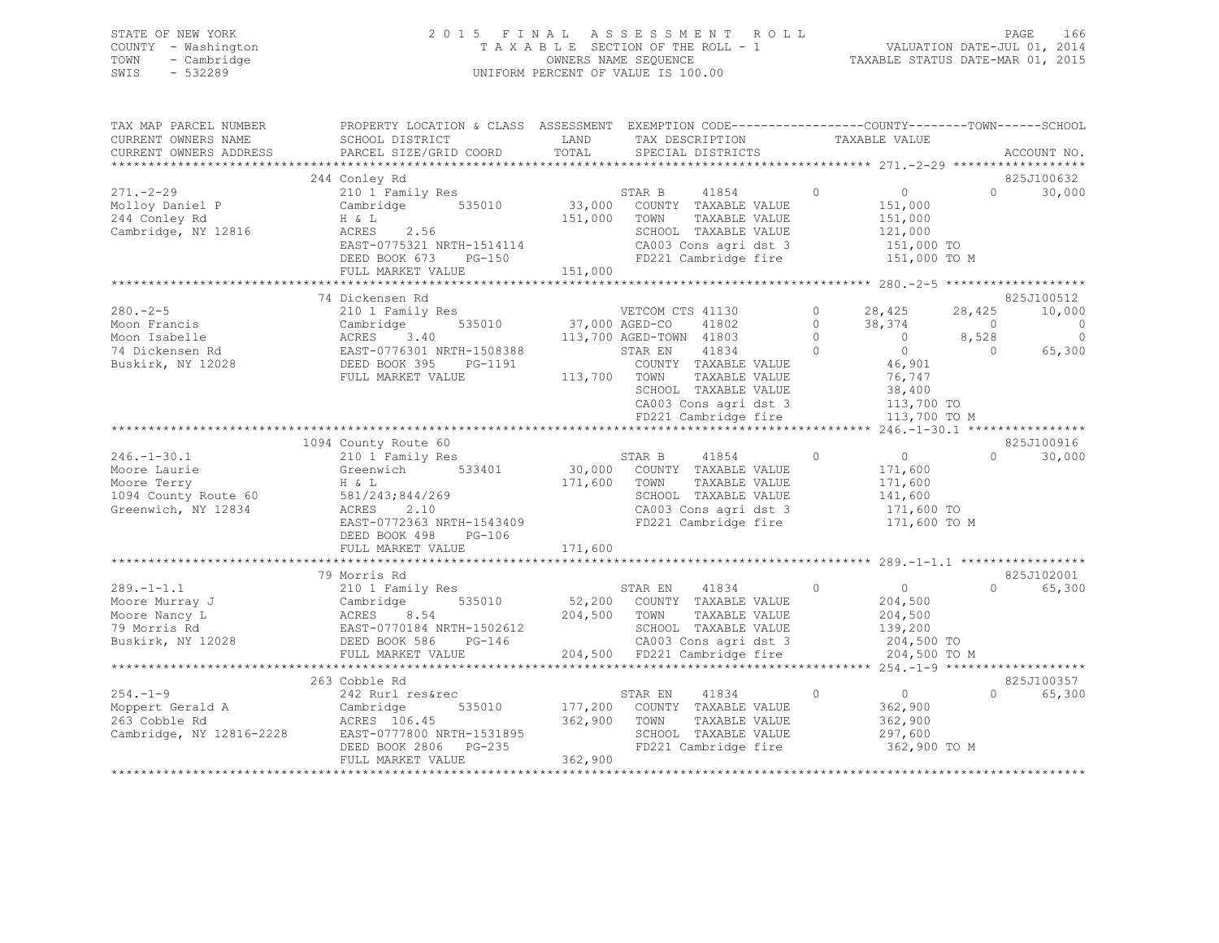### STATE OF NEW YORK 2 0 1 5 F I N A L A S S E S S M E N T R O L L PAGE 166 COUNTY - Washington T A X A B L E SECTION OF THE ROLL - 1 VALUATION DATE-JUL 01, 2014 TOWN - Cambridge OWNERS NAME SEQUENCE TAXABLE STATUS DATE-MAR 01, 2015 SWIS - 532289 UNIFORM PERCENT OF VALUE IS 100.00

TAX MAP PARCEL NUMBER PROPERTY LOCATION & CLASS ASSESSMENT EXEMPTION CODE------------------------------TOWN-------SCHOOL

| CURRENT OWNERS NAME      | SCHOOL DISTRICT            | LAND           | TAX DESCRIPTION                                      |                         | TAXABLE VALUE                          |            |               |
|--------------------------|----------------------------|----------------|------------------------------------------------------|-------------------------|----------------------------------------|------------|---------------|
| CURRENT OWNERS ADDRESS   | PARCEL SIZE/GRID COORD     | TOTAL          | SPECIAL DISTRICTS<br>******************************* |                         |                                        |            | ACCOUNT NO.   |
|                          |                            |                |                                                      |                         |                                        |            | 825J100632    |
| $271. - 2 - 29$          | 244 Conley Rd              |                | STAR B<br>41854                                      | $\circ$                 |                                        | $\Omega$   | 30,000        |
|                          | 210 1 Family Res           |                | 33,000 COUNTY TAXABLE VALUE                          |                         | $\begin{bmatrix} 0 \\ 1 \end{bmatrix}$ |            |               |
| Molloy Daniel P          | 535010<br>Cambridge        |                |                                                      |                         | 151,000                                |            |               |
| 244 Conley Rd            | H & L                      | 151,000        | TAXABLE VALUE<br>TOWN                                |                         | 151,000                                |            |               |
| Cambridge, NY 12816      | 2.56<br>ACRES              |                | SCHOOL TAXABLE VALUE                                 |                         | 121,000                                |            |               |
|                          | EAST-0775321 NRTH-1514114  |                | CA003 Cons agri dst 3                                |                         | 151,000 TO                             |            |               |
|                          | DEED BOOK 673<br>PG-150    |                | FD221 Cambridge fire                                 |                         | 151,000 TO M                           |            |               |
|                          | FULL MARKET VALUE          | 151,000        |                                                      |                         |                                        |            |               |
|                          | **********************     |                | *************************                            | ************** 280.-2-5 |                                        |            |               |
|                          | 74 Dickensen Rd            |                |                                                      |                         |                                        |            | 825J100512    |
| $280 - 2 - 5$            | 210 1 Family Res           |                | VETCOM CTS 41130                                     | $\circ$                 | 28,425                                 | 28,425     | 10,000        |
| Moon Francis             | 535010<br>Cambridge        | 37,000 AGED-CO | 41802                                                | $\Omega$                | 38,374                                 | $\bigcirc$ | $\mathcal{C}$ |
| Moon Isabelle            | 3.40<br>ACRES              |                | 113,700 AGED-TOWN 41803                              | $\Omega$                | $\overline{0}$                         | 8,528      |               |
| 74 Dickensen Rd          | EAST-0776301 NRTH-1508388  |                | STAR EN<br>41834                                     | $\circ$                 | $\circ$                                | $\Omega$   | 65,300        |
| Buskirk, NY 12028        | DEED BOOK 395<br>PG-1191   |                | COUNTY TAXABLE VALUE                                 |                         | 46,901                                 |            |               |
|                          | FULL MARKET VALUE          | 113,700 TOWN   | TAXABLE VALUE                                        |                         | 76,747                                 |            |               |
|                          |                            |                | SCHOOL TAXABLE VALUE                                 |                         | 38,400                                 |            |               |
|                          |                            |                | CA003 Cons agri dst 3                                |                         | 113,700 TO                             |            |               |
|                          |                            |                | FD221 Cambridge fire                                 |                         | 113,700 TO M                           |            |               |
|                          |                            |                |                                                      |                         | *** 246.-1-30.1 ***                    |            |               |
|                          | 1094 County Route 60       |                |                                                      |                         |                                        |            | 825J100916    |
| $246. - 1 - 30.1$        | 210 1 Family Res           |                | STAR B<br>41854                                      | $\circ$                 | $\circ$                                | $\Omega$   | 30,000        |
| Moore Laurie             | 533401<br>Greenwich        |                | 30,000 COUNTY TAXABLE VALUE                          |                         | 171,600                                |            |               |
| Moore Terry              | H & L                      | 171,600        | TOWN<br>TAXABLE VALUE                                |                         | 171,600                                |            |               |
| 1094 County Route 60     | 581/243;844/269            |                | SCHOOL TAXABLE VALUE                                 |                         | 141,600                                |            |               |
| Greenwich, NY 12834      | 2.10<br>ACRES              |                | CA003 Cons agri dst 3                                |                         | 171,600 TO                             |            |               |
|                          | EAST-0772363 NRTH-1543409  |                | FD221 Cambridge fire                                 |                         | 171,600 TO M                           |            |               |
|                          | DEED BOOK 498<br>$PG-106$  |                |                                                      |                         |                                        |            |               |
|                          | FULL MARKET VALUE          | 171,600        |                                                      |                         |                                        |            |               |
|                          |                            |                |                                                      |                         |                                        |            |               |
|                          | 79 Morris Rd               |                |                                                      |                         |                                        |            | 825J102001    |
| $289. -1 - 1.1$          |                            |                |                                                      | $\circ$                 |                                        | $\cap$     |               |
|                          | 210 1 Family Res           |                | STAR EN<br>41834                                     |                         | $\circ$                                |            | 65,300        |
| Moore Murray J           | 535010<br>Cambridge        |                | 52,200 COUNTY TAXABLE VALUE                          |                         | 204,500                                |            |               |
| Moore Nancy L            | 8.54<br>ACRES              | 204,500 TOWN   | TAXABLE VALUE                                        |                         | 204,500                                |            |               |
| 79 Morris Rd             | EAST-0770184 NRTH-1502612  |                | SCHOOL TAXABLE VALUE                                 |                         | 139,200                                |            |               |
| Buskirk, NY 12028        | DEED BOOK 586<br>PG-146    |                | CA003 Cons agri dst 3                                |                         | 204,500 TO                             |            |               |
|                          | FULL MARKET VALUE          |                | 204,500 FD221 Cambridge fire                         |                         | 204,500 TO M                           |            |               |
|                          |                            |                |                                                      |                         |                                        |            |               |
|                          | 263 Cobble Rd              |                |                                                      |                         |                                        |            | 825J100357    |
| $254. - 1 - 9$           | 242 Rurl res&rec           |                | 41834<br>STAR EN                                     | $\circ$                 | $\overline{0}$                         | $\Omega$   | 65,300        |
| Moppert Gerald A         | 535010<br>Cambridge        | 177,200        | COUNTY TAXABLE VALUE                                 |                         | 362,900                                |            |               |
| 263 Cobble Rd            | ACRES 106.45               | 362,900        | TAXABLE VALUE<br>TOWN                                |                         | 362,900                                |            |               |
| Cambridge, NY 12816-2228 | EAST-0777800 NRTH-1531895  |                | SCHOOL TAXABLE VALUE                                 |                         | 297,600                                |            |               |
|                          | DEED BOOK 2806<br>$PG-235$ |                | FD221 Cambridge fire                                 |                         | 362,900 TO M                           |            |               |
|                          | FULL MARKET VALUE          | 362,900        |                                                      |                         |                                        |            |               |
|                          |                            |                |                                                      |                         |                                        |            |               |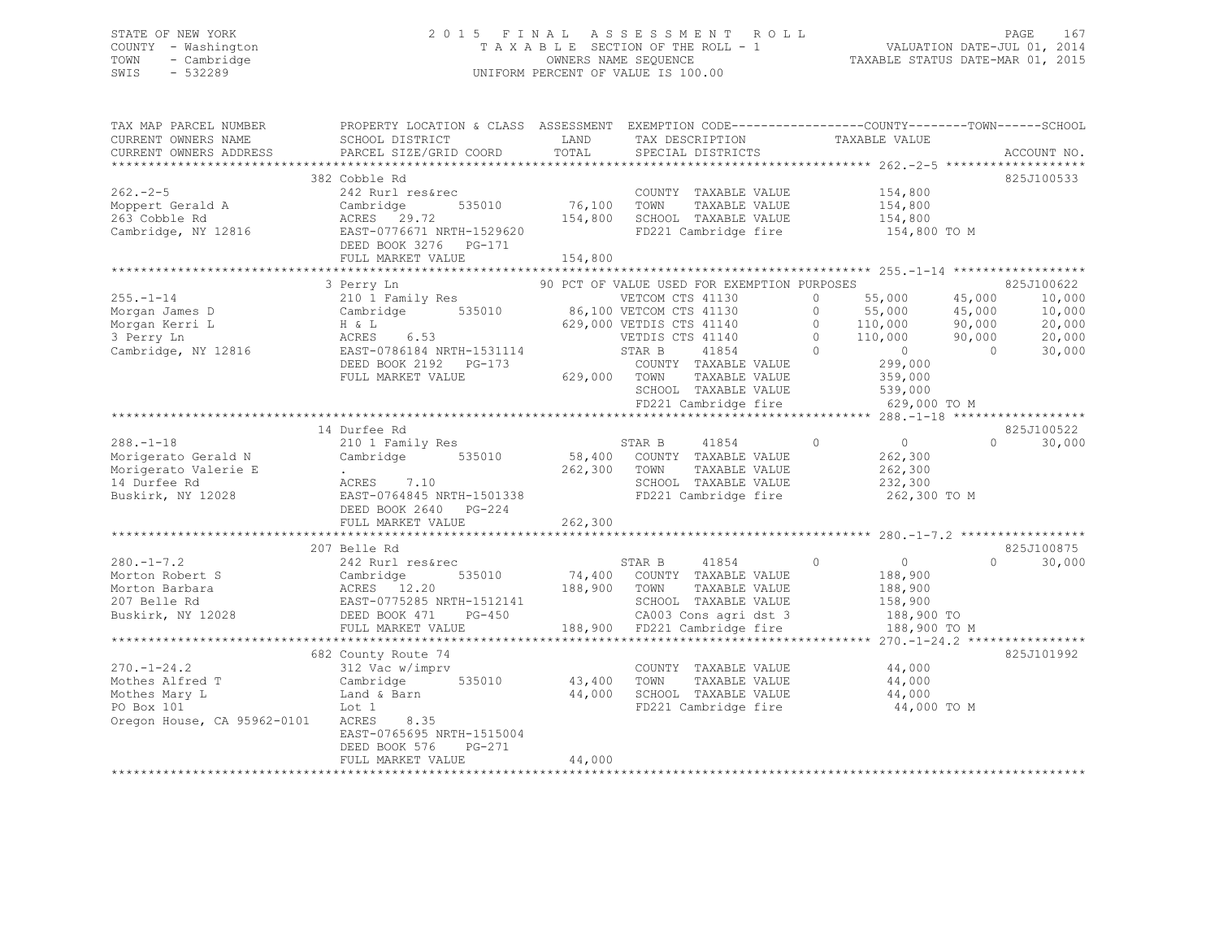# STATE OF NEW YORK<br>COUNTY - Washington 2015 FINAL ASSESSMENT ROLL 2011<br>2014–2015 2015 - TAXABLE SECTION OF THE ROLL - 1 COUNTY - Washington  $T A X A B L E$  SECTION OF THE ROLL - 1<br>TOWN - Cambridge  $\sim$  000NERS NAME SEQUENCE TOWN - Cambridge OWNERS NAME SEQUENCE TAXABLE STATUS DATE-MAR 01, 2015 UNIFORM PERCENT OF VALUE IS 100.00

| TAX MAP PARCEL NUMBER           PROPERTY LOCATION & CLASS  ASSESSMENT  EXEMPTION CODE-------------COUNTY-------TOWN------SCHOOL                                                                                                                              |                                              |               |                                             |                    |               |
|--------------------------------------------------------------------------------------------------------------------------------------------------------------------------------------------------------------------------------------------------------------|----------------------------------------------|---------------|---------------------------------------------|--------------------|---------------|
| CURRENT OWNERS NAME                                                                                                                                                                                                                                          | SCHOOL DISTRICT                              | LAND          | TAX DESCRIPTION                             | TAXABLE VALUE      |               |
| CURRENT OWNERS ADDRESS                                                                                                                                                                                                                                       | PARCEL SIZE/GRID COORD                       | TOTAL         | SPECIAL DISTRICTS                           |                    | ACCOUNT NO.   |
|                                                                                                                                                                                                                                                              |                                              |               |                                             |                    |               |
|                                                                                                                                                                                                                                                              | 382 Cobble Rd                                |               |                                             |                    | 825J100533    |
| 1972 - 2-5<br>Moppert Gerald A Cambridge 535010<br>263 Cobble Rd ACRES 29.72<br>263 Cobble Rd ACRES 29.72<br>263 Cambridge, NY 12816<br>263 DEED BOOK 3276 PG-171<br>FULL MARKET VALUE<br>FULL MARKET VALUE                                                  |                                              |               | COUNTY TAXABLE VALUE                        | 154,800            |               |
|                                                                                                                                                                                                                                                              |                                              | 535010 76,100 | TAXABLE VALUE<br>TOWN                       | 154,800            |               |
|                                                                                                                                                                                                                                                              |                                              | 154,800       | SCHOOL TAXABLE VALUE                        |                    |               |
|                                                                                                                                                                                                                                                              |                                              |               |                                             | 154,800            |               |
|                                                                                                                                                                                                                                                              |                                              |               | FD221 Cambridge fire 154,800 TO M           |                    |               |
|                                                                                                                                                                                                                                                              |                                              |               |                                             |                    |               |
|                                                                                                                                                                                                                                                              |                                              | 154,800       |                                             |                    |               |
|                                                                                                                                                                                                                                                              |                                              |               |                                             |                    |               |
|                                                                                                                                                                                                                                                              | 3 Perry Ln                                   |               | 90 PCT OF VALUE USED FOR EXEMPTION PURPOSES |                    | 825J100622    |
|                                                                                                                                                                                                                                                              |                                              |               |                                             |                    |               |
|                                                                                                                                                                                                                                                              |                                              |               |                                             |                    |               |
|                                                                                                                                                                                                                                                              |                                              |               |                                             |                    |               |
|                                                                                                                                                                                                                                                              |                                              |               |                                             |                    |               |
| 255.-1-14<br>Morgan James D<br>Morgan Kerri L (10 1 Family Res 535010)<br>Morgan Kerri L (1,000 10,000 10,000 10,000 10,000 10,000 10,000 10,000<br>Morgan Kerri L (1,000 H & L (29,000 VETDIS CTS 41140 0 110,000 90,000 20,000<br>3 Pe                     |                                              |               |                                             |                    |               |
|                                                                                                                                                                                                                                                              |                                              |               |                                             |                    |               |
|                                                                                                                                                                                                                                                              |                                              |               |                                             |                    |               |
|                                                                                                                                                                                                                                                              | FULL MARKET VALUE                            |               | 629,000 TOWN TAXABLE VALUE                  | 359,000<br>539,000 |               |
|                                                                                                                                                                                                                                                              |                                              |               | SCHOOL TAXABLE VALUE                        |                    |               |
|                                                                                                                                                                                                                                                              |                                              |               | FD221 Cambridge fire                        | 629,000 TO M       |               |
|                                                                                                                                                                                                                                                              |                                              |               |                                             |                    |               |
|                                                                                                                                                                                                                                                              | 14 Durfee Rd                                 |               |                                             |                    | 825J100522    |
| $288 - 1 - 18$                                                                                                                                                                                                                                               | 210 1 Family Res                             |               | STAR B 41854                                | $\overline{0}$ 0   | $0 \t 30,000$ |
|                                                                                                                                                                                                                                                              |                                              |               | 58,400 COUNTY TAXABLE VALUE                 | 262,300<br>262,300 |               |
|                                                                                                                                                                                                                                                              |                                              |               | 262,300 TOWN TAXABLE VALUE                  |                    |               |
|                                                                                                                                                                                                                                                              | .<br>ACRES 7.10<br>EAST-0764845 NRTH-1501338 |               | SCHOOL TAXABLE VALUE 232,300                |                    |               |
|                                                                                                                                                                                                                                                              |                                              |               | FD221 Cambridge fire                        | 262,300 TO M       |               |
|                                                                                                                                                                                                                                                              | DEED BOOK 2640 PG-224                        |               |                                             |                    |               |
|                                                                                                                                                                                                                                                              | FULL MARKET VALUE                            | 262,300       |                                             |                    |               |
|                                                                                                                                                                                                                                                              |                                              |               |                                             |                    |               |
|                                                                                                                                                                                                                                                              | 207 Belle Rd                                 |               |                                             |                    | 825J100875    |
|                                                                                                                                                                                                                                                              |                                              |               |                                             | $\overline{0}$     | $\Omega$      |
|                                                                                                                                                                                                                                                              |                                              |               | STAR B 41854 0                              |                    | 30,000        |
|                                                                                                                                                                                                                                                              |                                              |               | 74,400 COUNTY TAXABLE VALUE                 | 188,900            |               |
|                                                                                                                                                                                                                                                              |                                              | 188,900       | TOWN<br>TAXABLE VALUE                       | 188,900            |               |
|                                                                                                                                                                                                                                                              |                                              |               | SCHOOL TAXABLE VALUE                        | 158,900            |               |
| 280.-1-7.2<br>Morton Robert S<br>Morton Barbara<br>207 Belle Rd<br>207 Belle Rd<br>207 Belle Rd<br>207 Belle Rd<br>208 DEBID BOOK 471<br>207 Belle Rd<br>207 Belle Rd<br>207 Belle Rd<br>208 2008 471<br>2028 DEBID BOOK 471<br>PETIT MARKET VALUE           | KTH-1512141<br>PG-450<br>MUE                 |               | CA003 Cons agri dst 3 188,900 TO            |                    |               |
|                                                                                                                                                                                                                                                              |                                              |               | 188,900 FD221 Cambridge fire                | 188,900 TO M       |               |
|                                                                                                                                                                                                                                                              |                                              |               |                                             |                    |               |
|                                                                                                                                                                                                                                                              | 682 County Route 74                          |               |                                             |                    | 825J101992    |
|                                                                                                                                                                                                                                                              |                                              |               | COUNTY TAXABLE VALUE 44,000                 |                    |               |
|                                                                                                                                                                                                                                                              |                                              |               | 43,400 TOWN TAXABLE VALUE                   | 44,000             |               |
|                                                                                                                                                                                                                                                              |                                              | 44,000        | SCHOOL TAXABLE VALUE 44,000                 |                    |               |
| 2.0.-1-24.2<br>Mothes Alfred T<br>Mothes Mary L<br>Mothes Mary L<br>Po Box: 101<br>Po Box: 101<br>Mothes Mary L<br>Mothes Mary L<br>Mothes Mary L<br>Mothes Mary L<br>Mothes Mary L<br>Mothes Mary L<br>Mothes Mary L<br>Mothes Mary L<br>Mothes Mary L<br>M |                                              |               | FD221 Cambridge fire                        | 44,000 TO M        |               |
| Oregon House, CA 95962-0101 ACRES 8.35                                                                                                                                                                                                                       |                                              |               |                                             |                    |               |
|                                                                                                                                                                                                                                                              |                                              |               |                                             |                    |               |
|                                                                                                                                                                                                                                                              | EAST-0765695 NRTH-1515004                    |               |                                             |                    |               |
|                                                                                                                                                                                                                                                              | DEED BOOK 576<br>PG-271                      |               |                                             |                    |               |
|                                                                                                                                                                                                                                                              | FULL MARKET VALUE                            | 44,000        |                                             |                    |               |
|                                                                                                                                                                                                                                                              |                                              |               |                                             |                    |               |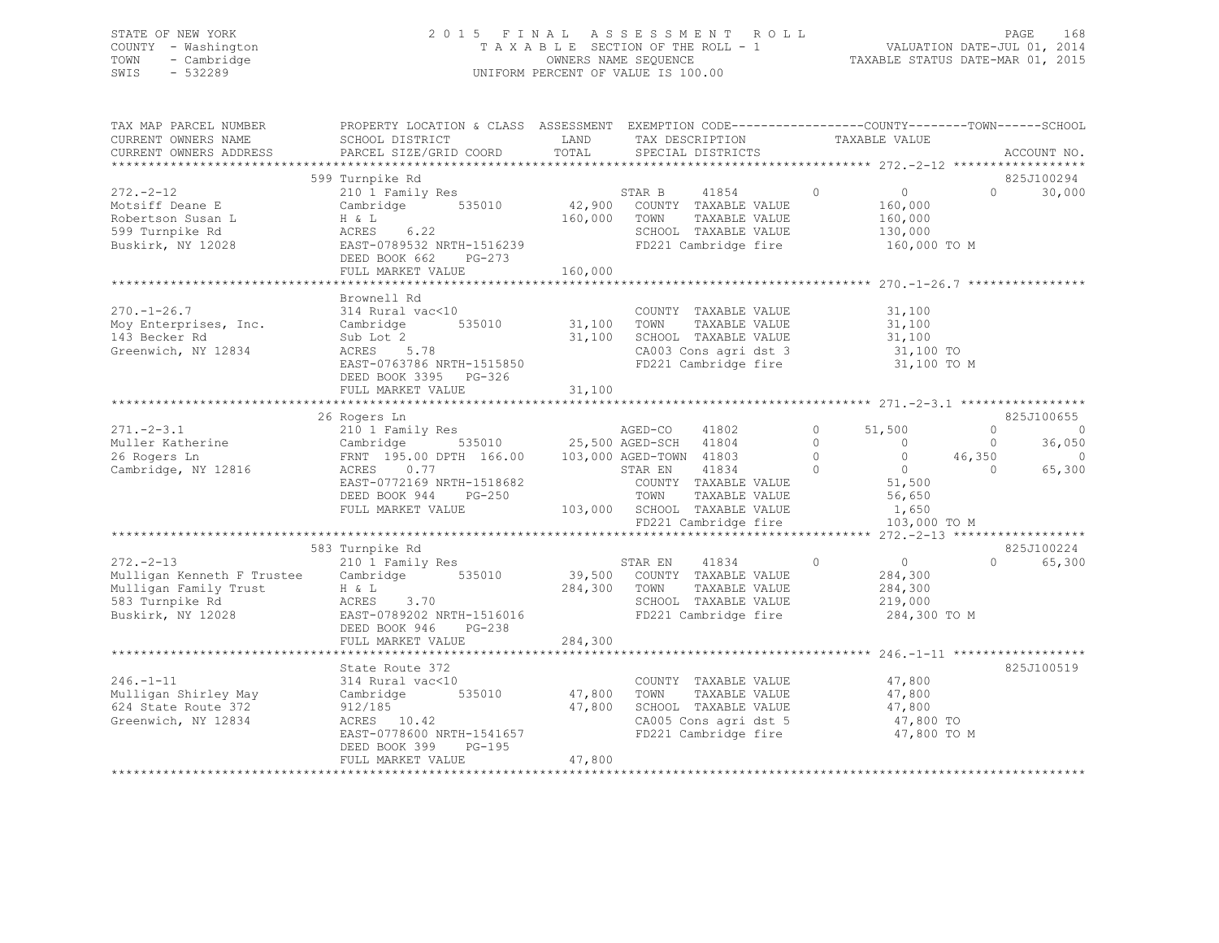## STATE OF NEW YORK 2 0 1 5 F I N A L A S S E S S M E N T R O L L PAGE 168 COUNTY - Washington T A X A B L E SECTION OF THE ROLL - 1 VALUATION DATE-JUL 01, 2014 TOWN - Cambridge OWNERS NAME SEQUENCE TAXABLE STATUS DATE-MAR 01, 2015 SWIS - 532289 UNIFORM PERCENT OF VALUE IS 100.00

| TAX MAP PARCEL NUMBER<br>CURRENT OWNERS NAME                                                                                   | PROPERTY LOCATION & CLASS ASSESSMENT EXEMPTION CODE----------------COUNTY-------TOWN------SCHOOL<br>SCHOOL DISTRICT                                                                                                                                    | LAND                                               | TAX DESCRIPTION                                                                                                                                           |                                                    | TAXABLE VALUE                                                                                                |                                |                                                      |
|--------------------------------------------------------------------------------------------------------------------------------|--------------------------------------------------------------------------------------------------------------------------------------------------------------------------------------------------------------------------------------------------------|----------------------------------------------------|-----------------------------------------------------------------------------------------------------------------------------------------------------------|----------------------------------------------------|--------------------------------------------------------------------------------------------------------------|--------------------------------|------------------------------------------------------|
| CURRENT OWNERS ADDRESS                                                                                                         | PARCEL SIZE/GRID COORD                                                                                                                                                                                                                                 | TOTAL                                              | SPECIAL DISTRICTS                                                                                                                                         |                                                    |                                                                                                              |                                | ACCOUNT NO.                                          |
|                                                                                                                                | 599 Turnpike Rd                                                                                                                                                                                                                                        |                                                    |                                                                                                                                                           |                                                    |                                                                                                              |                                | 825J100294                                           |
| $272 - 2 - 12$<br>Motsiff Deane E<br>Robertson Susan L<br>599 Turnpike Rd<br>Buskirk, NY 12028                                 | 210 1 Family Res<br>Cambridge 535010<br>H & L<br>ACRES 6.22<br>EAST-0789532 NRTH-1516239<br>DEED BOOK 662 PG-273                                                                                                                                       | 160,000 TOWN                                       | 41854 0<br>STAR B<br>42,900 COUNTY TAXABLE VALUE<br>TAXABLE VALUE<br>SCHOOL TAXABLE VALUE<br>FD221 Cambridge fire                                         |                                                    | $\overline{0}$<br>160,000<br>160,000<br>130,000<br>160,000 TO M                                              | $0 \qquad \qquad$              | 30,000                                               |
|                                                                                                                                | FULL MARKET VALUE                                                                                                                                                                                                                                      | 160,000                                            |                                                                                                                                                           |                                                    |                                                                                                              |                                |                                                      |
| $270. - 1 - 26.7$<br>Moy Enterprises, Inc.<br>143 Becker Rd<br>Greenwich, NY 12834                                             | Brownell Rd<br>314 Rural vac<10<br>$\begin{tabular}{cc} vac<10 & & \text{COUNT} \\ & 535010 & & 31,100 & \text{TOWN} \end{tabular}$<br>Cambridge<br>Sub Lot 2<br>ACRES 5.78<br>EAST-0763786 NRTH-1515850<br>DEED BOOK 3395 PG-326<br>FULL MARKET VALUE | 31,100<br>31,100                                   | COUNTY TAXABLE VALUE<br>TAXABLE VALUE<br>SCHOOL TAXABLE VALUE<br>CA003 Cons agri dst 3<br>FD221 Cambridge fire                                            |                                                    | 31,100<br>31,100<br>31,100<br>$31,100$ TO<br>$31,100$ TO<br>31,100 TO M                                      |                                |                                                      |
|                                                                                                                                |                                                                                                                                                                                                                                                        |                                                    |                                                                                                                                                           |                                                    |                                                                                                              |                                |                                                      |
| $271 - 2 - 3.1$<br>Muller Katherine<br>26 Rogers Ln<br>26 Rogers Ln<br>Cambridge, NY 12816                                     | 26 Rogers Ln<br>210 1 Family Res<br>Cambridge 535010 25,500 AGED-SCH 41804<br>FRNT 195.00 DPTH 166.00 103,000 AGED-TOWN 41803<br>ACRES 0.77<br>EAST-0772169 NRTH-1518682<br>DEED BOOK 944 PG-250<br>FULL MARKET VALUE                                  |                                                    | AGED-CO<br>41802<br>STAR EN<br>41834<br>$\sim$ 0<br>COUNTY TAXABLE VALUE<br>TOWN<br>TAXABLE VALUE<br>103,000 SCHOOL TAXABLE VALUE<br>FD221 Cambridge fire | $\overline{0}$<br>$\begin{matrix}0\\0\end{matrix}$ | 51,500<br>$\overline{0}$<br>0 $46,350$<br>$\overline{0}$<br>$0$<br>51,500<br>56,650<br>1,650<br>103,000 TO M | $\circ$<br>$\circ$<br>$\Omega$ | 825J100655<br>$\circ$<br>36,050<br>$\circ$<br>65,300 |
|                                                                                                                                |                                                                                                                                                                                                                                                        |                                                    |                                                                                                                                                           |                                                    |                                                                                                              |                                |                                                      |
| $272 - 2 - 13$<br>Mulligan Kenneth F Trustee Cambridge 535010<br>Mulligan Family Trust<br>583 Turnpike Rd<br>Buskirk, NY 12028 | 583 Turnpike Rd<br>210 1 Family Res<br>$H \& L$<br>ACRES 3.70<br>EAST-0789202 NRTH-1516016<br>PG-238<br>DEED BOOK 946<br>FULL MARKET VALUE                                                                                                             | 284,300                                            | 41834<br>STAR EN<br>39,500 COUNTY TAXABLE VALUE<br>284,300 TOWN TAXABLE VALUE<br>SCHOOL TAXABLE VALUE<br>FD221 Cambridge fire                             | $\circ$                                            | $\overline{0}$<br>284,300<br>284,300<br>219,000<br>284,300 TO M                                              | $\Omega$                       | 825J100224<br>65,300                                 |
|                                                                                                                                |                                                                                                                                                                                                                                                        |                                                    |                                                                                                                                                           |                                                    |                                                                                                              |                                |                                                      |
| $246. - 1 - 11$<br>Mulligan Shirley May<br>624 State Route 372<br>Greenwich, NY 12834                                          | State Route 372<br>314 Rural vac<10<br>Cambridge<br>912/185<br>ACRES 10.42<br>EAST-0778600 NRTH-1541657<br>DEED BOOK 399 PG-195<br>FULL MARKET VALUE                                                                                                   | 0 COUNTY<br>535010 47,800 TOWN<br>47,800<br>47,800 | COUNTY TAXABLE VALUE<br>TAXABLE VALUE<br>SCHOOL TAXABLE VALUE<br>CA005 Cons agri dst 5<br>FD221 Cambridge fire                                            |                                                    | 47,800<br>47,800<br>47,800<br>47,800 TO<br>47,800 TO M                                                       |                                | 825J100519                                           |
|                                                                                                                                |                                                                                                                                                                                                                                                        |                                                    |                                                                                                                                                           |                                                    |                                                                                                              |                                |                                                      |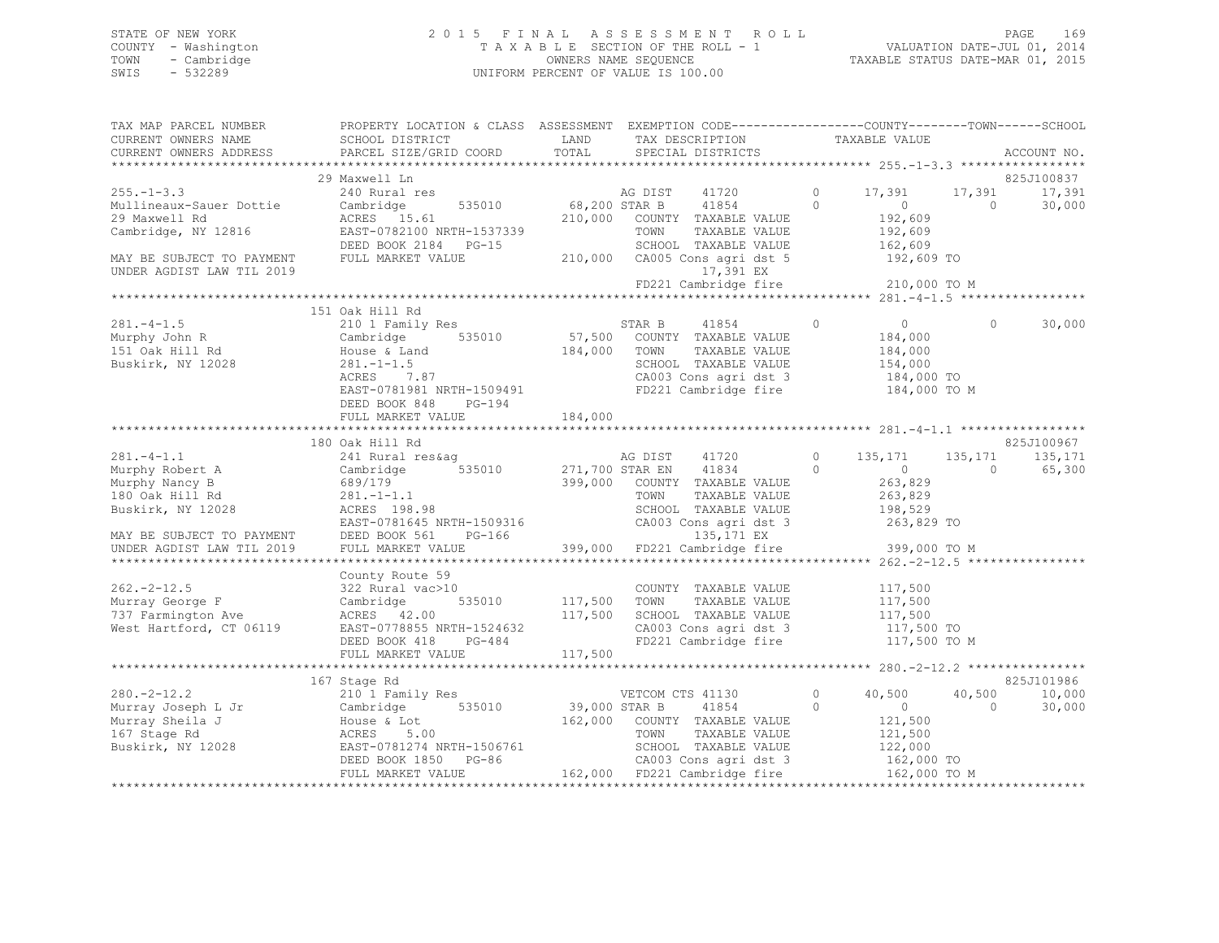## STATE OF NEW YORK 2 0 1 5 F I N A L A S S E S S M E N T R O L L PAGE 169 COUNTY - Washington T A X A B L E SECTION OF THE ROLL - 1 VALUATION DATE-JUL 01, 2014 TOWN - Cambridge OWNERS NAME SEQUENCE TAXABLE STATUS DATE-MAR 01, 2015 SWIS - 532289 UNIFORM PERCENT OF VALUE IS 100.00

| TAX MAP PARCEL NUMBER                         | PROPERTY LOCATION & CLASS ASSESSMENT EXEMPTION CODE---------------COUNTY-------TOWN------SCHOOL                                                                                                                                                                                                                                                                                                             |                                                                                                                        |                                                                                                                                                                                                                                                                                                                                                                                                                                                                                 |                                                    |                |             |
|-----------------------------------------------|-------------------------------------------------------------------------------------------------------------------------------------------------------------------------------------------------------------------------------------------------------------------------------------------------------------------------------------------------------------------------------------------------------------|------------------------------------------------------------------------------------------------------------------------|---------------------------------------------------------------------------------------------------------------------------------------------------------------------------------------------------------------------------------------------------------------------------------------------------------------------------------------------------------------------------------------------------------------------------------------------------------------------------------|----------------------------------------------------|----------------|-------------|
| CURRENT OWNERS NAME                           | SCHOOL DISTRICT                                                                                                                                                                                                                                                                                                                                                                                             | <b>EXAMPLE SERVICE SERVICE SERVICE SERVICE SERVICE SERVICE SERVICE SERVICE SERVICE SERVICE SERVICE SERVICE SERVICE</b> | $\begin{tabular}{ll} \multicolumn{2}{c}{\begin{tabular}{l} \multicolumn{2}{c}{\textbf{1}}\\ \multicolumn{2}{c}{\textbf{1}}\\ \multicolumn{2}{c}{\textbf{1}}\\ \multicolumn{2}{c}{\textbf{3}}\\ \multicolumn{2}{c}{\textbf{4}}\\ \multicolumn{2}{c}{\textbf{5}}\\ \multicolumn{2}{c}{\textbf{5}}\\ \multicolumn{2}{c}{\textbf{6}}\\ \multicolumn{2}{c}{\textbf{5}}\\ \multicolumn{2}{c}{\textbf{6}}\\ \multicolumn{2}{c}{\textbf{6}}\\ \multicolumn{2}{c}{\textbf{6}}\\ \multic$ |                                                    |                |             |
| CURRENT OWNERS ADDRESS PARCEL SIZE/GRID COORD |                                                                                                                                                                                                                                                                                                                                                                                                             | TOTAL                                                                                                                  |                                                                                                                                                                                                                                                                                                                                                                                                                                                                                 |                                                    |                | ACCOUNT NO. |
|                                               |                                                                                                                                                                                                                                                                                                                                                                                                             |                                                                                                                        |                                                                                                                                                                                                                                                                                                                                                                                                                                                                                 |                                                    |                |             |
|                                               | 29 Maxwell Ln                                                                                                                                                                                                                                                                                                                                                                                               |                                                                                                                        |                                                                                                                                                                                                                                                                                                                                                                                                                                                                                 |                                                    |                | 825J100837  |
| $255. - 1 - 3.3$                              | 240 Rural res                                                                                                                                                                                                                                                                                                                                                                                               |                                                                                                                        | AG DIST 41720                                                                                                                                                                                                                                                                                                                                                                                                                                                                   | 0 17,391 17,391 17,391                             |                |             |
|                                               |                                                                                                                                                                                                                                                                                                                                                                                                             |                                                                                                                        | 535010 68,200 STAR B 41854 0                                                                                                                                                                                                                                                                                                                                                                                                                                                    |                                                    | $\overline{0}$ | 30,000      |
|                                               |                                                                                                                                                                                                                                                                                                                                                                                                             |                                                                                                                        | 210,000 COUNTY TAXABLE VALUE                                                                                                                                                                                                                                                                                                                                                                                                                                                    | $0$<br>192,609                                     |                |             |
|                                               |                                                                                                                                                                                                                                                                                                                                                                                                             |                                                                                                                        | TOWN<br>TAXABLE VALUE                                                                                                                                                                                                                                                                                                                                                                                                                                                           |                                                    |                |             |
|                                               | Cambridge, NY 12816<br>Cambridge, NY 12816<br>DEED BOOK 2184 PG-15                                                                                                                                                                                                                                                                                                                                          |                                                                                                                        |                                                                                                                                                                                                                                                                                                                                                                                                                                                                                 | 192,609<br>162,609                                 |                |             |
| MAY BE SUBJECT TO PAYMENT FULL MARKET VALUE   |                                                                                                                                                                                                                                                                                                                                                                                                             |                                                                                                                        |                                                                                                                                                                                                                                                                                                                                                                                                                                                                                 |                                                    |                |             |
| UNDER AGDIST LAW TIL 2019                     |                                                                                                                                                                                                                                                                                                                                                                                                             |                                                                                                                        | 17,391 EX                                                                                                                                                                                                                                                                                                                                                                                                                                                                       |                                                    |                |             |
|                                               |                                                                                                                                                                                                                                                                                                                                                                                                             |                                                                                                                        | FD221 Cambridge fire 210,000 TO M                                                                                                                                                                                                                                                                                                                                                                                                                                               |                                                    |                |             |
|                                               |                                                                                                                                                                                                                                                                                                                                                                                                             |                                                                                                                        |                                                                                                                                                                                                                                                                                                                                                                                                                                                                                 |                                                    |                |             |
|                                               | 151 Oak Hill Rd                                                                                                                                                                                                                                                                                                                                                                                             |                                                                                                                        |                                                                                                                                                                                                                                                                                                                                                                                                                                                                                 |                                                    |                |             |
| $281 - 4 - 1.5$                               | 210 1 Family Res STAR B                                                                                                                                                                                                                                                                                                                                                                                     |                                                                                                                        | 41854                                                                                                                                                                                                                                                                                                                                                                                                                                                                           | $\begin{array}{ccc} & & 0 & \quad & 0 \end{array}$ | $\circ$        | 30,000      |
|                                               |                                                                                                                                                                                                                                                                                                                                                                                                             |                                                                                                                        |                                                                                                                                                                                                                                                                                                                                                                                                                                                                                 |                                                    |                |             |
|                                               |                                                                                                                                                                                                                                                                                                                                                                                                             |                                                                                                                        | 57,500 COUNTY TAXABLE VALUE 184,000<br>184,000 TOWN TAXABLE VALUE 184,000                                                                                                                                                                                                                                                                                                                                                                                                       |                                                    |                |             |
|                                               |                                                                                                                                                                                                                                                                                                                                                                                                             |                                                                                                                        |                                                                                                                                                                                                                                                                                                                                                                                                                                                                                 |                                                    |                |             |
|                                               | 281.-1-1.5<br>ACRES 7.87                                                                                                                                                                                                                                                                                                                                                                                    |                                                                                                                        | SCHOOL TAXABLE VALUE 154,000<br>CA003 Cons agri dst 3 184,000 TO                                                                                                                                                                                                                                                                                                                                                                                                                |                                                    |                |             |
|                                               |                                                                                                                                                                                                                                                                                                                                                                                                             |                                                                                                                        |                                                                                                                                                                                                                                                                                                                                                                                                                                                                                 |                                                    |                |             |
|                                               | EAST-0781981 NRTH-1509491 FD221 Cambridge fire $184,000$ TO M<br>REED BOOK 840 RO 104                                                                                                                                                                                                                                                                                                                       |                                                                                                                        |                                                                                                                                                                                                                                                                                                                                                                                                                                                                                 |                                                    |                |             |
|                                               | DEED BOOK 848 PG-194                                                                                                                                                                                                                                                                                                                                                                                        |                                                                                                                        |                                                                                                                                                                                                                                                                                                                                                                                                                                                                                 |                                                    |                |             |
|                                               |                                                                                                                                                                                                                                                                                                                                                                                                             |                                                                                                                        |                                                                                                                                                                                                                                                                                                                                                                                                                                                                                 |                                                    |                |             |
|                                               |                                                                                                                                                                                                                                                                                                                                                                                                             |                                                                                                                        |                                                                                                                                                                                                                                                                                                                                                                                                                                                                                 |                                                    |                |             |
|                                               | 180 Oak Hill Rd                                                                                                                                                                                                                                                                                                                                                                                             |                                                                                                                        |                                                                                                                                                                                                                                                                                                                                                                                                                                                                                 |                                                    |                | 825J100967  |
|                                               |                                                                                                                                                                                                                                                                                                                                                                                                             |                                                                                                                        |                                                                                                                                                                                                                                                                                                                                                                                                                                                                                 |                                                    | 135,171        | 135,171     |
|                                               |                                                                                                                                                                                                                                                                                                                                                                                                             |                                                                                                                        |                                                                                                                                                                                                                                                                                                                                                                                                                                                                                 |                                                    | $\overline{0}$ | 65,300      |
|                                               |                                                                                                                                                                                                                                                                                                                                                                                                             |                                                                                                                        |                                                                                                                                                                                                                                                                                                                                                                                                                                                                                 |                                                    |                |             |
|                                               |                                                                                                                                                                                                                                                                                                                                                                                                             |                                                                                                                        |                                                                                                                                                                                                                                                                                                                                                                                                                                                                                 |                                                    |                |             |
|                                               |                                                                                                                                                                                                                                                                                                                                                                                                             |                                                                                                                        |                                                                                                                                                                                                                                                                                                                                                                                                                                                                                 |                                                    |                |             |
|                                               |                                                                                                                                                                                                                                                                                                                                                                                                             |                                                                                                                        |                                                                                                                                                                                                                                                                                                                                                                                                                                                                                 |                                                    |                |             |
|                                               |                                                                                                                                                                                                                                                                                                                                                                                                             |                                                                                                                        |                                                                                                                                                                                                                                                                                                                                                                                                                                                                                 |                                                    |                |             |
|                                               |                                                                                                                                                                                                                                                                                                                                                                                                             |                                                                                                                        |                                                                                                                                                                                                                                                                                                                                                                                                                                                                                 |                                                    |                |             |
|                                               |                                                                                                                                                                                                                                                                                                                                                                                                             |                                                                                                                        |                                                                                                                                                                                                                                                                                                                                                                                                                                                                                 |                                                    |                |             |
|                                               | County Route 59                                                                                                                                                                                                                                                                                                                                                                                             |                                                                                                                        |                                                                                                                                                                                                                                                                                                                                                                                                                                                                                 |                                                    |                |             |
|                                               |                                                                                                                                                                                                                                                                                                                                                                                                             |                                                                                                                        |                                                                                                                                                                                                                                                                                                                                                                                                                                                                                 |                                                    |                |             |
|                                               |                                                                                                                                                                                                                                                                                                                                                                                                             |                                                                                                                        |                                                                                                                                                                                                                                                                                                                                                                                                                                                                                 |                                                    |                |             |
|                                               |                                                                                                                                                                                                                                                                                                                                                                                                             |                                                                                                                        |                                                                                                                                                                                                                                                                                                                                                                                                                                                                                 |                                                    |                |             |
|                                               | County Route 59<br>Murray George F<br>Murray George F<br>232 Rural vac>10<br>232 Rural vac>10<br>232 Rural vac>10<br>232 Rural vac>10<br>232 Rural vac>10<br>232 Rural vac>10<br>232 Rural vac>10<br>235010<br>217,500 TOWN TAXABLE VALUE<br>217,500 T                                                                                                                                                      |                                                                                                                        |                                                                                                                                                                                                                                                                                                                                                                                                                                                                                 |                                                    |                |             |
|                                               |                                                                                                                                                                                                                                                                                                                                                                                                             |                                                                                                                        | CA003 Cons agri dst 3 117,500 TO<br>FD221 Cambridge fire 117,500 TO M                                                                                                                                                                                                                                                                                                                                                                                                           |                                                    |                |             |
|                                               |                                                                                                                                                                                                                                                                                                                                                                                                             |                                                                                                                        |                                                                                                                                                                                                                                                                                                                                                                                                                                                                                 |                                                    |                |             |
|                                               |                                                                                                                                                                                                                                                                                                                                                                                                             |                                                                                                                        |                                                                                                                                                                                                                                                                                                                                                                                                                                                                                 |                                                    |                |             |
|                                               |                                                                                                                                                                                                                                                                                                                                                                                                             |                                                                                                                        |                                                                                                                                                                                                                                                                                                                                                                                                                                                                                 |                                                    |                |             |
|                                               | 167 Stage Rd                                                                                                                                                                                                                                                                                                                                                                                                |                                                                                                                        |                                                                                                                                                                                                                                                                                                                                                                                                                                                                                 |                                                    |                | 825J101986  |
|                                               |                                                                                                                                                                                                                                                                                                                                                                                                             |                                                                                                                        |                                                                                                                                                                                                                                                                                                                                                                                                                                                                                 |                                                    | 40,500         | 10,000      |
|                                               |                                                                                                                                                                                                                                                                                                                                                                                                             |                                                                                                                        |                                                                                                                                                                                                                                                                                                                                                                                                                                                                                 |                                                    | $\bigcirc$     | 30,000      |
|                                               |                                                                                                                                                                                                                                                                                                                                                                                                             |                                                                                                                        |                                                                                                                                                                                                                                                                                                                                                                                                                                                                                 |                                                    |                |             |
|                                               |                                                                                                                                                                                                                                                                                                                                                                                                             |                                                                                                                        |                                                                                                                                                                                                                                                                                                                                                                                                                                                                                 |                                                    |                |             |
|                                               |                                                                                                                                                                                                                                                                                                                                                                                                             |                                                                                                                        |                                                                                                                                                                                                                                                                                                                                                                                                                                                                                 |                                                    |                |             |
|                                               | $\begin{tabular}{lllllllllllll} 280.-2-12.2 & 1075\text{ degree KU} & 1080\text{ erg} & 2101\text{ T} & 2101\text{ erg} & 2101\text{ erg} & 2101\text{ erg} \\ \text{Murray Joseph L Jr} & 2101\text{ Tamily Res} & 535010 & 39,000\text{ STR B} & 41854 & 0 & 0 \\ \text{Murray Sheila J} & \text{House & Lot} & 162,000\text{ COUNTY TAXABLE VALUE} & 121,500 \\ \text{167 Stage Rd} & \text{ACRES} & 5.$ |                                                                                                                        |                                                                                                                                                                                                                                                                                                                                                                                                                                                                                 |                                                    |                |             |
|                                               |                                                                                                                                                                                                                                                                                                                                                                                                             |                                                                                                                        |                                                                                                                                                                                                                                                                                                                                                                                                                                                                                 |                                                    |                |             |
|                                               |                                                                                                                                                                                                                                                                                                                                                                                                             |                                                                                                                        |                                                                                                                                                                                                                                                                                                                                                                                                                                                                                 |                                                    |                |             |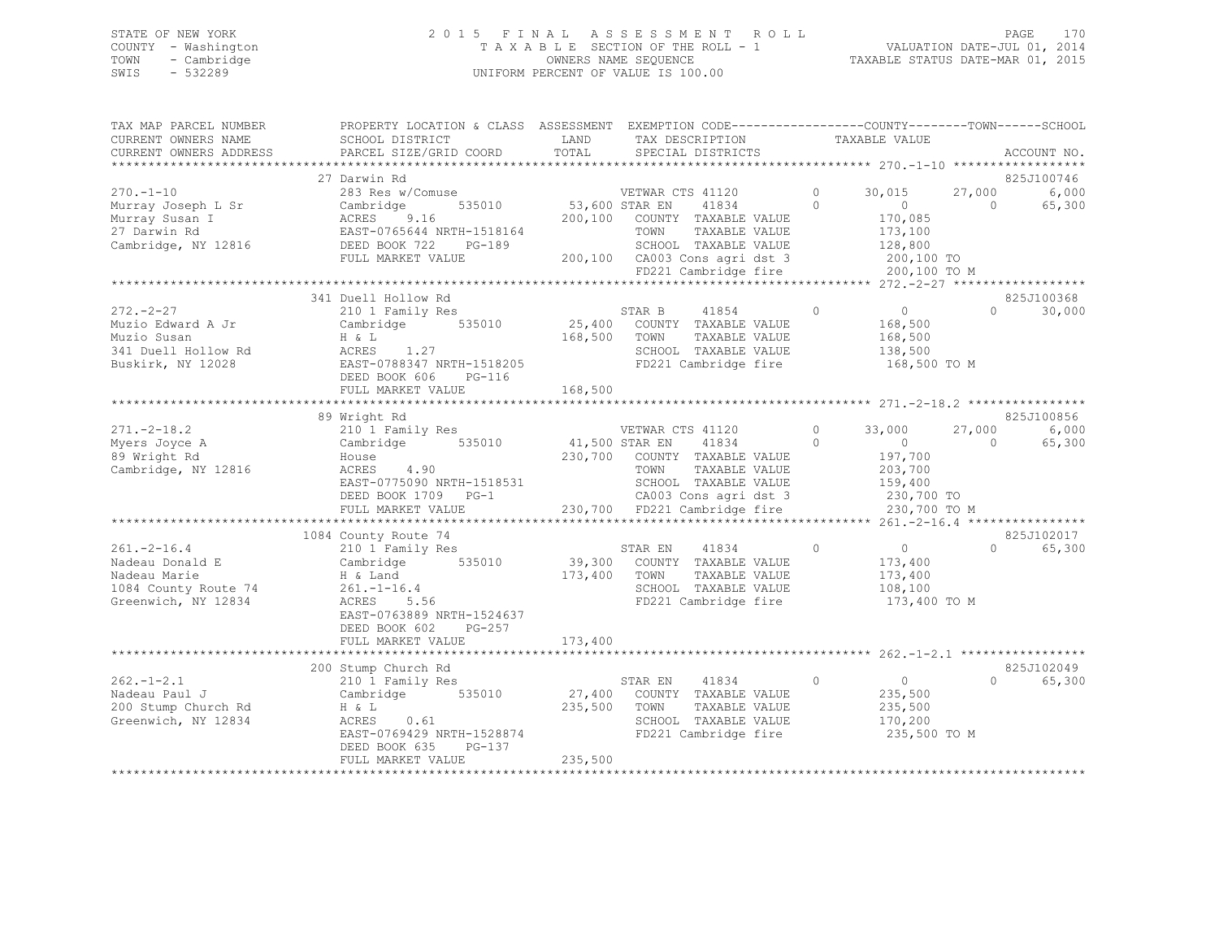## STATE OF NEW YORK 2 0 1 5 F I N A L A S S E S S M E N T R O L L PAGE 170 COUNTY - Washington T A X A B L E SECTION OF THE ROLL - 1 VALUATION DATE-JUL 01, 2014 TOWN - Cambridge OWNERS NAME SEQUENCE TAXABLE STATUS DATE-MAR 01, 2015 SWIS - 532289 UNIFORM PERCENT OF VALUE IS 100.00

| TAX MAP PARCEL NUMBER<br>CURRENT OWNERS NAME               | PROPERTY LOCATION & CLASS ASSESSMENT EXEMPTION CODE---------------COUNTY-------TOWN-----SCHOOL<br>SCHOOL DISTRICT | LAND           | TAX DESCRIPTION                                                               |            | TAXABLE VALUE      |            |              |
|------------------------------------------------------------|-------------------------------------------------------------------------------------------------------------------|----------------|-------------------------------------------------------------------------------|------------|--------------------|------------|--------------|
| CURRENT OWNERS ADDRESS                                     | PARCEL SIZE/GRID COORD                                                                                            | TOTAL          | SPECIAL DISTRICTS                                                             |            |                    |            | ACCOUNT NO.  |
|                                                            |                                                                                                                   |                |                                                                               |            |                    |            | *****        |
|                                                            | 27 Darwin Rd                                                                                                      |                |                                                                               |            |                    |            | 825J100746   |
| $270. -1 - 10$                                             | 283 Res w/Comuse                                                                                                  |                | VETWAR CTS 41120<br>$\bigcirc$                                                |            | 30,015             |            | 27,000 6,000 |
| Murray Joseph L Sr                                         | 535010<br>Cambridge                                                                                               | 53,600 STAR EN | 41834                                                                         | $\bigcirc$ | $\overline{0}$     | $\bigcirc$ | 65,300       |
| Murray Susan I                                             | ACRES<br>9.16                                                                                                     |                | 200,100 COUNTY TAXABLE VALUE                                                  |            | 170,085            |            |              |
| 27 Darwin Rd                                               | EAST-0765644 NRTH-1518164<br>NKTH-1518164<br>PG-189                                                               |                | TOWN<br>TAXABLE VALUE                                                         |            | 173,100            |            |              |
| Cambridge, NY 12816                                        | DEED BOOK 722                                                                                                     |                | SCHOOL TAXABLE VALUE                                                          |            | 128,800            |            |              |
|                                                            | FULL MARKET VALUE                                                                                                 |                | 200,100 CA003 Cons agri dst 3 200,100 TO<br>FD221 Cambridge fire 200,100 TO M |            |                    |            |              |
|                                                            |                                                                                                                   |                |                                                                               |            |                    |            |              |
|                                                            |                                                                                                                   |                |                                                                               |            |                    |            |              |
| $272 - 2 - 27$                                             | 341 Duell Hollow Rd                                                                                               |                |                                                                               | $\circ$    | $\overline{0}$     | $\Omega$   | 825J100368   |
|                                                            | 210 1 Family Res<br>Cambridge 535010                                                                              |                | STAR B 41854<br>25,400 COUNTY TAXABLE VALUE                                   |            | 168,500            |            | 30,000       |
| Muzio Edward A Jr<br>Muzio Susan                           |                                                                                                                   |                | 168,500 TOWN<br>TAXABLE VALUE                                                 |            | 168,500            |            |              |
| 341 Duell Hollow Rd                                        | $ACRES$ 1.27                                                                                                      |                | SCHOOL TAXABLE VALUE                                                          |            | 138,500            |            |              |
| Buskirk, NY 12028                                          | ACRES 1.27<br>EAST-0788347 NRTH-1518205<br>PERP DOCU 406 DE 116                                                   |                | FD221 Cambridge fire                                                          |            | 168,500 TO M       |            |              |
|                                                            | DEED BOOK 606 PG-116                                                                                              |                |                                                                               |            |                    |            |              |
|                                                            |                                                                                                                   |                |                                                                               |            |                    |            |              |
|                                                            |                                                                                                                   |                |                                                                               |            |                    |            |              |
|                                                            | 89 Wright Rd                                                                                                      |                |                                                                               |            |                    |            | 825J100856   |
| $271 - 2 - 18.2$                                           |                                                                                                                   |                | VETWAR CTS 41120                                                              | $\circ$    | 33,000             | 27,000     | 6,000        |
|                                                            | 210 <sup>1</sup> Family Res<br>Cambridge 535010<br>House                                                          |                | 41,500 STAR EN 41834 0                                                        |            | $\sim$ 0           | $\sim$ 0   | 65,300       |
| Myers Joyce A<br>89 Wright Rd<br>89 Wright Rd              |                                                                                                                   |                | 230,700 COUNTY TAXABLE VALUE                                                  |            | 197,700            |            |              |
| Cambridge, NY 12816                                        | ACRES 4.90                                                                                                        |                | TOWN<br>TAXABLE VALUE                                                         |            | 203,700            |            |              |
|                                                            | EAST-0775090 NRTH-1518531                                                                                         |                | SCHOOL TAXABLE VALUE                                                          |            | 159,400            |            |              |
|                                                            | DEED BOOK 1709 PG-1                                                                                               |                |                                                                               |            |                    |            |              |
|                                                            | FULL MARKET VALUE                                                                                                 |                | CA003 Cons agri dst 3 230,700 TO<br>230,700 FD221 Cambridge fire 230,700 TO M |            |                    |            |              |
|                                                            |                                                                                                                   |                |                                                                               |            |                    |            |              |
|                                                            | 1084 County Route 74                                                                                              |                |                                                                               |            |                    |            | 825J102017   |
| $261. - 2 - 16.4$                                          | County Noute 74<br>210 1 Family Res                                                                               |                | STAR EN 41834 0                                                               |            | $\overline{0}$     | $\Omega$   | 65,300       |
| Z61.-z-10. <del>.</del><br>Nadeau Donald E<br>Madeau Marie | Cambridge 535010                                                                                                  |                | 39,300 COUNTY TAXABLE VALUE                                                   |            | 173,400            |            |              |
|                                                            |                                                                                                                   | 173,400 TOWN   | TAXABLE VALUE                                                                 |            | 173,400            |            |              |
|                                                            |                                                                                                                   |                | SCHOOL TAXABLE VALUE                                                          |            | 108, 100           |            |              |
| Greenwich, NY 12834                                        | ACRES 5.56                                                                                                        |                | FD221 Cambridge fire                                                          |            | 173,400 TO M       |            |              |
|                                                            | EAST-0763889 NRTH-1524637                                                                                         |                |                                                                               |            |                    |            |              |
|                                                            | DEED BOOK 602<br>PG-257                                                                                           |                |                                                                               |            |                    |            |              |
|                                                            | FULL MARKET VALUE                                                                                                 | 173,400        |                                                                               |            |                    |            |              |
|                                                            | 200 Stump Church Rd                                                                                               |                |                                                                               |            |                    |            | 825J102049   |
| $262 - 1 - 2.1$                                            | 210 1 Family Res                                                                                                  |                | STAR EN 41834 0                                                               |            | $\overline{0}$     | $\Omega$   | 65,300       |
| Nadeau Paul J                                              | Cambridge 535010                                                                                                  |                | 27,400 COUNTY TAXABLE VALUE                                                   |            | 235,500            |            |              |
| 200 Stump Church Rd                                        | H & L                                                                                                             | 235,500 TOWN   | TAXABLE VALUE                                                                 |            |                    |            |              |
| Greenwich, NY 12834                                        | ACRES 0.61                                                                                                        |                | SCHOOL TAXABLE VALUE                                                          |            | 235,500<br>170,200 |            |              |
|                                                            | EAST-0769429 NRTH-1528874                                                                                         |                | FD221 Cambridge fire                                                          |            | 235,500 TO M       |            |              |
|                                                            | PG-137<br>DEED BOOK 635                                                                                           |                |                                                                               |            |                    |            |              |
|                                                            | FULL MARKET VALUE                                                                                                 | 235,500        |                                                                               |            |                    |            |              |
|                                                            |                                                                                                                   |                |                                                                               |            |                    |            |              |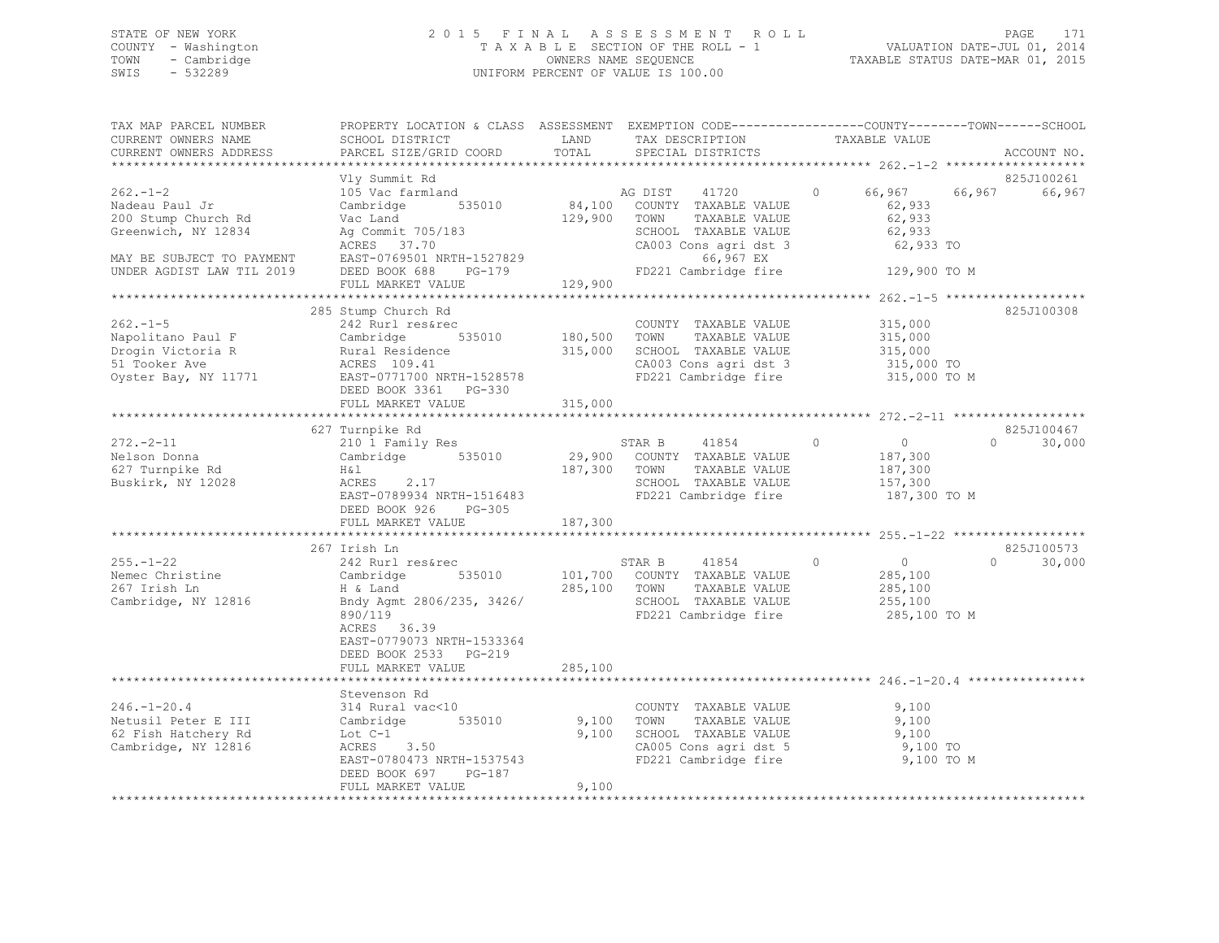## STATE OF NEW YORK 2 0 1 5 F I N A L A S S E S S M E N T R O L L PAGE 171 COUNTY - Washington T A X A B L E SECTION OF THE ROLL - 1 VALUATION DATE-JUL 01, 2014 TOWN - Cambridge OWNERS NAME SEQUENCE TAXABLE STATUS DATE-MAR 01, 2015 SWIS - 532289 UNIFORM PERCENT OF VALUE IS 100.00

| TAX MAP PARCEL NUMBER<br>CURRENT OWNERS NAME           | PROPERTY LOCATION & CLASS ASSESSMENT EXEMPTION CODE----------------COUNTY-------TOWN------SCHOOL<br>SCHOOL DISTRICT | LAND         | TAX DESCRIPTION                                                        | TAXABLE VALUE                 |                    |
|--------------------------------------------------------|---------------------------------------------------------------------------------------------------------------------|--------------|------------------------------------------------------------------------|-------------------------------|--------------------|
| CURRENT OWNERS ADDRESS                                 | PARCEL SIZE/GRID COORD                                                                                              | TOTAL        | SPECIAL DISTRICTS                                                      |                               | ACCOUNT NO.        |
|                                                        | Vly Summit Rd                                                                                                       |              |                                                                        |                               | 825J100261         |
| $262 - 1 - 2$<br>Nadeau Paul Jr                        | 105 Vac farmland<br>Cambridge<br>535010                                                                             | 84,100       | AG DIST<br>41720<br>COUNTY TAXABLE VALUE                               | 66,967<br>$\circ$<br>62,933   | 66,967<br>66,967   |
| 200 Stump Church Rd<br>Greenwich, NY 12834             | Vac Land<br>Ag Commit 705/183<br>ACRES 37.70                                                                        | 129,900      | TOWN<br>TAXABLE VALUE<br>SCHOOL TAXABLE VALUE<br>CA003 Cons agri dst 3 | 62,933<br>62,933<br>62,933 TO |                    |
| MAY BE SUBJECT TO PAYMENT<br>UNDER AGDIST LAW TIL 2019 | EAST-0769501 NRTH-1527829<br>DEED BOOK 688<br>PG-179<br>FULL MARKET VALUE                                           | 129,900      | 66,967 EX<br>FD221 Cambridge fire                                      | 129,900 TO M                  |                    |
|                                                        |                                                                                                                     |              |                                                                        |                               |                    |
|                                                        | 285 Stump Church Rd                                                                                                 |              |                                                                        |                               | 825J100308         |
| $262 - 1 - 5$<br>Napolitano Paul F                     | 242 Rurl res&rec<br>Cambridge<br>535010                                                                             | 180,500 TOWN | COUNTY TAXABLE VALUE<br>TAXABLE VALUE                                  | 315,000<br>315,000            |                    |
| Drogin Victoria R                                      | Rural Residence                                                                                                     |              | 315,000 SCHOOL TAXABLE VALUE                                           | 315,000                       |                    |
| 51 Tooker Ave                                          | ACRES 109.41                                                                                                        |              | CA003 Cons agri dst 3                                                  | 315,000 TO                    |                    |
| Oyster Bay, NY 11771                                   | EAST-0771700 NRTH-1528578<br>DEED BOOK 3361 PG-330<br>FULL MARKET VALUE                                             | 315,000      | FD221 Cambridge fire                                                   | 315,000 TO M                  |                    |
|                                                        |                                                                                                                     |              |                                                                        |                               |                    |
|                                                        | 627 Turnpike Rd                                                                                                     |              |                                                                        |                               | 825J100467         |
| $272 - 2 - 11$                                         | 210 1 Family Res                                                                                                    |              | STAR B<br>41854                                                        | $\circ$<br>$\overline{0}$     | 30,000<br>$\Omega$ |
| Nelson Donna                                           | Cambridge 535010                                                                                                    |              | 29,900 COUNTY TAXABLE VALUE                                            | 187,300                       |                    |
| 627 Turnpike Rd<br>Buskirk, NY 12028                   | H&l<br>ACRES<br>2.17                                                                                                | 187,300      | TOWN<br>TAXABLE VALUE<br>SCHOOL TAXABLE VALUE                          | 187,300<br>157,300            |                    |
|                                                        | EAST-0789934 NRTH-1516483<br>DEED BOOK 926 PG-305                                                                   |              | FD221 Cambridge fire                                                   | 187,300 TO M                  |                    |
|                                                        | FULL MARKET VALUE                                                                                                   | 187,300      |                                                                        |                               |                    |
|                                                        | 267 Irish Ln                                                                                                        |              |                                                                        |                               | 825J100573         |
| $255. - 1 - 22$                                        | 242 Rurl res&rec                                                                                                    |              | STAR B<br>41854                                                        | $\circ$<br>$\overline{0}$     | $\Omega$<br>30,000 |
| Nemec Christine                                        | 535010<br>Cambridge                                                                                                 |              | 101,700 COUNTY TAXABLE VALUE                                           | 285,100                       |                    |
| 267 Irish Ln                                           | H & Land                                                                                                            | 285,100 TOWN | TAXABLE VALUE                                                          | 285,100                       |                    |
| Cambridge, NY 12816                                    | Bndy Agmt 2806/235, 3426/                                                                                           |              | SCHOOL TAXABLE VALUE                                                   | 255,100                       |                    |
|                                                        | 890/119<br>ACRES 36.39<br>EAST-0779073 NRTH-1533364<br>DEED BOOK 2533 PG-219<br>FULL MARKET VALUE                   | 285,100      | FD221 Cambridge fire                                                   | 285,100 TO M                  |                    |
|                                                        |                                                                                                                     |              |                                                                        |                               |                    |
|                                                        | Stevenson Rd                                                                                                        |              |                                                                        |                               |                    |
| $246. - 1 - 20.4$                                      | 314 Rural vac<10                                                                                                    |              | COUNTY TAXABLE VALUE                                                   | 9,100                         |                    |
| Netusil Peter E III                                    | 535010<br>Cambridge                                                                                                 | 9,100        | TOWN<br>TAXABLE VALUE                                                  | 9,100                         |                    |
| 62 Fish Hatchery Rd                                    | Lot $C-1$                                                                                                           | 9,100        | SCHOOL TAXABLE VALUE                                                   | 9,100                         |                    |
| Cambridge, NY 12816                                    | ACRES 3.50                                                                                                          |              | CA005 Cons agri dst 5                                                  | 9,100 TO                      |                    |
|                                                        | EAST-0780473 NRTH-1537543<br>DEED BOOK 697 PG-187<br>FULL MARKET VALUE                                              | 9,100        | FD221 Cambridge fire                                                   | 9,100 TO M                    |                    |
|                                                        |                                                                                                                     |              |                                                                        |                               |                    |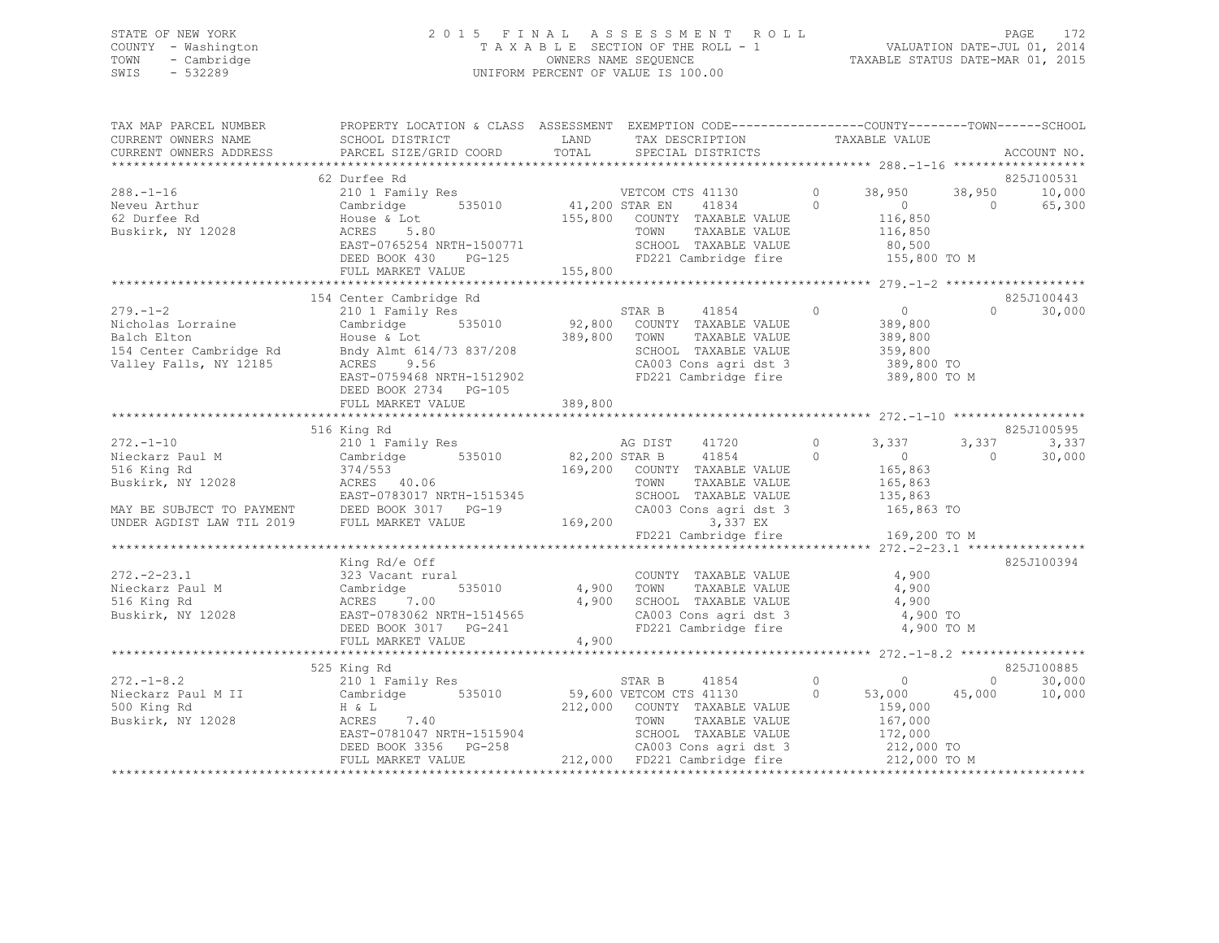# STATE OF NEW YORK<br>COUNTY - Washington 2015 FINAL ASSESSMENT ROLL 2011<br>2014 TAXABLE SECTION OF THE ROLL - 1 COUNTY - Washington  $T A X A B L E$  SECTION OF THE ROLL - 1<br>TOWN - Cambridge  $\sim$  000NERS NAME SEQUENCE TOWN - Cambridge OWNERS NAME SEQUENCE TAXABLE STATUS DATE-MAR 01, 2015 UNIFORM PERCENT OF VALUE IS 100.00

|                     | TAX MAP PARCEL NUMBER             PROPERTY LOCATION & CLASS  ASSESSMENT  EXEMPTION CODE-------------COUNTY--------TOWN------SCHOOL                                                                                                                 |                                                                  |  |                    |
|---------------------|----------------------------------------------------------------------------------------------------------------------------------------------------------------------------------------------------------------------------------------------------|------------------------------------------------------------------|--|--------------------|
| CURRENT OWNERS NAME | SCHOOL DISTRICT LAND                                                                                                                                                                                                                               |                                                                  |  |                    |
|                     | CURRENT OWNERS ADDRESS PARCEL SIZE/GRID COORD TOTAL                                                                                                                                                                                                |                                                                  |  | ACCOUNT NO.        |
|                     |                                                                                                                                                                                                                                                    |                                                                  |  |                    |
|                     | 62 Durfee Rd                                                                                                                                                                                                                                       |                                                                  |  | 825J100531         |
|                     | 38.-1-16<br>Neveu Arthur 2010 1 Family Res vETCOM CTS 41130 0 38,950 38,950 10,000<br>Neveu Arthur Cambridge 535010 41,200 STAR EN 41834 0 0 65,300<br>65,300 COUNTY TAXABLE VALUE 116,850 116,850 16,300<br>Buskirk, NY 12028 ACRES               |                                                                  |  |                    |
|                     |                                                                                                                                                                                                                                                    |                                                                  |  |                    |
|                     |                                                                                                                                                                                                                                                    |                                                                  |  |                    |
|                     |                                                                                                                                                                                                                                                    |                                                                  |  |                    |
|                     |                                                                                                                                                                                                                                                    |                                                                  |  |                    |
|                     |                                                                                                                                                                                                                                                    |                                                                  |  |                    |
|                     |                                                                                                                                                                                                                                                    |                                                                  |  |                    |
|                     |                                                                                                                                                                                                                                                    |                                                                  |  |                    |
|                     |                                                                                                                                                                                                                                                    |                                                                  |  |                    |
|                     | 154 Center Cambridge Rd                                                                                                                                                                                                                            |                                                                  |  | 825J100443         |
|                     |                                                                                                                                                                                                                                                    |                                                                  |  | $\Omega$<br>30,000 |
|                     |                                                                                                                                                                                                                                                    |                                                                  |  |                    |
|                     |                                                                                                                                                                                                                                                    |                                                                  |  |                    |
|                     |                                                                                                                                                                                                                                                    |                                                                  |  |                    |
|                     |                                                                                                                                                                                                                                                    | SCHOOL TAXABLE VALUE 359,800<br>CA003 Cons agri dst 3 389,800 TO |  |                    |
|                     |                                                                                                                                                                                                                                                    |                                                                  |  |                    |
|                     | 279.-1-2<br>Nicholas Lorraine Cambridge S35010<br>Balch Elton House & Lot<br>389,800<br>TAR B 41854<br>210 1 Family Res<br>535010<br>92,800 COUNTY TAXABLE VALUE 389,800<br>92,800 COUNTY TAXABLE VALUE 389,800<br>TOWN TAXABLE VALUE 389,800<br>T | FD221 Cambridge fire 389,800 TO M                                |  |                    |
|                     | DEED BOOK 2734 PG-105                                                                                                                                                                                                                              |                                                                  |  |                    |
|                     |                                                                                                                                                                                                                                                    |                                                                  |  |                    |
|                     |                                                                                                                                                                                                                                                    |                                                                  |  |                    |
|                     | 516 King Rd                                                                                                                                                                                                                                        |                                                                  |  | 825J100595         |
|                     | 316 King Rd<br>Mieckarz Paul M 210 1 Family Res<br>Mieckarz Paul M 210 1 Family Res<br>516 King Rd 374/553 169,200 STAR B 41854 0<br>Buskirk, NY 12028 ACRES 40.06 TOWN TAXABLE VALUE<br>MAY BE SUBJECT TO PAYMENT DEED BOOK 3017 PG-19            |                                                                  |  | 3,337              |
|                     |                                                                                                                                                                                                                                                    |                                                                  |  | 30,000             |
|                     |                                                                                                                                                                                                                                                    |                                                                  |  |                    |
|                     |                                                                                                                                                                                                                                                    |                                                                  |  |                    |
|                     |                                                                                                                                                                                                                                                    |                                                                  |  |                    |
|                     |                                                                                                                                                                                                                                                    |                                                                  |  |                    |
|                     |                                                                                                                                                                                                                                                    |                                                                  |  |                    |
|                     |                                                                                                                                                                                                                                                    |                                                                  |  |                    |
|                     |                                                                                                                                                                                                                                                    | FD221 Cambridge fire 169,200 TO M                                |  |                    |
|                     |                                                                                                                                                                                                                                                    |                                                                  |  |                    |
|                     |                                                                                                                                                                                                                                                    |                                                                  |  |                    |
|                     |                                                                                                                                                                                                                                                    |                                                                  |  |                    |
|                     |                                                                                                                                                                                                                                                    |                                                                  |  |                    |
|                     |                                                                                                                                                                                                                                                    |                                                                  |  |                    |
|                     |                                                                                                                                                                                                                                                    |                                                                  |  |                    |
|                     |                                                                                                                                                                                                                                                    |                                                                  |  |                    |
|                     |                                                                                                                                                                                                                                                    |                                                                  |  |                    |
|                     | Xing Rd/e Off<br>272.-2-23.1 323 Vacant rural<br>Nieckarz Paul M Cambridge 535010 4,900 TOWN TAXABLE VALUE 4,900<br>516 King Rd ACRES 7.00 4,900 SCHOOL TAXABLE VALUE 4,900 TOWN ACRES 7.00<br>Buskirk, NY 12028 EAST-0783062 NRTH-151             |                                                                  |  |                    |
|                     |                                                                                                                                                                                                                                                    |                                                                  |  | 825J100885         |
|                     | 525 King Rd                                                                                                                                                                                                                                        |                                                                  |  |                    |
|                     |                                                                                                                                                                                                                                                    |                                                                  |  | 30,000             |
|                     |                                                                                                                                                                                                                                                    |                                                                  |  | 10,000             |
|                     |                                                                                                                                                                                                                                                    |                                                                  |  |                    |
|                     |                                                                                                                                                                                                                                                    |                                                                  |  |                    |
|                     |                                                                                                                                                                                                                                                    |                                                                  |  |                    |
|                     |                                                                                                                                                                                                                                                    |                                                                  |  |                    |
|                     | 325 King Kd<br>212.-1-8.2 212.000 2212.000 VETCOM CTS 41130 0 53,000 45,000<br>325 King Kd<br>212,000 COUNTY TAXABLE VALUE<br>326 H & L<br>212,000 COUNTY TAXABLE VALUE<br>212,000 COUNTY TAXABLE VALUE<br>212,000 TOWN TAXABLE VALUE 167,00       |                                                                  |  |                    |
|                     |                                                                                                                                                                                                                                                    |                                                                  |  |                    |
|                     |                                                                                                                                                                                                                                                    |                                                                  |  |                    |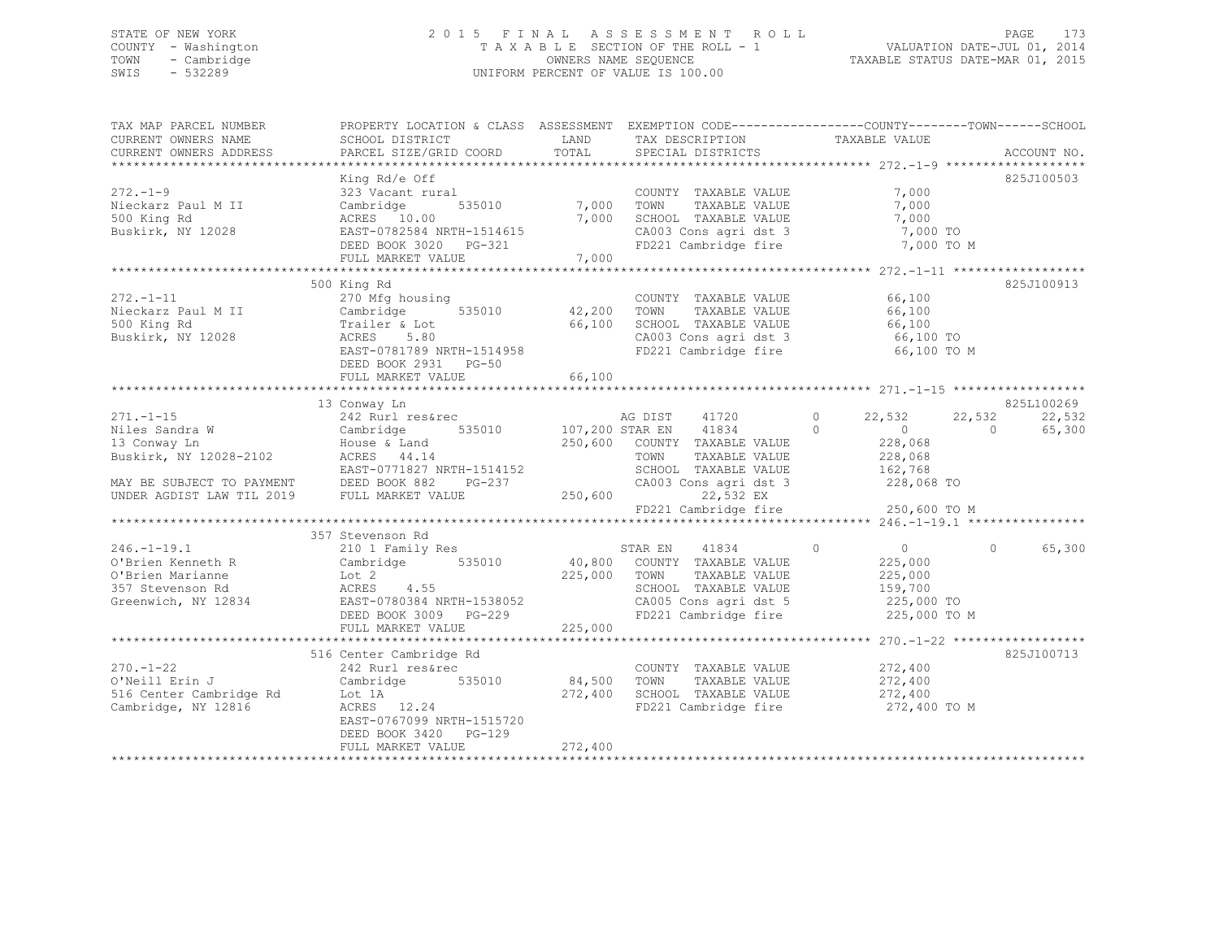## STATE OF NEW YORK 2 0 1 5 F I N A L A S S E S S M E N T R O L L PAGE 173 COUNTY - Washington T A X A B L E SECTION OF THE ROLL - 1 VALUATION DATE-JUL 01, 2014 TOWN - Cambridge OWNERS NAME SEQUENCE TAXABLE STATUS DATE-MAR 01, 2015 SWIS - 532289 UNIFORM PERCENT OF VALUE IS 100.00

| TAX MAP PARCEL NUMBER<br>CURRENT OWNERS NAME<br>CURRENT OWNERS ADDRESS                              | PROPERTY LOCATION & CLASS ASSESSMENT EXEMPTION CODE----------------COUNTY-------TOWN------SCHOOL<br>SCHOOL DISTRICT<br>PARCEL SIZE/GRID COORD                                                                                                                                                                                                                                                                                                                                                                            |         | LAND TAX DESCRIPTION<br>TOTAL SPECIAL DISTRICTS                                                                                     | TAXABLE VALUE                                                      | ACCOUNT NO.                |
|-----------------------------------------------------------------------------------------------------|--------------------------------------------------------------------------------------------------------------------------------------------------------------------------------------------------------------------------------------------------------------------------------------------------------------------------------------------------------------------------------------------------------------------------------------------------------------------------------------------------------------------------|---------|-------------------------------------------------------------------------------------------------------------------------------------|--------------------------------------------------------------------|----------------------------|
|                                                                                                     |                                                                                                                                                                                                                                                                                                                                                                                                                                                                                                                          |         |                                                                                                                                     |                                                                    |                            |
| $272 - 1 - 9$                                                                                       | King Rd/e Off<br>323 Vacant rural<br>Buskirk, NY 12028 EAST-0782584 NRTH-1514615 (A003 Consider in the Substirk, NY 12028 EAST-0782584 NRTH-1514615<br>FULL MARKET VALUE                                                                                                                                                                                                                                                                                                                                                 | 7,000   | COUNTY TAXABLE VALUE 7,000<br>7,000    TOWN      TAXABLE VALUE<br>7,000    SCHOOL   TAXABLE VALUE<br>CA003 Cons agri dst 3 7,000 TO | 7,000<br>7,000<br>7,000 TO M                                       | 825J100503                 |
|                                                                                                     |                                                                                                                                                                                                                                                                                                                                                                                                                                                                                                                          |         |                                                                                                                                     |                                                                    |                            |
| $272. -1 - 11$                                                                                      | 500 King Rd<br>270 Mfg housing<br>Contract the combined Cambridge Cambridge (SSS) 200 100011<br>Nieckarz Paul M II Cambridge 1990 100001 12,200 100001<br>SOO King Rd Trailer & Lot 66,100 SCHOOL<br>Buskirk, NY 12028 ACRES 5.80 CA003 Co<br>EAST-0781789 NRTH-1514958<br>DEED BOOK 2931 PG-50<br>FULL MARKET VALUE                                                                                                                                                                                                     | 66,100  | COUNTY TAXABLE VALUE<br>66,100 SCHOOL TAXABLE VALUE 66,100<br>CA003 Cons agri dst 3 66,100 TO                                       | 66,100<br>TAXABLE VALUE 66,100<br>FD221 Cambridge fire 66,100 TO M | 825J100913                 |
|                                                                                                     |                                                                                                                                                                                                                                                                                                                                                                                                                                                                                                                          |         |                                                                                                                                     |                                                                    | 825L100269                 |
|                                                                                                     | 271.-1-15<br>271.-1-15<br>271.-1-15<br>285:<br>285:<br>285:<br>285:<br>285:<br>285:<br>285:<br>285:<br>295:<br>295:<br>295:<br>295:<br>295:<br>295:<br>295:<br>295:<br>295:<br>295:<br>295:<br>295:<br>295:<br>295:<br>295:<br>295:<br>295:<br>295:<br>295:<br>295:<br>295:<br>295:<br>295:<br>29<br>EAST-0771827 NRTH-1514152<br>EAST-0771827 NRTH-1514152<br>EAST-0771827 NRTH-1514152<br>SCHOOL TAXABLE VALUE<br>CA003 Cons agridst 3<br>CA003 Cons agridst 3<br>228,068 TO<br>228,068 TO<br>228,068 TO<br>228,068 TO |         |                                                                                                                                     |                                                                    | 22,532<br>22,532<br>65,300 |
|                                                                                                     |                                                                                                                                                                                                                                                                                                                                                                                                                                                                                                                          |         |                                                                                                                                     | $22,532$ EX<br>FD221 Cambridge fire $250,600$ TO M                 |                            |
|                                                                                                     |                                                                                                                                                                                                                                                                                                                                                                                                                                                                                                                          |         |                                                                                                                                     |                                                                    |                            |
|                                                                                                     | 357 Stevenson Rd                                                                                                                                                                                                                                                                                                                                                                                                                                                                                                         |         | TAXABLE VALUE<br>SCHOOL TAXABLE VALUE<br>$\frac{1}{225,000}$ TO CA005 Cons agri dst 5 225,000 TO<br>FD221 Cambridge fire            | 225,000<br>159,700<br>225,000 TO M                                 | $\Omega$<br>65,300         |
|                                                                                                     |                                                                                                                                                                                                                                                                                                                                                                                                                                                                                                                          |         |                                                                                                                                     |                                                                    |                            |
| $270. - 1 - 22$<br>O'Neill Erin J<br>516 Center Cambridge Rd 10 Lot 1A<br>Cambridge, NY 12816 ACRES | 516 Center Cambridge Rd<br>242 Rurl res&rec<br>Cambridge 535010 84,500<br>100 IA<br>272,400<br>12.24<br>272,400<br>EAST-0767099 NRTH-1515720<br>DEED BOOK 3420 PG-129<br>FULL MARKET VALUE                                                                                                                                                                                                                                                                                                                               | 272,400 | COUNTY TAXABLE VALUE 272,400<br>TOWN<br>SCHOOL TAXABLE VALUE<br>FD221 Cambridge fire                                                | TAXABLE VALUE 272,400<br>272,400<br>272,400 TO M                   | 825J100713                 |
|                                                                                                     |                                                                                                                                                                                                                                                                                                                                                                                                                                                                                                                          |         |                                                                                                                                     |                                                                    |                            |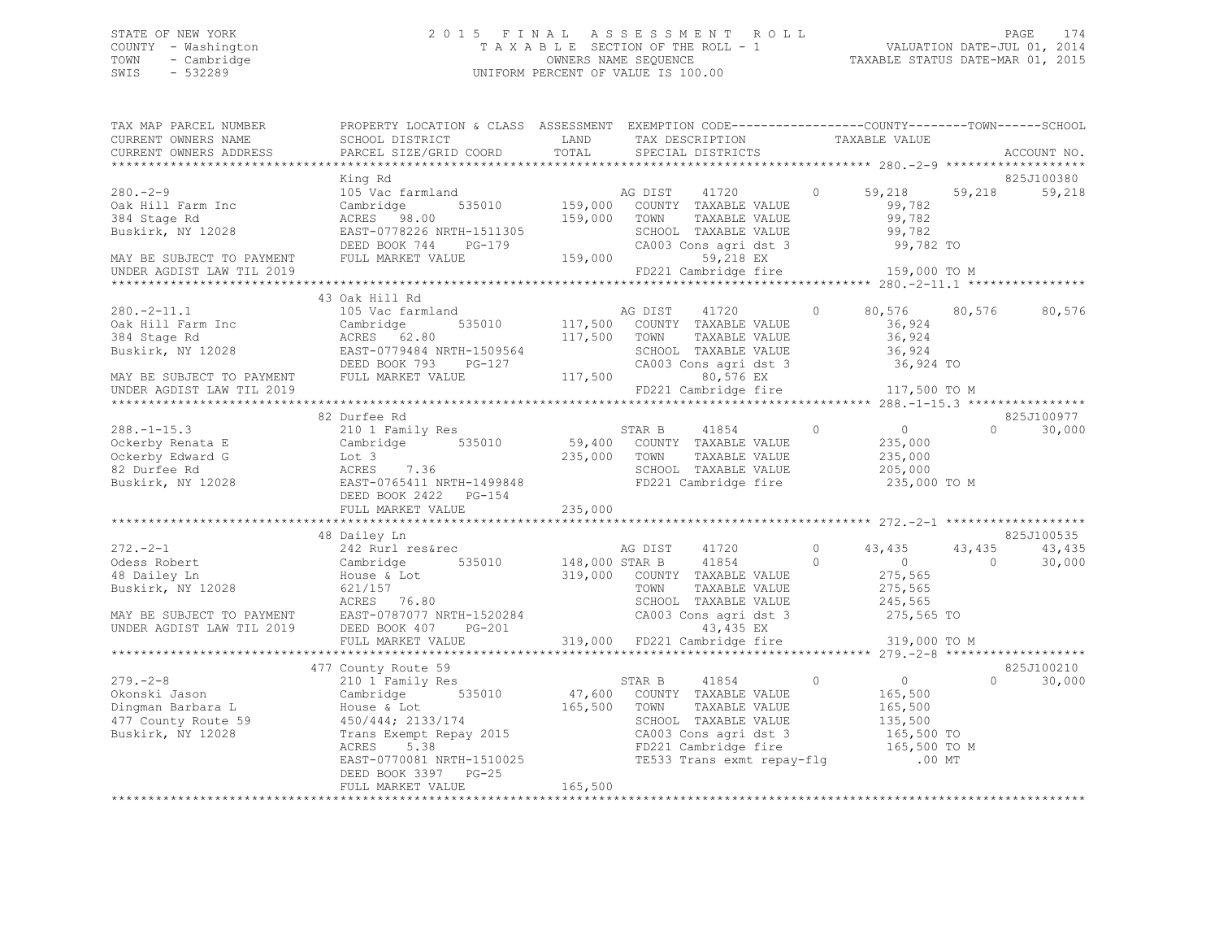# STATE OF NEW YORK<br>COUNTY - Washington 2015 FINAL ASSESSMENT ROLL 2011<br>2014–2015 COUNTY - Washington 2015 COUNTY - Washington  $T A X A B L E$  SECTION OF THE ROLL - 1<br>TOWN - Cambridge  $\sim$  000NERS NAME SEQUENCE TOWN - Cambridge OWNERS NAME SEQUENCE TAXABLE STATUS DATE-MAR 01, 2015 UNIFORM PERCENT OF VALUE IS 100.00

| TAX MAP PARCEL NUMBER     | PROPERTY LOCATION & CLASS ASSESSMENT EXEMPTION CODE---------------COUNTY-------TOWN------SCHOOL                                                                                                                                                                                                                                                                                                      |                            |                                                                                                                                                                                                                                                                                                                                                                                                                                                                                              |                                              |           |                    |
|---------------------------|------------------------------------------------------------------------------------------------------------------------------------------------------------------------------------------------------------------------------------------------------------------------------------------------------------------------------------------------------------------------------------------------------|----------------------------|----------------------------------------------------------------------------------------------------------------------------------------------------------------------------------------------------------------------------------------------------------------------------------------------------------------------------------------------------------------------------------------------------------------------------------------------------------------------------------------------|----------------------------------------------|-----------|--------------------|
| CURRENT OWNERS NAME       | SCHOOL DISTRICT                                                                                                                                                                                                                                                                                                                                                                                      | <b>EXAMPLE STATE STATE</b> |                                                                                                                                                                                                                                                                                                                                                                                                                                                                                              |                                              |           |                    |
| CURRENT OWNERS ADDRESS    | PARCEL SIZE/GRID COORD                                                                                                                                                                                                                                                                                                                                                                               | TOTAL                      | $\begin{tabular}{ll} \multicolumn{2}{c}{\begin{tabular}{lcccc} \multicolumn{2}{c}{\multicolumn{2}{c}{\multicolumn{2}{c}{\multicolumn{2}{c}{\multicolumn{2}{c}{\multicolumn{2}{c}{\multicolumn{2}{c}{\multicolumn{2}{c}{\multicolumn{2}{c}{\multicolumn{2}{c}{\multicolumn{2}{c}{\multicolumn{2}{c}{\multicolumn{2}{c}{\multicolumn{2}{c}{\multicolumn{2}{c}{\multicolumn{2}{c}{\multicolumn{2}{c}{\multicolumn{2}{c}{\multicolumn{2}{c}{\multicolumn{2}{c}{\multicolumn{2}{c}{\multicolumn{$ |                                              |           | ACCOUNT NO.        |
|                           |                                                                                                                                                                                                                                                                                                                                                                                                      |                            |                                                                                                                                                                                                                                                                                                                                                                                                                                                                                              |                                              |           |                    |
|                           | King Rd                                                                                                                                                                                                                                                                                                                                                                                              |                            |                                                                                                                                                                                                                                                                                                                                                                                                                                                                                              |                                              |           | 825J100380         |
| $280 - 2 - 9$             | 105 Vac farmland                                                                                                                                                                                                                                                                                                                                                                                     |                            | AG DIST 41720                                                                                                                                                                                                                                                                                                                                                                                                                                                                                | 0 $59,218$                                   | 59,218    | 59,218             |
|                           |                                                                                                                                                                                                                                                                                                                                                                                                      |                            |                                                                                                                                                                                                                                                                                                                                                                                                                                                                                              | 99,782<br>99,782                             |           |                    |
|                           |                                                                                                                                                                                                                                                                                                                                                                                                      |                            | TAXABLE VALUE                                                                                                                                                                                                                                                                                                                                                                                                                                                                                |                                              |           |                    |
|                           | NO VAC LATELED AND MANUS CONTY TAXABLE VALUE USE TO MAKE THE MANUS CANNOT CONTY TO CONTY TAXABLE VALUE USE TO MANUS AGRES $159,000$ COUNTY TAXABLE VALUE USE TO PAYMENT EVALUE EXAMPLE DEED BOOK 744 PG-179 CA003 CONS agri ds                                                                                                                                                                       |                            | SCHOOL TAXABLE VALUE 99,782<br>CA003 Cons agri dst 3 99,782 TO                                                                                                                                                                                                                                                                                                                                                                                                                               |                                              |           |                    |
|                           |                                                                                                                                                                                                                                                                                                                                                                                                      |                            |                                                                                                                                                                                                                                                                                                                                                                                                                                                                                              |                                              |           |                    |
|                           |                                                                                                                                                                                                                                                                                                                                                                                                      |                            | 59,218 EX<br>FD221 Cambridge fire 159,000 TO M                                                                                                                                                                                                                                                                                                                                                                                                                                               |                                              |           |                    |
| UNDER AGDIST LAW TIL 2019 |                                                                                                                                                                                                                                                                                                                                                                                                      |                            |                                                                                                                                                                                                                                                                                                                                                                                                                                                                                              |                                              |           |                    |
|                           |                                                                                                                                                                                                                                                                                                                                                                                                      |                            |                                                                                                                                                                                                                                                                                                                                                                                                                                                                                              |                                              |           |                    |
|                           |                                                                                                                                                                                                                                                                                                                                                                                                      |                            |                                                                                                                                                                                                                                                                                                                                                                                                                                                                                              |                                              |           |                    |
|                           |                                                                                                                                                                                                                                                                                                                                                                                                      |                            |                                                                                                                                                                                                                                                                                                                                                                                                                                                                                              | 80,576 80,576 80,576                         |           |                    |
|                           |                                                                                                                                                                                                                                                                                                                                                                                                      |                            |                                                                                                                                                                                                                                                                                                                                                                                                                                                                                              |                                              |           |                    |
|                           |                                                                                                                                                                                                                                                                                                                                                                                                      |                            |                                                                                                                                                                                                                                                                                                                                                                                                                                                                                              |                                              |           |                    |
|                           |                                                                                                                                                                                                                                                                                                                                                                                                      |                            |                                                                                                                                                                                                                                                                                                                                                                                                                                                                                              |                                              |           |                    |
|                           |                                                                                                                                                                                                                                                                                                                                                                                                      |                            |                                                                                                                                                                                                                                                                                                                                                                                                                                                                                              |                                              |           |                    |
|                           |                                                                                                                                                                                                                                                                                                                                                                                                      |                            | FD221 Cambridge fire 117,500 TO M                                                                                                                                                                                                                                                                                                                                                                                                                                                            |                                              |           |                    |
|                           |                                                                                                                                                                                                                                                                                                                                                                                                      |                            |                                                                                                                                                                                                                                                                                                                                                                                                                                                                                              |                                              |           |                    |
|                           | 82 Durfee Rd                                                                                                                                                                                                                                                                                                                                                                                         |                            |                                                                                                                                                                                                                                                                                                                                                                                                                                                                                              |                                              |           | 825J100977         |
| $288. - 1 - 15.3$         | 210 1 Family Res                                                                                                                                                                                                                                                                                                                                                                                     | STAR B                     | 41854                                                                                                                                                                                                                                                                                                                                                                                                                                                                                        | $\begin{matrix} 0 & 0 \\ 0 & 0 \end{matrix}$ | $\bigcap$ | 30,000             |
|                           |                                                                                                                                                                                                                                                                                                                                                                                                      |                            |                                                                                                                                                                                                                                                                                                                                                                                                                                                                                              | 235,000                                      |           |                    |
|                           |                                                                                                                                                                                                                                                                                                                                                                                                      |                            |                                                                                                                                                                                                                                                                                                                                                                                                                                                                                              | 235,000                                      |           |                    |
|                           |                                                                                                                                                                                                                                                                                                                                                                                                      |                            | SCHOOL TAXABLE VALUE                                                                                                                                                                                                                                                                                                                                                                                                                                                                         | 205,000                                      |           |                    |
|                           |                                                                                                                                                                                                                                                                                                                                                                                                      |                            |                                                                                                                                                                                                                                                                                                                                                                                                                                                                                              | 235,000 TO M                                 |           |                    |
|                           |                                                                                                                                                                                                                                                                                                                                                                                                      |                            |                                                                                                                                                                                                                                                                                                                                                                                                                                                                                              |                                              |           |                    |
|                           |                                                                                                                                                                                                                                                                                                                                                                                                      |                            |                                                                                                                                                                                                                                                                                                                                                                                                                                                                                              |                                              |           |                    |
|                           |                                                                                                                                                                                                                                                                                                                                                                                                      |                            |                                                                                                                                                                                                                                                                                                                                                                                                                                                                                              |                                              |           |                    |
|                           | 48 Dailey Ln                                                                                                                                                                                                                                                                                                                                                                                         |                            |                                                                                                                                                                                                                                                                                                                                                                                                                                                                                              |                                              |           | 825J100535         |
| $272. -2 - 1$             | 242 Rurl res&rec                                                                                                                                                                                                                                                                                                                                                                                     |                            | AG DIST 41720                                                                                                                                                                                                                                                                                                                                                                                                                                                                                | $0 \t 43,435$                                | 43,435    | 43,435             |
|                           |                                                                                                                                                                                                                                                                                                                                                                                                      |                            |                                                                                                                                                                                                                                                                                                                                                                                                                                                                                              |                                              | $\bigcap$ | 30,000             |
|                           |                                                                                                                                                                                                                                                                                                                                                                                                      |                            |                                                                                                                                                                                                                                                                                                                                                                                                                                                                                              |                                              |           |                    |
|                           |                                                                                                                                                                                                                                                                                                                                                                                                      |                            |                                                                                                                                                                                                                                                                                                                                                                                                                                                                                              |                                              |           |                    |
|                           |                                                                                                                                                                                                                                                                                                                                                                                                      |                            |                                                                                                                                                                                                                                                                                                                                                                                                                                                                                              |                                              |           |                    |
|                           |                                                                                                                                                                                                                                                                                                                                                                                                      |                            |                                                                                                                                                                                                                                                                                                                                                                                                                                                                                              |                                              |           |                    |
|                           |                                                                                                                                                                                                                                                                                                                                                                                                      |                            |                                                                                                                                                                                                                                                                                                                                                                                                                                                                                              |                                              |           |                    |
|                           | $\begin{tabular}{lllllllllllllllllllllll} \hline & 272.-2-1 && 242 \; \text{Rurl res\&r} & & 41/20 && 0 & 43,435 && 43,4600 \\ \hline \text{Odess Robert} && \text{Gambiridge} && 535010 && 148,000 \; \text{STAR B} && 0 && 0 && 0 \\ \hline & 48 \; \text{Dailey Ln} && \text{House & 621/157} && 0 && 0 \\ \text{Buskirk, NY 12028} && 621/157 && 319,000 && \text{COMNT} & \text{PAXABLE VALUE}$ |                            |                                                                                                                                                                                                                                                                                                                                                                                                                                                                                              |                                              |           |                    |
|                           |                                                                                                                                                                                                                                                                                                                                                                                                      |                            |                                                                                                                                                                                                                                                                                                                                                                                                                                                                                              |                                              |           |                    |
|                           | 477 County Route 59                                                                                                                                                                                                                                                                                                                                                                                  |                            |                                                                                                                                                                                                                                                                                                                                                                                                                                                                                              |                                              |           | 825J100210         |
|                           |                                                                                                                                                                                                                                                                                                                                                                                                      |                            |                                                                                                                                                                                                                                                                                                                                                                                                                                                                                              |                                              |           | $\Omega$<br>30,000 |
|                           |                                                                                                                                                                                                                                                                                                                                                                                                      |                            |                                                                                                                                                                                                                                                                                                                                                                                                                                                                                              |                                              |           |                    |
|                           |                                                                                                                                                                                                                                                                                                                                                                                                      |                            |                                                                                                                                                                                                                                                                                                                                                                                                                                                                                              |                                              |           |                    |
|                           |                                                                                                                                                                                                                                                                                                                                                                                                      |                            |                                                                                                                                                                                                                                                                                                                                                                                                                                                                                              |                                              |           |                    |
|                           |                                                                                                                                                                                                                                                                                                                                                                                                      |                            |                                                                                                                                                                                                                                                                                                                                                                                                                                                                                              |                                              |           |                    |
|                           |                                                                                                                                                                                                                                                                                                                                                                                                      |                            |                                                                                                                                                                                                                                                                                                                                                                                                                                                                                              |                                              |           |                    |
|                           |                                                                                                                                                                                                                                                                                                                                                                                                      |                            |                                                                                                                                                                                                                                                                                                                                                                                                                                                                                              |                                              |           |                    |
|                           |                                                                                                                                                                                                                                                                                                                                                                                                      | 165,500                    |                                                                                                                                                                                                                                                                                                                                                                                                                                                                                              |                                              |           |                    |
|                           | FULL MARKET VALUE                                                                                                                                                                                                                                                                                                                                                                                    |                            |                                                                                                                                                                                                                                                                                                                                                                                                                                                                                              |                                              |           |                    |
|                           |                                                                                                                                                                                                                                                                                                                                                                                                      |                            |                                                                                                                                                                                                                                                                                                                                                                                                                                                                                              |                                              |           |                    |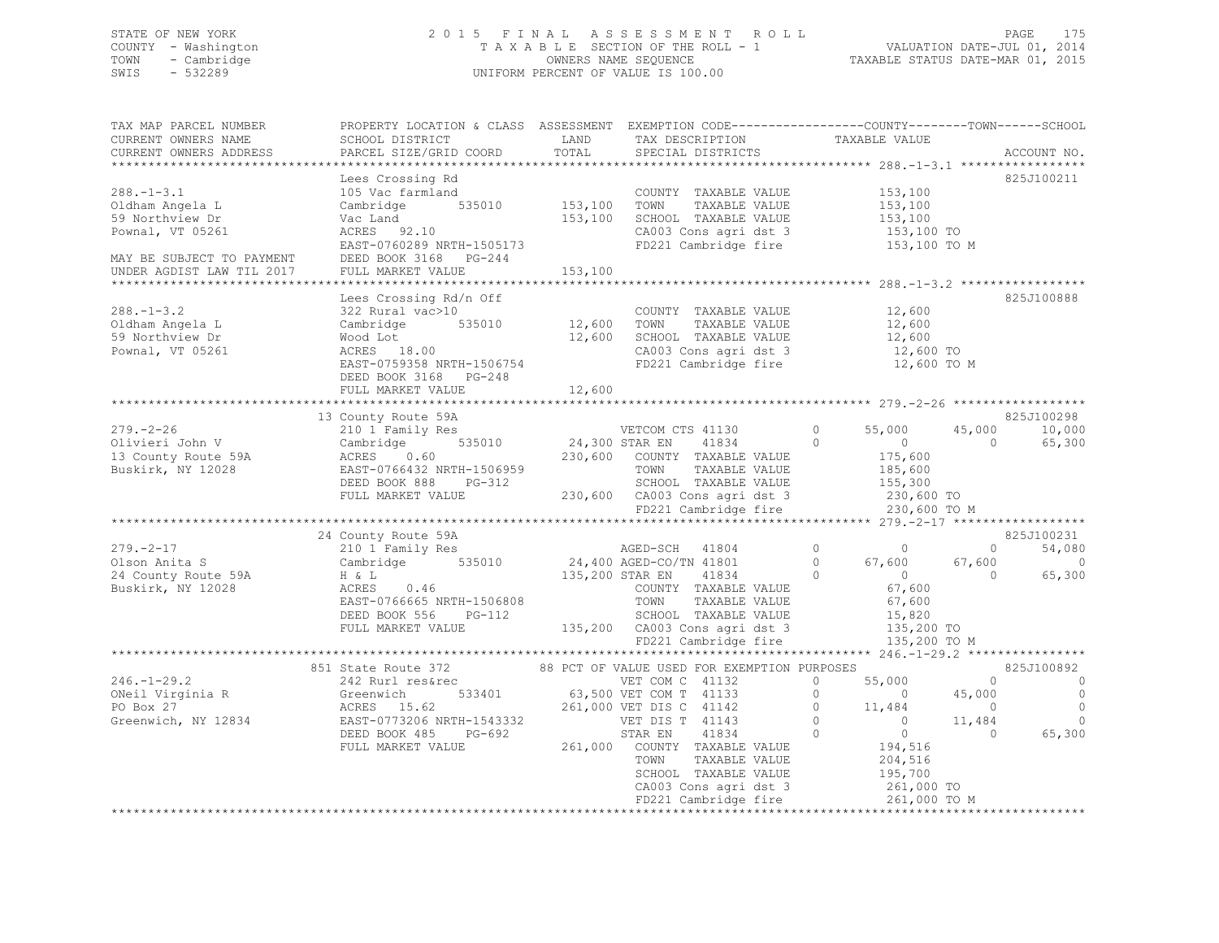## STATE OF NEW YORK 2 0 1 5 F I N A L A S S E S S M E N T R O L L PAGE 175 COUNTY - Washington T A X A B L E SECTION OF THE ROLL - 1 VALUATION DATE-JUL 01, 2014 TOWN - Cambridge OWNERS NAME SEQUENCE TAXABLE STATUS DATE-MAR 01, 2015 SWIS - 532289 UNIFORM PERCENT OF VALUE IS 100.00

| TAX MAP PARCEL NUMBER<br>CURRENT OWNERS NAME<br>CURRENT OWNERS ADDRESS       | PROPERTY LOCATION & CLASS ASSESSMENT EXEMPTION CODE---------------COUNTY-------TOWN-----SCHOOL<br>SCHOOL DISTRICT TAND TAX DESCRIPTION<br>PARCEL SIZE/GRID COORD                                                                                                                                                                                                                                  | TOTAL              | SPECIAL DISTRICTS                                                                                          | TAXABLE VALUE                                                    | ACCOUNT NO.                                                                              |
|------------------------------------------------------------------------------|---------------------------------------------------------------------------------------------------------------------------------------------------------------------------------------------------------------------------------------------------------------------------------------------------------------------------------------------------------------------------------------------------|--------------------|------------------------------------------------------------------------------------------------------------|------------------------------------------------------------------|------------------------------------------------------------------------------------------|
| $288. - 1 - 3.1$<br>Oldham Angela L<br>59 Northview Dr<br>Pownal, VT 05261   | Lees Crossing Rd<br>105 Vac farmland<br>Cambridge 535010 153,100 TOWN<br>Vac Land<br>ACRES 92.10<br>EAST-0760289 NRTH-1505173<br>MAY BE SUBJECT TO PAYMENT DEED BOOK 3168 PG-244<br>UNDER AGDIST LAW TIL 2017 FULL MARKET VALUE                                                                                                                                                                   | 153,100<br>153,100 | COUNTY TAXABLE VALUE 153,100<br>TOWN TAXABLE VALUE 153,100<br>SCHOOL TAXABLE VALUE<br>FD221 Cambridge fire | 153,100<br>CA003 Cons agri dst 3 153,100 TO<br>153,100 TO M      | 825J100211                                                                               |
| $288. - 1 - 3.2$<br>Oldham Angela L<br>59 Northview Dr<br>Pownal, VT 05261   | Lees Crossing Rd/n Off<br>Lees Crossing Rd/n Off<br>322 Rural vac>10<br>Cambridge 535010 12,600 TOWN TAXABLE VALUE 12,600<br>Wood Lot 12,600 SCHOOL TAXABLE VALUE 12,600<br>ACRES 18.00 12,600 CA003 Cons agri dst 3 12,600 TO<br>EAST-0759358 NRTH-1506754 FD221<br>DEED BOOK 3168 PG-248<br>FULL MARKET VALUE                                                                                   | 12,600             |                                                                                                            |                                                                  | 825J100888                                                                               |
|                                                                              |                                                                                                                                                                                                                                                                                                                                                                                                   |                    |                                                                                                            |                                                                  | 825J100298                                                                               |
|                                                                              | 13 County Route 59A<br>13 County Route 59A<br>279.-2-26 13 County Route 59A<br>210 1 Family Res<br>210 1 Family Res<br>24,300 STAR EN 41834<br>230,600 COUNTY TAXABLE VALUE<br>230,600 COUNTY TAXABLE VALUE<br>230,600 COUNTY TAXABLE VALUE<br>2                                                                                                                                                  |                    |                                                                                                            | 230,600 TO M                                                     | 45,000 10,000<br>$\sim$ 0<br>65,300                                                      |
|                                                                              |                                                                                                                                                                                                                                                                                                                                                                                                   |                    |                                                                                                            |                                                                  |                                                                                          |
| $279. - 2 - 17$<br>Olson Anita S<br>24 County Route 59A<br>Buskirk, NY 12028 | 24 County Route 59A<br>210 1 Family Res<br>Cambridge 535010 24,400 AGED-CO/TN 41801 0 67,600<br>H & L 135,200 STAR EN 41834 0 67,600<br>EAST-0766665 NRTH-1506808 TOWN TAXABLE VALUE 67,600<br>EAST-0766665 NRTH-1506808 TOWN TAXABLE VALUE 67,600<br>$\begin{array}{ccccc}\n\text{H} & \& \text{ L} & & \\ \text{ACRES} & & 0.46 & & \n\end{array}$<br>DEED BOOK 556 PG-112<br>FULL MARKET VALUE |                    |                                                                                                            | 67,600<br>135,200 TO M                                           | 825J100231<br>$\overline{0}$<br>54,080<br>67,600<br>$\sim$ 0<br>$\overline{0}$<br>65,300 |
|                                                                              |                                                                                                                                                                                                                                                                                                                                                                                                   |                    |                                                                                                            |                                                                  | 825J100892                                                                               |
|                                                                              |                                                                                                                                                                                                                                                                                                                                                                                                   |                    |                                                                                                            | SCHOOL TAXABLE VALUE 195,700<br>CA003 Cons agri dst 3 261,000 TO | $\sim$ 0<br>$\overline{\phantom{0}}$<br>$\overline{\phantom{0}}$<br>0<br>65,300          |
|                                                                              | 851 State Route 372<br>86 State Route 372<br>246.-1-29.2<br>246.-1-29.2<br>246.-1-29.2<br>247 Rurl resérec<br>242 Rurl resérec<br>242 Rurl resérec<br>242 Rurl resérec<br>242 Rurl resérec<br>242 Rurl resérec<br>267 ON C 41132<br>267 ON C 41132<br>26                                                                                                                                          |                    |                                                                                                            |                                                                  |                                                                                          |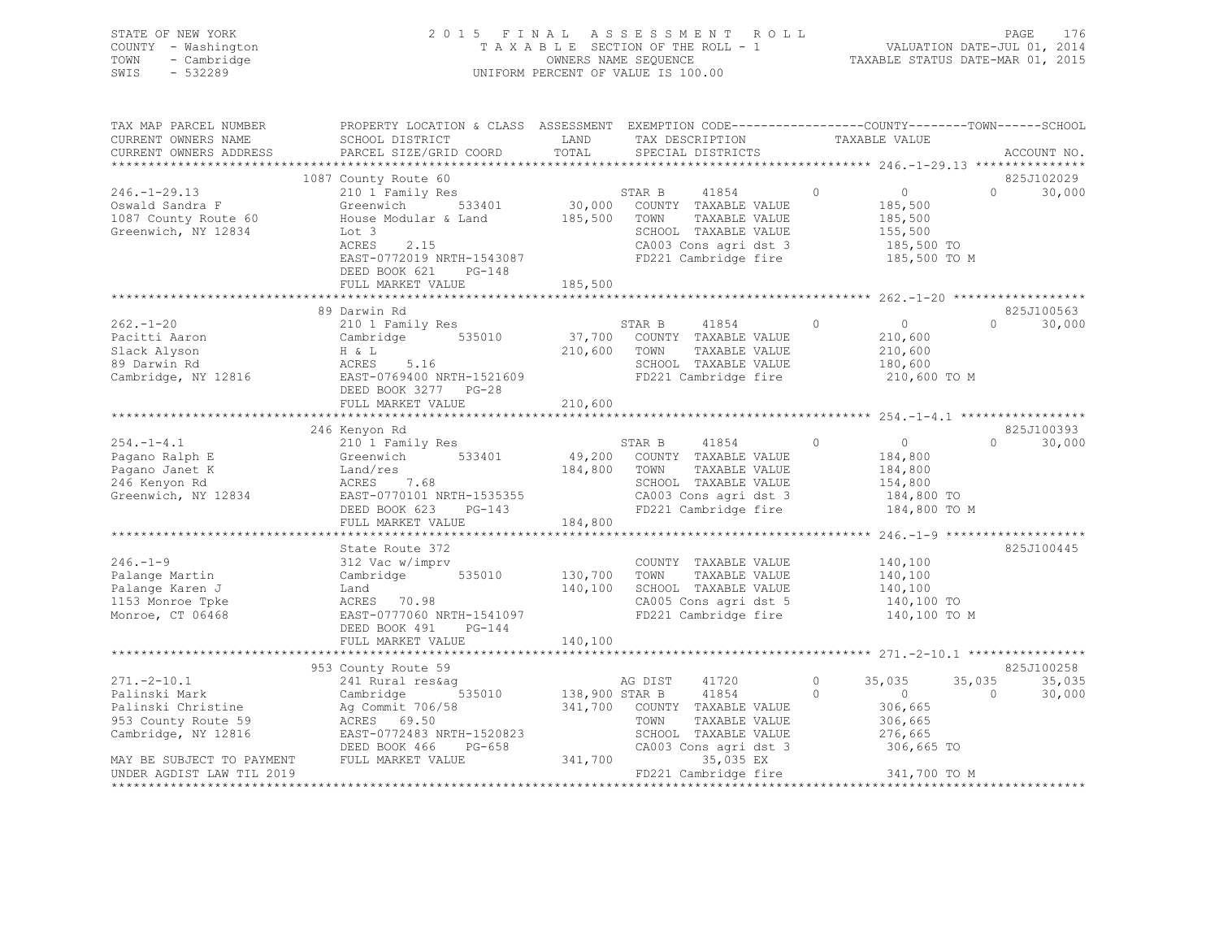STATE OF NEW YORK 2 0 1 5 F I N A L A S S E S S M E N T R O L L PAGE 176 COUNTY - Washington T A X A B L E SECTION OF THE ROLL - 1 VALUATION DATE-JUL 01, 2014 TOWN - Cambridge OWNERS NAME SEQUENCE TAXABLE STATUS DATE-MAR 01, 2015 SWIS - 532289 UNIFORM PERCENT OF VALUE IS 100.00

| TAX MAP PARCEL NUMBER              | PROPERTY LOCATION & CLASS ASSESSMENT EXEMPTION CODE----------------COUNTY-------TOWN------SCHOOL |              |                                               |               |                          |                    |             |
|------------------------------------|--------------------------------------------------------------------------------------------------|--------------|-----------------------------------------------|---------------|--------------------------|--------------------|-------------|
| CURRENT OWNERS NAME                | SCHOOL DISTRICT                                                                                  | LAND         | TAX DESCRIPTION                               | TAXABLE VALUE |                          |                    |             |
| CURRENT OWNERS ADDRESS             | PARCEL SIZE/GRID COORD                                                                           | TOTAL        | SPECIAL DISTRICTS                             |               |                          |                    | ACCOUNT NO. |
|                                    |                                                                                                  |              |                                               |               |                          |                    |             |
|                                    | 1087 County Route 60                                                                             |              |                                               |               |                          |                    | 825J102029  |
| $246. - 1 - 29.13$                 | 210 1 Family Res                                                                                 |              | STAR B<br>41854                               | $\circ$       | $0 \qquad \qquad$        | $\cap$             | 30,000      |
| Oswald Sandra F                    | Greenwich<br>533401                                                                              |              | 30,000 COUNTY TAXABLE VALUE                   |               | 185,500                  |                    |             |
| 1087 County Route 60               | House Modular & Land                                                                             | 185,500      | TOWN<br>TAXABLE VALUE                         |               | 185,500                  |                    |             |
| Greenwich, NY 12834                | Lot 3                                                                                            |              | SCHOOL TAXABLE VALUE                          |               | 155,500                  |                    |             |
|                                    | 2.15<br>ACRES                                                                                    |              | CA003 Cons agri dst 3<br>FD221 Cambridge fire |               | 185,500 TO               |                    |             |
|                                    | EAST-0772019 NRTH-1543087                                                                        |              |                                               |               | 185,500 TO M             |                    |             |
|                                    | DEED BOOK 621 PG-148                                                                             |              |                                               |               |                          |                    |             |
|                                    | FULL MARKET VALUE                                                                                | 185,500      |                                               |               |                          |                    |             |
|                                    | 89 Darwin Rd                                                                                     |              |                                               |               |                          |                    | 825J100563  |
| $262 - 1 - 20$                     | 210 1 Family Res                                                                                 |              | STAR B<br>41854                               | $\circ$       | $\sim$ 0                 | $\Omega$           | 30,000      |
| Pacitti Aaron                      | Cambridge 535010 37,700 COUNTY TAXABLE VALUE                                                     |              |                                               |               | 210,600                  |                    |             |
| Slack Alyson                       | H & L                                                                                            | 210,600 TOWN | TAXABLE VALUE                                 |               | 210,600                  |                    |             |
| 89 Darwin Rd                       | ACRES<br>5.16                                                                                    |              | SCHOOL TAXABLE VALUE                          |               | 180,600                  |                    |             |
| Cambridge, NY 12816                | EAST-0769400 NRTH-1521609                                                                        |              | FD221 Cambridge fire                          |               | 210,600 TO M             |                    |             |
|                                    | DEED BOOK 3277 PG-28                                                                             |              |                                               |               |                          |                    |             |
|                                    | FULL MARKET VALUE                                                                                | 210,600      |                                               |               |                          |                    |             |
|                                    |                                                                                                  |              |                                               |               |                          |                    |             |
|                                    | 246 Kenyon Rd                                                                                    |              |                                               |               |                          |                    | 825J100393  |
| $254. -1 - 4.1$                    | 210 1 Family Res                                                                                 |              | STAR B<br>41854                               | $\circ$       | $\overline{0}$           | $\Omega$           | 30,000      |
| Pagano Ralph E                     | Greenwich 533401                                                                                 |              | $49,200$ COUNTY TAXABLE VALUE                 |               | 184,800                  |                    |             |
| Pagano Janet K                     | Land/res                                                                                         | 184,800 TOWN | TAXABLE VALUE                                 |               | 184,800                  |                    |             |
| 246 Kenyon Rd                      | ACRES<br>7.68                                                                                    |              | SCHOOL TAXABLE VALUE                          |               | 154,800                  |                    |             |
| Greenwich, NY 12834                |                                                                                                  |              |                                               |               | 184,800 TO               |                    |             |
|                                    | AURES /.08<br>EAST-0770101 NRTH-1535355<br>DEED BOOK 623 PG-143                                  |              | CA003 Cons agri dst 3<br>FD221 Cambridge fire |               | 184,800 TO M             |                    |             |
|                                    | FULL MARKET VALUE                                                                                | 184,800      |                                               |               |                          |                    |             |
|                                    |                                                                                                  |              |                                               |               |                          |                    |             |
|                                    | State Route 372                                                                                  |              |                                               |               |                          |                    | 825J100445  |
| $246. - 1 - 9$                     | 312 Vac w/imprv                                                                                  |              | COUNTY TAXABLE VALUE                          |               | 140,100                  |                    |             |
| Palange Martin                     | 535010<br>Cambridge                                                                              | 130,700      | TOWN<br>TAXABLE VALUE                         |               | 140,100                  |                    |             |
| Palange Karen J                    | Land                                                                                             | 140,100      | SCHOOL TAXABLE VALUE                          |               | 140,100                  |                    |             |
| 1153 Monroe Tpke                   | ACRES 70.98                                                                                      |              | CA005 Cons agri dst 5                         |               | 140,100 TO               |                    |             |
| Monroe, CT 06468                   | EAST-0777060 NRTH-1541097                                                                        |              | FD221 Cambridge fire                          |               | 140,100 TO M             |                    |             |
|                                    | DEED BOOK 491 PG-144                                                                             |              |                                               |               |                          |                    |             |
|                                    | FULL MARKET VALUE                                                                                | 140,100      |                                               |               |                          |                    |             |
|                                    |                                                                                                  |              |                                               |               |                          |                    | 825J100258  |
|                                    | 953 County Route 59                                                                              |              |                                               | $\circ$       |                          |                    | 35,035      |
| $271. - 2 - 10.1$<br>Palinski Mark | 241 Rural res&ag                                                                                 |              | AG DIST<br>41720                              | $\Omega$      | 35,035<br>$\overline{0}$ | 35,035<br>$\Omega$ | 30,000      |
| Palinski Christine                 | Cambridge 535010 138,900 STAR B 41854<br>Ag Commit 706/58 341,700 COUNTY TAXABLE VALUE           |              |                                               |               | 306,665                  |                    |             |
| 953 County Route 59                | ACRES 69.50                                                                                      |              | TOWN<br>TAXABLE VALUE                         |               | 306,665                  |                    |             |
| Cambridge, NY 12816                | EAST-0772483 NRTH-1520823                                                                        |              | SCHOOL TAXABLE VALUE                          |               | 276,665                  |                    |             |
|                                    | DEED BOOK 466<br>PG-658                                                                          |              | CA003 Cons agri dst 3                         |               | 306,665 TO               |                    |             |
| MAY BE SUBJECT TO PAYMENT          | FULL MARKET VALUE                                                                                | 341,700      | 35,035 EX                                     |               |                          |                    |             |
| UNDER AGDIST LAW TIL 2019          |                                                                                                  |              | FD221 Cambridge fire 341,700 TO M             |               |                          |                    |             |
| ******************                 |                                                                                                  |              |                                               |               |                          |                    |             |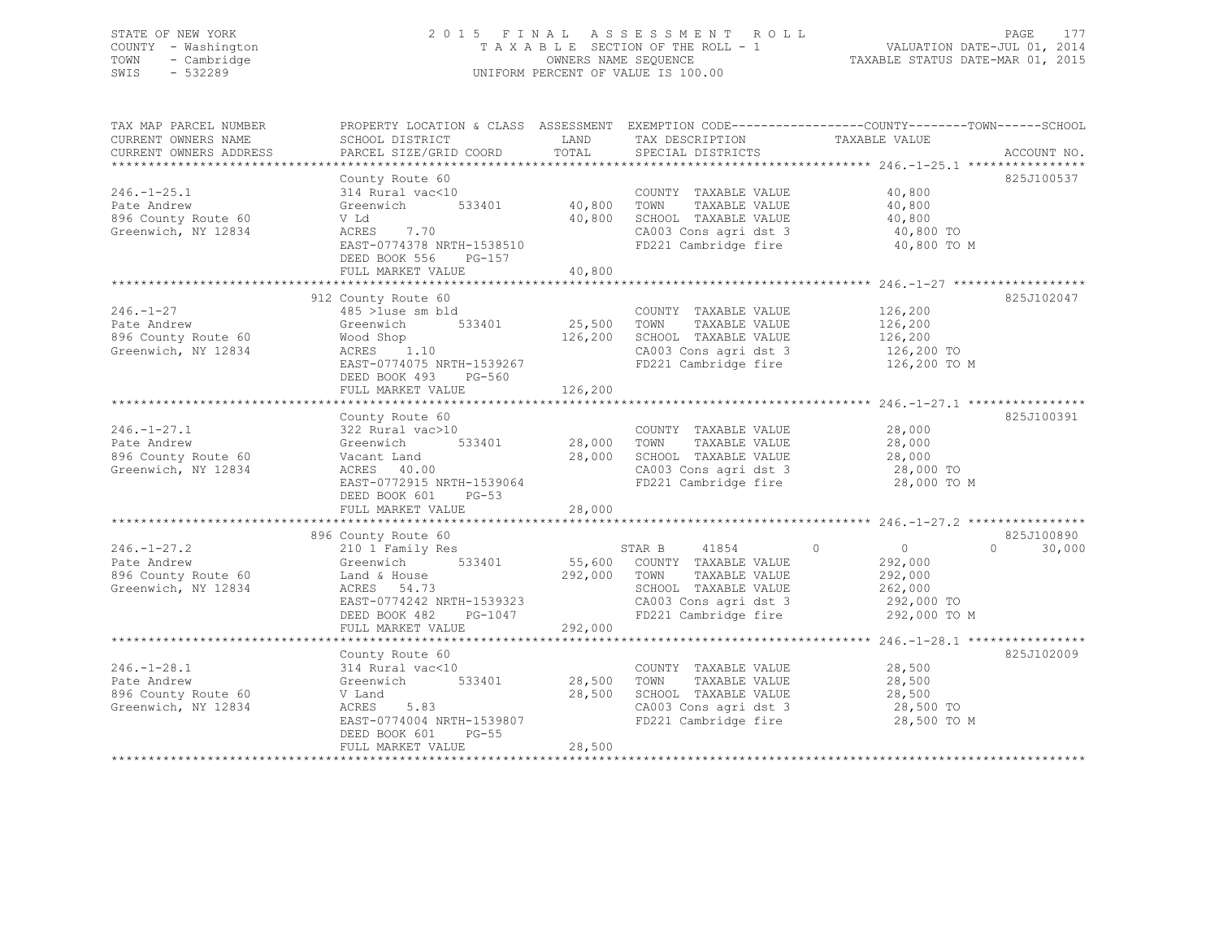## STATE OF NEW YORK 2 0 1 5 F I N A L A S S E S S M E N T R O L L PAGE 177 COUNTY - Washington T A X A B L E SECTION OF THE ROLL - 1 VALUATION DATE-JUL 01, 2014 TOWN - Cambridge OWNERS NAME SEQUENCE TAXABLE STATUS DATE-MAR 01, 2015 SWIS - 532289 UNIFORM PERCENT OF VALUE IS 100.00

| TAX MAP PARCEL NUMBER<br>CURRENT OWNERS NAME<br>CURRENT OWNERS ADDRESS         | SCHOOL DISTRICT<br>PARCEL SIZE/GRID COORD                                                                                                                                        | LAND<br>TOTAL                     | TAX DESCRIPTION<br>SPECIAL DISTRICTS                                                                                                    | PROPERTY LOCATION & CLASS ASSESSMENT EXEMPTION CODE----------------COUNTY-------TOWN------SCHOOL<br>TAXABLE VALUE<br>ACCOUNT NO. |
|--------------------------------------------------------------------------------|----------------------------------------------------------------------------------------------------------------------------------------------------------------------------------|-----------------------------------|-----------------------------------------------------------------------------------------------------------------------------------------|----------------------------------------------------------------------------------------------------------------------------------|
| $246. - 1 - 25.1$<br>Pate Andrew<br>896 County Route 60<br>Greenwich, NY 12834 | County Route 60<br>314 Rural vac<10<br>Greenwich 533401 40,800<br>V Ld<br>ACRES 7.70<br>EAST-0774378 NRTH-1538510<br>DEED BOOK 556<br>PG-157<br>FULL MARKET VALUE                | 40,800<br>40,800                  | COUNTY TAXABLE VALUE 40,800<br>TOWN<br>TAXABLE VALUE<br>SCHOOL TAXABLE VALUE<br>CA003 Cons agri dst 3<br>FD221 Cambridge fire           | 825J100537<br>40,800<br>40,800<br>40,800 TO<br>40,800 TO M                                                                       |
| $246. - 1 - 27$<br>Pate Andrew<br>896 County Route 60<br>Greenwich, NY 12834   | 912 County Route 60<br>485 >luse sm bld<br>Greenwich 533401<br>Wood Shop<br>wood snop<br>ACRES 1.10<br>EAST-0774075 NRTH-1539267<br>DEED BOOK 493<br>PG-560<br>FULL MARKET VALUE | 25,500 TOWN<br>126,200<br>126,200 | COUNTY TAXABLE VALUE<br>TAXABLE VALUE<br>SCHOOL TAXABLE VALUE<br>CA003 Cons agri dst 3<br>FD221 Cambridge fire                          | 825J102047<br>126, 200<br>126,200<br>126,200<br>126,200 TO<br>126,200 TO M                                                       |
| $246. - 1 - 27.1$<br>Pate Andrew<br>896 County Route 60<br>Greenwich, NY 12834 | County Route 60<br>Vacant Land<br>ACRES 40.00<br>ACRES 40.00<br>EAST-0772915 NRTH-1539064<br>DEED BOOK 601 PG-53<br>FULL MARKET VALUE                                            | 28,000<br>28,000                  | COUNTY TAXABLE VALUE<br>TAXABLE VALUE<br>SCHOOL TAXABLE VALUE 28,000<br>CA003 Cons agri dst 3 28,000 TO<br>FD221 Cambridge fire         | 825J100391<br>28,000<br>28,000<br>28,000 TO M                                                                                    |
| $246. - 1 - 27.2$<br>Pate Andrew<br>896 County Route 60<br>Greenwich, NY 12834 | 896 County Route 60<br>210 1 Family Res<br>Greenwich 533401<br>Land & House<br>ACRES 54.73<br>EAST-0774242 NRTH-1539323<br>$PG-1047$<br>DEED BOOK 482<br>FULL MARKET VALUE       | 292,000 TOWN<br>292,000           | STAR B 41854 0<br>55,600 COUNTY TAXABLE VALUE<br>TAXABLE VALUE<br>SCHOOL TAXABLE VALUE<br>CA003 Cons agri dst 3<br>FD221 Cambridge fire | 825J100890<br>$\overline{0}$<br>$\bigcap$<br>30,000<br>292,000<br>292,000<br>262,000<br>292,000 TO<br>292,000 TO M               |
| $246. - 1 - 28.1$<br>Pate Andrew<br>896 County Route 60<br>Greenwich, NY 12834 | County Route 60<br>314 Rural vac<10<br>533401<br>Greenwich<br>V Land<br>5.83<br>ACRES<br>EAST-0774004 NRTH-1539807<br>DEED BOOK 601<br>$PG-55$<br>FULL MARKET VALUE              | 28,500<br>28,500<br>28,500        | COUNTY TAXABLE VALUE<br>TAXABLE VALUE<br>TOWN<br>SCHOOL TAXABLE VALUE<br>CA003 Cons agri dst 3<br>FD221 Cambridge fire                  | 825J102009<br>28,500<br>28,500<br>28,500<br>28,500 TO<br>28,500 TO M                                                             |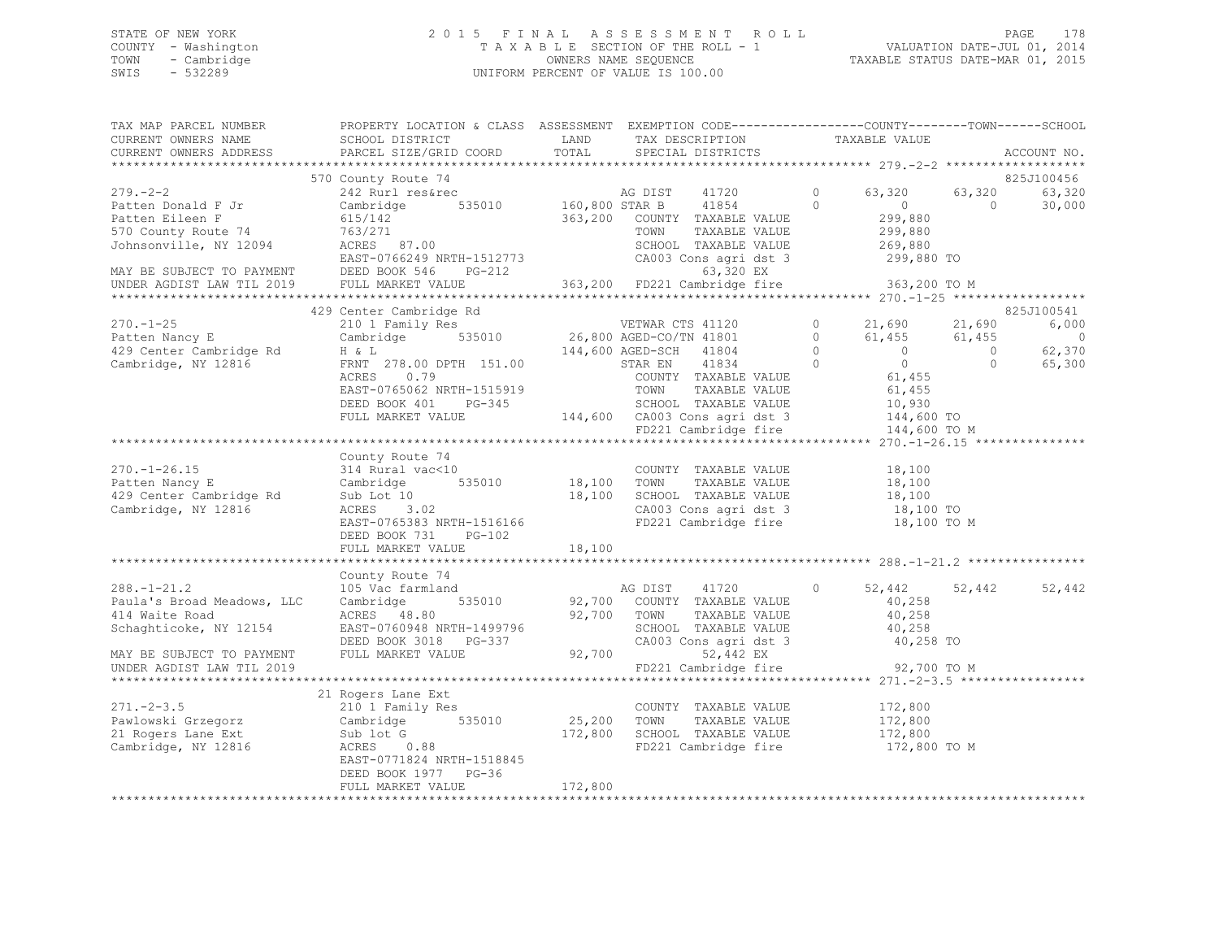## STATE OF NEW YORK 2 0 1 5 F I N A L A S S E S S M E N T R O L L PAGE 178 COUNTY - Washington T A X A B L E SECTION OF THE ROLL - 1 VALUATION DATE-JUL 01, 2014 TOWN - Cambridge OWNERS NAME SEQUENCE TAXABLE STATUS DATE-MAR 01, 2015 SWIS - 532289 UNIFORM PERCENT OF VALUE IS 100.00

|                     | TAX MAP PARCEL NUMBER THE PROPERTY LOCATION & CLASS ASSESSMENT EXEMPTION CODE---------------COUNTY-------TOWN------SCHOOL                                                                                                                                    |         |                                                    |               |             |
|---------------------|--------------------------------------------------------------------------------------------------------------------------------------------------------------------------------------------------------------------------------------------------------------|---------|----------------------------------------------------|---------------|-------------|
| CURRENT OWNERS NAME | SCHOOL DISTRICT LAND                                                                                                                                                                                                                                         |         |                                                    |               |             |
|                     | CURRENT OWNERS ADDRESS PARCEL SIZE/GRID COORD TOTAL                                                                                                                                                                                                          |         | TAX DESCRIPTION TAXABLE VALUE<br>SPECIAL DISTRICTS |               | ACCOUNT NO. |
|                     |                                                                                                                                                                                                                                                              |         |                                                    |               |             |
|                     | 570 County Route 74                                                                                                                                                                                                                                          |         |                                                    |               | 825J100456  |
|                     |                                                                                                                                                                                                                                                              |         |                                                    |               |             |
|                     |                                                                                                                                                                                                                                                              |         |                                                    |               |             |
|                     |                                                                                                                                                                                                                                                              |         |                                                    |               |             |
|                     |                                                                                                                                                                                                                                                              |         |                                                    |               |             |
|                     |                                                                                                                                                                                                                                                              |         |                                                    |               |             |
|                     |                                                                                                                                                                                                                                                              |         |                                                    |               |             |
|                     |                                                                                                                                                                                                                                                              |         |                                                    |               |             |
|                     |                                                                                                                                                                                                                                                              |         |                                                    |               |             |
|                     |                                                                                                                                                                                                                                                              |         |                                                    |               |             |
|                     | 429 Center Cambridge Rd                                                                                                                                                                                                                                      |         |                                                    |               | 825J100541  |
|                     |                                                                                                                                                                                                                                                              |         |                                                    |               |             |
|                     |                                                                                                                                                                                                                                                              |         |                                                    |               |             |
|                     |                                                                                                                                                                                                                                                              |         |                                                    |               |             |
|                     |                                                                                                                                                                                                                                                              |         |                                                    |               |             |
|                     |                                                                                                                                                                                                                                                              |         |                                                    |               |             |
|                     |                                                                                                                                                                                                                                                              |         |                                                    |               |             |
|                     |                                                                                                                                                                                                                                                              |         |                                                    |               |             |
|                     |                                                                                                                                                                                                                                                              |         |                                                    |               |             |
|                     |                                                                                                                                                                                                                                                              |         |                                                    |               |             |
|                     |                                                                                                                                                                                                                                                              |         |                                                    |               |             |
|                     | County Route 74                                                                                                                                                                                                                                              |         |                                                    |               |             |
|                     |                                                                                                                                                                                                                                                              |         |                                                    |               |             |
|                     |                                                                                                                                                                                                                                                              |         |                                                    |               |             |
|                     |                                                                                                                                                                                                                                                              |         |                                                    |               |             |
|                     |                                                                                                                                                                                                                                                              |         |                                                    |               |             |
|                     | 270.-1-26.15<br>Patten Nancy E County Avute (10<br>2314 Rural vac<10<br>2314 Rural vac<10<br>235010<br>235010<br>235010<br>235010<br>235010<br>235010<br>235010<br>235010<br>236.100<br>2370.-1-26.15<br>2370.-1-26.15<br>2370.00000000000000000000000000000 |         |                                                    |               |             |
|                     | DEED BOOK 731 PG-102                                                                                                                                                                                                                                         |         |                                                    |               |             |
|                     |                                                                                                                                                                                                                                                              |         |                                                    |               |             |
|                     |                                                                                                                                                                                                                                                              |         |                                                    |               |             |
|                     | County Route 74                                                                                                                                                                                                                                              |         |                                                    |               |             |
|                     |                                                                                                                                                                                                                                                              |         |                                                    | 52,442 52,442 | 52,442      |
|                     |                                                                                                                                                                                                                                                              |         |                                                    |               |             |
|                     |                                                                                                                                                                                                                                                              |         |                                                    |               |             |
|                     |                                                                                                                                                                                                                                                              |         |                                                    |               |             |
|                     |                                                                                                                                                                                                                                                              |         |                                                    |               |             |
|                     |                                                                                                                                                                                                                                                              |         |                                                    |               |             |
|                     |                                                                                                                                                                                                                                                              |         |                                                    |               |             |
|                     |                                                                                                                                                                                                                                                              |         |                                                    |               |             |
|                     | 21 Rogers Lane Ext                                                                                                                                                                                                                                           |         |                                                    |               |             |
|                     |                                                                                                                                                                                                                                                              |         |                                                    |               |             |
|                     |                                                                                                                                                                                                                                                              |         |                                                    |               |             |
|                     | 21.-2-3.5<br>210 1 Family Res<br>210 1 Family Res<br>210 1 Family Res<br>21 Adverse Cambridge 535010<br>25,200 TOWN TAXABLE VALUE<br>21 Advers 172,800<br>25,200 TOWN TAXABLE VALUE<br>272,800<br>25,200 TOWN TAXABLE VALUE<br>272,800<br>25,200 TOW         |         |                                                    |               |             |
|                     |                                                                                                                                                                                                                                                              |         |                                                    |               |             |
|                     |                                                                                                                                                                                                                                                              |         |                                                    |               |             |
|                     |                                                                                                                                                                                                                                                              |         |                                                    |               |             |
|                     | FULL MARKET VALUE                                                                                                                                                                                                                                            | 172,800 |                                                    |               |             |
|                     |                                                                                                                                                                                                                                                              |         |                                                    |               |             |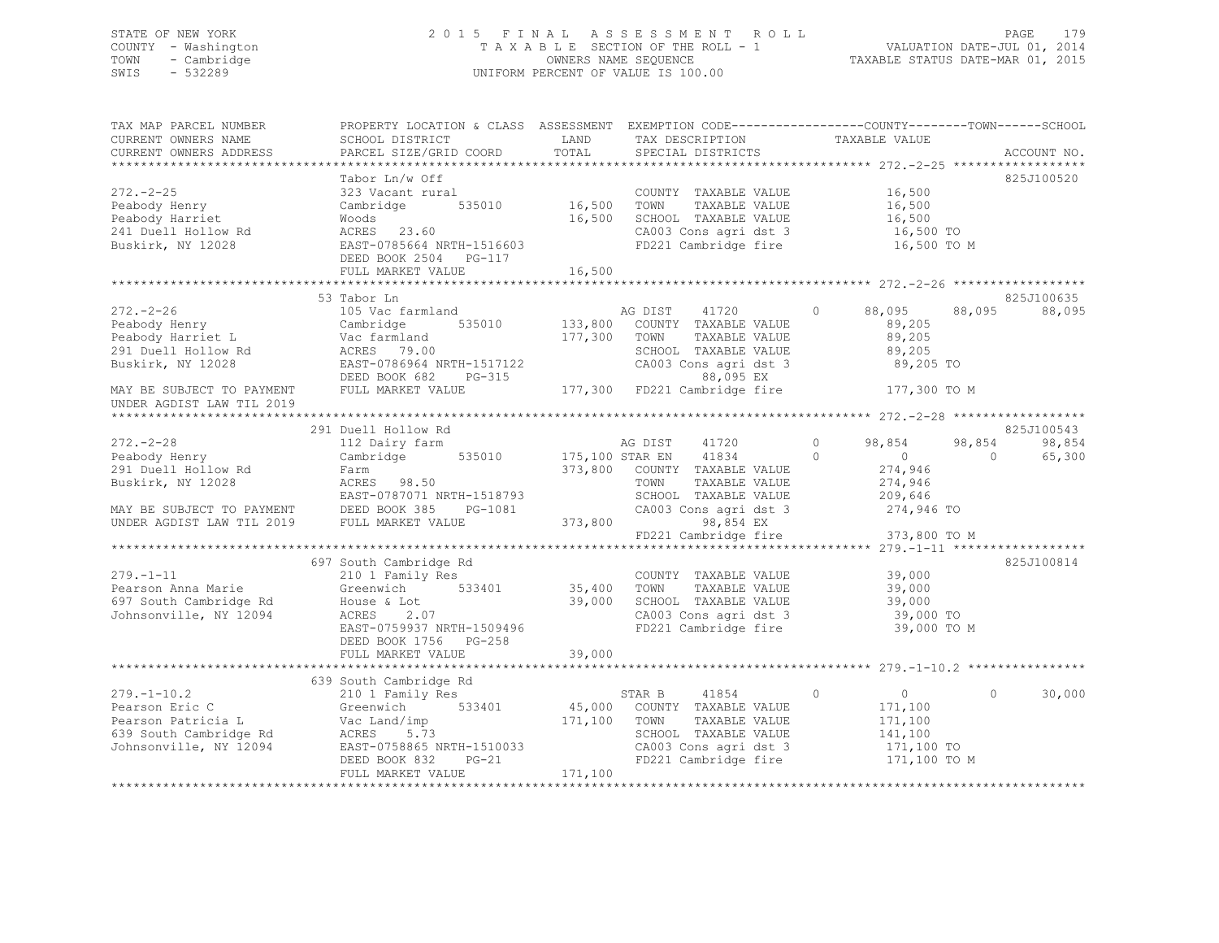## STATE OF NEW YORK 2 0 1 5 F I N A L A S S E S S M E N T R O L L PAGE 179 COUNTY - Washington T A X A B L E SECTION OF THE ROLL - 1 VALUATION DATE-JUL 01, 2014 TOWN - Cambridge OWNERS NAME SEQUENCE TAXABLE STATUS DATE-MAR 01, 2015 SWIS - 532289 UNIFORM PERCENT OF VALUE IS 100.00

| TAX MAP PARCEL NUMBER<br>CURRENT OWNERS NAME<br>CURRENT OWNERS ADDRESS | PROPERTY LOCATION & CLASS ASSESSMENT EXEMPTION CODE---------------COUNTY-------TOWN-----SCHOOL<br>PARCEL SIZE/GRID COORD                                                                                                                                    | TOTAL   | SPECIAL DISTRICTS                                                     | TAXABLE VALUE                                                       | ACCOUNT NO.        |
|------------------------------------------------------------------------|-------------------------------------------------------------------------------------------------------------------------------------------------------------------------------------------------------------------------------------------------------------|---------|-----------------------------------------------------------------------|---------------------------------------------------------------------|--------------------|
|                                                                        |                                                                                                                                                                                                                                                             |         |                                                                       |                                                                     |                    |
| $272 - 2 - 25$                                                         | Tabor Ln/w Off<br>323 Vacant rural                                                                                                                                                                                                                          |         | COUNTY TAXABLE VALUE 16,500                                           |                                                                     | 825J100520         |
|                                                                        | Cambridge 535010 16,500 TOWN                                                                                                                                                                                                                                |         |                                                                       |                                                                     |                    |
|                                                                        |                                                                                                                                                                                                                                                             |         | 16,500 TOWN TAXABLE VALUE<br>16,500 SCHOOL TAXABLE VALUE              | 16,500<br>16,500                                                    |                    |
|                                                                        |                                                                                                                                                                                                                                                             |         |                                                                       | CA003 Cons agri dst 3 16,500 TO<br>FD221 Cambridge fire 16,500 TO M |                    |
|                                                                        | Peabody Henry<br>Peabody Harriet Woods<br>241 Duell Hollow Rd<br>Buskirk, NY 12028<br>23.60<br>23.60<br>23.60<br>23.60<br>23.60<br>23.60<br>23.60<br>23.60<br>23.60<br>23.60<br>23.60<br>23.60<br>23.60<br>23.60<br>23.60<br>23.60<br>DEED BOOK 2504 PG-117 |         |                                                                       |                                                                     |                    |
|                                                                        |                                                                                                                                                                                                                                                             |         |                                                                       |                                                                     |                    |
|                                                                        |                                                                                                                                                                                                                                                             |         |                                                                       |                                                                     |                    |
|                                                                        | 53 Tabor Ln                                                                                                                                                                                                                                                 |         |                                                                       |                                                                     | 825J100635         |
| $272 - 2 - 26$                                                         | 105 Vac farmland                                                                                                                                                                                                                                            |         | AG DIST 41720<br>535010 133,800 COUNTY TAXABLE VALUE                  | 88,095<br>$\circ$<br>89,205                                         | 88,095<br>88,095   |
|                                                                        | Peabody Henry<br>Peabody Harriet L Vac farmland<br>291 Duell Hollow Rd ACRES 79.00<br>Buskirk, NY 12028 EAST-0786964 NRTH-1517122                                                                                                                           |         | 177,300 TOWN<br>TAXABLE VALUE                                         | 89,205                                                              |                    |
|                                                                        |                                                                                                                                                                                                                                                             |         | SCHOOL TAXABLE VALUE                                                  | 89,205                                                              |                    |
|                                                                        |                                                                                                                                                                                                                                                             |         | CA003 Cons agri dst 3                                                 | 89,205 TO                                                           |                    |
|                                                                        | DEED BOOK 682<br>$PG-315$                                                                                                                                                                                                                                   |         |                                                                       |                                                                     |                    |
| MAY BE SUBJECT TO PAYMENT                                              | FULL MARKET VALUE                                                                                                                                                                                                                                           |         |                                                                       | $3-315$<br>315 177,300 FD221 Cambridge fire 177,300 TO M            |                    |
| UNDER AGDIST LAW TIL 2019                                              |                                                                                                                                                                                                                                                             |         |                                                                       |                                                                     |                    |
|                                                                        |                                                                                                                                                                                                                                                             |         |                                                                       |                                                                     |                    |
|                                                                        | 291 Duell Hollow Rd                                                                                                                                                                                                                                         |         |                                                                       |                                                                     | 825J100543         |
| $272 - 2 - 28$                                                         | 112 Dairy farm                                                                                                                                                                                                                                              |         | AG DIST 41720                                                         | $\circ$<br>98,854                                                   | 98,854<br>98,854   |
| Peabody Henry                                                          | Cambridge 535010 175,100 STAR EN                                                                                                                                                                                                                            |         | 41834                                                                 | $\circ$<br>$\overline{0}$<br>$\overline{0}$                         | 65,300             |
|                                                                        |                                                                                                                                                                                                                                                             |         | 373,800 COUNTY TAXABLE VALUE                                          | 274,946                                                             |                    |
|                                                                        |                                                                                                                                                                                                                                                             |         | TAXABLE VALUE                                                         | 274,946                                                             |                    |
|                                                                        |                                                                                                                                                                                                                                                             |         | SCHOOL TAXABLE VALUE                                                  | 209,646                                                             |                    |
|                                                                        |                                                                                                                                                                                                                                                             |         | CA003 Cons agri dst 3<br>98,854 EX                                    | 274,946 TO                                                          |                    |
|                                                                        | 291 Duell Hollow Rd<br>Buskirk, NY 12028 ACRES 98.50 TOWN<br>EAST-0787071 NRTH-1518793 SCHOOL<br>MAY BE SUBJECT TO PAYMENT DEED BOOK 385 PG-1081 CA003<br>UNDER AGDIST LAW TIL 2019 FULL MARKET VALUE 373,800 TOR21                                         |         |                                                                       |                                                                     |                    |
|                                                                        |                                                                                                                                                                                                                                                             |         |                                                                       | FD221 Cambridge fire 373,800 TO M                                   |                    |
|                                                                        |                                                                                                                                                                                                                                                             |         |                                                                       |                                                                     |                    |
| $279. - 1 - 11$                                                        | 697 South Cambridge Rd<br>210 1 Family Res                                                                                                                                                                                                                  |         |                                                                       |                                                                     | 825J100814         |
|                                                                        | Greenwich 533401 35,400 TOWN                                                                                                                                                                                                                                |         | COUNTY TAXABLE VALUE 39,000<br>TOWN TAXABLE VALUE 39,000              |                                                                     |                    |
|                                                                        |                                                                                                                                                                                                                                                             |         |                                                                       |                                                                     |                    |
|                                                                        |                                                                                                                                                                                                                                                             |         |                                                                       |                                                                     |                    |
|                                                                        | Pearson Anna Marie (and Greenwich 1997 South Cambridge Rd 1997 South Cambridge Rd 1998)<br>Tohnsonville, NY 12094 (EAST-0759937 NRTH-1509496 1997 South Cambridge Rd 1997 CAO03 Cons agri dst 3 39,000 TO<br>EAST-0759937 NRTH-150                          |         |                                                                       |                                                                     |                    |
|                                                                        | DEED BOOK 1756 PG-258                                                                                                                                                                                                                                       |         |                                                                       |                                                                     |                    |
|                                                                        |                                                                                                                                                                                                                                                             |         |                                                                       |                                                                     |                    |
|                                                                        |                                                                                                                                                                                                                                                             |         |                                                                       |                                                                     |                    |
|                                                                        | 639 South Cambridge Rd                                                                                                                                                                                                                                      |         |                                                                       |                                                                     |                    |
| $279. - 1 - 10.2$                                                      | South Cambridge Rd<br>210 1 Family Res                                                                                                                                                                                                                      |         | 41854<br>STAR B                                                       | $\overline{0}$<br>$\circ$                                           | 30,000<br>$\Omega$ |
|                                                                        |                                                                                                                                                                                                                                                             |         |                                                                       | 171,100                                                             |                    |
|                                                                        |                                                                                                                                                                                                                                                             |         | 45,000 COUNTY TAXABLE VALUE<br>171,100 TOWN TAXABLE VALUE             | 171,100                                                             |                    |
|                                                                        |                                                                                                                                                                                                                                                             |         | SCHOOL TAXABLE VALUE<br>SCHOOL TAXABLE VALUE<br>CA003 Cons agri dst 3 | 141,100                                                             |                    |
|                                                                        |                                                                                                                                                                                                                                                             |         |                                                                       | 171,100 TO                                                          |                    |
|                                                                        | DEED BOOK 832 PG-21                                                                                                                                                                                                                                         |         | FD221 Cambridge fire                                                  | 171,100 TO M                                                        |                    |
|                                                                        | FULL MARKET VALUE                                                                                                                                                                                                                                           | 171,100 |                                                                       |                                                                     |                    |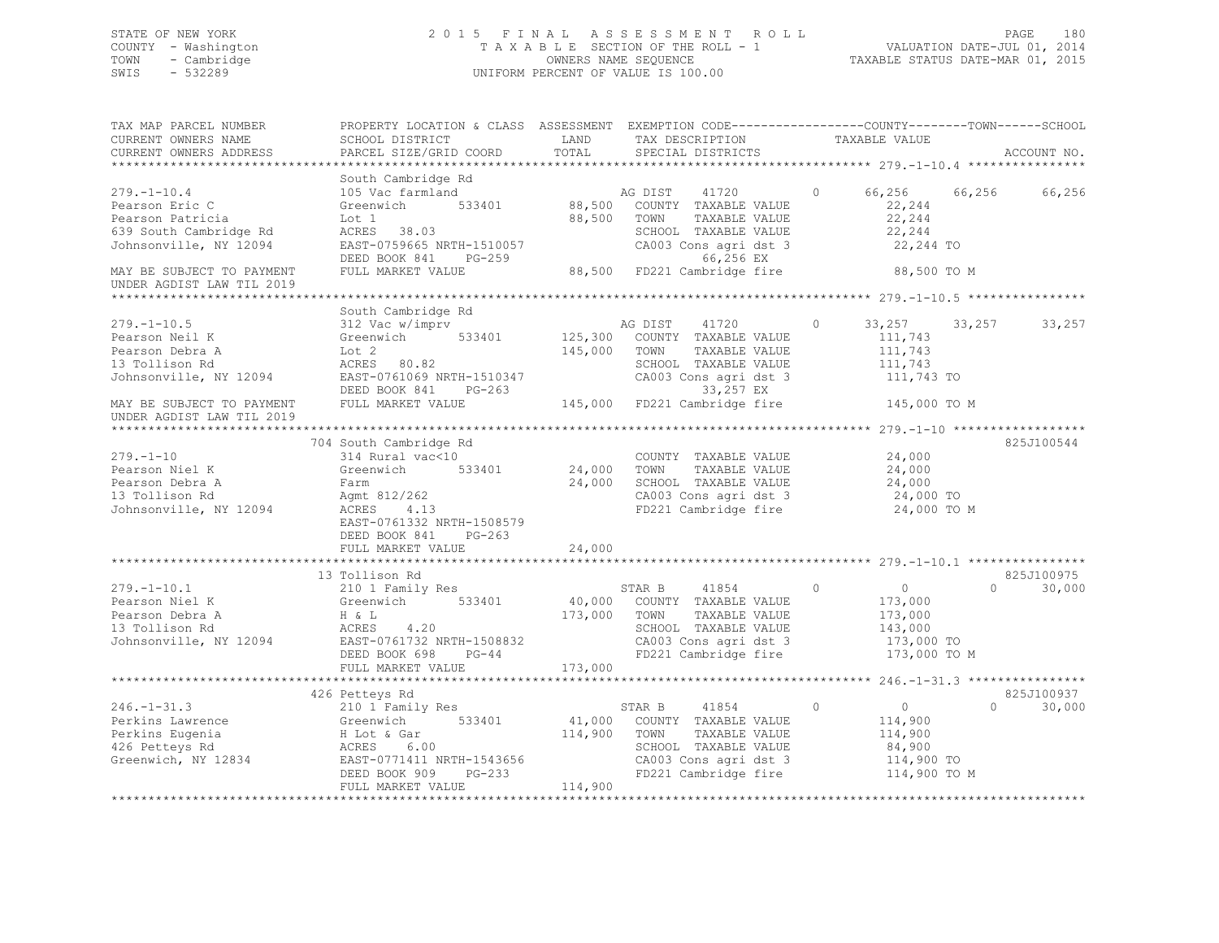## STATE OF NEW YORK 2 0 1 5 F I N A L A S S E S S M E N T R O L L PAGE 180 COUNTY - Washington T A X A B L E SECTION OF THE ROLL - 1 VALUATION DATE-JUL 01, 2014 TOWN - Cambridge OWNERS NAME SEQUENCE TAXABLE STATUS DATE-MAR 01, 2015 SWIS - 532289 UNIFORM PERCENT OF VALUE IS 100.00

| TAX MAP PARCEL NUMBER<br>CURRENT OWNERS NAME                                                                                                      | PROPERTY LOCATION & CLASS ASSESSMENT EXEMPTION CODE-----------------COUNTY-------TOWN-----SCHOOL<br>SCHOOL DISTRICT                                             | LAND               | TAX DESCRIPTION                                                                                                                                                                  | TAXABLE VALUE                                                                             |                         |             |
|---------------------------------------------------------------------------------------------------------------------------------------------------|-----------------------------------------------------------------------------------------------------------------------------------------------------------------|--------------------|----------------------------------------------------------------------------------------------------------------------------------------------------------------------------------|-------------------------------------------------------------------------------------------|-------------------------|-------------|
| CURRENT OWNERS ADDRESS                                                                                                                            | PARCEL SIZE/GRID COORD                                                                                                                                          | TOTAL              | SPECIAL DISTRICTS                                                                                                                                                                |                                                                                           |                         | ACCOUNT NO. |
| $279. - 1 - 10.4$<br>Pearson Eric C<br>Pearson Patricia<br>639 South Cambridge Rd<br>Johnsonville, NY 12094                                       | South Cambridge Rd<br>105 Vac farmland<br>Greenwich 533401<br>Lot 1<br>ACRES 38.03<br>EAST-0759665 NRTH-1510057                                                 | 88,500 TOWN        | AG DIST 41720<br>88,500 COUNTY TAXABLE VALUE<br>TAXABLE VALUE<br>SCHOOL TAXABLE VALUE<br>CA003 Cons agri dst 3                                                                   | $\Omega$<br>22,244<br>22,244<br>22,244<br>22,244 TO                                       | 66,256 66,256           | 66,256      |
| MAY BE SUBJECT TO PAYMENT<br>UNDER AGDIST LAW TIL 2019                                                                                            | DEED BOOK 841 PG-259<br>FULL MARKET VALUE                                                                                                                       |                    | 66,256 EX<br>88,500 FD221 Cambridge fire                                                                                                                                         | 88,500 TO M                                                                               |                         |             |
|                                                                                                                                                   | South Cambridge Rd                                                                                                                                              |                    |                                                                                                                                                                                  |                                                                                           |                         |             |
| $279. - 1 - 10.5$<br>Pearson Neil K<br>Pearson Debra A<br>13 Tollison Rd<br>Johnsonville, NY 12094<br>MAY BE SUBJECT TO PAYMENT FULL MARKET VALUE | 312 Vac w/imprv<br>Greenwich 533401<br>Lot 2<br>ACRES 80.82<br>EAST-0761069 NRTH-1510347<br>DEED BOOK 841<br>$PG-263$                                           | 145,000            | AG DIST 41720<br>125,300 COUNTY TAXABLE VALUE<br>TOWN<br>TAXABLE VALUE<br>SCHOOL TAXABLE VALUE<br>CA003 Cons agri dst 3<br>$26-263$<br>145,000 FD221 Cambridge fire 145,000 TO M | $\circ$<br>111,743<br>111,743<br>111,743<br>$111,743$ TO                                  | 33, 257 33, 257 33, 257 |             |
| UNDER AGDIST LAW TIL 2019                                                                                                                         |                                                                                                                                                                 |                    |                                                                                                                                                                                  |                                                                                           |                         |             |
|                                                                                                                                                   |                                                                                                                                                                 |                    |                                                                                                                                                                                  |                                                                                           |                         |             |
| $279. - 1 - 10$<br>Pearson Niel K<br>Pearson Debra A<br>13 Tollison Rd<br>Johnsonville, NY 12094                                                  | 704 South Cambridge Rd<br>314 Rural vac<10<br>Greenwich<br>533401<br>Farm<br>Agmt 812/262<br>ACRES 4.13<br>EAST-0761332 NRTH-1508579<br>DEED BOOK 841<br>PG-263 | 24,000<br>24,000   | COUNTY TAXABLE VALUE<br>TAXABLE VALUE<br>TOWN<br>SCHOOL TAXABLE VALUE<br>CA003 Cons agri dst 3<br>FD221 Cambridge fire                                                           | 24,000<br>24,000<br>24,000<br>24,000 TO<br>24,000 TO M                                    |                         | 825J100544  |
|                                                                                                                                                   | FULL MARKET VALUE                                                                                                                                               | 24,000             |                                                                                                                                                                                  |                                                                                           |                         |             |
|                                                                                                                                                   | 13 Tollison Rd                                                                                                                                                  |                    |                                                                                                                                                                                  |                                                                                           |                         | 825J100975  |
| $279. - 1 - 10.1$<br>Pearson Niel K<br>Pearson Debra A<br>13 Tollison Rd<br>Johnsonville, NY 12094<br>EAST-0761732 NRTH-1508832                   | 210 1 Family Res<br>Greenwich 533401<br>DEED BOOK 698 PG-44<br>FULL MARKET VALUE                                                                                | 173,000<br>173,000 | 41854<br>STAR B<br>40,000 COUNTY TAXABLE VALUE<br>TOWN<br>TAXABLE VALUE<br>SCHOOL TAXABLE VALUE<br>CA003 Cons agri dst 3<br>FD221 Cambridge fire                                 | $\Omega$<br>$\overline{0}$<br>173,000<br>173,000<br>143,000<br>173,000 TO<br>173,000 TO M | $\Omega$                | 30,000      |
|                                                                                                                                                   |                                                                                                                                                                 |                    |                                                                                                                                                                                  |                                                                                           |                         |             |
|                                                                                                                                                   | 426 Petteys Rd                                                                                                                                                  |                    |                                                                                                                                                                                  |                                                                                           |                         | 825J100937  |
| $246. - 1 - 31.3$<br>Perkins Lawrence<br>Perkins Eugenia<br>426 Petteys Rd<br>Greenwich, NY 12834 EAST-0771411 NRTH-1543656                       | 210 1 Family Res<br>Greenwich 533401<br>Greenwich<br>H Lot & Gar<br>ACRES 6.00<br>PG-233<br>DEED BOOK 909<br>FULL MARKET VALUE                                  | 114,900<br>114,900 | 41854<br>STAR B<br>41,000 COUNTY TAXABLE VALUE<br>TOWN<br>TAXABLE VALUE<br>SCHOOL TAXABLE VALUE<br>CA003 Cons agri dst 3<br>FD221 Cambridge fire                                 | $\circ$<br>$\overline{0}$<br>114,900<br>114,900<br>84,900<br>114,900 TO<br>114,900 TO M   | $\Omega$                | 30,000      |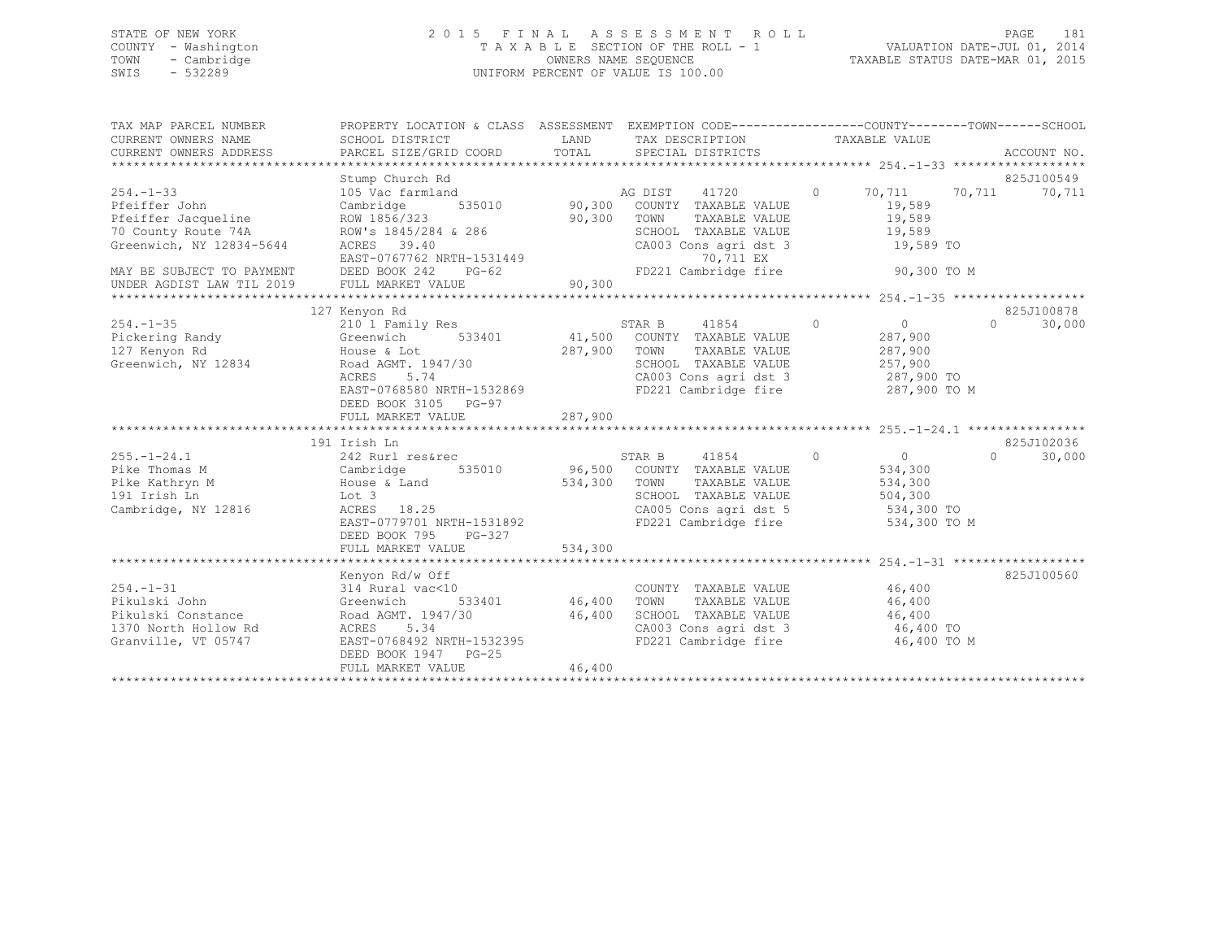## STATE OF NEW YORK 2 0 1 5 F I N A L A S S E S S M E N T R O L L PAGE 181 COUNTY - Washington T A X A B L E SECTION OF THE ROLL - 1 VALUATION DATE-JUL 01, 2014 TOWN - Cambridge OWNERS NAME SEQUENCE TAXABLE STATUS DATE-MAR 01, 2015 SWIS - 532289 UNIFORM PERCENT OF VALUE IS 100.00

| TAX MAP PARCEL NUMBER<br>CURRENT OWNERS NAME<br>CURRENT OWNERS ADDRESS                                                                  | PROPERTY LOCATION & CLASS ASSESSMENT EXEMPTION CODE---------------COUNTY-------TOWN-----SCHOOL<br>SCHOOL DISTRICT<br>PARCEL SIZE/GRID COORD                          | LAND<br>TOTAL      | TAX DESCRIPTION<br>SPECIAL DISTRICTS                                                                                                                                         |         | TAXABLE VALUE                                                                 |          | ACCOUNT NO.          |
|-----------------------------------------------------------------------------------------------------------------------------------------|----------------------------------------------------------------------------------------------------------------------------------------------------------------------|--------------------|------------------------------------------------------------------------------------------------------------------------------------------------------------------------------|---------|-------------------------------------------------------------------------------|----------|----------------------|
|                                                                                                                                         | Stump Church Rd                                                                                                                                                      |                    |                                                                                                                                                                              |         |                                                                               |          | 825J100549           |
| $254. - 1 - 33$<br>Pfeiffer John<br>Pfeiffer Jacqueline<br>70 County Route 74A<br>Greenwich, NY 12834-5644<br>MAY BE SUBJECT TO PAYMENT | 105 Vac farmland<br>535010<br>Cambridge<br>ROW 1856/323<br>ROW's 1845/284 & 286<br>ACRES 39.40<br>EAST-0767762 NRTH-1531449<br>DEED BOOK 242<br>$PG-62$              | 90,300             | AG DIST 41720<br>AG DIST 41720<br>90,300 COUNTY TAXABLE VALUE<br>TOWN<br>TAXABLE VALUE<br>SCHOOL TAXABLE VALUE<br>CA003 Cons agri dst 3<br>70,711 EX<br>FD221 Cambridge fire | $\circ$ | 70,711<br>19,589<br>19,589<br>19,589<br>19,589 TO<br>90,300 TO M              | 70,711   | 70,711               |
| UNDER AGDIST LAW TIL 2019                                                                                                               | FULL MARKET VALUE                                                                                                                                                    | 90,300             |                                                                                                                                                                              |         |                                                                               |          |                      |
|                                                                                                                                         |                                                                                                                                                                      |                    |                                                                                                                                                                              |         |                                                                               |          |                      |
|                                                                                                                                         | 127 Kenyon Rd                                                                                                                                                        |                    |                                                                                                                                                                              |         |                                                                               |          | 825J100878           |
| $254. - 1 - 35$<br>Pickering Randy<br>127 Kenyon Rd<br>Greenwich, NY 12834                                                              | 210 1 Family Res<br>533401<br>Greenwich<br>House & Lot<br>Road AGMT. 1947/30<br>5.74<br>ACRES<br>EAST-0768580 NRTH-1532869<br>DEED BOOK 3105 PG-97                   | 41,500<br>287,900  | STAR B<br>41854<br>$\sim$ 0<br>COUNTY TAXABLE VALUE<br>TOWN<br>TAXABLE VALUE<br>SCHOOL TAXABLE VALUE<br>CA003 Cons agri dst 3 287,900 TO<br>FD221 Cambridge fire             |         | $\overline{0}$<br>287,900<br>287,900<br>257,900<br>287,900 TO M               | $\Omega$ | 30,000               |
|                                                                                                                                         | FULL MARKET VALUE                                                                                                                                                    | 287,900            |                                                                                                                                                                              |         |                                                                               |          |                      |
|                                                                                                                                         |                                                                                                                                                                      |                    |                                                                                                                                                                              |         |                                                                               |          |                      |
| $255. - 1 - 24.1$<br>Pike Thomas M<br>Pike Kathryn M<br>191 Irish Ln<br>Cambridge, NY 12816                                             | 191 Irish Ln<br>242 Rurl res&rec<br>Cambridge<br>House & Land<br>Lot 3<br>ACRES 18.25<br>EAST-0779701 NRTH-1531892<br>$PG-327$<br>DEED BOOK 795<br>FULL MARKET VALUE | 534,300<br>534,300 | STAR B 41854<br>$\sim$ 0<br>535010 96,500 COUNTY TAXABLE VALUE<br>TOWN<br>TAXABLE VALUE<br>SCHOOL TAXABLE VALUE<br>CA005 Cons agri dst 5<br>FD221 Cambridge fire             |         | $\overline{0}$<br>534,300<br>534,300<br>504,300<br>534,300 TO<br>534,300 TO M | $\cap$   | 825J102036<br>30,000 |
|                                                                                                                                         |                                                                                                                                                                      |                    |                                                                                                                                                                              |         |                                                                               |          |                      |
| $254. - 1 - 31$<br>Pikulski John<br>Pikulski Constance<br>1370 North Hollow Rd<br>Granville, VT 05747                                   | Kenyon Rd/w Off<br>314 Rural vac<10<br>Greenwich<br>533401<br>Road AGMT. 1947/30<br>ACRES 5.34<br>EAST-0768492 NRTH-1532395<br>DEED BOOK 1947 PG-25                  | 46,400<br>46,400   | COUNTY TAXABLE VALUE<br>TOWN<br>TAXABLE VALUE<br>SCHOOL TAXABLE VALUE 46,400<br>CA003 Cons agri dst 3 46,400 TO<br>FD221 Cambridge fire                                      |         | 46,400<br>46,400<br>46,400 TO M                                               |          | 825J100560           |
|                                                                                                                                         | FULL MARKET VALUE                                                                                                                                                    | 46,400             |                                                                                                                                                                              |         |                                                                               |          |                      |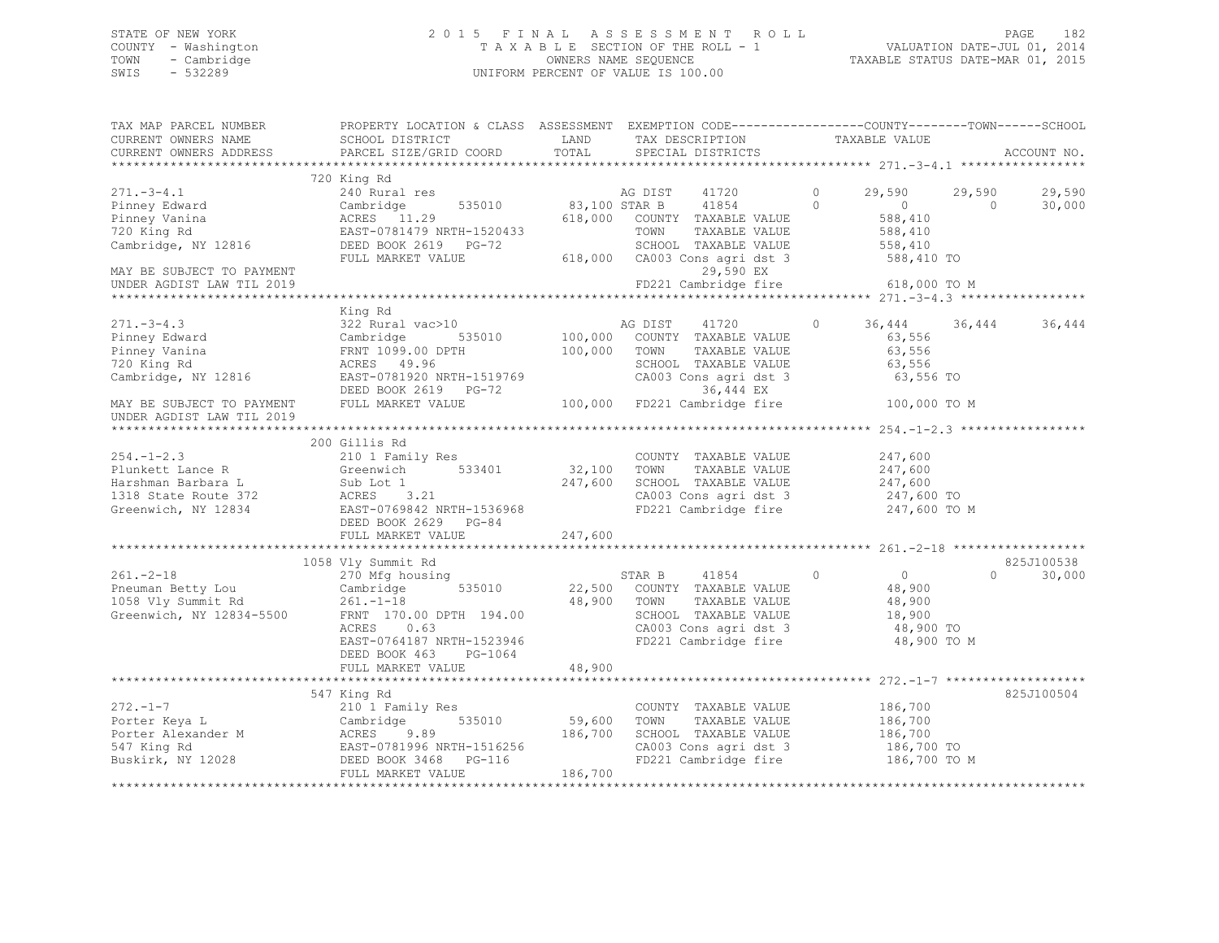## STATE OF NEW YORK 2 0 1 5 F I N A L A S S E S S M E N T R O L L PAGE 182 COUNTY - Washington T A X A B L E SECTION OF THE ROLL - 1 VALUATION DATE-JUL 01, 2014 TOWN - Cambridge OWNERS NAME SEQUENCE TAXABLE STATUS DATE-MAR 01, 2015 SWIS - 532289 UNIFORM PERCENT OF VALUE IS 100.00

| TAX MAP PARCEL NUMBER<br>CURRENT OWNERS NAME<br>CURRENT OWNERS ADDRESS | PROPERTY LOCATION & CLASS ASSESSMENT EXEMPTION CODE----------------COUNTY-------TOWN-----SCHOOL<br>SCHOOL DISTRICT<br>PARCEL SIZE/GRID COORD | LAND<br>TOTAL | TAX DESCRIPTION TAXABLE VALUE<br>SPECIAL DISTRICTS     |                     |                                                           | ACCOUNT NO.      |
|------------------------------------------------------------------------|----------------------------------------------------------------------------------------------------------------------------------------------|---------------|--------------------------------------------------------|---------------------|-----------------------------------------------------------|------------------|
|                                                                        | 720 King Rd                                                                                                                                  |               |                                                        |                     |                                                           |                  |
| $271 - 3 - 4.1$<br>Pinney Edward<br>Pinney Vanina                      | 240 Rural res<br>535010<br>Cambridge<br>ACRES 11.29                                                                                          | 83,100 STAR B | AG DIST 41720<br>41854<br>618,000 COUNTY TAXABLE VALUE | $\circ$<br>$\Omega$ | 29,590<br>29,590<br>$\overline{0}$<br>$\Omega$<br>588,410 | 29,590<br>30,000 |
| 720 King Rd<br>Cambridge, NY 12816                                     | EAST-0781479 NRTH-1520433<br>DEED BOOK 2619 PG-72<br>FULL MARKET VALUE                                                                       |               | TAXABLE VALUE<br>TOWN<br>SCHOOL TAXABLE VALUE          |                     | 588,410<br>558,410<br>588,410 TO                          |                  |
| MAY BE SUBJECT TO PAYMENT                                              |                                                                                                                                              |               | 618,000 CA003 Cons agri dst 3<br>29,590 EX             |                     |                                                           |                  |
| UNDER AGDIST LAW TIL 2019                                              |                                                                                                                                              |               | FD221 Cambridge fire                                   |                     | 618,000 TO M                                              |                  |
|                                                                        | King Rd                                                                                                                                      |               |                                                        |                     |                                                           |                  |
| $271 - 3 - 4.3$                                                        | 322 Rural vac>10                                                                                                                             |               | AG DIST<br>41720                                       | $\Omega$            | 36,444<br>36,444                                          | 36,444           |
| Pinney Edward                                                          | Cambridge<br>535010                                                                                                                          | 100,000       | COUNTY TAXABLE VALUE                                   |                     | 63,556                                                    |                  |
| Pinney Vanina                                                          | FRNT 1099.00 DPTH                                                                                                                            | 100,000       | TOWN<br>TAXABLE VALUE                                  |                     | 63,556                                                    |                  |
| 720 King Rd                                                            | ACRES 49.96                                                                                                                                  |               | SCHOOL TAXABLE VALUE<br>CA003 Cons agri dst 3          |                     | 63,556                                                    |                  |
| Cambridge, NY 12816                                                    | EAST-0781920 NRTH-1519769<br>DEED BOOK 2619 PG-72                                                                                            |               | 36,444 EX                                              |                     | 63,556 TO                                                 |                  |
| MAY BE SUBJECT TO PAYMENT<br>UNDER AGDIST LAW TIL 2019                 | FULL MARKET VALUE                                                                                                                            |               | 100,000 FD221 Cambridge fire                           |                     | 100,000 TO M                                              |                  |
|                                                                        |                                                                                                                                              |               |                                                        |                     |                                                           |                  |
|                                                                        | 200 Gillis Rd                                                                                                                                |               |                                                        |                     |                                                           |                  |
| $254. -1 - 2.3$                                                        | 210 1 Family Res                                                                                                                             |               | COUNTY TAXABLE VALUE                                   |                     | 247,600                                                   |                  |
| Plunkett Lance R                                                       | 533401<br>Greenwich                                                                                                                          | 32,100        | TAXABLE VALUE<br>TOWN                                  |                     | 247,600                                                   |                  |
| Harshman Barbara L                                                     | Sub Lot 1                                                                                                                                    | 247,600       | SCHOOL TAXABLE VALUE                                   |                     | 247,600                                                   |                  |
|                                                                        |                                                                                                                                              |               | CA003 Cons agri dst 3                                  |                     | 247,600 TO                                                |                  |
| Greenwich, NY 12834                                                    | EAST-0769842 NRTH-1536968<br>DEED BOOK 2629 PG-84                                                                                            |               | FD221 Cambridge fire                                   |                     | 247,600 TO M                                              |                  |
|                                                                        |                                                                                                                                              |               |                                                        |                     |                                                           |                  |
|                                                                        |                                                                                                                                              |               |                                                        |                     |                                                           |                  |
|                                                                        | 1058 Vly Summit Rd                                                                                                                           |               |                                                        |                     |                                                           | 825J100538       |
| $261. - 2 - 18$                                                        | 270 Mfg housing                                                                                                                              |               | 41854<br>STAR B                                        | $\circ$             | $\overline{0}$<br>$\Omega$                                | 30,000           |
| Pheuman Betty Lou<br>1058 Vly Summit Rd                                | Cambridge<br>535010                                                                                                                          |               | 22,500 COUNTY TAXABLE VALUE                            |                     | 48,900                                                    |                  |
|                                                                        | $261. - 1 - 18$                                                                                                                              | 48,900        | TOWN<br>TAXABLE VALUE                                  |                     | 48,900                                                    |                  |
| Greenwich, NY 12834-5500                                               | FRNT 170.00 DPTH 194.00                                                                                                                      |               | SCHOOL TAXABLE VALUE                                   |                     | 18,900                                                    |                  |
|                                                                        | ACRES<br>0.63                                                                                                                                |               | CA003 Cons agri dst 3<br>FD221 Cambridge fire          |                     | 48,900 TO                                                 |                  |
|                                                                        | EAST-0764187 NRTH-1523946                                                                                                                    |               |                                                        |                     | 48,900 TO M                                               |                  |
|                                                                        | DEED BOOK 463 PG-1064                                                                                                                        |               |                                                        |                     |                                                           |                  |
|                                                                        | FULL MARKET VALUE                                                                                                                            | 48,900        |                                                        |                     |                                                           |                  |
|                                                                        |                                                                                                                                              |               |                                                        |                     |                                                           |                  |
|                                                                        | 547 King Rd                                                                                                                                  |               |                                                        |                     |                                                           | 825J100504       |
| $272 - 1 - 7$                                                          | 210 1 Family Res                                                                                                                             |               | COUNTY TAXABLE VALUE                                   |                     | 186,700                                                   |                  |
| Porter Keya L                                                          | Cambridge                                                                                                                                    | 535010 59,600 | TOWN<br>TAXABLE VALUE                                  |                     | 186,700                                                   |                  |
| -<br>Porter Alexander M<br>547 King Rd                                 | ACRES 9.89                                                                                                                                   | 186,700       | SCHOOL TAXABLE VALUE                                   |                     | 186,700                                                   |                  |
|                                                                        | EAST-0781996 NRTH-1516256                                                                                                                    |               | CA003 Cons agri dst 3                                  |                     | 186,700 TO                                                |                  |
| Buskirk, NY 12028                                                      | DEED BOOK 3468 PG-116                                                                                                                        |               | FD221 Cambridge fire                                   |                     | 186,700 TO M                                              |                  |
|                                                                        | FULL MARKET VALUE                                                                                                                            | 186,700       |                                                        |                     |                                                           |                  |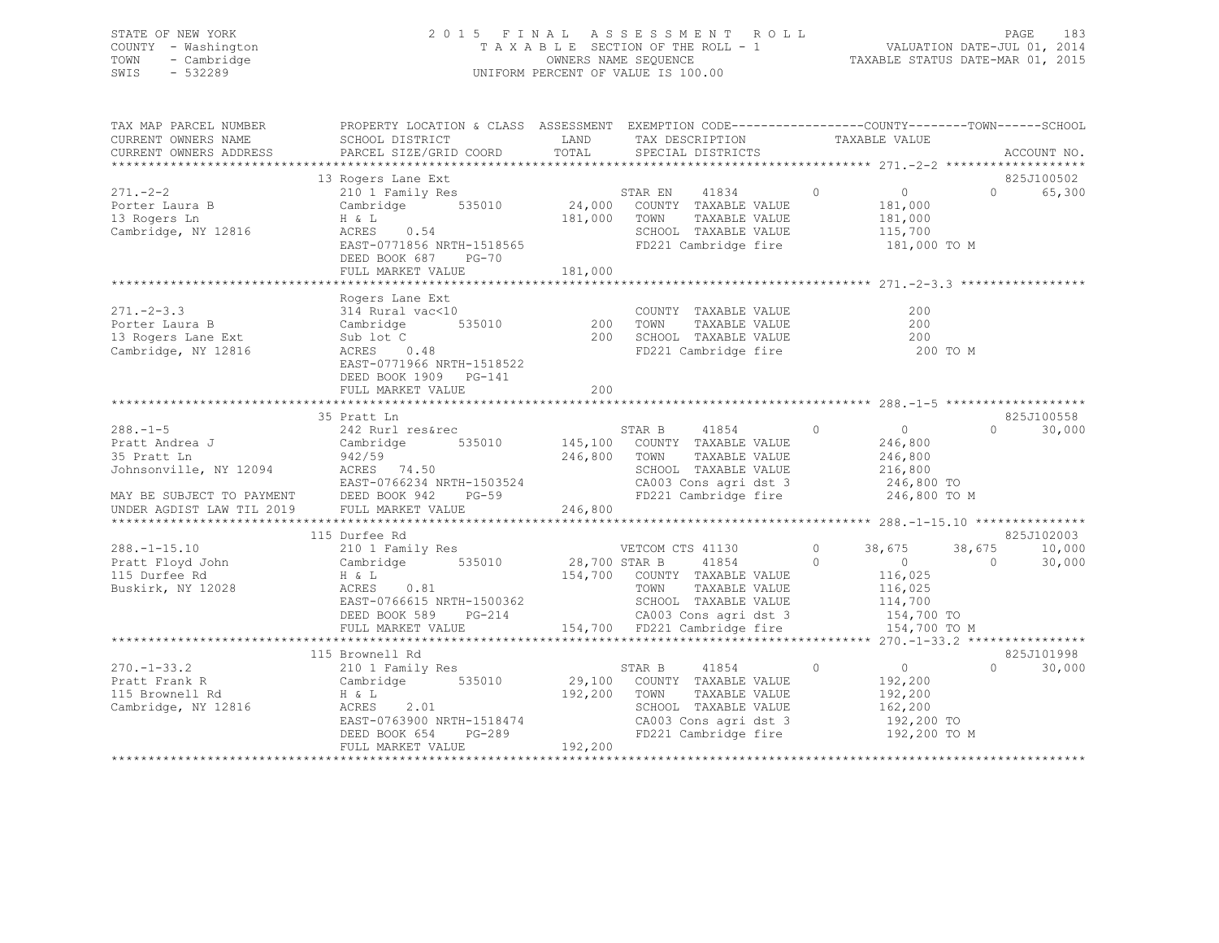## STATE OF NEW YORK 2 0 1 5 F I N A L A S S E S S M E N T R O L L PAGE 183 COUNTY - Washington T A X A B L E SECTION OF THE ROLL - 1 VALUATION DATE-JUL 01, 2014 TOWN - Cambridge OWNERS NAME SEQUENCE TAXABLE STATUS DATE-MAR 01, 2015 SWIS - 532289 UNIFORM PERCENT OF VALUE IS 100.00

| TAX MAP PARCEL NUMBER<br>CURRENT OWNERS NAME<br>CURRENT OWNERS ADDRESS | PROPERTY LOCATION & CLASS ASSESSMENT EXEMPTION CODE---------------COUNTY-------TOWN-----SCHOOL<br>SCHOOL DISTRICT<br>PARCEL SIZE/GRID COORD                                                                                 | TOTAL        | LAND TAX DESCRIPTION<br>SPECIAL DISTRICTS                             | TAXABLE VALUE                                                                                                                                                                                                                                                                                                                    | ACCOUNT NO.                 |
|------------------------------------------------------------------------|-----------------------------------------------------------------------------------------------------------------------------------------------------------------------------------------------------------------------------|--------------|-----------------------------------------------------------------------|----------------------------------------------------------------------------------------------------------------------------------------------------------------------------------------------------------------------------------------------------------------------------------------------------------------------------------|-----------------------------|
|                                                                        |                                                                                                                                                                                                                             |              |                                                                       |                                                                                                                                                                                                                                                                                                                                  |                             |
|                                                                        | 13 Rogers Lane Ext<br>13 Rogers Lane Ext<br>210 1 Family Res<br>Cambridge 535010 24,000 COUNTY TAXABLE VALUE                                                                                                                |              |                                                                       |                                                                                                                                                                                                                                                                                                                                  | 825J100502                  |
| $271 - -2 - 2$                                                         |                                                                                                                                                                                                                             |              |                                                                       | $\overline{0}$                                                                                                                                                                                                                                                                                                                   | 65,300<br>$\Omega$          |
| Porter Laura B                                                         |                                                                                                                                                                                                                             |              |                                                                       | 181,000                                                                                                                                                                                                                                                                                                                          |                             |
| 13 Rogers Ln<br>Cambridge, NY 12816                                    | H & L<br>ACRES 0.54                                                                                                                                                                                                         |              | 181,000 TOWN TAXABLE VALUE                                            | 181,000                                                                                                                                                                                                                                                                                                                          |                             |
|                                                                        | ACRES 0.54<br>EAST-0771856 NRTH-1518565 - FD221 Cambridge fire                                                                                                                                                              |              | SCHOOL TAXABLE VALUE 115,700                                          | 181,000 TO M                                                                                                                                                                                                                                                                                                                     |                             |
|                                                                        | DEED BOOK 687<br>PG-70                                                                                                                                                                                                      |              |                                                                       |                                                                                                                                                                                                                                                                                                                                  |                             |
|                                                                        | FULL MARKET VALUE                                                                                                                                                                                                           | 181,000      |                                                                       |                                                                                                                                                                                                                                                                                                                                  |                             |
|                                                                        |                                                                                                                                                                                                                             |              |                                                                       |                                                                                                                                                                                                                                                                                                                                  |                             |
|                                                                        |                                                                                                                                                                                                                             |              |                                                                       |                                                                                                                                                                                                                                                                                                                                  |                             |
|                                                                        |                                                                                                                                                                                                                             |              |                                                                       | 200                                                                                                                                                                                                                                                                                                                              |                             |
|                                                                        |                                                                                                                                                                                                                             |              |                                                                       | 200                                                                                                                                                                                                                                                                                                                              |                             |
|                                                                        |                                                                                                                                                                                                                             |              |                                                                       | 200                                                                                                                                                                                                                                                                                                                              |                             |
|                                                                        |                                                                                                                                                                                                                             |              |                                                                       | 200 TO M                                                                                                                                                                                                                                                                                                                         |                             |
|                                                                        | EAST-0771966 NRTH-1518522                                                                                                                                                                                                   |              |                                                                       |                                                                                                                                                                                                                                                                                                                                  |                             |
|                                                                        | DEED BOOK 1909 PG-141                                                                                                                                                                                                       |              |                                                                       |                                                                                                                                                                                                                                                                                                                                  |                             |
|                                                                        | FULL MARKET VALUE                                                                                                                                                                                                           | $200 -$      |                                                                       |                                                                                                                                                                                                                                                                                                                                  |                             |
|                                                                        | 35 Pratt Ln                                                                                                                                                                                                                 |              |                                                                       |                                                                                                                                                                                                                                                                                                                                  | 825J100558                  |
| $288. -1 - 5$                                                          |                                                                                                                                                                                                                             |              | STAR B 41854 0                                                        | $\overline{0}$                                                                                                                                                                                                                                                                                                                   | $\Omega$<br>30,000          |
| Pratt Andrea J<br>Pratt Andrea J<br>Primatt Ln                         | 242 Rurl res&rec<br>Cambridge 535010                                                                                                                                                                                        |              | STAR B 41854 0<br>145,100 COUNTY TAXABLE VALUE                        | 246,800                                                                                                                                                                                                                                                                                                                          |                             |
|                                                                        |                                                                                                                                                                                                                             | 246,800 TOWN | TAXABLE VALUE                                                         | 246,800                                                                                                                                                                                                                                                                                                                          |                             |
|                                                                        |                                                                                                                                                                                                                             |              | SCHOOL TAXABLE VALUE                                                  | 216,800                                                                                                                                                                                                                                                                                                                          |                             |
|                                                                        |                                                                                                                                                                                                                             |              | CA003 Cons agri dst 3 246,800 TO                                      |                                                                                                                                                                                                                                                                                                                                  |                             |
|                                                                        |                                                                                                                                                                                                                             |              | FD221 Cambridge fire                                                  | 246,800 TO M                                                                                                                                                                                                                                                                                                                     |                             |
|                                                                        |                                                                                                                                                                                                                             | 246,800      |                                                                       |                                                                                                                                                                                                                                                                                                                                  |                             |
|                                                                        |                                                                                                                                                                                                                             |              |                                                                       |                                                                                                                                                                                                                                                                                                                                  |                             |
|                                                                        | 115 Durfee Rd                                                                                                                                                                                                               |              |                                                                       |                                                                                                                                                                                                                                                                                                                                  | 825J102003                  |
| $288. - 1 - 15.10$                                                     | 210 1 Family Res                                                                                                                                                                                                            |              | VETCOM CTS 41130                                                      | $\circ$<br>38,675                                                                                                                                                                                                                                                                                                                | 10,000<br>38,675            |
| Pratt Floyd John                                                       | Cambridge 535010 28,700 STAR B 41854 0                                                                                                                                                                                      |              |                                                                       | $\sim$ 0                                                                                                                                                                                                                                                                                                                         | $\bigcirc$<br>30,000        |
| 115 Durfee Rd                                                          | H & L                                                                                                                                                                                                                       |              | 154,700 COUNTY TAXABLE VALUE<br>TOWN TAXABLE VALUE                    | 116,025<br>116,025                                                                                                                                                                                                                                                                                                               |                             |
| Buskirk, NY 12028                                                      | ACRES 0.81                                                                                                                                                                                                                  |              |                                                                       |                                                                                                                                                                                                                                                                                                                                  |                             |
|                                                                        | EAST-0766615 NRTH-1500362<br>DEED BOOK 589 PG-214 CA003 Cons agri dst 3                                                                                                                                                     |              |                                                                       | 114,700<br>154,700 TO                                                                                                                                                                                                                                                                                                            |                             |
|                                                                        |                                                                                                                                                                                                                             |              |                                                                       |                                                                                                                                                                                                                                                                                                                                  |                             |
|                                                                        | سے سے بعد کے اس کے اس کے اس کے اس کے اس کے اس کے اس کے اس کے اس کے اس کے اس کے اس کے اس کے اس کے اس کے اس کے ا<br>FULL MARKET VALUE 154,700 FD221 Cambridge fire 154,700 TO M کی بین 154,700 FULL HARKET VALUE 154,700 TO M |              |                                                                       |                                                                                                                                                                                                                                                                                                                                  |                             |
|                                                                        | 115 Brownell Rd                                                                                                                                                                                                             |              |                                                                       |                                                                                                                                                                                                                                                                                                                                  | 825J101998                  |
| $270. - 1 - 33.2$                                                      | 210 1 Family Res                                                                                                                                                                                                            |              | 41854<br>STAR B                                                       | $\begin{matrix} 0 & 0 & 0 \\ 0 & 0 & 0 \\ 0 & 0 & 0 \\ 0 & 0 & 0 \\ 0 & 0 & 0 \\ 0 & 0 & 0 \\ 0 & 0 & 0 \\ 0 & 0 & 0 \\ 0 & 0 & 0 \\ 0 & 0 & 0 & 0 \\ 0 & 0 & 0 & 0 \\ 0 & 0 & 0 & 0 \\ 0 & 0 & 0 & 0 \\ 0 & 0 & 0 & 0 & 0 \\ 0 & 0 & 0 & 0 & 0 \\ 0 & 0 & 0 & 0 & 0 \\ 0 & 0 & 0 & 0 & 0 & 0 \\ 0 & 0 & 0 & 0 & 0 & 0 \\ 0 & 0$ | $0 \qquad \qquad$<br>30,000 |
| Pratt Frank R                                                          | Cambridge 535010                                                                                                                                                                                                            |              | 29,100 COUNTY TAXABLE VALUE                                           | 192,200                                                                                                                                                                                                                                                                                                                          |                             |
| 115 Brownell Rd                                                        | H & L                                                                                                                                                                                                                       | 192,200 TOWN | TAXABLE VALUE                                                         | 192,200                                                                                                                                                                                                                                                                                                                          |                             |
| Cambridge, NY 12816                                                    | ACRES<br>2.01                                                                                                                                                                                                               |              | SCHOOL TAXABLE VALUE 162,200                                          |                                                                                                                                                                                                                                                                                                                                  |                             |
|                                                                        |                                                                                                                                                                                                                             |              | CA003 Cons agri dst 3 192,200 TO<br>FD221 Cambridge fire 192,200 TO M |                                                                                                                                                                                                                                                                                                                                  |                             |
|                                                                        | ACRES 2.01<br>EAST-0763900 NRTH-1518474<br>DEED BOOK 654 PG-289<br>FULL MARKET VALUE 192,200                                                                                                                                |              |                                                                       |                                                                                                                                                                                                                                                                                                                                  |                             |
|                                                                        |                                                                                                                                                                                                                             |              |                                                                       |                                                                                                                                                                                                                                                                                                                                  |                             |
|                                                                        |                                                                                                                                                                                                                             |              |                                                                       |                                                                                                                                                                                                                                                                                                                                  |                             |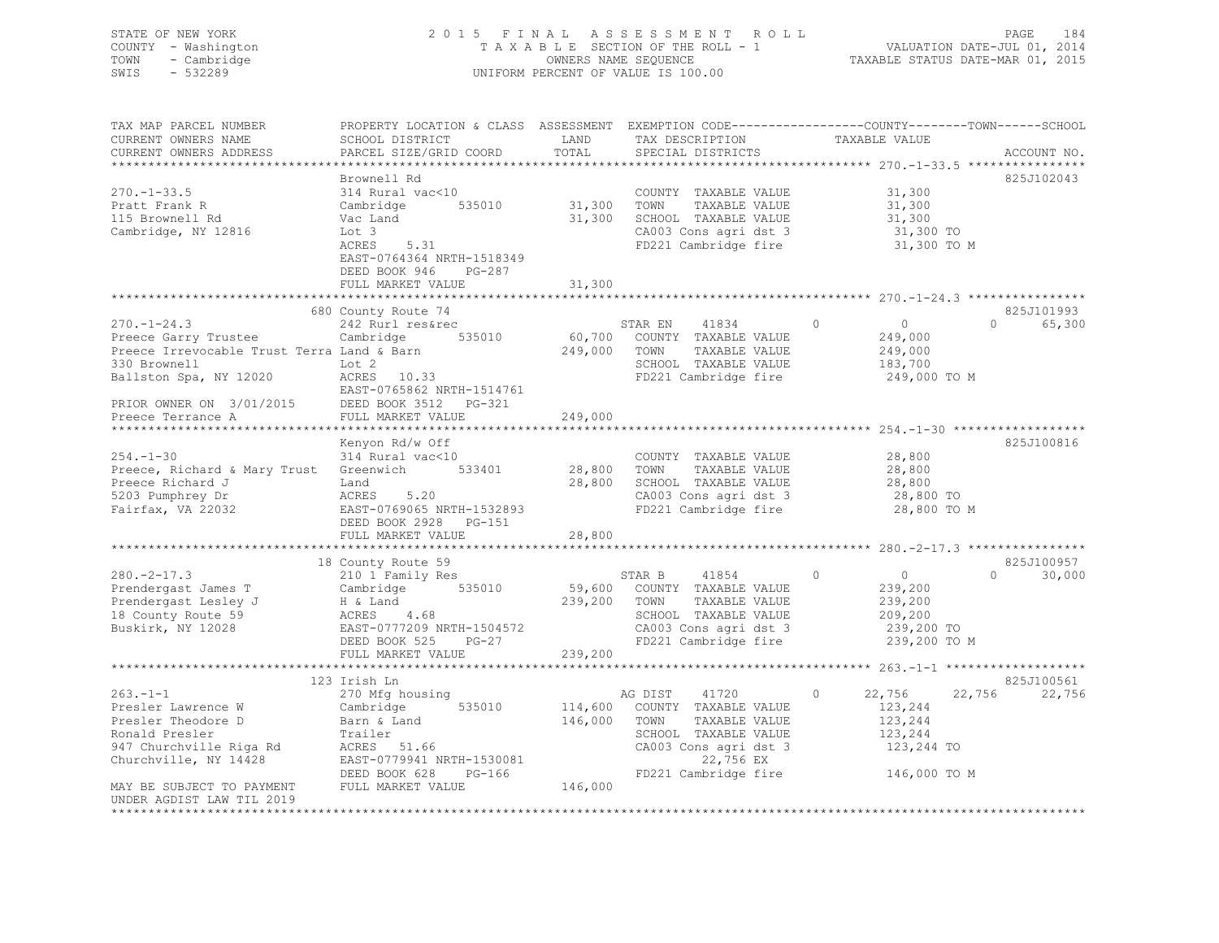## STATE OF NEW YORK 2 0 1 5 F I N A L A S S E S S M E N T R O L L PAGE 184 COUNTY - Washington T A X A B L E SECTION OF THE ROLL - 1 VALUATION DATE-JUL 01, 2014 TOWN - Cambridge OWNERS NAME SEQUENCE TAXABLE STATUS DATE-MAR 01, 2015 SWIS - 532289 UNIFORM PERCENT OF VALUE IS 100.00

| TAX MAP PARCEL NUMBER<br>CURRENT OWNERS NAME   | PROPERTY LOCATION & CLASS ASSESSMENT EXEMPTION CODE----------------COUNTY-------TOWN-----SCHOOL<br>SCHOOL DISTRICT | LAND          | TAX DESCRIPTION               | TAXABLE VALUE              |                    |
|------------------------------------------------|--------------------------------------------------------------------------------------------------------------------|---------------|-------------------------------|----------------------------|--------------------|
| CURRENT OWNERS ADDRESS                         | PARCEL SIZE/GRID COORD                                                                                             | TOTAL         | SPECIAL DISTRICTS             |                            | ACCOUNT NO.        |
|                                                |                                                                                                                    |               |                               |                            |                    |
|                                                | Brownell Rd                                                                                                        |               |                               |                            | 825J102043         |
| $270. - 1 - 33.5$                              | 314 Rural vac<10                                                                                                   |               | COUNTY TAXABLE VALUE          | 31,300                     |                    |
| Pratt Frank R                                  | 535010<br>Cambridge                                                                                                | 31,300        | TAXABLE VALUE<br>TOWN         | 31,300                     |                    |
| 115 Brownell Rd                                | Vac Land                                                                                                           | 31,300        | SCHOOL TAXABLE VALUE          | 31,300                     |                    |
| Cambridge, NY 12816                            | Lot 3                                                                                                              |               | CA003 Cons agri dst 3         | 31,300 TO                  |                    |
|                                                | ACRES<br>5.31                                                                                                      |               | FD221 Cambridge fire          | 31,300 TO M                |                    |
|                                                | EAST-0764364 NRTH-1518349                                                                                          |               |                               |                            |                    |
|                                                | DEED BOOK 946<br>PG-287                                                                                            |               |                               |                            |                    |
|                                                | FULL MARKET VALUE                                                                                                  | 31,300        |                               |                            |                    |
|                                                | *********************************                                                                                  | ************* |                               |                            |                    |
|                                                | 680 County Route 74                                                                                                |               |                               |                            | 825J101993         |
| $270. - 1 - 24.3$                              | 242 Rurl res&rec                                                                                                   |               | STAR EN<br>41834              | $\Omega$<br>$\overline{0}$ | 65,300<br>$\cap$   |
| Preece Garry Trustee                           | Cambridge<br>535010                                                                                                |               | 60,700 COUNTY TAXABLE VALUE   | 249,000                    |                    |
| Preece Irrevocable Trust Terra Land & Barn     |                                                                                                                    | 249,000       | TOWN<br>TAXABLE VALUE         | 249,000                    |                    |
| 330 Brownell                                   | Lot 2                                                                                                              |               | SCHOOL TAXABLE VALUE          | 183,700                    |                    |
| Ballston Spa, NY 12020                         | ACRES 10.33                                                                                                        |               | FD221 Cambridge fire          | 249,000 TO M               |                    |
|                                                | EAST-0765862 NRTH-1514761                                                                                          |               |                               |                            |                    |
| PRIOR OWNER ON 3/01/2015 DEED BOOK 3512 PG-321 |                                                                                                                    |               |                               |                            |                    |
| Preece Terrance A                              | FULL MARKET VALUE                                                                                                  | 249,000       |                               |                            |                    |
|                                                | ************************                                                                                           |               |                               |                            |                    |
|                                                | Kenyon Rd/w Off                                                                                                    |               |                               |                            | 825J100816         |
| $254. - 1 - 30$                                | 314 Rural vac<10                                                                                                   |               | COUNTY TAXABLE VALUE          | 28,800                     |                    |
| Preece, Richard & Mary Trust Greenwich 533401  |                                                                                                                    | 28,800 TOWN   | TAXABLE VALUE                 | 28,800                     |                    |
| Preece Richard J                               | Land                                                                                                               | 28,800        | SCHOOL TAXABLE VALUE          | 28,800                     |                    |
| 5203 Pumphrey Dr                               | 5.20<br>ACRES                                                                                                      |               | CA003 Cons agri dst 3         | 28,800 TO                  |                    |
| Fairfax, VA 22032                              | EAST-0769065 NRTH-1532893                                                                                          |               | FD221 Cambridge fire          | 28,800 TO M                |                    |
|                                                | DEED BOOK 2928 PG-151                                                                                              |               |                               |                            |                    |
|                                                | FULL MARKET VALUE                                                                                                  | 28,800        |                               |                            |                    |
|                                                |                                                                                                                    |               |                               |                            | 825J100957         |
| $280 - 2 - 17.3$                               | 18 County Route 59                                                                                                 |               | 41854<br>STAR B               | $\Omega$<br>$\overline{0}$ | $\Omega$<br>30,000 |
| Prendergast James T                            | 210 1 Family Res<br>Cambridge 535010                                                                               |               | 59,600 COUNTY TAXABLE VALUE   | 239,200                    |                    |
| Prendergast Lesley J                           | H & Land                                                                                                           |               | 239,200 TOWN<br>TAXABLE VALUE | 239,200                    |                    |
| 18 County Route 59                             | ACRES 4.68                                                                                                         |               | SCHOOL TAXABLE VALUE          | 209,200                    |                    |
| Buskirk, NY 12028                              | EAST-0777209 NRTH-1504572                                                                                          |               | CA003 Cons agri dst 3         | 239,200 TO                 |                    |
|                                                | DEED BOOK 525<br>$PG-27$                                                                                           |               | FD221 Cambridge fire          | 239,200 TO M               |                    |
|                                                | FULL MARKET VALUE                                                                                                  | 239,200       |                               |                            |                    |
|                                                |                                                                                                                    |               |                               |                            |                    |
|                                                | 123 Irish Ln                                                                                                       |               |                               |                            | 825J100561         |
| $263 - 1 - 1$                                  | 270 Mfg housing                                                                                                    |               | 41720<br>AG DIST              | 22,756<br>$\Omega$         | 22,756<br>22,756   |
| Presler Lawrence W                             | 535010<br>Cambridge                                                                                                | 114,600       | COUNTY TAXABLE VALUE          | 123,244                    |                    |
| Presler Theodore D                             | Barn & Land                                                                                                        | 146,000       | TAXABLE VALUE<br>TOWN         | 123,244                    |                    |
| Ronald Presler                                 | Trailer                                                                                                            |               | SCHOOL TAXABLE VALUE          | 123,244                    |                    |
| 947 Churchville Riga Rd                        | ACRES 51.66                                                                                                        |               | CA003 Cons agri dst 3         | 123,244 TO                 |                    |
| Churchville, NY 14428                          | EAST-0779941 NRTH-1530081                                                                                          |               | 22,756 EX                     |                            |                    |
|                                                | DEED BOOK 628<br>PG-166                                                                                            |               | FD221 Cambridge fire          | 146,000 TO M               |                    |
| MAY BE SUBJECT TO PAYMENT                      | FULL MARKET VALUE                                                                                                  | 146,000       |                               |                            |                    |
| UNDER AGDIST LAW TIL 2019                      |                                                                                                                    |               |                               |                            |                    |
| ********************                           |                                                                                                                    |               |                               |                            |                    |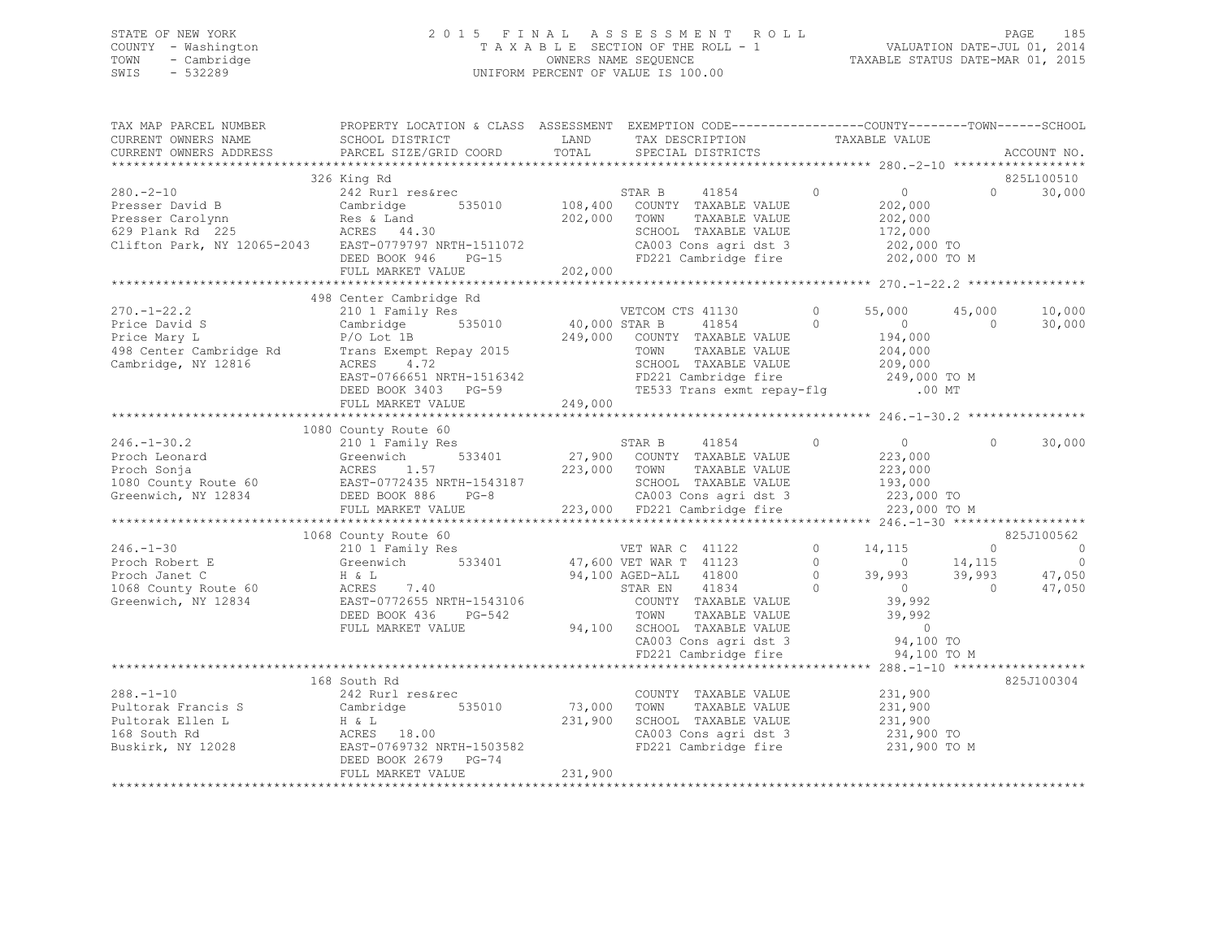## STATE OF NEW YORK 2 0 1 5 F I N A L A S S E S S M E N T R O L L PAGE 185 COUNTY - Washington T A X A B L E SECTION OF THE ROLL - 1 VALUATION DATE-JUL 01, 2014 TOWN - Cambridge OWNERS NAME SEQUENCE TAXABLE STATUS DATE-MAR 01, 2015 SWIS - 532289 UNIFORM PERCENT OF VALUE IS 100.00

| TAX MAP PARCEL NUMBER<br>CURRENT OWNERS NAME<br>CURRENT OWNERS ADDRESS                                                                                                                                                                                                                                                                                                                    | PROPERTY LOCATION & CLASS ASSESSMENT EXEMPTION CODE---------------COUNTY-------TOWN------SCHOOL<br>SCHOOL DISTRICT<br>PARCEL SIZE/GRID COORD                                                                                                                          | LAND<br>TOTAL     | TAX DESCRIPTION TAXABLE VALUE SPECIAL DISTRICTS                                                                                                                                                       |                                                |                                                                                                   |                | ACCOUNT NO.                                                                            |
|-------------------------------------------------------------------------------------------------------------------------------------------------------------------------------------------------------------------------------------------------------------------------------------------------------------------------------------------------------------------------------------------|-----------------------------------------------------------------------------------------------------------------------------------------------------------------------------------------------------------------------------------------------------------------------|-------------------|-------------------------------------------------------------------------------------------------------------------------------------------------------------------------------------------------------|------------------------------------------------|---------------------------------------------------------------------------------------------------|----------------|----------------------------------------------------------------------------------------|
|                                                                                                                                                                                                                                                                                                                                                                                           |                                                                                                                                                                                                                                                                       |                   |                                                                                                                                                                                                       |                                                |                                                                                                   |                |                                                                                        |
| $280 - 2 - 10$<br>280.-2-10<br>Presser David B<br>Presser Carolynn<br>629 Plank Rd 225<br>Clifton Park, NY 12065-2043<br>Res & Land<br>202,000<br>Res & Land<br>202,000<br>202,000<br>202,000<br>SCHOC<br>202,000<br>202,000<br>202,000<br>202,000<br>202,000<br>202,000<br>202,000<br>                                                                                                   | 326 King Rd<br>242 Rurl res&rec<br>FULL MARKET VALUE                                                                                                                                                                                                                  | 202,000           | STAR B<br>41854<br>535010 108,400 COUNTY TAXABLE VALUE<br>TAXABLE VALUE<br>SCHOOL TAXABLE VALUE 172,000<br>CA003 Cons agri dst 3 1202,000 TO<br>FD221 Cambridge fire                                  | $\overline{0}$                                 | $\overline{0}$<br>202,000<br>202,000<br>202,000 TO M                                              |                | 825L100510<br>30,000<br>$\Omega$                                                       |
|                                                                                                                                                                                                                                                                                                                                                                                           |                                                                                                                                                                                                                                                                       |                   |                                                                                                                                                                                                       |                                                |                                                                                                   |                |                                                                                        |
| $270. - 1 - 22.2$<br>Price David S<br>Price Mary L<br>Cambridge, NY 12816                                                                                                                                                                                                                                                                                                                 | 498 Center Cambridge Rd<br>210 1 Family Res<br>535010 40,000 STAR B<br>Cambridge<br>P/O Lot 1B<br>4.72<br>ACRES<br>EAST-0766651 NRTH-1516342<br>EAST-0766651 NRTH-1516342 FD221 Cambridge fire 249,000 TO M<br>DEED BOOK 3403 PG-59 TE533 Trans exmt repay-flg .00 MT |                   | VETCOM CTS 41130<br>41854 0<br>249,000 COUNTY TAXABLE VALUE<br>TOWN<br>TAXABLE VALUE<br>SCHOOL TAXABLE VALUE                                                                                          | $\Omega$                                       | 55,000 45,000<br>$\overline{0}$<br>194,000<br>204,000<br>209,000                                  | $\overline{0}$ | 10,000<br>30,000                                                                       |
|                                                                                                                                                                                                                                                                                                                                                                                           |                                                                                                                                                                                                                                                                       |                   |                                                                                                                                                                                                       |                                                |                                                                                                   |                |                                                                                        |
|                                                                                                                                                                                                                                                                                                                                                                                           | FULL MARKET VALUE                                                                                                                                                                                                                                                     | 249,000           |                                                                                                                                                                                                       |                                                |                                                                                                   |                |                                                                                        |
|                                                                                                                                                                                                                                                                                                                                                                                           | 1080 County Route 60                                                                                                                                                                                                                                                  |                   |                                                                                                                                                                                                       |                                                |                                                                                                   |                |                                                                                        |
| $246. - 1 - 30.2$<br>Proch Leonard Greenwich 533401 27,900<br>Proch Sonja ACRES 1.57 223,000<br>1080 County Route 60 EAST-0772435 NRTH-1543187<br>Greenwich, NY 12834 DEED BOOK 886 PG-8                                                                                                                                                                                                  | 210 1 Family Res                                                                                                                                                                                                                                                      |                   | STAR B 41854 0<br>533401 27,900 COUNTY TAXABLE VALUE<br>223,000 TOWN TAXABLE VALUE<br>SCHOOL TAXABLE VALUE<br>CA003 Cons agri dst 3 223,000 TO<br>223,000 FD221 Cambridge fire                        |                                                | $\overline{0}$<br>223,000<br>223,000<br>193,000<br>223,000 TO M                                   | $\Omega$       | 30,000                                                                                 |
|                                                                                                                                                                                                                                                                                                                                                                                           |                                                                                                                                                                                                                                                                       |                   |                                                                                                                                                                                                       |                                                |                                                                                                   |                |                                                                                        |
| 246.-1-30<br>Proch Robert E (210 1 Family Res VET WAR C 41122<br>Proch Janet C H & L<br>$\begin{array}{ccccccccc}\n & & & & & & & \\ \text{210} & & & & & & & \\ \text{221} & & & & & & & \\ \text{232} & & & & & & & \\ \text{245} & & & & & & & \\ \text{256} & & & & & & & \\ \text{267} & & & & & & & \\ \text{278} & & & & & & & \\ \text{288} & & & & & & &$<br>Greenwich, NY 12834 | 1068 County Route 60<br>EAST-0772655 NRTH-1543106<br>DEED BOOK 436<br>PG-542<br>FULL MARKET VALUE                                                                                                                                                                     |                   | COUNTY TAXABLE VALUE<br>TOWN     TAXABLE VALUE<br>94,100 SCHOOL TAXABLE VALUE<br>CA003 Cons agri dst 3<br>SCHOOL TAXABLE VALUE 0<br>CA003 Cons agri dst 3 94,100 TO<br>FD221 Cambridge fire 94,100 TO | $\circ$<br>$\bigcirc$<br>$\circ$<br>$\bigcirc$ | 14,115<br>$0 \t 14, 115$<br>39,993 39,993 47,050<br>0 0 47,050<br>39,992<br>39,992<br>94,100 TO M |                | 825J100562<br>$\begin{array}{ccc} & & & 0 & \quad & & 0 \end{array}$<br>$\overline{0}$ |
|                                                                                                                                                                                                                                                                                                                                                                                           |                                                                                                                                                                                                                                                                       |                   |                                                                                                                                                                                                       |                                                |                                                                                                   |                |                                                                                        |
| 288.-1-10<br>Pultorak Francis S<br>Pultorak Ellen L<br>168 South Rd<br>Buskirk, NY 12028<br>Buskirk, NY 12028<br>Pultorak Ellen L<br>Buskirk, NY 12028<br>Buskirk, NY 12028<br>BEED BOOK 2679<br>PG-74                                                                                                                                                                                    | 168 South Rd<br>FULL MARKET VALUE                                                                                                                                                                                                                                     | 73,000<br>231,900 | COUNTY TAXABLE VALUE<br>TOWN<br>TAXABLE VALUE<br>SCHOOL TAXABLE VALUE 231,900<br>CA003 Cons agri dst 3 231,900 TO<br>CA003 Cons agri dst 3 231,900 TO<br>FD221 Cambridge fire 231,900 TO M            |                                                | 231,900<br>231,900                                                                                |                | 825J100304                                                                             |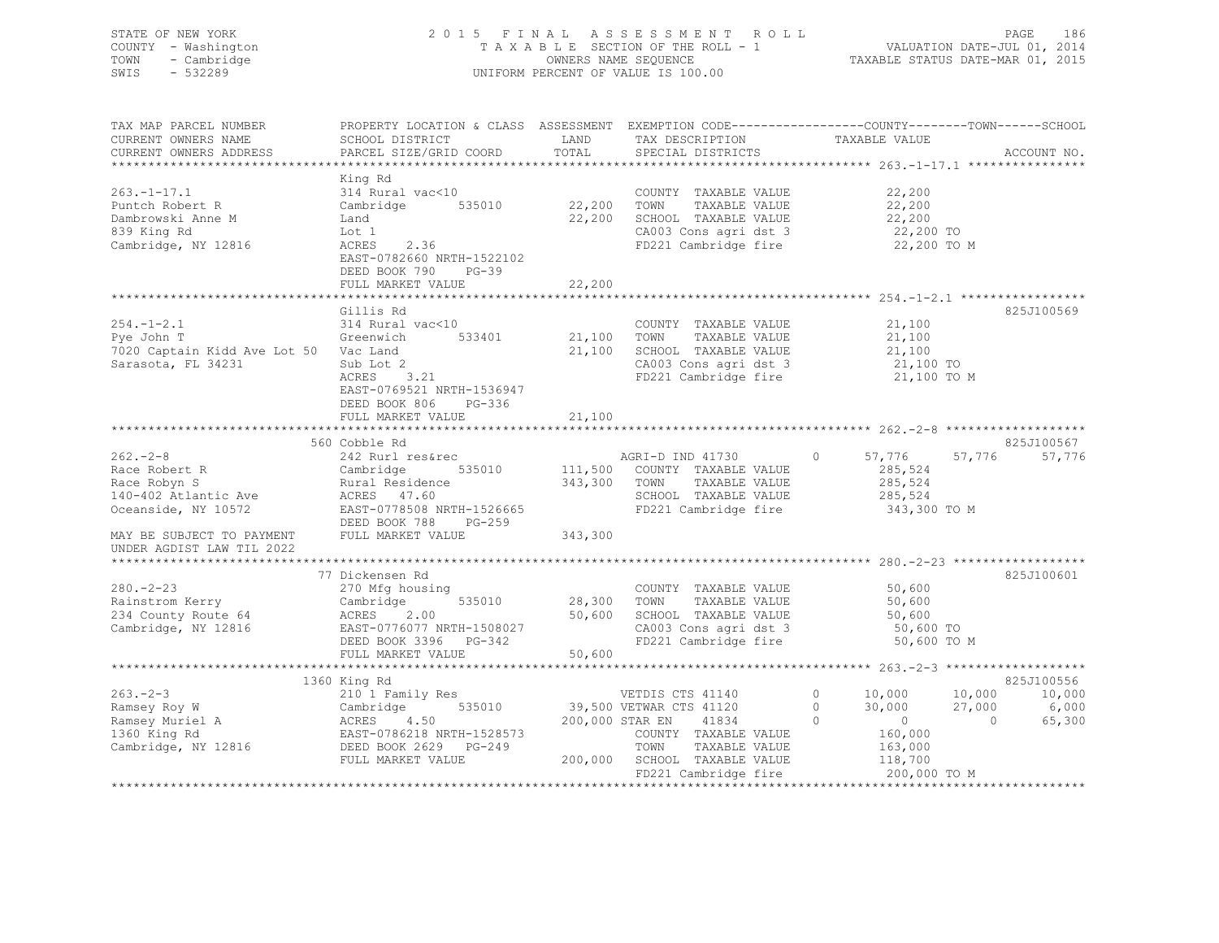## STATE OF NEW YORK 2 0 1 5 F I N A L A S S E S S M E N T R O L L PAGE 186 COUNTY - Washington T A X A B L E SECTION OF THE ROLL - 1 VALUATION DATE-JUL 01, 2014 TOWN - Cambridge OWNERS NAME SEQUENCE TAXABLE STATUS DATE-MAR 01, 2015 SWIS - 532289 UNIFORM PERCENT OF VALUE IS 100.00

| TAX MAP PARCEL NUMBER<br>CURRENT OWNERS NAME<br>CURRENT OWNERS ADDRESS                        | SCHOOL DISTRICT<br>PARCEL SIZE/GRID COORD                                                                                                             | LAND<br>TOTAL                   | TAX DESCRIPTION<br>SPECIAL DISTRICTS                                                                                   | PROPERTY LOCATION & CLASS ASSESSMENT EXEMPTION CODE-----------------COUNTY-------TOWN-----SCHOOL<br>TAXABLE VALUE | ACCOUNT NO.               |
|-----------------------------------------------------------------------------------------------|-------------------------------------------------------------------------------------------------------------------------------------------------------|---------------------------------|------------------------------------------------------------------------------------------------------------------------|-------------------------------------------------------------------------------------------------------------------|---------------------------|
|                                                                                               |                                                                                                                                                       |                                 |                                                                                                                        |                                                                                                                   |                           |
| $263. -1 - 17.1$<br>Puntch Robert R<br>Dambrowski Anne M<br>839 King Rd                       | King Rd<br>314 Rural vac<10<br>535010<br>Cambridge<br>Land<br>Lot 1                                                                                   | 22,200<br>22,200                | COUNTY TAXABLE VALUE<br>TOWN<br>TAXABLE VALUE<br>SCHOOL TAXABLE VALUE<br>CA003 Cons agri dst 3                         | 22,200<br>22,200<br>22,200<br>22,200 TO                                                                           |                           |
| Cambridge, NY 12816                                                                           | ACRES<br>2.36<br>EAST-0782660 NRTH-1522102<br>DEED BOOK 790<br>$PG-39$<br>FULL MARKET VALUE                                                           | 22,200                          | FD221 Cambridge fire                                                                                                   | 22,200 TO M                                                                                                       |                           |
|                                                                                               |                                                                                                                                                       |                                 |                                                                                                                        |                                                                                                                   |                           |
| $254. - 1 - 2.1$<br>Pve John T<br>7020 Captain Kidd Ave Lot 50 Vac Land<br>Sarasota, FL 34231 | Gillis Rd<br>314 Rural vac<10<br>Greenwich<br>533401<br>Sub Lot 2<br>ACRES 3.21<br>EAST-0769521 NRTH-1536947<br>DEED BOOK 806<br>PG-336               | 21,100<br>21,100                | COUNTY TAXABLE VALUE<br>TAXABLE VALUE<br>TOWN<br>SCHOOL TAXABLE VALUE<br>CA003 Cons agri dst 3<br>FD221 Cambridge fire | 21,100<br>21,100<br>21,100<br>21,100 TO<br>21,100 TO M                                                            | 825J100569                |
|                                                                                               | FULL MARKET VALUE                                                                                                                                     | 21,100                          |                                                                                                                        |                                                                                                                   |                           |
|                                                                                               |                                                                                                                                                       |                                 |                                                                                                                        |                                                                                                                   |                           |
|                                                                                               | 560 Cobble Rd                                                                                                                                         |                                 |                                                                                                                        |                                                                                                                   | 825J100567                |
| $262 - 2 - 8$<br>Race Robert R<br>Race Robyn S<br>140-402 Atlantic Ave<br>Oceanside, NY 10572 | 242 Rurl res&rec<br>Cambridge<br>535010<br>Rural Residence<br>ACRES 47.60<br>EAST-0778508 NRTH-1526665                                                | 111,500<br>343,300              | AGRI-D IND 41730<br>COUNTY TAXABLE VALUE<br>TOWN<br>TAXABLE VALUE<br>SCHOOL TAXABLE VALUE<br>FD221 Cambridge fire      | $\circ$<br>57,776<br>57,776<br>285,524<br>285,524<br>285,524<br>343,300 TO M                                      | 57,776                    |
| MAY BE SUBJECT TO PAYMENT<br>UNDER AGDIST LAW TIL 2022                                        | DEED BOOK 788<br>$PG-259$<br>FULL MARKET VALUE                                                                                                        | 343,300                         |                                                                                                                        |                                                                                                                   |                           |
|                                                                                               |                                                                                                                                                       |                                 |                                                                                                                        |                                                                                                                   |                           |
| $280 - 2 - 23$<br>Rainstrom Kerry<br>234 County Route 64<br>Cambridge, NY 12816               | 77 Dickensen Rd<br>270 Mfg housing<br>535010<br>Cambridge<br>ACRES<br>2.00<br>EAST-0776077 NRTH-1508027<br>DEED BOOK 3396 PG-342<br>FULL MARKET VALUE | 28,300 TOWN<br>50,600<br>50,600 | COUNTY TAXABLE VALUE<br>TAXABLE VALUE<br>SCHOOL TAXABLE VALUE<br>CA003 Cons agri dst 3<br>FD221 Cambridge fire         | 50,600<br>50,600<br>50,600<br>50,600 TO<br>50,600 TO M                                                            | 825J100601                |
|                                                                                               |                                                                                                                                                       |                                 |                                                                                                                        |                                                                                                                   |                           |
|                                                                                               | 1360 King Rd                                                                                                                                          |                                 |                                                                                                                        |                                                                                                                   | 825J100556                |
| $263 - 2 - 3$<br>Ramsey Roy W<br>Ramsey Muriel A                                              | 210 1 Family Res<br>535010<br>Cambridge<br>ACRES 4<br>4.50                                                                                            | 200,000 STAR EN                 | VETDIS CTS 41140<br>39,500 VETWAR CTS 41120<br>41834                                                                   | $\circ$<br>10,000<br>10,000<br>$\circ$<br>30,000<br>27,000<br>$\Omega$<br>$\overline{0}$<br>$\Omega$              | 10,000<br>6,000<br>65,300 |
| 1360 King Rd<br>Cambridge, NY 12816 Cambridge, NY 12816                                       | EAST-0786218 NRTH-1528573<br>FULL MARKET VALUE                                                                                                        | 200,000                         | COUNTY TAXABLE VALUE<br>TOWN<br>TAXABLE VALUE<br>SCHOOL TAXABLE VALUE<br>FD221 Cambridge fire                          | 160,000<br>163,000<br>118,700<br>200,000 TO M                                                                     |                           |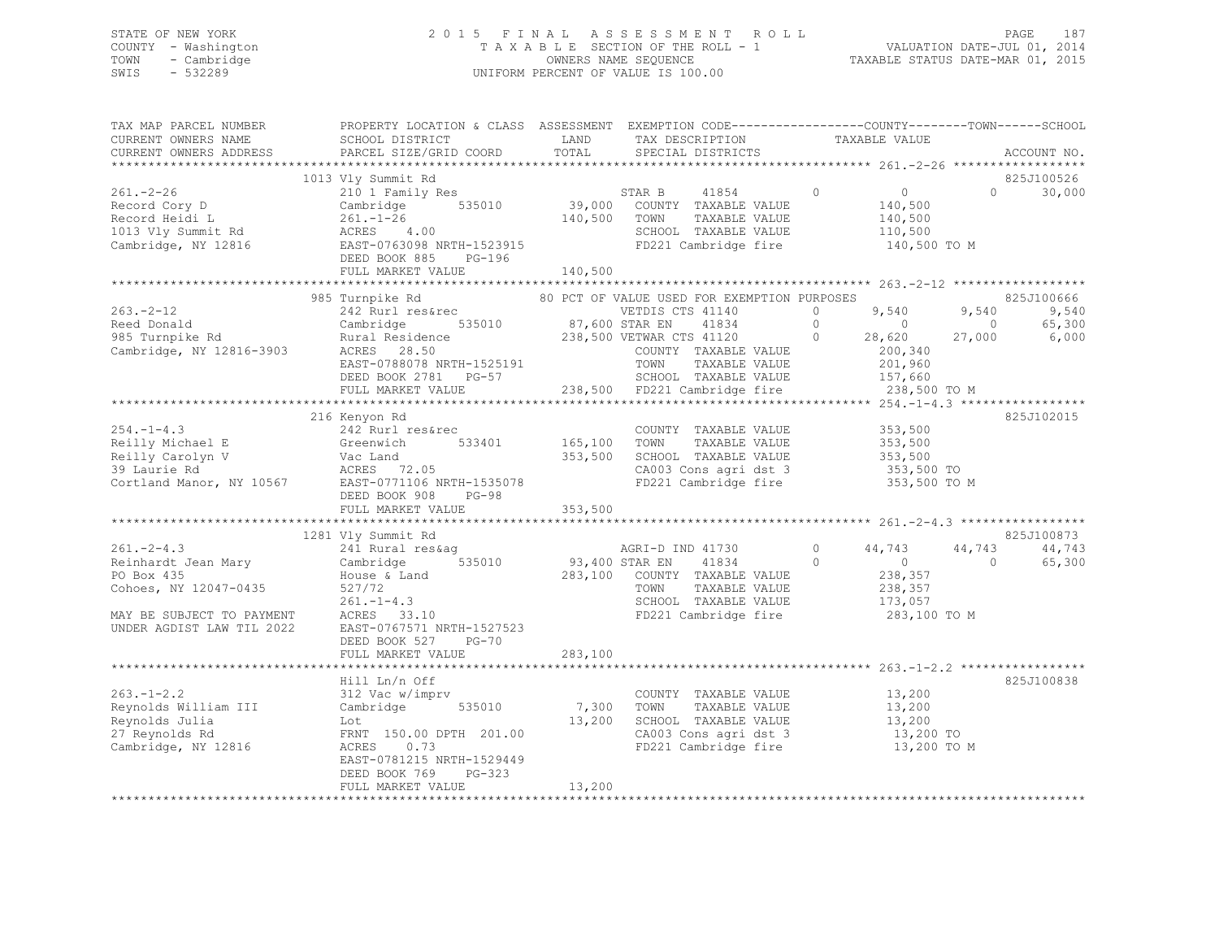## STATE OF NEW YORK 2 0 1 5 F I N A L A S S E S S M E N T R O L L PAGE 187 COUNTY - Washington T A X A B L E SECTION OF THE ROLL - 1 VALUATION DATE-JUL 01, 2014 TOWN - Cambridge OWNERS NAME SEQUENCE TAXABLE STATUS DATE-MAR 01, 2015 SWIS - 532289 UNIFORM PERCENT OF VALUE IS 100.00

| TAX MAP PARCEL NUMBER<br>CURRENT OWNERS NAME                                                                                            | PROPERTY LOCATION & CLASS ASSESSMENT EXEMPTION CODE-----------------COUNTY-------TOWN------SCHOOL<br>SCHOOL DISTRICT                                                                                                                               | LAND                    | TAX DESCRIPTION                                                                                                                                                                   | TAXABLE VALUE                                                                                                        |                                                                             |
|-----------------------------------------------------------------------------------------------------------------------------------------|----------------------------------------------------------------------------------------------------------------------------------------------------------------------------------------------------------------------------------------------------|-------------------------|-----------------------------------------------------------------------------------------------------------------------------------------------------------------------------------|----------------------------------------------------------------------------------------------------------------------|-----------------------------------------------------------------------------|
| CURRENT OWNERS ADDRESS                                                                                                                  | PARCEL SIZE/GRID COORD                                                                                                                                                                                                                             | TOTAL                   | SPECIAL DISTRICTS                                                                                                                                                                 |                                                                                                                      | ACCOUNT NO.                                                                 |
|                                                                                                                                         | 1013 Vly Summit Rd                                                                                                                                                                                                                                 |                         |                                                                                                                                                                                   |                                                                                                                      | 825J100526                                                                  |
| $261 - 2 - 26$<br>Record Cory D<br>Record Heidi L<br>1013 Vly Summit Rd<br>Cambridge, NY 12816                                          | 210 1 Family Res<br>Cambric<br>261.-1-26<br>ACRES 4.00<br>EAST-0763098 P<br>PROOK 885<br>Cambridge 535010<br>EAST-0763098 NRTH-1523915<br>$PG-196$<br>FULL MARKET VALUE                                                                            | 140,500<br>140,500      | STAR B 41854<br>39,000 COUNTY TAXABLE VALUE<br>TOWN<br>TAXABLE VALUE<br>SCHOOL TAXABLE VALUE<br>FD221 Cambridge fire                                                              | $\circ$<br>$\overline{0}$<br>140,500<br>140,500<br>110,500<br>140,500 TO M                                           | $\Omega$<br>30,000                                                          |
|                                                                                                                                         |                                                                                                                                                                                                                                                    |                         |                                                                                                                                                                                   |                                                                                                                      |                                                                             |
| $263 - 2 - 12$<br>Reed Donald<br>985 Turnpike Rd<br>Cambridge, NY 12816-3903                                                            | 985 Turnpike Rd<br>242 Rurl res&rec<br>Cambridge 535010 87,600 STAR EN<br>Cambridge<br>Rural Residence<br>ACRES 28.50 ACRES 28.50<br>EAST-0788078 NRTH-1525191<br>DEED BOOK 2781 PG-57<br>FULL MARKET VALUE                                        |                         | 80 PCT OF VALUE USED FOR EXEMPTION PURPOSES<br>VETDIS CTS 41140<br>41834<br>COUNTY TAXABLE VALUE<br>TOWN<br>TAXABLE VALUE<br>SCHOOL TAXABLE VALUE<br>238,500 FD221 Cambridge fire | $\circ$<br>9,540<br>$\overline{0}$<br>$\sim$ 0<br>$\circ$<br>28,620<br>200,340<br>201,960<br>157,660<br>238,500 TO M | 825J100666<br>9,540<br>9,540<br>65,300<br>$\overline{0}$<br>6,000<br>27,000 |
|                                                                                                                                         | 216 Kenyon Rd                                                                                                                                                                                                                                      |                         |                                                                                                                                                                                   |                                                                                                                      | 825J102015                                                                  |
| $254. -1 - 4.3$<br>Reilly Michael E                                                                                                     | 242 Rurl res&rec<br>.<br>Greenwich<br>533401<br>Neilly Carolyn V<br>Reilly Carolyn V<br>39 Laurie Rd<br>Cortland Manor, NY 10567<br>Cortland Manor, NY 10567<br>EAST-0771106 NRTH-1535078<br>EAST-0771106 NRTH-1535078<br>DEED BOOK 908<br>$PG-98$ | 165,100 TOWN<br>353,500 | COUNTY TAXABLE VALUE<br>TAXABLE VALUE<br>SCHOOL TAXABLE VALUE<br>JUNIOUL TAXABLE VALUE<br>CA003 Cons agri dst 3<br>FD221 Cambridge fire                                           | 353,500<br>353,500<br>353,500<br>353,500 TO<br>353,500 TO M                                                          |                                                                             |
|                                                                                                                                         | FULL MARKET VALUE                                                                                                                                                                                                                                  | 353,500                 |                                                                                                                                                                                   |                                                                                                                      |                                                                             |
|                                                                                                                                         |                                                                                                                                                                                                                                                    |                         |                                                                                                                                                                                   |                                                                                                                      |                                                                             |
| $261 - 2 - 4.3$<br>Reinhardt Jean Mary<br>PO Box 435<br>Cohoes, NY 12047-0435<br>MAY BE SUBJECT TO PAYMENT<br>UNDER AGDIST LAW TIL 2022 | 1281 Vly Summit Rd<br>241 Rural res&ag<br>Cambridge<br>House & Land<br>527/72<br>$261. - 1 - 4.3$<br>ACRES 33.10<br>EAST-0767571 NRTH-1527523<br>DEED BOOK 527<br>$PG-70$                                                                          | 535010 93,400 STAR EN   | AGRI-D IND 41730<br>41834<br>283,100 COUNTY TAXABLE VALUE<br>TOWN<br>TAXABLE VALUE<br>SCHOOL TAXABLE VALUE<br>FD221 Cambridge fire                                                | $\circ$<br>44,743<br>$\Omega$<br>$\overline{0}$<br>238,357<br>238,357<br>173,057<br>283,100 TO M                     | 825J100873<br>44,743<br>44,743<br>$\bigcirc$<br>65,300                      |
|                                                                                                                                         | FULL MARKET VALUE                                                                                                                                                                                                                                  | 283,100                 |                                                                                                                                                                                   |                                                                                                                      |                                                                             |
| $263. -1 - 2.2$<br>Reynolds William III<br>Reynolds Julia<br>27 Reynolds Rd<br>Cambridge, NY 12816                                      | Hill Ln/n Off<br>312 Vac w/imprv<br>Cambridge<br>535010<br>Lot<br>FRNT 150.00 DPTH 201.00<br>ACRES<br>0.73<br>EAST-0781215 NRTH-1529449<br>$PG-323$<br>DEED BOOK 769                                                                               | 7,300 TOWN<br>13,200    | COUNTY TAXABLE VALUE<br>TAXABLE VALUE<br>SCHOOL TAXABLE VALUE<br>CA003 Cons agri dst 3<br>FD221 Cambridge fire                                                                    | 13,200<br>13,200<br>13,200<br>13,200 TO<br>13,200 TO M                                                               | 825J100838                                                                  |
|                                                                                                                                         | FULL MARKET VALUE                                                                                                                                                                                                                                  | 13,200                  |                                                                                                                                                                                   |                                                                                                                      |                                                                             |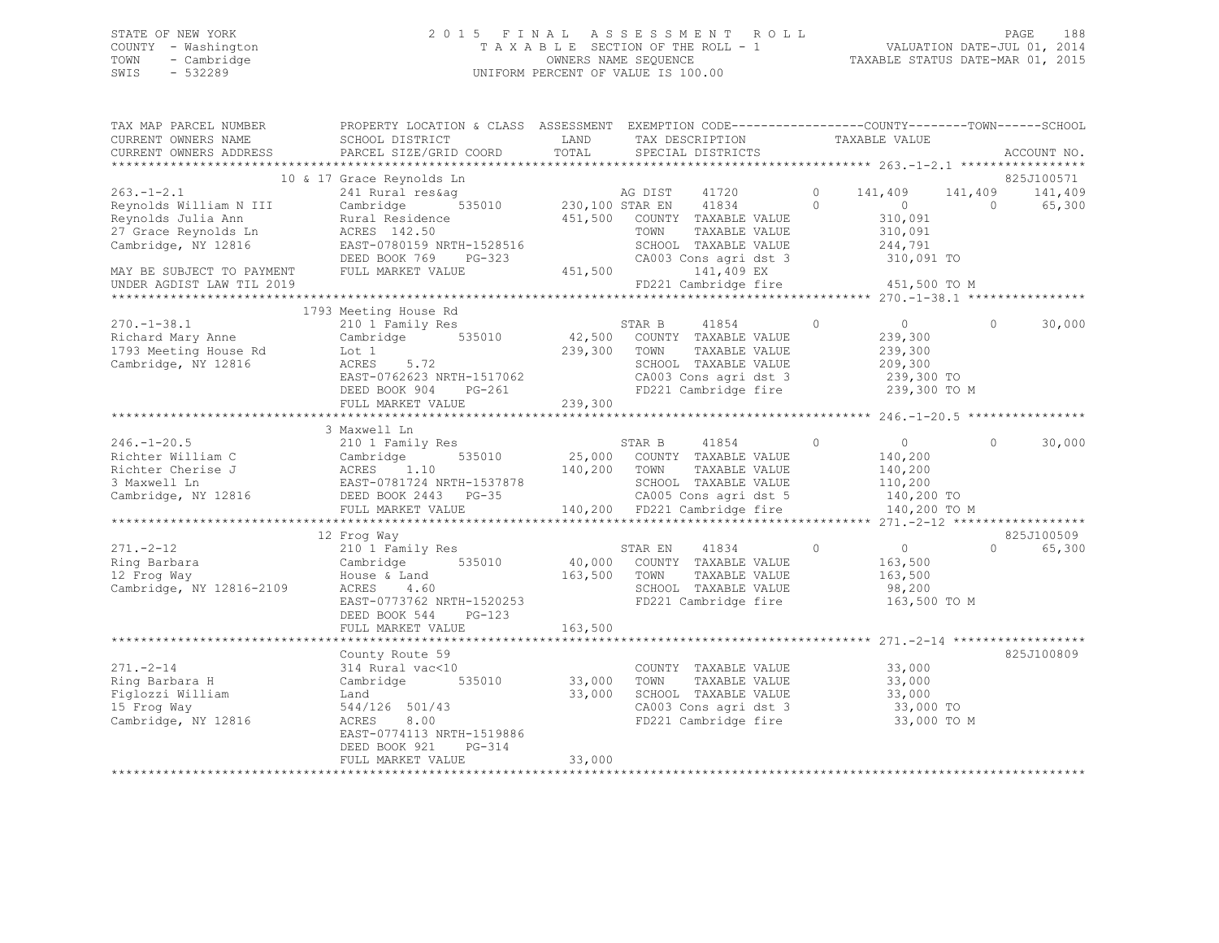| STATE OF NEW YORK |                     | 2015 FINAL ASSESSMENT ROLL         |                                  | PAGE                        | 188 |
|-------------------|---------------------|------------------------------------|----------------------------------|-----------------------------|-----|
|                   | COUNTY - Washington | TAXABLE SECTION OF THE ROLL - 1    |                                  | VALUATION DATE-JUL 01, 2014 |     |
| TOWN              | - Cambridge         | OWNERS NAME SEOUENCE               | TAXABLE STATUS DATE-MAR 01, 2015 |                             |     |
| SWIS              | - 532289            | UNIFORM PERCENT OF VALUE IS 100.00 |                                  |                             |     |

| TAX MAP PARCEL NUMBER                                                                                                                                                                                                      | PROPERTY LOCATION & CLASS ASSESSMENT EXEMPTION CODE----------------COUNTY-------TOWN------SCHOOL                                                                                                                                                                                                                                                                                  |                                                                                                                       |                                                                                        |         |                                                        |                  |             |                             |         |                                 |         |         |        |  |  |  |  |  |  |  |
|----------------------------------------------------------------------------------------------------------------------------------------------------------------------------------------------------------------------------|-----------------------------------------------------------------------------------------------------------------------------------------------------------------------------------------------------------------------------------------------------------------------------------------------------------------------------------------------------------------------------------|-----------------------------------------------------------------------------------------------------------------------|----------------------------------------------------------------------------------------|---------|--------------------------------------------------------|------------------|-------------|-----------------------------|---------|---------------------------------|---------|---------|--------|--|--|--|--|--|--|--|
| CURRENT OWNERS NAME                                                                                                                                                                                                        | SCHOOL DISTRICT                                                                                                                                                                                                                                                                                                                                                                   | <b>EXAMPLE DESCRIPTION OF STREET AND STREET AND STREET AND STREET AND STREET AND STREET AND STREET AND STREET AND</b> | TAX DESCRIPTION TAXABLE VALUE                                                          |         |                                                        |                  |             |                             |         |                                 |         |         |        |  |  |  |  |  |  |  |
| CURRENT OWNERS ADDRESS                                                                                                                                                                                                     |                                                                                                                                                                                                                                                                                                                                                                                   |                                                                                                                       |                                                                                        |         |                                                        |                  | ACCOUNT NO. |                             |         |                                 |         |         |        |  |  |  |  |  |  |  |
|                                                                                                                                                                                                                            |                                                                                                                                                                                                                                                                                                                                                                                   |                                                                                                                       |                                                                                        |         |                                                        |                  |             |                             |         |                                 |         |         |        |  |  |  |  |  |  |  |
|                                                                                                                                                                                                                            | 10 & 17 Grace Reynolds Ln                                                                                                                                                                                                                                                                                                                                                         |                                                                                                                       |                                                                                        |         |                                                        |                  | 825J100571  |                             |         |                                 |         |         |        |  |  |  |  |  |  |  |
|                                                                                                                                                                                                                            |                                                                                                                                                                                                                                                                                                                                                                                   |                                                                                                                       |                                                                                        |         |                                                        |                  |             |                             |         |                                 |         |         |        |  |  |  |  |  |  |  |
|                                                                                                                                                                                                                            |                                                                                                                                                                                                                                                                                                                                                                                   |                                                                                                                       |                                                                                        |         |                                                        |                  |             |                             |         |                                 |         |         |        |  |  |  |  |  |  |  |
|                                                                                                                                                                                                                            |                                                                                                                                                                                                                                                                                                                                                                                   |                                                                                                                       |                                                                                        |         |                                                        |                  |             |                             |         |                                 |         |         |        |  |  |  |  |  |  |  |
|                                                                                                                                                                                                                            |                                                                                                                                                                                                                                                                                                                                                                                   |                                                                                                                       |                                                                                        |         |                                                        |                  |             |                             |         |                                 |         |         |        |  |  |  |  |  |  |  |
|                                                                                                                                                                                                                            |                                                                                                                                                                                                                                                                                                                                                                                   |                                                                                                                       |                                                                                        |         |                                                        |                  |             |                             |         |                                 |         |         |        |  |  |  |  |  |  |  |
|                                                                                                                                                                                                                            |                                                                                                                                                                                                                                                                                                                                                                                   |                                                                                                                       |                                                                                        |         |                                                        |                  |             |                             |         |                                 |         |         |        |  |  |  |  |  |  |  |
|                                                                                                                                                                                                                            |                                                                                                                                                                                                                                                                                                                                                                                   |                                                                                                                       |                                                                                        |         |                                                        |                  |             |                             |         |                                 |         |         |        |  |  |  |  |  |  |  |
|                                                                                                                                                                                                                            |                                                                                                                                                                                                                                                                                                                                                                                   |                                                                                                                       |                                                                                        |         |                                                        |                  |             |                             |         |                                 |         |         |        |  |  |  |  |  |  |  |
|                                                                                                                                                                                                                            |                                                                                                                                                                                                                                                                                                                                                                                   |                                                                                                                       |                                                                                        |         |                                                        |                  |             |                             |         |                                 |         |         |        |  |  |  |  |  |  |  |
|                                                                                                                                                                                                                            | 1793 Meeting House Rd                                                                                                                                                                                                                                                                                                                                                             |                                                                                                                       |                                                                                        |         |                                                        |                  |             |                             |         |                                 |         |         |        |  |  |  |  |  |  |  |
|                                                                                                                                                                                                                            |                                                                                                                                                                                                                                                                                                                                                                                   |                                                                                                                       | STAR B 41854<br>42,500 COUNTY TAXABLE VALUE<br>STAR B 41854                            | $\circ$ |                                                        | $\Omega$         | 30,000      |                             |         |                                 |         |         |        |  |  |  |  |  |  |  |
| 270.-1-38.1<br>Richard Mary Anne<br>1793 Meeting House Rd<br>Cambridge 535010<br>Cambridge, NY 12816<br>2008 MCRES 5.72                                                                                                    |                                                                                                                                                                                                                                                                                                                                                                                   |                                                                                                                       |                                                                                        |         | $0$<br>239.300                                         |                  |             |                             |         |                                 |         |         |        |  |  |  |  |  |  |  |
|                                                                                                                                                                                                                            |                                                                                                                                                                                                                                                                                                                                                                                   | 239,300 TOWN                                                                                                          | TAXABLE VALUE 239,300<br>TAXABLE VALUE 209,300                                         |         |                                                        |                  |             |                             |         |                                 |         |         |        |  |  |  |  |  |  |  |
|                                                                                                                                                                                                                            |                                                                                                                                                                                                                                                                                                                                                                                   |                                                                                                                       | SCHOOL TAXABLE VALUE                                                                   |         |                                                        |                  |             |                             |         |                                 |         |         |        |  |  |  |  |  |  |  |
|                                                                                                                                                                                                                            |                                                                                                                                                                                                                                                                                                                                                                                   |                                                                                                                       | CA003 Cons agri dst 3<br>FD221 Cambridge fire 3 239,300 TO 5                           |         |                                                        |                  |             |                             |         |                                 |         |         |        |  |  |  |  |  |  |  |
|                                                                                                                                                                                                                            |                                                                                                                                                                                                                                                                                                                                                                                   |                                                                                                                       |                                                                                        |         |                                                        |                  |             |                             |         |                                 |         |         |        |  |  |  |  |  |  |  |
|                                                                                                                                                                                                                            | FULL MARKET VALUE                                                                                                                                                                                                                                                                                                                                                                 | 239,300                                                                                                               |                                                                                        |         |                                                        |                  |             |                             |         |                                 |         |         |        |  |  |  |  |  |  |  |
|                                                                                                                                                                                                                            |                                                                                                                                                                                                                                                                                                                                                                                   |                                                                                                                       |                                                                                        |         |                                                        |                  |             |                             |         |                                 |         |         |        |  |  |  |  |  |  |  |
|                                                                                                                                                                                                                            | 3 Maxwell Ln                                                                                                                                                                                                                                                                                                                                                                      |                                                                                                                       |                                                                                        |         |                                                        |                  |             |                             |         |                                 |         |         |        |  |  |  |  |  |  |  |
| $246. -1 - 20.5$                                                                                                                                                                                                           | 210 1 Family Res                                                                                                                                                                                                                                                                                                                                                                  |                                                                                                                       | STAR B 41854 0                                                                         |         | $\begin{array}{ccc} & & & 0 & \quad & & 0 \end{array}$ |                  | 30,000      |                             |         |                                 |         |         |        |  |  |  |  |  |  |  |
|                                                                                                                                                                                                                            |                                                                                                                                                                                                                                                                                                                                                                                   |                                                                                                                       |                                                                                        |         |                                                        |                  |             |                             |         |                                 |         |         |        |  |  |  |  |  |  |  |
|                                                                                                                                                                                                                            |                                                                                                                                                                                                                                                                                                                                                                                   |                                                                                                                       |                                                                                        |         |                                                        |                  |             |                             |         |                                 |         |         |        |  |  |  |  |  |  |  |
|                                                                                                                                                                                                                            |                                                                                                                                                                                                                                                                                                                                                                                   |                                                                                                                       |                                                                                        |         |                                                        |                  |             |                             |         |                                 |         |         |        |  |  |  |  |  |  |  |
|                                                                                                                                                                                                                            |                                                                                                                                                                                                                                                                                                                                                                                   |                                                                                                                       |                                                                                        |         |                                                        |                  |             |                             |         |                                 |         |         |        |  |  |  |  |  |  |  |
| $\n\n\n246.-1–20.5\n210 l Fam11y Res\n535010\n140,400\n\n\nRicharder (Pole) EDED BONC 2443\n210 l Fam11y Res\n535010\n25,000 CONITY TAXABLE VALUE\n140,200\n\n\nRicharder (Pole) EDED BONC 2443\n140,200\n140,200\n140,20$ | 246.-1–20.5                                                                                                                                                                                                                                                                                                                                                                       | 210 l Fam11y Res                                                                                                      | 535010                                                                                 | 140,400 | Richarder (Pole) EDED BONC 2443                        | 210 l Fam11y Res | 535010      | 25,000 CONITY TAXABLE VALUE | 140,200 | Richarder (Pole) EDED BONC 2443 | 140,200 | 140,200 | 140,20 |  |  |  |  |  |  |  |
| 246.-1–20.5                                                                                                                                                                                                                | 210 l Fam11y Res                                                                                                                                                                                                                                                                                                                                                                  | 535010                                                                                                                | 140,400                                                                                |         |                                                        |                  |             |                             |         |                                 |         |         |        |  |  |  |  |  |  |  |
| Richarder (Pole) EDED BONC 2443                                                                                                                                                                                            | 210 l Fam11y Res                                                                                                                                                                                                                                                                                                                                                                  | 535010                                                                                                                | 25,000 CONITY TAXABLE VALUE                                                            | 140,200 |                                                        |                  |             |                             |         |                                 |         |         |        |  |  |  |  |  |  |  |
| Richarder (Pole) EDED BONC 2443                                                                                                                                                                                            | 140,200                                                                                                                                                                                                                                                                                                                                                                           | 140,200                                                                                                               | 140,20                                                                                 |         |                                                        |                  |             |                             |         |                                 |         |         |        |  |  |  |  |  |  |  |
|                                                                                                                                                                                                                            |                                                                                                                                                                                                                                                                                                                                                                                   |                                                                                                                       |                                                                                        |         |                                                        |                  |             |                             |         |                                 |         |         |        |  |  |  |  |  |  |  |
|                                                                                                                                                                                                                            | 12 Frog Way                                                                                                                                                                                                                                                                                                                                                                       |                                                                                                                       |                                                                                        |         |                                                        |                  | 825J100509  |                             |         |                                 |         |         |        |  |  |  |  |  |  |  |
| $271. -2 - 12$                                                                                                                                                                                                             |                                                                                                                                                                                                                                                                                                                                                                                   |                                                                                                                       |                                                                                        |         |                                                        |                  | 65,300      |                             |         |                                 |         |         |        |  |  |  |  |  |  |  |
| Ring Barbara                                                                                                                                                                                                               |                                                                                                                                                                                                                                                                                                                                                                                   |                                                                                                                       |                                                                                        |         |                                                        |                  |             |                             |         |                                 |         |         |        |  |  |  |  |  |  |  |
| 12 Frog Way                                                                                                                                                                                                                |                                                                                                                                                                                                                                                                                                                                                                                   |                                                                                                                       |                                                                                        |         |                                                        |                  |             |                             |         |                                 |         |         |        |  |  |  |  |  |  |  |
| Cambridge, NY 12816-2109                                                                                                                                                                                                   | 210 1 Family Res<br>Cambridge 535010 (40,000 COUNTY TAXABLE VALUE 163,500 (535010 (40,000 COUNTY TAXABLE VALUE 163,500<br>House & Land 163,500 TOWN TAXABLE VALUE 163,500<br>ACRES 31.60 (SCHOOL TAXABLE VALUE 163,500 SCHOOL TAXABL                                                                                                                                              |                                                                                                                       |                                                                                        |         |                                                        |                  |             |                             |         |                                 |         |         |        |  |  |  |  |  |  |  |
|                                                                                                                                                                                                                            | ACRES 4.60<br>EAST-0773762 NRTH-1520253 FD221 Cambridge fire                                                                                                                                                                                                                                                                                                                      |                                                                                                                       |                                                                                        |         |                                                        |                  |             |                             |         |                                 |         |         |        |  |  |  |  |  |  |  |
|                                                                                                                                                                                                                            | DEED BOOK 544<br>$PG-123$                                                                                                                                                                                                                                                                                                                                                         |                                                                                                                       |                                                                                        |         |                                                        |                  |             |                             |         |                                 |         |         |        |  |  |  |  |  |  |  |
|                                                                                                                                                                                                                            | FULL MARKET VALUE                                                                                                                                                                                                                                                                                                                                                                 | 163,500                                                                                                               |                                                                                        |         |                                                        |                  |             |                             |         |                                 |         |         |        |  |  |  |  |  |  |  |
|                                                                                                                                                                                                                            |                                                                                                                                                                                                                                                                                                                                                                                   |                                                                                                                       |                                                                                        |         |                                                        |                  |             |                             |         |                                 |         |         |        |  |  |  |  |  |  |  |
|                                                                                                                                                                                                                            | County Route 59                                                                                                                                                                                                                                                                                                                                                                   |                                                                                                                       |                                                                                        |         |                                                        |                  | 825J100809  |                             |         |                                 |         |         |        |  |  |  |  |  |  |  |
| $271. - 2 - 14$                                                                                                                                                                                                            |                                                                                                                                                                                                                                                                                                                                                                                   |                                                                                                                       |                                                                                        |         |                                                        |                  |             |                             |         |                                 |         |         |        |  |  |  |  |  |  |  |
| Ring Barbara H                                                                                                                                                                                                             | 314 Rural vac<10 COUNTY<br>Cambridge 535010 33,000 TOWN                                                                                                                                                                                                                                                                                                                           |                                                                                                                       | COUNTY TAXABLE VALUE 33,000<br>TOWN TAXABLE VALUE 33,000<br>TAXABLE VALUE              |         |                                                        |                  |             |                             |         |                                 |         |         |        |  |  |  |  |  |  |  |
| Figlozzi William                                                                                                                                                                                                           | Land                                                                                                                                                                                                                                                                                                                                                                              | 33,000                                                                                                                | TOWN TAXABLE VALUE<br>SCHOOL TAXABLE VALUE 33,000<br>CLOSS Correct and dst 3 33,000 TO |         |                                                        |                  |             |                             |         |                                 |         |         |        |  |  |  |  |  |  |  |
| 15 Frog Way                                                                                                                                                                                                                | 544/126 501/43                                                                                                                                                                                                                                                                                                                                                                    |                                                                                                                       | CA003 Cons agri dst 3 33,000 TO<br>FD221 Cambridge fire 33,000 TO M                    |         |                                                        |                  |             |                             |         |                                 |         |         |        |  |  |  |  |  |  |  |
| Cambridge, NY 12816                                                                                                                                                                                                        | $\label{eq:2.1} \frac{1}{\sqrt{2}}\sum_{i=1}^n\frac{1}{\sqrt{2}}\sum_{i=1}^n\frac{1}{\sqrt{2}}\sum_{i=1}^n\frac{1}{\sqrt{2}}\sum_{i=1}^n\frac{1}{\sqrt{2}}\sum_{i=1}^n\frac{1}{\sqrt{2}}\sum_{i=1}^n\frac{1}{\sqrt{2}}\sum_{i=1}^n\frac{1}{\sqrt{2}}\sum_{i=1}^n\frac{1}{\sqrt{2}}\sum_{i=1}^n\frac{1}{\sqrt{2}}\sum_{i=1}^n\frac{1}{\sqrt{2}}\sum_{i=1}^n\frac$<br>ACRES<br>8.00 |                                                                                                                       |                                                                                        |         |                                                        |                  |             |                             |         |                                 |         |         |        |  |  |  |  |  |  |  |
|                                                                                                                                                                                                                            | EAST-0774113 NRTH-1519886                                                                                                                                                                                                                                                                                                                                                         |                                                                                                                       |                                                                                        |         |                                                        |                  |             |                             |         |                                 |         |         |        |  |  |  |  |  |  |  |
|                                                                                                                                                                                                                            | DEED BOOK 921<br>PG-314                                                                                                                                                                                                                                                                                                                                                           |                                                                                                                       |                                                                                        |         |                                                        |                  |             |                             |         |                                 |         |         |        |  |  |  |  |  |  |  |
|                                                                                                                                                                                                                            | FULL MARKET VALUE                                                                                                                                                                                                                                                                                                                                                                 | 33,000                                                                                                                |                                                                                        |         |                                                        |                  |             |                             |         |                                 |         |         |        |  |  |  |  |  |  |  |
|                                                                                                                                                                                                                            |                                                                                                                                                                                                                                                                                                                                                                                   |                                                                                                                       |                                                                                        |         |                                                        |                  |             |                             |         |                                 |         |         |        |  |  |  |  |  |  |  |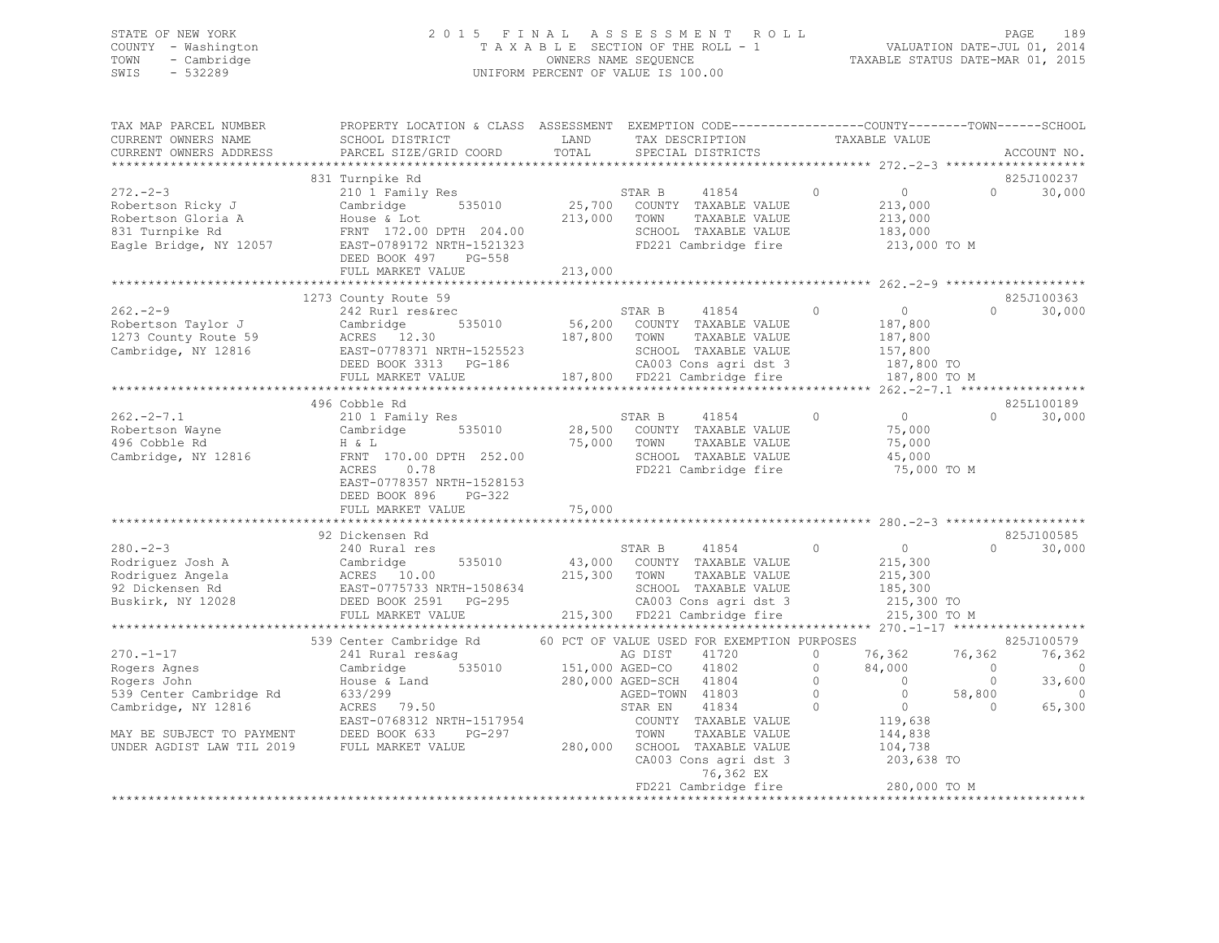## STATE OF NEW YORK 2 0 1 5 F I N A L A S S E S S M E N T R O L L PAGE 189 COUNTY - Washington T A X A B L E SECTION OF THE ROLL - 1 VALUATION DATE-JUL 01, 2014 TOWN - Cambridge OWNERS NAME SEQUENCE TAXABLE STATUS DATE-MAR 01, 2015 SWIS - 532289 UNIFORM PERCENT OF VALUE IS 100.00

| TAX MAP PARCEL NUMBER<br>CURRENT OWNERS NAME                                                          | PROPERTY LOCATION & CLASS ASSESSMENT<br>SCHOOL DISTRICT                                                                                                        | LAND                         | EXEMPTION CODE-----------------COUNTY-------TOWN------SCHOOL<br>TAX DESCRIPTION                                                                  |                    | TAXABLE VALUE                                                                 |                          |                      |
|-------------------------------------------------------------------------------------------------------|----------------------------------------------------------------------------------------------------------------------------------------------------------------|------------------------------|--------------------------------------------------------------------------------------------------------------------------------------------------|--------------------|-------------------------------------------------------------------------------|--------------------------|----------------------|
| CURRENT OWNERS ADDRESS<br>*********************                                                       | PARCEL SIZE/GRID COORD                                                                                                                                         | TOTAL                        | SPECIAL DISTRICTS                                                                                                                                |                    |                                                                               |                          | ACCOUNT NO.          |
|                                                                                                       | 831 Turnpike Rd                                                                                                                                                |                              |                                                                                                                                                  |                    |                                                                               |                          | 825J100237           |
| $272 - 2 - 3$<br>Robertson Ricky J<br>Robertson Gloria A<br>831 Turnpike Rd<br>Eagle Bridge, NY 12057 | 210 1 Family Res<br>535010<br>Cambridge<br>House & Lot<br>FRNT 172.00 DPTH 204.00<br>EAST-0789172 NRTH-1521323<br>DEED BOOK 497<br>PG-558<br>FULL MARKET VALUE | 25,700<br>213,000<br>213,000 | STAR B<br>41854<br>COUNTY TAXABLE VALUE<br>TOWN<br>TAXABLE VALUE<br>SCHOOL TAXABLE VALUE<br>FD221 Cambridge fire                                 | $\circ$            | $\Omega$<br>213,000<br>213,000<br>183,000<br>213,000 TO M                     | $\Omega$                 | 30,000               |
|                                                                                                       |                                                                                                                                                                |                              |                                                                                                                                                  |                    |                                                                               |                          |                      |
|                                                                                                       | 1273 County Route 59                                                                                                                                           |                              |                                                                                                                                                  |                    |                                                                               |                          | 825J100363           |
| $262 - 2 - 9$<br>Robertson Taylor J<br>1273 County Route 59<br>Cambridge, NY 12816                    | 242 Rurl res&rec<br>535010<br>Cambridge<br>ACRES 12.30<br>EAST-0778371 NRTH-1525523<br>DEED BOOK 3313 PG-186<br>FULL MARKET VALUE                              | 187,800 TOWN                 | STAR B<br>41854<br>56,200 COUNTY TAXABLE VALUE<br>TAXABLE VALUE<br>SCHOOL TAXABLE VALUE<br>CA003 Cons agri dst 3<br>187,800 FD221 Cambridge fire | $\Omega$           | $\Omega$<br>187,800<br>187,800<br>157,800<br>187,800 TO<br>187,800 TO M       | $\cap$                   | 30,000               |
|                                                                                                       |                                                                                                                                                                |                              |                                                                                                                                                  |                    |                                                                               |                          |                      |
|                                                                                                       | 496 Cobble Rd                                                                                                                                                  |                              |                                                                                                                                                  |                    |                                                                               |                          | 825L100189           |
| $262 - 2 - 7.1$<br>Robertson Wayne<br>496 Cobble Rd<br>Cambridge, NY 12816                            | 210 1 Family Res<br>535010<br>Cambridge<br>H & L<br>FRNT 170.00 DPTH 252.00<br>ACRES<br>0.78<br>EAST-0778357 NRTH-1528153<br>DEED BOOK 896<br>$PG-322$         | 28,500<br>75,000             | STAR B<br>41854<br>COUNTY TAXABLE VALUE<br>TOWN<br>TAXABLE VALUE<br>SCHOOL TAXABLE VALUE<br>FD221 Cambridge fire                                 | $\circ$            | $\overline{0}$<br>75,000<br>75,000<br>45,000<br>75,000 TO M                   | $\Omega$                 | 30,000               |
|                                                                                                       | FULL MARKET VALUE                                                                                                                                              | 75,000                       |                                                                                                                                                  |                    |                                                                               |                          |                      |
|                                                                                                       |                                                                                                                                                                |                              |                                                                                                                                                  |                    |                                                                               |                          |                      |
| $280 - 2 - 3$<br>Rodriquez Josh A<br>Rodriquez Angela<br>92 Dickensen Rd<br>Buskirk, NY 12028         | 92 Dickensen Rd<br>240 Rural res<br>535010<br>Cambridge<br>ACRES 10.00<br>EAST-0775733 NRTH-1508634<br>DEED BOOK 2591 PG-295<br>FULL MARKET VALUE              | 215,300 TOWN                 | STAR B<br>41854<br>43,000 COUNTY TAXABLE VALUE<br>TAXABLE VALUE<br>SCHOOL TAXABLE VALUE<br>CA003 Cons agri dst 3<br>215,300 FD221 Cambridge fire | $\circ$            | $\overline{0}$<br>215,300<br>215,300<br>185,300<br>215,300 TO<br>215,300 TO M | $\Omega$                 | 825J100585<br>30,000 |
|                                                                                                       |                                                                                                                                                                |                              |                                                                                                                                                  |                    |                                                                               |                          |                      |
|                                                                                                       | 539 Center Cambridge Rd                                                                                                                                        |                              | 60 PCT OF VALUE USED FOR EXEMPTION PURPOSES                                                                                                      |                    |                                                                               |                          | 825J100579           |
| $270. - 1 - 17$<br>Rogers Agnes                                                                       | 241 Rural res&ag<br>535010<br>Cambridge                                                                                                                        |                              | 41720<br>AG DIST<br>41802<br>151,000 AGED-CO                                                                                                     | $\circ$<br>$\circ$ | 76,362<br>84,000                                                              | 76,362<br>$\overline{0}$ | 76,362<br>0          |
| Rogers John                                                                                           | House & Land                                                                                                                                                   |                              | 280,000 AGED-SCH 41804                                                                                                                           | $\circ$            | $\overline{0}$                                                                | $\Omega$                 | 33,600               |
| 539 Center Cambridge Rd                                                                               | 633/299                                                                                                                                                        |                              | AGED-TOWN 41803                                                                                                                                  | $\circ$            | $\overline{0}$                                                                | 58,800                   | $\Omega$             |
| Cambridge, NY 12816<br>MAY BE SUBJECT TO PAYMENT                                                      | ACRES<br>79.50<br>EAST-0768312 NRTH-1517954<br>DEED BOOK 633<br>PG-297                                                                                         |                              | STAR EN<br>41834<br>COUNTY TAXABLE VALUE<br>TOWN<br>TAXABLE VALUE                                                                                | $\Omega$           | $\overline{0}$<br>119,638<br>144,838                                          | $\Omega$                 | 65,300               |
| UNDER AGDIST LAW TIL 2019                                                                             | FULL MARKET VALUE                                                                                                                                              |                              | 280,000 SCHOOL TAXABLE VALUE<br>CA003 Cons agri dst 3<br>76,362 EX                                                                               |                    | 104,738<br>203,638 TO                                                         |                          |                      |
|                                                                                                       | *********************************                                                                                                                              |                              | FD221 Cambridge fire                                                                                                                             |                    | 280,000 TO M<br>************************                                      |                          |                      |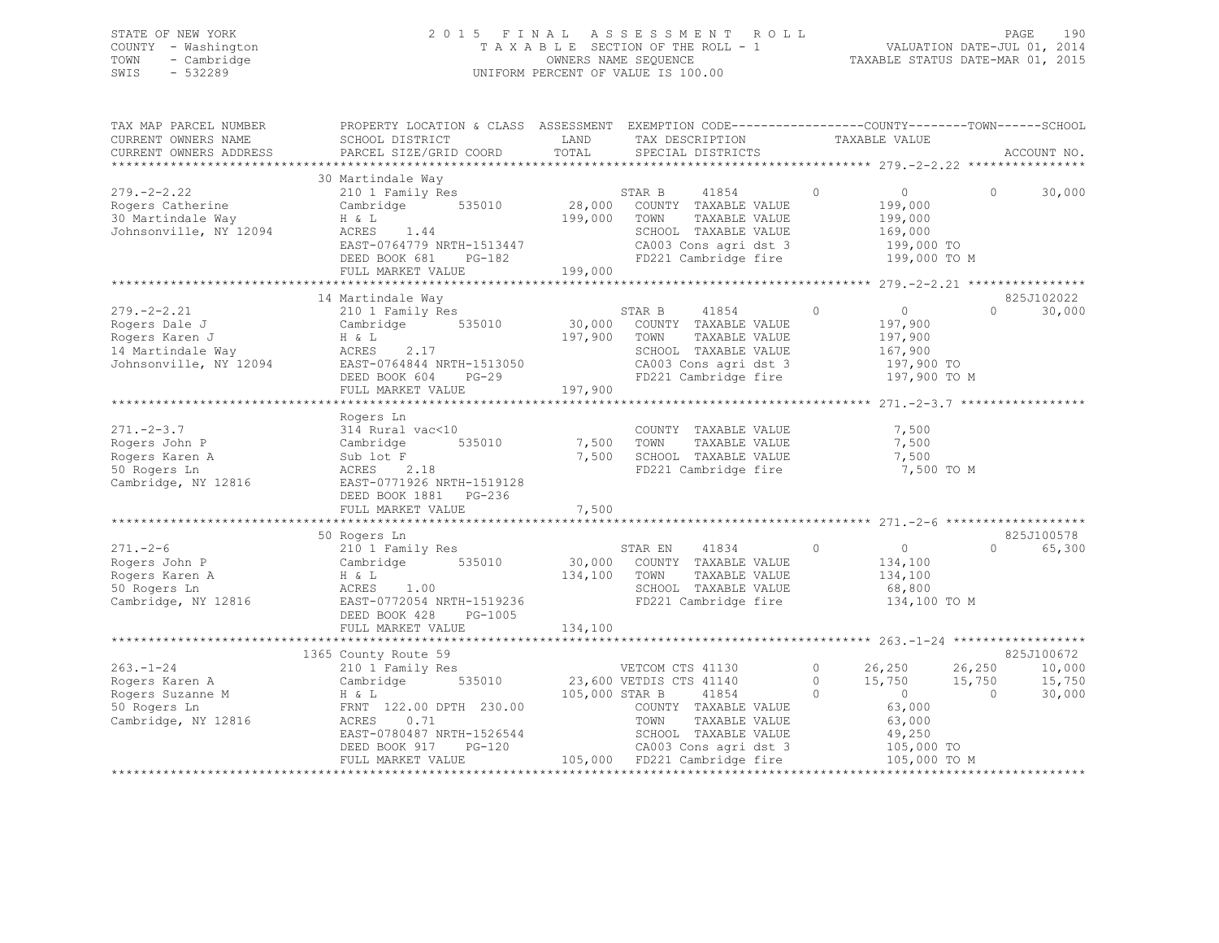## STATE OF NEW YORK 2 0 1 5 F I N A L A S S E S S M E N T R O L L PAGE 190 COUNTY - Washington T A X A B L E SECTION OF THE ROLL - 1 VALUATION DATE-JUL 01, 2014 TOWN - Cambridge OWNERS NAME SEQUENCE TAXABLE STATUS DATE-MAR 01, 2015 SWIS - 532289 UNIFORM PERCENT OF VALUE IS 100.00

| TAX MAP PARCEL NUMBER<br>CURRENT OWNERS NAME<br>CURRENT OWNERS ADDRESS                              | PROPERTY LOCATION & CLASS ASSESSMENT EXEMPTION CODE----------------COUNTY-------TOWN------SCHOOL<br>SCHOOL DISTRICT<br>PARCEL SIZE/GRID COORD                                                       | LAND<br>TOTAL                | TAX DESCRIPTION<br>SPECIAL DISTRICTS                                                                                                                                                   | TAXABLE VALUE                                                                                                                             | ACCOUNT NO.                                                                |
|-----------------------------------------------------------------------------------------------------|-----------------------------------------------------------------------------------------------------------------------------------------------------------------------------------------------------|------------------------------|----------------------------------------------------------------------------------------------------------------------------------------------------------------------------------------|-------------------------------------------------------------------------------------------------------------------------------------------|----------------------------------------------------------------------------|
| $279. - 2 - 2.22$<br>Rogers Catherine<br>30 Martindale Way<br>Johnsonville, NY 12094                | 30 Martindale Way<br>210 1 Family Res<br>535010<br>Cambridge<br>H & L<br>ACRES 1.44<br>EAST-0764779 NRTH-1513447<br>DEED BOOK 681<br>PG-182<br>FULL MARKET VALUE                                    | 28,000<br>199,000<br>199,000 | 41854<br>STAR B<br>COUNTY TAXABLE VALUE<br>TOWN<br>TAXABLE VALUE<br>SCHOOL TAXABLE VALUE<br>CA003 Cons agri dst 3<br>FD221 Cambridge fire 199,000 TO M                                 | $\circledcirc$<br>$\overline{0}$<br>199,000<br>199,000<br>169,000<br>199,000 TO                                                           | $\Omega$<br>30,000                                                         |
|                                                                                                     |                                                                                                                                                                                                     |                              |                                                                                                                                                                                        |                                                                                                                                           |                                                                            |
| $279. - 2 - 2.21$<br>Rogers Dale J<br>Rogers Karen J<br>14 Martindale Way<br>Johnsonville, NY 12094 | 14 Martindale Way<br>210 1 Family Res<br>Cambridge 535010<br>H & L<br>2.17<br>ACRES<br>EAST-0764844 NRTH-1513050<br>DEED BOOK 604 PG-29<br>FULL MARKET VALUE                                        | 197,900<br>197,900           | STAR B 41854<br>30,000 COUNTY TAXABLE VALUE<br>TOWN<br>TAXABLE VALUE<br>SCHOOL TAXABLE VALUE<br>CA003 Cons agri dst 3<br>FD221 Cambridge fire                                          | $\overline{0}$<br>$\circ$<br>197,900<br>197,900<br>167,900<br>197,900 TO<br>197,900 TO M                                                  | 825J102022<br>$\Omega$<br>30,000                                           |
|                                                                                                     |                                                                                                                                                                                                     |                              |                                                                                                                                                                                        |                                                                                                                                           |                                                                            |
| $271 - 2 - 3.7$<br>Rogers John P<br>Rogers Karen A<br>50 Rogers Ln<br>Cambridge, NY 12816           | Rogers Ln<br>314 Rural vac<10<br>Cambridge<br>535010<br>Sub lot F<br>ACRES<br>2.18<br>EAST-0771926 NRTH-1519128<br>DEED BOOK 1881    PG-236<br>FULL MARKET VALUE                                    | 7,500<br>7,500<br>7,500      | COUNTY TAXABLE VALUE<br>TAXABLE VALUE<br>TOWN<br>SCHOOL TAXABLE VALUE<br>FD221 Cambridge fire                                                                                          | 7,500<br>7,500<br>7,500<br>7,500 TO M                                                                                                     |                                                                            |
|                                                                                                     |                                                                                                                                                                                                     |                              |                                                                                                                                                                                        |                                                                                                                                           |                                                                            |
| $271. - 2 - 6$<br>Rogers John P<br>Rogers Karen A<br>50 Rogers Ln<br>Cambridge, NY 12816            | 50 Rogers Ln<br>210 1 Family Res<br>Cambridge<br>535010<br>H & L<br>ACRES<br>1.00<br>EAST-0772054 NRTH-1519236<br>DEED BOOK 428<br>PG-1005<br>FULL MARKET VALUE                                     | 134,100<br>134,100           | STAR EN<br>41834<br>30,000 COUNTY TAXABLE VALUE<br>TOWN<br>TAXABLE VALUE<br>SCHOOL TAXABLE VALUE<br>FD221 Cambridge fire                                                               | $\circ$<br>$\overline{0}$<br>134,100<br>134,100<br>68,800<br>134,100 TO M                                                                 | 825J100578<br>$\Omega$<br>65,300                                           |
|                                                                                                     |                                                                                                                                                                                                     |                              |                                                                                                                                                                                        |                                                                                                                                           |                                                                            |
| $263. - 1 - 24$<br>Rogers Karen A<br>Rogers Suzanne M<br>50 Rogers Ln<br>Cambridge, NY 12816        | 1365 County Route 59<br>210 1 Family Res<br>535010<br>Cambridge<br>H & L<br>FRNT 122.00 DPTH 230.00<br>ACRES<br>0.71<br>EAST-0780487 NRTH-1526544<br>$PG-120$<br>DEED BOOK 917<br>FULL MARKET VALUE | 105,000 STAR B               | VETCOM CTS 41130<br>23,600 VETDIS CTS 41140<br>41854<br>COUNTY TAXABLE VALUE<br>TOWN<br>TAXABLE VALUE<br>SCHOOL TAXABLE VALUE<br>CA003 Cons agri dst 3<br>105,000 FD221 Cambridge fire | $\circ$<br>26,250<br>15,750<br>$\circ$<br>$\circ$<br>$\overline{0}$<br>63,000<br>63,000<br>49,250<br>49,250<br>105,000 To<br>105,000 TO M | 825J100672<br>26,250<br>10,000<br>15,750<br>15,750<br>$\bigcirc$<br>30,000 |
|                                                                                                     |                                                                                                                                                                                                     |                              |                                                                                                                                                                                        |                                                                                                                                           |                                                                            |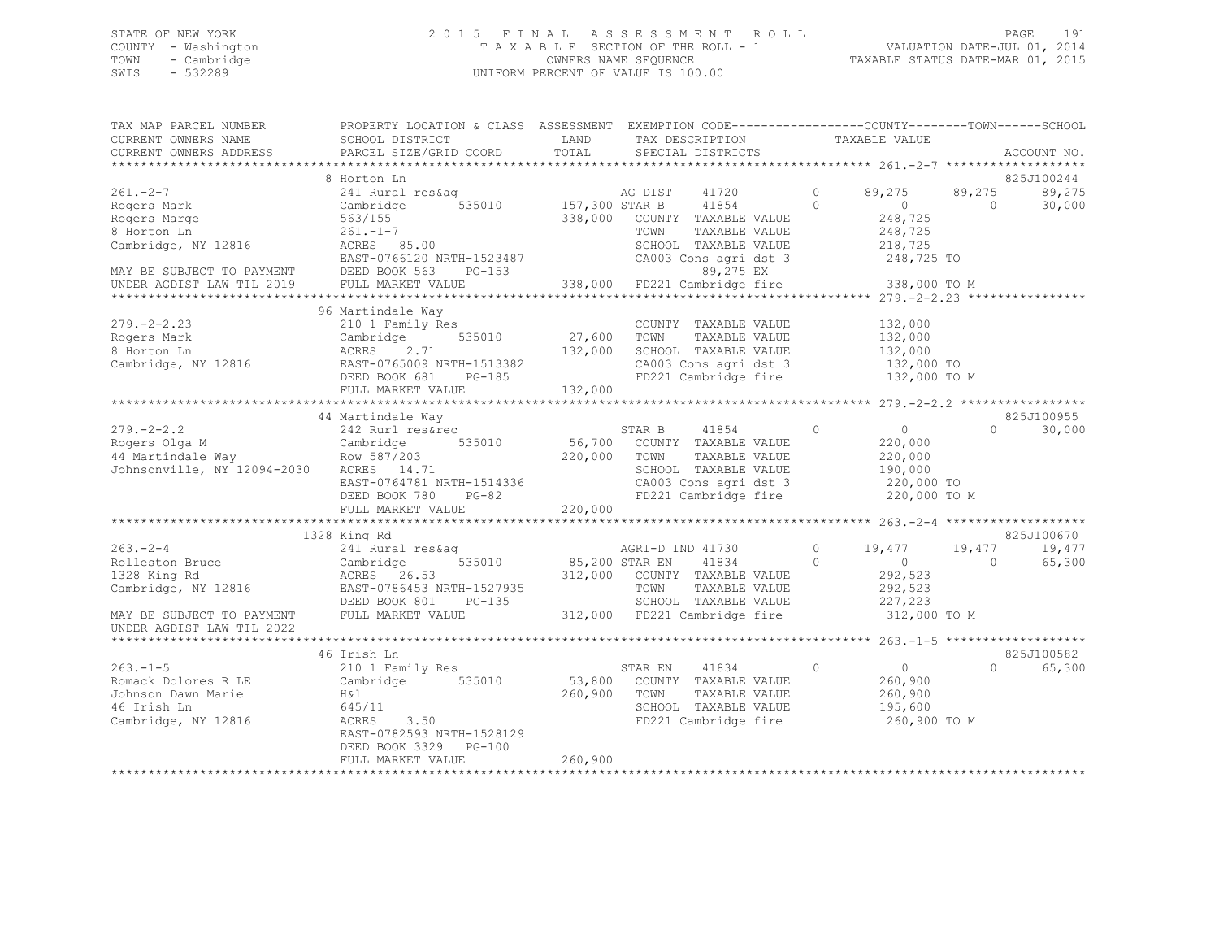## STATE OF NEW YORK 2 0 1 5 F I N A L A S S E S S M E N T R O L L PAGE 191 COUNTY - Washington T A X A B L E SECTION OF THE ROLL - 1 VALUATION DATE-JUL 01, 2014 TOWN - Cambridge OWNERS NAME SEQUENCE TAXABLE STATUS DATE-MAR 01, 2015 SWIS - 532289 UNIFORM PERCENT OF VALUE IS 100.00

| TAX MAP PARCEL NUMBER                                                                    | PROPERTY LOCATION & CLASS ASSESSMENT EXEMPTION CODE---------------COUNTY-------TOWN------SCHOOL                                       |                      |                                                                                     |          |                                               |            |             |
|------------------------------------------------------------------------------------------|---------------------------------------------------------------------------------------------------------------------------------------|----------------------|-------------------------------------------------------------------------------------|----------|-----------------------------------------------|------------|-------------|
| CURRENT OWNERS NAME                                                                      | SCHOOL DISTRICT                                                                                                                       | LAND                 | TAX DESCRIPTION                                                                     |          | TAXABLE VALUE                                 |            |             |
| CURRENT OWNERS ADDRESS                                                                   | PARCEL SIZE/GRID COORD                                                                                                                | TOTAL                | SPECIAL DISTRICTS                                                                   |          |                                               |            | ACCOUNT NO. |
|                                                                                          |                                                                                                                                       |                      |                                                                                     |          |                                               |            |             |
|                                                                                          | 8 Horton Ln                                                                                                                           |                      |                                                                                     |          |                                               |            | 825J100244  |
| $261. -2 -7$                                                                             | 241 Rural res&aq                                                                                                                      |                      |                                                                                     | $\circ$  | 89,275                                        | 89,275     | 89,275      |
| Rogers Mark                                                                              | 535010<br>Cambridge                                                                                                                   |                      | AG DIST 41720<br>157,300 STAR B 41854                                               | $\Omega$ | $\overline{0}$                                | $\bigcirc$ | 30,000      |
| Rogers Marge                                                                             | 563/155                                                                                                                               |                      | 338,000 COUNTY TAXABLE VALUE                                                        |          |                                               |            |             |
| 8 Horton Ln                                                                              | $261. -1 - 7$                                                                                                                         |                      | TOWN<br>TAXABLE VALUE                                                               |          | 248,725<br>248,725                            |            |             |
| Cambridge, NY 12816                                                                      | ACRES 85.00                                                                                                                           |                      | SCHOOL TAXABLE VALUE                                                                |          | 218,725                                       |            |             |
|                                                                                          | EAST-0766120 NRTH-1523487                                                                                                             |                      | 2487 CA003 Cons agridst 3<br>89,275 EX<br>338,000 FD221 Cambridge fire 338,000 TO M |          |                                               |            |             |
| MAY BE SUBJECT TO PAYMENT DEED BOOK 563 I<br>UNDER AGDIST LAW TIL 2019 FULL MARKET VALUE | $PG-153$                                                                                                                              |                      |                                                                                     |          |                                               |            |             |
|                                                                                          |                                                                                                                                       |                      |                                                                                     |          |                                               |            |             |
|                                                                                          |                                                                                                                                       |                      |                                                                                     |          |                                               |            |             |
|                                                                                          | 96 Martindale Way                                                                                                                     |                      |                                                                                     |          |                                               |            |             |
| $279. - 2 - 2.23$                                                                        | 210 1 Family Res                                                                                                                      | COUNT<br>27,600 TOWN | COUNTY TAXABLE VALUE                                                                |          | 132,000                                       |            |             |
| Rogers Mark                                                                              | Cambridge 535010                                                                                                                      |                      | TAXABLE VALUE                                                                       |          | 132,000                                       |            |             |
| 8 Horton Ln                                                                              |                                                                                                                                       |                      |                                                                                     |          |                                               |            |             |
| Cambridge, NY 12816                                                                      |                                                                                                                                       |                      |                                                                                     |          |                                               |            |             |
|                                                                                          |                                                                                                                                       |                      |                                                                                     |          |                                               |            |             |
|                                                                                          |                                                                                                                                       |                      |                                                                                     |          |                                               |            |             |
|                                                                                          |                                                                                                                                       |                      |                                                                                     |          |                                               |            |             |
|                                                                                          |                                                                                                                                       |                      |                                                                                     |          |                                               |            |             |
| $279. - 2 - 2.2$                                                                         | 242 Rurl res&rec                                                                                                                      |                      | STAR B 41854                                                                        | $\Omega$ | $\begin{array}{c}\n0 \\ 2200000\n\end{array}$ | $\Omega$   | 30,000      |
|                                                                                          | Cambridge 535010 56,700 COUNTY TAXABLE VALUE<br>Row 587/203 220,000 TOWN TAXABLE VALUE                                                |                      |                                                                                     |          |                                               |            |             |
|                                                                                          |                                                                                                                                       |                      | TAXABLE VALUE                                                                       |          | 220,000                                       |            |             |
|                                                                                          |                                                                                                                                       |                      | SCHOOL TAXABLE VALUE                                                                |          | 190,000                                       |            |             |
|                                                                                          | EAST-0764781 NRTH-1514336                                                                                                             |                      | CA003 Cons agri dst 3                                                               |          | 220,000 TO                                    |            |             |
|                                                                                          | DEED BOOK 780 PG-82                                                                                                                   |                      | FD221 Cambridge fire                                                                |          | 220,000 TO M                                  |            |             |
|                                                                                          | FULL MARKET VALUE                                                                                                                     | 220,000              |                                                                                     |          |                                               |            |             |
|                                                                                          |                                                                                                                                       |                      |                                                                                     |          |                                               |            |             |
|                                                                                          | 1328 King Rd                                                                                                                          |                      |                                                                                     |          |                                               |            | 825J100670  |
| $263 - 2 - 4$                                                                            | 241 Rural res&ag                                                                                                                      |                      | AGRI-D IND 41730                                                                    | $\circ$  | 19,477                                        | 19,477     | 19,477      |
| Rolleston Bruce Cambridge                                                                | 535010 85,200 STAR EN                                                                                                                 |                      | 41834                                                                               | $\Omega$ | $\overline{0}$                                | $\Omega$   | 65,300      |
| 1328 King Rd                                                                             |                                                                                                                                       |                      |                                                                                     |          | 292,523                                       |            |             |
| Cambridge, NY 12816 EAST-0786453 NRTH-1527935                                            | ACRES 26.53 312,000 COUNTY TAXABLE VALUE<br>EAST-0786453 NRTH-1527935 TOWN TAXABLE VALUE<br>DEED BOOK 801 PG-135 SCHOOL TAXABLE VALUE |                      |                                                                                     |          | 292,523                                       |            |             |
|                                                                                          |                                                                                                                                       |                      |                                                                                     |          | 227,223                                       |            |             |
| MAY BE SUBJECT TO PAYMENT                                                                | FULL MARKET VALUE                                                                                                                     |                      | 312,000 FD221 Cambridge fire                                                        |          | 312,000 TO M                                  |            |             |
| UNDER AGDIST LAW TIL 2022                                                                |                                                                                                                                       |                      |                                                                                     |          |                                               |            |             |
|                                                                                          |                                                                                                                                       |                      |                                                                                     |          |                                               |            |             |
|                                                                                          | 46 Irish Ln                                                                                                                           |                      |                                                                                     |          |                                               |            | 825J100582  |
| $263 - 1 - 5$                                                                            | 210 1 Family Res                                                                                                                      |                      | STAR EN<br>41834                                                                    | $\circ$  | $\overline{0}$                                | $\Omega$   | 65,300      |
| Romack Dolores R LE                                                                      | Cambridge 535010                                                                                                                      |                      | 53,800 COUNTY TAXABLE VALUE                                                         |          | 260,900                                       |            |             |
| Johnson Dawn Marie                                                                       | H&1                                                                                                                                   | 260,900 TOWN         | TAXABLE VALUE                                                                       |          | 260,900                                       |            |             |
| 46 Irish Ln                                                                              | 645/11                                                                                                                                |                      |                                                                                     |          | 195,600                                       |            |             |
| Cambridge, NY 12816                                                                      | <b>ACRES</b><br>3.50                                                                                                                  |                      | SCHOOL TAXABLE VALUE<br>FD221 Cambridge fire                                        |          | 260,900 TO M                                  |            |             |
|                                                                                          | EAST-0782593 NRTH-1528129                                                                                                             |                      |                                                                                     |          |                                               |            |             |
|                                                                                          | DEED BOOK 3329 PG-100                                                                                                                 |                      |                                                                                     |          |                                               |            |             |
|                                                                                          | FULL MARKET VALUE                                                                                                                     | 260,900              |                                                                                     |          |                                               |            |             |
|                                                                                          |                                                                                                                                       |                      |                                                                                     |          |                                               |            |             |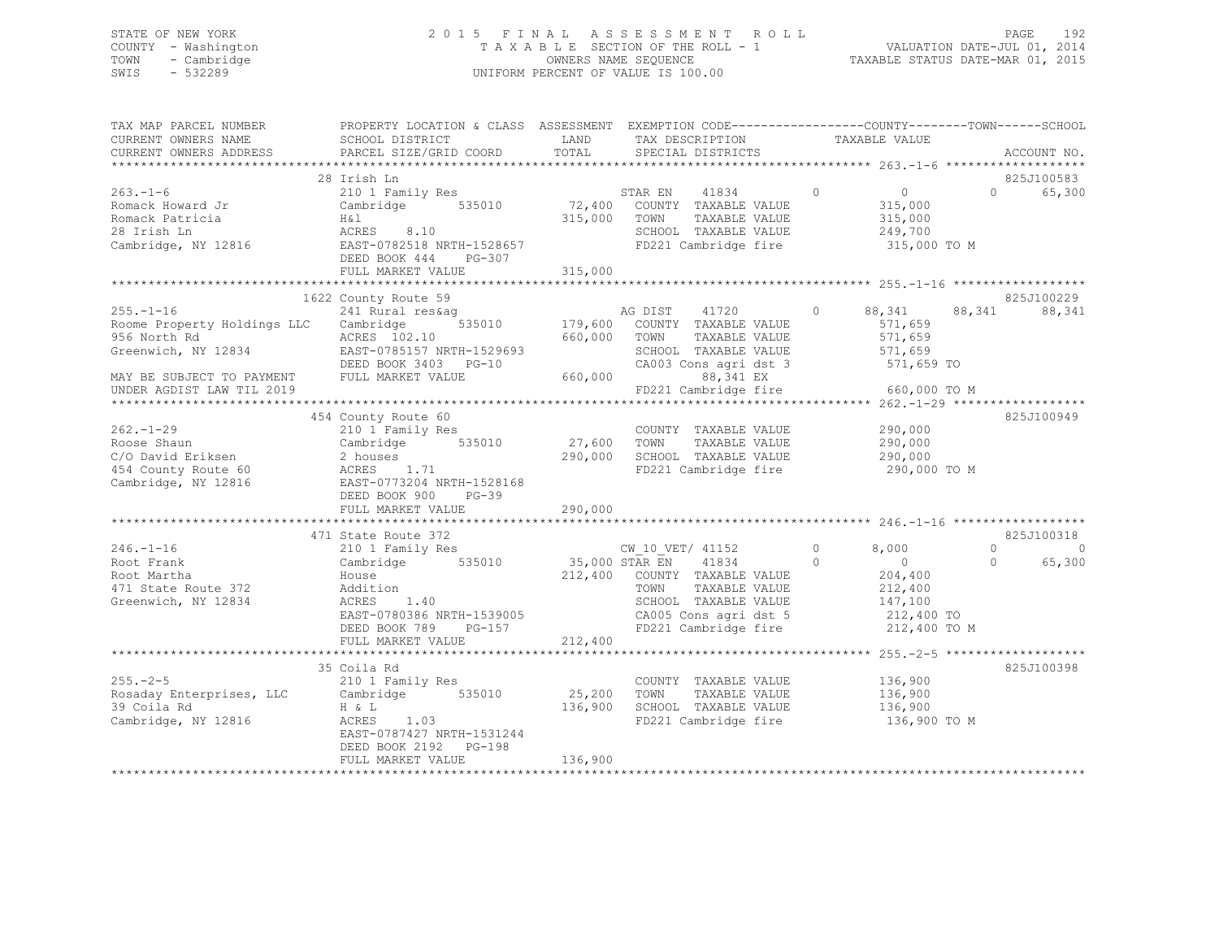## STATE OF NEW YORK 2 0 1 5 F I N A L A S S E S S M E N T R O L L PAGE 192 COUNTY - Washington T A X A B L E SECTION OF THE ROLL - 1 VALUATION DATE-JUL 01, 2014 TOWN - Cambridge OWNERS NAME SEQUENCE TAXABLE STATUS DATE-MAR 01, 2015 SWIS - 532289 UNIFORM PERCENT OF VALUE IS 100.00

| TAX MAP PARCEL NUMBER<br>CURRENT OWNERS NAME<br>CURRENT OWNERS ADDRESS                                                                                    | PROPERTY LOCATION & CLASS ASSESSMENT EXEMPTION CODE---------------COUNTY-------TOWN------SCHOOI<br>SCHOOL DISTRICT<br>PARCEL SIZE/GRID COORD                        | LAND<br>TOTAL                | TAX DESCRIPTION<br>SPECIAL DISTRICTS                                                                                                                            | TAXABLE VALUE                                                                                                 | ACCOUNT NO.                      |          |
|-----------------------------------------------------------------------------------------------------------------------------------------------------------|---------------------------------------------------------------------------------------------------------------------------------------------------------------------|------------------------------|-----------------------------------------------------------------------------------------------------------------------------------------------------------------|---------------------------------------------------------------------------------------------------------------|----------------------------------|----------|
|                                                                                                                                                           |                                                                                                                                                                     |                              |                                                                                                                                                                 |                                                                                                               |                                  |          |
| $263 - 1 - 6$<br>Romack Howard Jr<br>Romack Patricia<br>28 Irish Ln<br>Cambridge, NY 12816                                                                | 28 Irish Ln<br>210 1 Family Res<br>Cambridge 535010<br>H&l<br>ACRES 8.10<br>EAST-0782518 NRTH-1528657<br>DEED BOOK 444<br>PG-307<br>FULL MARKET VALUE               | 315,000 TOWN<br>315,000      | STAR EN<br>41834<br>72,400 COUNTY TAXABLE VALUE<br>TAXABLE VALUE<br>SCHOOL TAXABLE VALUE<br>FD221 Cambridge fire                                                | $\Omega$<br>$\overline{0}$<br>315,000<br>315,000<br>249,700<br>315,000 TO M                                   | 825J100583<br>65,300<br>$\Omega$ |          |
|                                                                                                                                                           |                                                                                                                                                                     |                              |                                                                                                                                                                 |                                                                                                               |                                  |          |
| $255. - 1 - 16$<br>Roome Property Holdings LLC Cambridge<br>956 North Rd<br>Greenwich, NY 12834<br>MAY BE SUBJECT TO PAYMENT<br>UNDER AGDIST LAW TIL 2019 | 1622 County Route 59<br>241 Rural res&ag<br>535010<br>ACRES 102.10<br>EAST-0785157 NRTH-1529693<br>DEED BOOK 3403 PG-10<br>FULL MARKET VALUE                        | 660,000<br>660,000           | AG DIST<br>41720<br>179,600 COUNTY TAXABLE VALUE<br>TOWN<br>TAXABLE VALUE<br>SCHOOL TAXABLE VALUE<br>CA003 Cons agri dst 3<br>88,341 EX<br>FD221 Cambridge fire | 88,341<br>$\circ$<br>571,659<br>571,659<br>571,659<br>571,659 TO<br>660,000 TO M                              | 825J100229<br>88,341<br>88,341   |          |
| $262 - 1 - 29$<br>Roose Shaun<br>C/O David Eriksen<br>454 County Route 60<br>Cambridge, NY 12816                                                          | 454 County Route 60<br>210 1 Family Res<br>Cambridge 535010<br>2 houses<br>ACRES 1.71<br>EAST-0773204 NRTH-1528168<br>DEED BOOK 900<br>$PG-39$<br>FULL MARKET VALUE | 27,600 TOWN<br>290,000       | COUNTY TAXABLE VALUE<br>TAXABLE VALUE<br>290,000 SCHOOL TAXABLE VALUE<br>FD221 Cambridge fire                                                                   | 290,000<br>290,000<br>290,000<br>290,000 TO M                                                                 | 825J100949                       |          |
|                                                                                                                                                           | 471 State Route 372                                                                                                                                                 |                              |                                                                                                                                                                 |                                                                                                               | 825J100318                       |          |
| $246. - 1 - 16$<br>Root Frank<br>Root Martha<br>471 State Route 372<br>Greenwich, NY 12834                                                                | 210 1 Family Res<br>Cambridge 535010<br>House<br>Addition<br>ACRES<br>1.40<br>EAST-0780386 NRTH-1539005<br>DEED BOOK 789<br>$PG-157$                                | 35,000 STAR EN               | CW 10 VET/ 41152<br>41834<br>212,400 COUNTY TAXABLE VALUE<br>TAXABLE VALUE<br>TOWN<br>SCHOOL TAXABLE VALUE<br>CA005 Cons agri dst 5<br>FD221 Cambridge fire     | $\circ$<br>8,000<br>$\overline{0}$<br>$\Omega$<br>204,400<br>212,400<br>147,100<br>212,400 TO<br>212,400 TO M | $\Omega$<br>$\Omega$<br>65,300   | $\Omega$ |
|                                                                                                                                                           | FULL MARKET VALUE                                                                                                                                                   | 212,400                      |                                                                                                                                                                 |                                                                                                               |                                  |          |
| $255. - 2 - 5$<br>Rosaday Enterprises, LLC<br>39 Coila Rd<br>Cambridge, NY 12816                                                                          | 35 Coila Rd<br>210 1 Family Res<br>Cambridge 535010<br>H & L<br>ACRES<br>1.03<br>EAST-0787427 NRTH-1531244<br>DEED BOOK 2192    PG-198<br>FULL MARKET VALUE         | 25,200<br>136,900<br>136,900 | COUNTY TAXABLE VALUE<br>TOWN<br>TAXABLE VALUE<br>SCHOOL TAXABLE VALUE<br>FD221 Cambridge fire                                                                   | 136,900<br>136,900<br>136,900<br>136,900 TO M                                                                 | 825J100398                       |          |
|                                                                                                                                                           |                                                                                                                                                                     |                              |                                                                                                                                                                 |                                                                                                               |                                  |          |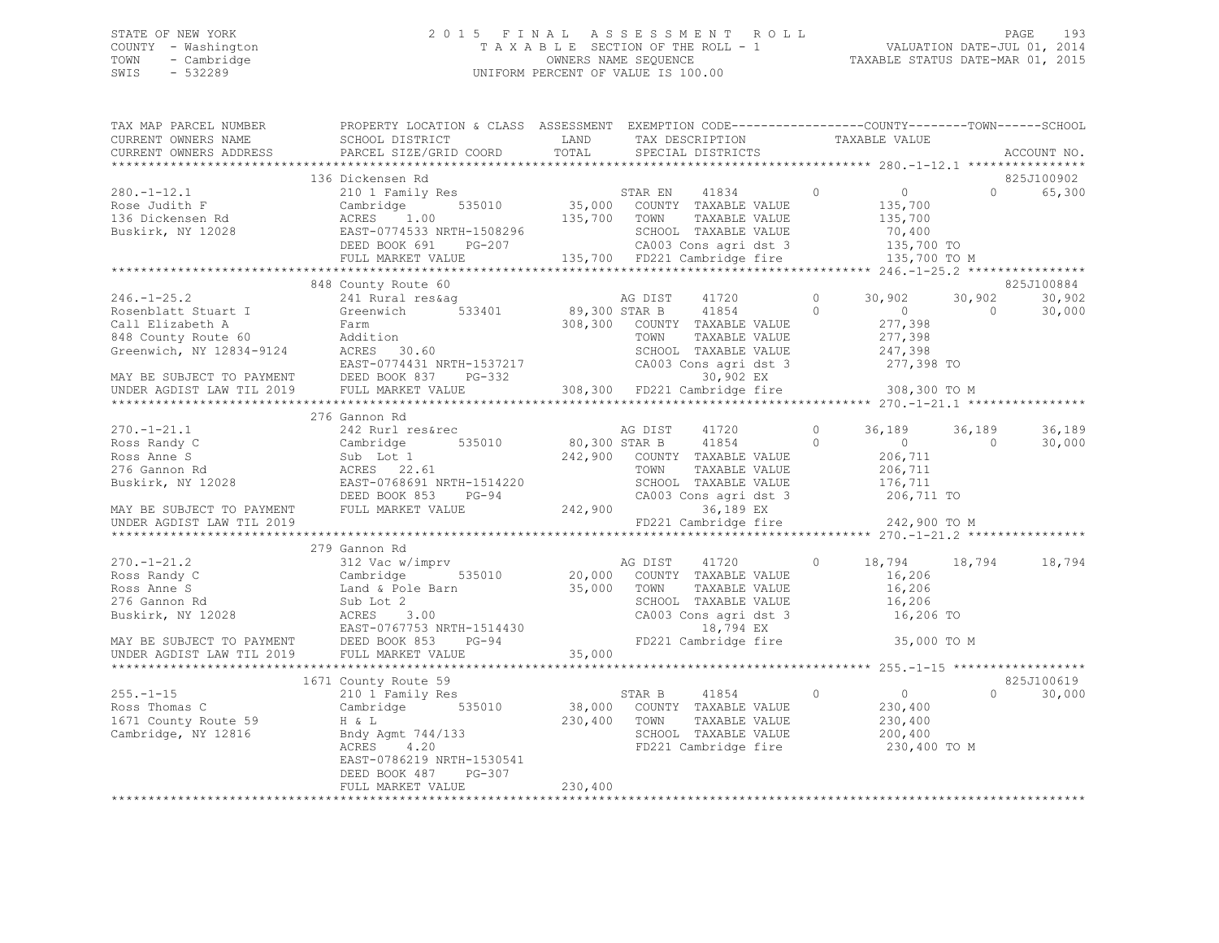# STATE OF NEW YORK<br>COUNTY - Washington 2015 FINAL ASSESSMENT ROLL 2011<br>2014 TAXABLE SECTION OF THE ROLL - 1 COUNTY - Washington  $T A X A B L E$  SECTION OF THE ROLL - 1<br>TOWN - Cambridge  $\sim$  000NERS NAME SEQUENCE TOWN - Cambridge OWNERS NAME SEQUENCE TAXABLE STATUS DATE-MAR 01, 2015 UNIFORM PERCENT OF VALUE IS 100.00

| TAX MAP PARCEL NUMBER           PROPERTY LOCATION & CLASS  ASSESSMENT  EXEMPTION CODE-------------COUNTY--------TOWN------SCHOOL                                                                                                                                                                                                                                                                              |         |  |  |                          |
|---------------------------------------------------------------------------------------------------------------------------------------------------------------------------------------------------------------------------------------------------------------------------------------------------------------------------------------------------------------------------------------------------------------|---------|--|--|--------------------------|
|                                                                                                                                                                                                                                                                                                                                                                                                               |         |  |  | ACCOUNT NO.              |
|                                                                                                                                                                                                                                                                                                                                                                                                               |         |  |  |                          |
| 136 Dickensen Rd<br>280.-1-12.1 136 Dickensen Rd<br>280.-1-12.1 210 1 Family Res<br>Rose Judith F Cambridge 535010 35,000 COUNTY TAXABLE VALUE 135,700 0 65,300<br>35,700 TOWN TAXABLE VALUE 135,700<br>280.-1-12.1 135,700 0 65,300<br>28                                                                                                                                                                    |         |  |  |                          |
|                                                                                                                                                                                                                                                                                                                                                                                                               |         |  |  |                          |
|                                                                                                                                                                                                                                                                                                                                                                                                               |         |  |  |                          |
|                                                                                                                                                                                                                                                                                                                                                                                                               |         |  |  |                          |
|                                                                                                                                                                                                                                                                                                                                                                                                               |         |  |  |                          |
|                                                                                                                                                                                                                                                                                                                                                                                                               |         |  |  |                          |
|                                                                                                                                                                                                                                                                                                                                                                                                               |         |  |  |                          |
|                                                                                                                                                                                                                                                                                                                                                                                                               |         |  |  |                          |
| 848 County Route 60                                                                                                                                                                                                                                                                                                                                                                                           |         |  |  | 825J100884               |
|                                                                                                                                                                                                                                                                                                                                                                                                               |         |  |  | 30,902                   |
|                                                                                                                                                                                                                                                                                                                                                                                                               |         |  |  | 30,000                   |
|                                                                                                                                                                                                                                                                                                                                                                                                               |         |  |  |                          |
|                                                                                                                                                                                                                                                                                                                                                                                                               |         |  |  |                          |
|                                                                                                                                                                                                                                                                                                                                                                                                               |         |  |  |                          |
|                                                                                                                                                                                                                                                                                                                                                                                                               |         |  |  |                          |
|                                                                                                                                                                                                                                                                                                                                                                                                               |         |  |  |                          |
|                                                                                                                                                                                                                                                                                                                                                                                                               |         |  |  |                          |
| 246.-1-25.2<br>Rosenblatt Stuart I 241 Rural res&ag<br>Rosenblatt Stuart I Greenwich 533401<br>Call Elizabeth A Farm 308,300 STAR B 41854<br>Call Elizabeth A Farm 308,300 COUNTY TAXABLE VALUE 277,398<br>Steenwich, NY 12834-9124 ACRE                                                                                                                                                                      |         |  |  |                          |
| 276 Gannon Rd                                                                                                                                                                                                                                                                                                                                                                                                 |         |  |  |                          |
|                                                                                                                                                                                                                                                                                                                                                                                                               |         |  |  |                          |
|                                                                                                                                                                                                                                                                                                                                                                                                               |         |  |  |                          |
|                                                                                                                                                                                                                                                                                                                                                                                                               |         |  |  |                          |
|                                                                                                                                                                                                                                                                                                                                                                                                               |         |  |  |                          |
|                                                                                                                                                                                                                                                                                                                                                                                                               |         |  |  |                          |
|                                                                                                                                                                                                                                                                                                                                                                                                               |         |  |  |                          |
|                                                                                                                                                                                                                                                                                                                                                                                                               |         |  |  |                          |
|                                                                                                                                                                                                                                                                                                                                                                                                               |         |  |  |                          |
| $\begin{array}{cccccccc} 270.-1-21.1 & 276\text{ Gann} & 242\text{ Rorr} & 242,900 & 80,300\text{ STAR B} & 41720 & 0 & 36,189 & 36,189 & 36,189 & 36,189 & 36,189 & 36,189 & 36,189 & 36,189 & 36,189 & 36,189 & 36,189 & 36,189 & 36,189 & 36,189 & 36,189 & 36,189 & 36,189 & 36,189 & $                                                                                                                   |         |  |  |                          |
| 279 Gannon Rd                                                                                                                                                                                                                                                                                                                                                                                                 |         |  |  |                          |
|                                                                                                                                                                                                                                                                                                                                                                                                               |         |  |  |                          |
|                                                                                                                                                                                                                                                                                                                                                                                                               |         |  |  |                          |
|                                                                                                                                                                                                                                                                                                                                                                                                               |         |  |  |                          |
|                                                                                                                                                                                                                                                                                                                                                                                                               |         |  |  |                          |
|                                                                                                                                                                                                                                                                                                                                                                                                               |         |  |  |                          |
|                                                                                                                                                                                                                                                                                                                                                                                                               |         |  |  |                          |
|                                                                                                                                                                                                                                                                                                                                                                                                               |         |  |  |                          |
|                                                                                                                                                                                                                                                                                                                                                                                                               |         |  |  |                          |
| $\begin{array}{cccccccc} 270.-1-21.2 & 312 & \text{VaInom NA} & 35,000 & \text{AG DIST} & 41720 & 0 & 18,794 & 18,794 & 18,794 \\ \text{Ross Randy C} & 31 & 312 & \text{Vac w/imprv} & 535010 & 20,000 & \text{COUNTY TAXABLE VALUE} & 16,206 \\ \text{Ross Anne S} & \text{Land & Pole Barn} & 35,000 & \text{TONTY TAXABLE VALUE} & 16,206 \\ \text{Sub Lot & & & & & & & & & & & & & & & & & & & & & & &$ |         |  |  |                          |
|                                                                                                                                                                                                                                                                                                                                                                                                               |         |  |  |                          |
| 1671 County Route 59                                                                                                                                                                                                                                                                                                                                                                                          |         |  |  | 825J100619               |
|                                                                                                                                                                                                                                                                                                                                                                                                               |         |  |  | 30,000<br>$\overline{0}$ |
|                                                                                                                                                                                                                                                                                                                                                                                                               |         |  |  |                          |
|                                                                                                                                                                                                                                                                                                                                                                                                               |         |  |  |                          |
|                                                                                                                                                                                                                                                                                                                                                                                                               |         |  |  |                          |
| 1671 County Route 59<br>210 1 Family Res<br>Ross Thomas C Cambridge 535010 38,000 COUNTY TAXABLE VALUE<br>230,400 TOWN TAXABLE VALUE 230,400<br>230,400 TOWN TAXABLE VALUE 230,400<br>Cambridge, NY 12816 Bndy Agmt 744/133<br>230,400 FD2                                                                                                                                                                    |         |  |  |                          |
| EAST-0786219 NRTH-1530541                                                                                                                                                                                                                                                                                                                                                                                     |         |  |  |                          |
| DEED BOOK 487 PG-307<br>FULL MARKET VALUE                                                                                                                                                                                                                                                                                                                                                                     |         |  |  |                          |
|                                                                                                                                                                                                                                                                                                                                                                                                               | 230,400 |  |  |                          |
|                                                                                                                                                                                                                                                                                                                                                                                                               |         |  |  |                          |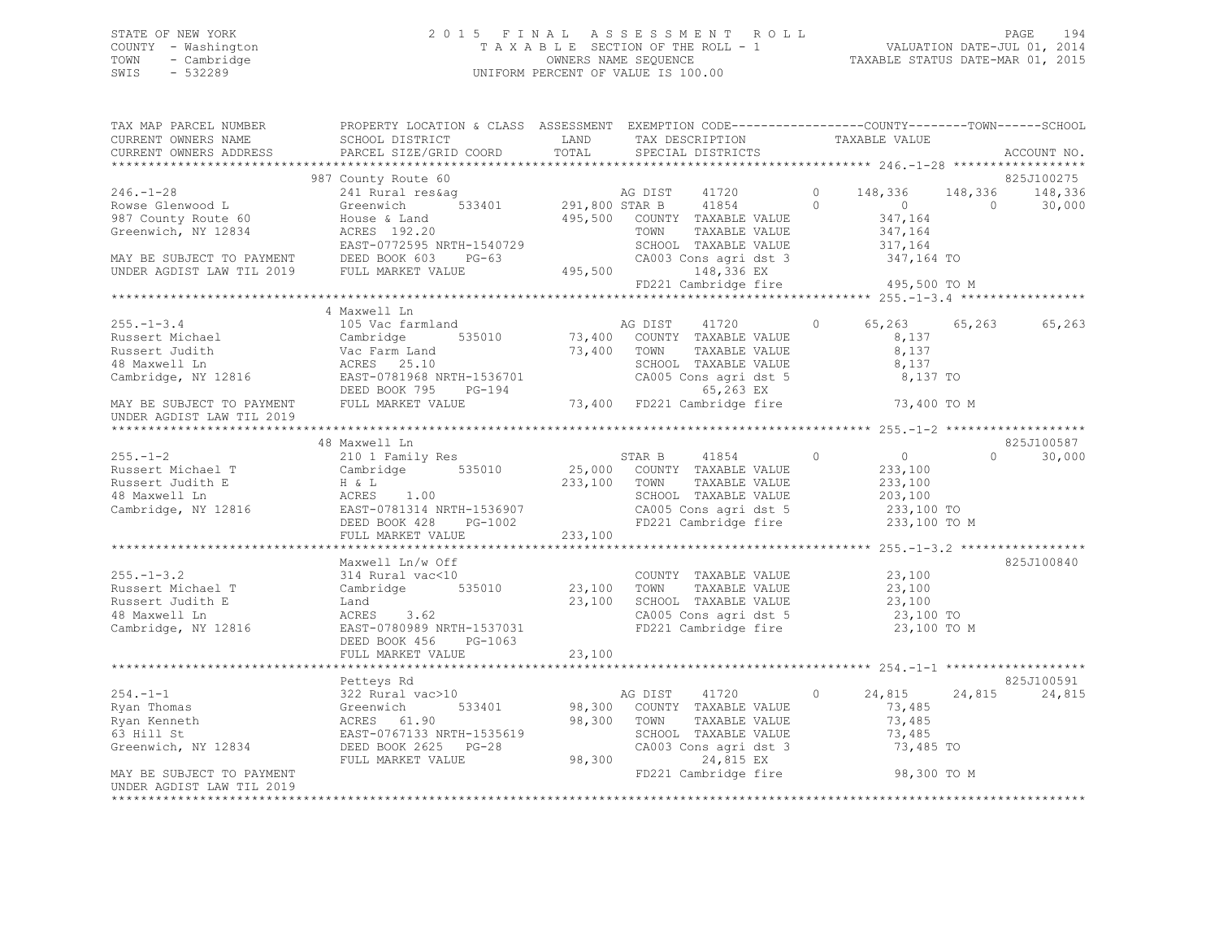## STATE OF NEW YORK 2 0 1 5 F I N A L A S S E S S M E N T R O L L PAGE 194 COUNTY - Washington T A X A B L E SECTION OF THE ROLL - 1 VALUATION DATE-JUL 01, 2014 TOWN - Cambridge OWNERS NAME SEQUENCE TAXABLE STATUS DATE-MAR 01, 2015 SWIS - 532289 UNIFORM PERCENT OF VALUE IS 100.00

| TAX MAP PARCEL NUMBER<br>CURRENT OWNERS NAME<br>CURRENT OWNERS ADDRESS                      | PROPERTY LOCATION & CLASS ASSESSMENT EXEMPTION CODE-----------------COUNTY-------TOWN------SCHOOL                                                                                                                                                                                                                     |         |                                                                              |                      |        | ACCOUNT NO.                 |
|---------------------------------------------------------------------------------------------|-----------------------------------------------------------------------------------------------------------------------------------------------------------------------------------------------------------------------------------------------------------------------------------------------------------------------|---------|------------------------------------------------------------------------------|----------------------|--------|-----------------------------|
|                                                                                             |                                                                                                                                                                                                                                                                                                                       |         |                                                                              |                      |        |                             |
| $246. -1 - 28$                                                                              | 987 County Route 60<br>Rowse Glenwood L Greenwich 533401<br>987 County Route 60 House & Land<br>Greenwich, NY 12834 ACRES 192.20                                                                                                                                                                                      |         | 232,000 COUNTY TAXABLE VALUE 347,164<br>495,500 COUNTY TAXABLE VALUE 347,164 |                      |        | 825J100275<br>30,000        |
|                                                                                             | 987 County Route 60 (495,500 MAN BE SUBJECT TO PAYMENT DEED BOOK 603 FORD 234 (2008)<br>MAY BE SUBJECT TO PAYMENT DEED BOOK 603 PG-63 (2009) CA003 Cons agri dst 3<br>UNDER AGDIST LAW TIL 2019 FULL MARKET VALUE 495,500 FORD CA0                                                                                    |         |                                                                              |                      |        |                             |
|                                                                                             |                                                                                                                                                                                                                                                                                                                       |         |                                                                              |                      |        |                             |
|                                                                                             |                                                                                                                                                                                                                                                                                                                       |         |                                                                              |                      |        |                             |
|                                                                                             | 4 Maxwell Ln<br>255.-1-3.4<br>Russert Michael (2009) Vac Farmland MG 255.-1-3.4<br>Russert Judith Cambridge 535010<br>26 Maxwell Ln ACRES 25.10<br>Cambridge, NY 12816<br>26 Maxmed EAST-0781968 NRTH-1536701<br>26 MAY BE SUBJECT TO PAYMENT FULL MARKET                                                             |         |                                                                              | 65,263 65,263 65,263 |        |                             |
| UNDER AGDIST LAW TIL 2019                                                                   |                                                                                                                                                                                                                                                                                                                       |         |                                                                              |                      |        |                             |
|                                                                                             |                                                                                                                                                                                                                                                                                                                       |         |                                                                              |                      |        |                             |
|                                                                                             | 48 Maxwell Ln                                                                                                                                                                                                                                                                                                         |         |                                                                              |                      |        | 825J100587                  |
|                                                                                             |                                                                                                                                                                                                                                                                                                                       |         |                                                                              |                      |        | $0 \qquad \qquad$<br>30,000 |
|                                                                                             | FULL MARKET VALUE                                                                                                                                                                                                                                                                                                     | 233,100 |                                                                              |                      |        |                             |
| 255.-1-3.2<br>Russert Michael T<br>Russert Judith E<br>48 Maxwell Ln<br>Cambridge, NY 12816 | Maxwell Ln/w Off<br>maxwell $\mu_1$ , w 011<br>314 Rural vac<10<br>Cambridge 535010 23,100 TOWN TAXABLE VALUE 23,100<br>31 Land 23,100 SCHOOL TAXABLE VALUE 23,100<br>31,100 SCHOOL TAXABLE VALUE 23,100<br>23,100 SCHOOL TAXABLE VALUE 23,100<br>23,100 TOMAGE<br>EAST-0780989 NRTH-1537031<br>DEED BOOK 456 PG-1063 |         | FD221 Cambridge fire                                                         | 23,100 TO M          |        | 825J100840                  |
|                                                                                             |                                                                                                                                                                                                                                                                                                                       |         |                                                                              |                      |        |                             |
|                                                                                             | Petteys Rd                                                                                                                                                                                                                                                                                                            |         |                                                                              |                      |        | 825J100591                  |
|                                                                                             |                                                                                                                                                                                                                                                                                                                       |         |                                                                              | 24,815<br>73,485 TO  | 24,815 | 24,815                      |
| MAY BE SUBJECT TO PAYMENT<br>UNDER AGDIST LAW TIL 2019                                      |                                                                                                                                                                                                                                                                                                                       |         | FD221 Cambridge fire                                                         | 98,300 TO M          |        |                             |
|                                                                                             |                                                                                                                                                                                                                                                                                                                       |         |                                                                              |                      |        |                             |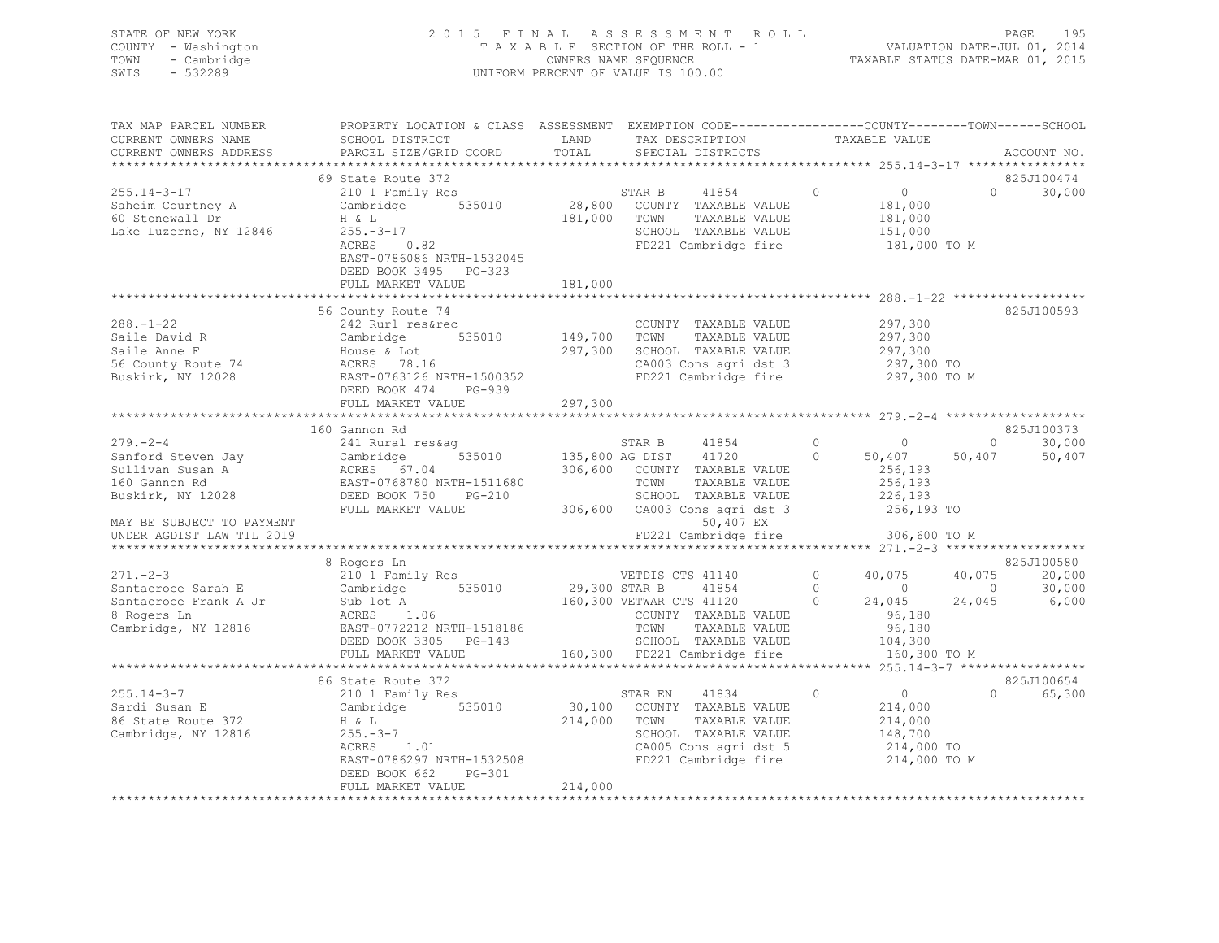| STATE OF NEW YORK   | 2015 FINAL ASSESSMENT ROLL         | 195<br>PAGE                      |
|---------------------|------------------------------------|----------------------------------|
| COUNTY - Washington | TAXABLE SECTION OF THE ROLL - 1    | VALUATION DATE-JUL 01, 2014      |
| TOWN - Cambridge    | OWNERS NAME SEOUENCE               | TAXABLE STATUS DATE-MAR 01, 2015 |
| SWIS<br>- 532289    | UNIFORM PERCENT OF VALUE IS 100.00 |                                  |
|                     |                                    |                                  |

| TAX MAP PARCEL NUMBER<br>CURRENT OWNERS NAME<br>CURRENT OWNERS ADDRESS                                                                                                                                                                              | PROPERTY LOCATION & CLASS ASSESSMENT EXEMPTION CODE----------------COUNTY-------TOWN-----SCHOOL                                                                                                                                                             |         |                                                                                                                                         |               |                                                           |          | ACCOUNT NO.                                                                                                      |
|-----------------------------------------------------------------------------------------------------------------------------------------------------------------------------------------------------------------------------------------------------|-------------------------------------------------------------------------------------------------------------------------------------------------------------------------------------------------------------------------------------------------------------|---------|-----------------------------------------------------------------------------------------------------------------------------------------|---------------|-----------------------------------------------------------|----------|------------------------------------------------------------------------------------------------------------------|
| $255.14 - 3 - 17$                                                                                                                                                                                                                                   | 69 State Route 372<br>210 1 Family Res                                                                                                                                                                                                                      |         | STAR B                                                                                                                                  |               |                                                           |          | 825J100474<br>$0 \t 30,000$                                                                                      |
| Lake Luzerne, NY 12846 255.-3-17                                                                                                                                                                                                                    | $-17$<br>0.82<br>ACRES<br>EAST-0786086 NRTH-1532045<br>DEED BOOK 3495 PG-323                                                                                                                                                                                | 181,000 | 535010 28,800 COUNTY TAXABLE VALUE<br>TOWN TAXABLE VALUE<br>SCHOOL TAXABLE VALUE 151,000<br>FD221 Cambridge fire 181,000 TO M           |               | 41854 0<br>TAXABLE VALUE 181,000<br>TAXABLE VALUE 181,000 |          |                                                                                                                  |
|                                                                                                                                                                                                                                                     | FULL MARKET VALUE                                                                                                                                                                                                                                           | 181,000 |                                                                                                                                         |               |                                                           |          |                                                                                                                  |
|                                                                                                                                                                                                                                                     |                                                                                                                                                                                                                                                             |         |                                                                                                                                         |               |                                                           |          |                                                                                                                  |
| $288. - 1 - 22$<br>200.-1-22<br>Saile David R<br>Saile Anne F<br>56 County Route 74<br>Buskirk, NY 12028<br>Buskirk, NY 12028<br>Puskirk, NY 12028<br>Buskirk, NY 12028<br>Buskirk, NY 12028<br>BEED BOOK 474<br>Pushed PG-939                      | 56 County Route 74<br>242 Rurl res&rec                                                                                                                                                                                                                      |         | COUNTY TAXABLE VALUE<br>TOWN<br>SCHOOL TAXABLE VALUE<br>CA003 Cons agri dst 3 297,300 TO<br>FD221 Cambridge fire                        | TAXABLE VALUE | 297,300<br>297,300<br>297,300<br>297,300 TO M             |          | 825J100593                                                                                                       |
|                                                                                                                                                                                                                                                     | FULL MARKET VALUE                                                                                                                                                                                                                                           | 297,300 |                                                                                                                                         |               |                                                           |          |                                                                                                                  |
|                                                                                                                                                                                                                                                     |                                                                                                                                                                                                                                                             |         |                                                                                                                                         |               |                                                           |          |                                                                                                                  |
|                                                                                                                                                                                                                                                     |                                                                                                                                                                                                                                                             |         |                                                                                                                                         |               |                                                           |          | 825J100373<br>$0 \qquad \qquad$                                                                                  |
|                                                                                                                                                                                                                                                     |                                                                                                                                                                                                                                                             |         |                                                                                                                                         |               | 50,407<br>256,193<br>256,193<br>226,193                   | 50,407   | 30,000<br>50,407                                                                                                 |
| MAY BE SUBJECT TO PAYMENT<br>UNDER AGDIST LAW TIL 2019                                                                                                                                                                                              | FULL MARKET VALUE 306,600 CA003 Cons agri dst 3 256,193 TO                                                                                                                                                                                                  |         | FD221 Cambridge fire                                                                                                                    | 50,407 EX     | 306,600 TO M                                              |          |                                                                                                                  |
|                                                                                                                                                                                                                                                     |                                                                                                                                                                                                                                                             |         |                                                                                                                                         |               |                                                           |          |                                                                                                                  |
|                                                                                                                                                                                                                                                     | 8 Rogers Ln                                                                                                                                                                                                                                                 |         |                                                                                                                                         |               |                                                           |          | 825J100580                                                                                                       |
| 271.-2-3<br>Santacroce Sarah E<br>Santacroce Frank A Jr<br>Santacroce Frank A Jr<br>Santacroce Frank A Jr<br>Sub lot A<br>8 Rogers In<br>ACRES 1.06<br>Cambridge, NY 12816<br>DEED BOOK 3305 PG-143<br>FIG.300 VETWAR CTS 41120<br>COUNTY TAXABLE V |                                                                                                                                                                                                                                                             |         |                                                                                                                                         |               |                                                           | $\sim$ 0 | $\begin{array}{ccc} 40,075 & \quad & 20,000 \\ \quad & 0 & \quad & 30,000 \\ 24,045 & \quad & 6,000 \end{array}$ |
|                                                                                                                                                                                                                                                     |                                                                                                                                                                                                                                                             |         |                                                                                                                                         |               |                                                           |          |                                                                                                                  |
|                                                                                                                                                                                                                                                     |                                                                                                                                                                                                                                                             |         |                                                                                                                                         |               |                                                           |          |                                                                                                                  |
| $255.14 - 3 - 7$<br>Sardi Susan E<br>86 State Route 372<br>Cambridge, NY 12816                                                                                                                                                                      | 86 State Route 372<br>State Route 372<br>210 1 Family Res<br>Cambridge 535010 30,100 COUNTY TAXABLE VALUE<br>H & L<br>255.-3-7<br>ACRES 1.01<br>EAST-0786297 NRTH-1532508 FD221 Cambridge fire 214,000 TO M<br>DEED BOOK 662<br>PG-301<br>FULL MARKET VALUE | 214,000 | STAR EN 41834 0<br>214,000 TOWN<br>TOWN TAXABLE VALUE<br>SCHOOL TAXABLE VALUE 148,700<br>214,000 TO 214,000 TO<br>CA005 Cons agri dst 5 | TAXABLE VALUE | $\overline{0}$<br>214,000<br>214,000                      |          | 825J100654<br>0 65,300                                                                                           |
|                                                                                                                                                                                                                                                     |                                                                                                                                                                                                                                                             |         |                                                                                                                                         |               |                                                           |          |                                                                                                                  |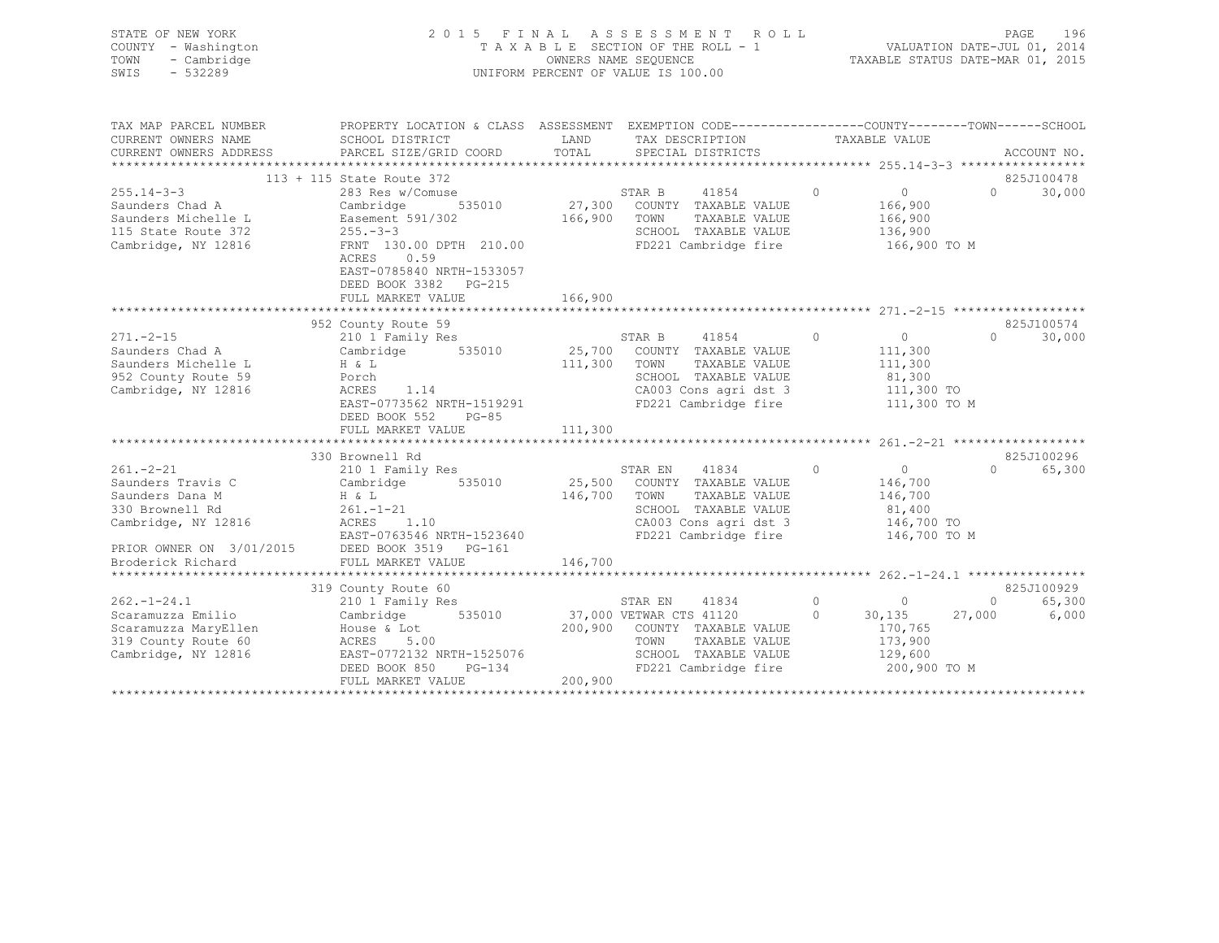| STATE OF NEW YORK<br>COUNTY - Washington<br>TOWN<br>- Cambridge<br>$-532289$<br>SWIS                                                                                                                                                           |                                                                                                                                                                                                                                                                                                                                                   |         | 2015 FINAL ASSESSMENT ROLL<br>PAGE 196<br>PAGE 196<br>$\begin{tabular}{lllllllllllll} \multicolumn{3}{c}{\begin{tabular}{l} \multicolumn{3}{c}{\begin{tabular}{l} \multicolumn{3}{c}{\begin{tabular}{l} \multicolumn{3}{c}{\multicolumn{3}{c}{\text{}}}\end{tabular} & \multicolumn{3}{c}{\multicolumn{3}{c}{\begin{tabular}{l} \multicolumn{3}{c}{\text{}}}\end{tabular} & \multicolumn{3}{c}{\multicolumn{3}{c}{\begin{tabular}{l} \multicolumn{3}{c}{\text{}}}\end{tabular} & \multicolumn{3}{c$ |                                                                           |                         |                          |            |
|------------------------------------------------------------------------------------------------------------------------------------------------------------------------------------------------------------------------------------------------|---------------------------------------------------------------------------------------------------------------------------------------------------------------------------------------------------------------------------------------------------------------------------------------------------------------------------------------------------|---------|-----------------------------------------------------------------------------------------------------------------------------------------------------------------------------------------------------------------------------------------------------------------------------------------------------------------------------------------------------------------------------------------------------------------------------------------------------------------------------------------------------|---------------------------------------------------------------------------|-------------------------|--------------------------|------------|
| TAX MAP PARCEL NUMBER<br>CURRENT OWNERS NAME<br>CURRENT OWNERS ADDRESS                                                                                                                                                                         |                                                                                                                                                                                                                                                                                                                                                   |         |                                                                                                                                                                                                                                                                                                                                                                                                                                                                                                     |                                                                           |                         |                          |            |
|                                                                                                                                                                                                                                                |                                                                                                                                                                                                                                                                                                                                                   |         |                                                                                                                                                                                                                                                                                                                                                                                                                                                                                                     |                                                                           |                         |                          | 825J100478 |
| 113 + 115 State Route 372<br>255.14-3-3<br>27,300 COUNTY TAXABLE VALUE<br>27,300 COUNTY TAXABLE VALUE<br>27,300 COUNTY TAXABLE VALUE<br>27,300 COUNTY TAXABLE VALUE<br>27,300 COUNTY TAXABLE VALUE<br>27,300 COUNTY TAXABLE VALUE<br>27,300 CO | EAST-0785840 NRTH-1533057<br>DEED BOOK 3382 PG-215                                                                                                                                                                                                                                                                                                |         |                                                                                                                                                                                                                                                                                                                                                                                                                                                                                                     |                                                                           | 136,900<br>166,900 TO M | $0 \t 30,000$            |            |
|                                                                                                                                                                                                                                                |                                                                                                                                                                                                                                                                                                                                                   |         |                                                                                                                                                                                                                                                                                                                                                                                                                                                                                                     |                                                                           |                         |                          |            |
|                                                                                                                                                                                                                                                |                                                                                                                                                                                                                                                                                                                                                   |         |                                                                                                                                                                                                                                                                                                                                                                                                                                                                                                     |                                                                           |                         |                          |            |
|                                                                                                                                                                                                                                                | 952 County Route 59                                                                                                                                                                                                                                                                                                                               |         |                                                                                                                                                                                                                                                                                                                                                                                                                                                                                                     |                                                                           |                         |                          | 825J100574 |
| $271. - 2 - 15$<br>Saunders Chad A<br>Saunders Michelle L<br>952 County Route 59<br>Cambridge, NY 12816                                                                                                                                        | 210 1 Family Res<br>Cambridge 535010 25,700 COUNTY TAXABLE VALUE<br>H & L<br>Porch<br>H & L<br>Porch<br>ACRES 1.14<br>EAST-0773562 NRTH-1519291<br>DEED BOOK 552 PG-85                                                                                                                                                                            |         | STAR B 41854 0<br>COUNTY TAXABLE VALUE 111,300<br>TOWN TAXABLE VALUE 111,300<br>SCHOOL TAXABLE VALUE 111,300<br>CA003 Cons agri dst 3 111,300 TO<br>111,300 TOWN TAXABLE VALUE<br>SCHOOL TAXABLE VALUE<br>CA003 Cons agri dst 3 111,300 TO<br>FD221 Cambridge fire 111,300 TO M                                                                                                                                                                                                                     |                                                                           |                         | $\Omega$                 | 30,000     |
|                                                                                                                                                                                                                                                |                                                                                                                                                                                                                                                                                                                                                   |         |                                                                                                                                                                                                                                                                                                                                                                                                                                                                                                     |                                                                           |                         |                          |            |
|                                                                                                                                                                                                                                                | 330 Brownell Rd                                                                                                                                                                                                                                                                                                                                   |         |                                                                                                                                                                                                                                                                                                                                                                                                                                                                                                     |                                                                           |                         |                          | 825J100296 |
| $261 - 2 - 21$<br>Saunders Travis C<br>Saunders Dana M<br>330 Brownell Rd<br>Cambridge, NY 12816                                                                                                                                               | 210 1 Family Res<br>Calu .<br>$H \& L$<br>$261 -$<br>Cambridge 535010 25,500 COUNTY TAXABLE VALUE<br>EAST-0763546 NRTH-1523640                                                                                                                                                                                                                    |         | STAR EN 41834<br>146,700 TOWN TAXABLE VALUE<br>SCHOOL TAXABLE VALUE 81,400<br>CA003 Cons agri dst 3 146,700 TO<br>CA003 Cons agri dst 3 146,700 TO<br>FD221 Cambridge fire 146,700 TO M                                                                                                                                                                                                                                                                                                             | $\begin{matrix} 0 & 0 \\ 0 & 0 \end{matrix}$<br>$\frac{146,700}{146,700}$ |                         | 0 65,300                 |            |
| PRIOR OWNER ON 3/01/2015 DEED BOOK 3519 PG-161                                                                                                                                                                                                 |                                                                                                                                                                                                                                                                                                                                                   |         |                                                                                                                                                                                                                                                                                                                                                                                                                                                                                                     |                                                                           |                         |                          |            |
| Broderick Richard                                                                                                                                                                                                                              | FULL MARKET VALUE                                                                                                                                                                                                                                                                                                                                 | 146,700 |                                                                                                                                                                                                                                                                                                                                                                                                                                                                                                     |                                                                           |                         |                          |            |
|                                                                                                                                                                                                                                                |                                                                                                                                                                                                                                                                                                                                                   |         |                                                                                                                                                                                                                                                                                                                                                                                                                                                                                                     |                                                                           |                         |                          |            |
| $262. -1 - 24.1$<br>Scaramuzza Emilio<br>Scaramuzza Emiilo<br>Scaramuzza MaryEllen<br>319 County Route 60<br>319 County Route 60<br>Cambridge, NY 12816                                                                                        | 319 County Route 60<br>County Route 60<br>210 1 Family Res<br>Cambridge 535010 37,000 VETWAR CTS 41120 0 30,135<br>House & Lot 200,900 COUNTY TAXABLE VALUE 170,7<br>TAWN TAXABLE VALUE 173,9<br>Provident control<br>ACRES 5.00<br>EAST-077011<br>EAST-0772132 NRTH-1525076<br>DEED BOOK 850 PG-134<br>DEED BOOK 850 PG-134<br>FULL MARKET VALUE | 200,900 | TAXABLE VALUE<br>TOWN<br>SCHOOL TAXABLE VALUE 129,600<br>FD221 Cambridge fire                                                                                                                                                                                                                                                                                                                                                                                                                       | 0 $30,135$<br>170,765                                                     | 173,900<br>200,900 TO M | 0 65,300<br>27,000 6,000 | 825J100929 |
|                                                                                                                                                                                                                                                |                                                                                                                                                                                                                                                                                                                                                   |         |                                                                                                                                                                                                                                                                                                                                                                                                                                                                                                     |                                                                           |                         |                          |            |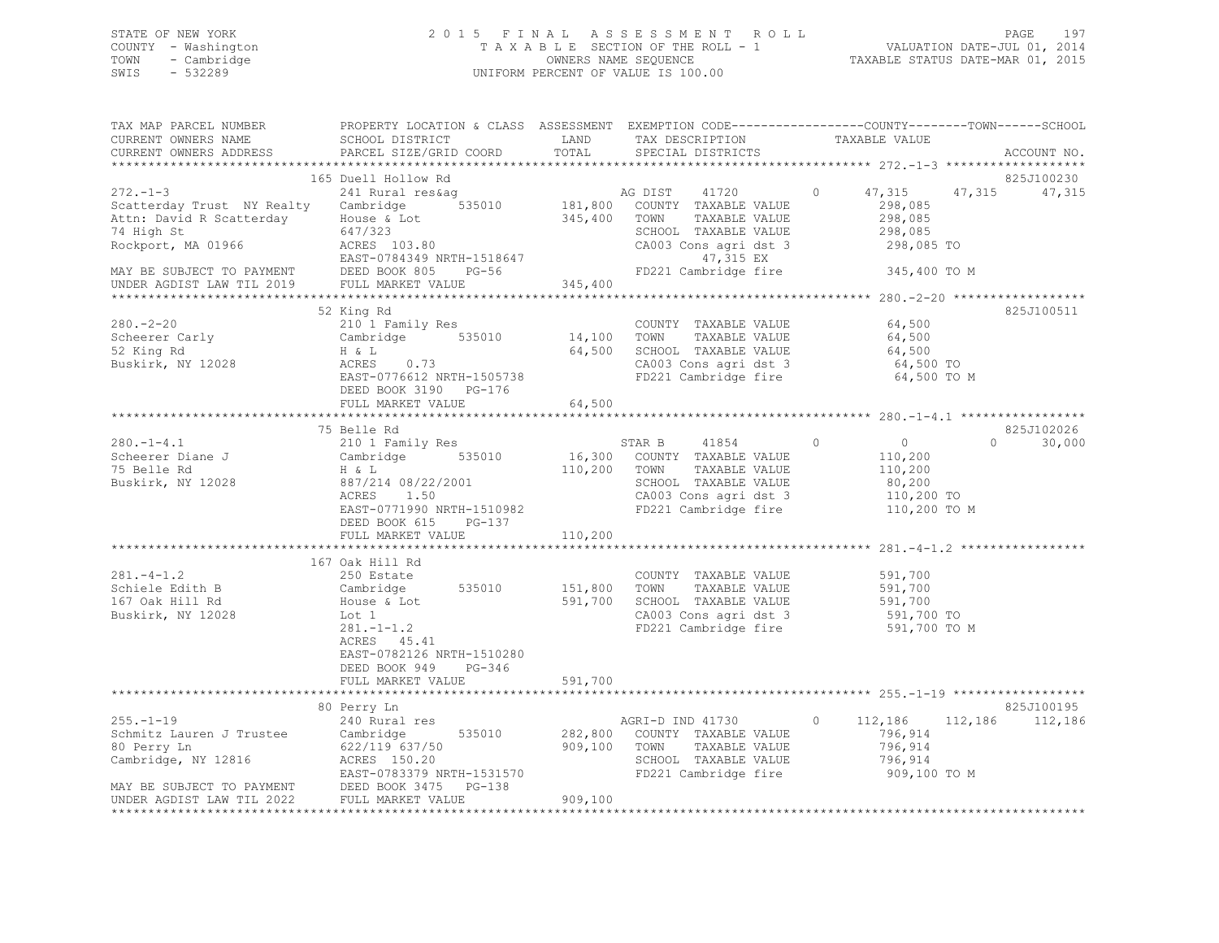## STATE OF NEW YORK 2 0 1 5 F I N A L A S S E S S M E N T R O L L PAGE 197 COUNTY - Washington T A X A B L E SECTION OF THE ROLL - 1 VALUATION DATE-JUL 01, 2014 TOWN - Cambridge OWNERS NAME SEQUENCE TAXABLE STATUS DATE-MAR 01, 2015 SWIS - 532289 UNIFORM PERCENT OF VALUE IS 100.00

| TAX MAP PARCEL NUMBER<br>CURRENT OWNERS NAME<br>CURRENT OWNERS ADDRESS                                                                                                                                  | PROPERTY LOCATION & CLASS ASSESSMENT EXEMPTION CODE----------------COUNTY-------TOWN------SCHOOL<br>SCHOOL DISTRICT<br>PARCEL SIZE/GRID COORD                          | LAND<br>TOTAL      | TAX DESCRIPTION<br>SPECIAL DISTRICTS                                                                                                                  | TAXABLE VALUE                                                                     | ACCOUNT NO.                    |
|---------------------------------------------------------------------------------------------------------------------------------------------------------------------------------------------------------|------------------------------------------------------------------------------------------------------------------------------------------------------------------------|--------------------|-------------------------------------------------------------------------------------------------------------------------------------------------------|-----------------------------------------------------------------------------------|--------------------------------|
|                                                                                                                                                                                                         |                                                                                                                                                                        |                    |                                                                                                                                                       |                                                                                   | ******                         |
| $272 - 1 - 3$<br>Scatterday Trust NY Realty Cambridge 535010<br>Attn: David R Scatterday<br>74 High St<br>Rockport, MA 01966<br>MAY BE SUBJECT TO PAYMENT                                               | 165 Duell Hollow Rd<br>241 Rural res&ag<br>House & Lot<br>647/323<br>ACRES 103.80<br>EAST-0784349 NRTH-1518647<br>DEED BOOK 805 PG-56                                  | AG DIST<br>345,400 | 41720<br>181,800 COUNTY TAXABLE VALUE<br>TOWN<br>TAXABLE VALUE<br>SCHOOL TAXABLE VALUE<br>CA003 Cons agri dst 3<br>47,315 EX<br>FD221 Cambridge fire  | 47,315<br>$\circ$<br>298,085<br>298,085<br>298,085<br>298,085 TO<br>345,400 TO M  | 825J100230<br>47,315<br>47,315 |
| UNDER AGDIST LAW TIL 2019                                                                                                                                                                               | FULL MARKET VALUE                                                                                                                                                      | 345,400            |                                                                                                                                                       |                                                                                   |                                |
| $280 - 2 - 20$<br>Scheerer Carly<br>52 King Rd<br>Buskirk, NY 12028                                                                                                                                     | 52 King Rd<br>210 1 Family Res<br>Cambridge 535010<br>H & L<br>ACRES 0.73<br>EAST-0776612 NRTH-1505738<br>DEED BOOK 3190 PG-176                                        | 14,100<br>64,500   | COUNTY TAXABLE VALUE<br>TOWN<br>TAXABLE VALUE<br>SCHOOL TAXABLE VALUE<br>CA003 Cons agri dst 3<br>FD221 Cambridge fire                                | 64,500<br>64,500<br>64,500<br>64,500 To<br>64,500 TO M                            | 825J100511                     |
|                                                                                                                                                                                                         | FULL MARKET VALUE                                                                                                                                                      | 64,500             |                                                                                                                                                       |                                                                                   |                                |
|                                                                                                                                                                                                         | 75 Belle Rd                                                                                                                                                            |                    |                                                                                                                                                       |                                                                                   | 825J102026                     |
| $280. -1 - 4.1$<br>Scheerer Diane J<br>To Cambridge<br>T5 Belle Rd H & L<br>Buskirk, NY 12028                                                                                                           | 210 1 Family Res<br>535010<br>887/214 08/22/2001<br>ACRES<br>1.50<br>EAST-0771990 NRTH-1510982<br>DEED BOOK 615 PG-137<br>FULL MARKET VALUE                            | 110,200            | STAR B 41854<br>16,300 COUNTY TAXABLE VALUE<br>110,200 TOWN<br>TAXABLE VALUE<br>SCHOOL TAXABLE VALUE<br>CA003 Cons agri dst 3<br>FD221 Cambridge fire | $\circ$<br>$\sim$ 0<br>110,200<br>110,200<br>80,200<br>110,200 TO<br>110,200 TO M | $\Omega$<br>30,000             |
|                                                                                                                                                                                                         |                                                                                                                                                                        |                    |                                                                                                                                                       |                                                                                   |                                |
| $281 - 4 - 1.2$<br>Schiele Edith B<br>167 Oak Hill Rd<br>Buskirk, NY 12028                                                                                                                              | 167 Oak Hill Rd<br>250 Estate<br>Cambridge<br>535010<br>House & Lot<br>Lot 1<br>$281 - 1 - 1.2$<br>ACRES 45.41<br>EAST-0782126 NRTH-1510280<br>DEED BOOK 949<br>PG-346 | 151,800<br>591,700 | COUNTY TAXABLE VALUE<br>TOWN<br>TAXABLE VALUE<br>SCHOOL TAXABLE VALUE<br>CA003 Cons agri dst 3<br>FD221 Cambridge fire                                | 591,700<br>591,700<br>591,700<br>591,700 TO<br>591,700 TO M                       |                                |
|                                                                                                                                                                                                         | FULL MARKET VALUE                                                                                                                                                      | 591,700            |                                                                                                                                                       |                                                                                   |                                |
|                                                                                                                                                                                                         |                                                                                                                                                                        |                    |                                                                                                                                                       |                                                                                   |                                |
| $255. - 1 - 19$<br>Schmitz Lauren J Trustee Cambridge<br>80 Perry Ln<br>Cambridge, NY 12816<br>MAY BE SUBJECT TO PAYMENT<br>MAY BE SUBJECT TO PAYMENT<br>UNDER AGDIST LAW TIL 2022<br>FULL MARKET VALUE | 80 Perry Ln<br>240 Rural res<br>535010<br>622/119 637/50                                                                                                               | 909,100            | AGRI-D IND 41730<br>282,800 COUNTY TAXABLE VALUE<br>TOWN<br>TAXABLE VALUE<br>SCHOOL TAXABLE VALUE<br>FD221 Cambridge fire                             | $\Omega$<br>112,186<br>796,914<br>796,914<br>796,914<br>909,100 TO M              | 825J100195<br>112,186 112,186  |
| UNDER AGDIST LAW TIL 2022                                                                                                                                                                               | FULL MARKET VALUE                                                                                                                                                      | 909,100            |                                                                                                                                                       |                                                                                   |                                |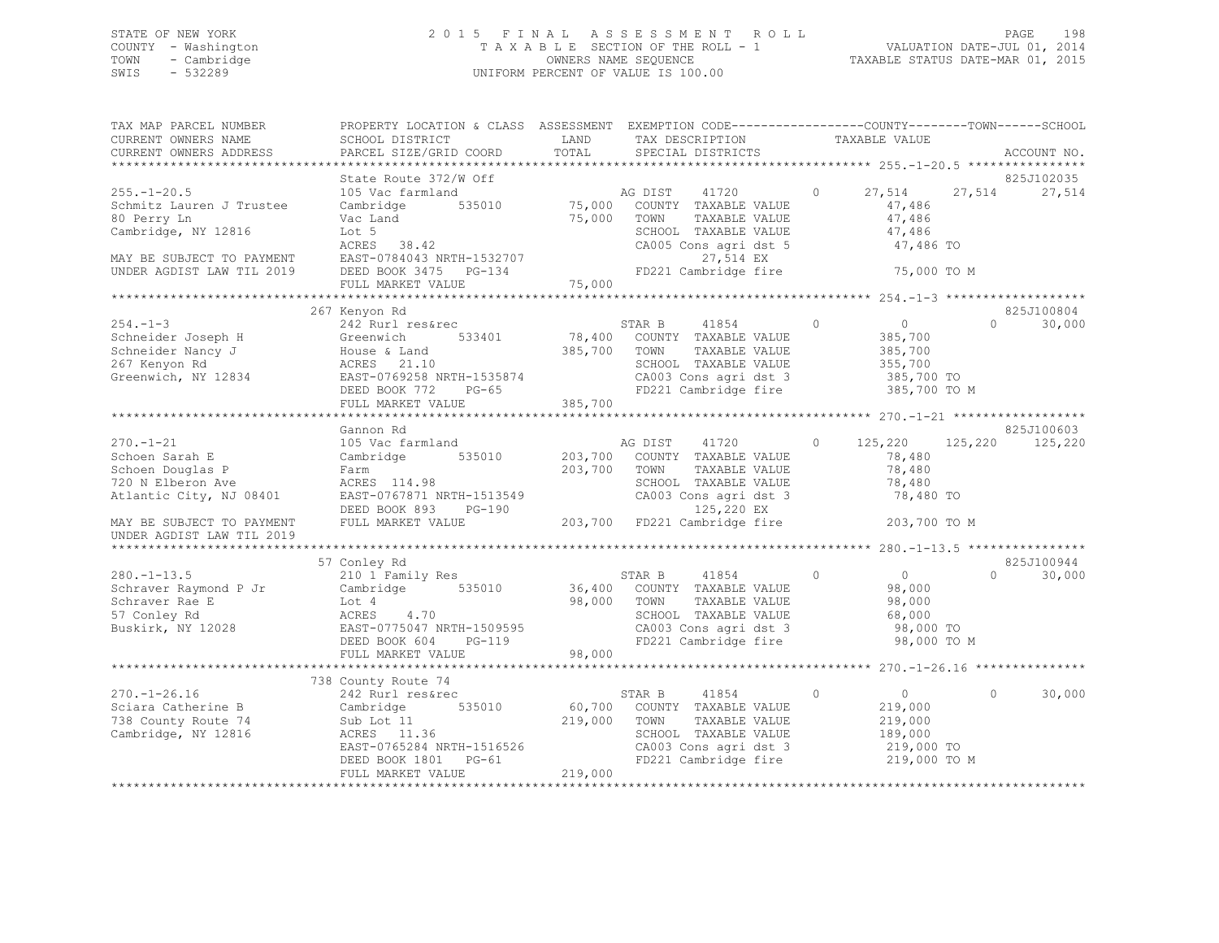## STATE OF NEW YORK 2 0 1 5 F I N A L A S S E S S M E N T R O L L PAGE 198 COUNTY - Washington T A X A B L E SECTION OF THE ROLL - 1 VALUATION DATE-JUL 01, 2014 TOWN - Cambridge OWNERS NAME SEQUENCE TAXABLE STATUS DATE-MAR 01, 2015 SWIS - 532289 UNIFORM PERCENT OF VALUE IS 100.00

| TAX MAP PARCEL NUMBER<br>CURRENT OWNERS NAME<br>CURRENT OWNERS ADDRESS                                                                        | PROPERTY LOCATION & CLASS ASSESSMENT<br>SCHOOL DISTRICT<br>PARCEL SIZE/GRID COORD                                                                                     | LAND<br>TOTAL                | EXEMPTION CODE-----------------COUNTY-------TOWN------SCHOOL<br>TAX DESCRIPTION<br>SPECIAL DISTRICTS                                                             |         | TAXABLE VALUE                                                                 |              | ACCOUNT NO.           |
|-----------------------------------------------------------------------------------------------------------------------------------------------|-----------------------------------------------------------------------------------------------------------------------------------------------------------------------|------------------------------|------------------------------------------------------------------------------------------------------------------------------------------------------------------|---------|-------------------------------------------------------------------------------|--------------|-----------------------|
|                                                                                                                                               | State Route 372/W Off                                                                                                                                                 |                              |                                                                                                                                                                  |         |                                                                               |              | 825J102035            |
| $255. - 1 - 20.5$<br>Schmitz Lauren J Trustee<br>80 Perry Ln<br>Cambridge, NY 12816<br>MAY BE SUBJECT TO PAYMENT<br>UNDER AGDIST LAW TIL 2019 | 105 Vac farmland<br>535010<br>Cambridge<br>Vac Land<br>Lot 5<br>ACRES 38.42<br>EAST-0784043 NRTH-1532707<br>DEED BOOK 3475 PG-134                                     | 75,000<br>75,000             | AG DIST<br>41720<br>COUNTY TAXABLE VALUE<br>TOWN<br>TAXABLE VALUE<br>SCHOOL TAXABLE VALUE<br>CA005 Cons agri dst 5<br>27,514 EX<br>FD221 Cambridge fire          | $\circ$ | 27,514<br>47,486<br>47,486<br>47,486<br>47,486 TO<br>75,000 TO M              | 27,514       | 27,514                |
|                                                                                                                                               | FULL MARKET VALUE                                                                                                                                                     | 75,000                       |                                                                                                                                                                  |         |                                                                               |              |                       |
|                                                                                                                                               |                                                                                                                                                                       |                              |                                                                                                                                                                  |         |                                                                               |              |                       |
| $254. - 1 - 3$<br>Schneider Joseph H<br>Schneider Nancy J<br>267 Kenyon Rd<br>Greenwich, NY 12834                                             | 267 Kenyon Rd<br>242 Rurl res&rec<br>533401<br>Greenwich<br>House & Land<br>ACRES 21.10<br>EAST-0769258 NRTH-1535874<br>DEED BOOK 772<br>$PG-65$<br>FULL MARKET VALUE | 78,400<br>385,700<br>385,700 | STAR B<br>41854<br>COUNTY TAXABLE VALUE<br>TOWN<br>TAXABLE VALUE<br>SCHOOL TAXABLE VALUE<br>CA003 Cons agri dst 3<br>FD221 Cambridge fire                        | $\circ$ | $\overline{0}$<br>385,700<br>385,700<br>355,700<br>385,700 TO<br>385,700 TO M | $\Omega$     | 825J100804<br>30,000  |
|                                                                                                                                               |                                                                                                                                                                       |                              |                                                                                                                                                                  |         |                                                                               |              |                       |
| $270. - 1 - 21$<br>Schoen Sarah E<br>Schoen Douglas P<br>720 N Elberon Ave<br>Atlantic City, NJ 08401<br>MAY BE SUBJECT TO PAYMENT            | Gannon Rd<br>105 Vac farmland<br>Cambridge 535010<br>Farm<br>ACRES 114.98<br>EAST-0767871 NRTH-1513549<br>DEED BOOK 893<br>$PG-190$<br>FULL MARKET VALUE              | 203,700<br>203,700           | AG DIST<br>41720<br>COUNTY TAXABLE VALUE<br>TOWN<br>TAXABLE VALUE<br>SCHOOL TAXABLE VALUE<br>CA003 Cons agri dst 3<br>125,220 EX<br>203,700 FD221 Cambridge fire | $\circ$ | 125,220<br>78,480<br>78,480<br>78,480<br>78,480 TO<br>203,700 TO M            | 125,220      | 825J100603<br>125,220 |
| UNDER AGDIST LAW TIL 2019                                                                                                                     |                                                                                                                                                                       |                              |                                                                                                                                                                  |         |                                                                               |              |                       |
| $280. - 1 - 13.5$<br>Schraver Raymond P Jr<br>Schraver Rae E<br>57 Conley Rd<br>Buskirk, NY 12028                                             | 57 Conley Rd<br>210 1 Family Res<br>Cambridge 535010<br>Lot 4<br>ACRES<br>4.70<br>EAST-0775047 NRTH-1509595<br>DEED BOOK 604<br>PG-119<br>FULL MARKET VALUE           | 36,400<br>98,000<br>98,000   | 41854<br>STAR B<br>COUNTY TAXABLE VALUE<br>TOWN<br>TAXABLE VALUE<br>SCHOOL TAXABLE VALUE<br>CA003 Cons agri dst 3<br>FD221 Cambridge fire                        | $\circ$ | $\overline{0}$<br>98,000<br>98,000<br>68,000<br>98,000 TO<br>98,000 TO M      | $\Omega$     | 825J100944<br>30,000  |
|                                                                                                                                               |                                                                                                                                                                       |                              |                                                                                                                                                                  |         |                                                                               |              |                       |
| $270. - 1 - 26.16$<br>Sciara Catherine B<br>738 County Route 74<br>Cambridge, NY 12816                                                        | 738 County Route 74<br>242 Rurl res&rec<br>535010<br>Cambridge<br>Sub Lot 11<br>ACRES 11.36<br>EAST-0765284 NRTH-1516526<br>DEED BOOK 1801 PG-61<br>FULL MARKET VALUE | 60,700<br>219,000<br>219,000 | STAR B<br>41854<br>COUNTY TAXABLE VALUE<br>TOWN<br>TAXABLE VALUE<br>SCHOOL TAXABLE VALUE<br>CA003 Cons agri dst 3<br>FD221 Cambridge fire                        | $\circ$ | $\overline{0}$<br>219,000<br>219,000<br>189,000<br>219,000 TO<br>219,000 TO M | $\mathbf{0}$ | 30,000                |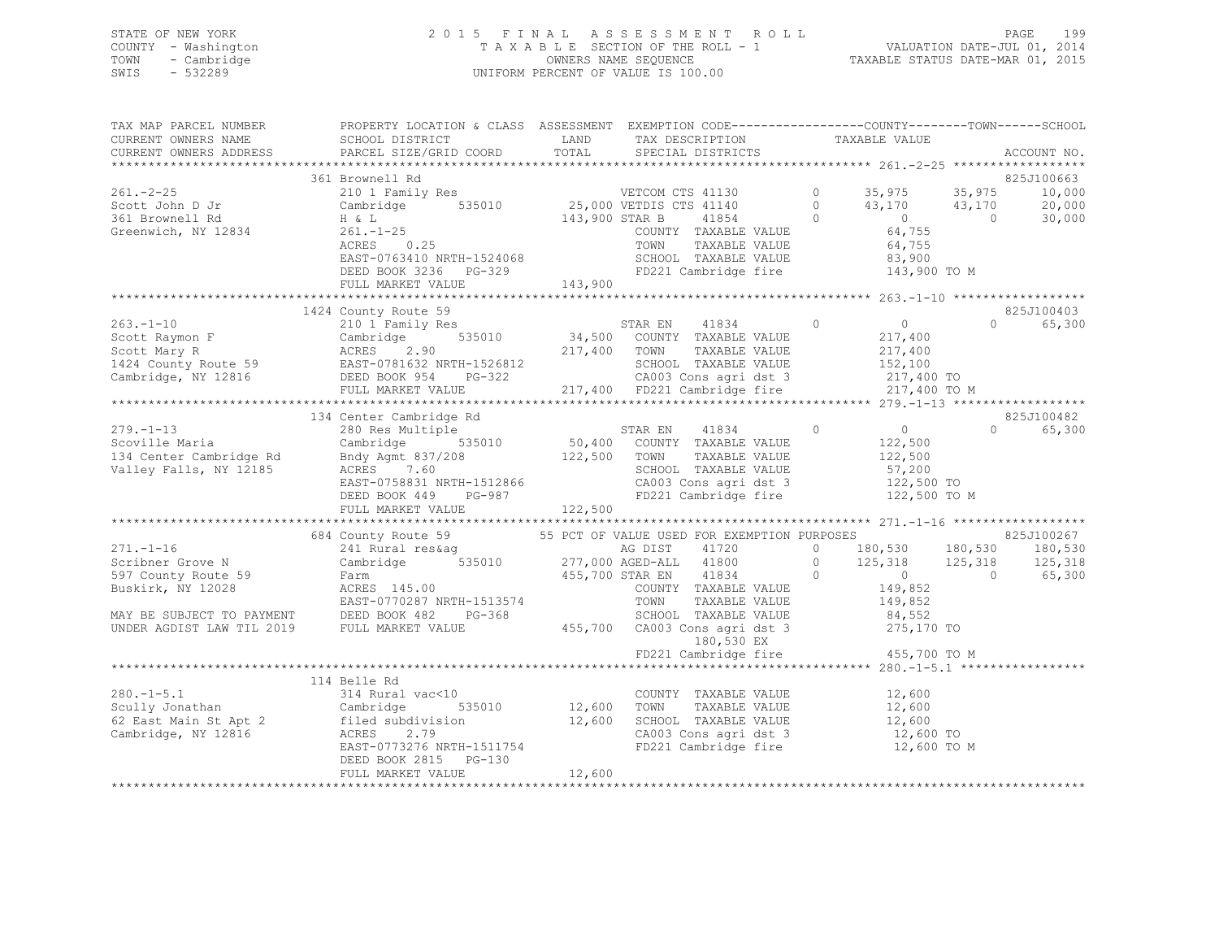## STATE OF NEW YORK 2 0 1 5 F I N A L A S S E S S M E N T R O L L PAGE 199 COUNTY - Washington T A X A B L E SECTION OF THE ROLL - 1 VALUATION DATE-JUL 01, 2014 TOWN - Cambridge OWNERS NAME SEQUENCE TAXABLE STATUS DATE-MAR 01, 2015 SWIS - 532289 UNIFORM PERCENT OF VALUE IS 100.00

TAX MAP PARCEL NUMBER PROPERTY LOCATION & CLASS ASSESSMENT EXEMPTION CODE------------------------------TOWN-------SCHOOL

| CURRENT OWNERS NAME       | SCHOOL DISTRICT                                                                                                                                                                                                                      | LAND<br>TAX DESCRIPTION                                                                                         |                                                         | TAXABLE VALUE                          |                |             |
|---------------------------|--------------------------------------------------------------------------------------------------------------------------------------------------------------------------------------------------------------------------------------|-----------------------------------------------------------------------------------------------------------------|---------------------------------------------------------|----------------------------------------|----------------|-------------|
| CURRENT OWNERS ADDRESS    | PARCEL SIZE/GRID COORD                                                                                                                                                                                                               | TOTAL<br>SPECIAL DISTRICTS                                                                                      |                                                         |                                        |                | ACCOUNT NO. |
|                           |                                                                                                                                                                                                                                      |                                                                                                                 |                                                         |                                        |                |             |
|                           | 361 Brownell Rd                                                                                                                                                                                                                      |                                                                                                                 |                                                         |                                        |                | 825J100663  |
| $261 - 2 - 25$            | 210 1 Family Res<br>Cambridge 535010 25,000 VETDIS CTS 41140                                                                                                                                                                         |                                                                                                                 |                                                         | 0 $35,975$                             | 35,975         | 10,000      |
| Scott John D Jr           |                                                                                                                                                                                                                                      |                                                                                                                 |                                                         | 0 $43,170$<br>0 0                      | 43,170         | 20,000      |
| 361 Brownell Rd           | H & L                                                                                                                                                                                                                                | 143,900 STAR B                                                                                                  | 41854                                                   |                                        | $\cap$         | 30,000      |
| Greenwich, NY 12834       | $261. - 1 - 25$                                                                                                                                                                                                                      |                                                                                                                 | COUNTY TAXABLE VALUE                                    | 64,755                                 |                |             |
|                           | 0.25<br>ACRES                                                                                                                                                                                                                        | TOWN                                                                                                            | TAXABLE VALUE                                           | 64,755                                 |                |             |
|                           | EAST-0763410 NRTH-1524068 SCHOOL TAXABLE VALUE<br>DEED BOOK 3236 PG-329 STD221 Cambridge fire                                                                                                                                        |                                                                                                                 |                                                         | 83,900                                 |                |             |
|                           |                                                                                                                                                                                                                                      |                                                                                                                 |                                                         | 143,900 TO M                           |                |             |
|                           | FULL MARKET VALUE                                                                                                                                                                                                                    | 143,900                                                                                                         |                                                         |                                        |                |             |
|                           |                                                                                                                                                                                                                                      |                                                                                                                 |                                                         |                                        |                |             |
|                           | 1424 County Route 59                                                                                                                                                                                                                 |                                                                                                                 |                                                         |                                        |                | 825J100403  |
| $263. -1 - 10$            | 210 1 Family Res                                                                                                                                                                                                                     | STAR EN                                                                                                         | 41834                                                   | $\overline{0}$<br>$\circ$              | $\Omega$       | 65,300      |
|                           | 263.-1-10 210 1 Family Res STAR EN 41834<br>Scott Raymon F Cambridge 535010 34,500 COUNTY TAXABLE VALUE<br>Scott Mary R ACRES 2.90 217,400 TOWN TAXABLE VALUE<br>1424 County Route 59 EAST-0781632 NRTH-1526812 SCHOOL TAXABLE VALUE |                                                                                                                 |                                                         | 217,400                                |                |             |
|                           |                                                                                                                                                                                                                                      |                                                                                                                 | TAXABLE VALUE                                           | 217,400                                |                |             |
|                           |                                                                                                                                                                                                                                      |                                                                                                                 | SCHOOL TAXABLE VALUE                                    | 152,100                                |                |             |
|                           |                                                                                                                                                                                                                                      |                                                                                                                 | SUNUUL TAXABLE VALUE<br>CA003 Cons agri dst 3<br>------ | 217,400 TO                             |                |             |
|                           | FULL MARKET VALUE 217,400 FD221 Cambridge fire                                                                                                                                                                                       |                                                                                                                 |                                                         | 217,400 TO M                           |                |             |
|                           |                                                                                                                                                                                                                                      |                                                                                                                 |                                                         |                                        |                |             |
|                           | 134 Center Cambridge Rd                                                                                                                                                                                                              |                                                                                                                 |                                                         |                                        |                | 825J100482  |
| $279. - 1 - 13$           | 280 Res Multiple                                                                                                                                                                                                                     | 1999 RM<br>iple 535010 50,400 COUNTY TAXABLE VALUE<br>50,400 COUNTY TAXABLE VALUE<br>122,500 TOWN TAXABLE VALUE |                                                         | $\overline{0}$<br>$\circ$              | $\Omega$       | 65,300      |
| Scoville Maria            | Cambridge                                                                                                                                                                                                                            |                                                                                                                 |                                                         | 122,500                                |                |             |
| 134 Center Cambridge Rd   | Bndy Agmt 837/208                                                                                                                                                                                                                    |                                                                                                                 | TAXABLE VALUE                                           | 122,500                                |                |             |
| Valley Falls, NY 12185    | ACRES 7.60                                                                                                                                                                                                                           |                                                                                                                 | SCHOOL TAXABLE VALUE                                    | 57,200                                 |                |             |
|                           |                                                                                                                                                                                                                                      |                                                                                                                 |                                                         | $122,500$ TO                           |                |             |
|                           |                                                                                                                                                                                                                                      |                                                                                                                 |                                                         | FD221 Cambridge fire 122,500 TO M      |                |             |
|                           | FULL MARKET VALUE                                                                                                                                                                                                                    | 122,500                                                                                                         |                                                         |                                        |                |             |
|                           |                                                                                                                                                                                                                                      |                                                                                                                 |                                                         |                                        |                |             |
|                           | 684 County Route 59                                                                                                                                                                                                                  | 55 PCT OF VALUE USED FOR EXEMPTION PURPOSES                                                                     |                                                         |                                        |                | 825J100267  |
| $271. - 1 - 16$           | 241 Rural res&aq                                                                                                                                                                                                                     | AG DIST                                                                                                         | 41720                                                   | 0 180,530 180,530<br>0 125,318 125,318 |                | 180,530     |
| Scribner Grove N          | Cambridge                                                                                                                                                                                                                            | $\frac{3}{277,000}$ $\frac{10}{277}$ AGED-ALL $\frac{41800}{277}$                                               |                                                         |                                        |                | 125,318     |
| 597 County Route 59       | Farm<br>ACRES 145.00                                                                                                                                                                                                                 | 455,700 STAR EN 41834                                                                                           |                                                         | $\Omega$<br>$\sim$ 0 $\sim$            | $\overline{0}$ | 65,300      |
| Buskirk, NY 12028         |                                                                                                                                                                                                                                      |                                                                                                                 | COUNTY TAXABLE VALUE                                    | 149,852                                |                |             |
|                           | EAST-0770287 NRTH-1513574                                                                                                                                                                                                            | TOWN                                                                                                            | TAXABLE VALUE                                           | 149,852                                |                |             |
| MAY BE SUBJECT TO PAYMENT | DEED BOOK 482<br>PG-368                                                                                                                                                                                                              |                                                                                                                 | SCHOOL TAXABLE VALUE                                    | 84,552                                 |                |             |
| UNDER AGDIST LAW TIL 2019 | FULL MARKET VALUE                                                                                                                                                                                                                    | 455,700 CA003 Cons agri dst 3                                                                                   |                                                         | 275,170 TO                             |                |             |
|                           |                                                                                                                                                                                                                                      |                                                                                                                 | 180,530 EX                                              |                                        |                |             |
|                           |                                                                                                                                                                                                                                      |                                                                                                                 |                                                         | FD221 Cambridge fire 455,700 TO M      |                |             |
|                           |                                                                                                                                                                                                                                      |                                                                                                                 |                                                         |                                        |                |             |
|                           | 114 Belle Rd                                                                                                                                                                                                                         |                                                                                                                 |                                                         |                                        |                |             |
|                           |                                                                                                                                                                                                                                      |                                                                                                                 | COUNTY TAXABLE VALUE                                    | 12,600                                 |                |             |
|                           |                                                                                                                                                                                                                                      | 12,600<br>TOWN                                                                                                  | TAXABLE VALUE                                           | 12,600                                 |                |             |
|                           |                                                                                                                                                                                                                                      | 12,600 SCHOOL TAXABLE VALUE                                                                                     |                                                         | 12,600                                 |                |             |
|                           |                                                                                                                                                                                                                                      |                                                                                                                 | CA003 Cons agri dst 3                                   | 12,600 TO                              |                |             |
|                           | EAST-0773276 NRTH-1511754                                                                                                                                                                                                            | FD221 Cambridge fire                                                                                            |                                                         | 12,600 TO M                            |                |             |
|                           | DEED BOOK 2815 PG-130                                                                                                                                                                                                                |                                                                                                                 |                                                         |                                        |                |             |
|                           | FULL MARKET VALUE                                                                                                                                                                                                                    | 12,600                                                                                                          |                                                         |                                        |                |             |
|                           |                                                                                                                                                                                                                                      |                                                                                                                 |                                                         |                                        |                |             |
|                           |                                                                                                                                                                                                                                      |                                                                                                                 |                                                         |                                        |                |             |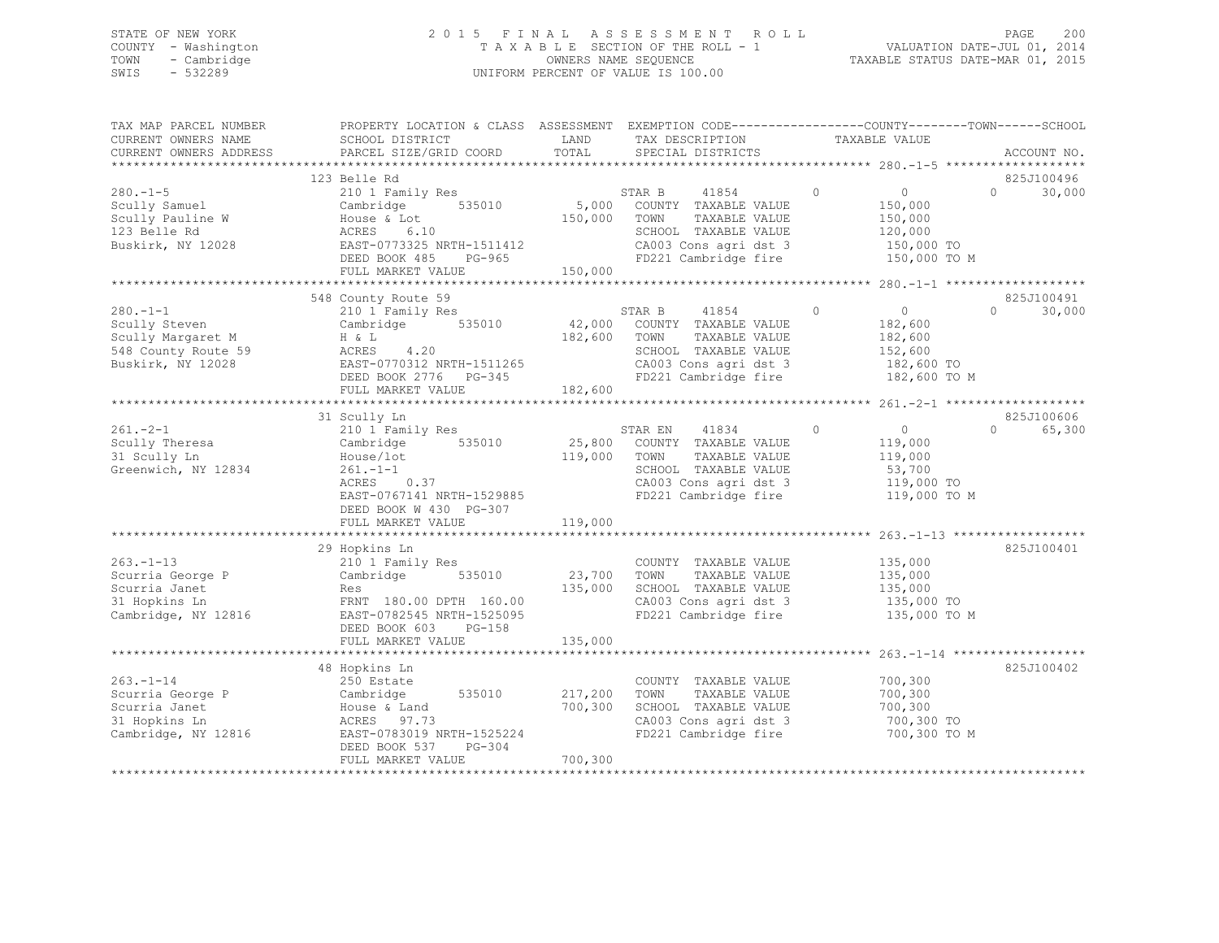## STATE OF NEW YORK 2 0 1 5 F I N A L A S S E S S M E N T R O L L PAGE 200 COUNTY - Washington T A X A B L E SECTION OF THE ROLL - 1 VALUATION DATE-JUL 01, 2014 TOWN - Cambridge OWNERS NAME SEQUENCE TAXABLE STATUS DATE-MAR 01, 2015 SWIS - 532289 UNIFORM PERCENT OF VALUE IS 100.00

| TAX MAP PARCEL NUMBER<br>CURRENT OWNERS NAME                                                                  | PROPERTY LOCATION & CLASS ASSESSMENT EXEMPTION CODE---------------COUNTY-------TOWN-----SCHOOL<br>SCHOOL DISTRICT                                                                 | LAND               | TAX DESCRIPTION                                                                                                                                       | TAXABLE VALUE                                                                            |                                           |
|---------------------------------------------------------------------------------------------------------------|-----------------------------------------------------------------------------------------------------------------------------------------------------------------------------------|--------------------|-------------------------------------------------------------------------------------------------------------------------------------------------------|------------------------------------------------------------------------------------------|-------------------------------------------|
| CURRENT OWNERS ADDRESS                                                                                        | PARCEL SIZE/GRID COORD                                                                                                                                                            | TOTAL              | SPECIAL DISTRICTS                                                                                                                                     |                                                                                          | ACCOUNT NO.                               |
|                                                                                                               | 123 Belle Rd                                                                                                                                                                      |                    |                                                                                                                                                       |                                                                                          | 825J100496                                |
| $280 - 1 - 5$<br>Scully Samuel<br>Scully Pauline W<br>123 Belle Rd<br>Buskirk, NY 12028                       | 210 1 Family Res<br>Cambridge 535010<br>House & Lot<br>ACRES 6.10<br>EAST-0773325 NRTH-1511412<br>DEED BOOK 485 PG-965                                                            | 150,000 TOWN       | 41854<br>STAR B<br>5,000 COUNTY TAXABLE VALUE<br>TAXABLE VALUE<br>SCHOOL TAXABLE VALUE<br>CA003 Cons agri dst 3<br>FD221 Cambridge fire               | $\circ$<br>$\overline{0}$<br>150,000<br>150,000<br>120,000<br>150,000 TO<br>150,000 TO M | $\Omega$<br>30,000                        |
|                                                                                                               | FULL MARKET VALUE                                                                                                                                                                 | 150,000            |                                                                                                                                                       |                                                                                          |                                           |
|                                                                                                               |                                                                                                                                                                                   |                    |                                                                                                                                                       |                                                                                          |                                           |
| $280 - 1 - 1$<br>Scully Steven<br>Scully Margaret M<br>548 County Route 59<br>Buskirk, NY 12028               | 548 County Route 59<br>210 1 Family Res<br>Cambridge 535010<br>$ACRES$ 4.20<br>EAST-0770312 NRTH-1511265<br>DEED BOOK 2776 PG-345<br>FUIL MARWIT ---<br>FULL MARKET VALUE 182,600 | 182,600 TOWN       | STAR B<br>41854<br>42,000 COUNTY TAXABLE VALUE<br>TAXABLE VALUE<br>SCHOOL TAXABLE VALUE<br>CA003 Cons agri dst 3<br>FD221 Cambridge fire              | $\overline{0}$<br>$\circ$<br>182,600<br>182,600<br>152,600<br>182,600 TO<br>182,600 TO M | 825J100491<br>$\Omega$<br>30,000          |
|                                                                                                               |                                                                                                                                                                                   |                    |                                                                                                                                                       |                                                                                          |                                           |
| $261 - 2 - 1$                                                                                                 | 31 Scully Ln<br>210 1 Family Res                                                                                                                                                  |                    | STAR EN<br>41834                                                                                                                                      | $\circ$<br>$\overline{0}$                                                                | 825J100606<br>65,300<br>$0 \qquad \qquad$ |
| Scully Theresa<br>31 Scully Ln<br>Greenwich, NY 12834                                                         | 535010<br>Cambridge<br>House/lot<br>$261 - 1 - 1$<br>$ACRES$ 0.37<br>EAST-0767141 NRTH-1529885<br>DEED BOOK W 430 PG-307                                                          | 119,000            | 25,800 COUNTY TAXABLE VALUE<br>TOWN<br>TAXABLE VALUE<br>SCHOOL TAXABLE VALUE<br>SCHOOL TAXABLE VALUE<br>CA003 Cons agri dst 3<br>FD221 Cambridge fire | 119,000<br>119,000<br>53,700<br>119,000 TO<br>119,000 TO M                               |                                           |
|                                                                                                               | FULL MARKET VALUE                                                                                                                                                                 | 119,000            |                                                                                                                                                       |                                                                                          |                                           |
|                                                                                                               |                                                                                                                                                                                   |                    |                                                                                                                                                       |                                                                                          |                                           |
| $263. -1 - 13$<br>Scurria George P<br>Scurria Janet<br>Scurria Janet<br>31 Hopkins Ln<br>Cambridge, NY 12816  | 29 Hopkins Ln<br>210 1 Family Res<br>Cambridge 535010<br>Res<br>FRNT 180.00 DPTH 160.00<br>EAST-0782545 NRTH-1525095                                                              | 23,700<br>135,000  | COUNTY TAXABLE VALUE 135,000<br>TAXABLE VALUE<br>TOWN<br>SCHOOL TAXABLE VALUE<br>CA003 Cons agri dst 3<br>FD221 Cambridge fire                        | 135,000<br>135,000<br>$135,000$ TO<br>135,000 TO M                                       | 825J100401                                |
|                                                                                                               | $PG-158$<br>DEED BOOK 603<br>FULL MARKET VALUE                                                                                                                                    | 135,000            |                                                                                                                                                       |                                                                                          |                                           |
|                                                                                                               |                                                                                                                                                                                   |                    |                                                                                                                                                       |                                                                                          |                                           |
|                                                                                                               | 48 Hopkins Ln                                                                                                                                                                     |                    |                                                                                                                                                       |                                                                                          | 825J100402                                |
| $263. - 1 - 14$<br>Scurria George P<br>Scurria Janet<br>31 Honkins Ln<br>31 Hopkins Ln<br>Cambridge, NY 12816 | 250 Estate<br>Cambridge 535010<br>ACRES 97.73<br>EAST-0783019 NRTH-1525224<br>DEED BOOK 537<br>$PG-304$                                                                           | 217,200<br>700,300 | COUNTY TAXABLE VALUE<br>TOWN<br>TAXABLE VALUE<br>SCHOOL TAXABLE VALUE<br>CA003 Cons agri dst 3<br>FD221 Cambridge fire                                | 700,300<br>700,300<br>700,300<br>700,300 TO<br>700,300 TO M                              |                                           |
|                                                                                                               | FULL MARKET VALUE                                                                                                                                                                 | 700,300            |                                                                                                                                                       |                                                                                          |                                           |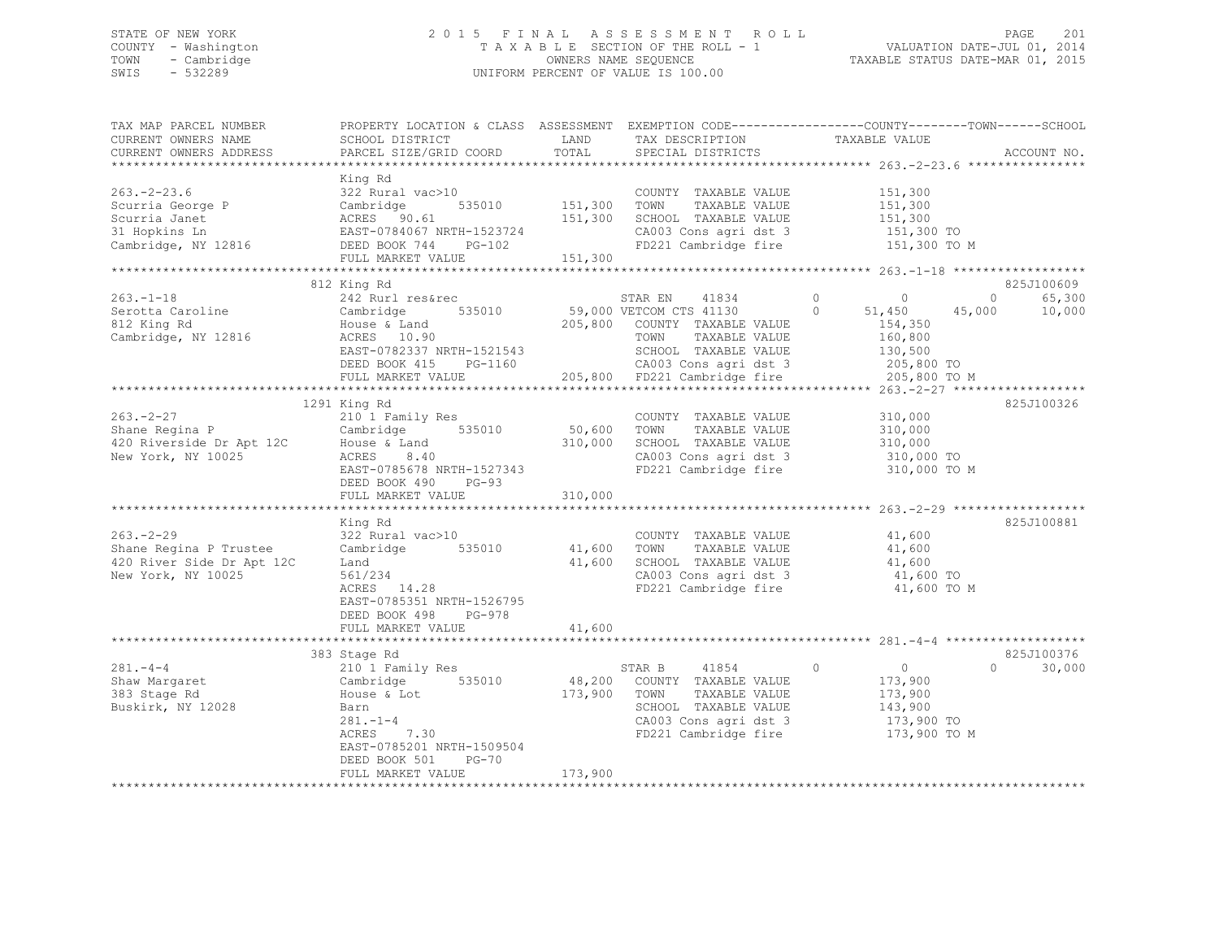## STATE OF NEW YORK 2 0 1 5 F I N A L A S S E S S M E N T R O L L PAGE 201 COUNTY - Washington T A X A B L E SECTION OF THE ROLL - 1 VALUATION DATE-JUL 01, 2014 TOWN - Cambridge OWNERS NAME SEQUENCE TAXABLE STATUS DATE-MAR 01, 2015 SWIS - 532289 UNIFORM PERCENT OF VALUE IS 100.00

| TAX MAP PARCEL NUMBER<br>CURRENT OWNERS NAME<br>CURRENT OWNERS ADDRESS                         | PROPERTY LOCATION & CLASS ASSESSMENT<br>SCHOOL DISTRICT<br>PARCEL SIZE/GRID COORD                                                                                            | LAND<br>TOTAL                 | TAX DESCRIPTION<br>SPECIAL DISTRICTS                                                                                                                                                  | EXEMPTION CODE-----------------COUNTY-------TOWN------SCHOOL<br>TAXABLE VALUE                                            | ACCOUNT NO.                               |
|------------------------------------------------------------------------------------------------|------------------------------------------------------------------------------------------------------------------------------------------------------------------------------|-------------------------------|---------------------------------------------------------------------------------------------------------------------------------------------------------------------------------------|--------------------------------------------------------------------------------------------------------------------------|-------------------------------------------|
| $263. - 2 - 23.6$<br>Scurria George P<br>Scurria Janet<br>31 Hopkins Ln<br>Cambridge, NY 12816 | King Rd<br>322 Rural vac>10<br>535010<br>Cambridge<br>ACRES 90.61<br>EAST-0784067 NRTH-1523724<br>DEED BOOK 744<br>PG-102<br>FULL MARKET VALUE                               | 151,300<br>151,300<br>151,300 | COUNTY TAXABLE VALUE<br>TOWN<br>TAXABLE VALUE<br>SCHOOL TAXABLE VALUE<br>CA003 Cons agri dst 3<br>FD221 Cambridge fire                                                                | 151,300<br>151,300<br>151,300<br>151,300 TO<br>151,300 TO M                                                              |                                           |
|                                                                                                | *************************                                                                                                                                                    |                               |                                                                                                                                                                                       |                                                                                                                          |                                           |
| $263. -1 - 18$<br>Serotta Caroline<br>812 King Rd<br>Cambridge, NY 12816                       | 812 King Rd<br>242 Rurl res&rec<br>535010<br>Cambridge<br>House & Land<br>ACRES 10.90<br>EAST-0782337 NRTH-1521543<br>DEED BOOK 415<br>PG-1160<br>FULL MARKET VALUE          |                               | STAR EN<br>41834<br>59,000 VETCOM CTS 41130<br>205,800 COUNTY TAXABLE VALUE<br>TOWN<br>TAXABLE VALUE<br>SCHOOL TAXABLE VALUE<br>CA003 Cons agri dst 3<br>205,800 FD221 Cambridge fire | $\circ$<br>$\overline{0}$<br>$\Omega$<br>45,000<br>51,450<br>154,350<br>160,800<br>130,500<br>205,800 TO<br>205,800 TO M | 825J100609<br>$\circ$<br>65,300<br>10,000 |
|                                                                                                |                                                                                                                                                                              |                               | **********************************                                                                                                                                                    | ************** 263.-2-27 ****************                                                                                |                                           |
| $263 - 2 - 27$<br>Shane Regina P<br>420 Riverside Dr Apt 12C<br>New York, NY 10025             | 1291 King Rd<br>210 1 Family Res<br>Cambridge 535010<br>House & Land<br>8.40<br>ACRES<br>EAST-0785678 NRTH-1527343<br>DEED BOOK 490<br>$PG-93$<br>FULL MARKET VALUE          | 50,600<br>310,000<br>310,000  | COUNTY TAXABLE VALUE<br>TOWN<br>TAXABLE VALUE<br>SCHOOL TAXABLE VALUE<br>CA003 Cons agri dst 3<br>FD221 Cambridge fire                                                                | 310,000<br>310,000<br>310,000<br>310,000 TO<br>310,000 TO M                                                              | 825J100326                                |
|                                                                                                | ************************                                                                                                                                                     |                               |                                                                                                                                                                                       |                                                                                                                          | 825J100881                                |
| $263. - 2 - 29$<br>Shane Regina P Trustee<br>420 River Side Dr Apt 12C<br>New York, NY 10025   | King Rd<br>322 Rural vac>10<br>Cambridge 535010<br>Land<br>561/234<br>ACRES 14.28<br>EAST-0785351 NRTH-1526795                                                               | 41,600<br>41,600              | COUNTY TAXABLE VALUE<br>TOWN<br>TAXABLE VALUE<br>SCHOOL TAXABLE VALUE<br>CA003 Cons agri dst 3<br>FD221 Cambridge fire                                                                | 41,600<br>41,600<br>41,600<br>41,600 TO<br>41,600 TO M                                                                   |                                           |
|                                                                                                | DEED BOOK 498<br>PG-978                                                                                                                                                      |                               |                                                                                                                                                                                       |                                                                                                                          |                                           |
|                                                                                                | FULL MARKET VALUE<br>************                                                                                                                                            | 41,600                        |                                                                                                                                                                                       |                                                                                                                          |                                           |
|                                                                                                | 383 Stage Rd                                                                                                                                                                 |                               |                                                                                                                                                                                       |                                                                                                                          | 825J100376                                |
| $281 - 4 - 4$<br>Shaw Margaret<br>383 Stage Rd<br>Buskirk, NY 12028                            | 210 1 Family Res<br>Cambridge 535010<br>House & Lot<br>Barn<br>$281. - 1 - 4$<br>ACRES<br>7.30<br>EAST-0785201 NRTH-1509504<br>DEED BOOK 501<br>$PG-70$<br>FULL MARKET VALUE | 48,200<br>173,900<br>173,900  | STAR B<br>41854<br>COUNTY TAXABLE VALUE<br>TOWN<br>TAXABLE VALUE<br>SCHOOL TAXABLE VALUE<br>CA003 Cons agri dst 3<br>FD221 Cambridge fire                                             | $\circ$<br>$\sim$ 0<br>173,900<br>173,900<br>143,900<br>173,900 TO<br>173,900 TO M                                       | 30,000<br>$\Omega$                        |
|                                                                                                |                                                                                                                                                                              |                               |                                                                                                                                                                                       |                                                                                                                          |                                           |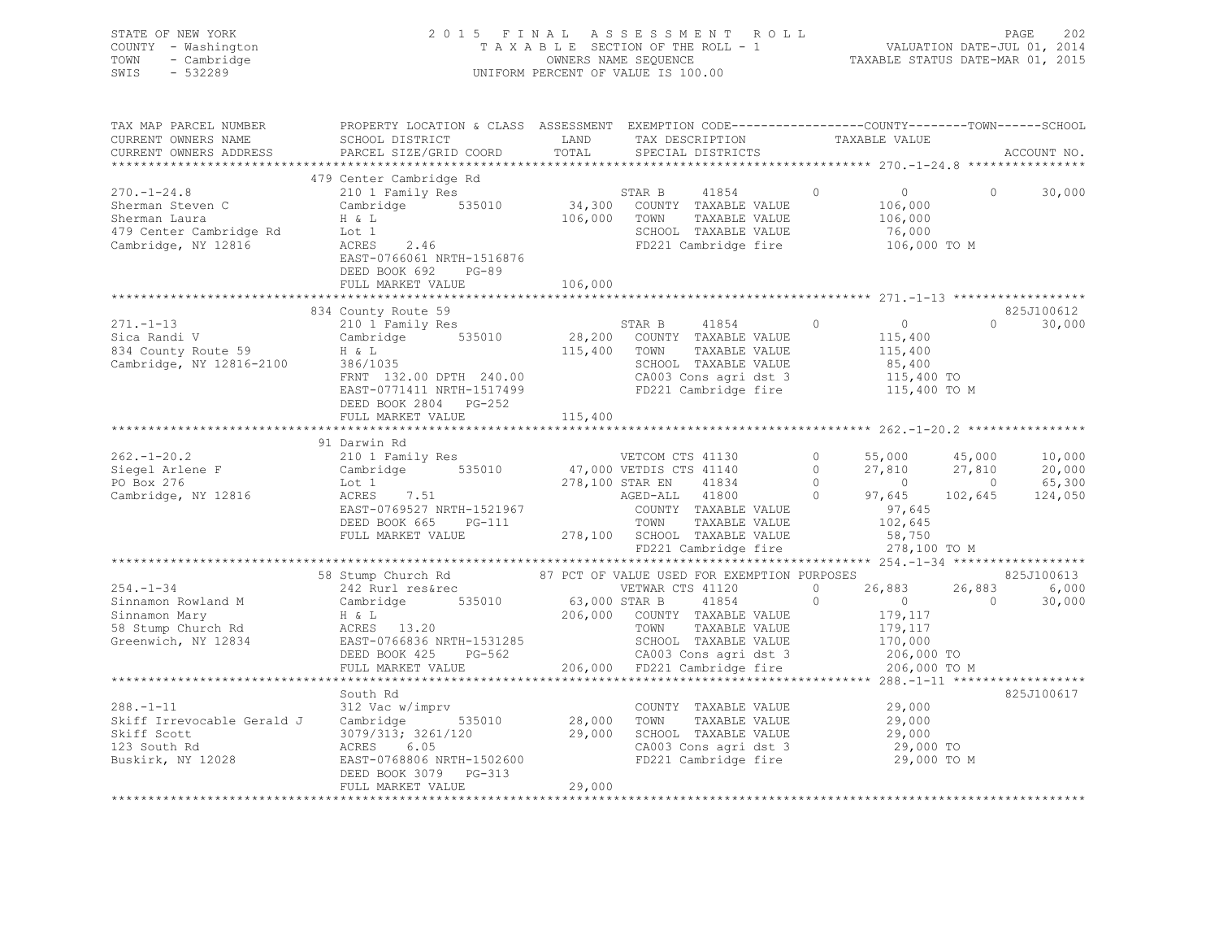| STATE OF NEW YORK   | 2015 FINAL ASSESSMENT ROLL         | - 202<br>PAGE                    |
|---------------------|------------------------------------|----------------------------------|
| COUNTY - Washington | TAXABLE SECTION OF THE ROLL - 1    | VALUATION DATE-JUL 01, 2014      |
| TOWN - Cambridge    | OWNERS NAME SEQUENCE               | TAXABLE STATUS DATE-MAR 01, 2015 |
| - 532289<br>SWIS    | UNIFORM PERCENT OF VALUE IS 100.00 |                                  |

| TAX MAP PARCEL NUMBER                | PROPERTY LOCATION & CLASS ASSESSMENT EXEMPTION CODE----------------COUNTY-------TOWN------SCHOOL |                           |                                               |                |                |            |             |
|--------------------------------------|--------------------------------------------------------------------------------------------------|---------------------------|-----------------------------------------------|----------------|----------------|------------|-------------|
| CURRENT OWNERS NAME                  | SCHOOL DISTRICT                                                                                  | LAND                      | TAX DESCRIPTION                               |                | TAXABLE VALUE  |            |             |
| CURRENT OWNERS ADDRESS               | PARCEL SIZE/GRID COORD                                                                           | TOTAL                     | SPECIAL DISTRICTS                             |                |                |            | ACCOUNT NO. |
|                                      |                                                                                                  |                           |                                               |                |                |            |             |
|                                      | 479 Center Cambridge Rd                                                                          |                           |                                               |                |                |            |             |
| $270. - 1 - 24.8$                    | 210 1 Family Res                                                                                 |                           | STAR B<br>41854                               | 0              | $\overline{0}$ | $\Omega$   | 30,000      |
| Sherman Steven C                     | Cambridge 535010                                                                                 | 34,300                    | COUNTY TAXABLE VALUE                          |                | 106,000        |            |             |
| Sherman Laura                        | H & L                                                                                            | 106,000                   | TOWN<br>TAXABLE VALUE                         |                | 106,000        |            |             |
| 479 Center Cambridge Rd              | Lot 1                                                                                            |                           | SCHOOL TAXABLE VALUE                          |                | 76,000         |            |             |
| Cambridge, NY 12816                  | ACRES<br>2.46                                                                                    |                           | FD221 Cambridge fire                          |                | 106,000 TO M   |            |             |
|                                      | EAST-0766061 NRTH-1516876                                                                        |                           |                                               |                |                |            |             |
|                                      | DEED BOOK 692<br>$PG-89$                                                                         |                           |                                               |                |                |            |             |
|                                      |                                                                                                  |                           |                                               |                |                |            |             |
|                                      | FULL MARKET VALUE<br>**************************                                                  | 106,000<br>************** |                                               |                |                |            |             |
|                                      |                                                                                                  |                           |                                               |                |                |            |             |
|                                      | 834 County Route 59                                                                              |                           |                                               |                |                |            | 825J100612  |
| $271, -1 - 13$                       | 210 1 Family Res                                                                                 |                           | 41854<br>STAR B                               | $\circ$        | $\overline{0}$ | $\Omega$   | 30,000      |
| Sica Randi V                         | Cambridge 535010                                                                                 | 28,200                    | COUNTY TAXABLE VALUE                          |                | 115,400        |            |             |
| 834 County Route 59                  | $386/1035$<br>FRNT 100                                                                           | 115,400 TOWN              | TAXABLE VALUE                                 |                | 115,400        |            |             |
| Cambridge, NY 12816-2100             |                                                                                                  |                           | SCHOOL TAXABLE VALUE                          |                | 85,400         |            |             |
|                                      | FRNT 132.00 DPTH 240.00                                                                          |                           | CA003 Cons agri dst 3<br>FD221 Cambridge fire |                | 115,400 TO     |            |             |
|                                      | EAST-0771411 NRTH-1517499                                                                        |                           |                                               |                | 115,400 TO M   |            |             |
|                                      | DEED BOOK 2804 PG-252                                                                            |                           |                                               |                |                |            |             |
|                                      | FULL MARKET VALUE                                                                                | 115,400                   |                                               |                |                |            |             |
|                                      |                                                                                                  |                           |                                               |                |                |            |             |
|                                      | 91 Darwin Rd                                                                                     |                           |                                               |                |                |            |             |
| $262. - 1 - 20.2$                    | 210 1 Family Res                                                                                 |                           | VETCOM CTS 41130                              | $\circ$        | 55,000 45,000  |            | 10,000      |
| Siegel Arlene F<br>DO BOY 276        | Cambridge 535010                                                                                 |                           | 47,000 VETDIS CTS 41140                       | $\circ$        |                | 27,810     | 20,000      |
| PO Box 276                           | Lot 1                                                                                            |                           | 278,100 STAR EN<br>41834                      | $\Omega$       | $21,010$<br>0  | $\bigcirc$ | 65,300      |
| Cambridge, NY 12816                  | ACRES 7.51                                                                                       |                           | AGED-ALL 41800                                | $\overline{0}$ | 97,645         | 102,645    | 124,050     |
|                                      | EAST-0769527 NRTH-1521967                                                                        |                           | COUNTY TAXABLE VALUE                          |                | 97,645         |            |             |
|                                      | DEED BOOK 665<br>PG-111                                                                          |                           | TOWN<br>TAXABLE VALUE                         |                | 102,645        |            |             |
|                                      | FULL MARKET VALUE                                                                                |                           | 278,100 SCHOOL TAXABLE VALUE                  |                | 58,750         |            |             |
|                                      |                                                                                                  |                           | FD221 Cambridge fire                          |                | 278,100 TO M   |            |             |
|                                      |                                                                                                  |                           |                                               |                |                |            |             |
|                                      | 58 Stump Church Rd                                                                               |                           | 87 PCT OF VALUE USED FOR EXEMPTION PURPOSES   |                |                |            | 825J100613  |
| $254. - 1 - 34$                      | 242 Rurl res&rec                                                                                 |                           | VETWAR CTS 41120                              | $\circ$        | 26,883         | 26,883     | 6,000       |
| Sinnamon Rowland M                   | Cambridge<br>535010                                                                              | 63,000 STAR B             | 41854                                         | $\Omega$       | $\overline{0}$ | $\Omega$   | 30,000      |
|                                      |                                                                                                  |                           |                                               |                |                |            |             |
| Sinnamon Mary                        | $H \& L$                                                                                         |                           | 206,000 COUNTY TAXABLE VALUE                  |                | 179,117        |            |             |
| 58 Stump Church Rd                   | ACRES 13.20                                                                                      |                           | TAXABLE VALUE<br>TOWN                         |                | 179,117        |            |             |
| Greenwich, NY 12834                  | EAST-0766836 NRTH-1531285                                                                        |                           | SCHOOL TAXABLE VALUE                          |                | 170,000        |            |             |
|                                      | PG-562<br>DEED BOOK 425                                                                          |                           | CA003 Cons agri dst 3                         |                | 206,000 TO     |            |             |
|                                      | FULL MARKET VALUE<br>************************                                                    |                           | 206,000 FD221 Cambridge fire                  |                | 206,000 TO M   |            |             |
|                                      |                                                                                                  |                           |                                               |                |                |            |             |
|                                      | South Rd                                                                                         |                           |                                               |                |                |            | 825J100617  |
| $288. - 1 - 11$                      | 312 Vac w/imprv                                                                                  |                           | COUNTY TAXABLE VALUE                          |                | 29,000         |            |             |
| Skiff Irrevocable Gerald J Cambridge | 535010                                                                                           | 28,000                    | TOWN<br>TAXABLE VALUE                         |                | 29,000         |            |             |
| Skiff Scott                          | 3079/313; 3261/120                                                                               | 29,000                    | SCHOOL TAXABLE VALUE                          |                | 29,000         |            |             |
| 123 South Rd                         | 6.05<br>ACRES                                                                                    |                           | CA003 Cons agri dst 3                         |                | 29,000 TO      |            |             |
| Buskirk, NY 12028                    | EAST-0768806 NRTH-1502600                                                                        |                           | FD221 Cambridge fire                          |                | 29,000 TO M    |            |             |
|                                      | DEED BOOK 3079 PG-313                                                                            |                           |                                               |                |                |            |             |
|                                      | FULL MARKET VALUE                                                                                | 29,000                    |                                               |                |                |            |             |
|                                      |                                                                                                  |                           |                                               |                |                |            |             |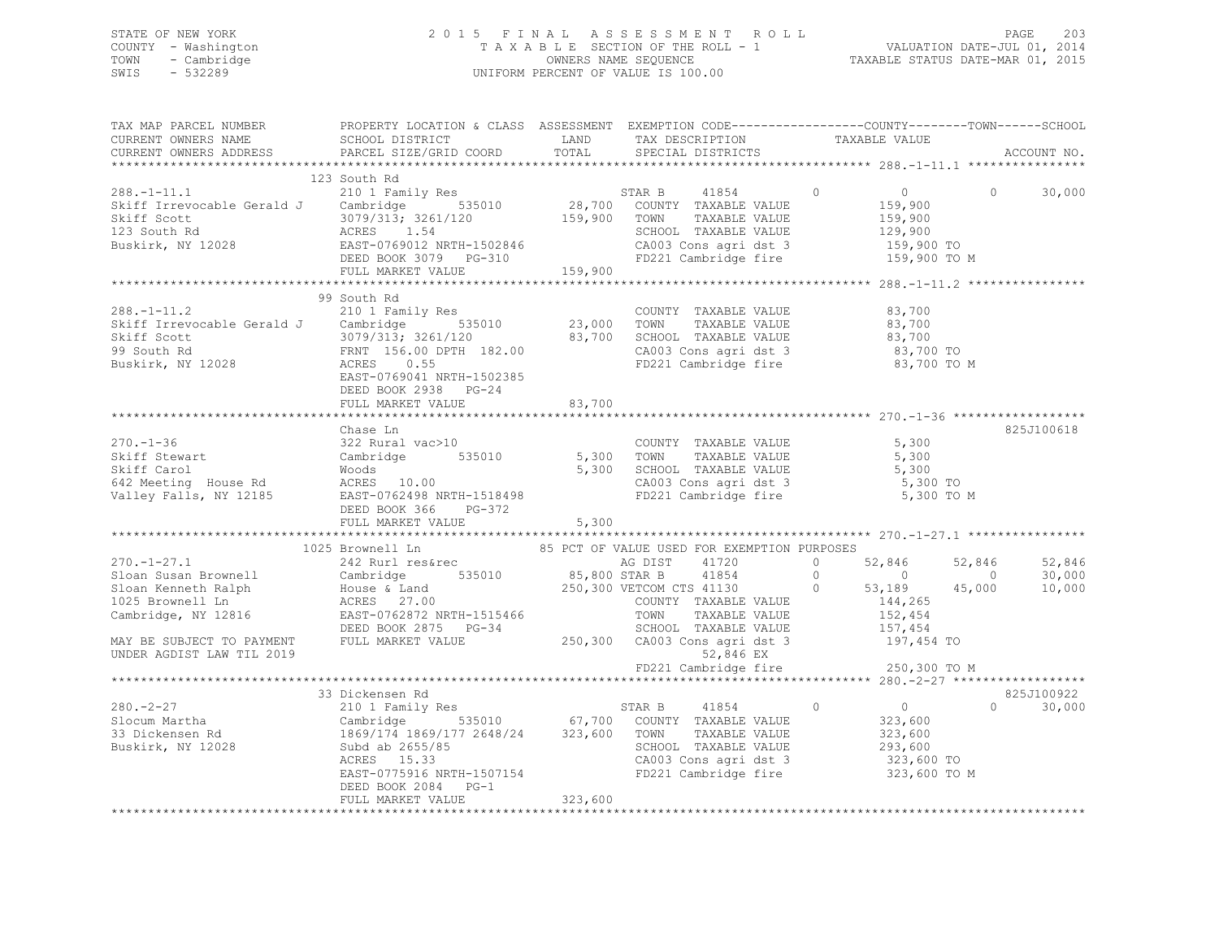## STATE OF NEW YORK 2 0 1 5 F I N A L A S S E S S M E N T R O L L PAGE 203 COUNTY - Washington T A X A B L E SECTION OF THE ROLL - 1 VALUATION DATE-JUL 01, 2014 TOWN - Cambridge OWNERS NAME SEQUENCE TAXABLE STATUS DATE-MAR 01, 2015 SWIS - 532289 UNIFORM PERCENT OF VALUE IS 100.00

| TAX MAP PARCEL NUMBER<br>CURRENT OWNERS NAME<br>CURRENT OWNERS ADDRESS                                                                                                                                                                                                                                                                      | PROPERTY LOCATION & CLASS ASSESSMENT EXEMPTION CODE-----------------COUNTY-------TOWN------SCHOOL<br>SCHOOL DISTRICT LAND TAX DESCRIPTION TAXABLE VALUE PARCEL SIZE/GRID COORD TOTAL SPECIAL DISTRICTS                                                                                                                                                                                         |         |                                   |              | ACCOUNT NO.                 |
|---------------------------------------------------------------------------------------------------------------------------------------------------------------------------------------------------------------------------------------------------------------------------------------------------------------------------------------------|------------------------------------------------------------------------------------------------------------------------------------------------------------------------------------------------------------------------------------------------------------------------------------------------------------------------------------------------------------------------------------------------|---------|-----------------------------------|--------------|-----------------------------|
| $\begin{tabular}{lllllllllllll} & & & 123\!\!\!\! & & 123\!\!\!\! & & 123\!\!\!\! & & 123\!\!\!\! & & 123\!\!\!\! & & 123\!\!\!\! & & 123\!\!\!\! & & 123\!\!\!\! & & 123\!\!\!\! & & 123\!\!\!\! & & 123\!\!\!\! & & 123\!\!\!\! & & 123\!\!\!\! & & 123\!\!\!\! & & 123\!\!\!\! & & 123\!\!\!\! & & 123\!\!\!\! & & 123\!\!\!\! & & 123\$ | 123 South Rd                                                                                                                                                                                                                                                                                                                                                                                   |         |                                   |              | 30,000                      |
| 288.-1-11.2<br>210 1 Family Res<br>Skiff Irrevocable Gerald J Cambridge 535010<br>23,000 TOWN TAXABLE VALUE 83,700<br>3079/313; 3261/120<br>99 South Rd<br>PERNT 156.00 DPTH 182.00<br>23,000 TOWN TAXABLE VALUE 83,700<br>23,000 TOWN TAXABLE                                                                                              | DEED BOOK 2938 PG-24                                                                                                                                                                                                                                                                                                                                                                           |         |                                   |              |                             |
| 270.-1-36<br>Skiff Stewart Cambridge 535010<br>Skiff Carol Moods (42 Meeting House Rd ACRES 10.00<br>Skiff Carol Moods 5,300 SCHOOL TAXABLE VALUE 5,300<br>Skiff Carol Moods 5,300 SCHOOL TAXABLE VALUE 5,300<br>Skiff Carol 5,300 TO                                                                                                       | Chase Ln<br>DEED BOOK 366 PG-372<br>FULL MARKET VALUE 5,300                                                                                                                                                                                                                                                                                                                                    |         |                                   | 5,300 TO M   | 825J100618                  |
|                                                                                                                                                                                                                                                                                                                                             | $\begin{tabular}{l c c c c c c c c} \multicolumn{3}{c c c c} \multicolumn{3}{c c c} \multicolumn{3}{c c c} \multicolumn{3}{c c c} \multicolumn{3}{c c c} \multicolumn{3}{c c c} \multicolumn{3}{c c c} \multicolumn{3}{c c c} \multicolumn{3}{c c c} \multicolumn{3}{c c c} \multicolumn{3}{c c c} \multicolumn{3}{c c c} \multicolumn{3}{c c c} \multicolumn{3}{c c c} \multicolumn{3}{c c c$ |         | 52,846 EX<br>FD221 Cambridge fire | 250,300 TO M | 52,846<br>30,000<br>10,000  |
| 33 Dickensen Rd<br>Slocum Martha Cambridge 535010 67,700 COUNTY TAXABLE VALUE<br>33 Dickensen Rd<br>33 Dickensen Rd<br>33 Dickensen Rd<br>33 Dickensen Rd<br>33 Dickensen Rd<br>33 Dickensen Rd<br>323,600<br>33 Dickensen Rd<br>323,600<br>323,600<br>                                                                                     | DEED BOOK 2084 PG-1<br>FULL MARKET VALUE                                                                                                                                                                                                                                                                                                                                                       | 323,600 |                                   |              | 825J100922<br>$0 \t 30,000$ |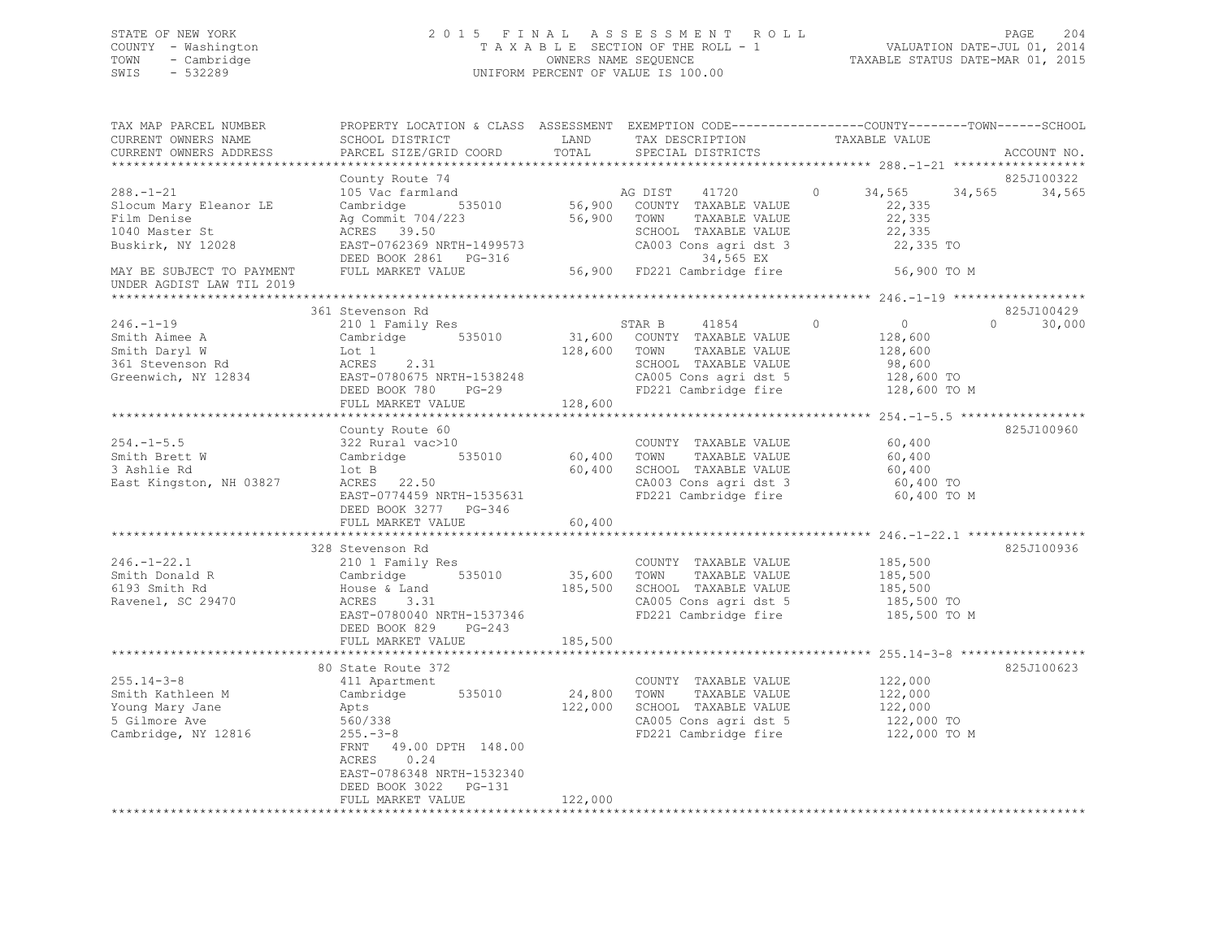## STATE OF NEW YORK 2 0 1 5 F I N A L A S S E S S M E N T R O L L PAGE 204 COUNTY - Washington T A X A B L E SECTION OF THE ROLL - 1 VALUATION DATE-JUL 01, 2014 TOWN - Cambridge OWNERS NAME SEQUENCE TAXABLE STATUS DATE-MAR 01, 2015 SWIS - 532289 UNIFORM PERCENT OF VALUE IS 100.00

| TAX MAP PARCEL NUMBER<br>CURRENT OWNERS NAME<br>CURRENT OWNERS ADDRESS                                                                                    | PROPERTY LOCATION & CLASS ASSESSMENT EXEMPTION CODE---------------COUNTY-------TOWN-----SCHOOL<br>SCHOOL DISTRICT<br>PARCEL SIZE/GRID COORD                                                                           | LAND<br>TOTAL                     | TAX DESCRIPTION<br>SPECIAL DISTRICTS                                                                                                                                         | TAXABLE VALUE                                                                                                                      | ACCOUNT NO.                      |
|-----------------------------------------------------------------------------------------------------------------------------------------------------------|-----------------------------------------------------------------------------------------------------------------------------------------------------------------------------------------------------------------------|-----------------------------------|------------------------------------------------------------------------------------------------------------------------------------------------------------------------------|------------------------------------------------------------------------------------------------------------------------------------|----------------------------------|
|                                                                                                                                                           | **********************                                                                                                                                                                                                |                                   |                                                                                                                                                                              |                                                                                                                                    |                                  |
| $288. - 1 - 21$<br>Slocum Mary Eleanor LE<br>Film Denise<br>1040 Master St<br>Buskirk, NY 12028<br>MAY BE SUBJECT TO PAYMENT<br>UNDER AGDIST LAW TIL 2019 | County Route 74<br>105 Vac farmland<br>Cambridge<br>535010<br>Ag Commit 704/223<br>ACRES 39.50<br>ACRES 39.50<br>EAST-0762369 NRTH-1499573<br>DEED BOOK 2861 PG-316<br>FULL MARKET VALUE                              |                                   | 41720<br>AG DIST<br>56,900 COUNTY TAXABLE VALUE<br>56,900 TOWN<br>TAXABLE VALUE<br>SCHOOL TAXABLE VALUE<br>CA003 Cons agri dst 3<br>34,565 EX<br>56,900 FD221 Cambridge fire | 34,565<br>$\circ$<br>34,565<br>22,335<br>22,335<br>22,335<br>22,335 TO<br>56,900 TO M                                              | 825J100322<br>34,565             |
|                                                                                                                                                           |                                                                                                                                                                                                                       |                                   |                                                                                                                                                                              |                                                                                                                                    |                                  |
| $246. - 1 - 19$<br>Smith Aimee A<br>Smith Daryl W<br>361 Stevenson Rd<br>Greenwich, NY 12834                                                              | 361 Stevenson Rd<br>210 1 Family Res<br>Cambridge 535010<br>Lot 1<br>2.31<br>ACRES<br>EAST-0780675 NRTH-1538248<br>DEED BOOK 780<br>$PG-29$<br>FULL MARKET VALUE                                                      | 128,600 TOWN<br>128,600           | STAR B<br>41854<br>31,600 COUNTY TAXABLE VALUE<br>TAXABLE VALUE<br>SCHOOL TAXABLE VALUE                                                                                      | $\circ$<br>$\overline{0}$<br>128,600<br>128,600<br>98,600<br>CA005 Cons agri dst 5 128,600 TO<br>FD221 Cambridge fire 128,600 TO M | 825J100429<br>$\Omega$<br>30,000 |
|                                                                                                                                                           |                                                                                                                                                                                                                       |                                   |                                                                                                                                                                              |                                                                                                                                    |                                  |
| $254. -1 - 5.5$<br>Smith Brett W<br>3 Ashlie Rd<br>East Kingston, NH 03827                                                                                | County Route 60<br>322 Rural vac>10<br>Cambridge 535010<br>lot B<br>ACRES 22.50<br>EAST-0774459 NRTH-1535631<br>DEED BOOK 3277 PG-346<br>FULL MARKET VALUE                                                            | 60,400 TOWN<br>60,400<br>60,400   | COUNTY TAXABLE VALUE<br>TAXABLE VALUE<br>SCHOOL TAXABLE VALUE<br>CA003 Cons agri dst 3<br>FD221 Cambridge fire                                                               | 60,400<br>60,400<br>60,400<br>60,400 TO<br>60,400 TO M                                                                             | 825J100960                       |
|                                                                                                                                                           |                                                                                                                                                                                                                       |                                   |                                                                                                                                                                              |                                                                                                                                    |                                  |
| $246. - 1 - 22.1$<br>Smith Donald R<br>6193 Smith Rd<br>Ravenel, SC 29470                                                                                 | 328 Stevenson Rd<br>210 1 Family Res<br>Cambridge<br>House & Land<br>ACRES 3.31<br>EAST-0780040 NRTH-1537346<br>DEED BOOK 829<br>$PG-243$<br>FULL MARKET VALUE                                                        | 35,600 TOWN<br>185,500<br>185,500 | COUNTY TAXABLE VALUE<br>TAXABLE VALUE<br>SCHOOL TAXABLE VALUE<br>CA005 Cons agri dst 5<br>FD221 Cambridge fire                                                               | 185,500<br>185,500<br>185,500<br>185,500 TO<br>185,500 TO M                                                                        | 825J100936                       |
|                                                                                                                                                           |                                                                                                                                                                                                                       |                                   |                                                                                                                                                                              |                                                                                                                                    |                                  |
| $255.14 - 3 - 8$<br>Smith Kathleen M<br>Young Mary Jane<br>5 Gilmore Ave<br>Cambridge, NY 12816                                                           | 80 State Route 372<br>411 Apartment<br>Cambridge 535010<br>Apts<br>560/338<br>$255. - 3 - 8$<br>FRNT 49.00 DPTH 148.00<br>0.24<br>ACRES<br>EAST-0786348 NRTH-1532340<br>DEED BOOK 3022<br>PG-131<br>FULL MARKET VALUE | 24,800<br>122,000<br>122,000      | COUNTY TAXABLE VALUE<br>TOWN<br>TAXABLE VALUE<br>SCHOOL TAXABLE VALUE<br>CA005 Cons agri dst 5<br>FD221 Cambridge fire                                                       | 122,000<br>122,000<br>122,000<br>122,000 TO<br>122,000 TO M                                                                        | 825J100623                       |
|                                                                                                                                                           |                                                                                                                                                                                                                       |                                   |                                                                                                                                                                              |                                                                                                                                    |                                  |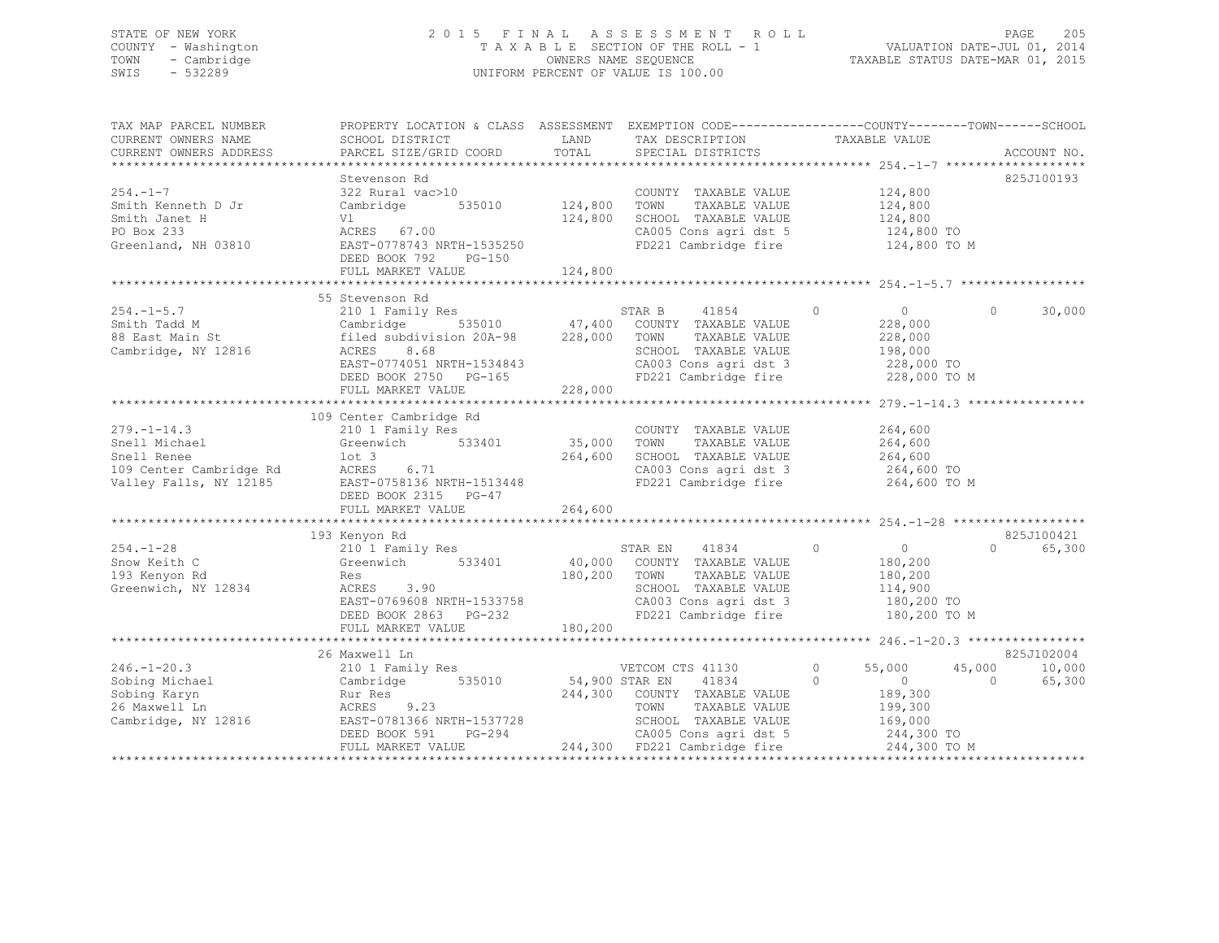## STATE OF NEW YORK 2 0 1 5 F I N A L A S S E S S M E N T R O L L PAGE 205 COUNTY - Washington T A X A B L E SECTION OF THE ROLL - 1 VALUATION DATE-JUL 01, 2014 TOWN - Cambridge OWNERS NAME SEQUENCE TAXABLE STATUS DATE-MAR 01, 2015 SWIS - 532289 UNIFORM PERCENT OF VALUE IS 100.00

| TAX MAP PARCEL NUMBER<br>CURRENT OWNERS NAME<br>CURRENT OWNERS ADDRESS                                 | PROPERTY LOCATION & CLASS ASSESSMENT EXEMPTION CODE---------------COUNTY-------TOWN-----SCHOOL<br>SCHOOL DISTRICT<br>PARCEL SIZE/GRID COORD                                                                                            | LAND<br>TOTAL                        | TAX DESCRIPTION<br>SPECIAL DISTRICTS                                                                                                                                | TAXABLE VALUE                                                                                            | ACCOUNT NO.                                          |
|--------------------------------------------------------------------------------------------------------|----------------------------------------------------------------------------------------------------------------------------------------------------------------------------------------------------------------------------------------|--------------------------------------|---------------------------------------------------------------------------------------------------------------------------------------------------------------------|----------------------------------------------------------------------------------------------------------|------------------------------------------------------|
| $254. - 1 - 7$<br>Smith Kenneth D Jr<br>Smith Janet H<br>PO Box 233<br>Greenland, NH 03810             | Stevenson Rd<br>322 Rural vac>10<br>Cambridge<br>Vl<br>ACRES 67.00<br>EAST-0778743 NRTH-1535250<br>DEED BOOK 792<br>$PG-150$<br>FULL MARKET VALUE                                                                                      | 535010 124,800<br>124,800<br>124,800 | COUNTY TAXABLE VALUE<br>TAXABLE VALUE<br>TOWN<br>SCHOOL TAXABLE VALUE<br>CA005 Cons agri dst 5<br>FD221 Cambridge fire                                              | 124,800<br>124,800<br>124,800<br>124,800 TO<br>124,800 TO M                                              | 825J100193                                           |
| $254. -1 - 5.7$<br>Smith Tadd M<br>88 East Main St<br>Cambridge, NY 12816                              | 55 Stevenson Rd<br>210 1 Family Res<br>Cambridge 535010 47,400 COUNTY TAXABLE VALUE<br>filed subdivision 20A-98 228,000 TOWN TAXABLE VALUE<br>ACRES<br>8.68<br>EAST-0774051 NRTH-1534843<br>DEED BOOK 2750 PG-165<br>FULL MARKET VALUE | 228,000                              | STAR B 41854<br>TAXABLE VALUE<br>SCHOOL TAXABLE VALUE<br>CA003 Cons agri dst 3<br>FD221 Cambridge fire                                                              | $\circ$<br>$\overline{0}$<br>228,000<br>228,000<br>198,000<br>228,000 TO<br>228,000 TO M                 | $\circ$<br>30,000                                    |
| $279. - 1 - 14.3$<br>Snell Michael<br>Snell Renee<br>109 Center Cambridge Rd<br>Valley Falls, NY 12185 | 109 Center Cambridge Rd<br>210 1 Family Res<br>Greenwich 533401<br>$1$ ot $3$<br>ACRES 6.71<br>EAST-0758136 NRTH-1513448<br>DEED BOOK 2315 PG-47<br>FULL MARKET VALUE                                                                  | 35,000 TOWN<br>264,600<br>264,600    | COUNTY TAXABLE VALUE<br>TAXABLE VALUE<br>SCHOOL TAXABLE VALUE<br>CA003 Cons agri dst 3<br>FD221 Cambridge fire                                                      | 264,600<br>264,600<br>264,600<br>264,600 TO<br>264,600 TO M                                              |                                                      |
| $254. - 1 - 28$<br>Snow Keith C<br>193 Kenyon Rd<br>Greenwich, NY 12834                                | 193 Kenyon Rd<br>210 1 Family Res<br>Greenwich 533401<br>Res<br>ACRES 3.90<br>EAST-0769608 NRTH-1533758<br>DEED BOOK 2863 PG-232<br>FULL MARKET VALUE                                                                                  | 180,200 TOWN<br>180,200              | STAR EN 41834<br>40,000 COUNTY TAXABLE VALUE<br>TAXABLE VALUE<br>SCHOOL TAXABLE VALUE<br>CA003 Cons agri dst 3<br>FD221 Cambridge fire                              | $\overline{0}$<br>$\circ$<br>180,200<br>180,200<br>114,900<br>180,200 TO<br>180,200 TO M                 | 825J100421<br>$\Omega$<br>65,300                     |
| $246. - 1 - 20.3$<br>Sobing Michael<br>Sobing Karyn<br>26 Maxwell Ln<br>Cambridge, NY 12816            | 26 Maxwell Ln<br>210 1 Family Res<br>Cambridge 535010<br>Rur Res<br>ACRES<br>9.23<br>EAST-0781366 NRTH-1537728<br>-1537728<br>PG-294<br>LUE<br>DEED BOOK 591<br>FULL MARKET VALUE                                                      | 54,900 STAR EN                       | VETCOM CTS 41130<br>41834<br>244,300 COUNTY TAXABLE VALUE<br>TAXABLE VALUE<br>TOWN<br>SCHOOL TAXABLE VALUE<br>CA005 Cons agri dst 5<br>244,300 FD221 Cambridge fire | $\circ$<br>55,000<br>$\Omega$<br>$\sim$ 0<br>189,300<br>199,300<br>169,000<br>244,300 TO<br>244,300 TO M | 825J102004<br>45,000<br>10,000<br>65,300<br>$\Omega$ |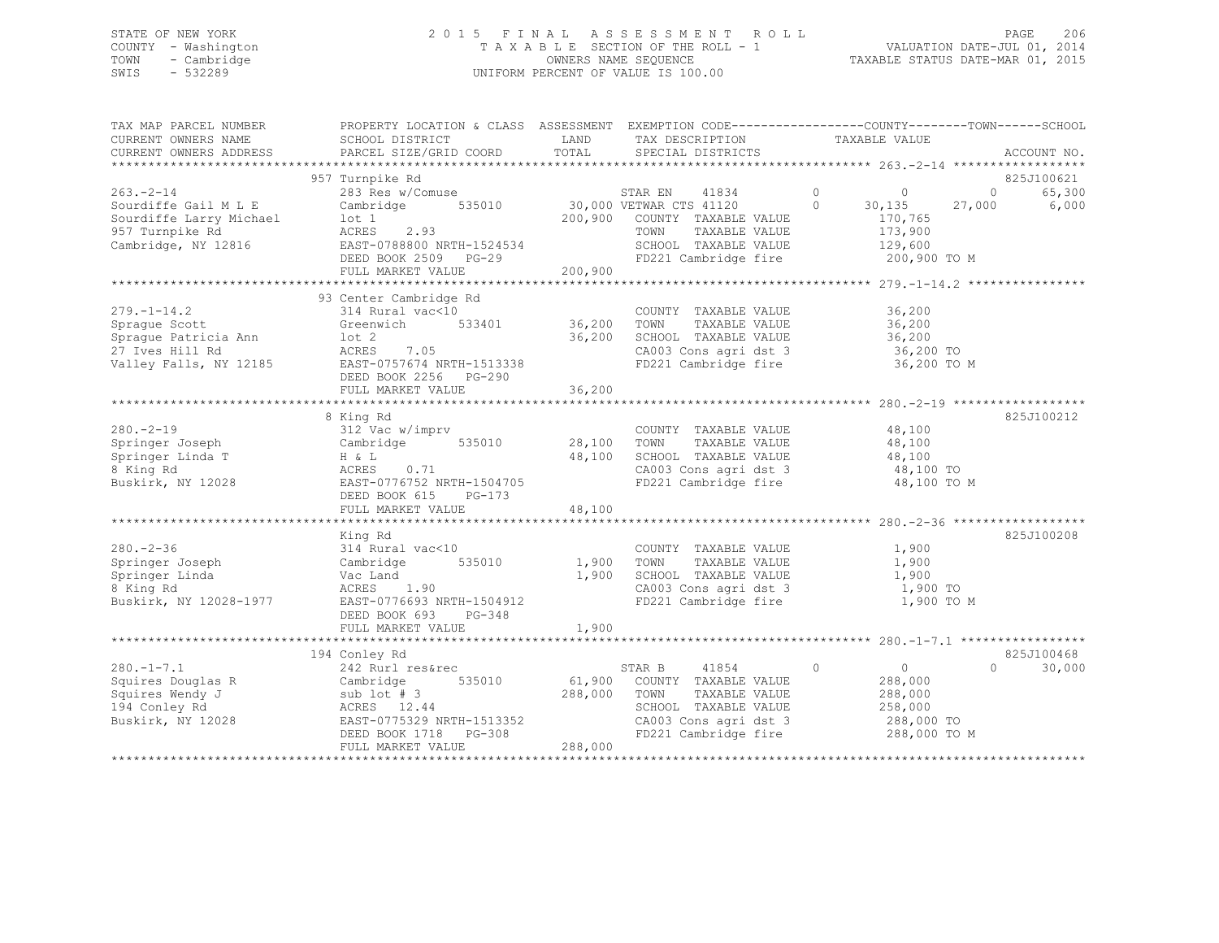## STATE OF NEW YORK 2 0 1 5 F I N A L A S S E S S M E N T R O L L PAGE 206 COUNTY - Washington T A X A B L E SECTION OF THE ROLL - 1 VALUATION DATE-JUL 01, 2014 TOWN - Cambridge OWNERS NAME SEQUENCE TAXABLE STATUS DATE-MAR 01, 2015 SWIS - 532289 UNIFORM PERCENT OF VALUE IS 100.00

| TAX MAP PARCEL NUMBER<br>CURRENT OWNERS NAME<br>CURRENT OWNERS ADDRESS                                                                                          | PROPERTY LOCATION & CLASS ASSESSMENT EXEMPTION CODE----------------COUNTY-------TOWN-----SCHOOL<br>SCHOOL DISTRICT<br>PARCEL SIZE/GRID COORD                       | LAND<br>TOTAL                | TAX DESCRIPTION<br>SPECIAL DISTRICTS                                                                                                                             | TAXABLE VALUE                                                                               | ACCOUNT NO.                              |
|-----------------------------------------------------------------------------------------------------------------------------------------------------------------|--------------------------------------------------------------------------------------------------------------------------------------------------------------------|------------------------------|------------------------------------------------------------------------------------------------------------------------------------------------------------------|---------------------------------------------------------------------------------------------|------------------------------------------|
|                                                                                                                                                                 |                                                                                                                                                                    |                              |                                                                                                                                                                  |                                                                                             |                                          |
|                                                                                                                                                                 | 957 Turnpike Rd                                                                                                                                                    |                              |                                                                                                                                                                  |                                                                                             | 825J100621                               |
| $263 - 2 - 14$<br>Sourdiffe Gail M L E<br>Sourdiffe Larry Michael<br>957 Turnpike Rd<br>Cambridge, NY 12816                                                     | 283 Res w/Comuse<br>Cambridge 535010 30,000 VETWAR CTS 41120 0<br>lot 1<br>ACRES<br>2.93<br>EAST-0788800 NRTH-1524534<br>DEED BOOK 2509 PG-29<br>FULL MARKET VALUE | 200,900                      | STAR EN 41834<br>200,900 COUNTY TAXABLE VALUE<br>TAXABLE VALUE<br>TOWN<br>SCHOOL TAXABLE VALUE<br>FD221 Cambridge fire                                           | $\overline{0}$<br>$\overline{0}$<br>30,135<br>170,765<br>173,900<br>129,600<br>200,900 TO M | 65,300<br>$\overline{0}$<br>27,000 6,000 |
|                                                                                                                                                                 |                                                                                                                                                                    |                              |                                                                                                                                                                  |                                                                                             |                                          |
| $279. - 1 - 14.2$<br>Sprague Scott<br>Sprague Patricia Ann<br>27 Ives Hill Rd<br>Valley Falls, NY 12185 EAST-0757674 NRTH-1513338                               | 93 Center Cambridge Rd<br>314 Rural vac<10<br>Greenwich 533401 36,200<br>$1$ ot $2$<br>ACRES 7.05<br>DEED BOOK 2256 PG-290<br>FULL MARKET VALUE                    | 36,200<br>36,200             | COUNTY TAXABLE VALUE 36,200<br>TOWN<br>TAXABLE VALUE<br>SCHOOL TAXABLE VALUE<br>CA003 Cons agri dst 3<br>FD221 Cambridge fire                                    | 36,200<br>36,200<br>36,200 TO<br>36,200 TO M                                                |                                          |
|                                                                                                                                                                 |                                                                                                                                                                    |                              |                                                                                                                                                                  |                                                                                             |                                          |
| $280 - 2 - 19$<br>Springer Joseph<br>T<br>T<br>ACRES<br>Springer Linda T<br>8 King Rd<br>Buskirk, NY 12028 EAST-0776752 NRTH-1504705                            | 8 King Rd<br>312 Vac w/imprv<br>Cambridge 535010<br>0.71<br>DEED BOOK 615 PG-173                                                                                   | 28,100<br>48,100             | COUNTY TAXABLE VALUE<br>TOWN<br>TAXABLE VALUE<br>SCHOOL TAXABLE VALUE 48,100<br>CA003 Cons agri dst 3 48,100 TO<br>CA003 Cons agri dst 3<br>FD221 Cambridge fire | 48,100<br>48,100<br>48,100 TO M                                                             | 825J100212                               |
|                                                                                                                                                                 | FULL MARKET VALUE                                                                                                                                                  | 48,100                       |                                                                                                                                                                  |                                                                                             |                                          |
|                                                                                                                                                                 |                                                                                                                                                                    |                              |                                                                                                                                                                  |                                                                                             |                                          |
| $280 - 2 - 36$<br>Springer Joseph<br>Springer Linda<br>8 King Rd<br>Buskirk, NY 12028-1977                                                                      | King Rd<br>314 Rural vac<10<br>Cambridge<br>535010<br>Vac Land<br>ACRES 1.90<br>EAST-0776693 NRTH-1504912<br>DEED BOOK 693 PG-348                                  | 1,900<br>1,900               | COUNTY TAXABLE VALUE<br>TAXABLE VALUE<br>TOWN<br>SCHOOL TAXABLE VALUE<br>CA003 Cons agri dst 3<br>FD221 Cambridge fire                                           | 1,900<br>1,900<br>1,900<br>1,900 TO<br>1,900 TO M                                           | 825J100208                               |
|                                                                                                                                                                 | FULL MARKET VALUE                                                                                                                                                  | 1,900                        |                                                                                                                                                                  |                                                                                             |                                          |
| $280. -1 - 7.1$<br>Squires Douglas R Cambridge 535010<br>Squires Wendy J sub lot #3<br>194 Conley Rd ACRES 12.44<br>Buskirk, NY 12028 EAST-0775329 NRTH-1513352 | 194 Conley Rd<br>242 Rurl res&rec<br>DEED BOOK 1718 PG-308<br>FULL MARKET VALUE                                                                                    | 61,900<br>288,000<br>288,000 | 41854<br>STAR B<br>COUNTY TAXABLE VALUE<br>TAXABLE VALUE<br>TOWN<br>SCHOOL TAXABLE VALUE<br>CA003 Cons agri dst 3<br>FD221 Cambridge fire                        | $\circ$<br>$\overline{0}$<br>288,000<br>288,000<br>258,000<br>288,000 TO<br>288,000 TO M    | 825J100468<br>30,000<br>$\Omega$         |
|                                                                                                                                                                 |                                                                                                                                                                    |                              |                                                                                                                                                                  |                                                                                             |                                          |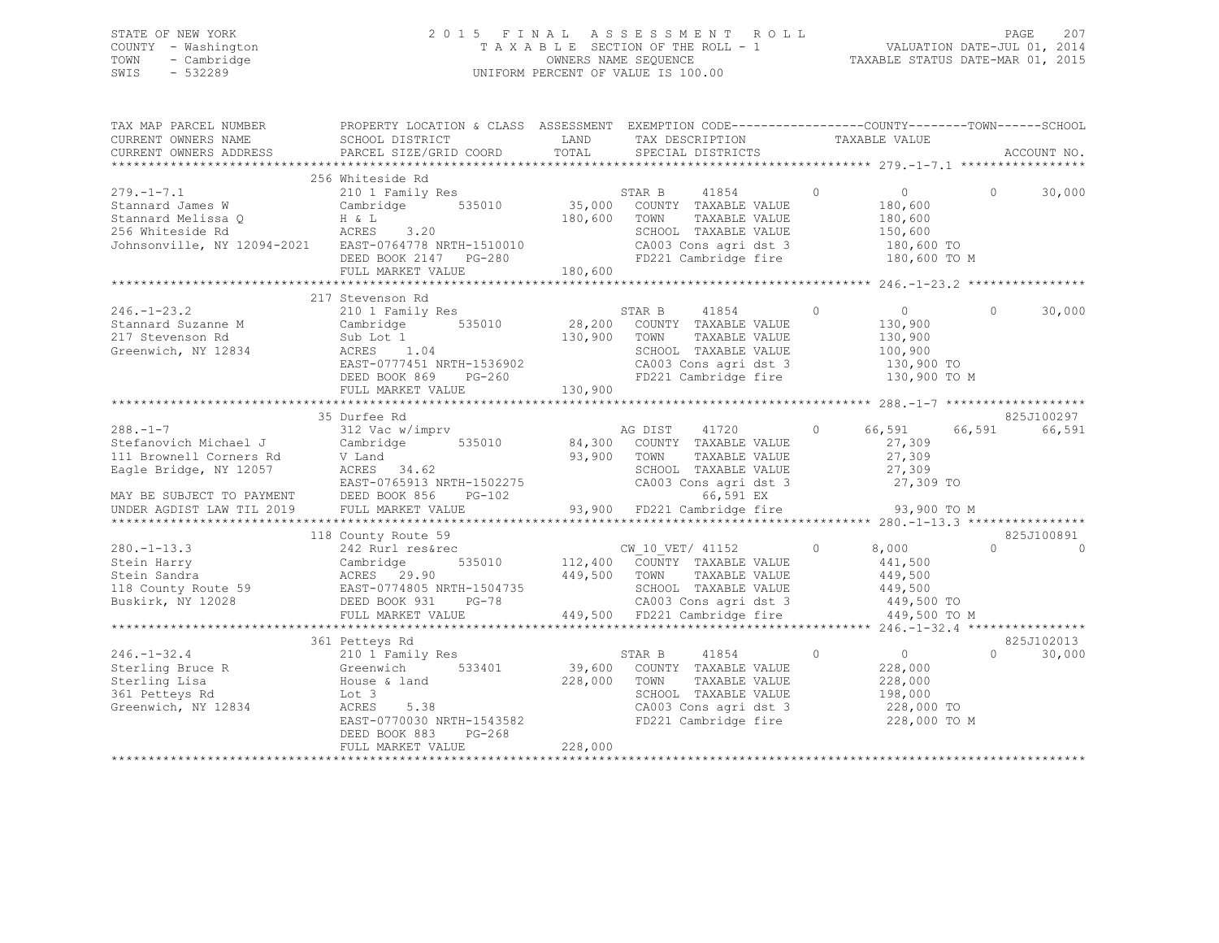### STATE OF NEW YORK 2 0 1 5 F I N A L A S S E S S M E N T R O L L PAGE 207 COUNTY - Washington T A X A B L E SECTION OF THE ROLL - 1 VALUATION DATE-JUL 01, 2014 TOWN - Cambridge Communication owners NAME SEQUENCE TAXABLE STATUS DATE-MAR 01, 2015 SWIS - 532289 UNIFORM PERCENT OF VALUE IS 100.00

TAX MAP PARCEL NUMBER PROPERTY LOCATION & CLASS ASSESSMENT EXEMPTION CODE----------------------------TOWN------SCHOOL

CURRENT OWNERS NAME SCHOOL DISTRICT TAND TAX DESCRIPTION TAXABLE VALUE CURRENT OWNERS ADDRESS PARCEL SIZE/GRID COORD TOTAL SPECIAL DISTRICTS ACCOUNT NO. \*\*\*\*\*\*\*\*\*\*\*\*\*\*\*\*\*\*\*\*\*\*\*\*\*\*\*\*\*\*\*\*\*\*\*\*\*\*\*\*\*\*\*\*\*\*\*\*\*\*\*\*\*\*\*\*\*\*\*\*\*\*\*\*\*\*\*\*\*\*\*\*\*\*\*\*\*\*\*\*\*\*\*\*\*\*\*\*\*\*\*\*\*\*\*\*\*\*\*\*\*\*\* 279.-1-7.1 \*\*\*\*\*\*\*\*\*\*\*\*\*\*\*\*\* 256 Whiteside Rd 279.-1-7.1 210 1 Family Res STAR B 41854 0 0 0 30,000 Stannard James W Cambridge 535010 35,000 COUNTY TAXABLE VALUE 180,600 Stannard Melissa Q H & L 180,600 TOWN TAXABLE VALUE 180,600 256 Whiteside Rd ACRES 3.20 SCHOOL TAXABLE VALUE 150,600 Johnsonville, NY 12094-2021 EAST-0764778 NRTH-1510010 CA003 Cons agri dst 3 180,600 TO DEED BOOK 2147 PG-280 FD221 Cambridge fire 180,600 TO M EAST-0764778 NAILLOCK<br>DEED BOOK 2147 PG-280<br>- WALUE 180,600 \*\*\*\*\*\*\*\*\*\*\*\*\*\*\*\*\*\*\*\*\*\*\*\*\*\*\*\*\*\*\*\*\*\*\*\*\*\*\*\*\*\*\*\*\*\*\*\*\*\*\*\*\*\*\*\*\*\*\*\*\*\*\*\*\*\*\*\*\*\*\*\*\*\*\*\*\*\*\*\*\*\*\*\*\*\*\*\*\*\*\*\*\*\*\*\*\*\*\*\*\*\*\* 246.-1-23.2 \*\*\*\*\*\*\*\*\*\*\*\*\*\*\*\* 217 Stevenson Rd 246.-1-23.2 210 1 Family Res STAR B 41854 0 0 0 30,000 Stannard Suzanne M Cambridge 535010 28,200 COUNTY TAXABLE VALUE 130,900 217 Stevenson Rd Sub Lot 1 130,900 TOWN TAXABLE VALUE 130,900 Greenwich, NY 12834 ACRES 1.04 SCHOOL TAXABLE VALUE 100,900 EAST-0777451 NRTH-1536902 CA003 Cons agri dst 3 130,900 TO DEED BOOK 869 PG-260 FD221 Cambridge fire 130,900 TO M EAST-0777451 NKTH-1000000<br>DEED BOOK 869 PG-260<br>FULL MARKET VALUE 130,900 \*\*\*\*\*\*\*\*\*\*\*\*\*\*\*\*\*\*\*\*\*\*\*\*\*\*\*\*\*\*\*\*\*\*\*\*\*\*\*\*\*\*\*\*\*\*\*\*\*\*\*\*\*\*\*\*\*\*\*\*\*\*\*\*\*\*\*\*\*\*\*\*\*\*\*\*\*\*\*\*\*\*\*\*\*\*\*\*\*\*\*\*\*\*\*\*\*\*\*\*\*\*\* 288.-1-7 \*\*\*\*\*\*\*\*\*\*\*\*\*\*\*\*\*\*\* 35 Durfee Rd 825J100297AG DIST 41720 0 66,591 66,591 66,591 288.-1-7 312 Vac w/imprv AG DIST 41720 0 66,591 66,591 66,591 Stefanovich Michael J Cambridge 535010 84,300 COUNTY TAXABLE VALUE 27,309 111 Brownell Corners Rd V Land 93,900 TOWN TAXABLE VALUE 27,309 Eagle Bridge, NY 12057 ACRES 34.62 SCHOOL TAXABLE VALUE 27,309 EAST-0765913 NRTH-1502275 CA003 Cons agri dst 3 27,309 TO MAY BE SUBJECT TO PAYMENT DEED BOOK 856 PG-102 66,591 EX UNDER AGDIST LAW TIL 2019 FULL MARKET VALUE 93,900 FD221 Cambridge fire 93,900 TO M \*\*\*\*\*\*\*\*\*\*\*\*\*\*\*\*\*\*\*\*\*\*\*\*\*\*\*\*\*\*\*\*\*\*\*\*\*\*\*\*\*\*\*\*\*\*\*\*\*\*\*\*\*\*\*\*\*\*\*\*\*\*\*\*\*\*\*\*\*\*\*\*\*\*\*\*\*\*\*\*\*\*\*\*\*\*\*\*\*\*\*\*\*\*\*\*\*\*\*\*\*\*\* 280.-1-13.3 \*\*\*\*\*\*\*\*\*\*\*\*\*\*\*\*825J100891 118 County Route 59 825J100891 280.-1-13.3 242 Rurl res&rec CW\_10\_VET/ 41152 0 8,000 <sup>0</sup> <sup>0</sup> Stein Harry Cambridge 535010 112,400 COUNTY TAXABLE VALUE 441,500 Stein Sandra ACRES 29.90 449,500 TOWN TAXABLE VALUE 449,500 118 County Route 59 EAST-0774805 NRTH-1504735 SCHOOL TAXABLE VALUE 449,500 Buskirk, NY 12028 DEED BOOK 931 PG-78 CA003 Cons agri dst 3 449,500 TO FULL MARKET VALUE 449,500 FD221 Cambridge fire 449,500 TO M \*\*\*\*\*\*\*\*\*\*\*\*\*\*\*\*\*\*\*\*\*\*\*\*\*\*\*\*\*\*\*\*\*\*\*\*\*\*\*\*\*\*\*\*\*\*\*\*\*\*\*\*\*\*\*\*\*\*\*\*\*\*\*\*\*\*\*\*\*\*\*\*\*\*\*\*\*\*\*\*\*\*\*\*\*\*\*\*\*\*\*\*\*\*\*\*\*\*\*\*\*\*\* 246.-1-32.4 \*\*\*\*\*\*\*\*\*\*\*\*\*\*\*\*825J102013 361 Petteys Rd 825J102013 246.-1-32.4 210 1 Family Res STAR B 41854 0 0 0 30,000 Sterling Bruce R Greenwich 533401 39,600 COUNTY TAXABLE VALUE 228,000 Sterling Lisa House & land 228,000 TOWN TAXABLE VALUE 228,000 361 Petteys Rd Lot 3 SCHOOL TAXABLE VALUE 198,000 Greenwich, NY 12834 ACRES 5.38 CA003 Cons agri dst 3 228,000 TO EAST-0770030 NRTH-1543582 FD221 Cambridge fire 228,000 TO M DEED BOOK 883 PG-268 FULL MARKET VALUE 228,000 \*\*\*\*\*\*\*\*\*\*\*\*\*\*\*\*\*\*\*\*\*\*\*\*\*\*\*\*\*\*\*\*\*\*\*\*\*\*\*\*\*\*\*\*\*\*\*\*\*\*\*\*\*\*\*\*\*\*\*\*\*\*\*\*\*\*\*\*\*\*\*\*\*\*\*\*\*\*\*\*\*\*\*\*\*\*\*\*\*\*\*\*\*\*\*\*\*\*\*\*\*\*\*\*\*\*\*\*\*\*\*\*\*\*\*\*\*\*\*\*\*\*\*\*\*\*\*\*\*\*\*\*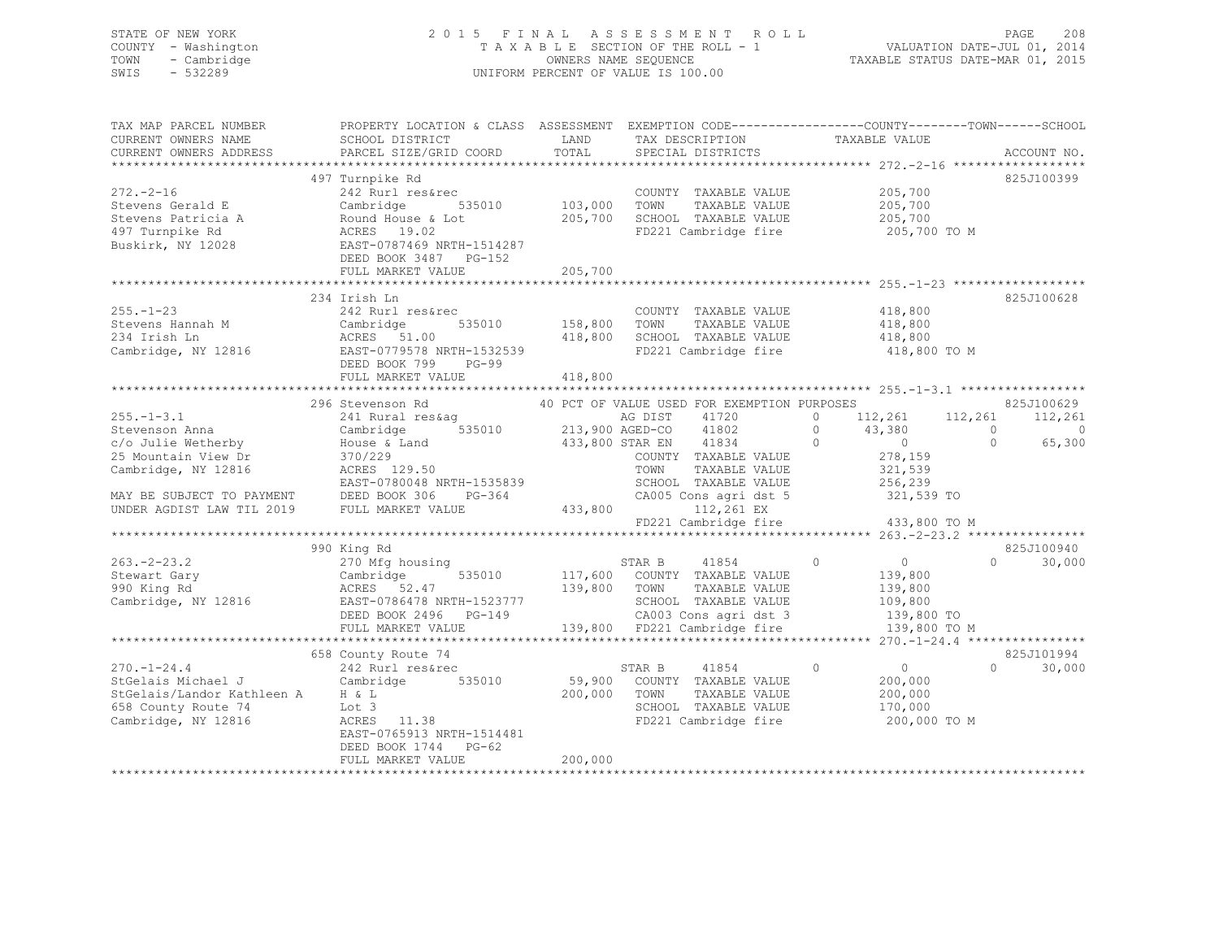## STATE OF NEW YORK 2 0 1 5 F I N A L A S S E S S M E N T R O L L PAGE 208 COUNTY - Washington T A X A B L E SECTION OF THE ROLL - 1 VALUATION DATE-JUL 01, 2014 TOWN - Cambridge OWNERS NAME SEQUENCE TAXABLE STATUS DATE-MAR 01, 2015 SWIS - 532289 UNIFORM PERCENT OF VALUE IS 100.00

| TAX MAP PARCEL NUMBER<br>CURRENT OWNERS NAME<br>CURRENT OWNERS ADDRESS                                                                                           | SCHOOL DISTRICT<br>PARCEL SIZE/GRID COORD                                                                                                                                                                          | LAND<br>TOTAL                                                              | TAX DESCRIPTION<br>SPECIAL DISTRICTS                                                                                                                                                                           | PROPERTY LOCATION & CLASS ASSESSMENT EXEMPTION CODE---------------COUNTY-------TOWN-----SCHOOL<br>TAXABLE VALUE                                               | ACCOUNT NO.                                            |
|------------------------------------------------------------------------------------------------------------------------------------------------------------------|--------------------------------------------------------------------------------------------------------------------------------------------------------------------------------------------------------------------|----------------------------------------------------------------------------|----------------------------------------------------------------------------------------------------------------------------------------------------------------------------------------------------------------|---------------------------------------------------------------------------------------------------------------------------------------------------------------|--------------------------------------------------------|
| $272 - 2 - 16$<br>Stevens Gerald E<br>Stevens Patricia A<br>497 Turnpike Rd<br>Buskirk, NY 12028                                                                 | 497 Turnpike Rd<br>242 Rurl res&rec<br>Cambridge<br>535010<br>Round House & Lot<br>ACRES 19.02<br>EAST-0787469 NRTH-1514287<br>DEED BOOK 3487 PG-152<br>FULL MARKET VALUE<br>*************************             | 103,000<br>205,700<br>205,700<br>*********                                 | COUNTY TAXABLE VALUE<br>TOWN<br>TAXABLE VALUE<br>SCHOOL TAXABLE VALUE<br>FD221 Cambridge fire                                                                                                                  | 205,700<br>205,700<br>205,700<br>205,700 TO M<br>********************* 255.-1-23 ******************                                                           | 825J100399                                             |
| $255. - 1 - 23$<br>Stevens Hannah M<br>234 Irish Ln<br>Cambridge, NY 12816                                                                                       | 234 Irish Ln<br>242 Rurl res&rec<br>Cambridge<br>535010<br>ACRES 51.00<br>EAST-0779578 NRTH-1532539<br>DEED BOOK 799<br>$PG-99$<br>FULL MARKET VALUE                                                               | 158,800<br>418,800<br>418,800                                              | COUNTY TAXABLE VALUE<br>TOWN<br>TAXABLE VALUE<br>SCHOOL TAXABLE VALUE<br>FD221 Cambridge fire                                                                                                                  | 418,800<br>418,800<br>418,800<br>418,800 TO M                                                                                                                 | 825J100628                                             |
| $255. - 1 - 3.1$<br>Stevenson Anna<br>c/o Julie Wetherby<br>25 Mountain View Dr<br>Cambridge, NY 12816<br>MAY BE SUBJECT TO PAYMENT<br>UNDER AGDIST LAW TIL 2019 | ***************************<br>296 Stevenson Rd<br>241 Rural res&aq<br>535010<br>Cambridge<br>House & Land<br>370/229<br>ACRES 129.50<br>EAST-0780048 NRTH-1535839<br>DEED BOOK 306<br>PG-364<br>FULL MARKET VALUE | **************<br>AG DIST<br>213,900 AGED-CO<br>433,800 STAR EN<br>433,800 | 40 PCT OF VALUE USED FOR EXEMPTION PURPOSES<br>41720<br>41802<br>41834<br>COUNTY TAXABLE VALUE<br>TOWN<br>TAXABLE VALUE<br>SCHOOL TAXABLE VALUE<br>CA005 Cons agri dst 5<br>112,261 EX<br>FD221 Cambridge fire | 112,261<br>112,261<br>$\circ$<br>$\circ$<br>$\bigcirc$<br>43,380<br>$\Omega$<br>$\overline{0}$<br>278,159<br>321,539<br>256,239<br>321,539 TO<br>433,800 TO M | 825J100629<br>112,261<br>$\circ$<br>$\Omega$<br>65,300 |
| $263. - 2 - 23.2$<br>Stewart Gary<br>990 King Rd<br>Cambridge, NY 12816                                                                                          | 990 King Rd<br>270 Mfg housing<br>535010<br>Cambridge<br>ACRES 52.47<br>EAST-0786478 NRTH-1523777<br>DEED BOOK 2496 PG-149<br>FULL MARKET VALUE                                                                    | 139,800                                                                    | STAR B<br>41854<br>117,600 COUNTY TAXABLE VALUE<br>TOWN<br>TAXABLE VALUE<br>SCHOOL TAXABLE VALUE<br>CA003 Cons agri dst 3<br>139,800 FD221 Cambridge fire                                                      | $\circ$<br>$\overline{0}$<br>139,800<br>139,800<br>109,800<br>139,800 TO<br>139,800 TO M<br>***** 270.-1-24.4 *****************                               | 825J100940<br>$\Omega$<br>30,000                       |
| $270. - 1 - 24.4$<br>StGelais Michael J<br>StGelais/Landor Kathleen A<br>658 County Route 74<br>Cambridge, NY 12816                                              | 658 County Route 74<br>242 Rurl res&rec<br>Cambridge<br>535010<br>H & L<br>Lot 3<br>ACRES 11.38<br>EAST-0765913 NRTH-1514481<br>DEED BOOK 1744 PG-62<br>FULL MARKET VALUE                                          | 200,000<br>200,000                                                         | STAR B<br>41854<br>59,900 COUNTY TAXABLE VALUE<br>TOWN<br>TAXABLE VALUE<br>SCHOOL TAXABLE VALUE<br>FD221 Cambridge fire                                                                                        | $\Omega$<br>$\circ$<br>200,000<br>200,000<br>170,000<br>200,000 TO M                                                                                          | 825J101994<br>$\Omega$<br>30,000                       |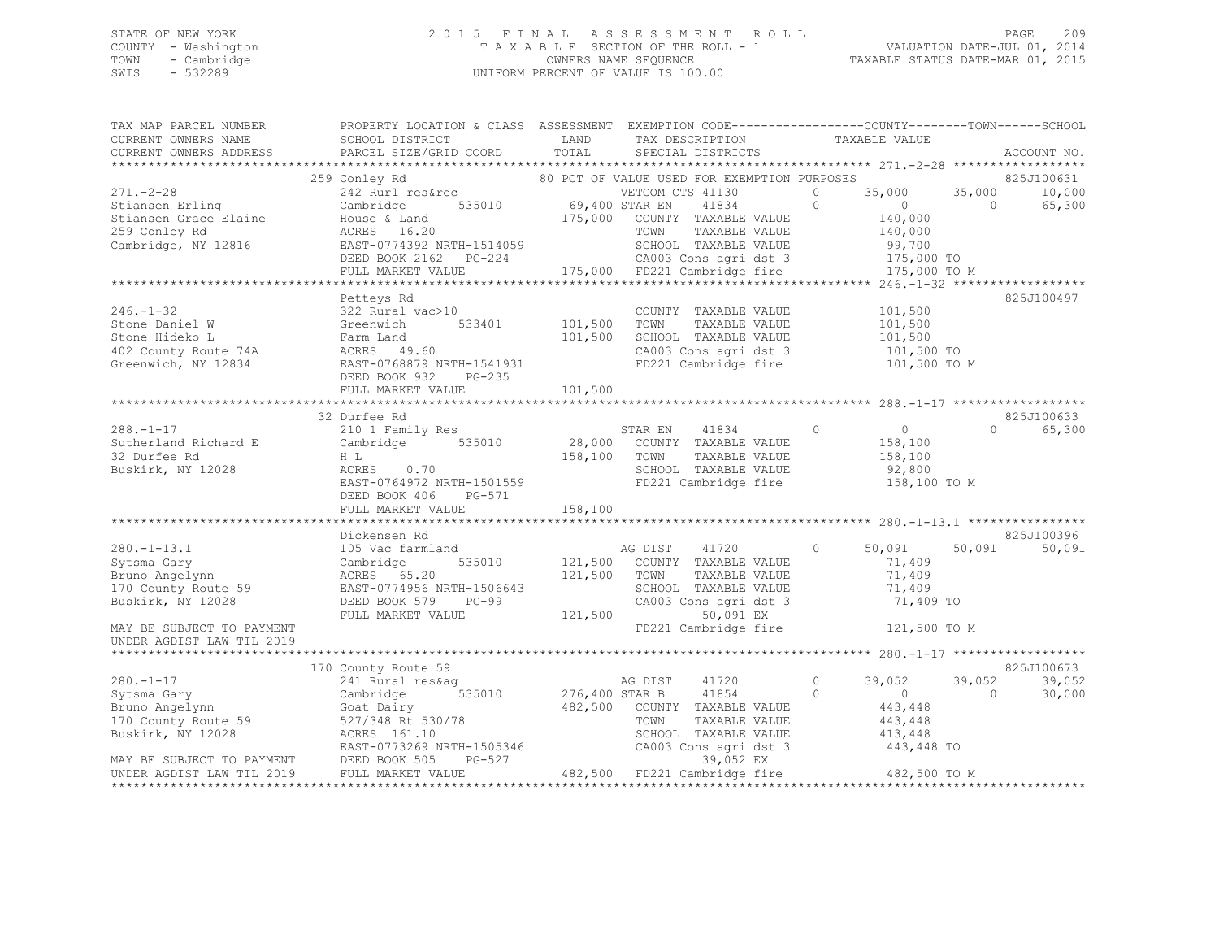## STATE OF NEW YORK 2 0 1 5 F I N A L A S S E S S M E N T R O L L PAGE 209 COUNTY - Washington T A X A B L E SECTION OF THE ROLL - 1 VALUATION DATE-JUL 01, 2014 TOWN - Cambridge OWNERS NAME SEQUENCE TAXABLE STATUS DATE-MAR 01, 2015 SWIS - 532289 UNIFORM PERCENT OF VALUE IS 100.00

| TAX MAP PARCEL NUMBER<br>CURRENT OWNERS NAME                                                                                                                                                                                                                                         | PROPERTY LOCATION & CLASS ASSESSMENT EXEMPTION CODE-----------------COUNTY-------TOWN------SCHOOL<br>SCHOOL DISTRICT                                                                                                       | LAND                    | TAX DESCRIPTION TAXABLE VALUE                                                                                                              |         |                                                                |                          |                      |
|--------------------------------------------------------------------------------------------------------------------------------------------------------------------------------------------------------------------------------------------------------------------------------------|----------------------------------------------------------------------------------------------------------------------------------------------------------------------------------------------------------------------------|-------------------------|--------------------------------------------------------------------------------------------------------------------------------------------|---------|----------------------------------------------------------------|--------------------------|----------------------|
| CURRENT OWNERS ADDRESS                                                                                                                                                                                                                                                               | PARCEL SIZE/GRID COORD                                                                                                                                                                                                     | TOTAL                   | SPECIAL DISTRICTS                                                                                                                          |         |                                                                |                          | ACCOUNT NO.          |
|                                                                                                                                                                                                                                                                                      | 259 Conley Rd                                                                                                                                                                                                              |                         | 80 PCT OF VALUE USED FOR EXEMPTION PURPOSES                                                                                                |         |                                                                |                          | 825J100631           |
| 271.-2-28<br>259 Conley Rd<br>269 Conley Rd<br>271.-2-28<br>271.-2-28<br>271.-2-28<br>271.-2-28<br>271.-2-28<br>271.-2-28<br>271.-2-28<br>271.-2-28<br>271.-2-28<br>271.-2-28<br>271.-2-28<br>271.-2-28<br>271.-2-28<br>271.-2-28<br>271.-2-28<br>271.-2-28<br>271.                  |                                                                                                                                                                                                                            |                         |                                                                                                                                            |         |                                                                | 35,000<br>$\overline{0}$ | 10,000<br>65,300     |
|                                                                                                                                                                                                                                                                                      |                                                                                                                                                                                                                            |                         |                                                                                                                                            |         |                                                                |                          |                      |
|                                                                                                                                                                                                                                                                                      |                                                                                                                                                                                                                            |                         |                                                                                                                                            |         |                                                                |                          |                      |
| 246.-1-32<br>Stone Daniel W<br>Stone Hideko L<br>Stone Hideko L<br>Tarm Land<br>402 County Route 74A<br>Greenwich, NY 12834<br>Stone Tarm Land<br>ACRES<br>ACRES<br>29.60<br>EAST-0768879 NRTH-1541931<br>DEED BOOK 932<br>PG-235                                                    | 101,500 TOWN<br>533401 101,500 SCHOO                                                                                                                                                                                       |                         | COUNTY TAXABLE VALUE<br>TAXABLE VALUE<br>CA003 Cons agri dst 3<br>FD221 Cambridge fire                                                     |         | 101,500<br>101,500<br>101,500 TO<br>101,500 TO M               |                          | 825J100497           |
|                                                                                                                                                                                                                                                                                      |                                                                                                                                                                                                                            |                         |                                                                                                                                            |         |                                                                |                          |                      |
|                                                                                                                                                                                                                                                                                      | 32 Durfee Rd                                                                                                                                                                                                               |                         |                                                                                                                                            |         |                                                                |                          | 825J100633           |
| $288. -1 - 17$<br>Sutherland Richard E<br>32 Durfee Rd<br>Buskirk, NY 12028                                                                                                                                                                                                          | 210 1 Family Res<br>Cambridge 535010 28,000 COUNTY TAXABLE VALUE<br>H L 158,100 TOWN TAXABLE VALUE<br>ACRES 0.70<br>EAST-0764972 NRTH-1501559<br>EAST-0764972 NRTH-1501559 FD221 Cambridge fire<br>DEED BOOK 406<br>PG-571 |                         | STAR EN 41834 0<br>TAXABLE VALUE<br>SCHOOL TAXABLE VALUE                                                                                   |         | $\overline{0}$<br>158,100<br>158,100<br>92,800<br>158,100 TO M | $\Omega$                 | 65,300               |
|                                                                                                                                                                                                                                                                                      | FULL MARKET VALUE                                                                                                                                                                                                          | 158,100                 |                                                                                                                                            |         |                                                                |                          |                      |
|                                                                                                                                                                                                                                                                                      |                                                                                                                                                                                                                            |                         |                                                                                                                                            |         |                                                                |                          |                      |
| $280. - 1 - 13.1$<br>280.-1-13.1 105 Vac farmland<br>Sytsma Gary 635010<br>Bruno Angelynn 10 County Route 59 EAST-0774956 NRTH-1506643<br>Buskirk, NY 12028                                                                                                                          | Dickensen Rd<br>105 Vac farmland<br>DEED BOOK 579 PG-99<br>FULL MARKET VALUE                                                                                                                                               | 121,500 TOWN<br>121,500 | AG DIST 41720 (<br>121,500 COUNTY TAXABLE VALUE<br>TOWN      TAXABLE VALUE<br>SCHOOL   TAXABLE VALUE<br>CA003 Cons agri dst 3<br>50,091 EX | $\circ$ | 50,091<br>71,409<br>71,409<br>71,409<br>71,409 TO              | 50,091                   | 825J100396<br>50,091 |
| MAY BE SUBJECT TO PAYMENT<br>UNDER AGDIST LAW TIL 2019                                                                                                                                                                                                                               |                                                                                                                                                                                                                            |                         | FD221 Cambridge fire                                                                                                                       |         | 121,500 TO M                                                   |                          |                      |
|                                                                                                                                                                                                                                                                                      | 170 County Route 59                                                                                                                                                                                                        |                         |                                                                                                                                            |         |                                                                |                          | 825J100673           |
| $280. -1 - 17$                                                                                                                                                                                                                                                                       | 241 Rural res&aq                                                                                                                                                                                                           |                         | AG DIST<br>41720                                                                                                                           | $\circ$ | 39,052                                                         | 39,052                   | 39,052               |
| $\begin{tabular}{lllllllllllll} 280.-1-17 & \mbox{\sc x1~number~200} & 535010 & 276,400 STR B & 41854 & 20000 & 443,448 & 482,500 & 443,448 & 482,500 & 443,448 & 443,448 & 443,448 & 443,448 & 443,448 & 443,448 & 443,448 & 443,448 & 443,448 & 443,448 & 443,448 & 443,448 & 443$ |                                                                                                                                                                                                                            |                         |                                                                                                                                            |         |                                                                | $\Omega$                 | 30,000               |
|                                                                                                                                                                                                                                                                                      |                                                                                                                                                                                                                            |                         |                                                                                                                                            |         |                                                                |                          |                      |
|                                                                                                                                                                                                                                                                                      |                                                                                                                                                                                                                            |                         |                                                                                                                                            |         |                                                                |                          |                      |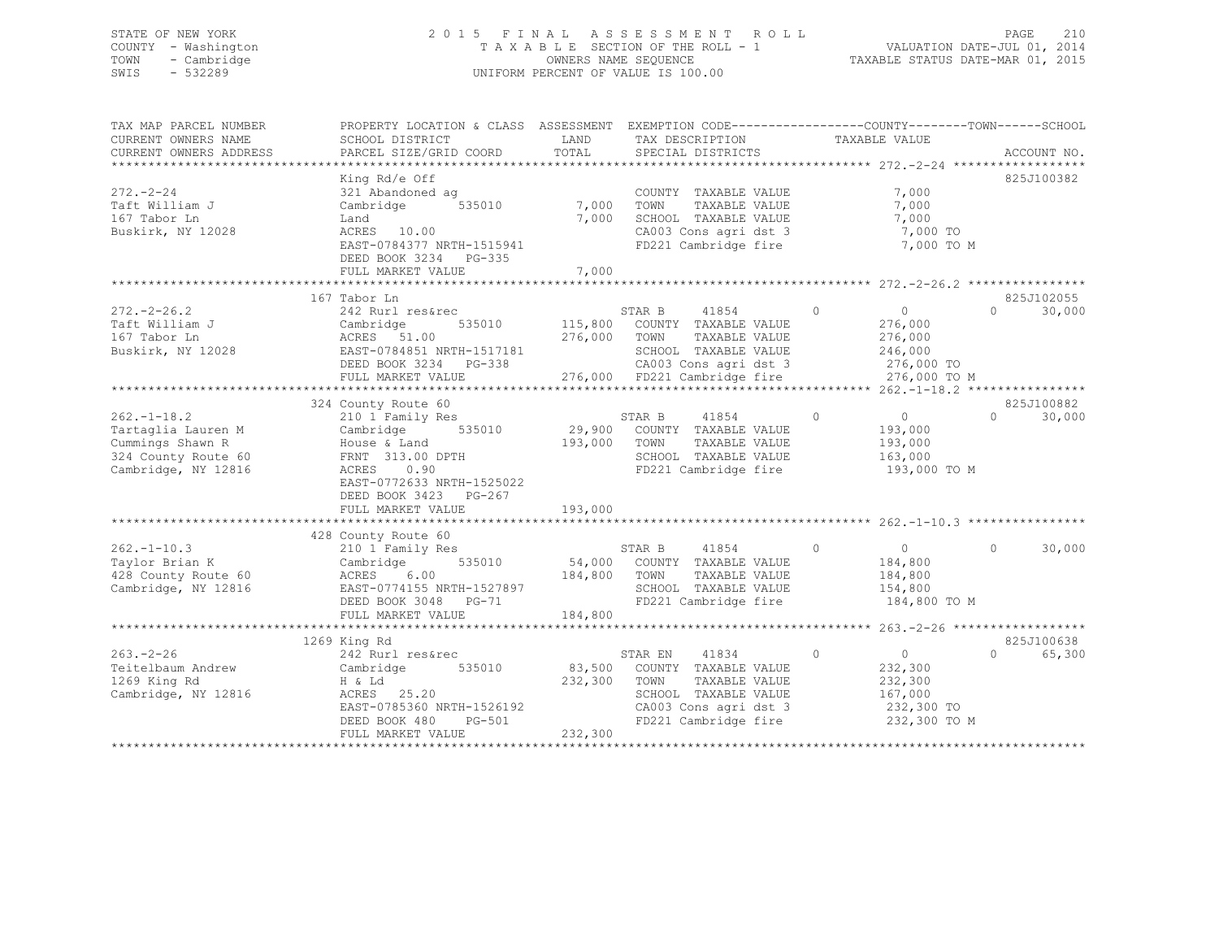## STATE OF NEW YORK 2 0 1 5 F I N A L A S S E S S M E N T R O L L PAGE 210 COUNTY - Washington T A X A B L E SECTION OF THE ROLL - 1 VALUATION DATE-JUL 01, 2014 TOWN - Cambridge OWNERS NAME SEQUENCE TAXABLE STATUS DATE-MAR 01, 2015 SWIS - 532289 UNIFORM PERCENT OF VALUE IS 100.00

| TAX MAP PARCEL NUMBER<br>CURRENT OWNERS NAME<br>CURRENT OWNERS ADDRESS                                    | PROPERTY LOCATION & CLASS ASSESSMENT<br>SCHOOL DISTRICT<br>PARCEL SIZE/GRID COORD                                                                                                                                                                       | LAND<br>TOTAL                | EXEMPTION CODE-----------------COUNTY-------TOWN------SCHOOL<br>TAX DESCRIPTION<br>SPECIAL DISTRICTS                                                               | TAXABLE VALUE                                                              | ACCOUNT NO.                               |
|-----------------------------------------------------------------------------------------------------------|---------------------------------------------------------------------------------------------------------------------------------------------------------------------------------------------------------------------------------------------------------|------------------------------|--------------------------------------------------------------------------------------------------------------------------------------------------------------------|----------------------------------------------------------------------------|-------------------------------------------|
| $272 - 2 - 24$<br>Taft William J<br>167 Tabor Ln<br>Buskirk, NY 12028                                     | King Rd/e Off<br>321 Abandoned ag<br>535010<br>Cambridge<br>Land<br>ACRES 10.00<br>EAST-0784377 NRTH-1515941<br>DEED BOOK 3234 PG-335<br>FULL MARKET VALUE                                                                                              | 7,000<br>7,000<br>7,000      | COUNTY TAXABLE VALUE<br>TOWN<br>TAXABLE VALUE<br>SCHOOL TAXABLE VALUE<br>SCHOOL TAXABLE VALUE<br>CA003 Cons agri dst 3<br>FD221 Cambridge fire                     | 7,000<br>7,000<br>7,000<br>7,000 TO<br>7,000 TO M                          | 825J100382                                |
| $272. - 2 - 26.2$<br>Taft William J<br>167 Tabor Ln<br>Buskirk, NY 12028                                  | 167 Tabor Ln<br>242 Rurl res&rec<br>Cambridge<br>ACRES 51.00<br>EAST-0784851 NRTH-1517181 SCHOOL TAXABLE VALUE 246,000<br>DEED BOOK 3234 PG-338 276,000 CA003 Cons agri dst 3 276,000 TO<br>FULL MARKET VALUE 276,000 FD221 Cambridge fire 276,000 TO M | 276,000 TOWN                 | $\sim$ 0<br>STAR B<br>41854<br>535010 115,800 COUNTY TAXABLE VALUE<br>TAXABLE VALUE                                                                                | $\overline{0}$<br>276,000<br>276,000                                       | 825J102055<br>30,000<br>$\Omega$          |
| $262. - 1 - 18.2$<br>Tartaglia Lauren M<br>Cummings Shawn R<br>324 County Route 60<br>Cambridge, NY 12816 | 324 County Route 60<br>210 1 Family Res<br>535010<br>Cambridge<br>House & Land<br>FRNT 313.00 DPTH<br>ACRES 0.90<br>EAST-0772633 NRTH-1525022<br>DEED BOOK 3423 PG-267<br>FULL MARKET VALUE                                                             | 193,000<br>193,000           | STAR B<br>41854<br>29,900 COUNTY TAXABLE VALUE<br>TAXABLE VALUE<br>TOWN<br>SCHOOL TAXABLE VALUE<br>FD221 Cambridge fire                                            | $\overline{0}$<br>$\circ$<br>193,000<br>193,000<br>163,000<br>193,000 TO M | 825J100882<br>$\Omega$<br>30,000          |
| $262. - 1 - 10.3$<br>Taylor Brian K<br>428 County Route 60<br>Cambridge, NY 12816                         | 428 County Route 60<br>210 1 Family Res<br>Cambridge<br>184,800 TOWN<br>6.00<br>ACRES<br>EAST-0774155 NRTH-1527897<br>DEED BOOK 3048 PG-71<br>DEED BOOK 3048 PG-71<br>FULL MARKET VALUE                                                                 | 184,800                      | STAR B<br>41854<br>535010 54,000 COUNTY TAXABLE VALUE<br>TAXABLE VALUE<br>SCHOOL TAXABLE VALUE<br>FD221 Cambridge fire 184,800 TO M                                | $\circ$<br>$\overline{0}$<br>184,800<br>184,800<br>154,800                 | $\Omega$<br>30,000                        |
| $263. - 2 - 26$<br>Teitelbaum Andrew<br>1269 King Rd<br>Cambridge, NY 12816                               | 1269 King Rd<br>242 Rurl res&rec<br>535010<br>Cambridge<br>H & Ld<br>ACRES 25.20<br>EAST-0785360 NRTH-1526192<br>$PG-501$<br>DEED BOOK 480<br>FULL MARKET VALUE                                                                                         | 83,500<br>232,300<br>232,300 | 41834<br>STAR EN<br>COUNTY TAXABLE VALUE<br>TOWN<br>TAXABLE VALUE<br>SCHOOL TAXABLE VALUE<br>CA003 Cons agri dst 3 232,300 TO<br>FD221 Cambridge fire 232,300 TO M | $\circ$<br>$\overline{0}$<br>232,300<br>232,300<br>167,000                 | 825J100638<br>65,300<br>$0 \qquad \qquad$ |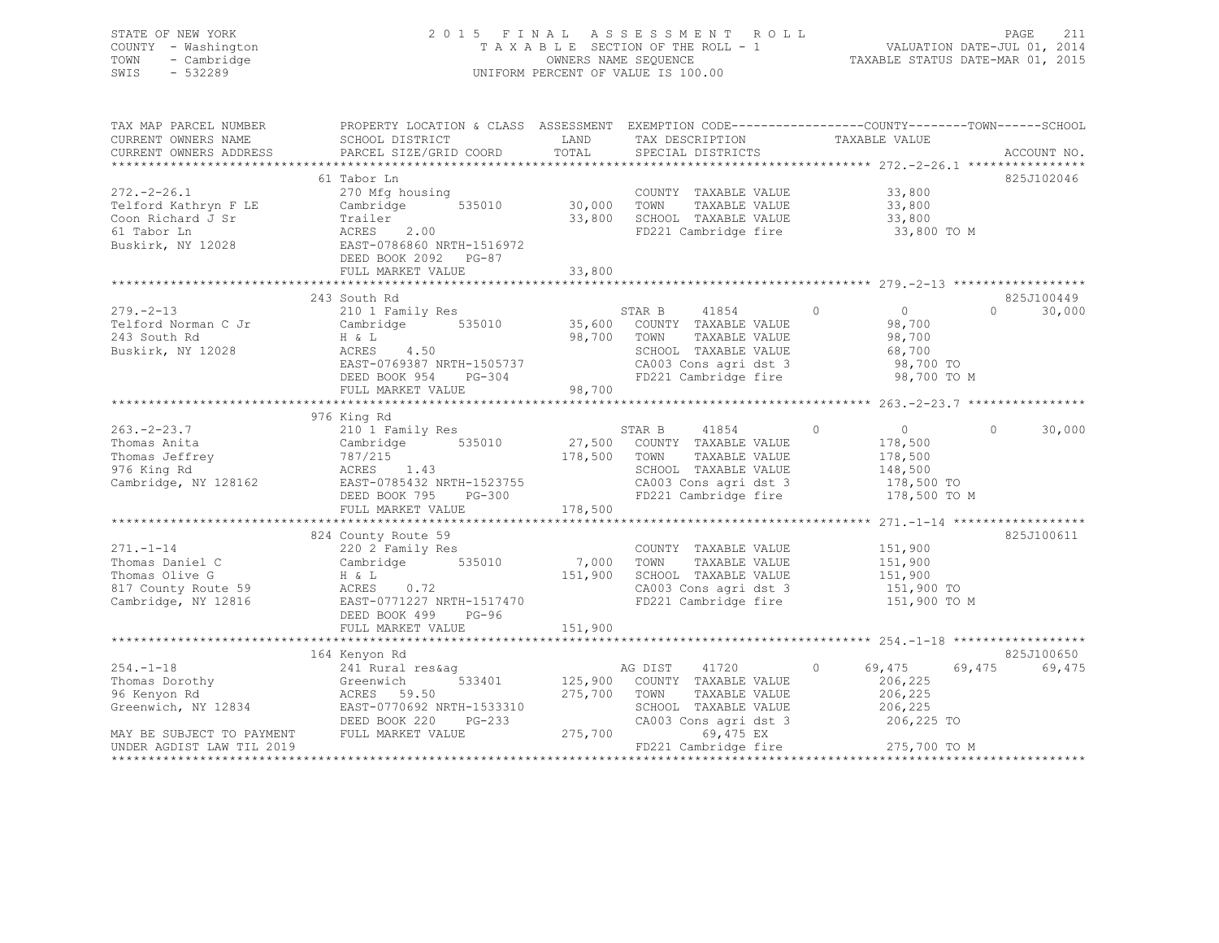## STATE OF NEW YORK 2 0 1 5 F I N A L A S S E S S M E N T R O L L PAGE 211 COUNTY - Washington T A X A B L E SECTION OF THE ROLL - 1 VALUATION DATE-JUL 01, 2014 TOWN - Cambridge OWNERS NAME SEQUENCE TAXABLE STATUS DATE-MAR 01, 2015 SWIS - 532289 UNIFORM PERCENT OF VALUE IS 100.00

| TAX MAP PARCEL NUMBER<br>CURRENT OWNERS NAME<br>CURRENT OWNERS ADDRESS                                                            | PROPERTY LOCATION & CLASS ASSESSMENT<br>SCHOOL DISTRICT<br>PARCEL SIZE/GRID COORD                                                                                   | LAND<br>TOTAL                    | TAX DESCRIPTION<br>SPECIAL DISTRICTS                                                                                                                    | EXEMPTION CODE-----------------COUNTY-------TOWN------SCHOOL<br>TAXABLE VALUE              | ACCOUNT NO.                    |
|-----------------------------------------------------------------------------------------------------------------------------------|---------------------------------------------------------------------------------------------------------------------------------------------------------------------|----------------------------------|---------------------------------------------------------------------------------------------------------------------------------------------------------|--------------------------------------------------------------------------------------------|--------------------------------|
| $272. - 2 - 26.1$<br>Telford Kathryn F LE<br>Coon Richard J Sr<br>61 Tabor Ln<br>Buskirk, NY 12028                                | 61 Tabor Ln<br>270 Mfg housing<br>535010<br>Cambridge<br>Trailer<br>ACRES<br>2.00<br>EAST-0786860 NRTH-1516972<br>DEED BOOK 2092 PG-87<br>FULL MARKET VALUE         | 30,000<br>33,800<br>33,800       | COUNTY TAXABLE VALUE<br>TOWN<br>TAXABLE VALUE<br>TOWN INTERNABLE VALUE<br>SCHOOL TAXABLE VALUE<br>FD221 Cambridge fire                                  | 33,800<br>33,800<br>33,800<br>33,800 TO M                                                  | 825J102046                     |
| $279. - 2 - 13$<br>Telford Norman C Jr<br>243 South Rd<br>Buskirk, NY 12028                                                       | 243 South Rd<br>210 1 Family Res<br>535010<br>Cambridge<br>H & L<br>ACRES<br>4.50<br>EAST-0769387 NRTH-1505737<br>DEED BOOK 954<br>PG-304<br>FULL MARKET VALUE      | 98,700                           | STAR B<br>41854<br>35,600 COUNTY TAXABLE VALUE<br>98,700 TOWN<br>TAXABLE VALUE<br>SCHOOL TAXABLE VALUE<br>CA003 Cons agri dst 3<br>FD221 Cambridge fire | $\circ$<br>$\overline{0}$<br>98,700<br>98,700<br>68,700<br>98,700 TO<br>98,700 TO M        | 825J100449<br>$\cap$<br>30,000 |
| $263 - 2 - 23.7$<br>Thomas Anita<br>Thomas Jeffrey<br>976 King Rd<br>Cambridge, NY 128162                                         | 976 King Rd<br>210 1 Family Res<br>Cambridge 535010<br>787/215<br>ACRES 1.43<br>EAST-0785432 NRTH-1523755<br>DEED BOOK 795<br>PG-300<br>FULL MARKET VALUE           | 178,500 TOWN<br>178,500          | 41854<br>STAR B<br>27,500 COUNTY TAXABLE VALUE<br>TAXABLE VALUE<br>SCHOOL TAXABLE VALUE<br>CA003 Cons agri dst 3<br>FD221 Cambridge fire                | $\circ$<br>$\overline{0}$<br>178,500<br>178,500<br>148,500<br>178,500 TO<br>178,500 TO M   | $\Omega$<br>30,000             |
| $271. - 1 - 14$<br>Thomas Daniel C<br>Thomas Olive G<br>817 County Route 59<br>Cambridge, NY 12816                                | 824 County Route 59<br>220 2 Family Res<br>Cambridge 535010<br>H & L<br>0.72<br>ACRES<br>EAST-0771227 NRTH-1517470<br>DEED BOOK 499<br>$PG-96$<br>FULL MARKET VALUE | 7,000 TOWN<br>151,900<br>151,900 | COUNTY TAXABLE VALUE<br>TAXABLE VALUE<br>SCHOOL TAXABLE VALUE<br>CA003 Cons agri dst 3<br>FD221 Cambridge fire                                          | 151,900<br>151,900<br>151,900<br>151,900 TO<br>151,900 TO M                                | 825J100611                     |
| $254. -1 - 18$<br>Thomas Dorothy<br>96 Kenyon Rd<br>Greenwich, NY 12834<br>MAY BE SUBJECT TO PAYMENT<br>UNDER AGDIST LAW TIL 2019 | 164 Kenyon Rd<br>241 Rural res&aq<br>533401<br>Greenwich<br>ACRES 59.50<br>EAST-0770692 NRTH-1533310<br>DEED BOOK 220<br>PG-233<br>FULL MARKET VALUE                | 125,900<br>275,700<br>275,700    | AG DIST<br>41720<br>COUNTY TAXABLE VALUE<br>TOWN<br>TAXABLE VALUE<br>SCHOOL TAXABLE VALUE<br>CA003 Cons agri dst 3<br>69,475 EX<br>FD221 Cambridge fire | $\circ$<br>69,475<br>69,475<br>206,225<br>206,225<br>206,225<br>206,225 TO<br>275,700 TO M | 825J100650<br>69,475           |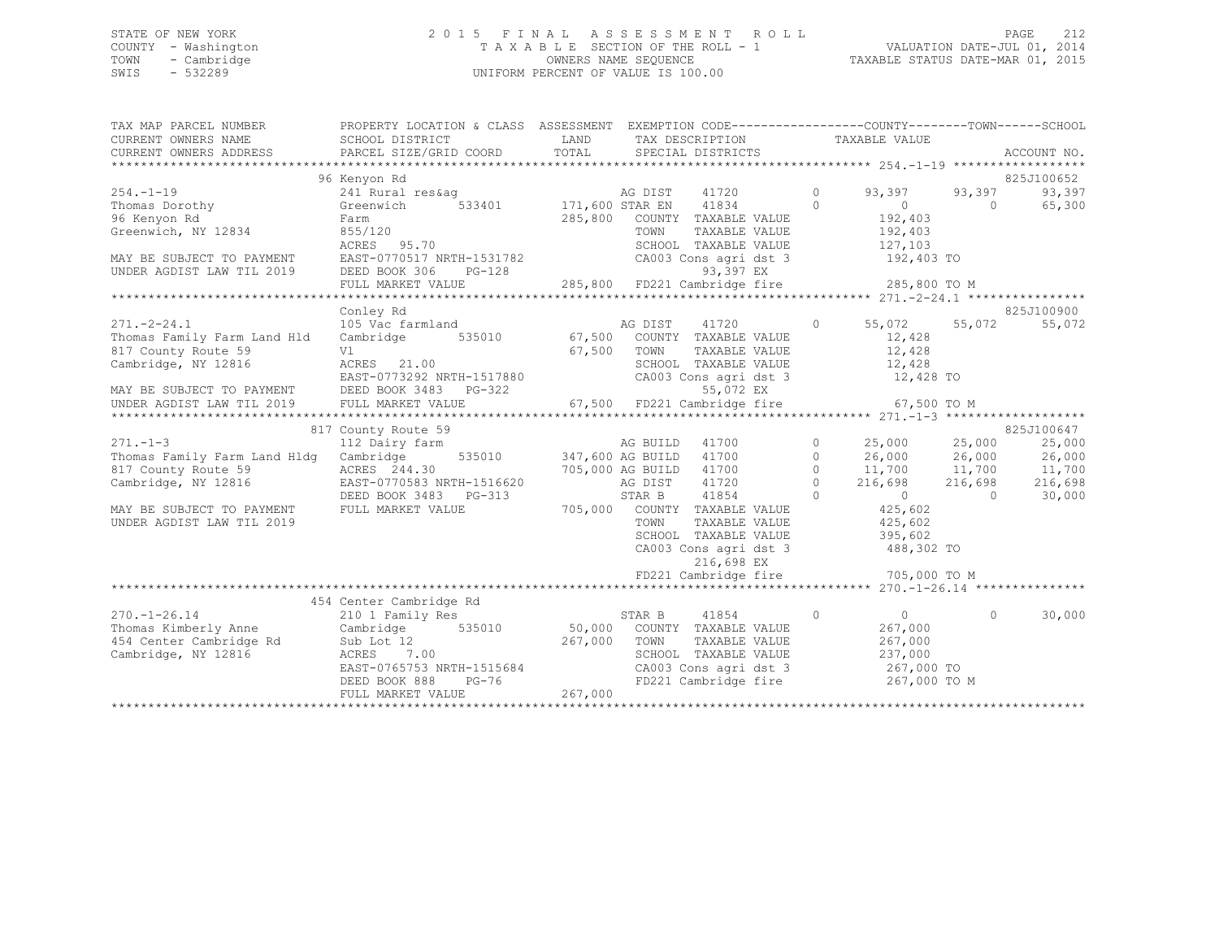## STATE OF NEW YORK 2 0 1 5 F I N A L A S S E S S M E N T R O L L PAGE 212 COUNTY - Washington T A X A B L E SECTION OF THE ROLL - 1 VALUATION DATE-JUL 01, 2014 TOWN - Cambridge OWNERS NAME SEQUENCE TAXABLE STATUS DATE-MAR 01, 2015 SWIS - 532289 UNIFORM PERCENT OF VALUE IS 100.00

| TAX MAP PARCEL NUMBER                                                                                                                      | PROPERTY LOCATION & CLASS ASSESSMENT EXEMPTION CODE---------------COUNTY-------TOWN-----SCHOOL |             |                                                                |                                       |                                                                          |                |             |
|--------------------------------------------------------------------------------------------------------------------------------------------|------------------------------------------------------------------------------------------------|-------------|----------------------------------------------------------------|---------------------------------------|--------------------------------------------------------------------------|----------------|-------------|
| CURRENT OWNERS NAME                                                                                                                        | SCHOOL DISTRICT                                                                                | LAND        | TAX DESCRIPTION                                                |                                       | TAXABLE VALUE                                                            |                |             |
| CURRENT OWNERS ADDRESS                                                                                                                     | PARCEL SIZE/GRID COORD                                                                         | TOTAL       | SPECIAL DISTRICTS                                              |                                       |                                                                          |                | ACCOUNT NO. |
|                                                                                                                                            | 96 Kenyon Rd                                                                                   |             |                                                                |                                       |                                                                          |                | 825J100652  |
| $254. -1 - 19$                                                                                                                             | 241 Rural res&ag                                                                               |             | AG DIST<br>41720                                               | $\circ$                               | 93,397                                                                   | 93,397         | 93,397      |
| Thomas Dorothy                                                                                                                             | Greenwich                                                                                      |             | 533401 171,600 STAR EN 41834                                   | $\Omega$                              |                                                                          | $\bigcirc$     | 65,300      |
| 96 Kenyon Rd                                                                                                                               | Farm                                                                                           | 285,800     | COUNTY TAXABLE VALUE                                           |                                       | $\begin{smallmatrix}&&0\\&&2\\1&92&\mathbf{,}\ 4\,0\,3\end{smallmatrix}$ |                |             |
| Greenwich, NY 12834                                                                                                                        | 855/120                                                                                        |             | TOWN<br>TAXABLE VALUE                                          |                                       | 192,403                                                                  |                |             |
|                                                                                                                                            | ACRES 95.70                                                                                    |             | SCHOOL TAXABLE VALUE                                           |                                       | 127,103                                                                  |                |             |
| MAY BE SUBJECT TO PAYMENT                                                                                                                  | EAST-0770517 NRTH-1531782                                                                      |             | SCHOOL TAXABLE VALUE<br>CA003 Cons agri dst 3                  |                                       | 192,403 TO                                                               |                |             |
| UNDER AGDIST LAW TIL 2019                                                                                                                  | $PG-128$<br>DEED BOOK 306                                                                      |             | 93,397 EX                                                      |                                       |                                                                          |                |             |
|                                                                                                                                            | FULL MARKET VALUE                                                                              |             | 285,800 FD221 Cambridge fire 285,800 TO M                      |                                       |                                                                          |                |             |
|                                                                                                                                            |                                                                                                |             |                                                                |                                       |                                                                          |                |             |
|                                                                                                                                            | Conley Rd                                                                                      |             |                                                                |                                       |                                                                          |                | 825J100900  |
| $271 - 2 - 24.1$                                                                                                                           | 105 Vac farmland                                                                               |             |                                                                | $\circ$                               | 55,072                                                                   | 55,072         | 55,072      |
| Thomas Family Farm Land Hld                                                                                                                | Cambridge                                                                                      |             |                                                                |                                       | 12,428<br>12,428                                                         |                |             |
| 817 County Route 59<br>Cambridge, NY 12816                                                                                                 | Vl<br>ACRES 21.00                                                                              | 67,500 TOWN | TAXABLE VALUE                                                  |                                       |                                                                          |                |             |
|                                                                                                                                            | EAST-0773292 NRTH-1517880                                                                      |             | SCHOOL TAXABLE VALUE 12,428<br>CA003 Cons agri dst 3 12,428 TO |                                       |                                                                          |                |             |
| MAY BE SUBJECT TO PAYMENT DEED BOOK 3483 PG-322                                                                                            |                                                                                                |             | 55,072 EX                                                      |                                       |                                                                          |                |             |
| UNDER AGDIST LAW TIL 2019                                                                                                                  | FULL MARKET VALUE                                                                              |             | 67,500 FD221 Cambridge fire                                    |                                       | 67,500 TO M                                                              |                |             |
|                                                                                                                                            |                                                                                                |             |                                                                |                                       |                                                                          |                |             |
|                                                                                                                                            | 817 County Route 59                                                                            |             |                                                                |                                       |                                                                          |                | 825J100647  |
| 817 County Route 59<br>271.-1-3 112 Dairy farm AG BUILD 41700<br>2911.edustra 112 Dairy farm 120 AG BUILD 41700<br>2917,600 AG BUILD 41700 |                                                                                                |             |                                                                |                                       | $0$ 25,000 25,000<br>0 26,000 26,000                                     |                | 25,000      |
|                                                                                                                                            |                                                                                                |             |                                                                |                                       |                                                                          |                | 26,000      |
| 817 County Route 59                                                                                                                        | ACRES 244.30                                                                                   |             | 705,000 AG BUILD 41700                                         | $\circ$                               | 11,700 11,700                                                            |                | 11,700      |
| Cambridge, NY 12816                                                                                                                        | EAST-0770583 NRTH-1516620                                                                      |             | AG DIST<br>41720                                               | $\begin{array}{c} 0 \\ 0 \end{array}$ | 216,698                                                                  | 216,698        | 216,698     |
|                                                                                                                                            | DEED BOOK 3483 PG-313                                                                          |             | STAR B<br>41854                                                |                                       | $\sim$ 0 $\sim$                                                          | $\overline{0}$ | 30,000      |
| MAY BE SUBJECT TO PAYMENT                                                                                                                  | FULL MARKET VALUE                                                                              |             | 705,000 COUNTY TAXABLE VALUE                                   |                                       | 425,602                                                                  |                |             |
| UNDER AGDIST LAW TIL 2019                                                                                                                  |                                                                                                |             | TOWN<br>TAXABLE VALUE                                          |                                       | 425,602                                                                  |                |             |
|                                                                                                                                            |                                                                                                |             | SCHOOL TAXABLE VALUE<br>CA003 Cons agri dst 3                  |                                       | 395,602<br>488,302 TO                                                    |                |             |
|                                                                                                                                            |                                                                                                |             | 216,698 EX                                                     |                                       |                                                                          |                |             |
|                                                                                                                                            |                                                                                                |             | FD221 Cambridge fire                                           |                                       | 705,000 TO M                                                             |                |             |
|                                                                                                                                            |                                                                                                |             |                                                                |                                       |                                                                          |                |             |
|                                                                                                                                            | 454 Center Cambridge Rd                                                                        |             |                                                                |                                       |                                                                          |                |             |
| $270. - 1 - 26.14$                                                                                                                         | 210 1 Family Res                                                                               |             | STAR B<br>41854                                                | $\circ$                               | $\overline{0}$                                                           | $\Omega$       | 30,000      |
| Thomas Kimberly Anne                                                                                                                       | Cambridge                                                                                      |             | 535010 50,000 COUNTY TAXABLE VALUE                             |                                       | 267,000                                                                  |                |             |
| 454 Center Cambridge Rd                                                                                                                    | 267,000<br>Sub Lot 12                                                                          |             | TOWN<br>TAXABLE VALUE                                          |                                       | 267,000                                                                  |                |             |
| Cambridge, NY 12816                                                                                                                        | ACRES 7.00                                                                                     |             | SCHOOL TAXABLE VALUE                                           |                                       | 237,000                                                                  |                |             |
|                                                                                                                                            | EAST-0765753 NRTH-1515684                                                                      |             |                                                                |                                       |                                                                          |                |             |
|                                                                                                                                            | DEED BOOK 888<br>$PG-76$                                                                       |             | FD221 Cambridge fire                                           |                                       | 267,000 TO M                                                             |                |             |
|                                                                                                                                            | FULL MARKET VALUE                                                                              | 267,000     |                                                                |                                       |                                                                          |                |             |
|                                                                                                                                            |                                                                                                |             |                                                                |                                       |                                                                          |                |             |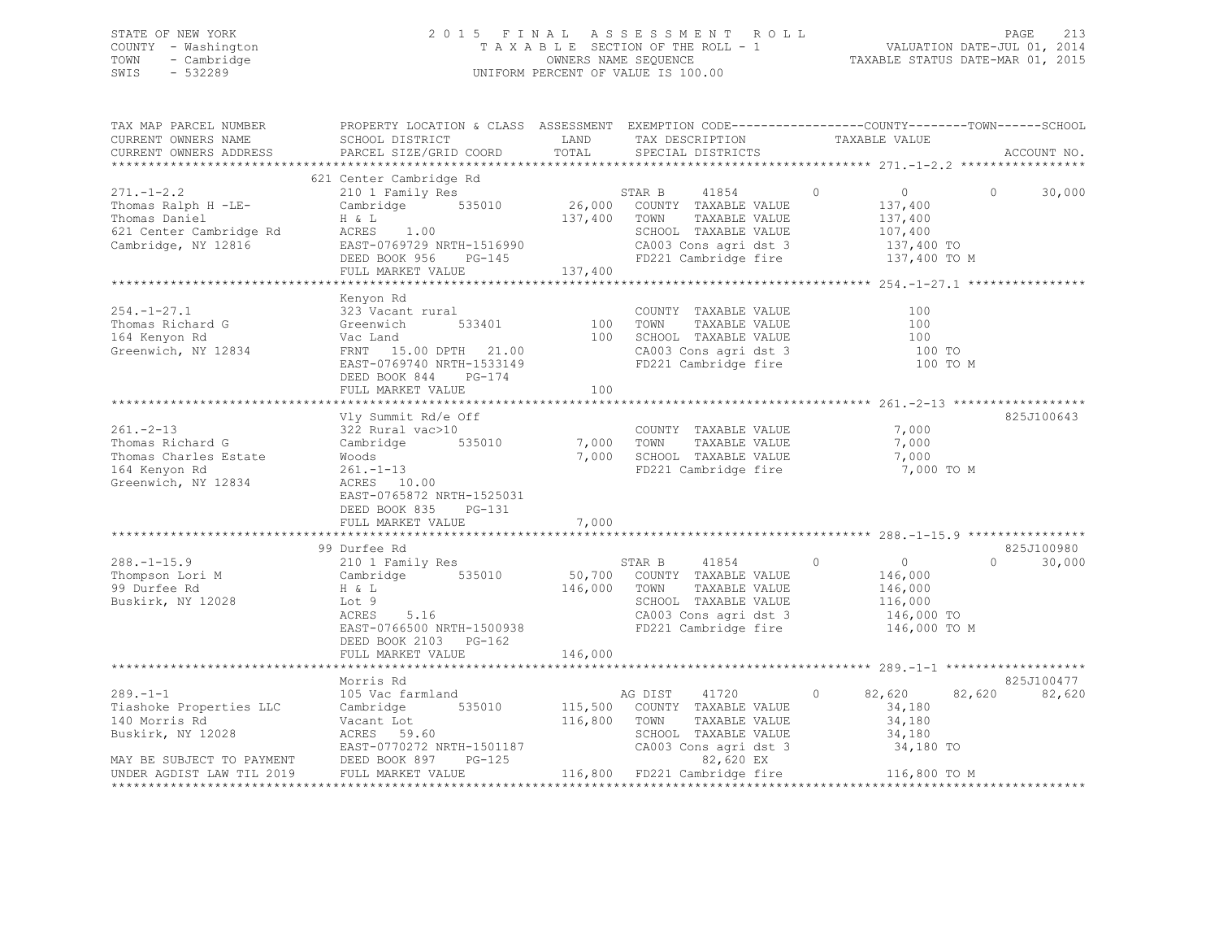## STATE OF NEW YORK 2 0 1 5 F I N A L A S S E S S M E N T R O L L PAGE 213 COUNTY - Washington T A X A B L E SECTION OF THE ROLL - 1 VALUATION DATE-JUL 01, 2014 TOWN - Cambridge OWNERS NAME SEQUENCE TAXABLE STATUS DATE-MAR 01, 2015 SWIS - 532289 UNIFORM PERCENT OF VALUE IS 100.00

| TAX MAP PARCEL NUMBER<br>CURRENT OWNERS NAME<br>CURRENT OWNERS ADDRESS                                                                                         | PROPERTY LOCATION & CLASS ASSESSMENT EXEMPTION CODE---------------COUNTY-------TOWN------SCHOOL<br>SCHOOL DISTRICT<br>PARCEL SIZE/GRID COORD                              | LAND<br>TOTAL              | TAX DESCRIPTION<br>SPECIAL DISTRICTS                                                                                                                                                           | TAXABLE VALUE                                                                                   | ACCOUNT NO.        |
|----------------------------------------------------------------------------------------------------------------------------------------------------------------|---------------------------------------------------------------------------------------------------------------------------------------------------------------------------|----------------------------|------------------------------------------------------------------------------------------------------------------------------------------------------------------------------------------------|-------------------------------------------------------------------------------------------------|--------------------|
|                                                                                                                                                                |                                                                                                                                                                           |                            |                                                                                                                                                                                                |                                                                                                 |                    |
| $271. - 1 - 2.2$<br>Thomas Ralph H -LE-<br>Thomas Daniel<br>621 Center Cambridge Rd<br>Cambridge, NY 12816                                                     | 621 Center Cambridge Rd<br>210 1 Family Res<br>Cambridge 535010<br>H & L<br>H & L<br>ACRES 1.00<br>EAST-0769729 NRTH-1516990<br>DEED BOOK 956 PG-145<br>FULL MARKET VALUE | 137,400 TOWN<br>137,400    | STAR B<br>41854<br>26,000 COUNTY TAXABLE VALUE<br>TAXABLE VALUE<br>SCHOOL TAXABLE VALUE<br>CA003 Cons agri dst 3<br>FD221 Cambridge fire                                                       | $\overline{0}$<br>$\overline{0}$<br>137,400<br>137,400<br>107,400<br>137,400 TO<br>137,400 TO M | 30,000<br>$\Omega$ |
|                                                                                                                                                                |                                                                                                                                                                           |                            |                                                                                                                                                                                                |                                                                                                 |                    |
| $254. - 1 - 27.1$<br>Thomas Richard G<br>164 Kenyon Rd<br>Greenwich, NY 12834                                                                                  | Kenyon Rd<br>323 Vacant rural<br>Greenwich<br>533401<br>Vac Land<br>FRNT 15.00 DPTH 21.00<br>EAST-0769740 NRTH-1533149<br>DEED BOOK 844<br>$PG-174$                       | 100<br>100                 | COUNTY TAXABLE VALUE<br>TAXABLE VALUE<br>TOWN<br>SCHOOL TAXABLE VALUE<br>CA003 Cons agri dst 3<br>FD221 Cambridge fire                                                                         | 100<br>100<br>100<br>100 TO<br>100 TO M                                                         |                    |
|                                                                                                                                                                | FULL MARKET VALUE                                                                                                                                                         | 100                        |                                                                                                                                                                                                |                                                                                                 |                    |
| $261 - 2 - 13$<br>Thomas Richard G<br>Thomas Charles Estate<br>164 Kenyon Rd<br>Greenwich, NY 12834                                                            | Vly Summit Rd/e Off<br>322 Rural vac>10<br>Cambridge<br>EAST-0765872 NRTH-1525031<br>DEED BOOK 835<br>PG-131<br>FULL MARKET VALUE                                         | 535010 7,000 TOWN<br>7,000 | COUNTY TAXABLE VALUE<br>TAXABLE VALUE<br>7,000 SCHOOL TAXABLE VALUE<br>FD221 Cambridge fire                                                                                                    | 7,000<br>7,000<br>7,000<br>7,000 TO M                                                           | 825J100643         |
|                                                                                                                                                                | 99 Durfee Rd                                                                                                                                                              |                            |                                                                                                                                                                                                |                                                                                                 | 825J100980         |
| $288. - 1 - 15.9$<br>Thompson Lori M<br>99 Durfee Rd<br>Buskirk, NY 12028                                                                                      | 210 1 Family Res<br>Cambridge 535010<br>H & L<br>Lot 9<br>ACRES<br>5.16<br>EAST-0766500 NRTH-1500938<br>DEED BOOK 2103 PG-162<br>FULL MARKET VALUE                        | 146,000<br>146,000         | STAR B<br>41854<br>50,700 COUNTY TAXABLE VALUE<br>TOWN<br>TAXABLE VALUE<br>SCHOOL TAXABLE VALUE<br>CA003 Cons agri dst 3<br>FD221 Cambridge fire                                               | $\overline{0}$<br>$\overline{0}$<br>146,000<br>146,000<br>116,000<br>146,000 TO<br>146,000 TO M | 30,000<br>$\Omega$ |
|                                                                                                                                                                |                                                                                                                                                                           |                            |                                                                                                                                                                                                |                                                                                                 |                    |
|                                                                                                                                                                | Morris Rd                                                                                                                                                                 |                            |                                                                                                                                                                                                |                                                                                                 | 825J100477         |
| $289. - 1 - 1$<br>Tiashoke Properties LLC<br>140 Morris Rd<br>Buskirk, NY 12028<br>MAY BE SUBJECT TO PAYMENT DEED BOOK 897 PG-125<br>UNDER AGDIST LAW TIL 2019 | 105 Vac farmland<br>535010<br>Cambridge<br>Vacant Lot<br>ACRES 59.60<br>EAST-0770272 NRTH-1501187<br>FULL MARKET VALUE                                                    | 116,800                    | AG DIST<br>41720<br>115,500 COUNTY TAXABLE VALUE<br>TOWN<br>TAXABLE VALUE<br>SCHOOL TAXABLE VALUE<br>CA003 Cons agri dst 3 34,180 TO<br>82,620 EX<br>116,800 FD221 Cambridge fire 116,800 TO M | $\circ$<br>82,620 82,620<br>34,180<br>34,180<br>34,180                                          | 82,620             |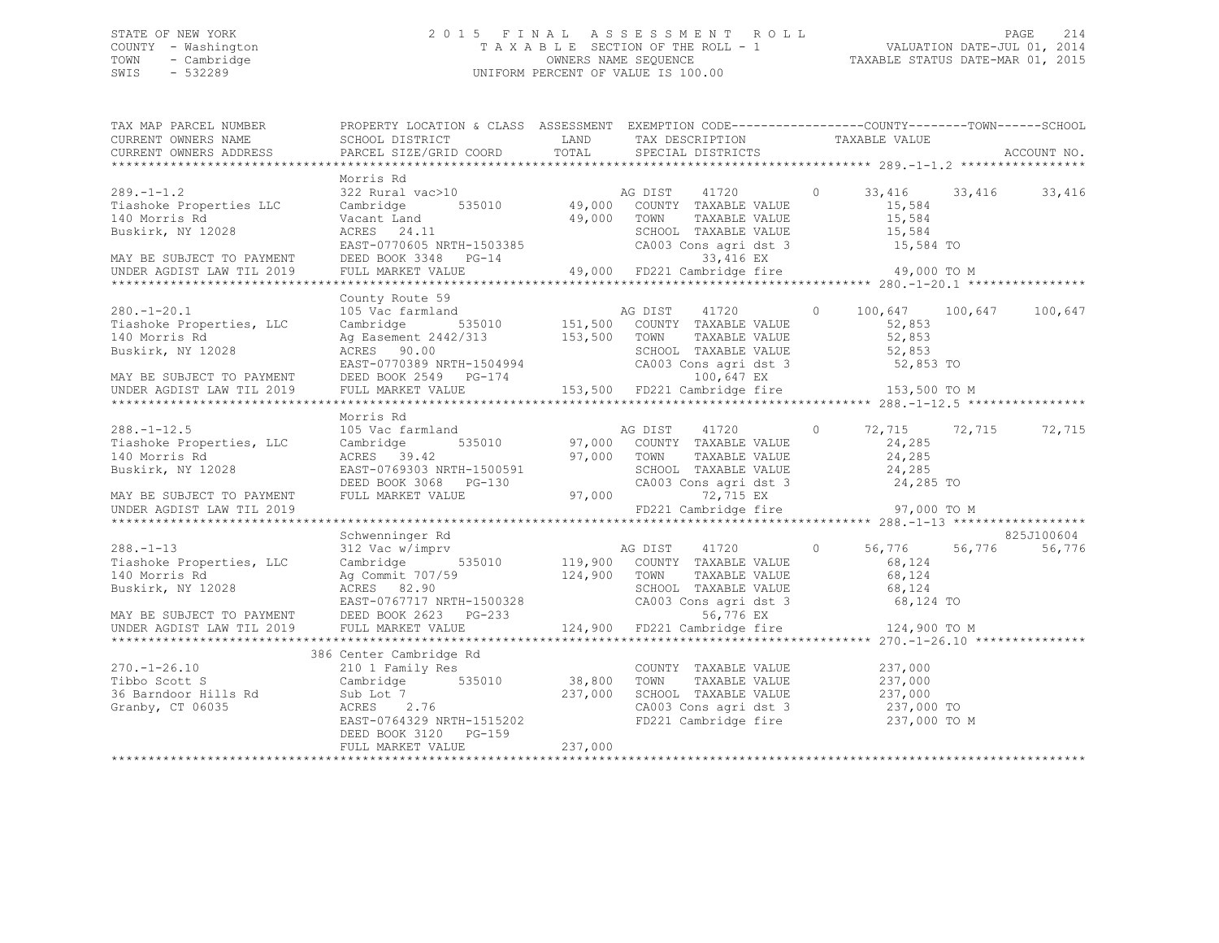## STATE OF NEW YORK 2 0 1 5 F I N A L A S S E S S M E N T R O L L PAGE 214 COUNTY - Washington T A X A B L E SECTION OF THE ROLL - 1 VALUATION DATE-JUL 01, 2014 TOWN - Cambridge OWNERS NAME SEQUENCE TAXABLE STATUS DATE-MAR 01, 2015 SWIS - 532289 UNIFORM PERCENT OF VALUE IS 100.00

| TAX MAP PARCEL NUMBER<br>CURRENT OWNERS NAME                                                                                                                                                                                                                                          | PROPERTY LOCATION & CLASS ASSESSMENT EXEMPTION CODE---------------COUNTY-------TOWN-----SCHOOL<br>SCHOOL DISTRICT                                                                                                                                                                                                                                                                                                                                                   | LAND        | TAX DESCRIPTION                                                                                                          | TAXABLE VALUE                                    |                         |
|---------------------------------------------------------------------------------------------------------------------------------------------------------------------------------------------------------------------------------------------------------------------------------------|---------------------------------------------------------------------------------------------------------------------------------------------------------------------------------------------------------------------------------------------------------------------------------------------------------------------------------------------------------------------------------------------------------------------------------------------------------------------|-------------|--------------------------------------------------------------------------------------------------------------------------|--------------------------------------------------|-------------------------|
| CURRENT OWNERS ADDRESS                                                                                                                                                                                                                                                                | PARCEL SIZE/GRID COORD                                                                                                                                                                                                                                                                                                                                                                                                                                              | TOTAL       | SPECIAL DISTRICTS                                                                                                        |                                                  | ACCOUNT NO.             |
|                                                                                                                                                                                                                                                                                       | Morris Rd                                                                                                                                                                                                                                                                                                                                                                                                                                                           |             |                                                                                                                          |                                                  |                         |
| $289. - 1 - 1.2$<br>Tiashoke Properties LLC<br>140 Morris Rd<br>Buskirk, NY 12028<br>MAY BE SUBJECT TO PAYMENT                                                                                                                                                                        | Cambridge 535010 49,000 COUNTY TAXABLE VALUE<br>Vacant Land<br>ACRES 24.11<br>ACRES 24.11<br>EAST-0770605 NRTH-1503385 CA003 Cons agri dst 3<br>DEED BOOK 3348 PG-14 33,416 EX<br>FULL MARKET VALUE 49,000 FD221 Cambridge fire                                                                                                                                                                                                                                     | 49,000 TOWN | TAXABLE VALUE<br>SCHOOL TAXABLE VALUE                                                                                    | 15,584<br>15,584<br>15,584<br>15,584 TO          |                         |
| UNDER AGDIST LAW TIL 2019                                                                                                                                                                                                                                                             |                                                                                                                                                                                                                                                                                                                                                                                                                                                                     |             |                                                                                                                          | 49,000 TO M                                      |                         |
|                                                                                                                                                                                                                                                                                       |                                                                                                                                                                                                                                                                                                                                                                                                                                                                     |             |                                                                                                                          |                                                  |                         |
| $280. - 1 - 20.1$<br>Tiashoke Properties, LLC<br>140 Morris Rd<br>Buskirk, NY 12028                                                                                                                                                                                                   | County Route 59<br>USING THE CONFET ON THE MAGNET ACTES ON THE CONTROLLER CONTROLLER AGENCIE CONTROLLER AGENCIAL CONTRACT AND MAGNET ACTES AND TAXABLE VALUE AGES SOLO COUNTY TAXABLE VALUE ACTES SOLO SCHOOL TAXABLE VALUE<br>ACRES 90.00 SCHOOL TAXABLE VALUE 52,853<br>EAST-0770389 NRTH-1504994 CA003 Cons agri dst 3 52,853 TO<br>DEED BOOK 2549 PG-174 153,500 FD221 Cambridge fire 153,500 TO M<br>FULL MARKET VALUE 153,500 FD221 Cambridge fire 153,500 TO |             | SCHOOL TAXABLE VALUE 52,853<br>CA003 Cons agri dst 3 52,853 TO                                                           | 100,647 100,647<br>52,853<br>52,853              | 100,647                 |
| MAY BE SUBJECT TO PAYMENT<br>UNDER AGDIST LAW TIL 2019                                                                                                                                                                                                                                |                                                                                                                                                                                                                                                                                                                                                                                                                                                                     |             |                                                                                                                          |                                                  |                         |
|                                                                                                                                                                                                                                                                                       |                                                                                                                                                                                                                                                                                                                                                                                                                                                                     |             |                                                                                                                          |                                                  |                         |
| $288. - 1 - 12.5$<br>Tiashoke Properties, LLC<br>140 Morris Rd                                                                                                                                                                                                                        | Morris Rd<br>105 Vac farmland<br>Cambridge                                                                                                                                                                                                                                                                                                                                                                                                                          |             | d<br>535010 97,000 COUNTY TAXABLE VALUE<br>97,000 TOWN<br>TAXABLE VALUE                                                  | $\circ$<br>24,285<br>24,285                      | 72,715<br>72,715 72,715 |
| Buskirk, NY 12028<br>MAY BE SUBJECT TO PAYMENT                                                                                                                                                                                                                                        | ACRES 39.42 97,000<br>EAST-0769303 NRTH-1500591<br>DEED BOOK 3068 PG-130<br>FULL MARKET VALUE 97,000                                                                                                                                                                                                                                                                                                                                                                |             | SCHOOL TAXABLE VALUE 24,285<br>CA003 Cons agri dst 3 24,285 TO<br>97,000<br>72,715 EX                                    |                                                  |                         |
| UNDER AGDIST LAW TIL 2019                                                                                                                                                                                                                                                             |                                                                                                                                                                                                                                                                                                                                                                                                                                                                     |             | FD221 Cambridge fire 97,000 TO M                                                                                         |                                                  |                         |
|                                                                                                                                                                                                                                                                                       | Schwenninger Rd                                                                                                                                                                                                                                                                                                                                                                                                                                                     |             |                                                                                                                          |                                                  | 825J100604              |
| $288. - 1 - 13$<br>Tiashoke Properties, LLC<br>140 Morris Rd<br>2028 MAY BE SUBJECT TO PAYMENT DEED BOOK 2623 PG-233<br>2020 EAST-0767717 NRTH-1500328 CA003 Cons agri dst 3 68,124<br>214,900 FD221 Cambridge fire 124,900 TO M<br>2028 EAST-0767717 NRTH-1500328 CA003 Cons agri ds |                                                                                                                                                                                                                                                                                                                                                                                                                                                                     |             | TOWN TAXABLE VALUE<br>SCHOOL TAXABLE VALUE<br>CA003 Cons agri dst 3 68,124<br>CA003 Cons agri dst 3 68,124 TO            | 56,776 56,776<br>68,124                          | 56,776                  |
|                                                                                                                                                                                                                                                                                       |                                                                                                                                                                                                                                                                                                                                                                                                                                                                     |             |                                                                                                                          |                                                  |                         |
|                                                                                                                                                                                                                                                                                       |                                                                                                                                                                                                                                                                                                                                                                                                                                                                     |             |                                                                                                                          |                                                  |                         |
| $270. - 1 - 26.10$<br>Tibbo Scott S<br>36 Barndoor Hills Rd<br>Granby, CT 06035                                                                                                                                                                                                       | 386 Center Cambridge Rd<br>210 1 Family Res<br>Cambridge 535010 38,800<br>Sub Lot 7<br>ACRES 2.76<br>EAST-0764329 NRTH-1515202<br>CAST-0764329 NRTH-1515202<br>DEED BOOK 3120 PG-159<br>FULL MARKET VALUE                                                                                                                                                                                                                                                           | 237,000     | COUNTY TAXABLE VALUE<br>TOWN<br>SCHOOL TAXABLE VALUE 237,000<br>CA003 Cons agri dst 3 237,000 TO<br>FD221 Cambridge fire | 237,000<br>TAXABLE VALUE 237,000<br>237,000 TO M |                         |
|                                                                                                                                                                                                                                                                                       |                                                                                                                                                                                                                                                                                                                                                                                                                                                                     |             |                                                                                                                          |                                                  |                         |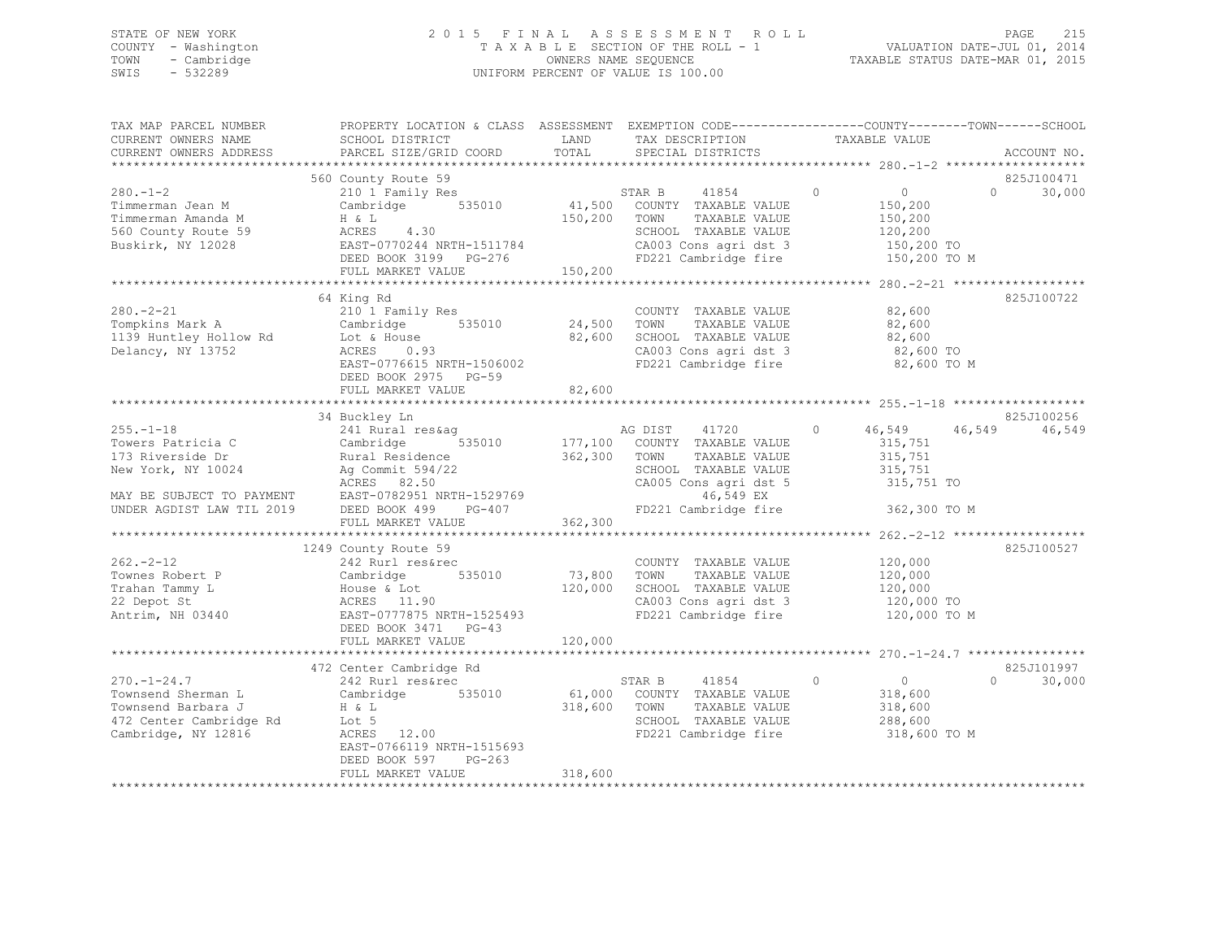## STATE OF NEW YORK 2 0 1 5 F I N A L A S S E S S M E N T R O L L PAGE 215 COUNTY - Washington T A X A B L E SECTION OF THE ROLL - 1 VALUATION DATE-JUL 01, 2014 TOWN - Cambridge OWNERS NAME SEQUENCE TAXABLE STATUS DATE-MAR 01, 2015 SWIS - 532289 UNIFORM PERCENT OF VALUE IS 100.00

| TAX MAP PARCEL NUMBER<br>CURRENT OWNERS NAME<br>CURRENT OWNERS ADDRESS                                                                   | PROPERTY LOCATION & CLASS ASSESSMENT EXEMPTION CODE----------------COUNTY-------TOWN------SCHOOL<br>SCHOOL DISTRICT<br>PARCEL SIZE/GRID COORD                                     | LAND<br>TOTAL           | TAX DESCRIPTION<br>SPECIAL DISTRICTS                                                                                                                        | TAXABLE VALUE                                                                            | ACCOUNT NO.                      |
|------------------------------------------------------------------------------------------------------------------------------------------|-----------------------------------------------------------------------------------------------------------------------------------------------------------------------------------|-------------------------|-------------------------------------------------------------------------------------------------------------------------------------------------------------|------------------------------------------------------------------------------------------|----------------------------------|
|                                                                                                                                          |                                                                                                                                                                                   |                         |                                                                                                                                                             |                                                                                          |                                  |
| $280 - 1 - 2$<br>Timmerman Jean M<br>Timmerman Amanda M<br>560 County Route 59<br>Buskirk, NY 12028                                      | 560 County Route 59<br>210 1 Family Res<br>Cambridge 535010<br>H & L<br>4.30<br>ACRES<br>EAST-0770244 NRTH-1511784<br>DEED BOOK 3199 PG-276<br>FULL MARKET VALUE                  | 150,200 TOWN<br>150,200 | STAR B<br>41854<br>41,500 COUNTY TAXABLE VALUE<br>TAXABLE VALUE<br>SCHOOL TAXABLE VALUE<br>CA003 Cons agri dst 3<br>FD221 Cambridge fire                    | $\circ$<br>$\overline{0}$<br>150,200<br>150,200<br>120,200<br>150,200 TO<br>150,200 TO M | 825J100471<br>30,000<br>$\Omega$ |
|                                                                                                                                          |                                                                                                                                                                                   |                         |                                                                                                                                                             |                                                                                          |                                  |
| $280. - 2 - 21$<br>Tompkins Mark A<br>1139 Huntley Hollow Rd<br>Delancy, NY 13752                                                        | 64 King Rd<br>210 1 Family Res<br>Cambridge 535010 24,500<br>Lot & House<br>ACRES<br>0.93<br>EAST-0776615 NRTH-1506002<br>DEED BOOK 2975 PG-59<br>FULL MARKET VALUE               | 82,600<br>82,600        | COUNTY TAXABLE VALUE<br>TOWN<br>TAXABLE VALUE<br>SCHOOL TAXABLE VALUE<br>CA003 Cons agri dst 3<br>FD221 Cambridge fire                                      | 82,600<br>82,600<br>82,600<br>82,600 TO<br>82,600 TO M                                   | 825J100722                       |
|                                                                                                                                          |                                                                                                                                                                                   |                         |                                                                                                                                                             |                                                                                          |                                  |
| $255. - 1 - 18$<br>Towers Patricia C<br>173 Riverside Dr<br>New York, NY 10024<br>MAY BE SUBJECT TO PAYMENT<br>UNDER AGDIST LAW TIL 2019 | 34 Buckley Ln<br>241 Rural res&aq<br>Cambridge<br>Rural Residence<br>Ag Commit 594/22<br>ACRES 82.50<br>EAST-0782951 NRTH-1529769<br>DEED BOOK 499<br>PG-407<br>FULL MARKET VALUE | 362,300 TOWN<br>362,300 | AG DIST 41720<br>535010 177,100 COUNTY TAXABLE VALUE<br>TAXABLE VALUE<br>SCHOOL TAXABLE VALUE<br>CA005 Cons agri dst 5<br>46,549 EX<br>FD221 Cambridge fire | 46,549 46,549<br>$\circ$<br>315,751<br>315,751<br>315,751<br>315,751 TO<br>362,300 TO M  | 825J100256<br>46,549             |
|                                                                                                                                          |                                                                                                                                                                                   |                         |                                                                                                                                                             |                                                                                          |                                  |
| $262 - 2 - 12$<br>Townes Robert P<br>Trahan Tammy L<br>22 Depot St<br>Antrim, NH 03440                                                   | 1249 County Route 59<br>242 Rurl res&rec<br>535010<br>Cambridge<br>House & Lot<br>ACRES 11.90<br>EAST-0777875 NRTH-1525493<br>DEED BOOK 3471 PG-43                                | 73,800<br>120,000       | COUNTY TAXABLE VALUE<br>TOWN<br>TAXABLE VALUE<br>SCHOOL TAXABLE VALUE<br>CA003 Cons agri dst 3<br>FD221 Cambridge fire                                      | 120,000<br>120,000<br>120,000<br>120,000 TO<br>120,000 TO M                              | 825J100527                       |
|                                                                                                                                          | FULL MARKET VALUE                                                                                                                                                                 | 120,000                 |                                                                                                                                                             |                                                                                          |                                  |
|                                                                                                                                          | 472 Center Cambridge Rd                                                                                                                                                           |                         |                                                                                                                                                             |                                                                                          | 825J101997                       |
| $270. - 1 - 24.7$<br>Townsend Sherman L<br>Townsend Barbara J<br>472 Center Cambridge Rd<br>Cambridge, NY 12816                          | 242 Rurl res&rec<br>Cambridge 535010<br>H & L<br>Lot 5<br>ACRES 12.00<br>EAST-0766119 NRTH-1515693<br>DEED BOOK 597<br>$PG-263$<br>FULL MARKET VALUE                              | 318,600<br>318,600      | STAR B 41854<br>61,000 COUNTY TAXABLE VALUE<br>TOWN<br>TAXABLE VALUE<br>SCHOOL TAXABLE VALUE<br>FD221 Cambridge fire                                        | $\circ$<br>$\overline{0}$<br>318,600<br>318,600<br>288,600<br>318,600 TO M               | 30,000<br>$\Omega$               |
|                                                                                                                                          |                                                                                                                                                                                   |                         |                                                                                                                                                             |                                                                                          |                                  |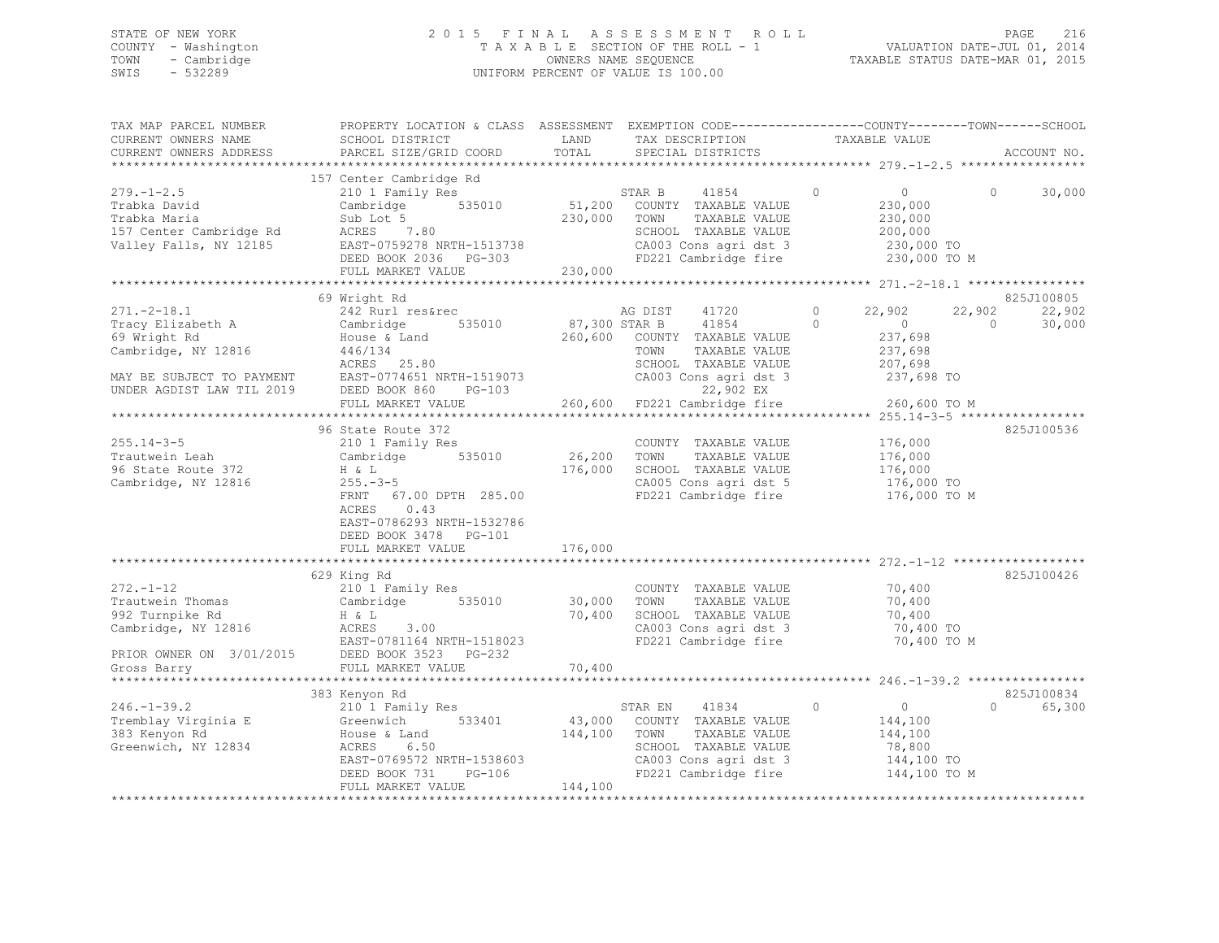## STATE OF NEW YORK 2 0 1 5 F I N A L A S S E S S M E N T R O L L PAGE 216 COUNTY - Washington T A X A B L E SECTION OF THE ROLL - 1 VALUATION DATE-JUL 01, 2014 TOWN - Cambridge OWNERS NAME SEQUENCE TAXABLE STATUS DATE-MAR 01, 2015 SWIS - 532289 UNIFORM PERCENT OF VALUE IS 100.00

| TAX MAP PARCEL NUMBER<br>CURRENT OWNERS NAME                                                         | PROPERTY LOCATION & CLASS ASSESSMENT EXEMPTION CODE-----------------COUNTY-------TOWN------SCHOOL<br>SCHOOL DISTRICT                                                                                                                             | LAND                           | TAX DESCRIPTION                                                                                                                                                                                                                  | TAXABLE VALUE                                                                |                                              |
|------------------------------------------------------------------------------------------------------|--------------------------------------------------------------------------------------------------------------------------------------------------------------------------------------------------------------------------------------------------|--------------------------------|----------------------------------------------------------------------------------------------------------------------------------------------------------------------------------------------------------------------------------|------------------------------------------------------------------------------|----------------------------------------------|
| CURRENT OWNERS ADDRESS                                                                               | PARCEL SIZE/GRID COORD                                                                                                                                                                                                                           | TOTAL                          | SPECIAL DISTRICTS                                                                                                                                                                                                                |                                                                              | ACCOUNT NO.                                  |
|                                                                                                      |                                                                                                                                                                                                                                                  |                                |                                                                                                                                                                                                                                  |                                                                              |                                              |
| $279. - 1 - 2.5$<br>Trabka David                                                                     | 157 Center Cambridge Rd<br>210 1 Family Res<br>Cambridge 535010<br>ACRES 7.80<br>EAST-0759278 NRTH-1513738<br>DEED BOOK 2036 PG-303<br>FULL MARKET VALUE 230,000                                                                                 | 230,000 TOWN                   | STAR B 41854<br>51,200 COUNTY TAXABLE VALUE<br>41854<br>TAXABLE VALUE<br>SCHOOL TAXABLE VALUE<br>CA003 Cons agri dst 3 and 230,000 TO<br>FD221 Cambridge fire 230,000 TO M                                                       | $\circ$<br>$\overline{0}$<br>230,000<br>230,000<br>200,000                   | $\circ$<br>30,000                            |
|                                                                                                      |                                                                                                                                                                                                                                                  |                                |                                                                                                                                                                                                                                  |                                                                              |                                              |
|                                                                                                      | 69 Wright Rd                                                                                                                                                                                                                                     |                                |                                                                                                                                                                                                                                  |                                                                              | 825J100805                                   |
| $271. - 2 - 18.1$<br>Tracy Elizabeth A<br>69 Wright Rd<br>69 Wright Rd<br>Cambridge, NY 12816        | 242 Rurl res&rec<br>Cambridge 535010<br>$\frac{1}{446/134}$ House & Land<br>$ACRES$ 25.80<br>FULL MARKET VALUE                                                                                                                                   |                                | AG DIST<br>41720<br>87,300 STAR B 41854 0<br>260,600 COUNTY TAXABLE VALUE<br>TOWN<br>TAXABLE VALUE<br>SCHOOL TAXABLE VALUE 207,698<br>CA003 Cons agri dst 3 237,698 TO<br>22,902 EX<br>260,600 FD221 Cambridge fire 260,600 TO M | $\overline{0}$<br>22,902<br>$\overline{0}$<br>237,698<br>237,698             | 22,902<br>22,902<br>30,000<br>$\overline{0}$ |
|                                                                                                      |                                                                                                                                                                                                                                                  |                                |                                                                                                                                                                                                                                  |                                                                              |                                              |
| $255.14 - 3 - 5$<br>-------<br>Trautwein Leah<br>96 State Route 372<br>Cambridge, NY 12816           | 96 State Route 372<br>210 1 Family Res<br>Cambridge 535010<br>H & L<br>$H$ & L<br>255.-3-5<br>255.-3-5<br>FRNT 67.00 DPTH 285.00<br>ACRES<br>0.43<br>EAST-0786293 NRTH-1532786<br>DEED BOOK 3478 PG-101                                          | 26,200<br>176,000              | COUNTY TAXABLE VALUE<br>TAXABLE VALUE<br>TOWN<br>SCHOOL TAXABLE VALUE<br>CA005 Cons agri dst 5<br>FD221 Cambridge fire                                                                                                           | 176,000<br>176,000<br>176,000<br>176,000 TO<br>176,000 TO M                  | 825J100536                                   |
|                                                                                                      | FULL MARKET VALUE                                                                                                                                                                                                                                | 176,000                        |                                                                                                                                                                                                                                  |                                                                              |                                              |
| $272 - 1 - 12$<br>Trautwein Thomas<br>992 Turnpike Rd<br>992 Turnpike Rd<br>Cambridge, NY 12816      | 629 King Rd<br>210 <sup>1</sup> Family Res<br>Cambridge 535010<br>H & L<br>ACRES 3.00<br>EAST-0781164 NRTH-1518023<br>EAST-0781164 NRTH-151802<br>PRIOR OWNER ON 3/01/2015 DEED BOOK 3523 PG-232<br>Gross Barry Start Constant PULL MARKET VALUE | $30,000$<br>$70,400$<br>70,400 | COUNTY TAXABLE VALUE 70,400<br>TAXABLE VALUE<br>TOWN<br>SCHOOL TAXABLE VALUE<br>CA003 Cons agri dst 3<br>FD221 Cambridge fire                                                                                                    | 70,400<br>70,400<br>70,400 TO<br>70,400 TO M                                 | 825J100426                                   |
|                                                                                                      |                                                                                                                                                                                                                                                  |                                |                                                                                                                                                                                                                                  |                                                                              |                                              |
| $246. - 1 - 39.2$<br>Tremblay Virginia E<br>Greenwich, NY 12834<br>Greenwich, NY 12834<br>ACRES 6.50 | 383 Kenyon Rd<br>210 1 Family Res<br>Greenwich 533401<br>EAST-0769572 NRTH-1538603<br>DEED BOOK 731 PG-106<br>FULL MARKET VALUE                                                                                                                  | 144,100                        | STAR EN 41834 0<br>43,000 COUNTY TAXABLE VALUE<br>144,100 TOWN TAXABLE VALUE<br>SCHOOL TAXABLE VALUE<br>CA003 Cons agri dst 3<br>FD221 Cambridge fire                                                                            | $\overline{0}$<br>144,100<br>144,100<br>78,800<br>144,100 TO<br>144,100 TO M | 825J100834<br>$\Omega$<br>65,300             |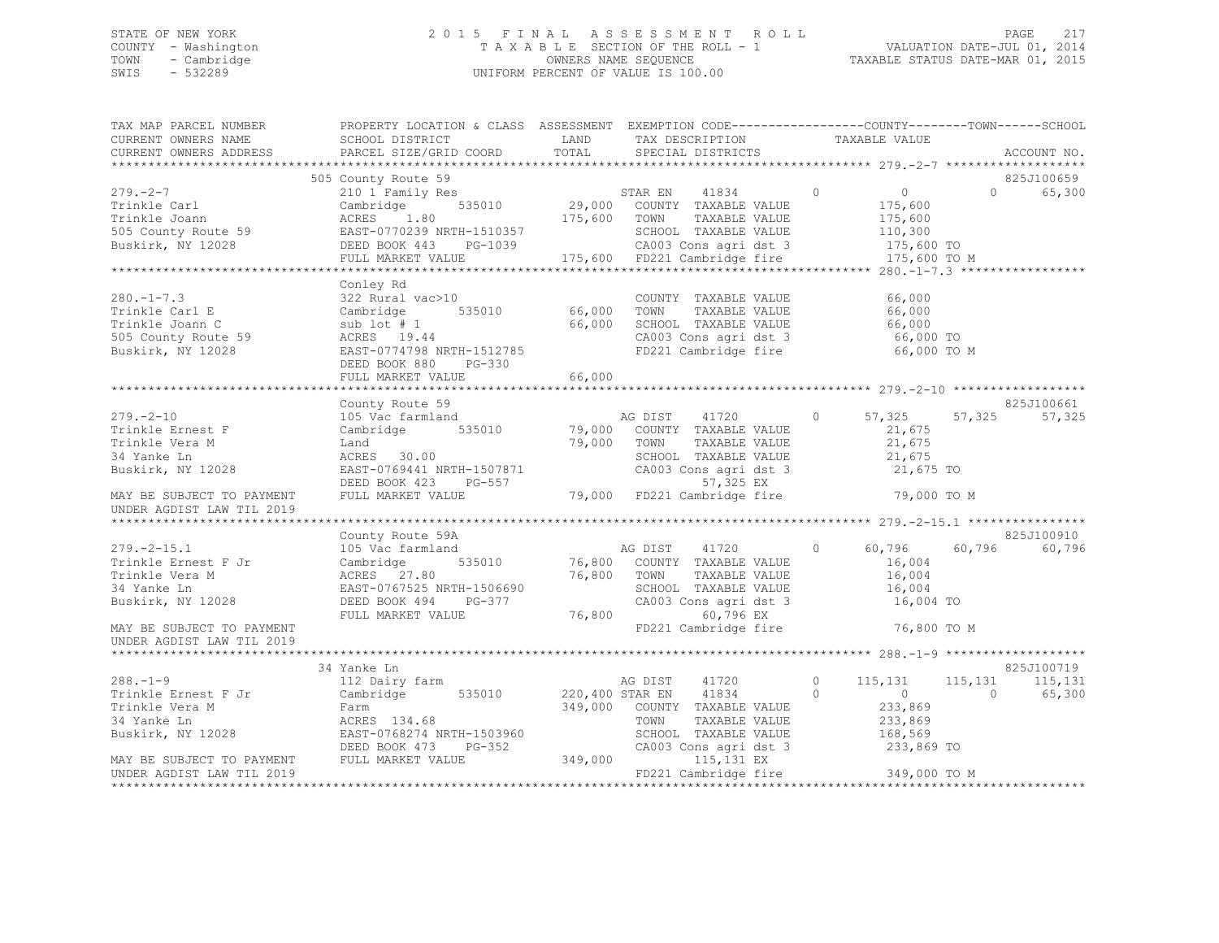## STATE OF NEW YORK 2 0 1 5 F I N A L A S S E S S M E N T R O L L PAGE 217 COUNTY - Washington T A X A B L E SECTION OF THE ROLL - 1 VALUATION DATE-JUL 01, 2014 TOWN - Cambridge OWNERS NAME SEQUENCE TAXABLE STATUS DATE-MAR 01, 2015 SWIS - 532289 UNIFORM PERCENT OF VALUE IS 100.00

| TAX MAP PARCEL NUMBER<br>CURRENT OWNERS NAME<br>CURRENT OWNERS ADDRESS                                                                                                                                                                                                                                                                                                                                                                                                                  | PROPERTY LOCATION & CLASS ASSESSMENT EXEMPTION CODE----------------COUNTY-------TOWN-----SCHOOL<br>SCHOOL DISTRICT<br>PARCEL SIZE/GRID COORD                                                                                                 | LAND<br>TOTAL                                     | TAX DESCRIPTION<br>SPECIAL DISTRICTS                                                                                                                                  | TAXABLE VALUE                                                               | ACCOUNT NO.                             |
|-----------------------------------------------------------------------------------------------------------------------------------------------------------------------------------------------------------------------------------------------------------------------------------------------------------------------------------------------------------------------------------------------------------------------------------------------------------------------------------------|----------------------------------------------------------------------------------------------------------------------------------------------------------------------------------------------------------------------------------------------|---------------------------------------------------|-----------------------------------------------------------------------------------------------------------------------------------------------------------------------|-----------------------------------------------------------------------------|-----------------------------------------|
|                                                                                                                                                                                                                                                                                                                                                                                                                                                                                         |                                                                                                                                                                                                                                              |                                                   |                                                                                                                                                                       |                                                                             |                                         |
| $\begin{tabular}{l l l l l} \multicolumn{1}{c}{\textbf{279. -2-7}} & \multicolumn{1}{c}{\textbf{505 County Route 59}} & \multicolumn{1}{c}{\textbf{505 County Route 59}} & \multicolumn{1}{c}{\textbf{505 County Route 59}} & \multicolumn{1}{c}{\textbf{505 Convry Route 59}} & \multicolumn{1}{c}{\textbf{505 Convry Route 59}} & \multicolumn{1}{c}{\textbf{505 Convry Route 59}} & \multicolumn{1}{c}{\textbf{505 Convry Route 59}} & \multicolumn{1}{c}{\textbf{505 Convry Route $ |                                                                                                                                                                                                                                              |                                                   | CA003 Cons agri dst 3<br>FD221 Cambridge fire 175,600 TO M                                                                                                            | $\overline{0}$<br>175,600<br>175,600<br>110,300                             | 825J100659<br>65,300<br>$\Omega$        |
|                                                                                                                                                                                                                                                                                                                                                                                                                                                                                         |                                                                                                                                                                                                                                              |                                                   |                                                                                                                                                                       |                                                                             |                                         |
| $280. -1 - 7.3$<br>Trinkle Carl E<br>Trinkle Joann C<br>505 County Route 59<br>Buskirk, NY 12028                                                                                                                                                                                                                                                                                                                                                                                        | Conley Rd<br>$322 \text{ Rural vac}>10 \text{COUNT}\\ \text{Cambridge} \qquad 535010 \qquad 66,000 \qquad \text{TOWN}$<br>sub lot # 1 66,000<br>ACRES 19.44 66,000<br>EAST-0774798 NRTH-1512785<br>DEED BOOK 880 PG-330<br>FULL MARKET VALUE | 66,000                                            | COUNTY TAXABLE VALUE<br>TAXABLE VALUE<br>SCHOOL TAXABLE VALUE 66,000<br>CA003 Cons agri dst 3 66,000 TO<br>FD221 Cambridge fire 66,000 TO M                           | 66,000<br>66,000                                                            |                                         |
|                                                                                                                                                                                                                                                                                                                                                                                                                                                                                         |                                                                                                                                                                                                                                              |                                                   |                                                                                                                                                                       |                                                                             |                                         |
|                                                                                                                                                                                                                                                                                                                                                                                                                                                                                         | County Route 59                                                                                                                                                                                                                              |                                                   |                                                                                                                                                                       |                                                                             | 825J100661                              |
| $279. - 2 - 10$<br>Trinkle Ernest F<br>Trinkle Vera M<br>34 Yanke Ln<br>Buskirk, NY 12028                                                                                                                                                                                                                                                                                                                                                                                               | $\begin{tabular}{lcccc} 105\text{ Vac farmland} & \text{AG DIST} & 41720 \\ Cambridge & 535010 & 79,000 & COUNTY TAXABLE VALUE \\ Land & 79,000 & TOWN & TAXABLE VALUE \end{tabular}$<br>ACRES 30.00<br>EAST-0769441 NRTH-1507871 CA003      |                                                   | 41720<br>TAXABLE VALUE<br>SCHOOL TAXABLE VALUE 21,675<br>CA003 Cons agri dst 3 21,675 TO<br>57,325 EX                                                                 | $\circ$<br>57,325<br>21,675<br>21,675                                       | 57,325<br>57,325                        |
| MAY BE SUBJECT TO PAYMENT<br>UNDER AGDIST LAW TIL 2019                                                                                                                                                                                                                                                                                                                                                                                                                                  | FULL MARKET VALUE                                                                                                                                                                                                                            |                                                   | 79,000 FD221 Cambridge fire 79,000 TO M                                                                                                                               |                                                                             |                                         |
|                                                                                                                                                                                                                                                                                                                                                                                                                                                                                         |                                                                                                                                                                                                                                              |                                                   |                                                                                                                                                                       |                                                                             | 825J100910                              |
| $279. - 2 - 15.1$<br>Trinkle Ernest F Jr<br>Trinkle Vera M<br>34 Yanke Ln<br>Buskirk, NY 12028                                                                                                                                                                                                                                                                                                                                                                                          | County Route 59A<br>105 Vac farmland<br>535010<br>Cambridge<br>ACRES 27.80<br>EAST-0767525 NRTH-1506690<br>DEED BOOK 494 PG-377<br>FULL MARKET VALUE                                                                                         | 76,800 TOWN<br>$76,800$<br>The CA003<br>The FD22? | TAXABLE VALUE<br>SCHOOL TAXABLE VALUE<br>CA003 Cons agri dst 3<br>60,796 EX                                                                                           | 60,796<br>$\circ$<br>16,004<br>16,004<br>16,004<br>16,004 TO                | 60,796<br>60,796                        |
| MAY BE SUBJECT TO PAYMENT<br>UNDER AGDIST LAW TIL 2019                                                                                                                                                                                                                                                                                                                                                                                                                                  |                                                                                                                                                                                                                                              |                                                   | FD221 Cambridge fire                                                                                                                                                  | 76,800 TO M                                                                 |                                         |
|                                                                                                                                                                                                                                                                                                                                                                                                                                                                                         |                                                                                                                                                                                                                                              |                                                   |                                                                                                                                                                       |                                                                             |                                         |
| $288. - 1 - 9$                                                                                                                                                                                                                                                                                                                                                                                                                                                                          | 34 Yanke Ln                                                                                                                                                                                                                                  |                                                   |                                                                                                                                                                       |                                                                             | 825J100719                              |
| Trinkle Ernest F Jr<br>Trinkle Vera M<br>34 Yanke Ln<br>Buskirk, NY 12028                                                                                                                                                                                                                                                                                                                                                                                                               | 112 Dairy farm<br>Cambridge<br>Farm<br>ACRES 134.68<br>ACRES 134.68<br>EAST-0768274 NRTH-1503960<br>PG-352<br>DEED BOOK 473                                                                                                                  |                                                   | AG DIST<br>41720<br>535010 220,400 STAR EN 41834<br>349,000 COUNTY TAXABLE VALUE<br>TOWN<br>TAXABLE VALUE<br>SCHOOL TAXABLE VALUE<br>CA003 Cons agri dst 3 233,869 TO | $\circ$<br>115,131<br>$\Omega$<br>$\sim$ 0<br>233,869<br>233,869<br>168,569 | 115, 131 115, 131<br>$\sim$ 0<br>65,300 |
| MAY BE SUBJECT TO PAYMENT FULL MARKET VALUE 349,000<br>UNDER AGDIST LAW TIL 2019<br>***********                                                                                                                                                                                                                                                                                                                                                                                         |                                                                                                                                                                                                                                              |                                                   | 115,131 EX<br>FD221 Cambridge fire 349,000 TO M                                                                                                                       | ***************************                                                 |                                         |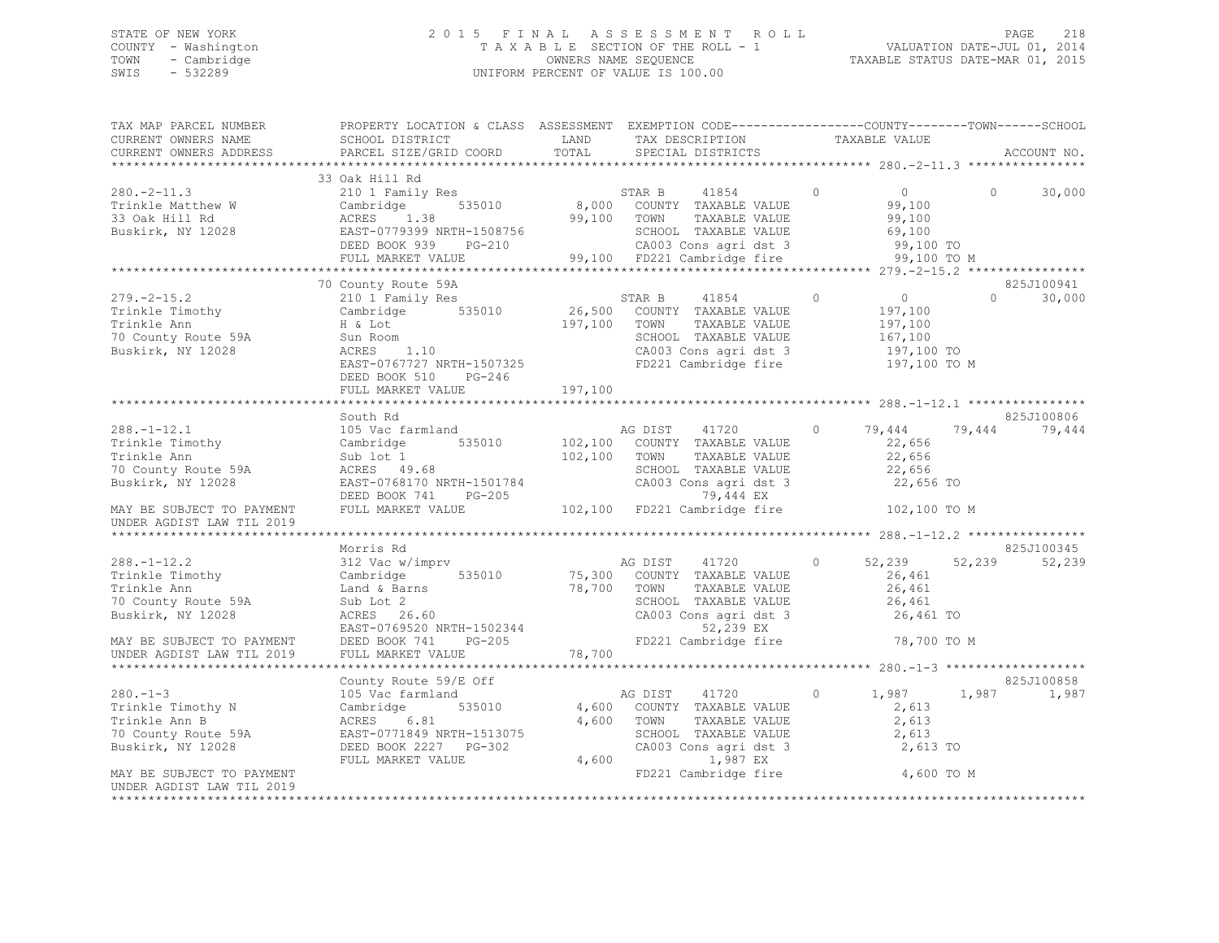## STATE OF NEW YORK 2 0 1 5 F I N A L A S S E S S M E N T R O L L PAGE 218 COUNTY - Washington T A X A B L E SECTION OF THE ROLL - 1 VALUATION DATE-JUL 01, 2014 TOWN - Cambridge OWNERS NAME SEQUENCE TAXABLE STATUS DATE-MAR 01, 2015 SWIS - 532289 UNIFORM PERCENT OF VALUE IS 100.00

|                           | TAX MAP PARCEL NUMBER       PROPERTY LOCATION & CLASS ASSESSMENT EXEMPTION CODE--------------COUNTY-------TOWN------SCHOOL                                                                                                                          |         |  |          |            |
|---------------------------|-----------------------------------------------------------------------------------------------------------------------------------------------------------------------------------------------------------------------------------------------------|---------|--|----------|------------|
|                           |                                                                                                                                                                                                                                                     |         |  |          |            |
|                           |                                                                                                                                                                                                                                                     |         |  |          |            |
|                           |                                                                                                                                                                                                                                                     |         |  |          |            |
|                           | 33 Oak Hill Rd                                                                                                                                                                                                                                      |         |  |          |            |
|                           | 33 Oak Hill Rd<br>Trinkle Matthew W Cambridge 535010 8,000 COUNTY TAXABLE VALUE<br>33 Oak Hill Rd CRES 1.38 99,100 TOWN TAXABLE VALUE<br>Buskirk, NY 12028 EAST-0779399 NRTH-1508756 599,100 TOWN TAXABLE VALUE<br>FULL MARKET VALUE 9              |         |  |          |            |
|                           |                                                                                                                                                                                                                                                     |         |  |          |            |
|                           |                                                                                                                                                                                                                                                     |         |  |          |            |
|                           |                                                                                                                                                                                                                                                     |         |  |          |            |
|                           |                                                                                                                                                                                                                                                     |         |  |          |            |
|                           |                                                                                                                                                                                                                                                     |         |  |          |            |
|                           |                                                                                                                                                                                                                                                     |         |  |          |            |
|                           | 70 County Route 59A                                                                                                                                                                                                                                 |         |  |          | 825J100941 |
|                           |                                                                                                                                                                                                                                                     |         |  | $\Omega$ | 30,000     |
|                           |                                                                                                                                                                                                                                                     |         |  |          |            |
|                           |                                                                                                                                                                                                                                                     |         |  |          |            |
|                           |                                                                                                                                                                                                                                                     |         |  |          |            |
|                           |                                                                                                                                                                                                                                                     |         |  |          |            |
|                           |                                                                                                                                                                                                                                                     |         |  |          |            |
|                           |                                                                                                                                                                                                                                                     |         |  |          |            |
|                           |                                                                                                                                                                                                                                                     |         |  |          |            |
|                           | FULL MARKET VALUE                                                                                                                                                                                                                                   | 197,100 |  |          |            |
|                           |                                                                                                                                                                                                                                                     |         |  |          |            |
|                           | South Rd<br>38.-1-12.1 South Rd<br>Trinkle Timothy Cambridge 535010<br>Trinkle Ann Sub lot 1 102,100 COUNTY TAXABLE VALUE<br>70 County Route 59A ACRES 49.68 SCHOOL TAXABLE VALUE<br>70 County Route 59A ACRES 49.68 SCHOOL TAXABLE VALUE<br>72,656 |         |  |          | 825J100806 |
|                           |                                                                                                                                                                                                                                                     |         |  |          |            |
|                           |                                                                                                                                                                                                                                                     |         |  |          |            |
|                           |                                                                                                                                                                                                                                                     |         |  |          |            |
|                           |                                                                                                                                                                                                                                                     |         |  |          |            |
|                           |                                                                                                                                                                                                                                                     |         |  |          |            |
|                           |                                                                                                                                                                                                                                                     |         |  |          |            |
|                           |                                                                                                                                                                                                                                                     |         |  |          |            |
| UNDER AGDIST LAW TIL 2019 |                                                                                                                                                                                                                                                     |         |  |          |            |
|                           |                                                                                                                                                                                                                                                     |         |  |          |            |
|                           | Morris Rd                                                                                                                                                                                                                                           |         |  |          | 825J100345 |
|                           |                                                                                                                                                                                                                                                     |         |  |          |            |
|                           |                                                                                                                                                                                                                                                     |         |  |          |            |
|                           |                                                                                                                                                                                                                                                     |         |  |          |            |
|                           |                                                                                                                                                                                                                                                     |         |  |          |            |
|                           |                                                                                                                                                                                                                                                     |         |  |          |            |
|                           |                                                                                                                                                                                                                                                     |         |  |          |            |
|                           |                                                                                                                                                                                                                                                     |         |  |          |            |
|                           |                                                                                                                                                                                                                                                     |         |  |          |            |
|                           | 1986.1-12.2 Morris Rd<br>1997.100345 Morris Rd<br>1997.100345 Morris Rd<br>1997.100345 Morris Rd<br>1997.100345 Morris Rd<br>1997.10020 Morris Trinkle Ann<br>1997.10020 Morris Morris County TAXABLE VALUE<br>1997.10020 Morris Morris Morr        |         |  |          |            |
|                           |                                                                                                                                                                                                                                                     |         |  |          | 825J100858 |
|                           |                                                                                                                                                                                                                                                     |         |  |          | 1,987      |
|                           |                                                                                                                                                                                                                                                     |         |  |          |            |
|                           |                                                                                                                                                                                                                                                     |         |  |          |            |
|                           |                                                                                                                                                                                                                                                     |         |  |          |            |
|                           |                                                                                                                                                                                                                                                     |         |  |          |            |
|                           |                                                                                                                                                                                                                                                     |         |  |          |            |
|                           | XERIBITY AND HERE SUBJECT TO PAYMENT<br>MAY BE SUBJECT TO PAYMENT<br>MAY BE SUBJECT TO PAYMENT<br>THINKE AGOS COUNTY TRABLE VALUE<br>THINKE AGOS COUNTY TRABLE VALUE<br>THINKE AGOS COUNTY TRABLE VALUE<br>TO COUNTY ROUTH AGOS COUNTY TRA          |         |  |          |            |
|                           |                                                                                                                                                                                                                                                     |         |  |          |            |
| UNDER AGDIST LAW TIL 2019 |                                                                                                                                                                                                                                                     |         |  |          |            |
|                           |                                                                                                                                                                                                                                                     |         |  |          |            |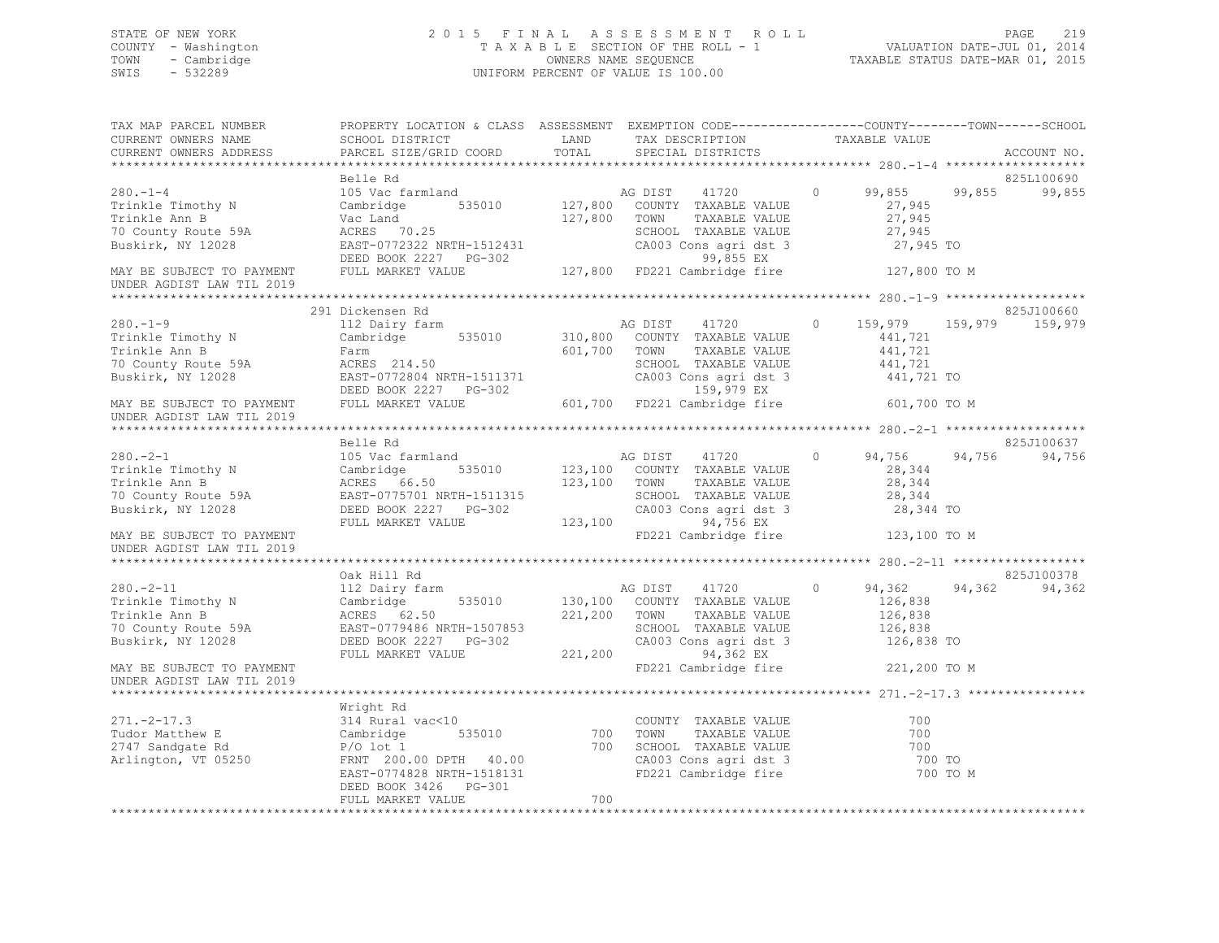## STATE OF NEW YORK 2 0 1 5 F I N A L A S S E S S M E N T R O L L PAGE 219 COUNTY - Washington T A X A B L E SECTION OF THE ROLL - 1 VALUATION DATE-JUL 01, 2014 TOWN - Cambridge OWNERS NAME SEQUENCE TAXABLE STATUS DATE-MAR 01, 2015 SWIS - 532289 UNIFORM PERCENT OF VALUE IS 100.00

| TAX MAP PARCEL NUMBER<br>CURRENT OWNERS NAME<br>CURRENT OWNERS ADDRESS                                                                                                              | PROPERTY LOCATION & CLASS ASSESSMENT EXEMPTION CODE----------------COUNTY-------TOWN------SCHOOL<br>SCHOOL DISTRICT LAND<br>PARCEL SIZE/GRID COORD                                                                                     | TOTAL        | TAX DESCRIPTION TAXABLE VALUE SPECIAL DISTRICTS                                                                                                                             |                                                        | ACCOUNT NO.                    |
|-------------------------------------------------------------------------------------------------------------------------------------------------------------------------------------|----------------------------------------------------------------------------------------------------------------------------------------------------------------------------------------------------------------------------------------|--------------|-----------------------------------------------------------------------------------------------------------------------------------------------------------------------------|--------------------------------------------------------|--------------------------------|
|                                                                                                                                                                                     |                                                                                                                                                                                                                                        |              |                                                                                                                                                                             |                                                        |                                |
| $280. -1 -4$<br>Trinkle Timothy N<br>Trinkle Timothy N                                                                                                                              | Belle Rd<br>105 Vac farmland<br>Cambridge 535010<br>vac Land<br>ACRES 70.25                                                                                                                                                            | 127,800      | AG DIST 41720<br>127,800 COUNTY TAXABLE VALUE<br>TOWN<br>TAXABLE VALUE                                                                                                      | $\circ$<br>99,855<br>27,945<br>27,945                  | 825L100690<br>99,855<br>99,855 |
| 70 County Route 59A<br>Buskirk, NY 12028                                                                                                                                            | EAST-0772322 NRTH-1512431<br>DEED BOOK 2227 PG-302<br>FULL MARKET VALUE 127,800 FD221 Cambridge fire                                                                                                                                   |              | SCHOOL TAXABLE VALUE                                                                                                                                                        | 27,945<br>27,945 TO                                    |                                |
| MAY BE SUBJECT TO PAYMENT<br>UNDER AGDIST LAW TIL 2019                                                                                                                              |                                                                                                                                                                                                                                        |              |                                                                                                                                                                             | 127,800 TO M                                           |                                |
|                                                                                                                                                                                     | 291 Dickensen Rd                                                                                                                                                                                                                       |              |                                                                                                                                                                             |                                                        | 825J100660                     |
| $280 - 1 - 9$<br>280.-1-y<br>Trinkle Timothy N<br>Ann B<br>Trinkle Ann D<br>70 County Route 59A                                                                                     | 112 Dairy farm<br>Cambridge 535010<br>Farm<br>ACRES 214.50<br>EAST-0772804 NRTH-1511371                                                                                                                                                | 601,700      | AG DIST 41720 0<br>310,800 COUNTY TAXABLE VALUE<br>TOWN<br>TAXABLE VALUE<br>SCHOOL TAXABLE VALUE<br>CA003 Cons agri dst 3                                                   | 159,979<br>441,721<br>441,721<br>441,721<br>441,721 TO | 159,979<br>159,979             |
| MAY BE SUBJECT TO PAYMENT<br>UNDER AGDIST LAW TIL 2019<br>UNDER AGDIST LAW TIL 2019                                                                                                 | $\begin{tabular}{lllllllll} & $\ldots$ & $\ldots$ & $\ldots$ & $\ldots$ & $\ldots$ & $\ldots$ \\ \texttt{DEED BOOK} & 2227 & $\ldots$ & $\ldots$ & $\ldots$ \\ \texttt{FULL MARKET} & $\ldots$ & $\ldots$ & $\ldots$ \\ \end{tabular}$ |              | 159,979 EX<br>601,700 FD221 Cambridge fire 601,700 TO M                                                                                                                     |                                                        |                                |
|                                                                                                                                                                                     |                                                                                                                                                                                                                                        |              |                                                                                                                                                                             |                                                        |                                |
| $280 - 2 - 1$<br>Trinkle Timothy N Cambridge 535010<br>Trinkle Ann B ACRES 66.50<br>70 County Route 59A EAST-0775701 NRTH-1511315<br>Buskirk, NY 12028<br>MAY BE SUBJECT TO PAYMENT | Belle Rd<br>105 Vac farmland<br>DEED BOOK 2227 PG-302 CA003 CA003 CRULL MARKET VALUE 123,100                                                                                                                                           | 123,100 TOWN | AG DIST 41720<br>123,100 COUNTY TAXABLE VALUE<br>TAXABLE VALUE<br>SCHOOL TAXABLE VALUE<br>CA003 Cons agri dst 3 28,344 TO<br>94,756 EX<br>FD221 Cambridge fire 123,100 TO M | $\circ$<br>94,756<br>28,344<br>28,344<br>28,344        | 825J100637<br>94,756<br>94,756 |
| UNDER AGDIST LAW TIL 2019                                                                                                                                                           |                                                                                                                                                                                                                                        |              |                                                                                                                                                                             |                                                        |                                |
|                                                                                                                                                                                     | Oak Hill Rd                                                                                                                                                                                                                            |              |                                                                                                                                                                             |                                                        | 825J100378                     |
| $280 - 2 - 11$<br>Trinkle Timothy N<br>Trinkle Ann B<br>Trinkle Ann B<br>70 County Route 59A<br>Buskirk, NY 12028                                                                   | 112 Dairy farm                                                                                                                                                                                                                         |              | AG DIST 41720<br>130,100 COUNTY TAXABLE VALUE<br>TAXABLE VALUE<br>SCHOOL TAXABLE VALUE<br>CA003 Cons agri dst 3 126,838 TO<br>94,362 EX                                     | $\circ$<br>94,362<br>126,838<br>126,838<br>126,838     | 94,362<br>94,362               |
| MAY BE SUBJECT TO PAYMENT<br>UNDER AGDIST LAW TIL 2019                                                                                                                              |                                                                                                                                                                                                                                        |              | FD221 Cambridge fire 221,200 TO M                                                                                                                                           |                                                        |                                |
|                                                                                                                                                                                     |                                                                                                                                                                                                                                        |              |                                                                                                                                                                             |                                                        |                                |
| $271. - 2 - 17.3$<br>Cambridge<br>P/O lot 1<br>Tudor Matthew E<br>2747 Sandgate Rd<br>Arlington, VT 05250                                                                           | Wright Rd<br>314 Rural vac<10<br>535010<br>FRNT 200.00 DPTH 40.00<br>EAST-0774828 NRTH-1518131<br>DEED BOOK 3426 PG-301                                                                                                                | 700<br>700   | COUNTY TAXABLE VALUE<br>TOWN TAXABLE VALUE<br>SCHOOL TAXABLE VALUE<br>CA003 Cons agri dst 3<br>FD221 Cambridge fire                                                         | 700<br>700<br>700<br>700 TO                            | 700 TO M                       |
|                                                                                                                                                                                     | FULL MARKET VALUE                                                                                                                                                                                                                      | 700          |                                                                                                                                                                             |                                                        |                                |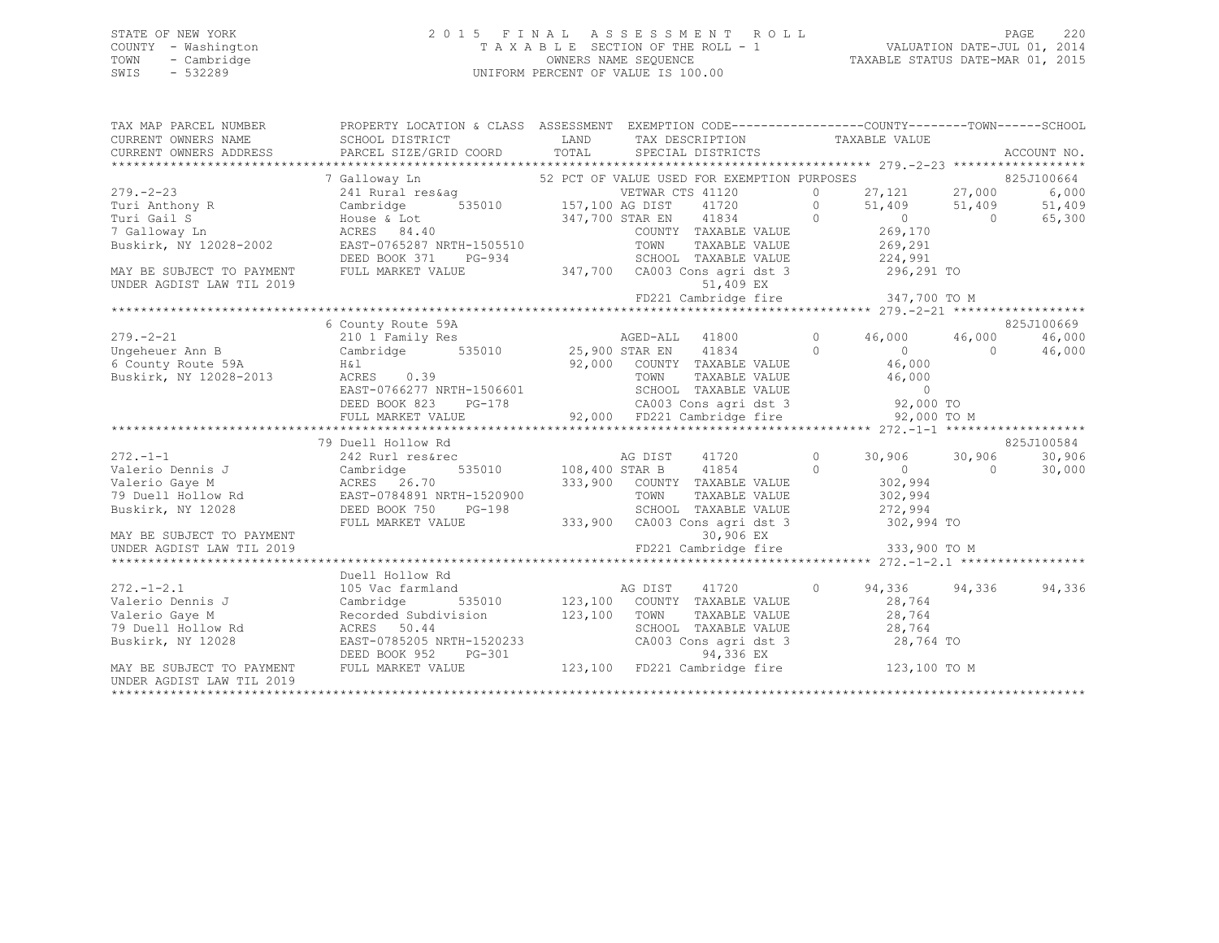## STATE OF NEW YORK 2 0 1 5 F I N A L A S S E S S M E N T R O L L PAGE 220 COUNTY - Washington T A X A B L E SECTION OF THE ROLL - 1 VALUATION DATE-JUL 01, 2014 TOWN - Cambridge OWNERS NAME SEQUENCE TAXABLE STATUS DATE-MAR 01, 2015 SWIS - 532289 UNIFORM PERCENT OF VALUE IS 100.00

| TAX MAP PARCEL NUMBER                                                                                                                           | PROPERTY LOCATION & CLASS ASSESSMENT EXEMPTION CODE----------------COUNTY-------TOWN------SCHOOL                                                                                                                                                                                                                                                                                                            |                                          |  |            |
|-------------------------------------------------------------------------------------------------------------------------------------------------|-------------------------------------------------------------------------------------------------------------------------------------------------------------------------------------------------------------------------------------------------------------------------------------------------------------------------------------------------------------------------------------------------------------|------------------------------------------|--|------------|
|                                                                                                                                                 | SCHOOL DISTRICT                                                                                                                                                                                                                                                                                                                                                                                             |                                          |  |            |
|                                                                                                                                                 | CURRENT OWNERS NAME SCHOOL DISTRICT LAND TAX DESCRIPTION TAXABLE VALUE<br>CURRENT OWNERS ADDRESS PARCEL SIZE/GRID COORD TOTAL SPECIAL DISTRICTS ACCOUNT NO.                                                                                                                                                                                                                                                 |                                          |  |            |
|                                                                                                                                                 |                                                                                                                                                                                                                                                                                                                                                                                                             |                                          |  |            |
|                                                                                                                                                 |                                                                                                                                                                                                                                                                                                                                                                                                             |                                          |  |            |
|                                                                                                                                                 |                                                                                                                                                                                                                                                                                                                                                                                                             |                                          |  |            |
|                                                                                                                                                 |                                                                                                                                                                                                                                                                                                                                                                                                             |                                          |  |            |
|                                                                                                                                                 |                                                                                                                                                                                                                                                                                                                                                                                                             |                                          |  |            |
|                                                                                                                                                 | 379.-2-23<br>279.-2-23<br>279.-2-23<br>279.-2-23<br>279.-2-23<br>279.-2-23<br>279.-2-23<br>279.-2-23<br>285J100664<br>285J10<br>279.-2-23<br>289.000664<br>285J10<br>6,000664<br>285J10<br>6,000664<br>285J10<br>27,121<br>27,000<br>6,000<br>6,000<br>27,121<br>27,000<br>6                                                                                                                                |                                          |  |            |
|                                                                                                                                                 |                                                                                                                                                                                                                                                                                                                                                                                                             |                                          |  |            |
|                                                                                                                                                 |                                                                                                                                                                                                                                                                                                                                                                                                             |                                          |  |            |
| UNDER AGDIST LAW TIL 2019                                                                                                                       | DEED BOOK 371 PG-934 SCHOOL TAXABLE VALUE 224,991<br>MAY BE SUBJECT TO PAYMENT FULL MARKET VALUE 347,700 CA003 Cons agridst 3 296,291 TO                                                                                                                                                                                                                                                                    | 51,409 EX                                |  |            |
|                                                                                                                                                 |                                                                                                                                                                                                                                                                                                                                                                                                             |                                          |  |            |
|                                                                                                                                                 |                                                                                                                                                                                                                                                                                                                                                                                                             |                                          |  |            |
|                                                                                                                                                 | 6 County Route 59A                                                                                                                                                                                                                                                                                                                                                                                          |                                          |  | 825J100669 |
|                                                                                                                                                 |                                                                                                                                                                                                                                                                                                                                                                                                             |                                          |  |            |
|                                                                                                                                                 |                                                                                                                                                                                                                                                                                                                                                                                                             |                                          |  |            |
|                                                                                                                                                 |                                                                                                                                                                                                                                                                                                                                                                                                             |                                          |  |            |
|                                                                                                                                                 |                                                                                                                                                                                                                                                                                                                                                                                                             |                                          |  |            |
|                                                                                                                                                 |                                                                                                                                                                                                                                                                                                                                                                                                             |                                          |  |            |
|                                                                                                                                                 |                                                                                                                                                                                                                                                                                                                                                                                                             |                                          |  |            |
|                                                                                                                                                 |                                                                                                                                                                                                                                                                                                                                                                                                             |                                          |  |            |
|                                                                                                                                                 | $\begin{array}{cccccccc} 279. -2-21 & 6 \text{ County Route 59A} & 220 \text{J}100009 & 250 \text{J}100009 & 250 \text{J}100009 & 250 \text{J}100009 & 250 \text{J}100009 & 250 \text{J}100009 & 250 \text{J}100009 & 250 \text{J}100009 & 250 \text{J}10009 & 250 \text{J}10009 & 250 \text{J}10009 & 250 \text{J}10009 &$                                                                                 |                                          |  |            |
|                                                                                                                                                 | 79 Duell Hollow Rd                                                                                                                                                                                                                                                                                                                                                                                          |                                          |  | 825J100584 |
|                                                                                                                                                 |                                                                                                                                                                                                                                                                                                                                                                                                             |                                          |  | 30,906     |
|                                                                                                                                                 |                                                                                                                                                                                                                                                                                                                                                                                                             |                                          |  | 30,000     |
|                                                                                                                                                 | $\begin{array}{cccccccc} \text{272.-1--1} & \text{272.-1--1} & \text{2825J} \\ \text{Valerio Dennis J} & \text{Cambridge} & \text{535010} & \text{108,400 STAR B} & \text{41720} & 0 & 30,906 & 30,906 \\ \text{Valerio Gaye M} & \text{ACRES} & 26.70 & 333,900 & \text{COUNTY TAXABLE VALUE} & 302,994 \\ \text{Buskirk, NY 12028} & \text{DEED BOOK 750} & \text{PG-198} & \text{SCHOL TAXABLE VALUE} &$ |                                          |  |            |
|                                                                                                                                                 |                                                                                                                                                                                                                                                                                                                                                                                                             |                                          |  |            |
|                                                                                                                                                 |                                                                                                                                                                                                                                                                                                                                                                                                             |                                          |  |            |
|                                                                                                                                                 | FULL MARKET VALUE                                                                                                                                                                                                                                                                                                                                                                                           | 333,900 CA003 Cons agri dst 3 302,994 TO |  |            |
|                                                                                                                                                 |                                                                                                                                                                                                                                                                                                                                                                                                             |                                          |  |            |
|                                                                                                                                                 |                                                                                                                                                                                                                                                                                                                                                                                                             |                                          |  |            |
|                                                                                                                                                 |                                                                                                                                                                                                                                                                                                                                                                                                             |                                          |  |            |
|                                                                                                                                                 | Duell Hollow Rd                                                                                                                                                                                                                                                                                                                                                                                             |                                          |  |            |
| $272 - 1 - 2.1$                                                                                                                                 | 105 Vac farmland                                                                                                                                                                                                                                                                                                                                                                                            |                                          |  | 94,336     |
|                                                                                                                                                 |                                                                                                                                                                                                                                                                                                                                                                                                             |                                          |  |            |
|                                                                                                                                                 |                                                                                                                                                                                                                                                                                                                                                                                                             |                                          |  |            |
|                                                                                                                                                 |                                                                                                                                                                                                                                                                                                                                                                                                             |                                          |  |            |
| 272.-1-2.1 105 Vac fa<br>Valerio Dennis J Cambridge<br>Valerio Gaye M Recorded S<br>79 Duell Hollow Rd ACRES 50<br>Buskirk, NY 12028 EAST-07852 |                                                                                                                                                                                                                                                                                                                                                                                                             |                                          |  |            |
|                                                                                                                                                 |                                                                                                                                                                                                                                                                                                                                                                                                             |                                          |  |            |
| MAY BE SUBJECT TO PAYMENT                                                                                                                       | Example 123,100 CONNI TAXABLE VALUE<br>Recorded Subdivision 123,100 TOWN TAXABLE VALUE<br>RCRES 50.44 SCHOOL TAXABLE VALUE 28,764<br>EAST-0785205 NRTH-1520233 CA003 Cons agri dst 3 28,764<br>DEED BOOK 952 PG-301 94,336 EX<br>FULL MA                                                                                                                                                                    |                                          |  |            |
| UNDER AGDIST LAW TIL 2019                                                                                                                       |                                                                                                                                                                                                                                                                                                                                                                                                             |                                          |  |            |
|                                                                                                                                                 |                                                                                                                                                                                                                                                                                                                                                                                                             |                                          |  |            |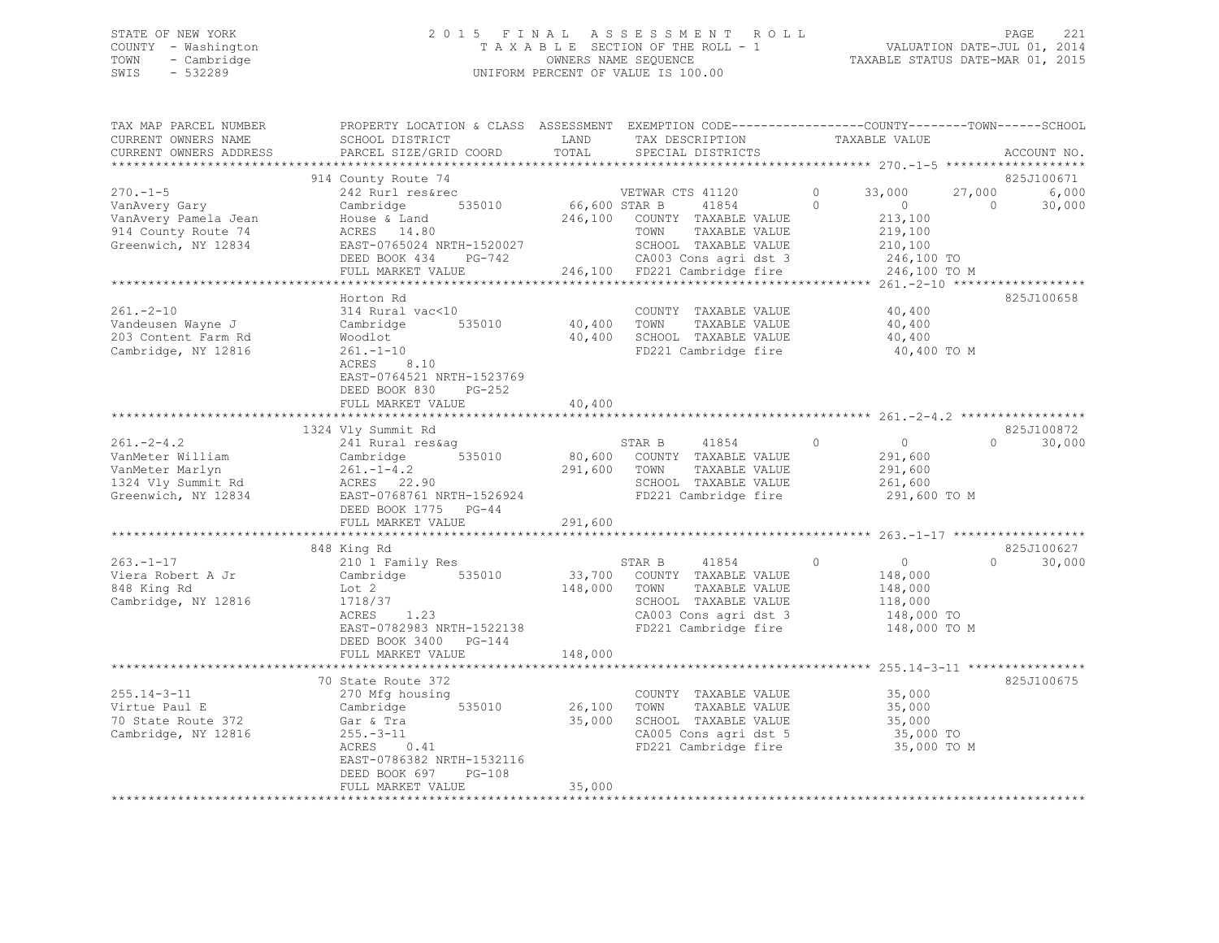## STATE OF NEW YORK 2 0 1 5 F I N A L A S S E S S M E N T R O L L PAGE 221 COUNTY - Washington T A X A B L E SECTION OF THE ROLL - 1 VALUATION DATE-JUL 01, 2014 TOWN - Cambridge OWNERS NAME SEQUENCE TAXABLE STATUS DATE-MAR 01, 2015 SWIS - 532289 UNIFORM PERCENT OF VALUE IS 100.00

| TAX MAP PARCEL NUMBER<br>CURRENT OWNERS NAME                                                          | PROPERTY LOCATION & CLASS ASSESSMENT EXEMPTION CODE----------------COUNTY-------TOWN------SCHOOL<br>SCHOOL DISTRICT                                                                         | LAND                    | TAX DESCRIPTION                                                                                                                                                     | TAXABLE VALUE                                                                            |                                 |                 |
|-------------------------------------------------------------------------------------------------------|---------------------------------------------------------------------------------------------------------------------------------------------------------------------------------------------|-------------------------|---------------------------------------------------------------------------------------------------------------------------------------------------------------------|------------------------------------------------------------------------------------------|---------------------------------|-----------------|
| CURRENT OWNERS ADDRESS<br>**********************                                                      | PARCEL SIZE/GRID COORD                                                                                                                                                                      | TOTAL                   | SPECIAL DISTRICTS                                                                                                                                                   |                                                                                          | ACCOUNT NO.                     |                 |
|                                                                                                       |                                                                                                                                                                                             |                         |                                                                                                                                                                     |                                                                                          | 825J100671                      |                 |
| $270. - 1 - 5$<br>VanAvery Gary<br>VanAvery Pamela Jean<br>914 County Route 74<br>Greenwich, NY 12834 | 914 County Route 74<br>242 Rurl res&rec<br>535010<br>Cambridge<br>House & Land<br>ACRES 14.80<br>EAST-0765024 NRTH-1520027<br>DEED BOOK $434$ PG-742                                        | $66,600$ STAR B         | VETWAR CTS 41120<br>41854<br>246,100 COUNTY TAXABLE VALUE<br>TAXABLE VALUE<br>TOWN<br>SCHOOL TAXABLE VALUE<br>CA003 Cons agri dst 3<br>246,100 FD221 Cambridge fire | $\circ$<br>33,000<br>$\Omega$<br>$\sim$ 0<br>213,100<br>219,100<br>210,100<br>246,100 TO | 27,000<br>$\Omega$              | 6,000<br>30,000 |
|                                                                                                       | FULL MARKET VALUE                                                                                                                                                                           |                         |                                                                                                                                                                     | 246,100 TO M                                                                             |                                 |                 |
| $261 - 2 - 10$<br>Vandeusen Wayne J<br>203 Content Farm Rd<br>Cambridge, NY 12816                     | Horton Rd<br>314 Rural vac<10<br>535010<br>Cambridge<br>Woodlot<br>$261. - 1 - 10$<br>ACRES 8.10<br>EAST-0764521 NRTH-1523769<br>DEED BOOK 830 PG-252<br>FULL MARKET VALUE                  | 40,400 TOWN<br>40,400   | COUNTY TAXABLE VALUE<br>TAXABLE VALUE<br>40,400 SCHOOL TAXABLE VALUE<br>FD221 Cambridge fire                                                                        | $40, 400$<br>$40, 400$<br>40,400<br>40,400 TO M                                          | 825J100658                      |                 |
|                                                                                                       |                                                                                                                                                                                             |                         |                                                                                                                                                                     |                                                                                          |                                 |                 |
| $261 - 2 - 4.2$<br>vanMeter William<br>VanMeter Marlyn<br>1324 Vly Summit Rd<br>Greenwich, NY 12834   | 1324 Vly Summit Rd<br>241 Rural res&aq<br>Cambridge 535010<br>261.-1-4.2<br>ACRES 22.90<br>EAST-0768761 NRTH-1526924<br>DEED BOOK 1775 PG-44<br>FULL MARKET VALUE                           | 291,600 TOWN<br>291,600 | STAR B 41854<br>80,600 COUNTY TAXABLE VALUE<br>TAXABLE VALUE<br>SCHOOL TAXABLE VALUE<br>FD221 Cambridge fire                                                        | $\Omega$<br>$\overline{0}$<br>291,600<br>291,600<br>261,600<br>291,600 TO M              | 825J100872<br>$0 \qquad \qquad$ | 30,000          |
|                                                                                                       |                                                                                                                                                                                             |                         |                                                                                                                                                                     |                                                                                          |                                 |                 |
| $263. -1 - 17$<br>Viera Robert A Jr<br>848 King Rd<br>Cambridge, NY 12816                             | 848 King Rd<br>210 1 Family Res<br>Cambridge 535010<br>Lot 2<br>1718/37<br>ACRES<br>1.23<br>EAST-0782983 NRTH-1522138<br>DEED BOOK 3400 PG-144                                              | 148,000 TOWN            | STAR B 41854<br>33,700 COUNTY TAXABLE VALUE<br>TAXABLE VALUE<br>SCHOOL TAXABLE VALUE<br>CA003 Cons agri dst 3<br>FD221 Cambridge fire                               | $\circ$<br>$\overline{0}$<br>148,000<br>148,000<br>118,000<br>148,000 TO<br>148,000 TO M | 825J100627<br>$\Omega$          | 30,000          |
|                                                                                                       | FULL MARKET VALUE                                                                                                                                                                           | 148,000                 |                                                                                                                                                                     |                                                                                          |                                 |                 |
| $255.14 - 3 - 11$<br>Virtue Paul E<br>70 State Route 372<br>Cambridge, NY 12816                       | 70 State Route 372<br>270 Mfg housing<br>Cambridge<br>535010<br>Gar & Tra<br>Tra $-11$<br>$-13$<br>$-0.41$<br>$255. - 3 - 11$<br>ACRES<br>EAST-0786382 NRTH-1532116<br>DEED BOOK 697 PG-108 | 26,100 TOWN<br>35,000   | COUNTY TAXABLE VALUE<br>TAXABLE VALUE<br>SCHOOL TAXABLE VALUE<br>CA005 Cons agri dst 5<br>FD221 Cambridge fire                                                      | 35,000<br>35,000<br>35,000<br>35,000 TO<br>35,000 TO M                                   | 825J100675                      |                 |
|                                                                                                       | FULL MARKET VALUE                                                                                                                                                                           | 35,000                  |                                                                                                                                                                     |                                                                                          |                                 |                 |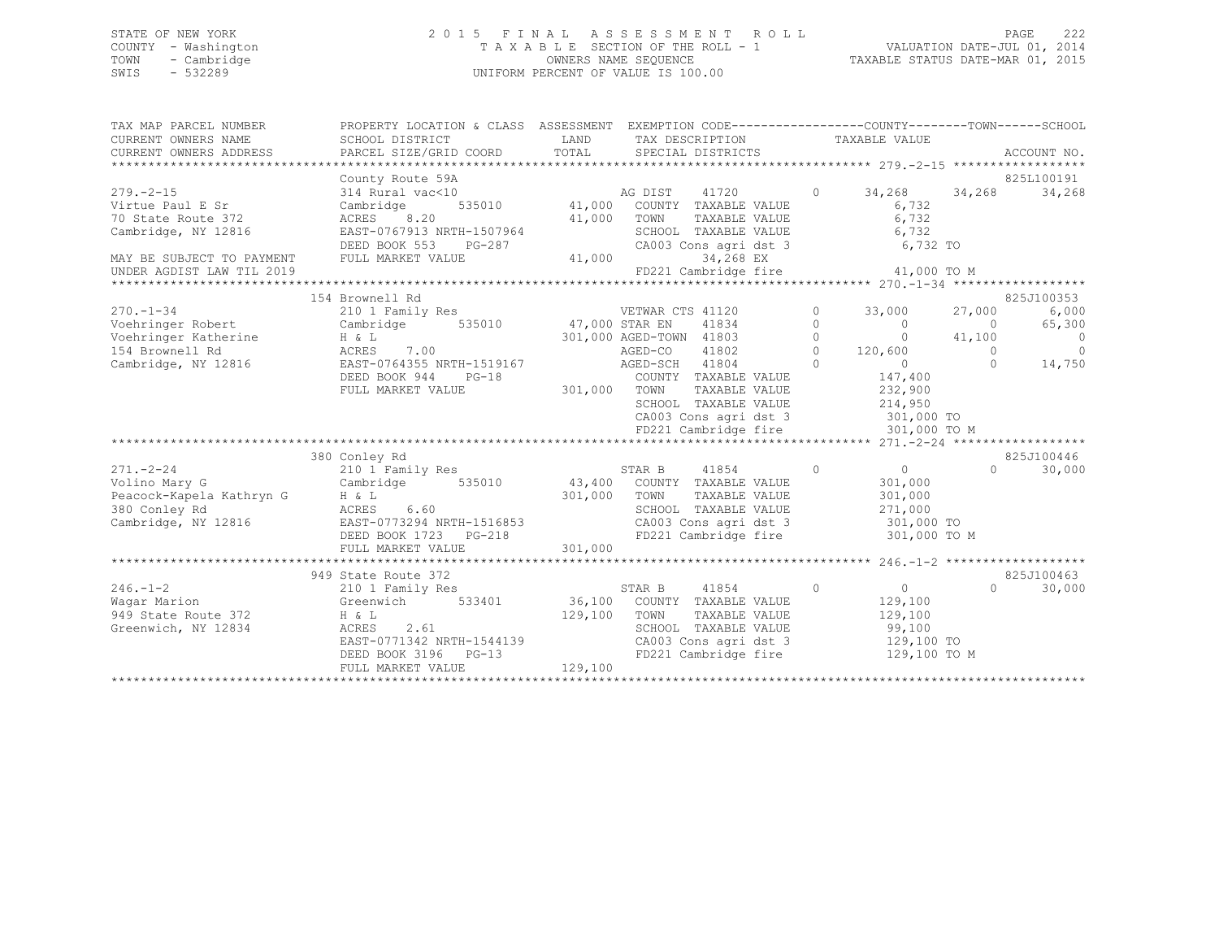## STATE OF NEW YORK 2 0 1 5 F I N A L A S S E S S M E N T R O L L PAGE 222 COUNTY - Washington T A X A B L E SECTION OF THE ROLL - 1 VALUATION DATE-JUL 01, 2014 TOWN - Cambridge OWNERS NAME SEQUENCE TAXABLE STATUS DATE-MAR 01, 2015 SWIS - 532289 UNIFORM PERCENT OF VALUE IS 100.00

| TAX MAP PARCEL NUMBER                                                                                                                     | PROPERTY LOCATION & CLASS ASSESSMENT EXEMPTION CODE---------------COUNTY-------TOWN-----SCHOOL             |              |                  |                                                            |                |                                                                                                 |          |                          |
|-------------------------------------------------------------------------------------------------------------------------------------------|------------------------------------------------------------------------------------------------------------|--------------|------------------|------------------------------------------------------------|----------------|-------------------------------------------------------------------------------------------------|----------|--------------------------|
| CURRENT OWNERS NAME                                                                                                                       | SCHOOL DISTRICT                                                                                            |              |                  | LAND TAX DESCRIPTION                                       |                | TAXABLE VALUE                                                                                   |          |                          |
| CURRENT OWNERS ADDRESS                                                                                                                    | PARCEL SIZE/GRID COORD                                                                                     | TOTAL        |                  | SPECIAL DISTRICTS                                          |                |                                                                                                 |          | ACCOUNT NO.              |
|                                                                                                                                           |                                                                                                            |              |                  |                                                            |                |                                                                                                 |          |                          |
|                                                                                                                                           | County Route 59A                                                                                           |              |                  |                                                            |                |                                                                                                 |          | 825L100191               |
| $279. - 2 - 15$                                                                                                                           | 314 Rural vac<10                                                                                           |              |                  | %10<br>535010 11,000 COUNTY TAXABLE VALUE                  |                | 0 $34,268$ $34,268$                                                                             |          | 34,268                   |
| Virtue Paul E Sr                                                                                                                          | Cambridge                                                                                                  |              |                  |                                                            |                | 6,732                                                                                           |          |                          |
| 70 State Route 372                                                                                                                        | ACRES 8.20                                                                                                 | 41,000 TOWN  |                  | TAXABLE VALUE                                              |                | 6,732                                                                                           |          |                          |
| Cambridge, NY 12816                                                                                                                       | EAST-0767913 NRTH-1507964 SCHOOL TAXABLE VALUE 6,732 CA003 Consider the SOLO SCHOOL TAXABLE VALUE 6,732 TO |              |                  |                                                            |                |                                                                                                 |          |                          |
|                                                                                                                                           |                                                                                                            |              |                  |                                                            |                |                                                                                                 |          |                          |
| MAY BE SUBJECT TO PAYMENT                                                                                                                 | FULL MARKET VALUE                                                                                          | 41,000       |                  | 34,268 EX                                                  |                |                                                                                                 |          |                          |
| UNDER AGDIST LAW TIL 2019                                                                                                                 |                                                                                                            |              |                  |                                                            |                | FD221 Cambridge fire 41,000 TO M                                                                |          |                          |
|                                                                                                                                           |                                                                                                            |              |                  |                                                            |                |                                                                                                 |          |                          |
|                                                                                                                                           | 154 Brownell Rd                                                                                            |              |                  |                                                            |                |                                                                                                 |          | 825J100353               |
| $270. - 1 - 34$                                                                                                                           | 210 1 Family Res                                                                                           |              | VETWAR CTS 41120 |                                                            |                | $0 \t 33,000$                                                                                   | 27,000   | 6,000                    |
| Voehringer Robert Cambridge 535010 47,000 STAR EN                                                                                         |                                                                                                            |              |                  |                                                            |                |                                                                                                 |          | 65,300                   |
| Voehringer Katherine H & L<br>154 Brownell Rd                         ACRES     7.00                                                      |                                                                                                            |              |                  |                                                            |                |                                                                                                 |          | $\overline{0}$           |
|                                                                                                                                           |                                                                                                            |              |                  |                                                            |                | 47,000 STAR EN $41834$ 0 0 0<br>301,000 AGED-TOWN 41803 0 0 41,100<br>AGED-CO 41802 0 120,600 0 |          | $\overline{\phantom{0}}$ |
| Cambridge, NY 12816 EAST-0764355 NRTH-1519167 AGED-SCH 41804                                                                              |                                                                                                            |              |                  |                                                            | $\Omega$       | $\overline{0}$                                                                                  | $\Omega$ | 14,750                   |
|                                                                                                                                           | DEED BOOK 944<br>$PG-18$                                                                                   |              |                  | COUNTY TAXABLE VALUE<br>301,000 TOWN TAXABLE VALUE         |                | 147,400                                                                                         |          |                          |
|                                                                                                                                           | FULL MARKET VALUE                                                                                          |              |                  | TOWN TAXABLE VALUE 232,900<br>SCHOOL TAXABLE VALUE 214,950 |                |                                                                                                 |          |                          |
|                                                                                                                                           |                                                                                                            |              |                  |                                                            |                |                                                                                                 |          |                          |
|                                                                                                                                           |                                                                                                            |              |                  |                                                            |                | CA003 Cons agri dst 3 301,000 TO                                                                |          |                          |
|                                                                                                                                           |                                                                                                            |              |                  | FD221 Cambridge fire                                       |                | 301,000 TO M                                                                                    |          |                          |
|                                                                                                                                           |                                                                                                            |              |                  |                                                            |                |                                                                                                 |          |                          |
|                                                                                                                                           | 380 Conley Rd                                                                                              |              |                  |                                                            |                |                                                                                                 |          | 825J100446               |
| $271 - 2 - 24$                                                                                                                            | 210 1 Family Res                                                                                           |              | STAR B           | 41854                                                      | $\overline{0}$ | $\overline{0}$                                                                                  | $\cap$   | 30,000                   |
| Volino Mary G                                                                                                                             |                                                                                                            |              |                  |                                                            |                | 301,000                                                                                         |          |                          |
| Peacock-Kapela Kathryn G                                                                                                                  | Cambridge 535010 43,400 COUNTY TAXABLE VALUE<br>ACRES 6.60 301,000 TOWN TAXABLE VALUE ACRES 6.60           |              |                  | TOWN      TAXABLE  VALUE<br>SCHOOL   TAXABLE  VALUE        |                | 301,000                                                                                         |          |                          |
| 380 Conley Rd                                                                                                                             |                                                                                                            |              |                  |                                                            |                | 271,000                                                                                         |          |                          |
| Cambridge, NY 12816<br>Cambridge, NY 12816<br>DEED BOOK 1723 PG-218<br>FD221 Cambridge fire 301,000 TO<br>FD221 Cambridge fire 301,000 TO |                                                                                                            |              |                  |                                                            |                |                                                                                                 |          |                          |
|                                                                                                                                           |                                                                                                            |              |                  |                                                            |                | FD221 Cambridge fire 301,000 TO M                                                               |          |                          |
|                                                                                                                                           |                                                                                                            |              |                  |                                                            |                |                                                                                                 |          |                          |
|                                                                                                                                           |                                                                                                            |              |                  |                                                            |                |                                                                                                 |          |                          |
|                                                                                                                                           | 949 State Route 372                                                                                        |              |                  |                                                            |                |                                                                                                 |          | 825J100463               |
| $246. - 1 - 2$                                                                                                                            | 210 1 Family Res                                                                                           |              | STAR B           | $\sim$ 0<br>41854                                          |                | $\overline{0}$                                                                                  | $\Omega$ | 30,000                   |
| Waqar Marion                                                                                                                              | Greenwich $\frac{2}{100}$ 533401                                                                           |              |                  |                                                            |                | 129,100                                                                                         |          |                          |
| 949 State Route 372                                                                                                                       | $H \& L$                                                                                                   | 129,100 TOWN |                  | 36,100 COUNTY TAXABLE VALUE<br>129,100 TOWN TAXABLE VALUE  |                | 129,100                                                                                         |          |                          |
| Greenwich, NY 12834                                                                                                                       | 2.61<br>ACRES                                                                                              |              |                  | SCHOOL TAXABLE VALUE                                       |                | 99,100                                                                                          |          |                          |
|                                                                                                                                           |                                                                                                            |              |                  |                                                            |                | 129,100 TO                                                                                      |          |                          |
|                                                                                                                                           |                                                                                                            |              |                  | FD221 Cambridge fire                                       |                | 129,100 TO M                                                                                    |          |                          |
|                                                                                                                                           | FULL MARKET VALUE                                                                                          | 129,100      |                  |                                                            |                |                                                                                                 |          |                          |
|                                                                                                                                           |                                                                                                            |              |                  |                                                            |                |                                                                                                 |          |                          |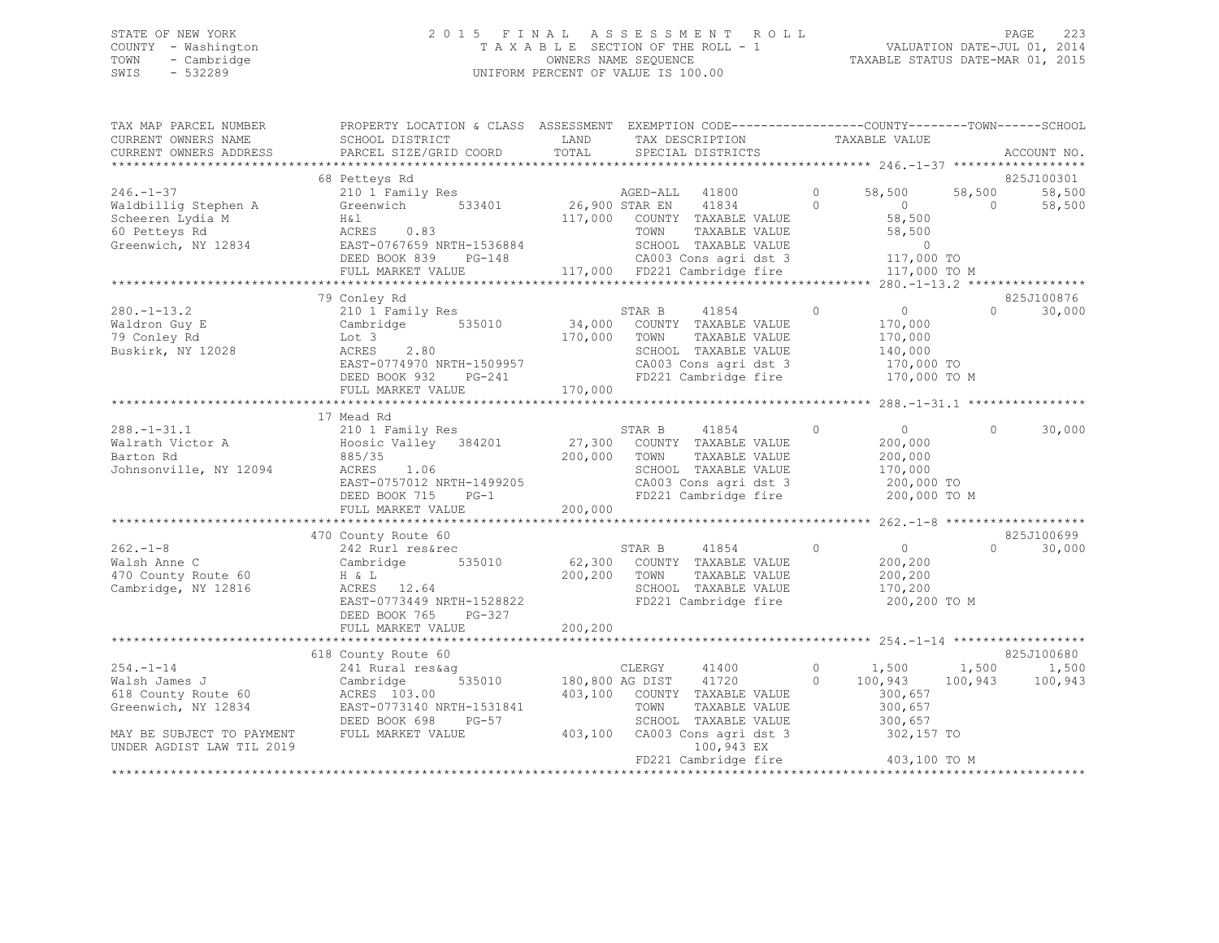## STATE OF NEW YORK 2 0 1 5 F I N A L A S S E S S M E N T R O L L PAGE 223 COUNTY - Washington T A X A B L E SECTION OF THE ROLL - 1 VALUATION DATE-JUL 01, 2014 TOWN - Cambridge OWNERS NAME SEQUENCE TAXABLE STATUS DATE-MAR 01, 2015 SWIS - 532289 UNIFORM PERCENT OF VALUE IS 100.00

|                                                    | TAX MAP PARCEL NUMBER            PROPERTY LOCATION & CLASS  ASSESSMENT  EXEMPTION CODE-------------COUNTY-------TOWN------SCHOOL                                                                                               |                                                                       |                |                                        |          |               |
|----------------------------------------------------|--------------------------------------------------------------------------------------------------------------------------------------------------------------------------------------------------------------------------------|-----------------------------------------------------------------------|----------------|----------------------------------------|----------|---------------|
|                                                    |                                                                                                                                                                                                                                |                                                                       |                |                                        |          |               |
|                                                    |                                                                                                                                                                                                                                |                                                                       |                |                                        |          |               |
|                                                    |                                                                                                                                                                                                                                |                                                                       |                |                                        |          |               |
|                                                    | 68 Petteys Rd                                                                                                                                                                                                                  |                                                                       |                |                                        |          | 825J100301    |
|                                                    | 246.-1-37 correctly and the correct of the correct of the state of the state of the state of the state of the state of the state of the state of the state of the state of the state of the state of the state of the state of |                                                                       |                |                                        |          | 58,500 58,500 |
|                                                    |                                                                                                                                                                                                                                |                                                                       |                |                                        | $\sim$ 0 | 58,500        |
|                                                    |                                                                                                                                                                                                                                |                                                                       |                |                                        |          |               |
|                                                    |                                                                                                                                                                                                                                |                                                                       |                |                                        |          |               |
|                                                    |                                                                                                                                                                                                                                |                                                                       |                |                                        |          |               |
|                                                    |                                                                                                                                                                                                                                |                                                                       |                |                                        |          |               |
|                                                    | FULL MARKET VALUE                                                                                                                                                                                                              | 117,000 FD221 Cambridge fire                                          |                | 117,000 TO M                           |          |               |
|                                                    |                                                                                                                                                                                                                                |                                                                       |                |                                        |          |               |
|                                                    | 79 Conley Rd                                                                                                                                                                                                                   |                                                                       |                |                                        |          | 825J100876    |
| 280.-1-13.2                                        |                                                                                                                                                                                                                                |                                                                       | $\overline{0}$ | $\overline{0}$                         | $\Omega$ | 30,000        |
|                                                    |                                                                                                                                                                                                                                |                                                                       |                | 170,000                                |          |               |
|                                                    |                                                                                                                                                                                                                                |                                                                       |                | 170,000                                |          |               |
| Waldron Guy E<br>79 Conley Rd<br>Buskirk, NY 12028 |                                                                                                                                                                                                                                |                                                                       |                | 140,000                                |          |               |
|                                                    |                                                                                                                                                                                                                                | CA003 Cons agri dst 3 170,000 TO                                      |                |                                        |          |               |
|                                                    | DEED BOOK 932 PG-241                                                                                                                                                                                                           | FD221 Cambridge fire                                                  |                | 170,000 TO M                           |          |               |
|                                                    | FULL MARKET VALUE 170,000                                                                                                                                                                                                      |                                                                       |                |                                        |          |               |
|                                                    |                                                                                                                                                                                                                                |                                                                       |                |                                        |          |               |
|                                                    | 17 Mead Rd                                                                                                                                                                                                                     |                                                                       |                |                                        |          |               |
|                                                    |                                                                                                                                                                                                                                |                                                                       | $\circ$        | $\overline{0}$                         | $\circ$  | 30,000        |
|                                                    |                                                                                                                                                                                                                                |                                                                       |                | 200,000                                |          |               |
|                                                    |                                                                                                                                                                                                                                | 200,000 TOWN TAXABLE VALUE                                            |                | 200,000                                |          |               |
| Johnsonville, NY 12094 ACRES 1.06                  |                                                                                                                                                                                                                                | SCHOOL TAXABLE VALUE                                                  |                | 170,000                                |          |               |
|                                                    |                                                                                                                                                                                                                                |                                                                       |                |                                        |          |               |
|                                                    |                                                                                                                                                                                                                                | CA003 Cons agri dst 3 200,000 TO<br>FD221 Cambridge fire 200,000 TO M |                |                                        |          |               |
|                                                    | -- 1.00<br>EAST-0757012 NRTH-1499205<br>DEED BOOK 715 PG-1<br>FULL MARKET VALUR                                                                                                                                                |                                                                       |                |                                        |          |               |
|                                                    |                                                                                                                                                                                                                                |                                                                       |                |                                        |          |               |
|                                                    | 470 County Route 60                                                                                                                                                                                                            |                                                                       |                |                                        |          | 825J100699    |
|                                                    |                                                                                                                                                                                                                                | STAR B 41854 0                                                        |                | $\begin{matrix}0\\200&200\end{matrix}$ | $\Omega$ | 30,000        |
|                                                    |                                                                                                                                                                                                                                |                                                                       |                | 200,200                                |          |               |
|                                                    |                                                                                                                                                                                                                                |                                                                       |                | 200,200                                |          |               |
|                                                    |                                                                                                                                                                                                                                |                                                                       |                |                                        |          |               |
|                                                    | ACRES 12.64<br>EAST-0773449 NRTH-1528822                                                                                                                                                                                       |                                                                       |                | 170,200                                |          |               |
|                                                    |                                                                                                                                                                                                                                | FD221 Cambridge fire 200,200 TO M                                     |                |                                        |          |               |
|                                                    | DEED BOOK 765 PG-327                                                                                                                                                                                                           |                                                                       |                |                                        |          |               |
|                                                    |                                                                                                                                                                                                                                |                                                                       |                |                                        |          |               |
|                                                    |                                                                                                                                                                                                                                |                                                                       |                |                                        |          |               |
|                                                    |                                                                                                                                                                                                                                |                                                                       |                |                                        |          |               |
|                                                    |                                                                                                                                                                                                                                |                                                                       |                |                                        |          |               |
|                                                    |                                                                                                                                                                                                                                |                                                                       |                |                                        |          |               |
|                                                    |                                                                                                                                                                                                                                |                                                                       |                |                                        |          |               |
|                                                    |                                                                                                                                                                                                                                | TAXABLE VALUE<br>TOWN                                                 |                | 300,657<br>300,657                     |          |               |
|                                                    | Greenwich, NY 12834 EAST-0773140 NRTH-1531841<br>DEED BOOK 698 PG-57<br>MAY BE SUBJECT TO PAYMENT FULL MARKET VALUE                                                                                                            | SCHOOL TAXABLE VALUE                                                  |                |                                        |          |               |
|                                                    |                                                                                                                                                                                                                                | 403,100 CA003 Cons agri dst 3 302,157 TO                              |                |                                        |          |               |
| UNDER AGDIST LAW TIL 2019                          |                                                                                                                                                                                                                                | 100,943 EX                                                            |                | 403,100 TO M                           |          |               |
|                                                    |                                                                                                                                                                                                                                |                                                                       |                |                                        |          |               |
|                                                    |                                                                                                                                                                                                                                |                                                                       |                |                                        |          |               |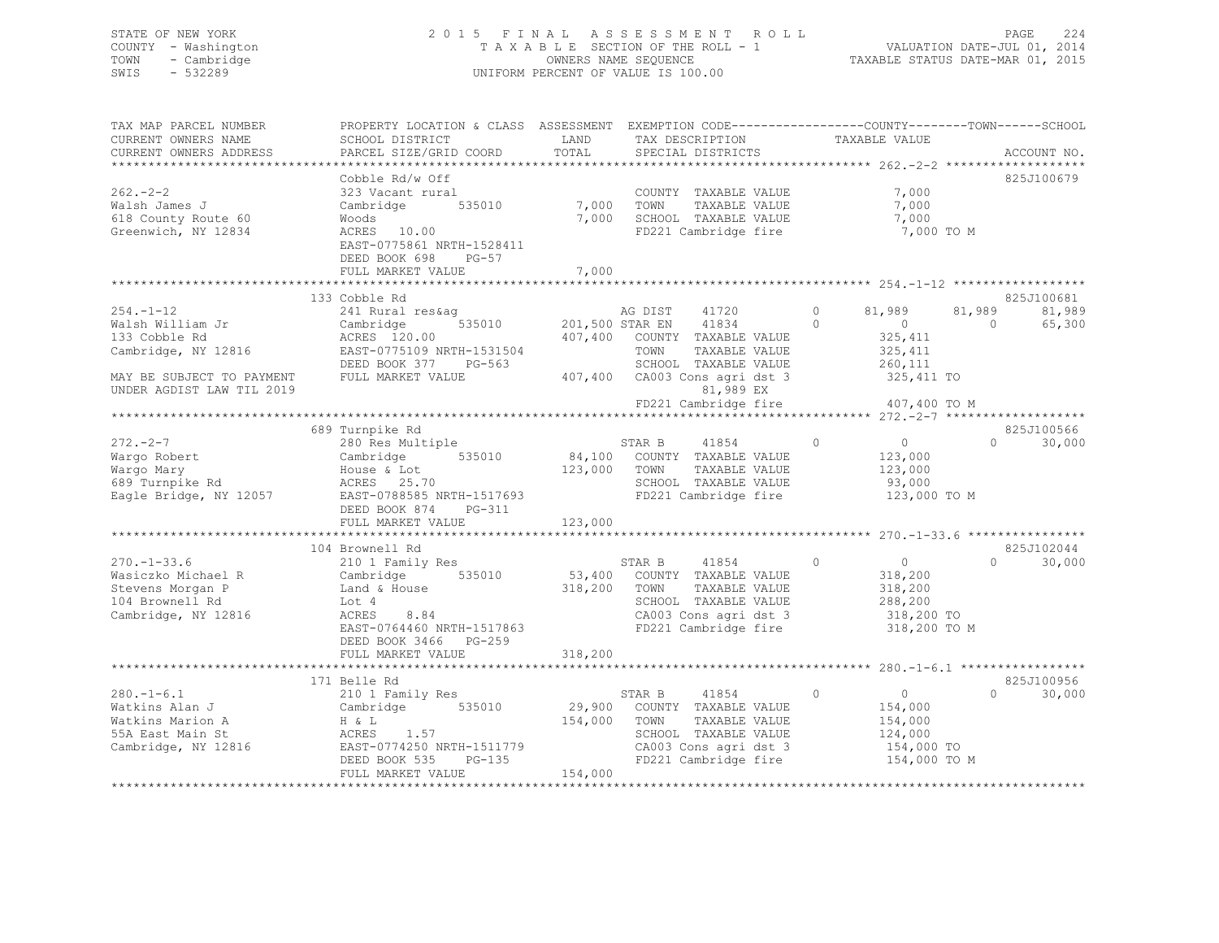## STATE OF NEW YORK 2 0 1 5 F I N A L A S S E S S M E N T R O L L PAGE 224 COUNTY - Washington T A X A B L E SECTION OF THE ROLL - 1 VALUATION DATE-JUL 01, 2014 TOWN - Cambridge OWNERS NAME SEQUENCE TAXABLE STATUS DATE-MAR 01, 2015 SWIS - 532289 UNIFORM PERCENT OF VALUE IS 100.00

| TAX MAP PARCEL NUMBER<br>CURRENT OWNERS NAME<br>CURRENT OWNERS ADDRESS                                                                | PROPERTY LOCATION & CLASS ASSESSMENT EXEMPTION CODE---------------COUNTY-------TOWN------SCHOOI<br>SCHOOL DISTRICT<br>PARCEL SIZE/GRID COORD                                      | LAND<br>TOTAL      | TAX DESCRIPTION<br>SPECIAL DISTRICTS                                                                                                                                                                    | TAXABLE VALUE                                                                                                   | ACCOUNT NO.                                            |
|---------------------------------------------------------------------------------------------------------------------------------------|-----------------------------------------------------------------------------------------------------------------------------------------------------------------------------------|--------------------|---------------------------------------------------------------------------------------------------------------------------------------------------------------------------------------------------------|-----------------------------------------------------------------------------------------------------------------|--------------------------------------------------------|
|                                                                                                                                       |                                                                                                                                                                                   |                    |                                                                                                                                                                                                         |                                                                                                                 |                                                        |
| $262 - 2 - 2$<br>Walsh James J<br>618 County Route 60<br>Greenwich, NY 12834                                                          | Cobble Rd/w Off<br>323 Vacant rural<br>Cambridge 535010<br>Woods<br>ACRES 10.00<br>EAST-0775861 NRTH-1528411<br>DEED BOOK 698<br>$PG-57$<br>FULL MARKET VALUE                     |                    | COUNTY TAXABLE VALUE<br>7,000 TOWN<br>TAXABLE VALUE<br>7,000 SCHOOL TAXABLE VALUE<br>FD221 Cambridge fire                                                                                               | 7,000<br>7,000<br>7,000<br>7,000 TO M                                                                           | 825J100679                                             |
|                                                                                                                                       |                                                                                                                                                                                   | 7,000              |                                                                                                                                                                                                         |                                                                                                                 |                                                        |
| $254. - 1 - 12$<br>Walsh William Jr<br>133 Cobble Rd<br>Cambridge, NY 12816<br>MAY BE SUBJECT TO PAYMENT<br>UNDER AGDIST LAW TIL 2019 | 133 Cobble Rd<br>241 Rural res&aq<br>Cambridge<br>ACRES 120.00<br>EAST-0775109 NRTH-1531504<br>DEED BOOK 377 PG-563<br>FULL MARKET VALUE                                          |                    | AG DIST<br>41720<br>535010 201,500 STAR EN 41834<br>407,400 COUNTY TAXABLE VALUE<br>TOWN<br>TAXABLE VALUE<br>SCHOOL TAXABLE VALUE<br>407,400 CA003 Cons agri dst 3<br>81,989 EX<br>FD221 Cambridge fire | $\circ$<br>81,989<br>$\Omega$<br>$\overline{0}$<br>325, 411<br>325,411<br>260,111<br>325,411 TO<br>407,400 TO M | 825J100681<br>81,989<br>81,989<br>65,300<br>$\bigcirc$ |
|                                                                                                                                       |                                                                                                                                                                                   |                    |                                                                                                                                                                                                         |                                                                                                                 |                                                        |
| $272. - 2 - 7$<br>Wargo Robert<br>Wargo Robert<br>Wargo Mary<br>689 Turnpike Rd<br>Eagle Bridge, NY 12057                             | 689 Turnpike Rd<br>280 Res Multiple<br>Cambridge 535010<br>House & Lot<br>ACRES 25.70<br>EAST-0788585 NRTH-1517693<br>DEED BOOK 874<br>$PG-311$                                   | 123,000 TOWN       | STAR B<br>41854<br>84,100 COUNTY TAXABLE VALUE<br>TAXABLE VALUE<br>SCHOOL TAXABLE VALUE<br>FD221 Cambridge fire                                                                                         | $\overline{0}$<br>$\circ$<br>123,000<br>123,000<br>93,000<br>123,000 TO M                                       | 825J100566<br>$\Omega$<br>30,000                       |
|                                                                                                                                       | FULL MARKET VALUE                                                                                                                                                                 | 123,000            |                                                                                                                                                                                                         |                                                                                                                 |                                                        |
| $270. - 1 - 33.6$<br>Wasiczko Michael R<br>Stevens Morgan P<br>104 Brownell Rd<br>Cambridge, NY 12816                                 | 104 Brownell Rd<br>210 1 Family Res<br>Cambridge 535010<br>Land & House<br>Lot 4<br>ACRES<br>8.84<br>EAST-0764460 NRTH-1517863<br>DEED BOOK 3466 PG-259<br>FULL MARKET VALUE      | 318,200<br>318,200 | 41854<br>STAR B<br>53,400 COUNTY TAXABLE VALUE<br>TOWN<br>TAXABLE VALUE<br>SCHOOL TAXABLE VALUE<br>FD221 Cambridge fire                                                                                 | $\overline{0}$<br>$\circ$<br>318,200<br>318,200<br>288,200<br>318,200 TO<br>318,200 TO M                        | 825J102044<br>$\Omega$<br>30,000                       |
|                                                                                                                                       |                                                                                                                                                                                   |                    |                                                                                                                                                                                                         |                                                                                                                 |                                                        |
| $280. -1 - 6.1$<br>Watkins Alan J<br>Watkins Marion A<br>55A East Main St                                                             | 171 Belle Rd<br>210 1 Family Res<br>Cambridge 535010<br>H & L<br>1.57<br>ACRES<br>Cambridge, NY 12816 EAST-0774250 NRTH-1511779<br>$PG-135$<br>DEED BOOK 535<br>FULL MARKET VALUE | 154,000<br>154,000 | STAR B<br>41854<br>29,900 COUNTY TAXABLE VALUE<br>TOWN<br>TAXABLE VALUE<br>SCHOOL TAXABLE VALUE<br>CA003 Cons agri dst 3<br>FD221 Cambridge fire                                                        | $\circ$<br>$\overline{0}$<br>154,000<br>154,000<br>124,000<br>154,000 TO<br>154,000 TO M                        | 825J100956<br>$\Omega$<br>30,000                       |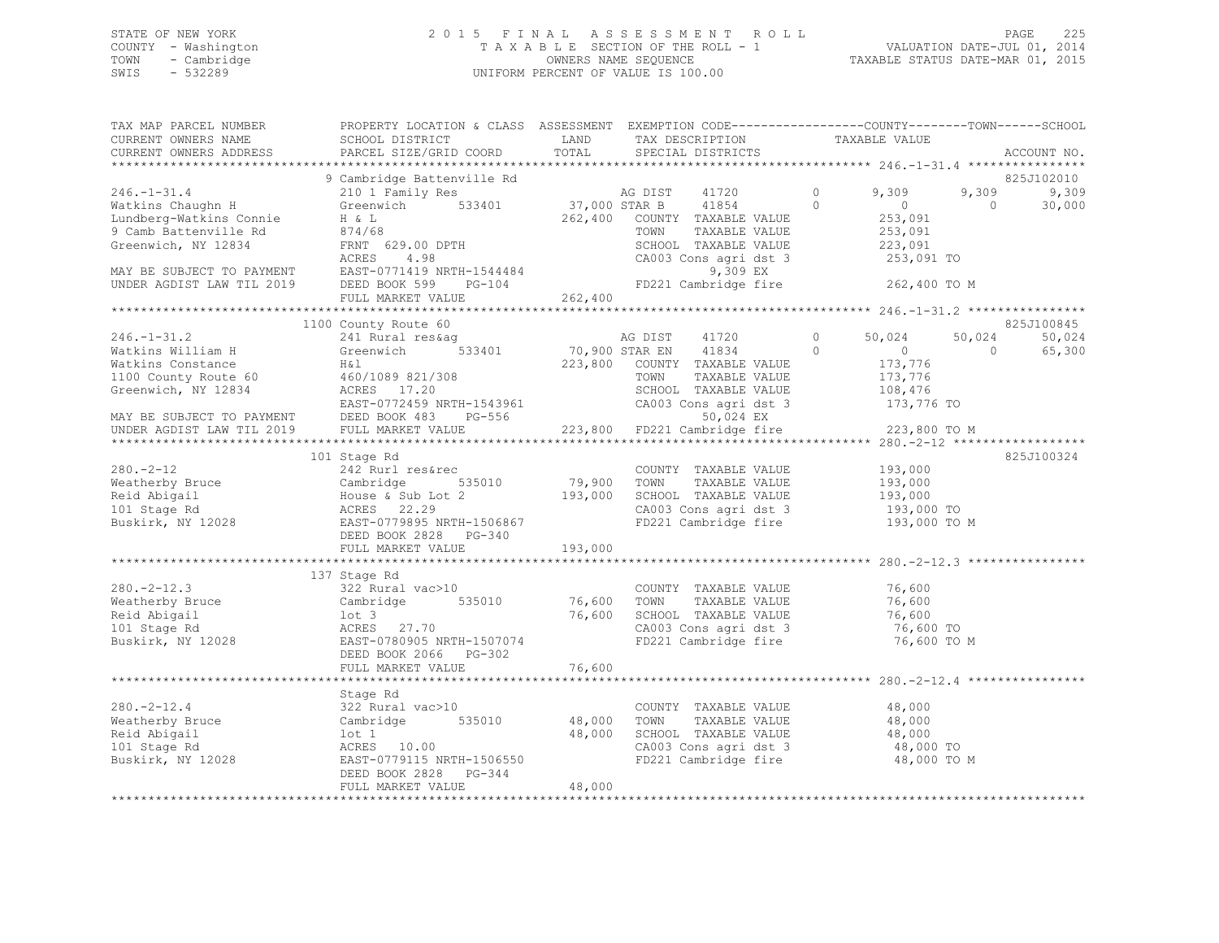## STATE OF NEW YORK 2 0 1 5 F I N A L A S S E S S M E N T R O L L PAGE 225 COUNTY - Washington T A X A B L E SECTION OF THE ROLL - 1 VALUATION DATE-JUL 01, 2014 TOWN - Cambridge OWNERS NAME SEQUENCE TAXABLE STATUS DATE-MAR 01, 2015 SWIS - 532289 UNIFORM PERCENT OF VALUE IS 100.00

| TAX MAP PARCEL NUMBER<br>CURRENT OWNERS NAME<br>CURRENT OWNERS ADDRESS                                                                                                      | PROPERTY LOCATION & CLASS ASSESSMENT EXEMPTION CODE----------------COUNTY-------TOWN------SCHOOL<br>SCHOOL DISTRICT<br>PARCEL SIZE/GRID COORD                                           | LAND<br>TOTAL                | TAX DESCRIPTION<br>SPECIAL DISTRICTS                                                                                                                         | TAXABLE VALUE                                                                                                 |                     | ACCOUNT NO.                   |
|-----------------------------------------------------------------------------------------------------------------------------------------------------------------------------|-----------------------------------------------------------------------------------------------------------------------------------------------------------------------------------------|------------------------------|--------------------------------------------------------------------------------------------------------------------------------------------------------------|---------------------------------------------------------------------------------------------------------------|---------------------|-------------------------------|
|                                                                                                                                                                             |                                                                                                                                                                                         |                              |                                                                                                                                                              |                                                                                                               |                     |                               |
| $246. - 1 - 31.4$<br>Watkins Chaughn H<br>Lundberg-Watkins Connie<br>9 Camb Battenville Rd<br>Greenwich, NY 12834<br>MAY BE SUBJECT TO PAYMENT<br>UNDER AGDIST LAW TIL 2019 | 9 Cambridge Battenville Rd<br>210 1 Family Res<br>533401<br>Greenwich<br>H & L<br>874/68<br>FRNT 629.00 DPTH<br>4.98<br>ACRES<br>EAST-0771419 NRTH-1544484<br>$PG-104$<br>DEED BOOK 599 | AG DIST<br>37,000 STAR B     | 41720<br>41854<br>262,400 COUNTY TAXABLE VALUE<br>TOWN<br>TAXABLE VALUE<br>SCHOOL TAXABLE VALUE<br>CA003 Cons agri dst 3<br>9,309 EX<br>FD221 Cambridge fire | 9,309<br>$\circ$<br>$\Omega$<br>$\overline{0}$<br>253,091<br>253,091<br>223,091<br>253,091 TO<br>262,400 TO M | 9,309<br>$\bigcirc$ | 825J102010<br>9,309<br>30,000 |
|                                                                                                                                                                             | FULL MARKET VALUE<br>**************************                                                                                                                                         | 262,400                      |                                                                                                                                                              |                                                                                                               |                     |                               |
|                                                                                                                                                                             | 1100 County Route 60                                                                                                                                                                    |                              |                                                                                                                                                              |                                                                                                               |                     | 825J100845                    |
| $246. - 1 - 31.2$<br>Watkins William H<br>Watkins Constance<br>1100 County Route 60<br>Greenwich, NY 12834                                                                  | 241 Rural res&aq<br>Greenwich<br>533401<br>H&l<br>460/1089 821/308<br>ACRES 17.20<br>EAST-0772459 NRTH-1543961                                                                          |                              | AG DIST<br>41720<br>70,900 STAR EN 41834<br>223,800 COUNTY TAXABLE VALUE<br>TOWN<br>TAXABLE VALUE<br>SCHOOL TAXABLE VALUE<br>CA003 Cons agri dst 3           | $\circ$<br>50,024<br>$\overline{0}$<br>$\Omega$<br>173,776<br>173,776<br>108,476<br>173,776 TO                | 50,024<br>$\Omega$  | 50,024<br>65,300              |
| MAY BE SUBJECT TO PAYMENT<br>UNDER AGDIST LAW TIL 2019                                                                                                                      | DEED BOOK 483 PG-556<br>FULL MARKET VALUE                                                                                                                                               |                              | 50,024 EX<br>223,800 FD221 Cambridge fire                                                                                                                    | 223,800 TO M                                                                                                  |                     |                               |
| $280. -2 - 12$<br>Weatherby Bruce<br>Reid Abigail<br>101 Stage Rd<br>Buskirk, NY 12028                                                                                      | 101 Stage Rd<br>242 Rurl res&rec<br>535010<br>Cambridge JJ<br>House & Sub Lot 2<br>ACRES 22.29<br>EAST-0779895 NRTH-1506867<br>DEED BOOK 2828 PG-340<br>FULL MARKET VALUE               | 79,900<br>193,000<br>193,000 | COUNTY TAXABLE VALUE<br>TOWN<br>TAXABLE VALUE<br>SCHOOL TAXABLE VALUE<br>CA003 Cons agri dst 3<br>FD221 Cambridge fire                                       | 193,000<br>193,000<br>193,000<br>193,000 TO<br>193,000 TO M                                                   |                     | 825J100324                    |
|                                                                                                                                                                             |                                                                                                                                                                                         |                              |                                                                                                                                                              |                                                                                                               |                     |                               |
| $280. -2 - 12.3$<br>Zou. 2 1-<br>Weatherby Bruce<br>Reid Abigail<br>101 Stage Rd<br>Buskirk, NY 12028                                                                       | 137 Stage Rd<br>322 Rural vac>10<br>Cambridge<br>535010<br>lot 3<br>ACRES 27.70<br>EAST-0780905 NRTH-1507074<br>DEED BOOK 2066 PG-302<br>FULL MARKET VALUE                              | 76,600<br>76,600<br>76,600   | COUNTY TAXABLE VALUE<br>TAXABLE VALUE<br>TOWN<br>SCHOOL TAXABLE VALUE<br>CA003 Cons agri dst 3<br>FD221 Cambridge fire                                       | 76,600<br>76,600<br>76,600<br>76,600 TO<br>76,600 TO M                                                        |                     |                               |
|                                                                                                                                                                             |                                                                                                                                                                                         |                              |                                                                                                                                                              |                                                                                                               |                     |                               |
| $280. -2 - 12.4$<br>Weatherby Bruce<br>Reid Abigail<br>101 Stage Rd<br>Buskirk, NY 12028                                                                                    | Stage Rd<br>322 Rural vac>10<br>535010<br>Cambridge<br>lot 1<br>ACRES 10.00<br>EAST-0779115 NRTH-1506550<br>DEED BOOK 2828 PG-344<br>FULL MARKET VALUE<br>******************            | 48,000<br>48,000<br>48,000   | COUNTY TAXABLE VALUE<br>TAXABLE VALUE<br>TOWN<br>SCHOOL TAXABLE VALUE<br>CA003 Cons agri dst 3<br>FD221 Cambridge fire                                       | 48,000<br>48,000<br>48,000<br>48,000 TO<br>48,000 TO M                                                        |                     |                               |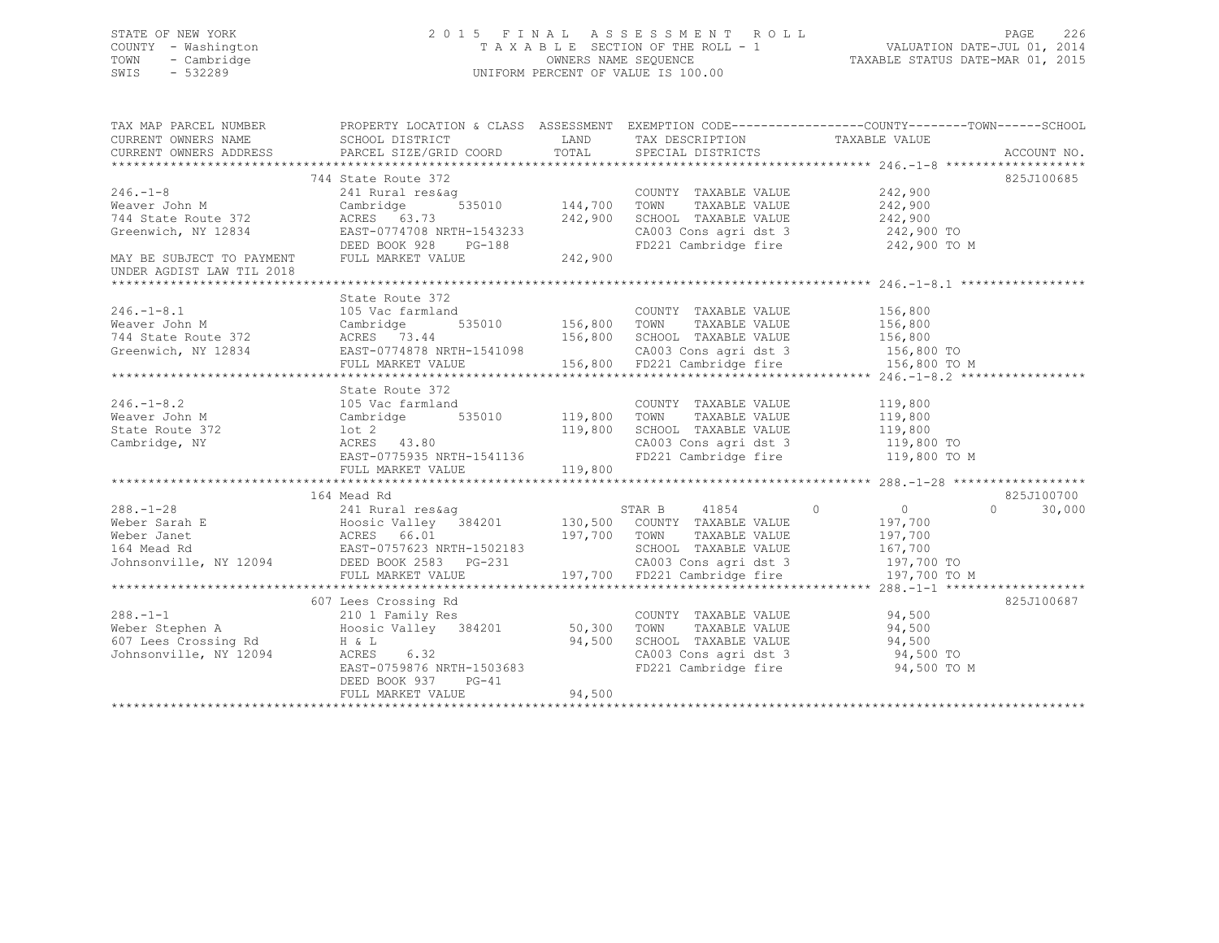## STATE OF NEW YORK 2 0 1 5 F I N A L A S S E S S M E N T R O L L PAGE 226 COUNTY - Washington T A X A B L E SECTION OF THE ROLL - 1 VALUATION DATE-JUL 01, 2014 TOWN - Cambridge OWNERS NAME SEQUENCE TAXABLE STATUS DATE-MAR 01, 2015 SWIS - 532289 UNIFORM PERCENT OF VALUE IS 100.00

| TAX MAP PARCEL NUMBER                                                                                                                                                                                                                | PROPERTY LOCATION & CLASS ASSESSMENT EXEMPTION CODE---------------COUNTY-------TOWN-----SCHOOL                                                                                                                                                 |        |                                                                                                                                                                  |                                    |                    |
|--------------------------------------------------------------------------------------------------------------------------------------------------------------------------------------------------------------------------------------|------------------------------------------------------------------------------------------------------------------------------------------------------------------------------------------------------------------------------------------------|--------|------------------------------------------------------------------------------------------------------------------------------------------------------------------|------------------------------------|--------------------|
| CURRENT OWNERS NAME SCHOOL DISTRICT                                                                                                                                                                                                  |                                                                                                                                                                                                                                                |        | LAND TAX DESCRIPTION TAXABLE VALUE                                                                                                                               |                                    |                    |
|                                                                                                                                                                                                                                      |                                                                                                                                                                                                                                                |        |                                                                                                                                                                  |                                    |                    |
|                                                                                                                                                                                                                                      |                                                                                                                                                                                                                                                |        |                                                                                                                                                                  |                                    |                    |
|                                                                                                                                                                                                                                      | 744 State Route 372                                                                                                                                                                                                                            |        |                                                                                                                                                                  |                                    | 825J100685         |
| $246. -1 - 8$                                                                                                                                                                                                                        |                                                                                                                                                                                                                                                |        | COUNTY TAXABLE VALUE 242,900                                                                                                                                     |                                    |                    |
| Weaver John M                                                                                                                                                                                                                        |                                                                                                                                                                                                                                                |        | SCHOOL TAXABLE VALUE 77200                                                                                                                                       | 242,900                            |                    |
| Greenwich, NY 12834                                                                                                                                                                                                                  |                                                                                                                                                                                                                                                |        |                                                                                                                                                                  |                                    |                    |
|                                                                                                                                                                                                                                      |                                                                                                                                                                                                                                                |        | CA003 Cons agri dst 3 242,900 TO<br>FD221 Cambridge fire 242,900 TO M<br>FD221 Cambridge fire                                                                    |                                    |                    |
| MAY BE SUBJECT TO PAYMENT                                                                                                                                                                                                            | 241 Rural resident and the SV2<br>241 Rural resident of the S15010<br>Cambridge 535010<br>242,900 SCHOOL TAXABLE VALUE<br>RAST-0774708 NRTH-1543233<br>DEED BOOK 928 PG-188<br>FULL MARKET VALUE 242,900<br>242,900 SCHOOL TAXABLE VALUE<br>FU |        |                                                                                                                                                                  |                                    |                    |
| UNDER AGDIST LAW TIL 2018                                                                                                                                                                                                            |                                                                                                                                                                                                                                                |        |                                                                                                                                                                  |                                    |                    |
|                                                                                                                                                                                                                                      |                                                                                                                                                                                                                                                |        |                                                                                                                                                                  |                                    |                    |
|                                                                                                                                                                                                                                      | State Route 372                                                                                                                                                                                                                                |        |                                                                                                                                                                  |                                    |                    |
|                                                                                                                                                                                                                                      | 105 Vac farmland                                                                                                                                                                                                                               |        | FMLand COUNTY TAXABLE VALUE 156,800<br>535010 156,800 TOWN TAXABLE VALUE 156,800<br>156,800 SCHOOL TAXABLE VALUE 156,800<br>156,800 SCHOOL TAXABLE VALUE 156,800 |                                    |                    |
| 246.-1-8.1<br>Weaver John M                                                                                                                                                                                                          |                                                                                                                                                                                                                                                |        |                                                                                                                                                                  |                                    |                    |
| 246.-1-8.1 105 Vac farmla<br>Weaver John M                 Cambridge<br>744 State Route 372                 ACRES     73.44                                                                                                          |                                                                                                                                                                                                                                                |        |                                                                                                                                                                  |                                    |                    |
|                                                                                                                                                                                                                                      |                                                                                                                                                                                                                                                |        |                                                                                                                                                                  |                                    |                    |
| Greenwich, NY 12834 EAST-0774878 NRTH-1541098 CA003 Cons agri dst 3 156,800 TO<br>FULL MARKET VALUE 156,800 FD221 Cambridge fire 156,800 TO M                                                                                        |                                                                                                                                                                                                                                                |        |                                                                                                                                                                  |                                    |                    |
|                                                                                                                                                                                                                                      |                                                                                                                                                                                                                                                |        |                                                                                                                                                                  |                                    |                    |
|                                                                                                                                                                                                                                      | State Route 372                                                                                                                                                                                                                                |        |                                                                                                                                                                  |                                    |                    |
| 246.-1-8.2            105 Vac farmland               COUNTY TAXABLE VALUE       119,800<br>Weaver John M         Cambridge    535010     119,800   TOWN   TAXABLE VALUE       119,800                                                |                                                                                                                                                                                                                                                |        |                                                                                                                                                                  |                                    |                    |
|                                                                                                                                                                                                                                      |                                                                                                                                                                                                                                                |        |                                                                                                                                                                  |                                    |                    |
|                                                                                                                                                                                                                                      |                                                                                                                                                                                                                                                |        |                                                                                                                                                                  |                                    |                    |
|                                                                                                                                                                                                                                      |                                                                                                                                                                                                                                                |        | SCHOOL TAXABLE VALUE 119,800<br>CA003 Cons agri dst 3 119,800 TO<br>FD221 Cambridge fire 119,800 TO M                                                            |                                    |                    |
|                                                                                                                                                                                                                                      |                                                                                                                                                                                                                                                |        |                                                                                                                                                                  |                                    |                    |
|                                                                                                                                                                                                                                      |                                                                                                                                                                                                                                                |        |                                                                                                                                                                  |                                    |                    |
|                                                                                                                                                                                                                                      | 164 Mead Rd                                                                                                                                                                                                                                    |        |                                                                                                                                                                  |                                    | 825J100700         |
| 288.-1-28 241 Rural res&ag STAR B 41854 0<br>Weber Sarah E Hoosic Valley 384201 130,500 COUNTY TAXABLE VALUE<br>Weber Janet ACRES 66.01 2094 2585 PG-231 2001 2003 CONTA TAXABLE VALUE<br>Johnsonville, NY 12094 DEED BOOK 2583 PG-2 |                                                                                                                                                                                                                                                |        |                                                                                                                                                                  |                                    | $\Omega$<br>30,000 |
|                                                                                                                                                                                                                                      |                                                                                                                                                                                                                                                |        |                                                                                                                                                                  | 41854 0 0<br>TAXABLE VALUE 197,700 |                    |
|                                                                                                                                                                                                                                      |                                                                                                                                                                                                                                                |        |                                                                                                                                                                  | TAXABLE VALUE 197,700              |                    |
|                                                                                                                                                                                                                                      |                                                                                                                                                                                                                                                |        | SCHOOL TAXABLE VALUE 167,700                                                                                                                                     |                                    |                    |
|                                                                                                                                                                                                                                      |                                                                                                                                                                                                                                                |        |                                                                                                                                                                  |                                    |                    |
|                                                                                                                                                                                                                                      | FULL MARKET VALUE                                                                                                                                                                                                                              |        | 231 CA003 Cons agri dst 3 197,700 TO<br>197,700 FD221 Cambridge fire 197,700 TO M                                                                                |                                    |                    |
|                                                                                                                                                                                                                                      |                                                                                                                                                                                                                                                |        |                                                                                                                                                                  |                                    |                    |
|                                                                                                                                                                                                                                      | 607 Lees Crossing Rd                                                                                                                                                                                                                           |        |                                                                                                                                                                  |                                    | 825J100687         |
| $288. - 1 - 1$                                                                                                                                                                                                                       | 210 1 Family Res                                                                                                                                                                                                                               |        | COUNTY TAXABLE VALUE 94,500                                                                                                                                      |                                    |                    |
| Weber Stephen A Hoosic Valley 384201 50,300<br>607 Lees Crossing Rd H & L 94,500<br>Johnsonville, NY 12094 ACRES 6.32                                                                                                                |                                                                                                                                                                                                                                                |        | TOWN                                                                                                                                                             | TAXABLE VALUE 94,500               |                    |
|                                                                                                                                                                                                                                      |                                                                                                                                                                                                                                                |        |                                                                                                                                                                  |                                    |                    |
|                                                                                                                                                                                                                                      |                                                                                                                                                                                                                                                |        |                                                                                                                                                                  |                                    |                    |
|                                                                                                                                                                                                                                      | EAST-0759876 NRTH-1503683                                                                                                                                                                                                                      |        | SCHOOL TAXABLE VALUE 94,500<br>CA003 Cons agri dst 3 94,500 TO<br>FD221 Cambridge fire 94,500 TO M                                                               |                                    |                    |
|                                                                                                                                                                                                                                      | DEED BOOK 937 PG-41                                                                                                                                                                                                                            |        |                                                                                                                                                                  |                                    |                    |
|                                                                                                                                                                                                                                      | FULL MARKET VALUE                                                                                                                                                                                                                              | 94,500 |                                                                                                                                                                  |                                    |                    |
|                                                                                                                                                                                                                                      |                                                                                                                                                                                                                                                |        |                                                                                                                                                                  |                                    |                    |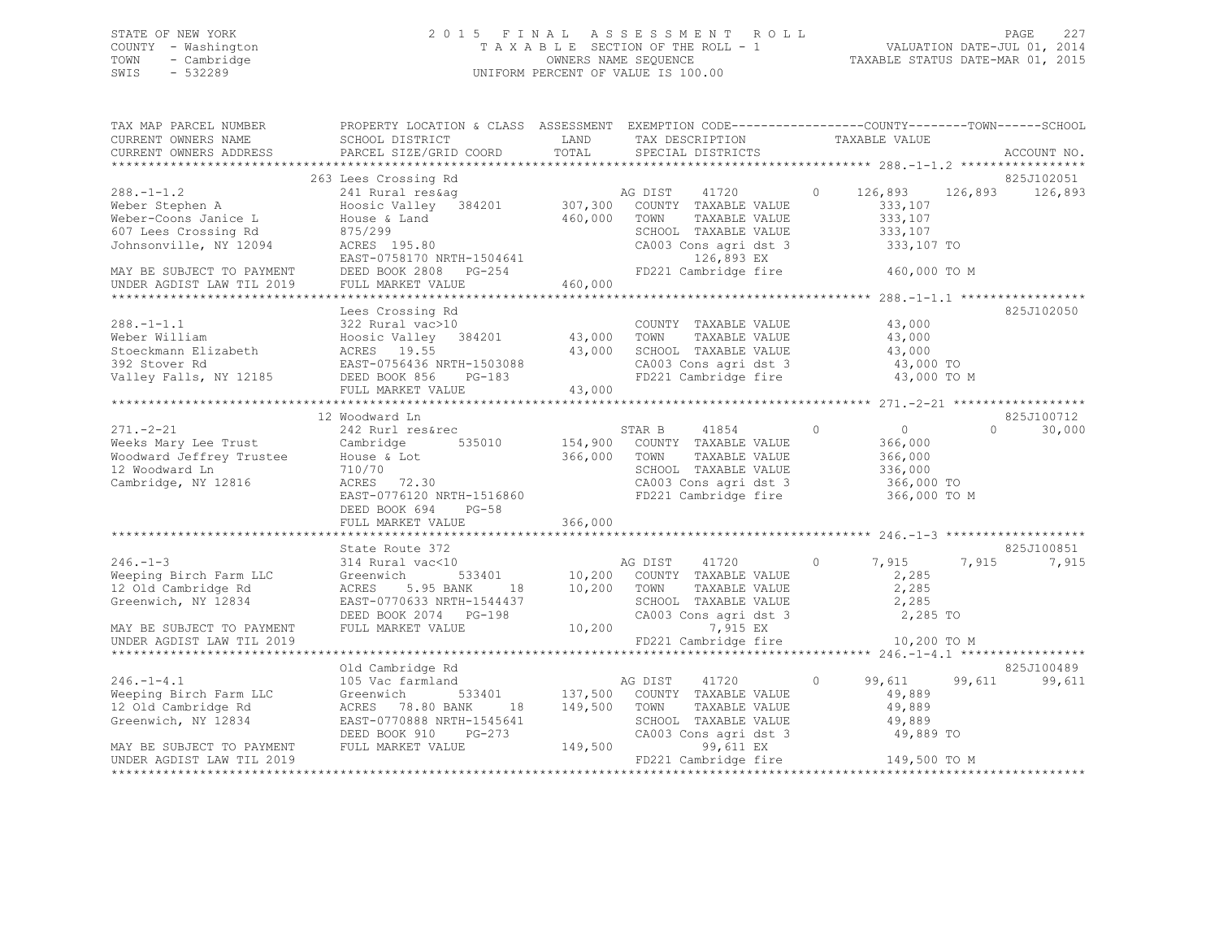## STATE OF NEW YORK 2 0 1 5 F I N A L A S S E S S M E N T R O L L PAGE 227 COUNTY - Washington T A X A B L E SECTION OF THE ROLL - 1 VALUATION DATE-JUL 01, 2014 TOWN - Cambridge OWNERS NAME SEQUENCE TAXABLE STATUS DATE-MAR 01, 2015 SWIS - 532289 UNIFORM PERCENT OF VALUE IS 100.00

| TAX MAP PARCEL NUMBER<br>CURRENT OWNERS NAME<br>CURRENT OWNERS ADDRESS                                                | PROPERTY LOCATION & CLASS ASSESSMENT<br>SCHOOL DISTRICT<br>PARCEL SIZE/GRID COORD                                                                                  | LAND<br>TOTAL                 | EXEMPTION CODE-----------------COUNTY-------TOWN------SCHOOL<br>TAX DESCRIPTION<br>SPECIAL DISTRICTS                                      |          | TAXABLE VALUE                                                          | ACCOUNT NO.           |
|-----------------------------------------------------------------------------------------------------------------------|--------------------------------------------------------------------------------------------------------------------------------------------------------------------|-------------------------------|-------------------------------------------------------------------------------------------------------------------------------------------|----------|------------------------------------------------------------------------|-----------------------|
|                                                                                                                       |                                                                                                                                                                    |                               |                                                                                                                                           |          |                                                                        |                       |
| $288. - 1 - 1.2$<br>Weber Stephen A<br>Weber-Coons Janice L<br>607 Lees Crossing Rd<br>Johnsonville, NY 12094         | 263 Lees Crossing Rd<br>241 Rural res&ag<br>Hoosic Valley 384201<br>House & Land<br>875/299<br>ACRES 195.80                                                        | 460,000                       | 41720<br>AG DIST<br>307,300 COUNTY TAXABLE VALUE<br>TOWN<br>TAXABLE VALUE<br>SCHOOL TAXABLE VALUE<br>CA003 Cons agri dst 3                | $\circ$  | 126,893<br>126,893<br>333,107<br>333,107<br>333,107<br>333,107 TO      | 825J102051<br>126,893 |
| MAY BE SUBJECT TO PAYMENT<br>UNDER AGDIST LAW TIL 2019                                                                | EAST-0758170 NRTH-1504641<br>DEED BOOK 2808 PG-254<br>FULL MARKET VALUE                                                                                            | 460,000                       | 126,893 EX<br>FD221 Cambridge fire                                                                                                        |          | 460,000 TO M                                                           |                       |
| $288. - 1 - 1.1$<br>Weber William<br>Stoeckmann Elizabeth<br>392 Stover Rd<br>Valley Falls, NY 12185                  | Lees Crossing Rd<br>322 Rural vac>10<br>Hoosic Valley 384201<br>ACRES 19.55<br>EAST-0756436 NRTH-1503088<br>DEED BOOK 856<br>PG-183<br>FULL MARKET VALUE           | 43,000<br>43,000<br>43,000    | COUNTY TAXABLE VALUE<br>TAXABLE VALUE<br>TOWN<br>SCHOOL TAXABLE VALUE<br>CA003 Cons agri dst 3<br>FD221 Cambridge fire                    |          | 43,000<br>43,000<br>43,000<br>43,000 TO<br>43,000 TO M                 | 825J102050            |
|                                                                                                                       | 12 Woodward Ln                                                                                                                                                     |                               |                                                                                                                                           |          |                                                                        | 825J100712            |
| $271. - 2 - 21$<br>Weeks Mary Lee Trust<br>Woodward Jeffrey Trustee<br>12 Woodward Ln<br>Cambridge, NY 12816          | 242 Rurl res&rec<br>Cambridge<br>535010<br>House & Lot<br>710/70<br>ACRES<br>72.30<br>EAST-0776120 NRTH-1516860<br>DEED BOOK 694<br>$PG-58$<br>FULL MARKET VALUE   | 154,900<br>366,000<br>366,000 | STAR B<br>41854<br>COUNTY TAXABLE VALUE<br>TOWN<br>TAXABLE VALUE<br>SCHOOL TAXABLE VALUE<br>CA003 Cons agri dst 3<br>FD221 Cambridge fire | $\Omega$ | $\circ$<br>366,000<br>366,000<br>336,000<br>366,000 TO<br>366,000 TO M | 30,000<br>$\Omega$    |
|                                                                                                                       | State Route 372                                                                                                                                                    |                               |                                                                                                                                           |          |                                                                        | 825J100851            |
| $246. - 1 - 3$<br>Weeping Birch Farm LLC<br>12 Old Cambridge Rd<br>Greenwich, NY 12834                                | 314 Rural vac<10<br>533401<br>Greenwich<br>ACRES<br>5.95 BANK<br>18<br>EAST-0770633 NRTH-1544437<br>DEED BOOK 2074 PG-198                                          | 10,200                        | AG DIST<br>41720<br>10,200 COUNTY TAXABLE VALUE<br>TOWN<br>TAXABLE VALUE<br>SCHOOL TAXABLE VALUE<br>CA003 Cons agri dst 3                 | $\Omega$ | 7,915<br>7,915<br>2,285<br>2,285<br>2,285<br>2,285 TO                  | 7,915                 |
| MAY BE SUBJECT TO PAYMENT<br>UNDER AGDIST LAW TIL 2019                                                                | FULL MARKET VALUE                                                                                                                                                  | 10,200                        | 7,915 EX<br>FD221 Cambridge fire                                                                                                          |          | 10,200 TO M                                                            |                       |
|                                                                                                                       |                                                                                                                                                                    |                               |                                                                                                                                           |          |                                                                        | 825J100489            |
| $246. - 1 - 4.1$<br>Weeping Birch Farm LLC<br>12 Old Cambridge Rd<br>Greenwich, NY 12834<br>MAY BE SUBJECT TO PAYMENT | Old Cambridge Rd<br>105 Vac farmland<br>533401<br>Greenwich<br>ACRES 78.80 BANK<br>18<br>EAST-0770888 NRTH-1545641<br>PG-273<br>DEED BOOK 910<br>FULL MARKET VALUE | 137,500<br>149,500<br>149,500 | AG DIST<br>41720<br>COUNTY TAXABLE VALUE<br>TOWN<br>TAXABLE VALUE<br>SCHOOL TAXABLE VALUE<br>CA003 Cons agri dst 3<br>99,611 EX           | $\circ$  | 99,611<br>99,611<br>49,889<br>49,889<br>49,889<br>49,889 TO            | 99,611                |
| UNDER AGDIST LAW TIL 2019                                                                                             |                                                                                                                                                                    |                               | FD221 Cambridge fire                                                                                                                      |          | 149,500 TO M                                                           |                       |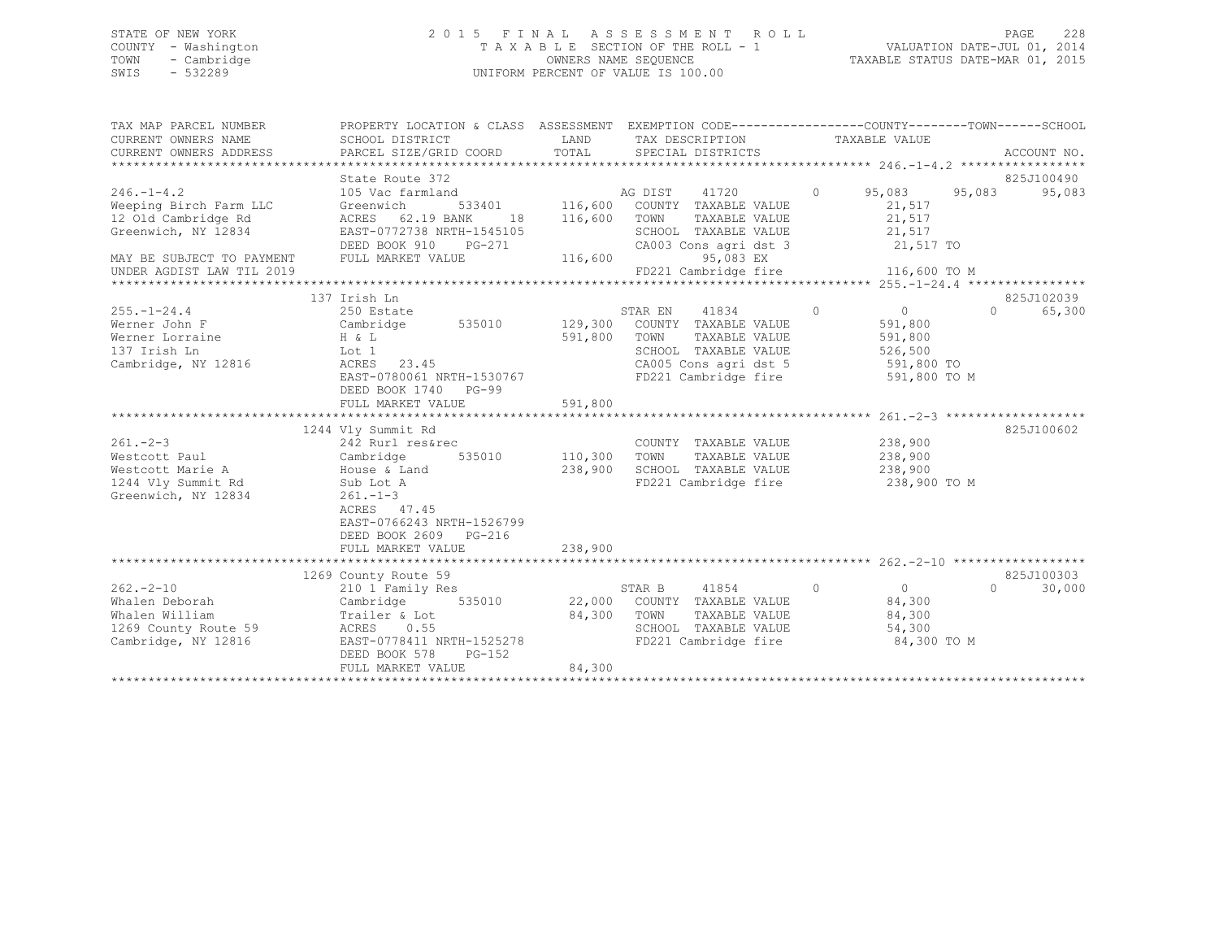## STATE OF NEW YORK 2 0 1 5 F I N A L A S S E S S M E N T R O L L PAGE 228 COUNTY - Washington T A X A B L E SECTION OF THE ROLL - 1 VALUATION DATE-JUL 01, 2014 TOWN - Cambridge OWNERS NAME SEQUENCE TAXABLE STATUS DATE-MAR 01, 2015 SWIS - 532289 UNIFORM PERCENT OF VALUE IS 100.00

| TAX MAP PARCEL NUMBER         | PROPERTY LOCATION & CLASS ASSESSMENT EXEMPTION CODE---------------COUNTY-------TOWN-----SCHOOL |                 |                                                            |                                 |          |             |
|-------------------------------|------------------------------------------------------------------------------------------------|-----------------|------------------------------------------------------------|---------------------------------|----------|-------------|
| CURRENT OWNERS NAME           | SCHOOL DISTRICT                                                                                |                 | LAND TAX DESCRIPTION                                       | TAXABLE VALUE                   |          |             |
| CURRENT OWNERS ADDRESS        | PARCEL SIZE/GRID COORD                                                                         | TOTAL           | SPECIAL DISTRICTS                                          |                                 |          | ACCOUNT NO. |
|                               | State Route 372                                                                                |                 |                                                            |                                 |          | 825J100490  |
| $246. - 1 - 4.2$              | 105 Vac farmland                                                                               |                 |                                                            | $0 \t 95,083 \t 95,083$         |          | 95,083      |
| Weeping Birch Farm LLC        | Greenwich                                                                                      |                 | d<br>533401 116,600 COUNTY TAXABLE VALUE                   | 21,517                          |          |             |
| 12 Old Cambridge Rd           | ACRES 62.19 BANK                                                                               | 18 116,600 TOWN | TAXABLE VALUE                                              | 21,517                          |          |             |
| Greenwich, NY 12834           | EAST-0772738 NRTH-1545105                                                                      |                 |                                                            |                                 |          |             |
|                               | DEED BOOK 910 PG-271                                                                           |                 | SCHOOL TAXABLE VALUE<br>CA003 Cons agri dst 3              | 21,517<br>21,517 TO             |          |             |
| MAY BE SUBJECT TO PAYMENT     | FULL MARKET VALUE                                                                              | 116,600         | 95,083 EX                                                  |                                 |          |             |
| UNDER AGDIST LAW TIL 2019     |                                                                                                |                 |                                                            |                                 |          |             |
|                               |                                                                                                |                 |                                                            |                                 |          |             |
|                               | 137 Irish Ln                                                                                   |                 |                                                            |                                 |          | 825J102039  |
| $255 - 1 - 24.4$              | 250 Estate                                                                                     |                 | STAR EN 41834                                              | $\begin{matrix}0&0\end{matrix}$ | $\Omega$ | 65,300      |
| Werner John F                 | Cambridge 535010 129,300 COUNTY TAXABLE VALUE                                                  |                 |                                                            | 591,800                         |          |             |
| Werner Lorraine               |                                                                                                |                 | 591,800 TOWN<br>TAXABLE VALUE                              | 591,800                         |          |             |
| 137 Irish Ln                  | H & L<br>Lot 1                                                                                 |                 | SCHOOL TAXABLE VALUE                                       | 526, 500                        |          |             |
| Cambridge, NY 12816           | ACRES 23.45                                                                                    |                 | CA005 Cons agri dst 5 591,800 TO                           |                                 |          |             |
|                               | EAST-0780061 NRTH-1530767                                                                      |                 | FD221 Cambridge fire 591,800 TO M                          |                                 |          |             |
|                               | DEED BOOK 1740 PG-99                                                                           |                 |                                                            |                                 |          |             |
|                               | FULL MARKET VALUE                                                                              | 591,800         |                                                            |                                 |          |             |
|                               |                                                                                                |                 |                                                            |                                 |          |             |
|                               | 1244 Vly Summit Rd                                                                             |                 | COUNTY TAXABLE VALUE 238,900<br>TOWN TAVABLE VALUE 238,900 |                                 |          | 825J100602  |
| $261 - 2 - 3$                 | 242 Rurl res&rec                                                                               |                 |                                                            |                                 |          |             |
| Westcott Paul                 | 242 Kur⊥ ⊥<br>Cambridge<br>$535010$ 110,300                                                    |                 | TOWN                                                       |                                 |          |             |
| Westcott Marie A Mouse & Land |                                                                                                | 238,900         | SCHOOL TAXABLE VALUE 238,900                               |                                 |          |             |
| 1244 Vly Summit Rd            | Sub Lot A                                                                                      |                 | FD221 Cambridge fire 238,900 TO M                          |                                 |          |             |
| Greenwich, NY 12834           | $261. - 1 - 3$                                                                                 |                 |                                                            |                                 |          |             |
|                               | ACRES 47.45                                                                                    |                 |                                                            |                                 |          |             |
|                               | EAST-0766243 NRTH-1526799                                                                      |                 |                                                            |                                 |          |             |
|                               | DEED BOOK 2609 PG-216                                                                          |                 |                                                            |                                 |          |             |
|                               |                                                                                                |                 |                                                            |                                 |          |             |
|                               | 1269 County Route 59                                                                           |                 |                                                            |                                 |          | 825J100303  |
| $262 - 2 - 10$                | 210 1 Family Res                                                                               |                 | 41854<br>$\sim$ 0 $\sim$ 0 $\sim$<br>STAR B                | $\overline{0}$                  | $\cap$   | 30,000      |
|                               |                                                                                                |                 | 22,000 COUNTY TAXABLE VALUE                                |                                 |          |             |
|                               |                                                                                                |                 | 84,300 TOWN                                                | 84,300<br>84,300                |          |             |
| 1269 County Route 59          | Trailer & Lot<br>ACRES 0.55                                                                    |                 | TOWN      TAXABLE VALUE<br>SCHOOL   TAXABLE VALUE          | 54,300                          |          |             |
| Cambridge, NY 12816           | EAST-0778411 NRTH-1525278                                                                      |                 | FD221 Cambridge fire 84,300 TO M                           |                                 |          |             |
|                               | DEED BOOK 578<br>$PG-152$                                                                      |                 |                                                            |                                 |          |             |
|                               | FULL MARKET VALUE                                                                              | 84,300          |                                                            |                                 |          |             |
|                               |                                                                                                |                 |                                                            |                                 |          |             |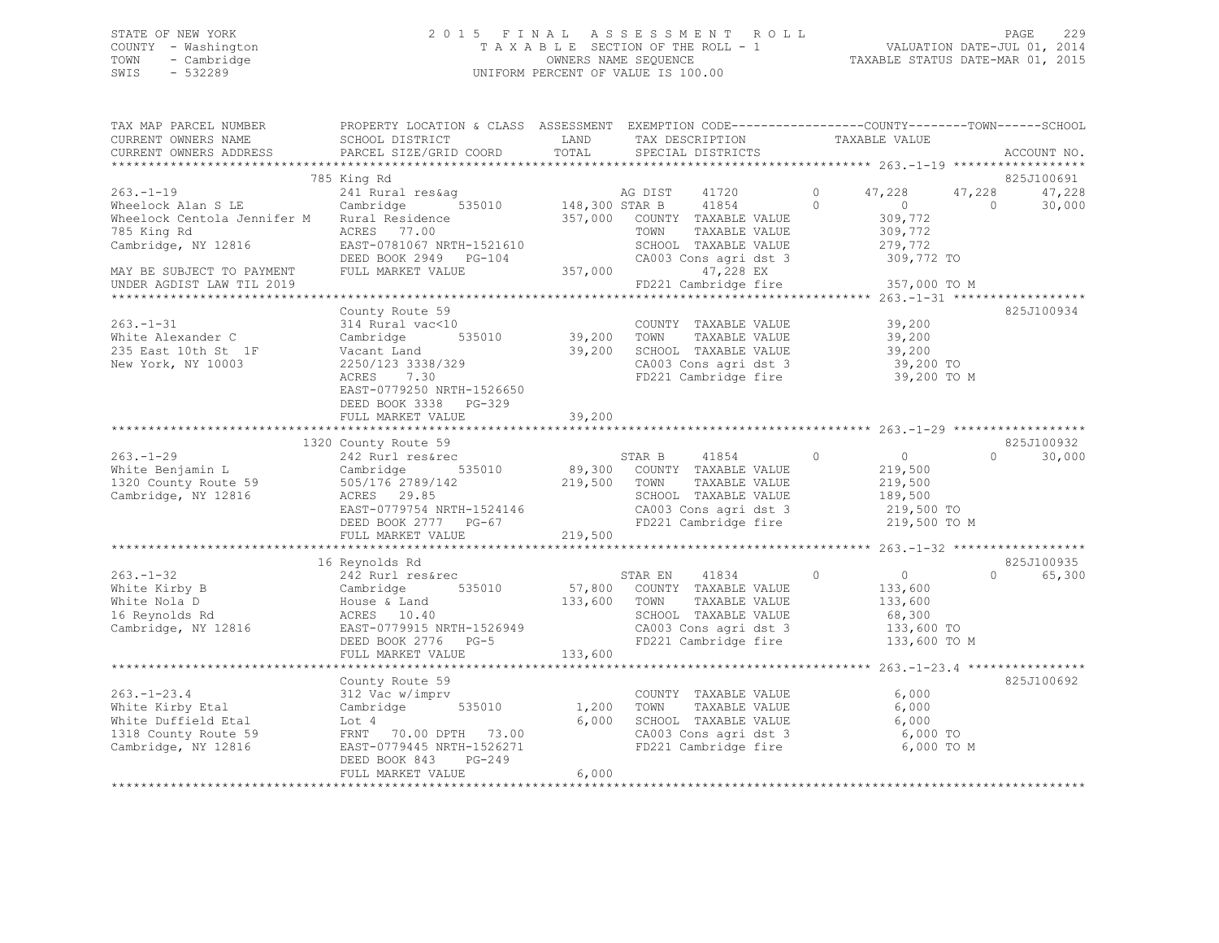## STATE OF NEW YORK 2 0 1 5 F I N A L A S S E S S M E N T R O L L PAGE 229 COUNTY - Washington T A X A B L E SECTION OF THE ROLL - 1 VALUATION DATE-JUL 01, 2014 TOWN - Cambridge OWNERS NAME SEQUENCE TAXABLE STATUS DATE-MAR 01, 2015 SWIS - 532289 UNIFORM PERCENT OF VALUE IS 100.00

| TAX MAP PARCEL NUMBER<br>CURRENT OWNERS NAME<br>CURRENT OWNERS ADDRESS                                                                                                                                                                                                  | PROPERTY LOCATION & CLASS ASSESSMENT EXEMPTION CODE---------------COUNTY-------TOWN-----SCHOOL<br>SCHOOL DISTRICT<br>PARCEL SIZE/GRID COORD                            | LAND<br>TOTAL                            | TAX DESCRIPTION<br>SPECIAL DISTRICTS                                                                                                        | TAXABLE VALUE                                                                           |                          | ACCOUNT NO.                      |
|-------------------------------------------------------------------------------------------------------------------------------------------------------------------------------------------------------------------------------------------------------------------------|------------------------------------------------------------------------------------------------------------------------------------------------------------------------|------------------------------------------|---------------------------------------------------------------------------------------------------------------------------------------------|-----------------------------------------------------------------------------------------|--------------------------|----------------------------------|
|                                                                                                                                                                                                                                                                         |                                                                                                                                                                        |                                          |                                                                                                                                             |                                                                                         |                          |                                  |
|                                                                                                                                                                                                                                                                         | 785 King Rd                                                                                                                                                            |                                          |                                                                                                                                             |                                                                                         |                          | 825J100691                       |
| $263. -1 - 19$<br>Wheelock Alan S LE<br>Wheelock Centola Jennifer M Rural Residence<br>785 King Rd                                                                                                                                                                      | ACRES 77.00                                                                                                                                                            |                                          | TOWN<br>TAXABLE VALUE                                                                                                                       | 47,228<br>$\overline{0}$<br>309,772<br>309,772                                          | 47,228<br>$\overline{0}$ | 47,228<br>30,000                 |
| Cambridge, NY 12816<br>MAY BE SUBJECT TO PAYMENT                                                                                                                                                                                                                        | EAST-0781067 NRTH-1521610<br>DEED BOOK 2949 PG-104<br>FULL MARKET VALUE                                                                                                | 357,000                                  | SCHOOL TAXABLE VALUE<br>CA003 Cons agri dst 3<br>CA003 Cons agri dst 3<br>47,228 EX                                                         | 279,772<br>309,772 TO                                                                   |                          |                                  |
|                                                                                                                                                                                                                                                                         |                                                                                                                                                                        |                                          |                                                                                                                                             |                                                                                         |                          |                                  |
|                                                                                                                                                                                                                                                                         |                                                                                                                                                                        |                                          |                                                                                                                                             |                                                                                         |                          |                                  |
| $263. -1 - 31$<br>White Alexander C<br>235 East 10th St 1F<br>New York, NY 10003                                                                                                                                                                                        | County Route 59<br>314 Rural vac<10<br>Cambridge<br>Vacant Land<br>2250/123 3338/329<br>ACRES 7.30<br>ACRES 7.30<br>EAST-0779250 NRTH-1526650<br>DEED BOOK 3338 PG-329 | 0 COUNTY<br>535010 39,200 TOWN<br>39,200 | COUNTY TAXABLE VALUE<br>TAXABLE VALUE<br>SCHOOL TAXABLE VALUE 39,200<br>CA003 Cons agri dst 3 39,200 TO<br>FD221 Cambridge fire 39,200 TO M | 39,200<br>39,200                                                                        |                          | 825J100934                       |
|                                                                                                                                                                                                                                                                         | FULL MARKET VALUE                                                                                                                                                      | 39,200                                   |                                                                                                                                             |                                                                                         |                          |                                  |
|                                                                                                                                                                                                                                                                         |                                                                                                                                                                        |                                          |                                                                                                                                             |                                                                                         |                          |                                  |
|                                                                                                                                                                                                                                                                         | 1320 County Route 59                                                                                                                                                   |                                          |                                                                                                                                             |                                                                                         |                          | 825J100932                       |
| WILLE Berijamin Line 59<br>1320 County Route 59 505/176 2789/142<br>Cambridge, NY 12816 ACRES 29.85<br>EAST-0779754 NRTH-1524146 CA003 Cons agri dst 3 219,500 TOWN<br>EED BOOK 2777 PG-67 FD221 Cambridge fire 219,500 TO M<br>FULL MAR                                | 242 Rurl res&rec                                                                                                                                                       |                                          | STAR B 41854 0<br>535010 89,300 COUNTY TAXABLE VALUE                                                                                        | $\overline{0}$<br>219,500                                                               |                          | 30,000<br>$\Omega$ and $\Omega$  |
|                                                                                                                                                                                                                                                                         |                                                                                                                                                                        |                                          |                                                                                                                                             |                                                                                         |                          |                                  |
| $263. - 1 - 32$<br>VALUE VALUE VALUE VALUE VALUE VALUE VALUE VALUE VALUE VALUE VALUE VALUE VALUE VALUE VALUE VALUE VALUE VALUE VALUE VALUE VALUE VALUE VALUE VALUE VALUE VALUE VALUE VALUE VALUE VALUE VALUE VALUE VALUE VALUE VALUE VALUE VALUE<br>Cambridge, NY 12816 | 16 Reynolds Rd<br>242 Rurl res&rec<br>EAST-0779915 NRTH-1526949<br>DEED BOOK 2776 PG-5                                                                                 |                                          | STAR EN 41834<br>TAXABLE VALUE<br>SCHOOL TAXABLE VALUE<br>CA003 Cons agri dst 3<br>FD221 Cambridge fire                                     | $\circ$<br>$\overline{0}$<br>133,600<br>133,600<br>68,300<br>133,600 TO<br>133,600 TO M |                          | 825J100935<br>65,300<br>$\Omega$ |
|                                                                                                                                                                                                                                                                         | FULL MARKET VALUE                                                                                                                                                      | 133,600                                  |                                                                                                                                             |                                                                                         |                          |                                  |
|                                                                                                                                                                                                                                                                         |                                                                                                                                                                        |                                          |                                                                                                                                             |                                                                                         |                          |                                  |
| $263. - 1 - 23.4$<br>White Kirby Etal<br>White Duffield Etal<br>1318 County Route 59<br>Cambridge, NY 12816                                                                                                                                                             | County Route 59<br>312 Vac w/imprv<br>Cambridge 535010<br>Lot 4<br>FRNT 70.00 DPTH 73.00<br>EAST-0779445 NRTH-1526271<br>DEED BOOK 843 PG-249                          | 1,200<br>6,000                           | COUNTY TAXABLE VALUE<br>TOWN<br>TAXABLE VALUE<br>SCHOOL TAXABLE VALUE 6,000<br>CA003 Cons agri dst 3<br>FD221 Cambridge fire                | 6,000<br>6,000<br>6,000 TO<br>6,000 TO M                                                |                          | 825J100692                       |
|                                                                                                                                                                                                                                                                         | FULL MARKET VALUE                                                                                                                                                      | 6,000                                    |                                                                                                                                             |                                                                                         |                          |                                  |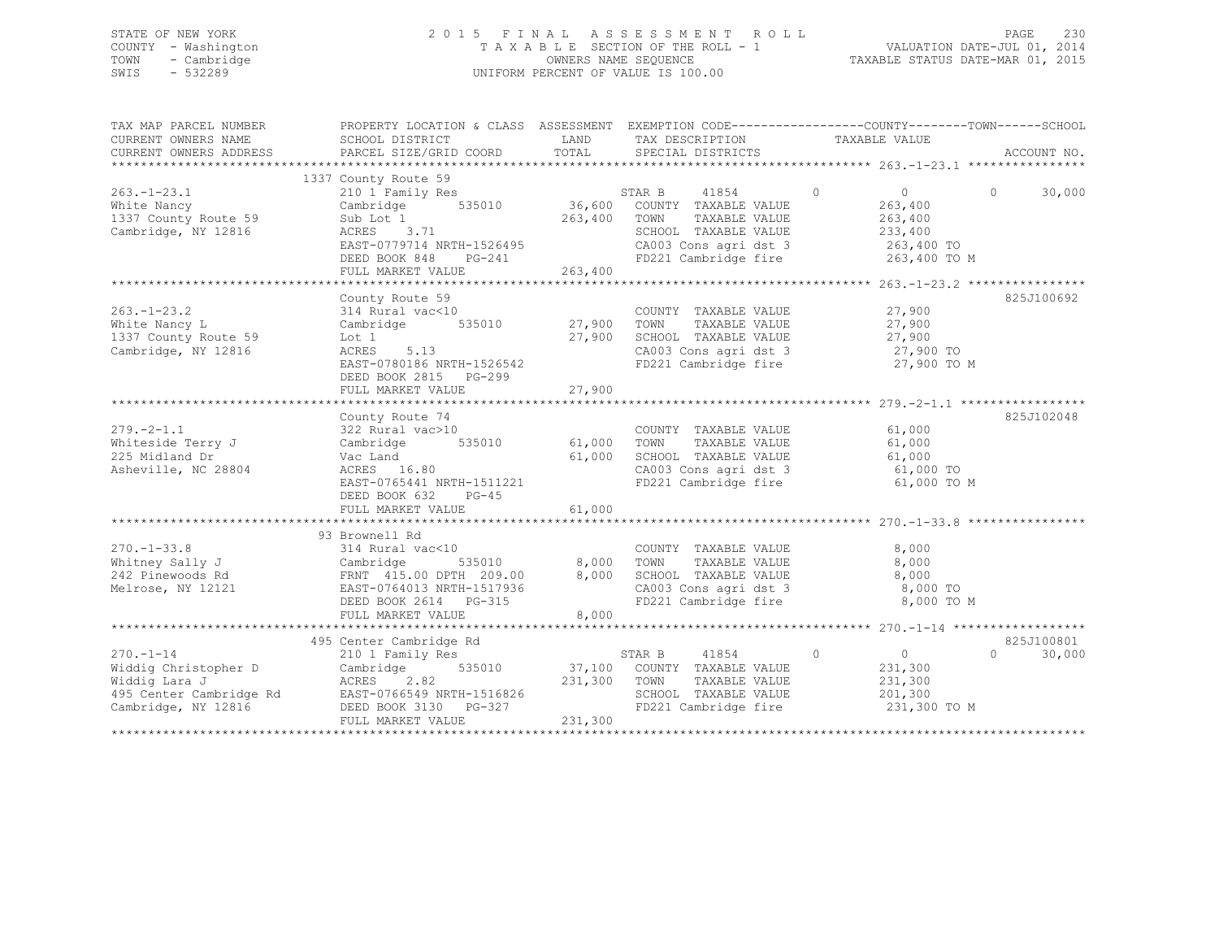## STATE OF NEW YORK 2 0 1 5 F I N A L A S S E S S M E N T R O L L PAGE 230 COUNTY - Washington T A X A B L E SECTION OF THE ROLL - 1 VALUATION DATE-JUL 01, 2014 TOWN - Cambridge OWNERS NAME SEQUENCE TAXABLE STATUS DATE-MAR 01, 2015 SWIS - 532289 UNIFORM PERCENT OF VALUE IS 100.00

| TAX MAP PARCEL NUMBER<br>CURRENT OWNERS NAME<br>CURRENT OWNERS ADDRESS                                     | PROPERTY LOCATION & CLASS ASSESSMENT EXEMPTION CODE---------------COUNTY-------TOWN-----SCHOOL<br>SCHOOL DISTRICT<br>PARCEL SIZE/GRID COORD                                                                          | LAND<br>TOTAL                            | TAX DESCRIPTION TAXABLE VALUE<br>SPECIAL DISTRICTS                                                                      |                                                                                                            | ACCOUNT NO.                      |
|------------------------------------------------------------------------------------------------------------|----------------------------------------------------------------------------------------------------------------------------------------------------------------------------------------------------------------------|------------------------------------------|-------------------------------------------------------------------------------------------------------------------------|------------------------------------------------------------------------------------------------------------|----------------------------------|
| $263. - 1 - 23.1$<br>White Nancy<br>1337 County Route 59<br>Cambridge, NY 12816                            | 1337 County Route 59<br>210 1 Family Res<br>535010<br>Cambridge<br>Sub Lot 1<br>ACRES 3.71<br>EAST-0779714 NRTH-1526495<br>DEED BOOK 848<br>$PG-241$<br>FULL MARKET VALUE                                            | 36,600<br>263,400<br>263,400             | STAR B<br>41854<br>COUNTY TAXABLE VALUE<br>TOWN<br>TAXABLE VALUE<br>SCHOOL TAXABLE VALUE<br>CA003 Cons agri dst 3       | $\Omega$<br>$\circ$<br>263,400<br>263,400<br>233,400<br>263,400 TO<br>FD221 Cambridge fire 263,400 TO M    | $\Omega$<br>30,000               |
| $263. - 1 - 23.2$<br>White Nancy L<br>1337 County Route 59<br>Cambridge, NY 12816                          | County Route 59<br>314 Rural vac<10<br>Cambridge<br>Lot 1<br>ACRES<br>5.13<br>EAST-0780186 NRTH-1526542<br>DEED BOOK 2815 PG-299<br>FULL MARKET VALUE                                                                | 535010 27,900<br>27,900<br>27,900        | COUNTY TAXABLE VALUE<br>TOWN<br>TAXABLE VALUE<br>SCHOOL TAXABLE VALUE<br>FD221 Cambridge fire                           | 27,900<br>27,900<br>27,900<br>CA003 Cons agri dst 3 27,900 TO<br>27,900 TO M                               | 825J100692                       |
| $279. - 2 - 1.1$<br>Whiteside Terry J<br>225 Midland Dr<br>Asheville, NC 28804                             | County Route 74<br>322 Rural vac>10<br>Cambridge<br>Vac Land<br>ACRES 16.80<br>EAST-0765441 NRTH-1511221<br>DEED BOOK 632<br>$PG-45$<br>FULL MARKET VALUE                                                            | 61,000<br>61,000                         | COUNTY TAXABLE VALUE<br>TOWN<br>TAXABLE VALUE<br>SCHOOL TAXABLE VALUE<br>CA003 Cons agri dst 3<br>FD221 Cambridge fire  | 61,000<br>61,000<br>61,000<br>61,000 TO<br>61,000 TO M                                                     | 825J102048                       |
| $270. - 1 - 33.8$<br>Whitney Sally J<br>242 Pinewoods Rd<br>Melrose, NY 12121                              | ***************************<br>93 Brownell Rd<br>314 Rural vac<10<br>535010<br>Cambriage<br>FRNT 415.00 DPTH 209.00<br>COCCO NETH-1517936<br>EAST-0764013 NRTH-1517936<br>DEED BOOK 2614 PG-315<br>FULL MARKET VALUE | *************<br>8,000<br>8,000<br>8,000 | COUNTY TAXABLE VALUE<br>TOWN<br>TAXABLE VALUE<br>SCHOOL TAXABLE VALUE<br>CA003 Cons agri dst 3<br>FD221 Cambridge fire  | ************************************ 270.-1-33.8 ****<br>8,000<br>8,000<br>8,000<br>8,000 TO<br>8,000 TO M |                                  |
| $270. - 1 - 14$<br>Widdig Christopher D<br>Widdig Lara J<br>495 Center Cambridge Rd<br>Cambridge, NY 12816 | 495 Center Cambridge Rd<br>210 1 Family Res<br>535010<br>Cambridge<br>2.82<br>ACRES<br>0700349 NKTH-1516826<br>DEED BOOK 3130 PG-327<br>FULL MARKET VALUE                                                            | 231,300<br>231,300                       | STAR B<br>41854<br>37,100 COUNTY TAXABLE VALUE<br>TOWN<br>TAXABLE VALUE<br>SCHOOL TAXABLE VALUE<br>FD221 Cambridge fire | $\overline{0}$<br>$\circ$<br>231,300<br>231,300<br>201,300<br>231,300 TO M                                 | 825J100801<br>30,000<br>$\Omega$ |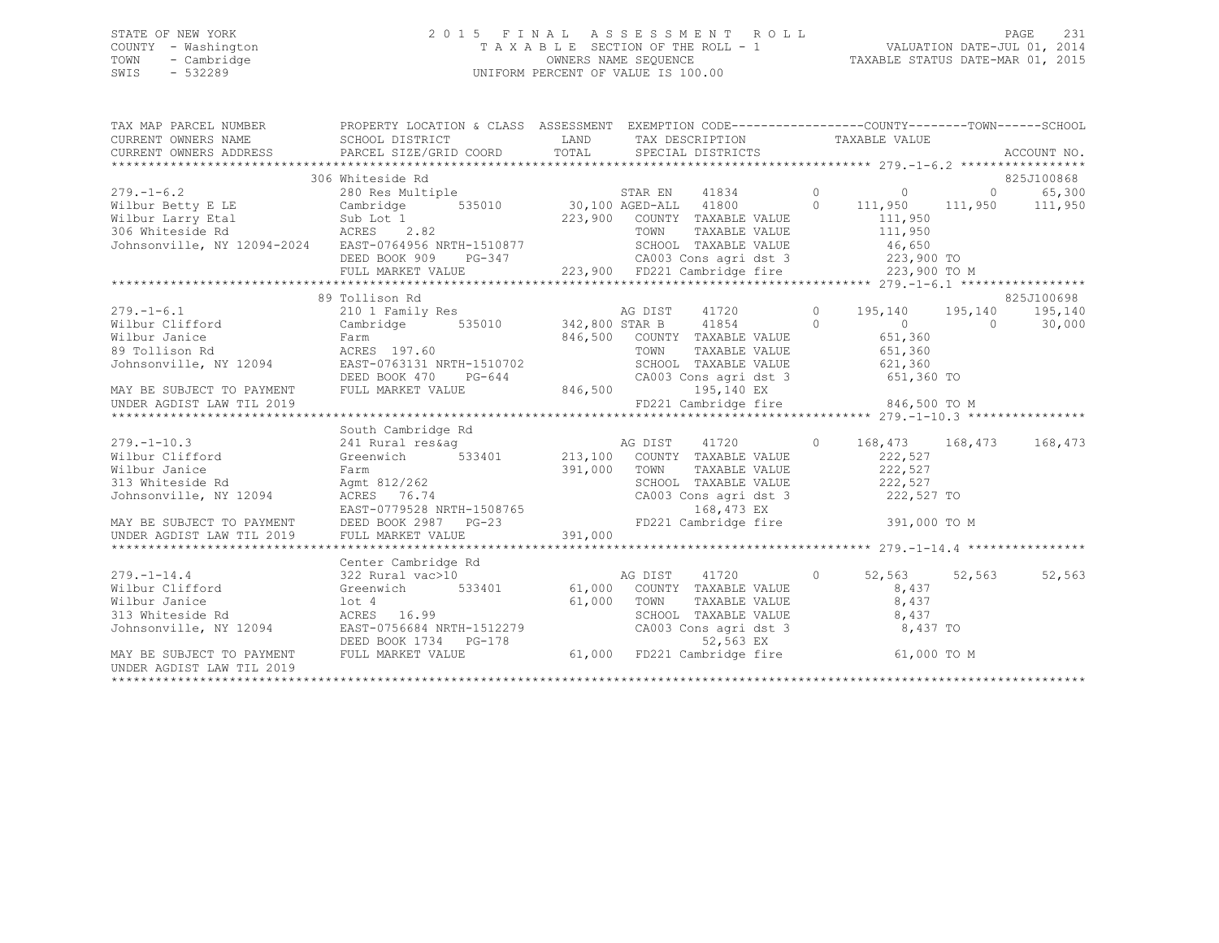## STATE OF NEW YORK PAGE 231<br>COUNTY - Washington 1 2015 FINAL ASSESSMENT ROLL - 1 VALUATION DATE-UL 1<br>2014 2015 2017 2018 COUNTY - Washington T A X A B L E SECTION OF THE ROLL - 1 TOWN - Cambridge OWNERS NAME SEQUENCE TAXABLE STATUS DATE-MAR 01, 2015 UNIFORM PERCENT OF VALUE IS 100.00

| TAX MAP PARCEL NUMBER                                                                                                                                                                                                                                                                                                     | PROPERTY LOCATION & CLASS ASSESSMENT EXEMPTION CODE-----------------COUNTY-------TOWN------SCHOOL |               |                                                                    |                         |                                 |                 |
|---------------------------------------------------------------------------------------------------------------------------------------------------------------------------------------------------------------------------------------------------------------------------------------------------------------------------|---------------------------------------------------------------------------------------------------|---------------|--------------------------------------------------------------------|-------------------------|---------------------------------|-----------------|
|                                                                                                                                                                                                                                                                                                                           |                                                                                                   |               |                                                                    |                         |                                 |                 |
|                                                                                                                                                                                                                                                                                                                           | 306 Whiteside Rd                                                                                  |               |                                                                    |                         |                                 | 825J100868      |
| 279.-1-6.2<br>Wilbur Betty E LE Cambridge 535010 30,100 AGED-ALL 41800 0 111,950<br>Wilbur Larry Etal Sub Lot 1 223,900 COUNTY TAXABLE VALUE 111,950<br>306 Whiteside Rd ACRES 2.82 TOWN TAXABLE VALUE 111,950<br>306 Whiteside Rd AC                                                                                     |                                                                                                   |               |                                                                    |                         | $\begin{matrix}0&0\end{matrix}$ | 65,300          |
|                                                                                                                                                                                                                                                                                                                           |                                                                                                   |               |                                                                    |                         |                                 | 111,950 111,950 |
|                                                                                                                                                                                                                                                                                                                           |                                                                                                   |               |                                                                    |                         |                                 |                 |
|                                                                                                                                                                                                                                                                                                                           |                                                                                                   |               |                                                                    |                         |                                 |                 |
|                                                                                                                                                                                                                                                                                                                           | $PG-347$                                                                                          |               |                                                                    |                         |                                 |                 |
|                                                                                                                                                                                                                                                                                                                           | DEED BOOK 909                                                                                     |               |                                                                    |                         |                                 |                 |
|                                                                                                                                                                                                                                                                                                                           |                                                                                                   |               |                                                                    |                         |                                 |                 |
|                                                                                                                                                                                                                                                                                                                           | 89 Tollison Rd                                                                                    |               |                                                                    |                         |                                 | 825J100698      |
|                                                                                                                                                                                                                                                                                                                           |                                                                                                   |               | AG DIST 41720 0                                                    | 195,140 195,140 195,140 |                                 |                 |
| 279.-1-6.1 210 1 Family Res 342,800 STAR B 41854 0<br>Wilbur Clifford Cambridge 535010 342,800 STAR B 41854 0                                                                                                                                                                                                             |                                                                                                   |               |                                                                    | $\overline{0}$          | $\Omega$                        | 30,000          |
|                                                                                                                                                                                                                                                                                                                           |                                                                                                   |               |                                                                    | 651,360                 |                                 |                 |
|                                                                                                                                                                                                                                                                                                                           |                                                                                                   |               |                                                                    |                         |                                 |                 |
|                                                                                                                                                                                                                                                                                                                           |                                                                                                   |               | TOWN      TAXABLE VALUE<br>SCHOOL   TAXABLE VALUE                  | 651,360<br>621,360      |                                 |                 |
|                                                                                                                                                                                                                                                                                                                           | DEED BOOK 470<br>PG-644                                                                           |               | CA003 Cons agri dst 3                                              | $651,360$ TO            |                                 |                 |
| MAY BE SUBJECT TO PAYMENT FULL MARKET VALUE                                                                                                                                                                                                                                                                               |                                                                                                   | 846,500       | 195,140 EX                                                         |                         |                                 |                 |
| UNDER AGDIST LAW TIL 2019                                                                                                                                                                                                                                                                                                 |                                                                                                   |               | FD221 Cambridge fire                                               | 846,500 TO M            |                                 |                 |
|                                                                                                                                                                                                                                                                                                                           |                                                                                                   |               |                                                                    |                         |                                 |                 |
|                                                                                                                                                                                                                                                                                                                           | South Cambridge Rd                                                                                |               |                                                                    |                         |                                 |                 |
| $279. - 1 - 10.3$                                                                                                                                                                                                                                                                                                         |                                                                                                   |               | 41720 0                                                            | 168,473 168,473         |                                 | 168,473         |
| Wilbur Clifford                                                                                                                                                                                                                                                                                                           |                                                                                                   |               |                                                                    | 222,527                 |                                 |                 |
|                                                                                                                                                                                                                                                                                                                           |                                                                                                   |               | TOWN<br>TAXABLE VALUE                                              | 222,527                 |                                 |                 |
|                                                                                                                                                                                                                                                                                                                           |                                                                                                   |               | SCHOOL TAXABLE VALUE 222,527                                       |                         |                                 |                 |
|                                                                                                                                                                                                                                                                                                                           |                                                                                                   |               | CA003 Cons agri dst 3 222,527 TO                                   |                         |                                 |                 |
|                                                                                                                                                                                                                                                                                                                           |                                                                                                   |               | 168,473 EX                                                         |                         |                                 |                 |
|                                                                                                                                                                                                                                                                                                                           |                                                                                                   |               | FD221 Cambridge fire 391,000 TO M                                  |                         |                                 |                 |
| Wilbur Clifford<br>Wilbur Janice Farm<br>391,000<br>313 Whiteside Rd Agmt 812/262<br>391,000<br>391,000<br>2987 PG-23<br>2000<br>2987 PG-23<br>2011<br>2011<br>2011<br>2013<br>2011<br>2013<br>2013<br>2013<br>2014<br>2021<br>2021<br>2022<br>2022<br>2022<br>2023<br>2023<br>2                                          |                                                                                                   |               |                                                                    |                         |                                 |                 |
|                                                                                                                                                                                                                                                                                                                           |                                                                                                   |               |                                                                    |                         |                                 |                 |
|                                                                                                                                                                                                                                                                                                                           | Center Cambridge Rd                                                                               | xa<br>AG DIST |                                                                    |                         |                                 |                 |
| $279. - 1 - 14.4$<br>Wilbur Clifford                                                                                                                                                                                                                                                                                      | 322 Rural vac>10<br>Greenwich 533401 61,000 COUNTY TAXABLE VALUE                                  |               | 41720<br>$\sim$ 0                                                  | 52,563 52,563           |                                 | 52,563          |
| Wilbur Janice                                                                                                                                                                                                                                                                                                             |                                                                                                   |               | TOWN                                                               | 8,437<br>8,437          |                                 |                 |
|                                                                                                                                                                                                                                                                                                                           | lot 4 61,000<br>ACRES 16.99 61,000                                                                |               | TAXABLE VALUE                                                      |                         |                                 |                 |
|                                                                                                                                                                                                                                                                                                                           |                                                                                                   |               |                                                                    |                         |                                 |                 |
|                                                                                                                                                                                                                                                                                                                           |                                                                                                   |               | TOWN<br>SCHOOL TAXABLE VALUE<br>CA003 Cons agri dst 3<br>52.563 EX |                         |                                 |                 |
| 313 Whiteside Rd<br>313 Whiteside Rd 3<br>313 Whiteside Rd 3<br>313 Whiteside Rd 3<br>313 Whiteside Rd 3<br>313 Whiteside Rd 3<br>313 Whiteside Rd 3<br>313 Whiteside Rd 3<br>313 Whiteside Rd 3<br>313 Whiteside Rd 3<br>313 Whiteside Rd 3<br>313<br>$\verb MAX BE SUBJECT TO PAYMENT \hspace{1.5cm} FULL MARKET VALUE$ |                                                                                                   |               |                                                                    |                         |                                 |                 |
| UNDER AGDIST LAW TIL 2019                                                                                                                                                                                                                                                                                                 |                                                                                                   |               |                                                                    |                         |                                 |                 |
|                                                                                                                                                                                                                                                                                                                           |                                                                                                   |               |                                                                    |                         |                                 |                 |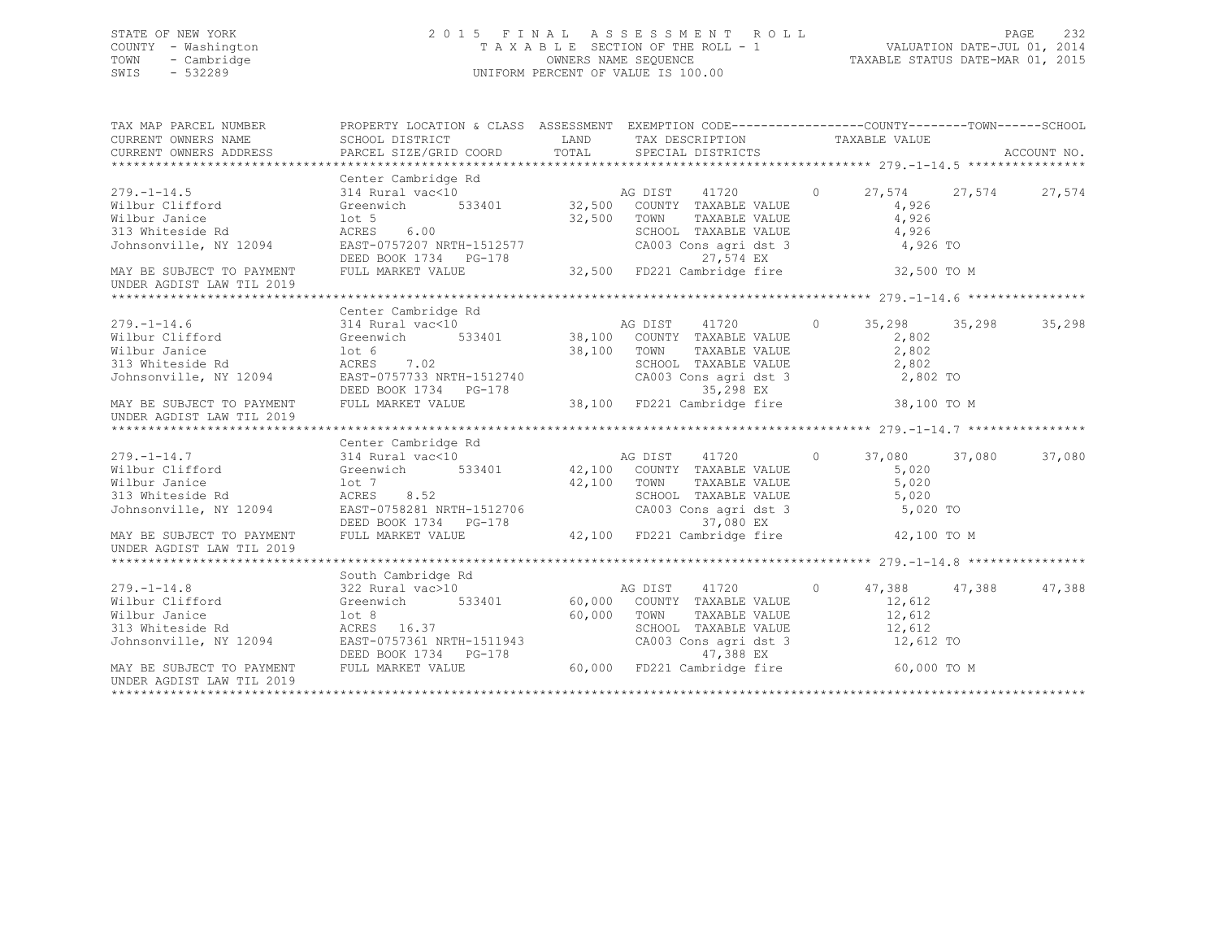## STATE OF NEW YORK 2 0 1 5 F I N A L A S S E S S M E N T R O L L PAGE 232 COUNTY - Washington T A X A B L E SECTION OF THE ROLL - 1 VALUATION DATE-JUL 01, 2014 TOWN - Cambridge OWNERS NAME SEQUENCE TAXABLE STATUS DATE-MAR 01, 2015 SWIS - 532289 UNIFORM PERCENT OF VALUE IS 100.00

| TAX MAP PARCEL NUMBER<br>CURRENT OWNERS NAME<br>CURRENT OWNERS NAME<br>CURRENT OWNERS ADDRESS                                                                                                                                                                                   | PROPERTY LOCATION & CLASS ASSESSMENT EXEMPTION CODE----------------COUNTY-------TOWN-----SCHOOL |               |                                                                    |                      |        |
|---------------------------------------------------------------------------------------------------------------------------------------------------------------------------------------------------------------------------------------------------------------------------------|-------------------------------------------------------------------------------------------------|---------------|--------------------------------------------------------------------|----------------------|--------|
|                                                                                                                                                                                                                                                                                 |                                                                                                 |               |                                                                    |                      |        |
|                                                                                                                                                                                                                                                                                 | Center Cambridge Rd                                                                             |               |                                                                    |                      |        |
| $279. - 1 - 14.5$<br>279.-1-14.5<br>Wilbur Clifford                                                                                                                                                                                                                             | 314 Rural vac<10 $\overline{)$ AG DIST 41720 0<br>Greenwich 533401 32,500 COUNTY TAXABLE VALUE  |               |                                                                    | 27,574 27,574 27,574 |        |
|                                                                                                                                                                                                                                                                                 |                                                                                                 |               |                                                                    | 4,926                |        |
|                                                                                                                                                                                                                                                                                 |                                                                                                 |               | TAXABLE VALUE                                                      | 4,926                |        |
| Wilbur Janice<br>32,500 TOWN<br>313 Whiteside Rd<br>32,500 SCHOC<br>32,500 SCHOC<br>32,500 SCHOC<br>32,500 SCHOC<br>32,500 SCHOC<br>32,500 SCHOC<br>32,500 SCHOC                                                                                                                |                                                                                                 |               |                                                                    |                      |        |
|                                                                                                                                                                                                                                                                                 | DEED BOOK 1734 PG-178 $27,574$ EX<br>FULL MARKET VALUE 32,500 FD221 Cambridge fire 32,500 TO M  |               | CHOOL TAXABLE VALUE<br>CA003 Cons agri dst 3 4,926 TO<br>27 574 EX |                      |        |
| MAY BE SUBJECT TO PAYMENT                                                                                                                                                                                                                                                       |                                                                                                 |               |                                                                    |                      |        |
| UNDER AGDIST LAW TIL 2019                                                                                                                                                                                                                                                       |                                                                                                 |               |                                                                    |                      |        |
|                                                                                                                                                                                                                                                                                 |                                                                                                 |               |                                                                    |                      |        |
|                                                                                                                                                                                                                                                                                 | Center Cambridge Rd                                                                             |               |                                                                    |                      |        |
|                                                                                                                                                                                                                                                                                 |                                                                                                 |               |                                                                    |                      |        |
|                                                                                                                                                                                                                                                                                 |                                                                                                 |               |                                                                    |                      |        |
|                                                                                                                                                                                                                                                                                 |                                                                                                 |               |                                                                    |                      |        |
|                                                                                                                                                                                                                                                                                 |                                                                                                 |               |                                                                    |                      |        |
|                                                                                                                                                                                                                                                                                 |                                                                                                 |               |                                                                    |                      |        |
|                                                                                                                                                                                                                                                                                 |                                                                                                 |               |                                                                    |                      |        |
| UNDER AGDIST LAW TIL 2019                                                                                                                                                                                                                                                       |                                                                                                 |               |                                                                    |                      |        |
|                                                                                                                                                                                                                                                                                 |                                                                                                 |               |                                                                    |                      |        |
|                                                                                                                                                                                                                                                                                 | Center Cambridge Rd                                                                             |               |                                                                    |                      |        |
|                                                                                                                                                                                                                                                                                 |                                                                                                 |               |                                                                    | 37,080 37,080        | 37,080 |
|                                                                                                                                                                                                                                                                                 |                                                                                                 |               |                                                                    | 5,020                |        |
|                                                                                                                                                                                                                                                                                 |                                                                                                 | $42,100$ TOWN | TAXABLE VALUE                                                      | 5,020                |        |
| Wilbur Janice<br>Nilbur Janice<br>313 Whiteside Rd<br>Johnsonville, NY 12094                                                                                                                                                                                                    | $\frac{1}{\text{CRES}}$ 8.52                                                                    |               |                                                                    |                      |        |
|                                                                                                                                                                                                                                                                                 |                                                                                                 |               | SCHOOL TAXABLE VALUE 5,020<br>CA003 Consagri dst 3 5,020           | 5,020 TO             |        |
|                                                                                                                                                                                                                                                                                 | EAST-0758281 NRTH-1512706<br>DEED BOOK 1734 PG-178                                              |               | 37,080 EX                                                          |                      |        |
| MAY BE SUBJECT TO PAYMENT<br>UNDER AGDIST LAW TIL 2019                                                                                                                                                                                                                          | FULL MARKET VALUE                                                                               |               | 42,100 FD221 Cambridge fire 42,100 TO M                            |                      |        |
|                                                                                                                                                                                                                                                                                 |                                                                                                 |               |                                                                    |                      |        |
|                                                                                                                                                                                                                                                                                 |                                                                                                 |               |                                                                    |                      |        |
|                                                                                                                                                                                                                                                                                 | 322 Rural vac>10                                                                                |               |                                                                    | 47,388 47,388 47,388 |        |
|                                                                                                                                                                                                                                                                                 |                                                                                                 |               |                                                                    | 12,612               |        |
| 279.-1-14.8<br>Wilbur Clifford<br>Wilbur Janice                                                                                                                                                                                                                                 |                                                                                                 |               | TAXABLE VALUE 12, 612                                              |                      |        |
|                                                                                                                                                                                                                                                                                 |                                                                                                 |               |                                                                    |                      |        |
|                                                                                                                                                                                                                                                                                 |                                                                                                 |               |                                                                    |                      |        |
|                                                                                                                                                                                                                                                                                 |                                                                                                 |               |                                                                    |                      |        |
| Wilbur Janice 12,612<br>Milbur Janice 12,612<br>313 Whiteside Rd ACRES 16.37<br>313 Whiteside Rd ACRES 16.37<br>313 Whiteside Rd ACRES 16.37<br>313 Whiteside Rd ACRES 16.37<br>313 Whiteside Rd ACRES 16.37<br>32,612<br>32,612<br>32,612<br>32,6<br>UNDER AGDIST LAW TIL 2019 |                                                                                                 |               |                                                                    |                      |        |
|                                                                                                                                                                                                                                                                                 |                                                                                                 |               |                                                                    |                      |        |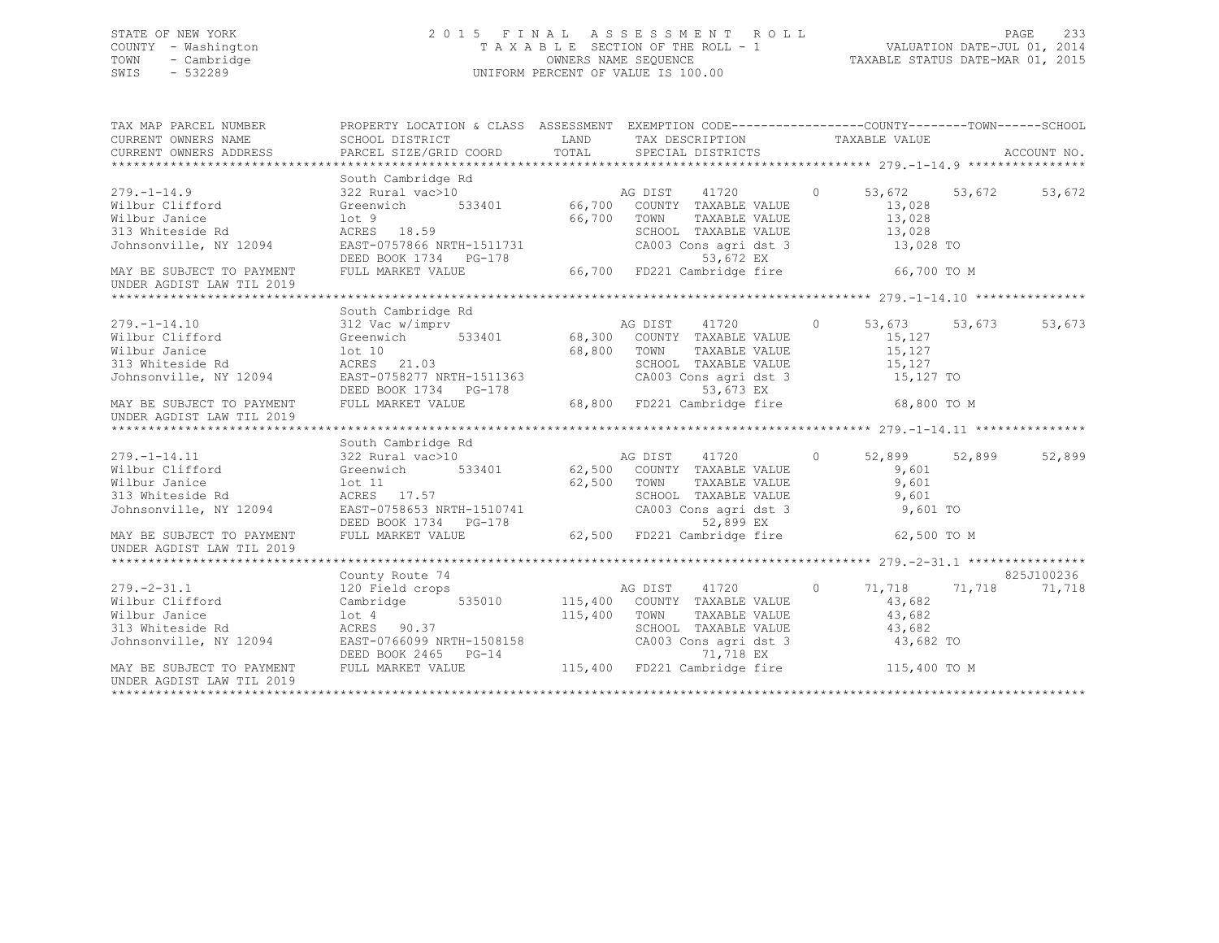## STATE OF NEW YORK 2 0 1 5 F I N A L A S S E S S M E N T R O L L PAGE 233 COUNTY - Washington T A X A B L E SECTION OF THE ROLL - 1 VALUATION DATE-JUL 01, 2014 TOWN - Cambridge OWNERS NAME SEQUENCE TAXABLE STATUS DATE-MAR 01, 2015 SWIS - 532289 UNIFORM PERCENT OF VALUE IS 100.00

| TAX MAP PARCEL NUMBER<br>CURRENT OWNERS NAME<br>CURRENT OWNERS ADDRESS                                                                                                                                                                                                                                                                                                                                                                                                  | PROPERTY LOCATION & CLASS ASSESSMENT EXEMPTION CODE----------------COUNTY-------TOWN-----SCHOOL<br>SCHOOL DISTRICT<br>PARCEL SIZE/GRID COORD               | LAND<br>TOTAL | TAX DESCRIPTION TAXABLE VALUE<br>SPECIAL DISTRICTS                                       |          |                                             |            |
|-------------------------------------------------------------------------------------------------------------------------------------------------------------------------------------------------------------------------------------------------------------------------------------------------------------------------------------------------------------------------------------------------------------------------------------------------------------------------|------------------------------------------------------------------------------------------------------------------------------------------------------------|---------------|------------------------------------------------------------------------------------------|----------|---------------------------------------------|------------|
| $279. - 1 - 14.9$<br>Wilbur Clifford<br>Wilbur Janice                                                                                                                                                                                                                                                                                                                                                                                                                   | South Cambridge Rd<br>322 Rural vac>10<br>lot <sub>9</sub><br>ACRES 18.59                                                                                  | 66,700        | AG DIST 41720<br>TOWN<br>TAXABLE VALUE<br>SCHOOL TAXABLE VALUE                           | $\Omega$ | 53,672 53,672<br>13,028<br>13,028<br>13,028 | 53,672     |
| 313 Whiteside Rd<br>Johnsonville, NY 12094                                                                                                                                                                                                                                                                                                                                                                                                                              | EAST-0757866 NRTH-1511731<br>DEED BOOK 1734 PG-178                                                                                                         |               | SCHOOL TAXABLE VALUE<br>CA003 Cons agri dst 3<br>53,672 EX                               |          | 13,028 TO                                   |            |
| MAY BE SUBJECT TO PAYMENT<br>UNDER AGDIST LAW TIL 2019                                                                                                                                                                                                                                                                                                                                                                                                                  | FULL MARKET VALUE                                                                                                                                          |               | 66,700 FD221 Cambridge fire                                                              |          | 66,700 TO M                                 |            |
|                                                                                                                                                                                                                                                                                                                                                                                                                                                                         |                                                                                                                                                            |               |                                                                                          |          |                                             |            |
| $279. - 1 - 14.10$                                                                                                                                                                                                                                                                                                                                                                                                                                                      | South Cambridge Rd<br>312 Vac w/imprv                                                                                                                      |               | Rd<br>AG DIST 41720 0<br>533401 68,300 COUNTY TAXABLE VALUE                              |          | 53,673 53,673                               | 53,673     |
| Wilbur Clifford<br>Wilbur Janice                                                                                                                                                                                                                                                                                                                                                                                                                                        | Greenwich<br>lot 10<br>ACRES 21.03                                                                                                                         | 68,800        | TOWN<br>TAXABLE VALUE<br>SCHOOL TAXABLE VALUE                                            |          | 15,127<br>15,127<br>15,127                  |            |
| 313 Whiteside Rd<br>Johnsonville, NY 12094                                                                                                                                                                                                                                                                                                                                                                                                                              | ACRES 21.03<br>EAST-0758277 NRTH-1511363                                                                                                                   |               | CA003 Cons agri dst 3                                                                    |          | 15,127 TO                                   |            |
| MAY BE SUBJECT TO PAYMENT<br>UNDER AGDIST LAW TIL 2019                                                                                                                                                                                                                                                                                                                                                                                                                  | EAST-0756277 NKIN-1511565<br>DEED BOOK 1734 PG-178<br>FULL MARKET VALUE 68,800 FD221 Cambridge fire 68,800 TO M                                            |               |                                                                                          |          |                                             |            |
|                                                                                                                                                                                                                                                                                                                                                                                                                                                                         |                                                                                                                                                            |               |                                                                                          |          |                                             |            |
|                                                                                                                                                                                                                                                                                                                                                                                                                                                                         | South Cambridge Rd                                                                                                                                         |               |                                                                                          |          |                                             |            |
| $\begin{array}{ll}\n & - & \text{} \\  \text{Wilbur Clifford} \\  & \text{Wilh} \\  \text{} \\  & \text{} \\  & \text{} \\  & \text{} \\  & \text{} \\  & \text{} \\  & \text{} \\  & \text{} \\  & \text{} \\  & \text{} \\  & \text{} \\  & \text{} \\  & \text{} \\  & \text{} \\  & \text{} \\  & \text{} \\  & \text{} \\  & \text{} \\  & \text{} \\  & \text{} \\  & \text{} \\  & \text{} \\  & \text{} \\  & \text{} \\  & \text{} \\  & \text{} \\  & \text{$ | $322$ Rural vac $>10$<br>Greenwich 533401 62,500 COUNTY TAXABLE VALUE<br>322 Rural vac>10                                                                  |               |                                                                                          | $\Omega$ | 52,899 52,899                               | 52,899     |
|                                                                                                                                                                                                                                                                                                                                                                                                                                                                         |                                                                                                                                                            |               |                                                                                          |          | 9,601                                       |            |
| Wilbur Janice                                                                                                                                                                                                                                                                                                                                                                                                                                                           | lot 11                                                                                                                                                     | 62,500        | TOWN<br>TAXABLE VALUE                                                                    |          | 9,601                                       |            |
| 313 Whiteside Rd                                                                                                                                                                                                                                                                                                                                                                                                                                                        | ACRES 17.57<br>EAST-0758653 NRTH-1510741                                                                                                                   |               | SCHOOL TAXABLE VALUE                                                                     |          | 9,601                                       |            |
| Johnsonville, NY 12094                                                                                                                                                                                                                                                                                                                                                                                                                                                  | DEED BOOK 1734 PG-178                                                                                                                                      |               | CA003 Cons agri dst 3<br>52,899 EX                                                       |          | 9,601 TO                                    |            |
| MAY BE SUBJECT TO PAYMENT<br>UNDER AGDIST LAW TIL 2019                                                                                                                                                                                                                                                                                                                                                                                                                  | FULL MARKET VALUE                                                                                                                                          |               | 62,500 FD221 Cambridge fire                                                              |          | 62,500 TO M                                 |            |
|                                                                                                                                                                                                                                                                                                                                                                                                                                                                         |                                                                                                                                                            |               |                                                                                          |          |                                             | 825J100236 |
| $279. - 2 - 31.1$                                                                                                                                                                                                                                                                                                                                                                                                                                                       | County Route 74                                                                                                                                            |               |                                                                                          | $\circ$  |                                             | 71,718     |
| Wilbur Clifford                                                                                                                                                                                                                                                                                                                                                                                                                                                         | 120 Field crops<br>535010                                                                                                                                  |               |                                                                                          |          | 71,718 71,718<br>43,682                     |            |
|                                                                                                                                                                                                                                                                                                                                                                                                                                                                         | Cambridge                                                                                                                                                  |               | AG DIST $41/zv$<br>AG DIST $41/zv$<br>AG DIST TAXABLE VALUE 115,400 COUNTY TAXABLE VALUE |          |                                             |            |
| Wilbur Janice                                                                                                                                                                                                                                                                                                                                                                                                                                                           | lot <sub>4</sub>                                                                                                                                           |               |                                                                                          |          | 43,682                                      |            |
| 313 Whiteside Rd<br>Johnsonville, NY 12094                                                                                                                                                                                                                                                                                                                                                                                                                              | ACRES 90.37                                                                                                                                                |               | SCHOOL TAXABLE VALUE                                                                     |          | 43,682                                      |            |
|                                                                                                                                                                                                                                                                                                                                                                                                                                                                         |                                                                                                                                                            |               |                                                                                          |          |                                             |            |
| MAY BE SUBJECT TO PAYMENT<br>UNDER AGDIST LAW TIL 2019                                                                                                                                                                                                                                                                                                                                                                                                                  | EAST-0766099 NRTH-1508158 CA003 Cons agri dst 3 43,682 TO<br>DEED BOOK 2465 PG-14 71,718 EX<br>FULL MARKET VALUE 115,400 FD221 Cambridge fire 115,400 TO M |               |                                                                                          |          |                                             |            |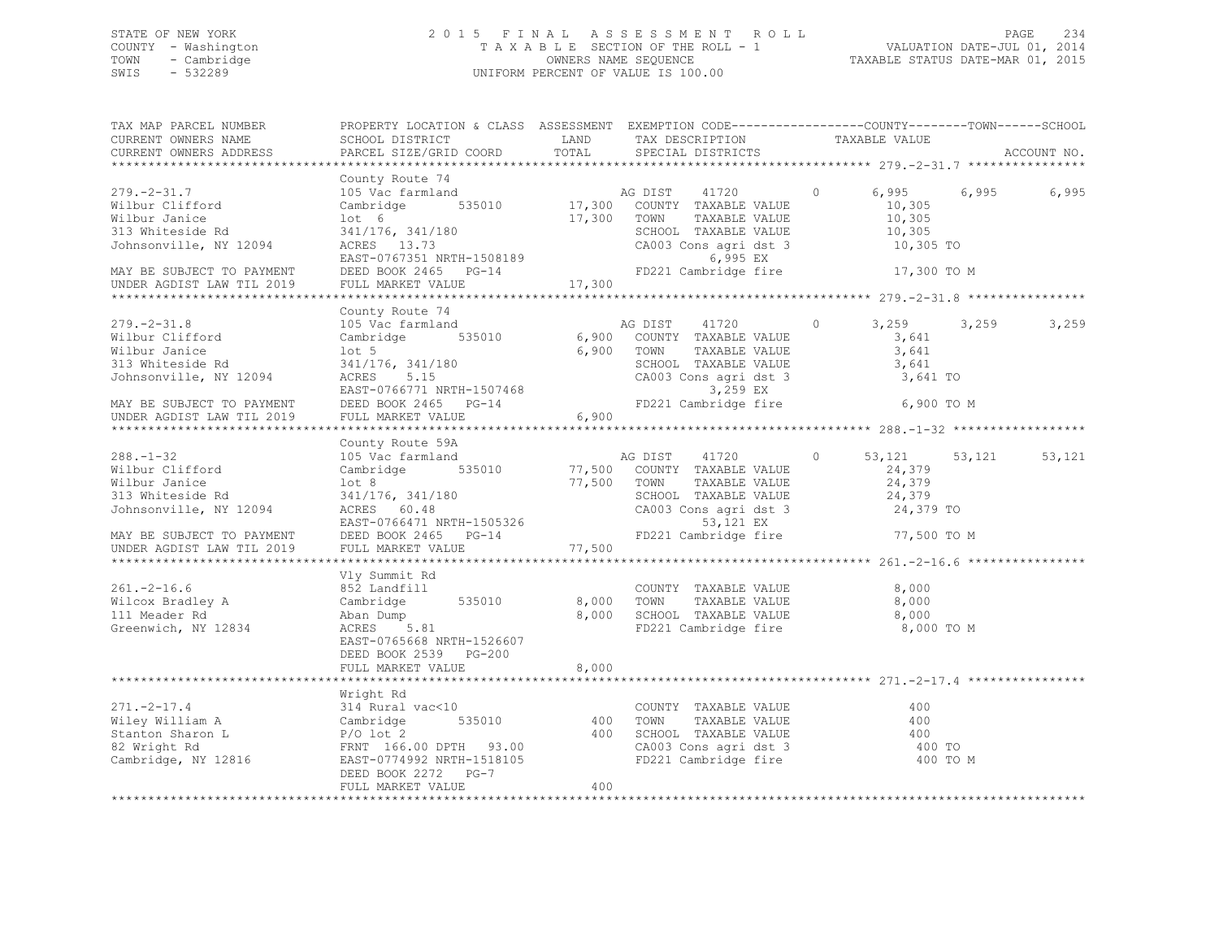## STATE OF NEW YORK 2 0 1 5 F I N A L A S S E S S M E N T R O L L PAGE 234 COUNTY - Washington T A X A B L E SECTION OF THE ROLL - 1 VALUATION DATE-JUL 01, 2014 TOWN - Cambridge OWNERS NAME SEQUENCE TAXABLE STATUS DATE-MAR 01, 2015 SWIS - 532289 UNIFORM PERCENT OF VALUE IS 100.00

| TAX MAP PARCEL NUMBER<br>CURRENT OWNERS NAME<br>CURRENT OWNERS ADDRESS                                                                                                                                                                                                                     | PROPERTY LOCATION & CLASS ASSESSMENT EXEMPTION CODE---------------COUNTY-------TOWN------SCHOOL<br>SCHOOL DISTRICT TAND TAX DESCRIPTION<br>PARCEL SIZE/GRID COORD                                                                                                          | TOTAL | SPECIAL DISTRICTS                                                                                                                                                      | TAXABLE VALUE                    |                         | ACCOUNT NO. |
|--------------------------------------------------------------------------------------------------------------------------------------------------------------------------------------------------------------------------------------------------------------------------------------------|----------------------------------------------------------------------------------------------------------------------------------------------------------------------------------------------------------------------------------------------------------------------------|-------|------------------------------------------------------------------------------------------------------------------------------------------------------------------------|----------------------------------|-------------------------|-------------|
|                                                                                                                                                                                                                                                                                            |                                                                                                                                                                                                                                                                            |       |                                                                                                                                                                        |                                  |                         |             |
| $279. - 2 - 31.7$<br>Wilbur Clifford<br>Wilbur Janice<br>313 Whiteside Rd<br>Johnsonville, NY 12094<br>MAY BE SUBJECT TO PAYMENT<br>UNDER AGDIST LAW TIL 2019                                                                                                                              | County Route 74<br>County Route 74<br>105 Vac farmland<br>205 Vac farmland<br>205 Vac farmland<br>205 Vac farmland<br>205 Vac farmland<br>205 Vac farmland<br>205 S35010<br>17,300 COUNTY TAXABLE VALUE<br>205 SCHOOL TAXABLE VALUE<br>207,305<br>2003 CONS agri dst 3<br> |       |                                                                                                                                                                        |                                  |                         | 6,995       |
|                                                                                                                                                                                                                                                                                            |                                                                                                                                                                                                                                                                            |       |                                                                                                                                                                        |                                  |                         |             |
| $279. - 2 - 31.8$<br>Wilbur Clifford<br>Wilbur Janice<br>313 Whiteside Rd<br>Johnsonville, NY 12094<br>EXET-0766771 NRTH-1507468<br>MAY BE SUBJECT TO PAYMENT DEED BOOK 2465 PG-14 FD<br>UNDER AGDIST LAW TIL 2019 FULL MARKET VALUE 6,900                                                 | County Route 74<br>County Route 74<br>105 Vac farmland<br>Cambridge 535010 6,900 COUNTY TAXABLE VALUE<br>lot 5<br>341/176, 341/180<br>ACRES 5.15                                                                                                                           |       | AG DIST 41720 0<br>6,900 TOWN<br>TAXABLE VALUE<br>SCHOOL TAXABLE VALUE 3,641<br>CA003 Cons agri dst 3 3,641 TO<br>3,259 EX 3,641 TO<br>FD221 Cambridge fire 6,900 TO M | 3,259 3,259<br>3,641<br>3,641    |                         | 3,259       |
|                                                                                                                                                                                                                                                                                            | County Route 59A                                                                                                                                                                                                                                                           |       |                                                                                                                                                                        |                                  |                         |             |
| $288. -1 - 32$<br>Wilbur Clifford<br>Wilbur Ter'<br>Wilbur Clifford Cambridge 535010 $\mu$ , 500 COUNTI IAAADLE VALUE<br>313 Whiteside Rd 341/176, 341/180 77,500 TOWN TAXABLE VALUE<br>313 Whiteside Rd 341/176, 341/180 SCHOOL TAXABLE VALUE<br>313 Whiteside Rd 341/176, 341/180 SCHOOL | 105 Vac farmland<br>Cambridge 535010 77,500 COUNTY TAXABLE VALUE                                                                                                                                                                                                           |       | AG DIST 41720<br>TOWN TAXABLE VALUE 24,379<br>SCHOOL TAXABLE VALUE 24,379<br>CA003 Cons agri dst 3 24,379<br>53,121 EX 24,379                                          | $\circ$<br>24,379<br>77,500 TO M | 53, 121 53, 121 53, 121 |             |
|                                                                                                                                                                                                                                                                                            |                                                                                                                                                                                                                                                                            |       |                                                                                                                                                                        |                                  |                         |             |
| $261. -2 - 16.6$<br>Wilcox Bradley A<br>111 Meader Rd<br>Greenwich, NY 12834                                                                                                                                                                                                               | Vly Summit Rd<br>852 Landfill<br>Cambridge 535010 8,000 TOWN TAXABLE VALUE 8,000<br>Aban Dump 8,000 SCHOOL TAXABLE VALUE 8,000<br>ACRES 5.81 FD221 Cambridge fire 8,000<br>EAST-0765668 NRTH-1526607<br>DEED BOOK 2539 PG-200<br>FULL MARKET VALUE                         | 8,000 | COUNTY TAXABLE VALUE<br>FD221 Cambridge fire                                                                                                                           | 8,000<br>8,000 TO M              |                         |             |
|                                                                                                                                                                                                                                                                                            |                                                                                                                                                                                                                                                                            |       |                                                                                                                                                                        |                                  |                         |             |
|                                                                                                                                                                                                                                                                                            | Wright Rd<br>DEED BOOK 2272 PG-7                                                                                                                                                                                                                                           |       |                                                                                                                                                                        |                                  |                         |             |
|                                                                                                                                                                                                                                                                                            | FULL MARKET VALUE                                                                                                                                                                                                                                                          | 400   |                                                                                                                                                                        |                                  |                         |             |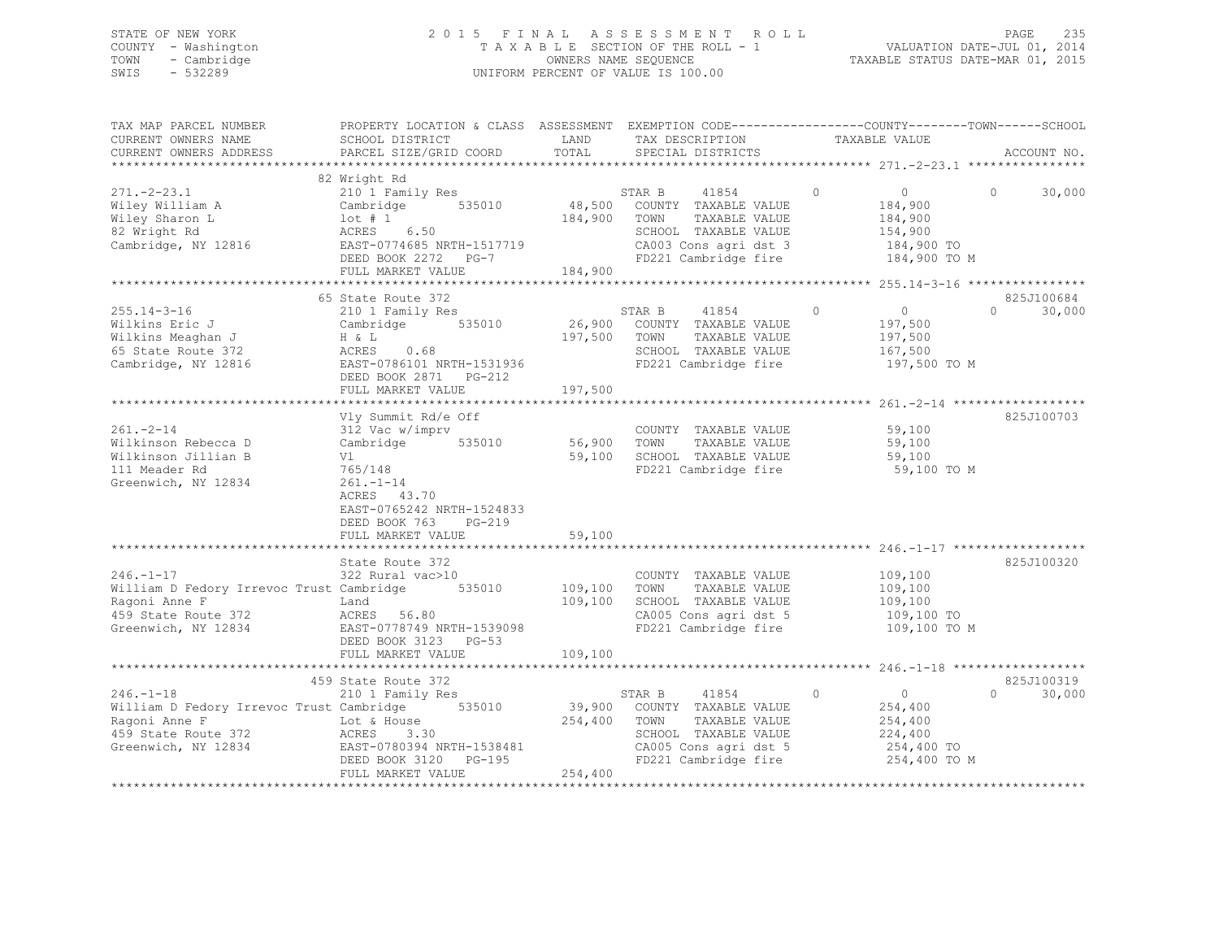## STATE OF NEW YORK 2 0 1 5 F I N A L A S S E S S M E N T R O L L PAGE 235 COUNTY - Washington T A X A B L E SECTION OF THE ROLL - 1 VALUATION DATE-JUL 01, 2014 TOWN - Cambridge OWNERS NAME SEQUENCE TAXABLE STATUS DATE-MAR 01, 2015 SWIS - 532289 UNIFORM PERCENT OF VALUE IS 100.00

| TAX MAP PARCEL NUMBER                           | PROPERTY LOCATION & CLASS ASSESSMENT EXEMPTION CODE----------------COUNTY-------TOWN------SCHOOL |              |                             |                           |                    |
|-------------------------------------------------|--------------------------------------------------------------------------------------------------|--------------|-----------------------------|---------------------------|--------------------|
| CURRENT OWNERS NAME                             | SCHOOL DISTRICT                                                                                  | LAND         | TAX DESCRIPTION             | TAXABLE VALUE             |                    |
| CURRENT OWNERS ADDRESS                          | PARCEL SIZE/GRID COORD                                                                           | TOTAL        | SPECIAL DISTRICTS           |                           | ACCOUNT NO.        |
|                                                 |                                                                                                  |              |                             |                           |                    |
|                                                 | 82 Wright Rd                                                                                     |              |                             |                           |                    |
| $271. - 2 - 23.1$                               | 210 1 Family Res                                                                                 |              | STAR B<br>41854             | $\Omega$<br>$\Omega$      | $\Omega$<br>30,000 |
| Wiley William A                                 | Cambridge<br>535010                                                                              |              | 48,500 COUNTY TAXABLE VALUE | 184,900                   |                    |
| Wiley Sharon L                                  | $1$ ot # 1                                                                                       | 184,900 TOWN | TAXABLE VALUE               | 184,900                   |                    |
| 82 Wright Rd                                    | ACRES<br>6.50                                                                                    |              | SCHOOL TAXABLE VALUE        | 154,900                   |                    |
| Cambridge, NY 12816                             | EAST-0774685 NRTH-1517719                                                                        |              | CA003 Cons agri dst 3       | 184,900 TO                |                    |
|                                                 | DEED BOOK 2272 PG-7                                                                              |              | FD221 Cambridge fire        | 184,900 TO M              |                    |
|                                                 | FULL MARKET VALUE                                                                                | 184,900      |                             |                           |                    |
|                                                 |                                                                                                  |              |                             |                           |                    |
|                                                 | 65 State Route 372                                                                               |              |                             |                           | 825J100684         |
| $255.14 - 3 - 16$                               | 210 1 Family Res                                                                                 |              | 41854<br>STAR B             | $\circ$<br>$\overline{0}$ | 30,000<br>$\Omega$ |
| Wilkins Eric J                                  | Cambridge 535010                                                                                 |              | 26,900 COUNTY TAXABLE VALUE | 197,500                   |                    |
|                                                 | H & L                                                                                            | 197,500 TOWN | TAXABLE VALUE               | 197,500                   |                    |
| Wilkins Meaghan J<br>65 State Route 372         | ACRES 0.68                                                                                       |              | SCHOOL TAXABLE VALUE        | 167,500                   |                    |
| Cambridge, NY 12816                             | EAST-0786101 NRTH-1531936                                                                        |              | FD221 Cambridge fire        | 197,500 TO M              |                    |
|                                                 | DEED BOOK 2871<br>PG-212                                                                         |              |                             |                           |                    |
|                                                 | FULL MARKET VALUE                                                                                | 197,500      |                             |                           |                    |
|                                                 |                                                                                                  |              |                             |                           |                    |
|                                                 | Vly Summit Rd/e Off                                                                              |              |                             |                           | 825J100703         |
| $261. - 2 - 14$                                 | 312 Vac w/imprv                                                                                  |              | COUNTY TAXABLE VALUE 59,100 |                           |                    |
| Wilkinson Rebecca D                             | Cambridge 535010                                                                                 | 56,900       | TAXABLE VALUE<br>TOWN       | 59,100                    |                    |
| Wilkinson Jillian B                             | Vl                                                                                               | 59,100       | SCHOOL TAXABLE VALUE        | 59,100                    |                    |
| 111 Meader Rd                                   | 765/148                                                                                          |              | FD221 Cambridge fire        | 59,100 TO M               |                    |
| Greenwich, NY 12834                             | $261. - 1 - 14$                                                                                  |              |                             |                           |                    |
|                                                 | ACRES 43.70                                                                                      |              |                             |                           |                    |
|                                                 | EAST-0765242 NRTH-1524833                                                                        |              |                             |                           |                    |
|                                                 |                                                                                                  |              |                             |                           |                    |
|                                                 | DEED BOOK 763<br>PG-219                                                                          | 59,100       |                             |                           |                    |
|                                                 | FULL MARKET VALUE                                                                                |              |                             |                           |                    |
|                                                 | State Route 372                                                                                  |              |                             |                           | 825J100320         |
|                                                 |                                                                                                  |              |                             |                           |                    |
| $246. - 1 - 17$                                 | 322 Rural vac>10                                                                                 |              | COUNTY TAXABLE VALUE        | 109,100                   |                    |
| William D Fedory Irrevoc Trust Cambridge 535010 |                                                                                                  | 109,100      | TAXABLE VALUE<br>TOWN       | 109,100<br>109, 100       |                    |
| Ragoni Anne F                                   | Land                                                                                             | 109,100      | SCHOOL TAXABLE VALUE        |                           |                    |
| 459 State Route 372                             | ACRES 56.80                                                                                      |              | CA005 Cons agri dst 5       | 109,100 TO                |                    |
| Greenwich, NY 12834                             | EAST-0778749 NRTH-1539098                                                                        |              | FD221 Cambridge fire        | 109,100 TO M              |                    |
|                                                 | DEED BOOK 3123 PG-53                                                                             |              |                             |                           |                    |
|                                                 | FULL MARKET VALUE                                                                                | 109,100      |                             |                           |                    |
|                                                 |                                                                                                  |              |                             |                           |                    |
|                                                 | 459 State Route 372                                                                              |              |                             |                           | 825J100319         |
| $246. -1 - 18$                                  | 210 1 Family Res                                                                                 |              | STAR B<br>41854             | $\circ$<br>$\overline{0}$ | $\Omega$<br>30,000 |
| William D Fedory Irrevoc Trust Cambridge 535010 |                                                                                                  |              | 39,900 COUNTY TAXABLE VALUE | 254,400                   |                    |
| Ragoni Anne F                                   | Lot & House                                                                                      | 254,400 TOWN | TAXABLE VALUE               | 254,400                   |                    |
| 459 State Route 372                             | ACRES<br>3.30                                                                                    |              | SCHOOL TAXABLE VALUE        | 224,400                   |                    |
| Greenwich, NY 12834                             | EAST-0780394 NRTH-1538481                                                                        |              | CA005 Cons agri dst 5       | 254,400 TO                |                    |
|                                                 | DEED BOOK 3120 PG-195                                                                            |              | FD221 Cambridge fire        | 254,400 TO M              |                    |
|                                                 | FULL MARKET VALUE                                                                                | 254,400      |                             |                           |                    |
|                                                 |                                                                                                  |              |                             |                           |                    |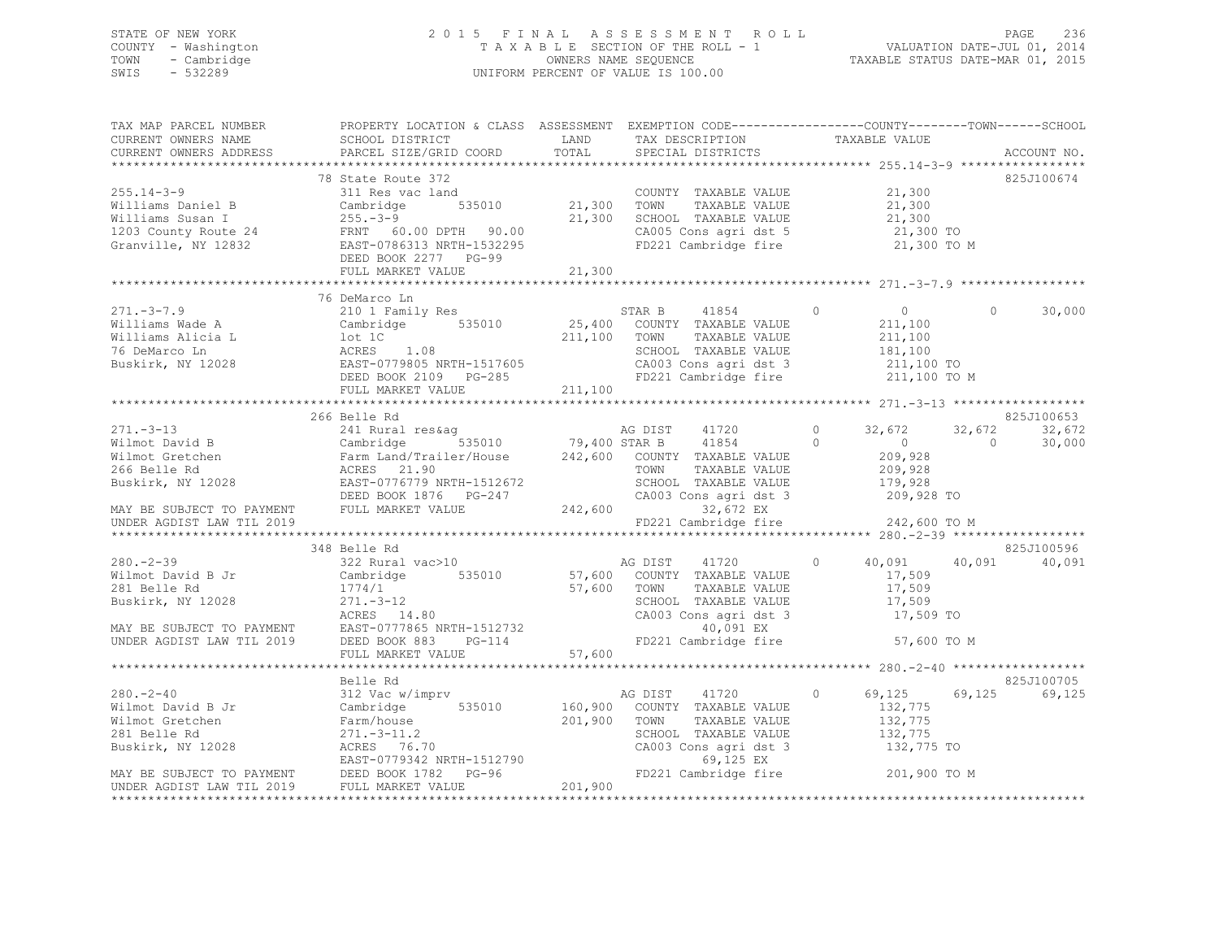## STATE OF NEW YORK 2 0 1 5 F I N A L A S S E S S M E N T R O L L PAGE 236 COUNTY - Washington T A X A B L E SECTION OF THE ROLL - 1 VALUATION DATE-JUL 01, 2014 TOWN - Cambridge OWNERS NAME SEQUENCE TAXABLE STATUS DATE-MAR 01, 2015 SWIS - 532289 UNIFORM PERCENT OF VALUE IS 100.00

| TAX MAP PARCEL NUMBER<br>CURRENT OWNERS NAME<br>CURRENT OWNERS ADDRESS                                                                                | PROPERTY LOCATION & CLASS ASSESSMENT EXEMPTION CODE-----------------COUNTY-------TOWN------SCHOOL<br>SCHOOL DISTRICT                                                                                                                                                                           | LAND         | TAX DESCRIPTION TAXABLE VALUE                                                                                                                                                                 |                                                                     |                                                                                    |
|-------------------------------------------------------------------------------------------------------------------------------------------------------|------------------------------------------------------------------------------------------------------------------------------------------------------------------------------------------------------------------------------------------------------------------------------------------------|--------------|-----------------------------------------------------------------------------------------------------------------------------------------------------------------------------------------------|---------------------------------------------------------------------|------------------------------------------------------------------------------------|
|                                                                                                                                                       |                                                                                                                                                                                                                                                                                                |              |                                                                                                                                                                                               |                                                                     |                                                                                    |
|                                                                                                                                                       | 78 State Route 372<br>255.14-3-9<br>Williams Daniel B<br>Williams Susan I 255.-3-9<br>Williams Susan I 255.-3-9<br>21,300<br>21,300<br>21,300<br>21,300<br>21,300<br>21,300<br>21,300<br>21,300<br>21,300<br>21,300<br>21,300<br>21,300<br>21,300<br>21,300<br>21,300<br>21,300<br>21,300<br>2 |              | FD221 Cambridge fire 21,300 TO M                                                                                                                                                              |                                                                     | 825J100674                                                                         |
|                                                                                                                                                       |                                                                                                                                                                                                                                                                                                |              |                                                                                                                                                                                               |                                                                     |                                                                                    |
|                                                                                                                                                       | 76 DeMarco Ln<br>271.-3-7.9<br>Williams Wade A<br>Williams Alicia L Cambridge 535010<br>211,100 TOWN TAXABLE VALUE 211,100<br>211,100 TOWN TAXABLE VALUE 211,100<br>211,100 TOWN TAXABLE VALUE 211,100<br>211,100 TOWN TAXABLE VALUE 211,100<br>211,100 TOWN<br>FULL MARKET VALUE              | 211,100      |                                                                                                                                                                                               |                                                                     | 30,000<br>$\Omega$                                                                 |
|                                                                                                                                                       |                                                                                                                                                                                                                                                                                                |              |                                                                                                                                                                                               |                                                                     |                                                                                    |
| $280 - 2 - 39$                                                                                                                                        | 266 Belle Rd<br>348 Belle Rd<br>$322$ Rural vac $>10$ AG DIST 41720                                                                                                                                                                                                                            |              | SCHOOL TAXABLE VALUE 179,928<br>CA003 Cons agri dst 3 1209,928 TO<br>32, $\overline{672}$ EX<br>FD221 Cambridge fire 242, 600 TO M                                                            | 32,672<br>$\sim$ 0<br>209,928<br>209,928<br>$0 \t 40,091 \t 40,091$ | 825J100653<br>32,672<br>32,672<br>$\overline{0}$<br>30,000<br>825J100596<br>40,091 |
|                                                                                                                                                       |                                                                                                                                                                                                                                                                                                |              |                                                                                                                                                                                               |                                                                     |                                                                                    |
|                                                                                                                                                       |                                                                                                                                                                                                                                                                                                |              |                                                                                                                                                                                               |                                                                     | 825J100705                                                                         |
| $280 - 2 - 40$<br>280.-2-40<br>Wilmot David B Jr Cambridge<br>Wilmot Gretchen Farm/house<br>281 Belle Rd 271.-3-11.2<br>Buskirk, NY 12028 ACRES 76.70 | Belle Rd<br>312 Vac w/imprv<br>281 Belle Rd Farm/house 201,900 COUN?<br>201,900 COUN?<br>201,900 TOWN 271.-3-11.2<br>201,900 TOWN 2028 ACRES 76.70 CA003<br>MAY BE SUBJECT TO PAYMENT DEED BOOK 1782 PG-96 FD221<br>UNDER AGDIST LAW TLL 2019 FULL MARKET VALUE                                | 201,900 TOWN | AG DIST 41720<br>535010 160,900 COUNTY TAXABLE VALUE<br>TAXABLE VALUE<br>SCHOOL TAXABLE VALUE 132,775<br>CA003 Cons agri dst 3 $132,775$ TO<br>69,125 EX<br>FD221 Cambridge fire 201,900 TO M | 69,125<br>$\circ$<br>132,775<br>132,775                             | 69,125<br>69,125                                                                   |
|                                                                                                                                                       |                                                                                                                                                                                                                                                                                                |              |                                                                                                                                                                                               |                                                                     |                                                                                    |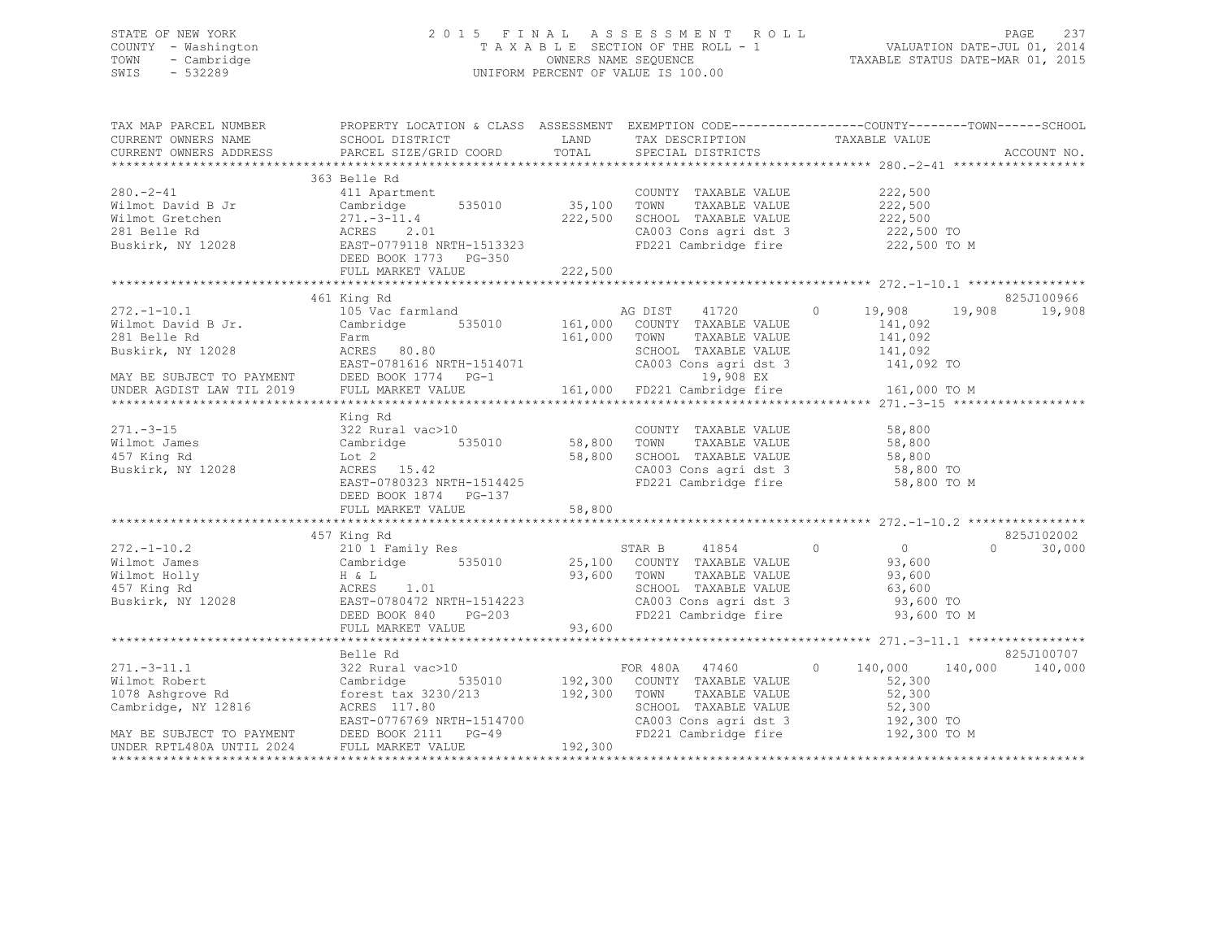## STATE OF NEW YORK 2 0 1 5 F I N A L A S S E S S M E N T R O L L PAGE 237 COUNTY - Washington T A X A B L E SECTION OF THE ROLL - 1 VALUATION DATE-JUL 01, 2014 TOWN - Cambridge OWNERS NAME SEQUENCE TAXABLE STATUS DATE-MAR 01, 2015 SWIS - 532289 UNIFORM PERCENT OF VALUE IS 100.00

| TAX MAP PARCEL NUMBER<br>CURRENT OWNERS NAME SCHOOL DISTRICT | PROPERTY LOCATION & CLASS ASSESSMENT EXEMPTION CODE-----------------COUNTY-------TOWN------SCHOOL                                                                                                                                                                                                                                                                                                                                                                         |        |                                                                       |             |                    |
|--------------------------------------------------------------|---------------------------------------------------------------------------------------------------------------------------------------------------------------------------------------------------------------------------------------------------------------------------------------------------------------------------------------------------------------------------------------------------------------------------------------------------------------------------|--------|-----------------------------------------------------------------------|-------------|--------------------|
| CURRENT OWNERS ADDRESS                                       |                                                                                                                                                                                                                                                                                                                                                                                                                                                                           |        | LAND TAX DESCRIPTION TAXABLE VALUE                                    |             |                    |
|                                                              |                                                                                                                                                                                                                                                                                                                                                                                                                                                                           |        |                                                                       |             |                    |
|                                                              | $\begin{tabular}{lllllllllllll} \multicolumn{3}{l}{{\small\begin{tabular}{l}c@{}}\multicolumn{3}{l}{{\small\begin{tabular}{l}c@{}}\multicolumn{3}{l}{{\small\begin{tabular}{l}c@{}}\multicolumn{3}{l}{{\small\begin{tabular}{l}c@{}}\multicolumn{3}{l}{{\small\begin{tabular}{l}c@{}}\multicolumn{3}{l}{{\small\begin{tabular}{l}c@{}}\multicolumn{3}{l}{{\small\begin{tabular}{l}c@{}}\multicolumn{3}{l}{{\small\begin{tabular}{l}c@{}}\multicolumn{3}{l}{{\small\begin$ |        |                                                                       |             |                    |
|                                                              |                                                                                                                                                                                                                                                                                                                                                                                                                                                                           |        |                                                                       |             |                    |
|                                                              |                                                                                                                                                                                                                                                                                                                                                                                                                                                                           |        |                                                                       |             |                    |
|                                                              |                                                                                                                                                                                                                                                                                                                                                                                                                                                                           |        |                                                                       |             |                    |
|                                                              |                                                                                                                                                                                                                                                                                                                                                                                                                                                                           |        | CA003 Cons agri dst 3 222,500 TO<br>FD221 Cambridge fire 222,500 TO M |             |                    |
|                                                              |                                                                                                                                                                                                                                                                                                                                                                                                                                                                           |        |                                                                       |             |                    |
|                                                              |                                                                                                                                                                                                                                                                                                                                                                                                                                                                           |        |                                                                       |             |                    |
|                                                              |                                                                                                                                                                                                                                                                                                                                                                                                                                                                           |        |                                                                       |             |                    |
|                                                              |                                                                                                                                                                                                                                                                                                                                                                                                                                                                           |        |                                                                       |             |                    |
|                                                              | 461 King Rd                                                                                                                                                                                                                                                                                                                                                                                                                                                               |        |                                                                       |             | 825J100966         |
|                                                              |                                                                                                                                                                                                                                                                                                                                                                                                                                                                           |        |                                                                       |             |                    |
|                                                              |                                                                                                                                                                                                                                                                                                                                                                                                                                                                           |        |                                                                       |             |                    |
|                                                              |                                                                                                                                                                                                                                                                                                                                                                                                                                                                           |        |                                                                       |             |                    |
|                                                              |                                                                                                                                                                                                                                                                                                                                                                                                                                                                           |        |                                                                       |             |                    |
|                                                              |                                                                                                                                                                                                                                                                                                                                                                                                                                                                           |        |                                                                       |             |                    |
|                                                              |                                                                                                                                                                                                                                                                                                                                                                                                                                                                           |        |                                                                       |             |                    |
|                                                              | $\begin{tabular}{lllllllllllllllllllll} \hline & 461 & \text{King Rd} & \text{AG DIST} & 41720 & 0 & 19,908 & 19,908 & 19,908 & 19,908 & 19,908 & 19,908 & 19,908 & 19,908 & 19,908 & 19,908 & 19,908 & 19,908 & 19,908 & 19,908 & 19,908 & 19,908 & 19,908 & 19,908 & 19,908 & 19,908 & 19,908 &$                                                                                                                                                                        |        |                                                                       |             |                    |
|                                                              | King Rd                                                                                                                                                                                                                                                                                                                                                                                                                                                                   |        |                                                                       |             |                    |
| $271 - 3 - 15$                                               |                                                                                                                                                                                                                                                                                                                                                                                                                                                                           |        |                                                                       |             |                    |
| Wilmot James                                                 |                                                                                                                                                                                                                                                                                                                                                                                                                                                                           |        |                                                                       |             |                    |
| 457 King Rd                                                  | 322 Rural vac>10<br>Cambridge 535010 58,800 TOWN TAXABLE VALUE 58,800<br>1 12028 ACRES 15.42<br>EAST-0780323 NRTH-1514425 58,200 FO221 Cambridge fire 58,800 TOWN 58,800<br>EAST-0780323 NRTH-1514425 FD221 Cambridge fire 58,800 TO                                                                                                                                                                                                                                      |        |                                                                       |             |                    |
| Buskirk, NY 12028                                            |                                                                                                                                                                                                                                                                                                                                                                                                                                                                           |        |                                                                       |             |                    |
|                                                              |                                                                                                                                                                                                                                                                                                                                                                                                                                                                           |        | CA003 Cons agri dst 3 58,800 TO<br>FD221 Cambridge fire 58,800 TO M   |             |                    |
|                                                              | DEED BOOK 1874 PG-137                                                                                                                                                                                                                                                                                                                                                                                                                                                     |        |                                                                       |             |                    |
|                                                              | FULL MARKET VALUE                                                                                                                                                                                                                                                                                                                                                                                                                                                         | 58,800 |                                                                       |             |                    |
|                                                              |                                                                                                                                                                                                                                                                                                                                                                                                                                                                           |        |                                                                       |             |                    |
|                                                              | 457 King Rd                                                                                                                                                                                                                                                                                                                                                                                                                                                               |        |                                                                       |             | 825J102002         |
|                                                              |                                                                                                                                                                                                                                                                                                                                                                                                                                                                           |        |                                                                       |             | $\Omega$<br>30,000 |
|                                                              |                                                                                                                                                                                                                                                                                                                                                                                                                                                                           |        |                                                                       |             |                    |
|                                                              |                                                                                                                                                                                                                                                                                                                                                                                                                                                                           |        |                                                                       |             |                    |
|                                                              |                                                                                                                                                                                                                                                                                                                                                                                                                                                                           |        | SCHOOL TAXABLE VALUE 63,600<br>CA003 Cons agri dst 3 (93,600 TO       |             |                    |
|                                                              |                                                                                                                                                                                                                                                                                                                                                                                                                                                                           |        |                                                                       |             |                    |
|                                                              |                                                                                                                                                                                                                                                                                                                                                                                                                                                                           |        |                                                                       | 93,600 TO M |                    |
|                                                              | FULL MARKET VALUE                                                                                                                                                                                                                                                                                                                                                                                                                                                         | 93,600 |                                                                       |             |                    |
|                                                              |                                                                                                                                                                                                                                                                                                                                                                                                                                                                           |        |                                                                       |             | 825J100707         |
|                                                              | Belle Rd                                                                                                                                                                                                                                                                                                                                                                                                                                                                  |        |                                                                       |             |                    |
|                                                              |                                                                                                                                                                                                                                                                                                                                                                                                                                                                           |        |                                                                       |             |                    |
|                                                              |                                                                                                                                                                                                                                                                                                                                                                                                                                                                           |        |                                                                       |             |                    |
|                                                              |                                                                                                                                                                                                                                                                                                                                                                                                                                                                           |        |                                                                       |             |                    |
|                                                              |                                                                                                                                                                                                                                                                                                                                                                                                                                                                           |        |                                                                       |             |                    |
|                                                              |                                                                                                                                                                                                                                                                                                                                                                                                                                                                           |        |                                                                       |             |                    |
|                                                              |                                                                                                                                                                                                                                                                                                                                                                                                                                                                           |        |                                                                       |             |                    |
|                                                              |                                                                                                                                                                                                                                                                                                                                                                                                                                                                           |        |                                                                       |             |                    |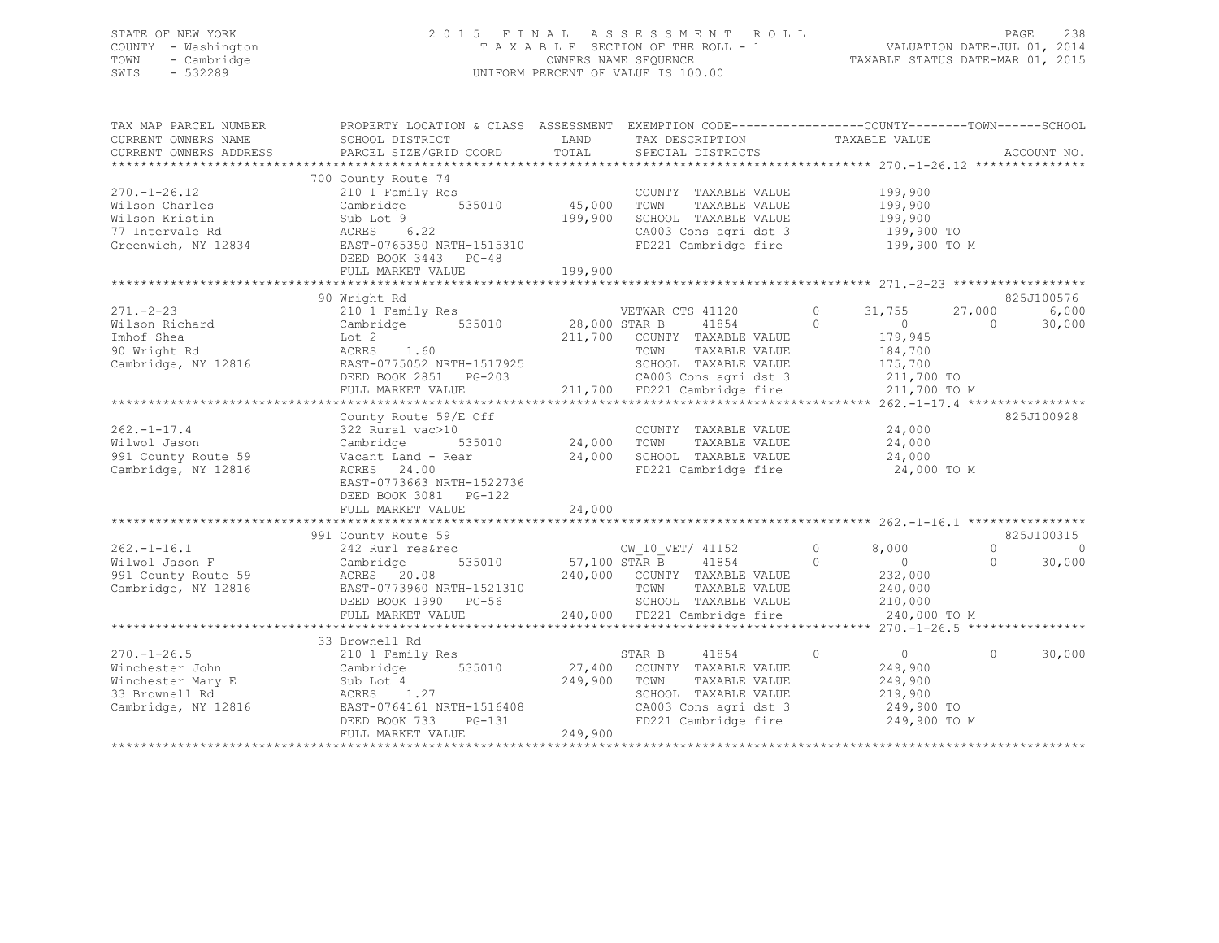## STATE OF NEW YORK 2 0 1 5 F I N A L A S S E S S M E N T R O L L PAGE 238 COUNTY - Washington T A X A B L E SECTION OF THE ROLL - 1 VALUATION DATE-JUL 01, 2014 TOWN - Cambridge OWNERS NAME SEQUENCE TAXABLE STATUS DATE-MAR 01, 2015 SWIS - 532289 UNIFORM PERCENT OF VALUE IS 100.00

| TAX MAP PARCEL NUMBER<br>CURRENT OWNERS NAME<br>CURRENT OWNERS ADDRESS                             | PROPERTY LOCATION & CLASS ASSESSMENT<br>SCHOOL DISTRICT<br>PARCEL SIZE/GRID COORD                                                                                            | LAND<br>TOTAL                          | EXEMPTION CODE-----------------COUNTY-------TOWN------SCHOOL<br>TAX DESCRIPTION<br>SPECIAL DISTRICTS                                                                   | TAXABLE VALUE                                                                                                  | ACCOUNT NO.                                             |
|----------------------------------------------------------------------------------------------------|------------------------------------------------------------------------------------------------------------------------------------------------------------------------------|----------------------------------------|------------------------------------------------------------------------------------------------------------------------------------------------------------------------|----------------------------------------------------------------------------------------------------------------|---------------------------------------------------------|
| $270. - 1 - 26.12$<br>Wilson Charles<br>Wilson Kristin<br>77 Intervale Rd<br>Greenwich, NY 12834   | 700 County Route 74<br>210 1 Family Res<br>Cambridge 535010<br>Sub Lot 9<br>ACRES 6.22<br>EAST-0765350 NRTH-1515310<br>DEED BOOK 3443 PG-48<br>FULL MARKET VALUE             | 45,000<br>199,900<br>199,900           | COUNTY TAXABLE VALUE<br>TOWN<br>TAXABLE VALUE<br>SCHOOL TAXABLE VALUE<br>CA003 Cons agri dst 3<br>FD221 Cambridge fire 199,900 TO M                                    | 199,900<br>199,900<br>199,900<br>199,900 TO                                                                    |                                                         |
| $271. - 2 - 23$<br>Wilson Richard<br>Imhof Shea<br>90 Wright Rd<br>Cambridge, NY 12816             | 90 Wright Rd<br>210 1 Family Res<br>$535010$ 28,000 STAR B<br>Cambridge<br>Lot 2<br>ACRES<br>1.60<br>EAST-0775052 NRTH-1517925<br>DEED BOOK 2851 PG-203<br>FULL MARKET VALUE |                                        | VETWAR CTS 41120<br>41854<br>211,700 COUNTY TAXABLE VALUE<br>TOWN<br>TAXABLE VALUE<br>SCHOOL TAXABLE VALUE<br>03 CA003 Cons agri dst 3<br>211,700 FD221 Cambridge fire | $\circ$<br>31,755<br>$\Omega$<br>$\overline{0}$<br>179,945<br>184,700<br>175,700<br>211,700 TO<br>211,700 TO M | 825J100576<br>6,000<br>27,000<br>30,000<br>$\Omega$     |
| $262. - 1 - 17.4$<br>Wilwol Jason<br>991 County Route 59<br>Cambridge, NY 12816                    | County Route 59/E Off<br>322 Rural vac>10<br>Cambridge<br>Vacant Land - Rear<br>ACRES 24.00<br>EAST-0773663 NRTH-1522736<br>DEED BOOK 3081    PG-122<br>FULL MARKET VALUE    | 535010 24,000 TOWN<br>24,000<br>24,000 | COUNTY TAXABLE VALUE<br>TAXABLE VALUE<br>SCHOOL TAXABLE VALUE<br>FD221 Cambridge fire                                                                                  | 24,000<br>24,000<br>24,000<br>24,000 TO M                                                                      | 825J100928                                              |
| $262. - 1 - 16.1$<br>Wilwol Jason F<br>991 County Route 59<br>Cambridge, NY 12816                  | County Route 59<br>242 Rurl res&rec<br>991 County Route 59<br>Cambridge<br>ACRES 20.08<br>EAST-0773960 NRTH-1521310<br>DEED BOOK 1990 PG-56<br>FULL MARKET VALUE             | 535010 57,100 STAR B                   | CW 10 VET/ 41152<br>41854<br>240,000 COUNTY TAXABLE VALUE<br>TOWN<br>TAXABLE VALUE<br>SCHOOL TAXABLE VALUE<br>240,000 FD221 Cambridge fire                             | $\circ$<br>8,000<br>$\Omega$<br>$\sim$ 0 $\sim$<br>232,000<br>240,000<br>210,000<br>240,000 TO M               | 825J100315<br>$\circ$<br>$\Omega$<br>30,000<br>$\Omega$ |
| $270. - 1 - 26.5$<br>Winchester John<br>Winchester Mary E<br>33 Brownell Rd<br>Cambridge, NY 12816 | 33 Brownell Rd<br>210 1 Family Res<br>Cambridge<br>535010<br>Sub Lot 4<br>ACRES 1.27<br>EAST-0764161 NRTH-1516408<br>DEED BOOK 733<br>PG-131<br>FULL MARKET VALUE            | 27,400<br>249,900<br>249,900           | 41854<br>STAR B<br>COUNTY TAXABLE VALUE<br>TOWN<br>TAXABLE VALUE<br>SCHOOL TAXABLE VALUE<br>CA003 Cons agri dst 3<br>FD221 Cambridge fire                              | 0<br>$\overline{0}$<br>249,900<br>249,900<br>219,900<br>249,900 TO<br>249,900 TO M                             | $\circ$<br>30,000                                       |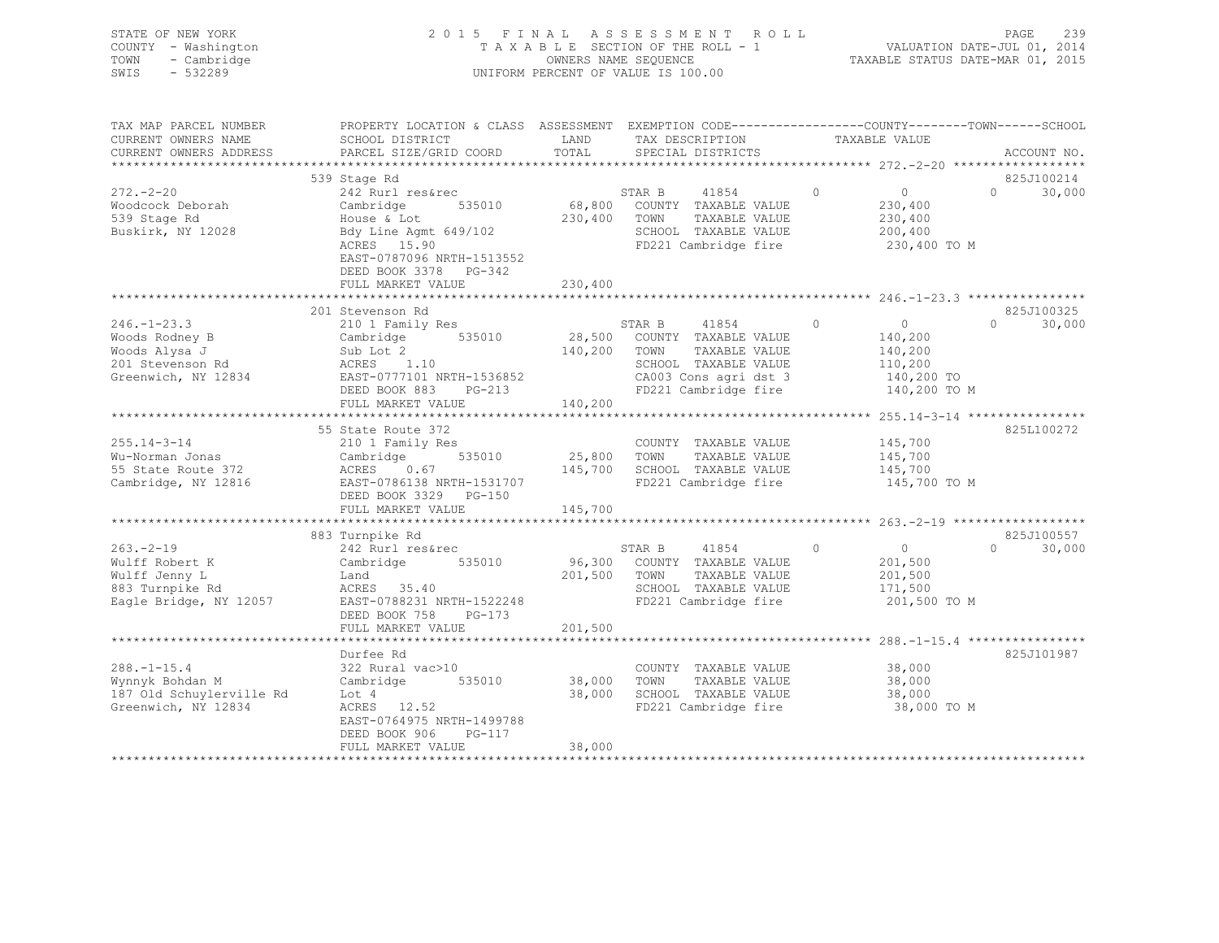| STATE OF NEW YORK<br>COUNTY - Washington<br>TOWN<br>- Cambridge<br>SWIS<br>$-532289$ |                                                                                                                                                      |               | 2015 FINAL ASSESSMENT<br>ROLL<br>T A X A B L E SECTION OF THE ROLL - 1<br>OWNERS NAME SEQUENCE<br>UNIFORM PERCENT OF VALUE IS 100.00 |         | VALUATION DATE-JUL 01, 2014<br>TAXABLE STATUS DATE-MAR 01, 2015 | PAGE        | 239    |
|--------------------------------------------------------------------------------------|------------------------------------------------------------------------------------------------------------------------------------------------------|---------------|--------------------------------------------------------------------------------------------------------------------------------------|---------|-----------------------------------------------------------------|-------------|--------|
| TAX MAP PARCEL NUMBER<br>CURRENT OWNERS NAME<br>CURRENT OWNERS ADDRESS               | PROPERTY LOCATION & CLASS ASSESSMENT EXEMPTION CODE----------------COUNTY-------TOWN------SCHOOL<br>SCHOOL DISTRICT<br>PARCEL SIZE/GRID COORD        | LAND<br>TOTAL | TAX DESCRIPTION<br>SPECIAL DISTRICTS                                                                                                 |         | TAXABLE VALUE                                                   | ACCOUNT NO. |        |
|                                                                                      |                                                                                                                                                      |               |                                                                                                                                      |         |                                                                 |             | *****  |
|                                                                                      | 539 Stage Rd                                                                                                                                         |               |                                                                                                                                      |         |                                                                 | 825J100214  |        |
| $272. - 2 - 20$<br>Woodcock Deborah<br>539 Stage Rd<br>Buskirk, NY 12028             | 242 Rurl res&rec<br>Cambridge<br>535010<br>House & Lot<br>Bdy Line Agmt 649/102<br>ACRES 15.90<br>EAST-0787096 NRTH-1513552<br>DEED BOOK 3378 PG-342 | 230,400       | 41854<br>STAR B<br>68,800 COUNTY TAXABLE VALUE<br>TOWN<br>TAXABLE VALUE<br>SCHOOL TAXABLE VALUE<br>FD221 Cambridge fire              | $\circ$ | $\overline{0}$<br>230,400<br>230,400<br>200,400<br>230,400 TO M | $\circ$     | 30,000 |
|                                                                                      | FULL MARKET VALUE                                                                                                                                    | 230,400       |                                                                                                                                      |         |                                                                 |             |        |
|                                                                                      |                                                                                                                                                      |               |                                                                                                                                      |         |                                                                 |             |        |
|                                                                                      | 201 Stevenson Rd                                                                                                                                     |               |                                                                                                                                      |         |                                                                 | 825J100325  |        |
| $246. - 1 - 23.3$                                                                    | 210 1 Family Res                                                                                                                                     |               | STAR B<br>41854                                                                                                                      | $\circ$ | $\overline{0}$                                                  | $\Omega$    | 30,000 |
| Woods Rodney B                                                                       | Cambridge 535010                                                                                                                                     |               | 28,500 COUNTY TAXABLE VALUE                                                                                                          |         | 140,200                                                         |             |        |
| Woods Alysa J                                                                        | Sub Lot 2                                                                                                                                            | 140,200 TOWN  | TAXABLE VALUE                                                                                                                        |         | 140,200                                                         |             |        |
| 201 Stevenson Rd                                                                     | ACRES 1.10                                                                                                                                           |               | SCHOOL TAXABLE VALUE                                                                                                                 |         | 110,200                                                         |             |        |
| Greenwich, NY 12834                                                                  | EAST-0777101 NRTH-1536852                                                                                                                            |               | CA003 Cons agri dst 3                                                                                                                |         | 140,200 TO                                                      |             |        |
|                                                                                      | DEED BOOK 883 PG-213                                                                                                                                 |               | FD221 Cambridge fire                                                                                                                 |         | 140,200 TO M                                                    |             |        |
|                                                                                      | FULL MARKET VALUE                                                                                                                                    | 140,200       |                                                                                                                                      |         |                                                                 |             |        |
|                                                                                      |                                                                                                                                                      |               |                                                                                                                                      |         |                                                                 |             |        |
| $255.14 - 3 - 14$                                                                    | 55 State Route 372                                                                                                                                   |               |                                                                                                                                      |         |                                                                 | 825L100272  |        |
| Wu-Norman Jonas                                                                      | 210 1 Family Res<br>Cambridge<br>535010                                                                                                              | 25,800        | COUNTY TAXABLE VALUE<br>TAXABLE VALUE<br>TOWN                                                                                        |         | 145,700<br>145,700                                              |             |        |
| 55 State Route 372                                                                   | ACRES 0.67                                                                                                                                           |               | 145,700 SCHOOL TAXABLE VALUE                                                                                                         |         | 145,700                                                         |             |        |
| Cambridge, NY 12816                                                                  | EAST-0786138 NRTH-1531707                                                                                                                            |               | FD221 Cambridge fire                                                                                                                 |         | 145,700 TO M                                                    |             |        |
|                                                                                      | DEED BOOK 3329 PG-150                                                                                                                                |               |                                                                                                                                      |         |                                                                 |             |        |
|                                                                                      | FULL MARKET VALUE                                                                                                                                    | 145,700       |                                                                                                                                      |         |                                                                 |             |        |
|                                                                                      |                                                                                                                                                      |               |                                                                                                                                      |         |                                                                 |             |        |
|                                                                                      | 883 Turnpike Rd                                                                                                                                      |               |                                                                                                                                      |         |                                                                 | 825J100557  |        |
| $263 - 2 - 19$                                                                       | 242 Rurl res&rec                                                                                                                                     |               | STAR B<br>41854                                                                                                                      | $\circ$ | $\overline{0}$                                                  | $\Omega$    | 30,000 |
| Wulff Robert K                                                                       | 535010<br>Cambridge                                                                                                                                  |               | 96,300 COUNTY TAXABLE VALUE                                                                                                          |         | 201,500                                                         |             |        |
| Wulff Jenny L                                                                        | Land                                                                                                                                                 | 201,500       | TOWN<br>TAXABLE VALUE                                                                                                                |         | 201,500                                                         |             |        |
| 883 Turnpike Rd                                                                      | ACRES 35.40                                                                                                                                          |               | SCHOOL TAXABLE VALUE                                                                                                                 |         | 171,500                                                         |             |        |
| Eagle Bridge, NY 12057                                                               | EAST-0788231 NRTH-1522248                                                                                                                            |               | FD221 Cambridge fire                                                                                                                 |         | 201,500 TO M                                                    |             |        |
|                                                                                      | DEED BOOK 758<br>PG-173                                                                                                                              |               |                                                                                                                                      |         |                                                                 |             |        |
|                                                                                      | FULL MARKET VALUE                                                                                                                                    | 201,500       |                                                                                                                                      |         |                                                                 |             |        |
|                                                                                      | Durfee Rd                                                                                                                                            |               |                                                                                                                                      |         |                                                                 | 825J101987  |        |
| $288. - 1 - 15.4$                                                                    | 322 Rural vac>10                                                                                                                                     |               | COUNTY TAXABLE VALUE                                                                                                                 |         | 38,000                                                          |             |        |
| Wynnyk Bohdan M                                                                      | 535010<br>Cambridge                                                                                                                                  | 38,000        | TAXABLE VALUE<br>TOWN                                                                                                                |         | 38,000                                                          |             |        |
| 187 Old Schuylerville Rd                                                             | Lot 4                                                                                                                                                | 38,000        | SCHOOL TAXABLE VALUE                                                                                                                 |         | 38,000                                                          |             |        |
| Greenwich, NY 12834                                                                  | ACRES 12.52                                                                                                                                          |               | FD221 Cambridge fire                                                                                                                 |         | 38,000 TO M                                                     |             |        |

 DEED BOOK 906 PG-117 FULL MARKET VALUE 38,000 \*\*\*\*\*\*\*\*\*\*\*\*\*\*\*\*\*\*\*\*\*\*\*\*\*\*\*\*\*\*\*\*\*\*\*\*\*\*\*\*\*\*\*\*\*\*\*\*\*\*\*\*\*\*\*\*\*\*\*\*\*\*\*\*\*\*\*\*\*\*\*\*\*\*\*\*\*\*\*\*\*\*\*\*\*\*\*\*\*\*\*\*\*\*\*\*\*\*\*\*\*\*\*\*\*\*\*\*\*\*\*\*\*\*\*\*\*\*\*\*\*\*\*\*\*\*\*\*\*\*\*\*

EAST-0764975 NRTH-1499788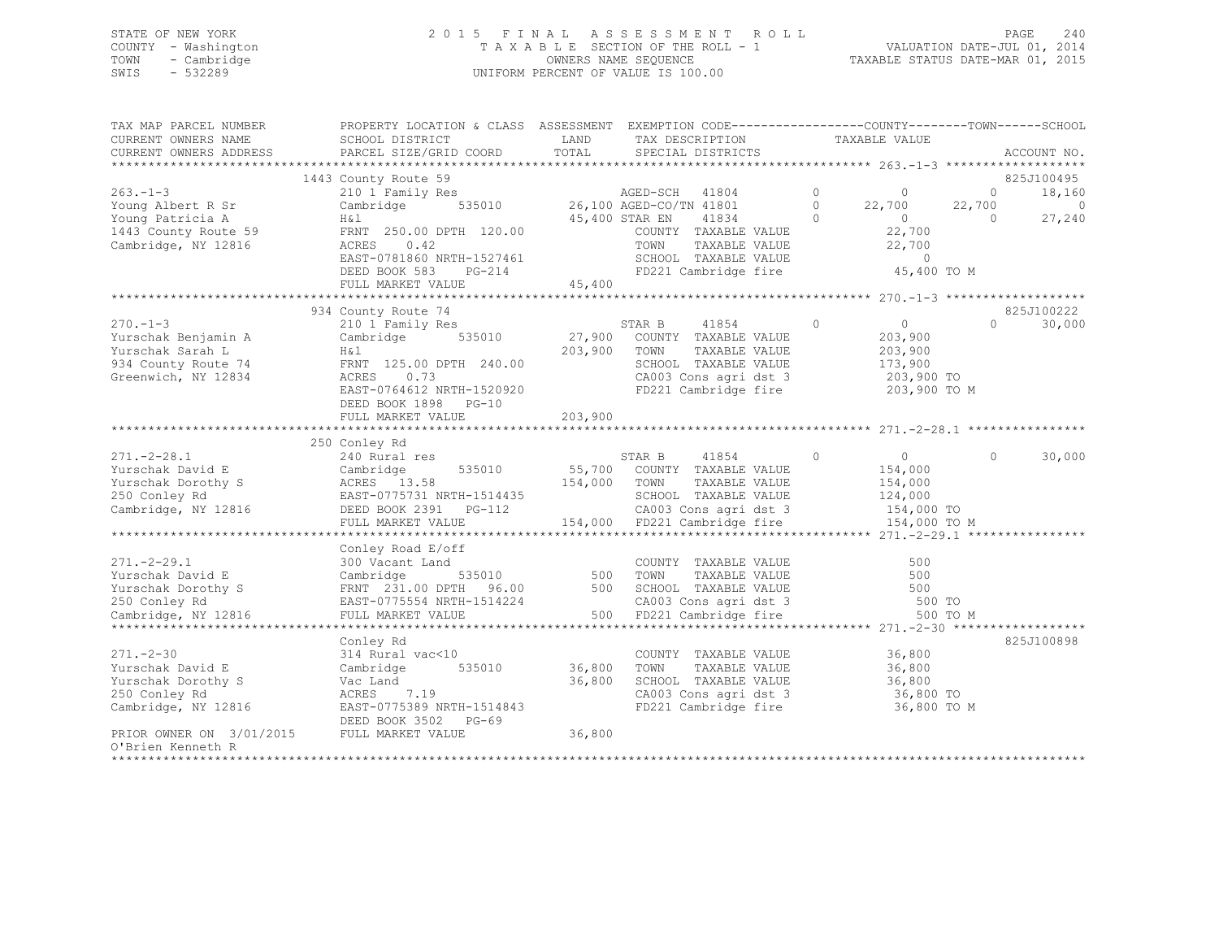## STATE OF NEW YORK 2 0 1 5 F I N A L A S S E S S M E N T R O L L PAGE 240 COUNTY - Washington T A X A B L E SECTION OF THE ROLL - 1 VALUATION DATE-JUL 01, 2014 TOWN - Cambridge OWNERS NAME SEQUENCE TAXABLE STATUS DATE-MAR 01, 2015 SWIS - 532289 UNIFORM PERCENT OF VALUE IS 100.00

| TAX MAP PARCEL NUMBER                      | PROPERTY LOCATION & CLASS ASSESSMENT EXEMPTION CODE-----------------COUNTY-------TOWN------SCHOOL                                                                                                                                             |              |                                                                                                                               |                |          |                          |
|--------------------------------------------|-----------------------------------------------------------------------------------------------------------------------------------------------------------------------------------------------------------------------------------------------|--------------|-------------------------------------------------------------------------------------------------------------------------------|----------------|----------|--------------------------|
| CURRENT OWNERS NAME                        | SCHOOL DISTRICT                                                                                                                                                                                                                               | LAND         | TAX DESCRIPTION TAXABLE VALUE                                                                                                 |                |          |                          |
| CURRENT OWNERS ADDRESS                     | PARCEL SIZE/GRID COORD                                                                                                                                                                                                                        | TOTAL        | SPECIAL DISTRICTS                                                                                                             |                |          | ACCOUNT NO.              |
|                                            | County Route 59<br>20 1 Family Res<br>20 1 Family Res<br>Cambridge 535010 26,100 AGED-CO/TN 41801 0 22,700 22,700<br>45,400 STAR EN 41834 0 22,700 0 0<br>FRNT 250.00 DPTH 120.00 COUNTY TAXABLE VALUE<br>TOWN TAXABLE VALUE<br>22,700<br>22, |              |                                                                                                                               |                |          |                          |
| $263 - 1 - 3$                              | 1443 County Route 59                                                                                                                                                                                                                          |              |                                                                                                                               |                |          | 825J100495<br>18,160     |
| Young Albert R Sr                          |                                                                                                                                                                                                                                               |              |                                                                                                                               |                |          | $\overline{\phantom{0}}$ |
| Young Patricia A                           | H & 1                                                                                                                                                                                                                                         |              |                                                                                                                               |                |          | 27,240                   |
|                                            | 1443 County Route 59 FRNT 250.00 DPTH 120.00                                                                                                                                                                                                  |              |                                                                                                                               |                |          |                          |
| Cambridge, NY 12816                        |                                                                                                                                                                                                                                               |              |                                                                                                                               |                |          |                          |
|                                            | EAST-0781860 NRTH-1527461                                                                                                                                                                                                                     |              | SCHOOL TAXABLE VALUE                                                                                                          | $\sim$ 0       |          |                          |
|                                            | DEED BOOK 583<br>$PG-214$                                                                                                                                                                                                                     |              | FD221 Cambridge fire                                                                                                          | 45,400 TO M    |          |                          |
|                                            | FULL MARKET VALUE                                                                                                                                                                                                                             | 45,400       |                                                                                                                               |                |          |                          |
|                                            |                                                                                                                                                                                                                                               |              |                                                                                                                               |                |          |                          |
|                                            | 934 County Route 74                                                                                                                                                                                                                           |              |                                                                                                                               |                |          | 825J100222               |
| $270 - 1 - 3$                              | 210 1 Family Res                                                                                                                                                                                                                              |              | STAR B 41854 0                                                                                                                | $\overline{0}$ | $\Omega$ | 30,000                   |
| Yurschak Benjamin A                        | Cambridge 535010 27,900 COUNTY TAXABLE VALUE                                                                                                                                                                                                  |              |                                                                                                                               | 203,900        |          |                          |
| Yurschak Sarah L                           | H & l                                                                                                                                                                                                                                         | 203,900 TOWN | TAXABLE VALUE                                                                                                                 | 203,900        |          |                          |
|                                            | 934 County Route 74 FRNT 125.00 DPTH 240.00                                                                                                                                                                                                   |              | SCHOOL TAXABLE VALUE                                                                                                          | 173,900        |          |                          |
| Greenwich, NY 12834                        | ACRES 0.73                                                                                                                                                                                                                                    |              |                                                                                                                               |                |          |                          |
|                                            | EAST-0764612 NRTH-1520920                                                                                                                                                                                                                     |              | CA003 Cons agri dst 3 203,900 TO<br>FD221 Cambridge fire 203,900 TO M                                                         |                |          |                          |
|                                            | DEED BOOK 1898 PG-10                                                                                                                                                                                                                          |              |                                                                                                                               |                |          |                          |
|                                            |                                                                                                                                                                                                                                               |              |                                                                                                                               |                |          |                          |
|                                            |                                                                                                                                                                                                                                               |              |                                                                                                                               |                |          |                          |
|                                            | 250 Conley Rd                                                                                                                                                                                                                                 |              |                                                                                                                               |                |          |                          |
|                                            |                                                                                                                                                                                                                                               |              |                                                                                                                               |                |          |                          |
|                                            |                                                                                                                                                                                                                                               |              |                                                                                                                               |                |          |                          |
|                                            |                                                                                                                                                                                                                                               |              |                                                                                                                               |                |          |                          |
|                                            |                                                                                                                                                                                                                                               |              |                                                                                                                               |                |          |                          |
|                                            |                                                                                                                                                                                                                                               |              |                                                                                                                               |                |          |                          |
|                                            |                                                                                                                                                                                                                                               |              |                                                                                                                               |                |          |                          |
|                                            |                                                                                                                                                                                                                                               |              |                                                                                                                               |                |          |                          |
|                                            | Conley Road E/off                                                                                                                                                                                                                             |              |                                                                                                                               |                |          |                          |
| $271. - 2 - 29.1$                          | 300 Vacant Land                                                                                                                                                                                                                               |              | COUNTY TAXABLE VALUE                                                                                                          | 500            |          |                          |
|                                            |                                                                                                                                                                                                                                               |              |                                                                                                                               |                |          |                          |
|                                            |                                                                                                                                                                                                                                               |              | 500 TOWN TAXABLE VALUE 500<br>500 SCHOOL TAXABLE VALUE 500<br>CA003 Cons agri dst 3 500 TO<br>500 FD221 Cambridge fire 500 TO |                |          |                          |
|                                            |                                                                                                                                                                                                                                               |              |                                                                                                                               |                |          |                          |
|                                            |                                                                                                                                                                                                                                               |              |                                                                                                                               |                | 500 TO M |                          |
|                                            |                                                                                                                                                                                                                                               |              |                                                                                                                               |                |          | 825J100898               |
| $271 - -2 - 30$                            | Conley Rd                                                                                                                                                                                                                                     |              |                                                                                                                               |                |          |                          |
| Yurschak David E                           | 314 Rural vac<10<br>Cambridge 535010 36,800                                                                                                                                                                                                   |              | COUNTY TAXABLE VALUE 36,800<br>TOWN<br>TAXABLE VALUE                                                                          | 36,800         |          |                          |
|                                            | Vac Land                                                                                                                                                                                                                                      | 36,800       | SCHOOL TAXABLE VALUE 36,800                                                                                                   |                |          |                          |
| Yurschak Dorothy S                         | ACRES 7.19                                                                                                                                                                                                                                    |              |                                                                                                                               | 36,800 TO      |          |                          |
| 250 Conley Rd                              | Cambridge, NY 12816 EAST-0775389 NRTH-1514843                                                                                                                                                                                                 |              | CA003 Cons agri dst 3<br>FD221 Cambridge fire                                                                                 | 36,800 TO M    |          |                          |
|                                            | DEED BOOK 3502 PG-69                                                                                                                                                                                                                          |              |                                                                                                                               |                |          |                          |
| PRIOR OWNER ON 3/01/2015 FULL MARKET VALUE |                                                                                                                                                                                                                                               | 36,800       |                                                                                                                               |                |          |                          |
| O'Brien Kenneth R                          |                                                                                                                                                                                                                                               |              |                                                                                                                               |                |          |                          |
|                                            |                                                                                                                                                                                                                                               |              |                                                                                                                               |                |          |                          |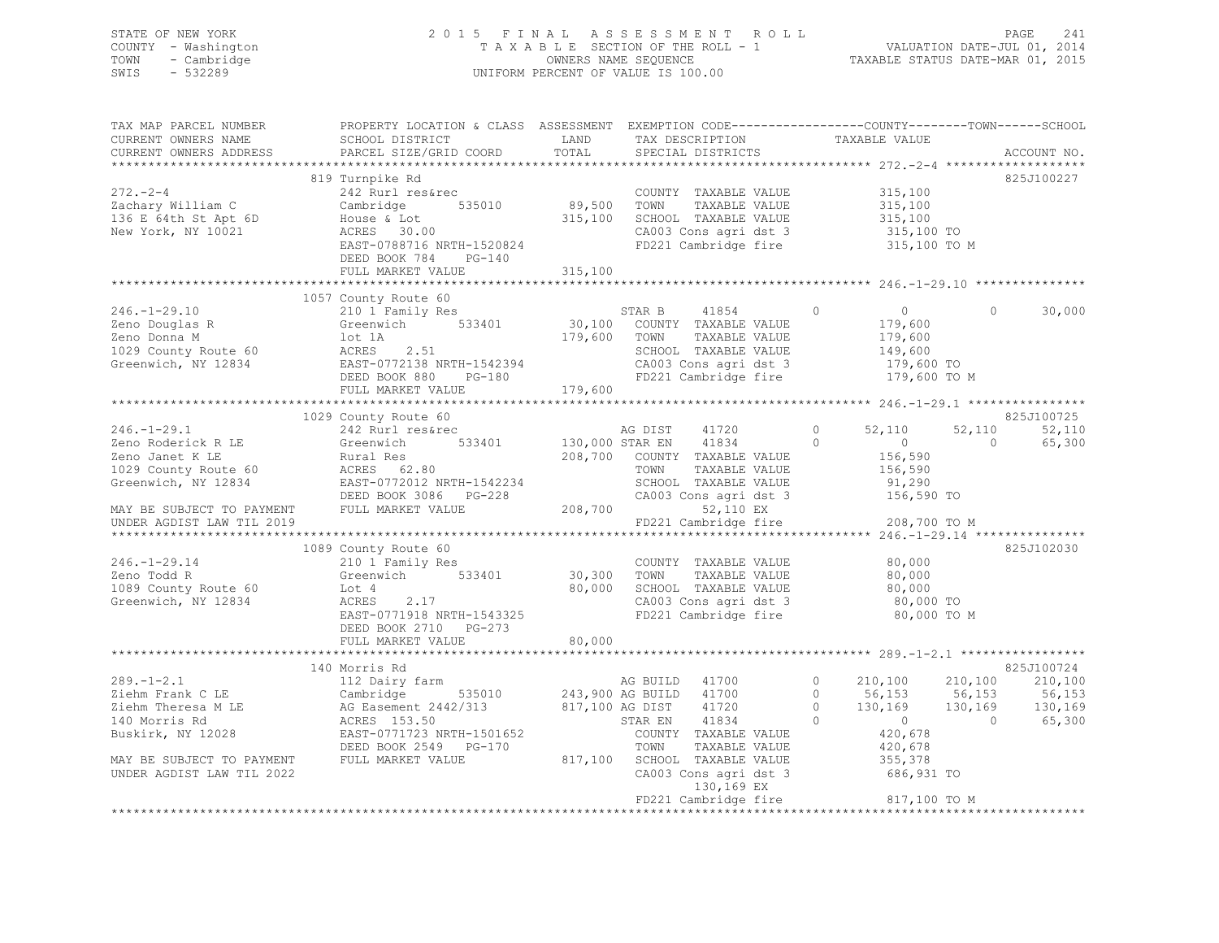## STATE OF NEW YORK 2 0 1 5 F I N A L A S S E S S M E N T R O L L PAGE 241 COUNTY - Washington T A X A B L E SECTION OF THE ROLL - 1 VALUATION DATE-JUL 01, 2014 TOWN - Cambridge OWNERS NAME SEQUENCE TAXABLE STATUS DATE-MAR 01, 2015 SWIS - 532289 UNIFORM PERCENT OF VALUE IS 100.00

| TAX MAP PARCEL NUMBER<br>CURRENT OWNERS NAME<br>CURRENT OWNERS ADDRESS                        | PROPERTY LOCATION & CLASS ASSESSMENT EXEMPTION CODE---------------COUNTY-------TOWN------SCHOOL<br>SCHOOL DISTRICT<br>PARCEL SIZE/GRID COORD                                                                                                                                                                                                                                            | LAND<br>TOTAL                            | TAX DESCRIPTION<br>SPECIAL DISTRICTS                                                                                                                                         | TAXABLE VALUE                                                                              | ACCOUNT NO.                                                     |
|-----------------------------------------------------------------------------------------------|-----------------------------------------------------------------------------------------------------------------------------------------------------------------------------------------------------------------------------------------------------------------------------------------------------------------------------------------------------------------------------------------|------------------------------------------|------------------------------------------------------------------------------------------------------------------------------------------------------------------------------|--------------------------------------------------------------------------------------------|-----------------------------------------------------------------|
| $272 - 2 - 4$<br>Zachary William C<br>136 E 64th St Apt 6D<br>New York, NY 10021              | 819 Turnpike Rd<br>242 Rurl res&rec<br>Cambridge<br>House & Lot<br>ACRES 30.0<br>House & Lot<br>ACRES 30.00<br>ACRES 30.00<br>EAST-0788716 NRTH-1520824<br>DEED BOOK 784 PG-140<br>FULL MARKET VALUE                                                                                                                                                                                    | 535010 89,500 TOWN<br>315,100<br>315,100 | COUNTY TAXABLE VALUE<br>TAXABLE VALUE<br>SCHOOL TAXABLE VALUE<br>CA003 Cons agri dst 3 315,100 TO<br>FD221 Cambridge fire                                                    | 315,100<br>315,100<br>315,100<br>315,100 TO M                                              | 825J100227                                                      |
|                                                                                               | 1057 County Route 60                                                                                                                                                                                                                                                                                                                                                                    |                                          |                                                                                                                                                                              |                                                                                            |                                                                 |
| $246. - 1 - 29.10$<br>Zeno Douglas R                                                          | 1057 County Route ou<br>210 1 Family Res<br>Greenwich 533401 30,100 COUNTY TAXABLE VALUE<br>10t 1A<br>179,600 TOWN TAXABLE VALUE<br>Eeno Douglas R (Speedwich Control Control Control 2nd 2.51 (Speedwich, NY 12834 (Speedwich Control Control Control Control Control Control Control Control Control Control Control Control Control Control Control Control Con<br>FULL MARKET VALUE | 179,600                                  | TAXABLE VALUE<br>SCHOOL TAXABLE VALUE<br>SCHOOL TAXABLE VALUE<br>CA003 Cons agri dst 3<br>FD221 Cambridge fire                                                               | $\circ$<br>$\overline{0}$<br>179,600<br>179,600<br>149,600<br>$179,600$ TO<br>179,600 TO M | $\Omega$<br>30,000                                              |
|                                                                                               |                                                                                                                                                                                                                                                                                                                                                                                         |                                          |                                                                                                                                                                              |                                                                                            |                                                                 |
| $246. - 1 - 29.1$<br>MAY BE SUBJECT TO PAYMENT FULL MARKET VALUE<br>UNDER AGDIST LAW TIL 2019 | 1029 County Route 60<br>242 Rurl res&rec<br>246.-1-29.1<br>246.-1-29.1<br>246.-1-29.1<br>266.-1-29.1<br>266.-1-29.1<br>266.-1-29.1<br>266.-1-29.1<br>266.-1-29.1<br>266.-1-29.1<br>266.-1-29.1<br>266.-1-29.1<br>266.-1-29.1<br>266.-1-29.1<br>266.-1-29.1<br>266.-1-29.1<br>266.-1-29.1<br>268.200<br>208,7                                                                            | 208,700                                  | AG DIST 41720<br>52,110 EX<br>FD221 Cambridge fire                                                                                                                           | $\circ$<br>52,110<br>208,700 TO M                                                          | 825J100725<br>52,110<br>52,110<br>$\overline{0}$<br>65,300      |
|                                                                                               | 1089 County Route 60                                                                                                                                                                                                                                                                                                                                                                    |                                          |                                                                                                                                                                              |                                                                                            | 825J102030                                                      |
| $246. - 1 - 29.14$<br>Zeno Todd R<br>1089 County Route 60<br>Greenwich, NY 12834              | 210 1 Family Res COUNT<br>Greenwich 533401 30,300 TOWN<br>Lot 4 80,000 SCHOC<br>210 1 Family Res<br>2.17<br>ACRES<br>EAST-0771918 NRTH-1543325<br>DEED BOOK 2710 PG-273                                                                                                                                                                                                                 |                                          | COUNTY TAXABLE VALUE<br>TAXABLE VALUE<br>TOWN      TAXABLE VALUE<br>SCHOOL   TAXABLE VALUE<br>CA003 Cons agri dst 3 80,000 TO<br>FD221 Cambridge fire 80,000 TO M            | 80,000<br>80,000<br>80,000                                                                 |                                                                 |
|                                                                                               | FULL MARKET VALUE                                                                                                                                                                                                                                                                                                                                                                       | 80,000                                   |                                                                                                                                                                              |                                                                                            |                                                                 |
| 140 Morris Rd<br>Buskirk, NY 12028                                                            | 140 Morris Rd<br>289.-1-2.1<br>269.-1-2.1<br>269.-1-2.1<br>269.-1-2.1<br>269.-1-2.1<br>269.-1-2.1<br>269.-1-2.1<br>269.-1-2.1<br>269.-1-2.1<br>269.-12.1<br>269.00<br>243,900<br>2680ULD 41700<br>243,900<br>2680ULD 41700<br>243,900<br>2680ULD 41700<br>243,900<br>2680ULD 41700<br><br>ACRES 153.50<br>EAST-0771723 NRTH-1501652                                                     |                                          | AG BUILD 41700<br>STAR EN 41834<br>COUNTY TAXABLE VALUE<br>TOWN     TAXABLE VALUE                                                                                            | $\circ$<br>210,100<br>0 56,153 56,153<br>0 130,169 130,169<br>0 0 0<br>420,678<br>420,678  | 825J100724<br>210,100<br>210,100<br>56,153<br>130,169<br>65,300 |
| MAY BE SUBJECT TO PAYMENT<br>UNDER AGDIST LAW TIL 2022                                        | DEED BOOK 2549 $PG-170$<br>FULL MARKET VALUE                                                                                                                                                                                                                                                                                                                                            |                                          | TOWN<br>TAXABLE VALUE<br>817,100 SCHOOL TAXABLE VALUE<br>SCHOOL TAXABLE VALUE 355,378<br>CA003 Cons agri dst 3 686,931 TO<br>130,169 EX<br>FD221 Cambridge fire 817,100 TO M | 355,378                                                                                    |                                                                 |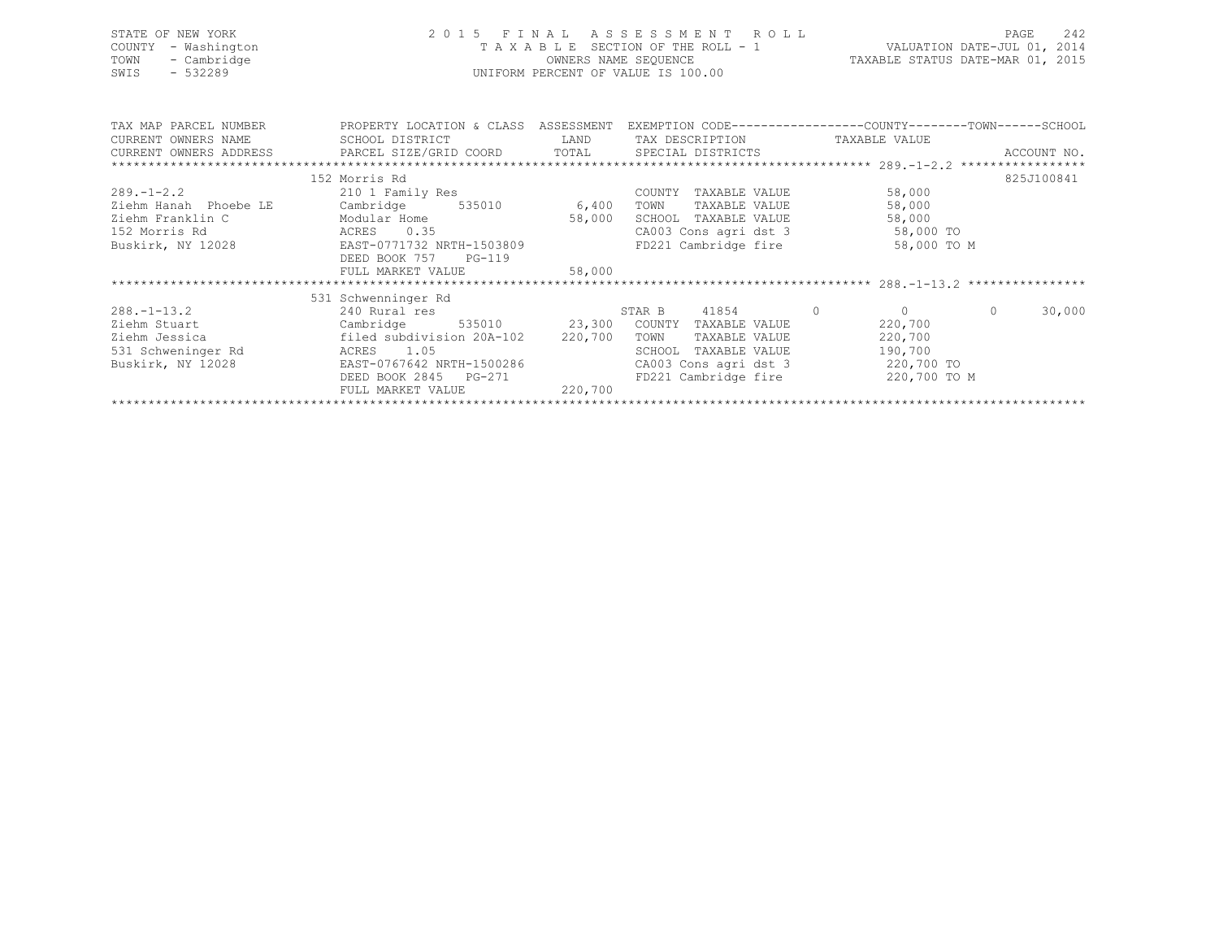| STATE OF NEW YORK<br>COUNTY<br>- Washington<br>- Cambridge<br>TOWN<br>$-532289$<br>SWIS | OWNERS NAME SEQUENCE<br>UNIFORM PERCENT OF VALUE IS 100.00                                                                                                                                                                                                                                                                                    | 2015 FINAL ASSESSMENT KULL<br>VALUATION DATE-JUL 01, 2014<br>VALUATION DATE-JUL 01, 2019<br>OWNERS NAME SEQUENCE TAXABLE STATUS DATE-MAR 01, 2015 |                                           |          |            |
|-----------------------------------------------------------------------------------------|-----------------------------------------------------------------------------------------------------------------------------------------------------------------------------------------------------------------------------------------------------------------------------------------------------------------------------------------------|---------------------------------------------------------------------------------------------------------------------------------------------------|-------------------------------------------|----------|------------|
| CURRENT OWNERS NAME                                                                     | TAX MAP PARCEL NUMBER THE PROPERTY LOCATION & CLASS ASSESSMENT EXEMPTION CODE--------------COUNTY-------TOWN------SCHOOL<br>SCHOOL DISTRICT                     LAND        TAX DESCRIPTION                  TAXABLE VALUE<br>.CURRENT OWNERS ADDRESS PARCEL SIZE/GRID COORD TOTAL SPECIAL DISTRICTS ACCOUNT NO ACCOUNT NO ACCOUNT NO ACCOUNT |                                                                                                                                                   |                                           |          |            |
|                                                                                         |                                                                                                                                                                                                                                                                                                                                               |                                                                                                                                                   |                                           |          |            |
| $289. -1 - 2.2$<br>Ziehm Hanah Phoebe LE<br>Ziehm Franklin C<br>152 Morris Rd           | 152 Morris Rd<br>210 1 Family Res<br>ACRES 0.35<br>Buskirk, NY 12028 EAST-0771732 NRTH-1503809<br>DEED BOOK 757 PG-119                                                                                                                                                                                                                        | COUNTY TAXABLE VALUE<br>TAXABLE VALUE<br>SCHOOL TAXABLE VALUE<br>CA003 Cons agri dst 3 58,000 TO<br>FD221 Cambridge fire                          | 58,000<br>58,000<br>58,000<br>58,000 TO M |          | 825J100841 |
|                                                                                         | FULL MARKET VALUE 58,000                                                                                                                                                                                                                                                                                                                      |                                                                                                                                                   |                                           |          |            |
|                                                                                         |                                                                                                                                                                                                                                                                                                                                               |                                                                                                                                                   |                                           |          |            |
| $288. -1 - 13.2$<br>Ziehm Jessica<br>531 Schweninger Rd<br>Buskirk, NY 12028            | 531 Schwenninger Rd<br>240 Rural res<br>Ziehm Stuart Cambridge 535010 23,300 COUNTY TAXABLE VALUE<br>filed subdivision 20A-102 220,700 TOWN<br>ACRES 1.05<br>EAST-0767642 NRTH-1500286<br>DEED BOOK 2845 PG-271<br>FULL MARKET VALUE 220,700                                                                                                  | STAR B 41854 0<br>TAXABLE VALUE<br>SCHOOL TAXABLE VALUE<br>CA003 Cons agri dst 3 220,700 TO<br>FD221 Cambridge fire 320,700 TO M                  | $\Omega$<br>220,700<br>220,700<br>190,700 | $\Omega$ | 30,000     |
|                                                                                         |                                                                                                                                                                                                                                                                                                                                               |                                                                                                                                                   |                                           |          |            |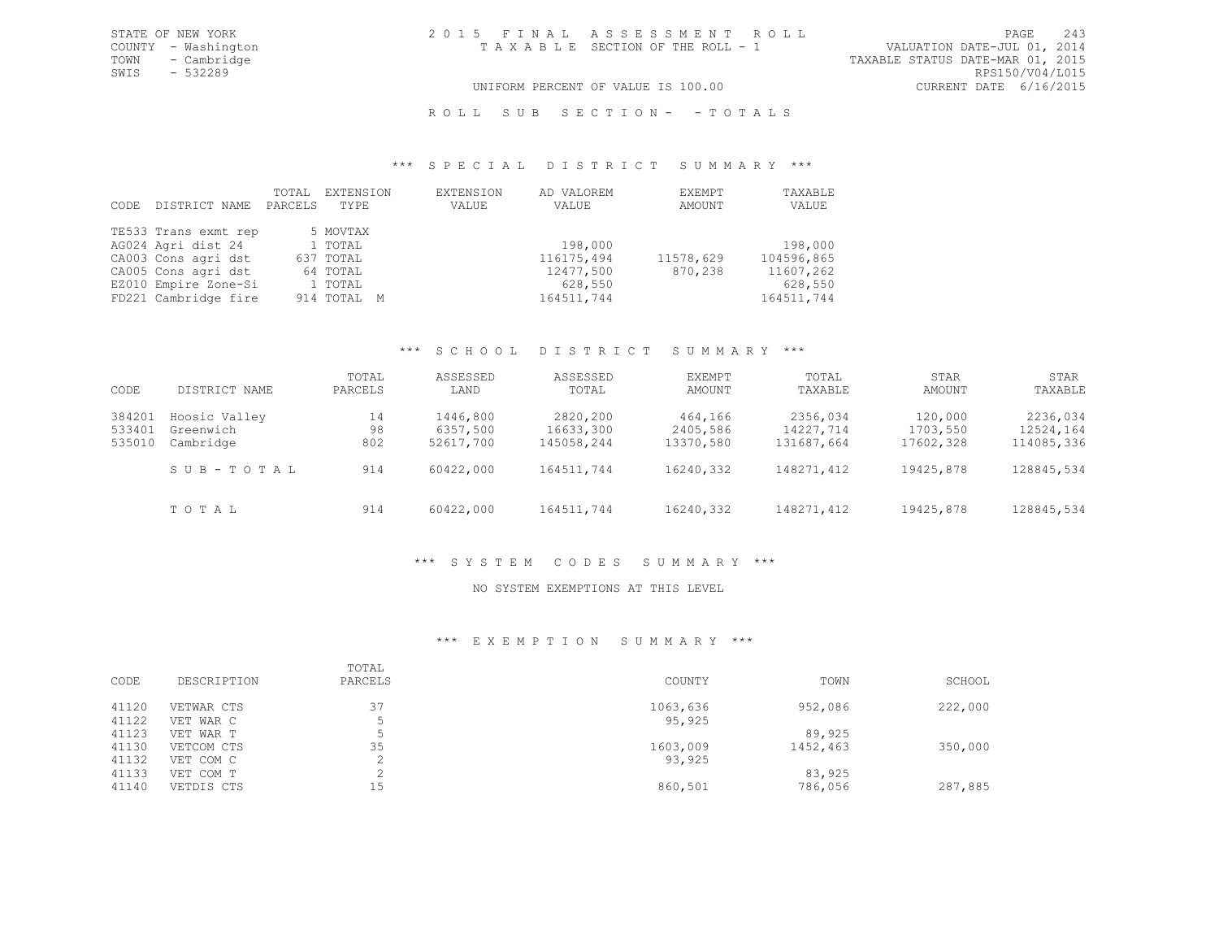# UNIFORM PERCENT OF VALUE IS 100.00

# ROLL SUB SECTION- - TOTALS

#### \*\*\* S P E C I A L D I S T R I C T S U M M A R Y \*\*\*

| CODE | DISTRICT NAME        | TOTAL<br>PARCELS | EXTENSION<br>TYPE | EXTENSION<br>VALUE | AD VALOREM<br>VALUE | EXEMPT<br>AMOUNT | TAXABLE<br>VALUE |
|------|----------------------|------------------|-------------------|--------------------|---------------------|------------------|------------------|
|      | TE533 Trans exmt rep |                  | 5 MOVTAX          |                    |                     |                  |                  |
|      | AG024 Agri dist 24   |                  | 1 TOTAL           |                    | 198,000             |                  | 198,000          |
|      | CA003 Cons agri dst  |                  | 637 TOTAL         |                    | 116175,494          | 11578,629        | 104596,865       |
|      | CA005 Cons agri dst  |                  | 64 TOTAL          |                    | 12477,500           | 870,238          | 11607,262        |
|      | EZ010 Empire Zone-Si |                  | 1 TOTAL           |                    | 628,550             |                  | 628,550          |
|      | FD221 Cambridge fire |                  | 914 TOTAL M       |                    | 164511,744          |                  | 164511,744       |

# \*\*\* S C H O O L D I S T R I C T S U M M A R Y \*\*\*

| CODE                       | DISTRICT NAME                           | TOTAL<br>PARCELS | ASSESSED<br>LAND                  | ASSESSED<br>TOTAL                   | EXEMPT<br>AMOUNT                 | TOTAL<br>TAXABLE                    | STAR<br>AMOUNT                   | STAR<br>TAXABLE                     |
|----------------------------|-----------------------------------------|------------------|-----------------------------------|-------------------------------------|----------------------------------|-------------------------------------|----------------------------------|-------------------------------------|
| 384201<br>533401<br>535010 | Hoosic Valley<br>Greenwich<br>Cambridge | 14<br>98<br>802  | 1446,800<br>6357,500<br>52617,700 | 2820,200<br>16633,300<br>145058,244 | 464,166<br>2405,586<br>13370,580 | 2356,034<br>14227,714<br>131687,664 | 120,000<br>1703,550<br>17602,328 | 2236,034<br>12524,164<br>114085,336 |
|                            | SUB-TOTAL                               | 914              | 60422,000                         | 164511,744                          | 16240,332                        | 148271,412                          | 19425,878                        | 128845,534                          |
|                            | TOTAL                                   | 914              | 60422,000                         | 164511,744                          | 16240,332                        | 148271,412                          | 19425,878                        | 128845,534                          |

# \*\*\* S Y S T E M C O D E S S U M M A R Y \*\*\*

#### NO SYSTEM EXEMPTIONS AT THIS LEVEL

## \*\*\* E X E M P T I O N S U M M A R Y \*\*\*

| CODE  | DESCRIPTION | TOTAL<br>PARCELS | COUNTY   | TOWN     | SCHOOL  |
|-------|-------------|------------------|----------|----------|---------|
| 41120 | VETWAR CTS  | 37               | 1063,636 | 952,086  | 222,000 |
| 41122 | VET WAR C   |                  | 95,925   |          |         |
| 41123 | VET WAR T   |                  |          | 89,925   |         |
| 41130 | VETCOM CTS  | 35               | 1603,009 | 1452,463 | 350,000 |
| 41132 | VET COM C   |                  | 93,925   |          |         |
| 41133 | VET COM T   | $\sim$           |          | 83,925   |         |
| 41140 | VETDIS CTS  | 15               | 860,501  | 786,056  | 287,885 |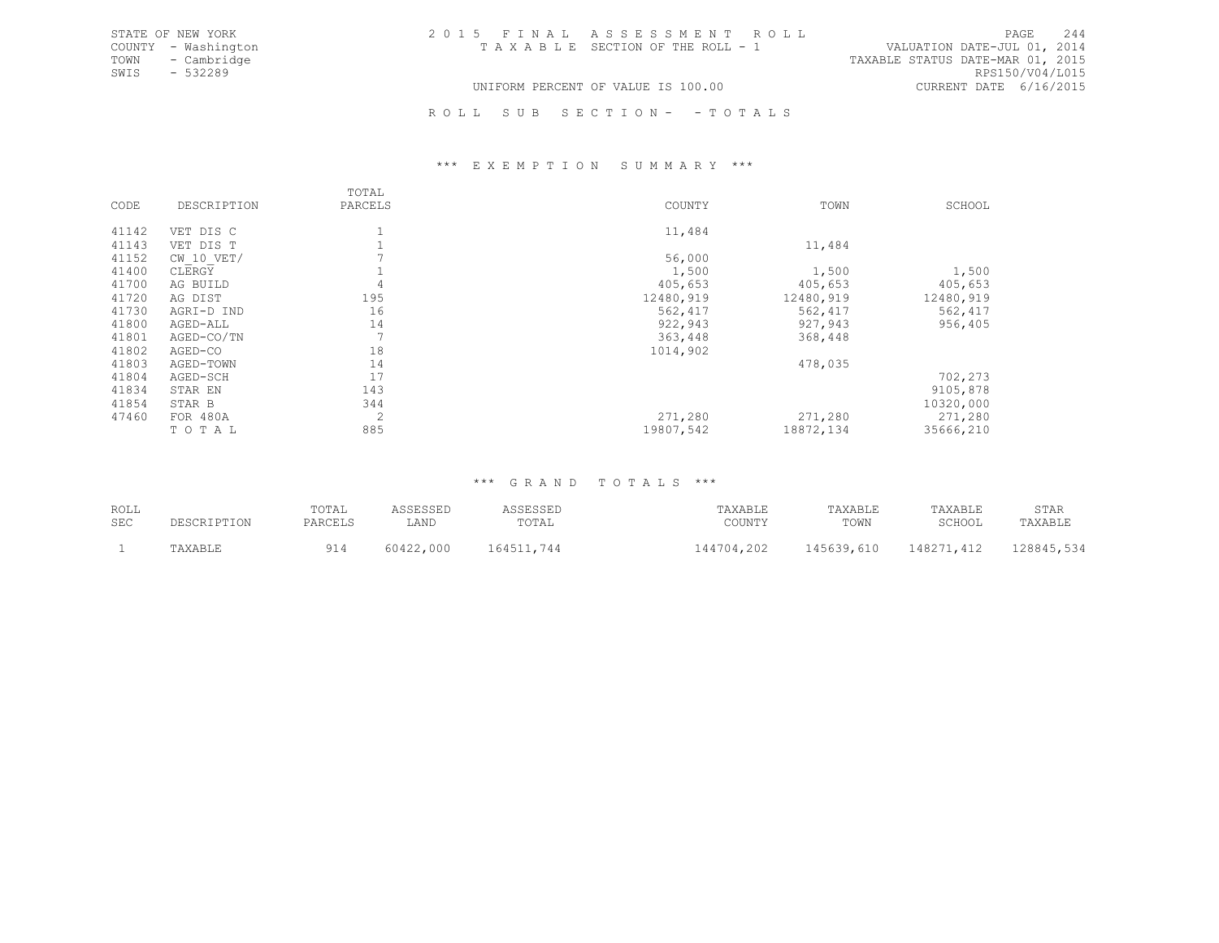| STATE OF NEW YORK   | 2015 FINAL ASSESSMENT ROLL         | 2.44<br>PAGE                     |
|---------------------|------------------------------------|----------------------------------|
| COUNTY - Washington | TAXABLE SECTION OF THE ROLL - 1    | VALUATION DATE-JUL 01, 2014      |
| TOWN<br>- Cambridge |                                    | TAXABLE STATUS DATE-MAR 01, 2015 |
| SWIS<br>$-532289$   |                                    | RPS150/V04/L015                  |
|                     | UNIFORM PERCENT OF VALUE IS 100.00 | CURRENT DATE 6/16/2015           |

ROLL SUB SECTION- - TOTALS

#### \*\*\* E X E M P T I O N S U M M A R Y \*\*\*

|       |                | TOTAL   |           |            |           |
|-------|----------------|---------|-----------|------------|-----------|
| CODE  | DESCRIPTION    | PARCELS | COUNTY    | TOWN       | SCHOOL    |
| 41142 | VET DIS C      |         | 11,484    |            |           |
| 41143 | VET DIS T      |         |           | 11,484     |           |
| 41152 | $CW$ 10 $VET/$ |         | 56,000    |            |           |
| 41400 | CLERGY         |         | 1,500     | 1,500      | 1,500     |
| 41700 | AG BUILD       |         | 405,653   | 405,653    | 405,653   |
| 41720 | AG DIST        | 195     | 12480,919 | 12480,919  | 12480,919 |
| 41730 | AGRI-D IND     | 16      | 562,417   | 562,417    | 562,417   |
| 41800 | AGED-ALL       | 14      | 922,943   | 927,943    | 956,405   |
| 41801 | AGED-CO/TN     |         | 363,448   | 368,448    |           |
| 41802 | AGED-CO        | 18      | 1014,902  |            |           |
| 41803 | AGED-TOWN      | 14      |           | 478,035    |           |
| 41804 | AGED-SCH       | 17      |           |            | 702,273   |
| 41834 | STAR EN        | 143     |           |            | 9105,878  |
| 41854 | STAR B         | 344     |           |            | 10320,000 |
| 47460 | FOR 480A       | 2       | 271,280   | 271,280    | 271,280   |
|       | TOTAL          | 885     | 19807,542 | 18872, 134 | 35666,210 |

# \*\*\* G R A N D T O T A L S \*\*\*

| ROLL | DESCRIPTION | TOTAL   | ASSESSED  | ASSESSED   | TAXABLE    | TAXABLE    | TAXABLE    | STAR       |
|------|-------------|---------|-----------|------------|------------|------------|------------|------------|
| SEC  |             | PARCELS | LAND      | TOTAL      | COUNTY     | TOWN       | SCHOOL     | TAXABLE    |
|      | TAXABLE     | 914     | 60422,000 | 164511,744 | 144704,202 | 145639,610 | 148271,412 | 128845,534 |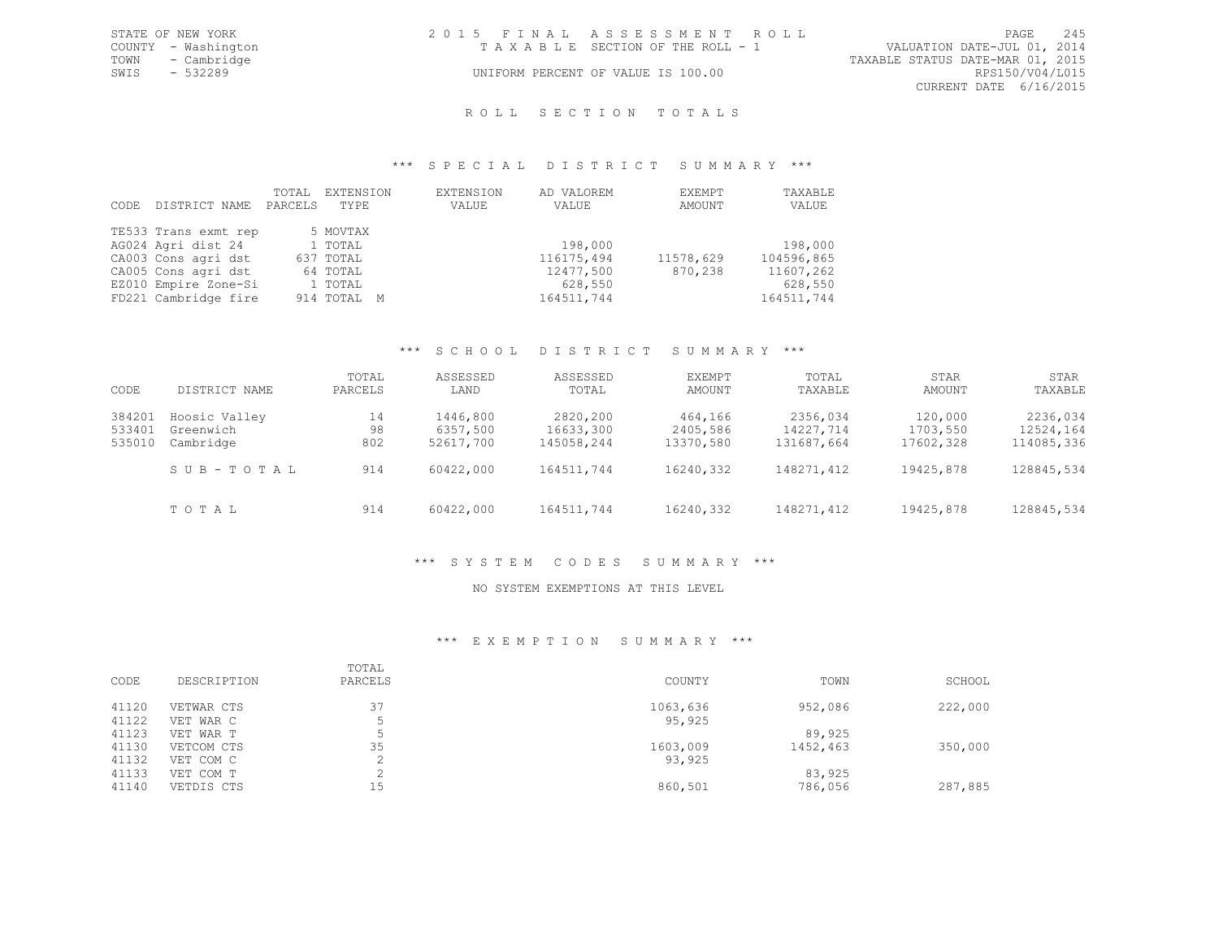| STATE OF NEW YORK   | 2015 FINAL ASSESSMENT ROLL                                     |                        | PAGE 245 |
|---------------------|----------------------------------------------------------------|------------------------|----------|
| COUNTY - Washington | VALUATION DATE-JUL 01, 2014<br>TAXABLE SECTION OF THE ROLL - 1 |                        |          |
| TOWN - Cambridge    | TAXABLE STATUS DATE-MAR 01, 2015                               |                        |          |
| SWIS - 532289       | UNIFORM PERCENT OF VALUE IS 100.00                             | RPS150/V04/L015        |          |
|                     |                                                                | CURRENT DATE 6/16/2015 |          |
|                     |                                                                |                        |          |

# R O L L S E C T I O N T O T A L S

#### \*\*\* S P E C I A L D I S T R I C T S U M M A R Y \*\*\*

| CODE | DISTRICT NAME        | TOTAL<br>PARCELS | EXTENSION<br>TYPE | EXTENSION<br>VALUE | AD VALOREM<br>VALUE | EXEMPT<br>AMOUNT | TAXABLE<br>VALUE |
|------|----------------------|------------------|-------------------|--------------------|---------------------|------------------|------------------|
|      | TE533 Trans exmt rep |                  | 5 MOVTAX          |                    |                     |                  |                  |
|      | AG024 Agri dist 24   |                  | 1 TOTAL           |                    | 198,000             |                  | 198,000          |
|      | CA003 Cons agri dst  |                  | 637 TOTAL         |                    | 116175,494          | 11578,629        | 104596,865       |
|      | CA005 Cons agri dst  |                  | 64 TOTAL          |                    | 12477,500           | 870,238          | 11607,262        |
|      | EZ010 Empire Zone-Si |                  | 1 TOTAL           |                    | 628,550             |                  | 628,550          |
|      | FD221 Cambridge fire |                  | 914 TOTAL M       |                    | 164511,744          |                  | 164511,744       |

# \*\*\* S C H O O L D I S T R I C T S U M M A R Y \*\*\*

| CODE                       | DISTRICT NAME                           | TOTAL<br>PARCELS | ASSESSED<br>LAND                  | ASSESSED<br>TOTAL                   | EXEMPT<br>AMOUNT                 | TOTAL<br>TAXABLE                    | STAR<br>AMOUNT                   | STAR<br>TAXABLE                     |
|----------------------------|-----------------------------------------|------------------|-----------------------------------|-------------------------------------|----------------------------------|-------------------------------------|----------------------------------|-------------------------------------|
| 384201<br>533401<br>535010 | Hoosic Valley<br>Greenwich<br>Cambridge | 14<br>98<br>802  | 1446,800<br>6357,500<br>52617,700 | 2820,200<br>16633,300<br>145058,244 | 464,166<br>2405,586<br>13370,580 | 2356,034<br>14227,714<br>131687,664 | 120,000<br>1703,550<br>17602,328 | 2236,034<br>12524,164<br>114085,336 |
|                            | SUB-TOTAL                               | 914              | 60422,000                         | 164511,744                          | 16240,332                        | 148271,412                          | 19425,878                        | 128845,534                          |
|                            | TOTAL                                   | 914              | 60422,000                         | 164511,744                          | 16240,332                        | 148271,412                          | 19425,878                        | 128845,534                          |

# \*\*\* S Y S T E M C O D E S S U M M A R Y \*\*\*

#### NO SYSTEM EXEMPTIONS AT THIS LEVEL

#### \*\*\* E X E M P T I O N S U M M A R Y \*\*\*

| CODE  | DESCRIPTION | TOTAL<br>PARCELS | COUNTY   | TOWN     | SCHOOL  |
|-------|-------------|------------------|----------|----------|---------|
| 41120 | VETWAR CTS  | 37               | 1063,636 | 952,086  | 222,000 |
| 41122 | VET WAR C   |                  | 95,925   |          |         |
| 41123 | VET WAR T   |                  |          | 89,925   |         |
| 41130 | VETCOM CTS  | 35               | 1603,009 | 1452,463 | 350,000 |
| 41132 | VET COM C   |                  | 93,925   |          |         |
| 41133 | VET COM T   |                  |          | 83,925   |         |
| 41140 | VETDIS CTS  | 15               | 860,501  | 786,056  | 287,885 |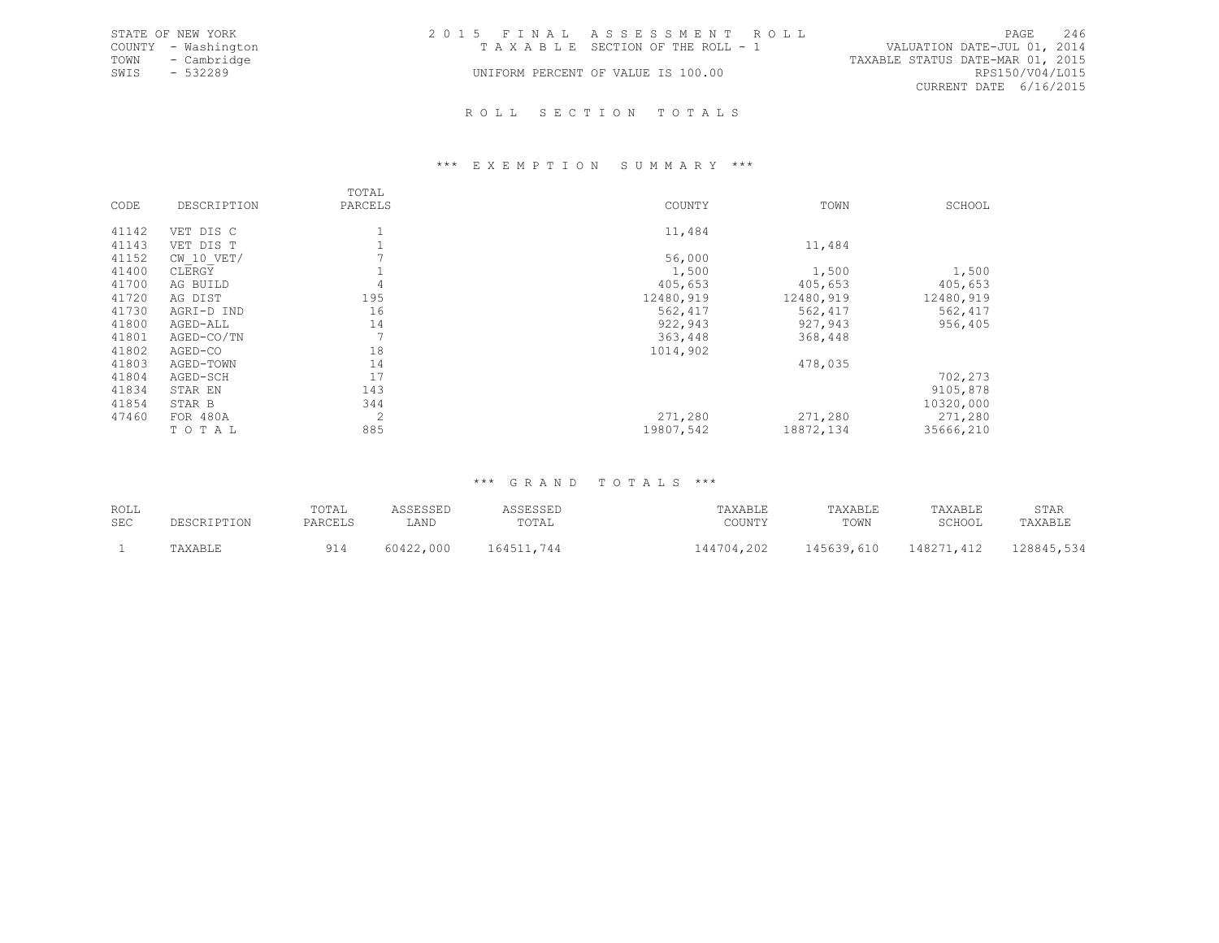|      | STATE OF NEW YORK   | 2015 FINAL ASSESSMENT ROLL                                     |                        | PAGE 246 |
|------|---------------------|----------------------------------------------------------------|------------------------|----------|
|      | COUNTY - Washington | VALUATION DATE-JUL 01, 2014<br>TAXABLE SECTION OF THE ROLL - 1 |                        |          |
|      | TOWN - Cambridge    | TAXABLE STATUS DATE-MAR 01, 2015                               |                        |          |
| SWIS | - 532289            | UNIFORM PERCENT OF VALUE IS 100.00                             | RPS150/V04/L015        |          |
|      |                     |                                                                | CURRENT DATE 6/16/2015 |          |
|      |                     |                                                                |                        |          |

#### R O L L S E C T I O N T O T A L S

#### \*\*\* E X E M P T I O N S U M M A R Y \*\*\*

|       |                | TOTAL   |           |            |           |
|-------|----------------|---------|-----------|------------|-----------|
| CODE  | DESCRIPTION    | PARCELS | COUNTY    | TOWN       | SCHOOL    |
| 41142 | VET DIS C      |         | 11,484    |            |           |
| 41143 | VET DIS T      |         |           | 11,484     |           |
| 41152 | $CW$ 10 $VET/$ |         | 56,000    |            |           |
| 41400 | CLERGY         |         | 1,500     | 1,500      | 1,500     |
| 41700 | AG BUILD       |         | 405,653   | 405,653    | 405,653   |
| 41720 | AG DIST        | 195     | 12480,919 | 12480,919  | 12480,919 |
| 41730 | AGRI-D IND     | 16      | 562,417   | 562,417    | 562, 417  |
| 41800 | AGED-ALL       | 14      | 922,943   | 927,943    | 956,405   |
| 41801 | AGED-CO/TN     |         | 363,448   | 368,448    |           |
| 41802 | AGED-CO        | 18      | 1014,902  |            |           |
| 41803 | AGED-TOWN      | 14      |           | 478,035    |           |
| 41804 | AGED-SCH       | 17      |           |            | 702,273   |
| 41834 | STAR EN        | 143     |           |            | 9105,878  |
| 41854 | STAR B         | 344     |           |            | 10320,000 |
| 47460 | FOR 480A       | 2       | 271,280   | 271,280    | 271,280   |
|       | TOTAL          | 885     | 19807,542 | 18872, 134 | 35666,210 |

# \*\*\* G R A N D T O T A L S \*\*\*

| ROLL<br><b>SEC</b> | DESCRIPTION | TOTAL<br>PARCELS | <b>\SSESSED</b><br>⊥AND | ASSESSED<br>TOTAL | TAXABLE<br>COUNTY | TAXABLE<br>TOWN | TAXABLE<br>SCHOOL | STAR<br>TAXABLE |
|--------------------|-------------|------------------|-------------------------|-------------------|-------------------|-----------------|-------------------|-----------------|
|                    | TAXABLE     | 914              | 60422,000               | 164511,744        | 144704,202        | 145639,610      | 148271,412        | 128845,534      |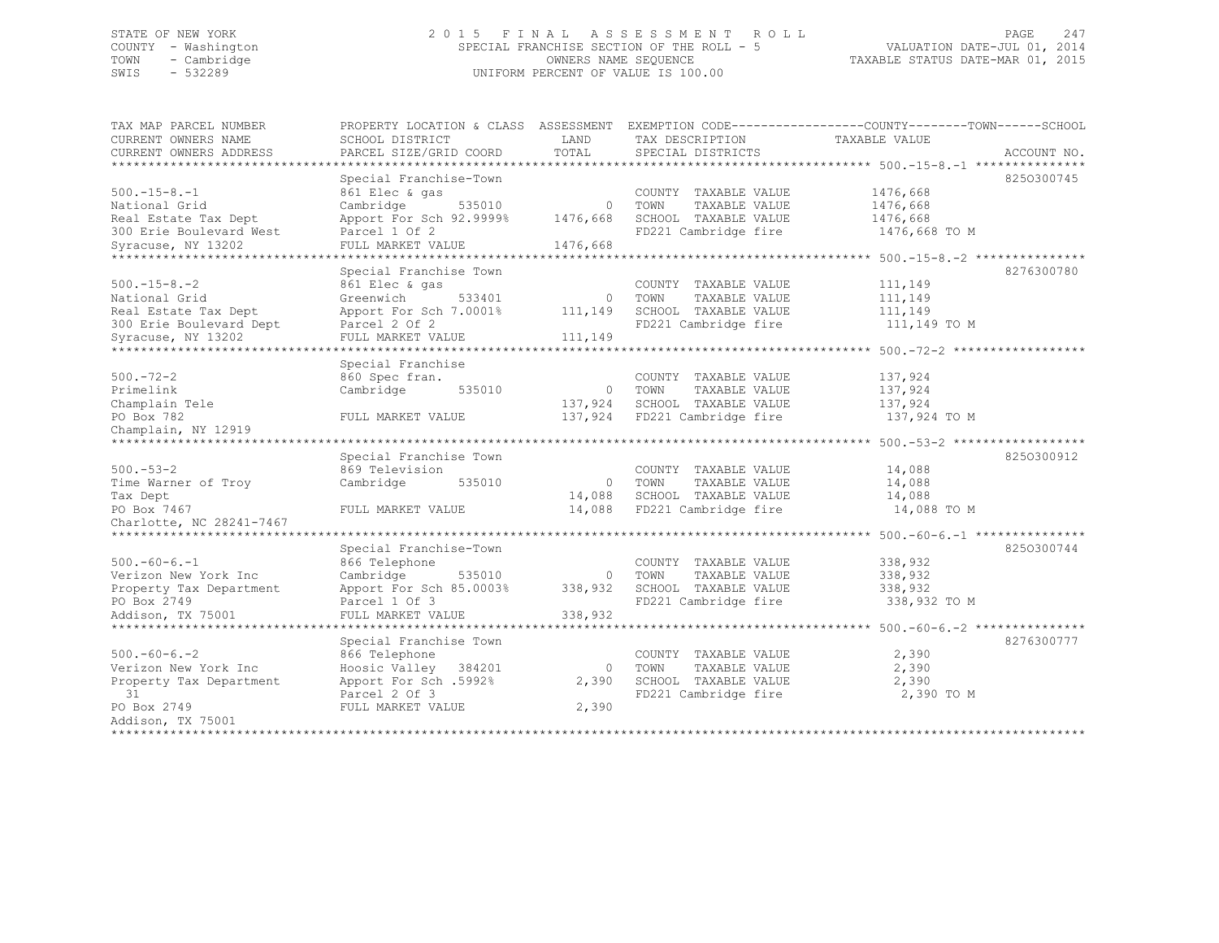## STATE OF NEW YORK 2 0 1 5 F I N A L A S S E S S M E N T R O L L PAGE 247 COUNTY - Washington SPECIAL FRANCHISE SECTION OF THE ROLL - 5 VALUATION DATE-JUL 01, 2014 TOWN - Cambridge OWNERS NAME SEQUENCE TAXABLE STATUS DATE-MAR 01, 2015 UNIFORM PERCENT OF VALUE IS 100.00

| TAX MAP PARCEL NUMBER      |                                     |          | PROPERTY LOCATION & CLASS ASSESSMENT EXEMPTION CODE-----------------COUNTY-------TOWN------SCHOOL |                                                                  |             |
|----------------------------|-------------------------------------|----------|---------------------------------------------------------------------------------------------------|------------------------------------------------------------------|-------------|
| CURRENT OWNERS NAME        | SCHOOL DISTRICT                     | LAND     | TAX DESCRIPTION                                                                                   | TAXABLE VALUE                                                    |             |
| CURRENT OWNERS ADDRESS     | PARCEL SIZE/GRID COORD              | TOTAL    | SPECIAL DISTRICTS                                                                                 |                                                                  | ACCOUNT NO. |
| ************************** |                                     |          |                                                                                                   |                                                                  |             |
|                            | Special Franchise-Town              |          |                                                                                                   |                                                                  | 8250300745  |
| $500.-15-8.-1$             | 861 Elec & gas                      |          | COUNTY TAXABLE VALUE                                                                              | 1476,668                                                         |             |
| National Grid              | 535010<br>Cambridge                 | $\Omega$ | TOWN<br>TAXABLE VALUE                                                                             | 1476,668                                                         |             |
| Real Estate Tax Dept       | Apport For Sch 92.9999%             | 1476,668 | SCHOOL TAXABLE VALUE                                                                              | 1476,668                                                         |             |
| 300 Erie Boulevard West    | Parcel 1 Of 2                       |          | FD221 Cambridge fire                                                                              | 1476,668 TO M                                                    |             |
| Syracuse, NY 13202         | FULL MARKET VALUE                   | 1476,668 |                                                                                                   |                                                                  |             |
|                            |                                     |          |                                                                                                   |                                                                  |             |
|                            | Special Franchise Town              |          |                                                                                                   |                                                                  | 8276300780  |
| $500. -15 - 8. -2$         | 861 Elec & gas                      |          | COUNTY TAXABLE VALUE                                                                              | 111,149                                                          |             |
| National Grid              | Greenwich<br>533401                 | $\Omega$ | TOWN<br>TAXABLE VALUE                                                                             | 111,149                                                          |             |
| Real Estate Tax Dept       | Apport For Sch 7.0001%              | 111,149  | SCHOOL TAXABLE VALUE                                                                              | 111,149                                                          |             |
| 300 Erie Boulevard Dept    | Parcel 2 Of 2                       |          | FD221 Cambridge fire                                                                              | 111,149 TO M                                                     |             |
| Syracuse, NY 13202         | FULL MARKET VALUE                   | 111,149  |                                                                                                   |                                                                  |             |
|                            |                                     |          | ******************************** 500.-72-2 **                                                     |                                                                  |             |
|                            | Special Franchise                   |          |                                                                                                   |                                                                  |             |
| $500. - 72 - 2$            | 860 Spec fran.                      |          | COUNTY TAXABLE VALUE                                                                              | 137,924                                                          |             |
| Primelink                  | 535010<br>Cambridge                 | $\Omega$ | TOWN<br>TAXABLE VALUE                                                                             | 137,924                                                          |             |
| Champlain Tele             |                                     | 137,924  | SCHOOL TAXABLE VALUE                                                                              | 137,924                                                          |             |
| PO Box 782                 | FULL MARKET VALUE                   | 137,924  | FD221 Cambridge fire                                                                              | 137,924 TO M                                                     |             |
| Champlain, NY 12919        |                                     |          |                                                                                                   |                                                                  |             |
|                            |                                     |          |                                                                                                   |                                                                  |             |
|                            | Special Franchise Town              |          |                                                                                                   |                                                                  | 8250300912  |
| $500 - 53 - 2$             | 869 Television                      |          | COUNTY TAXABLE VALUE                                                                              | 14,088                                                           |             |
| Time Warner of Troy        | Cambridge<br>535010                 | $\circ$  | TOWN<br>TAXABLE VALUE                                                                             | 14,088                                                           |             |
| Tax Dept                   |                                     | 14,088   | SCHOOL TAXABLE VALUE                                                                              | 14,088                                                           |             |
| PO Box 7467                | FULL MARKET VALUE                   | 14,088   | FD221 Cambridge fire                                                                              | 14,088 TO M                                                      |             |
| Charlotte, NC 28241-7467   |                                     |          |                                                                                                   |                                                                  |             |
|                            | *********************************** |          |                                                                                                   | *********** $500,-60-6,-1$                                       |             |
|                            | Special Franchise-Town              |          |                                                                                                   |                                                                  | 8250300744  |
| $500. -60 - 6. -1$         | 866 Telephone                       |          | COUNTY TAXABLE VALUE                                                                              | 338,932                                                          |             |
| Verizon New York Inc       | Cambridge<br>535010                 | $\circ$  | TOWN<br>TAXABLE VALUE                                                                             | 338,932                                                          |             |
| Property Tax Department    | Apport For Sch 85.0003%             | 338,932  | SCHOOL TAXABLE VALUE                                                                              | 338,932                                                          |             |
| PO Box 2749                | Parcel 1 Of 3                       |          | FD221 Cambridge fire                                                                              | 338,932 TO M                                                     |             |
| Addison, TX 75001          | FULL MARKET VALUE                   | 338,932  |                                                                                                   |                                                                  |             |
| ************************   |                                     |          |                                                                                                   | ******************************** 500. -60-6. -2 **************** |             |
|                            | Special Franchise Town              |          |                                                                                                   |                                                                  | 8276300777  |
| $500 - 60 - 6 - 2$         | 866 Telephone                       |          | COUNTY TAXABLE VALUE                                                                              | 2,390                                                            |             |
| Verizon New York Inc       | Hoosic Valley 384201                | $\circ$  | TAXABLE VALUE<br>TOWN                                                                             | 2,390                                                            |             |
| Property Tax Department    | Apport For Sch .5992%               | 2,390    | SCHOOL TAXABLE VALUE                                                                              | 2,390                                                            |             |
| 31                         | Parcel 2 Of 3                       |          | FD221 Cambridge fire                                                                              | 2,390 TO M                                                       |             |
| PO Box 2749                | FULL MARKET VALUE                   | 2,390    |                                                                                                   |                                                                  |             |
| Addison, TX 75001          |                                     |          |                                                                                                   |                                                                  |             |
| *************************  |                                     |          |                                                                                                   |                                                                  |             |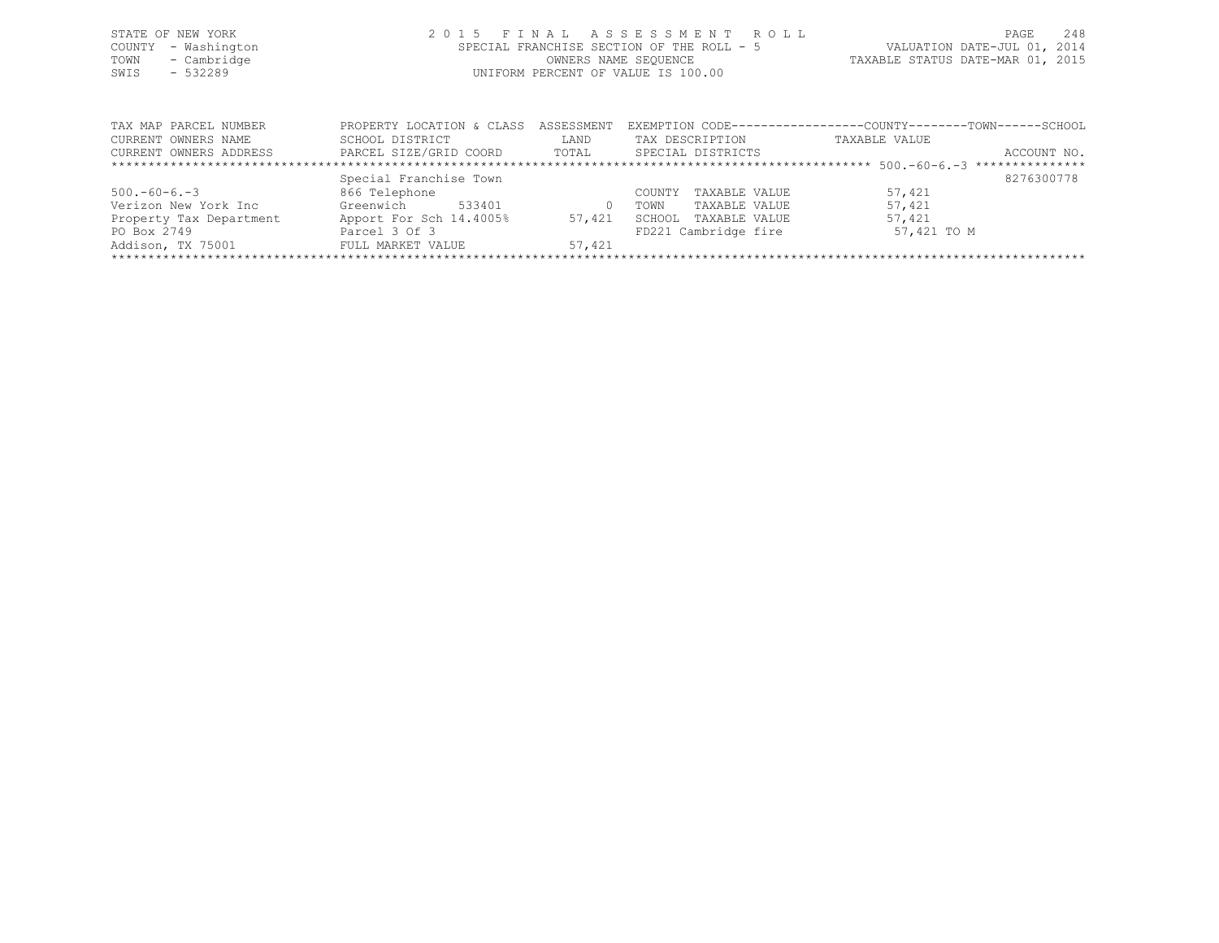| STATE OF NEW YORK<br>COUNTY - Washington<br>TOWN - Cambridge<br>SWIS<br>- 532289 |  | 2015 FINAL ASSESSMENT ROLL<br>SPECIAL FRANCHISE SECTION OF THE ROLL - 5<br>OWNERS NAME SEQUENCE<br>UNIFORM PERCENT OF VALUE IS 100.00 | TAXABLE STATUS DATE-MAR 01, 2015 | PAGE<br>VALUATION DATE-JUL 01, 2014 | 248 |
|----------------------------------------------------------------------------------|--|---------------------------------------------------------------------------------------------------------------------------------------|----------------------------------|-------------------------------------|-----|
| TAX MAP PARCEL NUMBER                                                            |  | PROPERTY LOCATION & CLASS ASSESSMENT EXEMPTION CODE---------------COUNTY-------TOWN------SCHOOL                                       |                                  |                                     |     |

| CURRENT OWNERS NAME     | SCHOOL DISTRICT         | LAND   | TAX DESCRIPTION         | TAXABLE VALUE |             |
|-------------------------|-------------------------|--------|-------------------------|---------------|-------------|
| CURRENT OWNERS ADDRESS  | PARCEL SIZE/GRID COORD  | TOTAL  | SPECIAL DISTRICTS       |               | ACCOUNT NO. |
|                         |                         |        |                         |               |             |
|                         | Special Franchise Town  |        |                         |               | 8276300778  |
| $500. -60 - 6. -3$      | 866 Telephone           |        | TAXABLE VALUE<br>COUNTY | 57,421        |             |
| Verizon New York Inc    | Greenwich<br>533401     |        | TAXABLE VALUE<br>TOWN   | 57,421        |             |
| Property Tax Department | Apport For Sch 14.4005% | 57,421 | TAXABLE VALUE<br>SCHOOL | 57,421        |             |
| PO Box 2749             | Parcel 3 Of 3           |        | FD221 Cambridge fire    | 57,421 TO M   |             |
| Addison, TX 75001       | FULL MARKET VALUE       | 57,421 |                         |               |             |
|                         |                         |        |                         |               |             |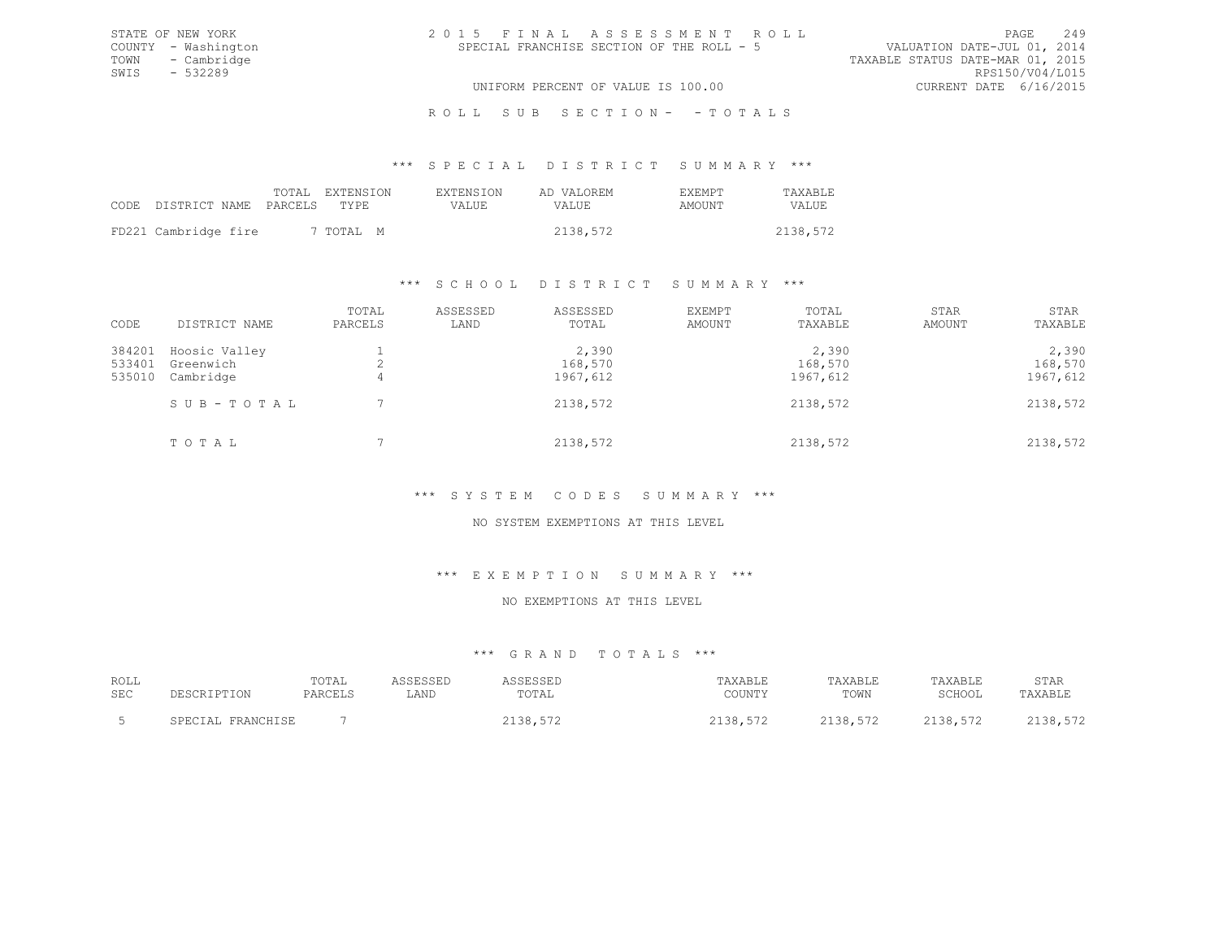| 2015 FINAL ASSESSMENT ROLL |                                           |                                  | PAGE.                       | 249 |
|----------------------------|-------------------------------------------|----------------------------------|-----------------------------|-----|
|                            | SPECIAL FRANCHISE SECTION OF THE ROLL - 5 |                                  | VALUATION DATE-JUL 01, 2014 |     |
|                            |                                           | TAXABLE STATUS DATE-MAR 01, 2015 |                             |     |
|                            |                                           |                                  | RPS150/V04/L015             |     |
|                            | UNIFORM PERCENT OF VALUE IS 100.00        |                                  | CURRENT DATE 6/16/2015      |     |

\*\*\* S P E C I A L D I S T R I C T S U M M A R Y \*\*\*

|                            | TOTAL EXTENSION | <b>EXTENSION</b> | AD VALOREM | <b>FXFMPT</b> | TAXABLE      |
|----------------------------|-----------------|------------------|------------|---------------|--------------|
| CODE DISTRICT NAME PARCELS | TYPE.           | VALUE            | VALUE      | AMOUNT        | <b>VALUE</b> |
| FD221 Cambridge fire       | 7 TOTAL M       |                  | 2138,572   |               | 2138,572     |

STATE OF NEW YORK COUNTY - Washington TOWN - Cambridge  $SWIS$  - 532289

#### \*\*\* S C H O O L D I S T R I C T S U M M A R Y \*\*\*

| CODE                       | DISTRICT NAME                           | TOTAL<br>PARCELS | ASSESSED<br>LAND | ASSESSED<br>TOTAL            | <b>EXEMPT</b><br>AMOUNT | TOTAL<br>TAXABLE             | STAR<br>AMOUNT | STAR<br>TAXABLE              |
|----------------------------|-----------------------------------------|------------------|------------------|------------------------------|-------------------------|------------------------------|----------------|------------------------------|
| 384201<br>533401<br>535010 | Hoosic Valley<br>Greenwich<br>Cambridge | 4                |                  | 2,390<br>168,570<br>1967,612 |                         | 2,390<br>168,570<br>1967,612 |                | 2,390<br>168,570<br>1967,612 |
|                            | SUB-TOTAL                               |                  |                  | 2138,572                     |                         | 2138,572                     |                | 2138,572                     |
|                            | TOTAL                                   |                  |                  | 2138,572                     |                         | 2138,572                     |                | 2138,572                     |

## \*\*\* S Y S T E M C O D E S S U M M A R Y \*\*\*

#### NO SYSTEM EXEMPTIONS AT THIS LEVEL

#### \*\*\* E X E M P T I O N S U M M A R Y \*\*\*

## NO EXEMPTIONS AT THIS LEVEL

# \*\*\* G R A N D T O T A L S \*\*\*

| ROLL       |                                   | TOTAL   |      |       | "AXABLE                                     | <b>TAXABLE</b> | TAXABLE                                      | STAR   |
|------------|-----------------------------------|---------|------|-------|---------------------------------------------|----------------|----------------------------------------------|--------|
| <b>SEC</b> |                                   | PARCEL! | LAND | .UTAL | COUNTY                                      | TOWN           | SCHOOL                                       | TAXABL |
|            | <b>CDFCTA</b><br><b>CDAMOUTCL</b> |         |      |       | $  \circ$<br>$\circ$<br>JU , J , 4<br>- - - | <b>0100</b>    | $  \sim$<br>י פרי<br>$\sim$<br>, , , , , , , |        |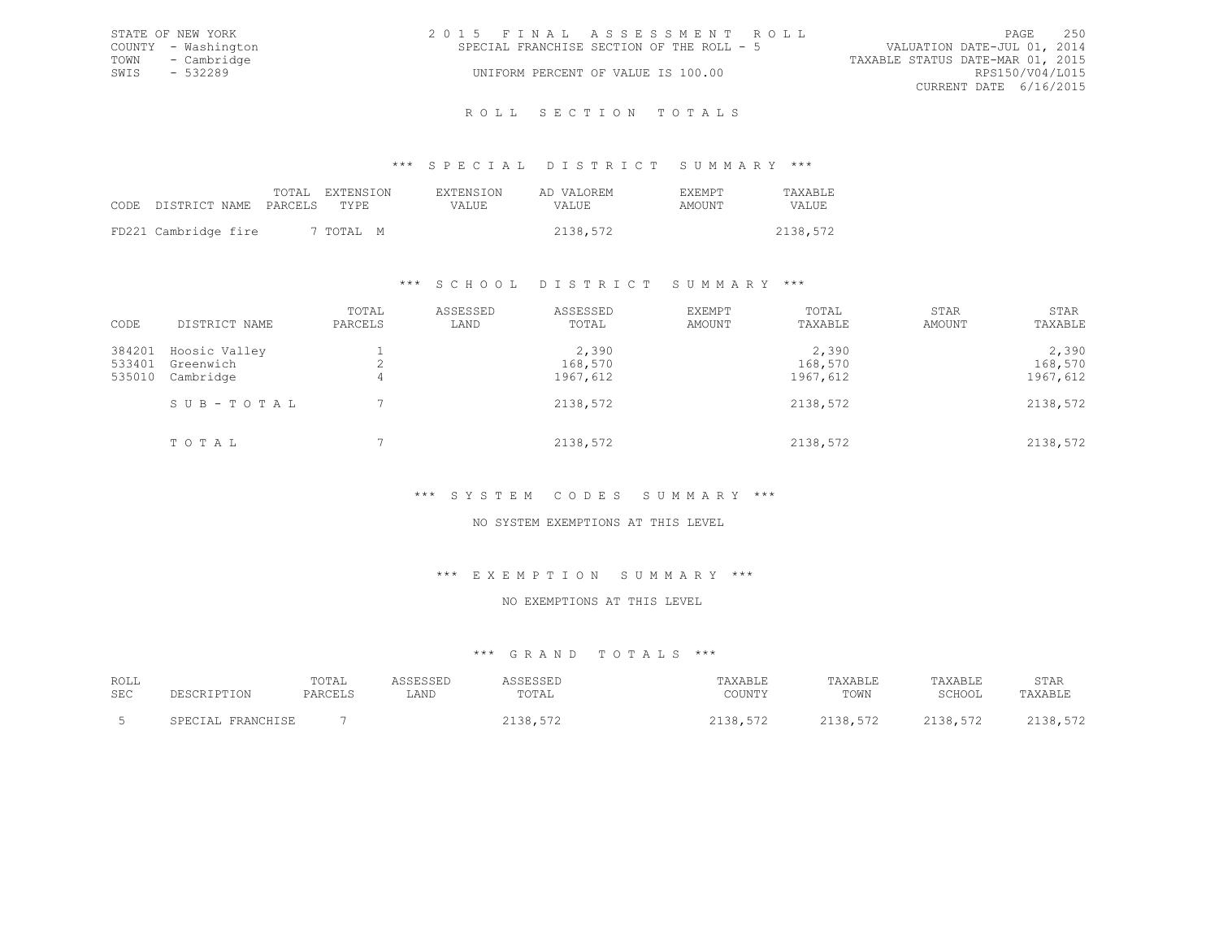|      | STATE OF NEW YORK   | 2015 FINAL ASSESSMENT ROLL                                               |                 | PAGE | 2.50 |
|------|---------------------|--------------------------------------------------------------------------|-----------------|------|------|
|      | COUNTY - Washington | VALUATION DATE-JUL 01, 2014<br>SPECIAL FRANCHISE SECTION OF THE ROLL - 5 |                 |      |      |
|      | TOWN - Cambridge    | TAXABLE STATUS DATE-MAR 01, 2015                                         |                 |      |      |
| SWIS | - 532289            | UNIFORM PERCENT OF VALUE IS 100.00                                       | RPS150/V04/L015 |      |      |
|      |                     | CURRENT DATE 6/16/2015                                                   |                 |      |      |
|      |                     |                                                                          |                 |      |      |

#### R O L L S E C T I O N T O T A L S

#### \*\*\* S P E C I A L D I S T R I C T S U M M A R Y \*\*\*

|                            | TOTAL EXTENSION | <b>EXTENSION</b> | AD VALOREM | <b>EXEMPT</b> | <b>TAXABLE</b> |
|----------------------------|-----------------|------------------|------------|---------------|----------------|
| CODE DISTRICT NAME PARCELS | TYPE.           | VALUE.           | VALUE      | AMOUNT        | VALUE.         |
| FD221 Cambridge fire       | 7 TOTAL M       |                  | 2138,572   |               | 2138,572       |

#### \*\*\* S C H O O L D I S T R I C T S U M M A R Y \*\*\*

| CODE                       | DISTRICT NAME                           | TOTAL<br>PARCELS | ASSESSED<br>LAND | ASSESSED<br>TOTAL            | EXEMPT<br>AMOUNT | TOTAL<br>TAXABLE             | STAR<br>AMOUNT | STAR<br>TAXABLE              |
|----------------------------|-----------------------------------------|------------------|------------------|------------------------------|------------------|------------------------------|----------------|------------------------------|
| 384201<br>533401<br>535010 | Hoosic Valley<br>Greenwich<br>Cambridge | 4                |                  | 2,390<br>168,570<br>1967,612 |                  | 2,390<br>168,570<br>1967,612 |                | 2,390<br>168,570<br>1967,612 |
|                            | SUB-TOTAL                               |                  |                  | 2138,572                     |                  | 2138,572                     |                | 2138,572                     |
|                            | TOTAL                                   |                  |                  | 2138,572                     |                  | 2138,572                     |                | 2138,572                     |

# \*\*\* S Y S T E M C O D E S S U M M A R Y \*\*\*

#### NO SYSTEM EXEMPTIONS AT THIS LEVEL

#### \*\*\* E X E M P T I O N S U M M A R Y \*\*\*

#### NO EXEMPTIONS AT THIS LEVEL

# \*\*\* G R A N D T O T A L S \*\*\*

| ROLL       |                                 | TOTAL   |      |       | <b>TAXABLE</b>   | <b>TAXABLE</b> | <b>TAXABLF</b> | STAR    |
|------------|---------------------------------|---------|------|-------|------------------|----------------|----------------|---------|
| <b>SEC</b> | ∸∽                              | PARCELS | LAND | TOTAL | COUNTY           | TOWN           | SCHOOL         | TAXABLE |
|            | <b>CDFCTA</b><br>הים דוזים וגמה |         |      |       | $-70$<br>$\circ$ | 2120           | 570<br>ס כי    | 38      |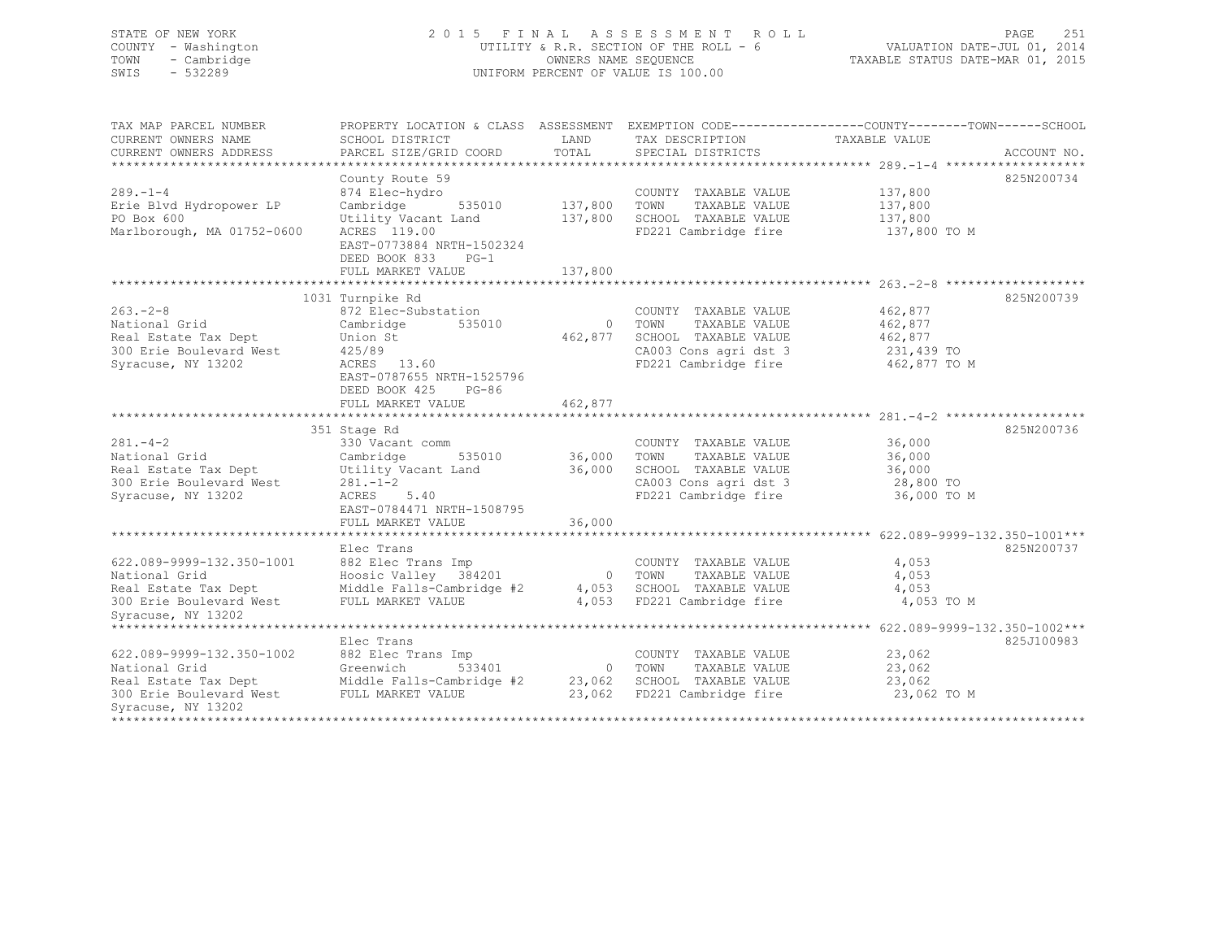## STATE OF NEW YORK 2 0 1 5 F I N A L A S S E S S M E N T R O L L PAGE 251 COUNTY - Washington UTILITY & R.R. SECTION OF THE ROLL - 6 VALUATION DATE-JUL 01, 2014 TOWN - Cambridge OWNERS NAME SEQUENCE TAXABLE STATUS DATE-MAR 01, 2015 SWIS - 532289 UNIFORM PERCENT OF VALUE IS 100.00

| TAX MAP PARCEL NUMBER<br>CURRENT OWNERS NAME<br>CURRENT OWNERS ADDRESS                                                                                          | PROPERTY LOCATION & CLASS ASSESSMENT EXEMPTION CODE---------------COUNTY-------TOWN-----SCHOOL<br>SCHOOL DISTRICT<br>PARCEL SIZE/GRID COORD             | LAND<br>TOTAL      | TAX DESCRIPTION<br>SPECIAL DISTRICTS                                                                                     | TAXABLE VALUE                                               | ACCOUNT NO. |
|-----------------------------------------------------------------------------------------------------------------------------------------------------------------|---------------------------------------------------------------------------------------------------------------------------------------------------------|--------------------|--------------------------------------------------------------------------------------------------------------------------|-------------------------------------------------------------|-------------|
| $289. - 1 - 4$<br>Erie Blvd Hydropower LP<br>PO Box 600<br>Marlborough, MA 01752-0600                                                                           | County Route 59<br>874 Elec-hydro<br>Cambridge<br>535010<br>Utility Vacant Land<br>ACRES 119.00<br>EAST-0773884 NRTH-1502324<br>DEED BOOK 833<br>$PG-1$ | 137,800<br>137,800 | COUNTY TAXABLE VALUE<br>TAXABLE VALUE<br>TOWN<br>SCHOOL TAXABLE VALUE<br>FD221 Cambridge fire                            | 137,800<br>137,800<br>137,800<br>137,800 TO M               | 825N200734  |
|                                                                                                                                                                 | FULL MARKET VALUE                                                                                                                                       | 137,800            |                                                                                                                          |                                                             |             |
|                                                                                                                                                                 | 1031 Turnpike Rd                                                                                                                                        |                    |                                                                                                                          |                                                             | 825N200739  |
| $263 - 2 - 8$<br>National Grid<br>Real Estate Tax Dept<br>300 Erie Boulevard West<br>Syracuse, NY 13202                                                         | 872 Elec-Substation<br>Cambridge<br>535010<br>Union St<br>425/89<br>ACRES 13.60<br>EAST-0787655 NRTH-1525796<br>DEED BOOK 425<br>$PG-86$                | 462,877            | COUNTY TAXABLE VALUE<br>0 TOWN<br>TAXABLE VALUE<br>SCHOOL TAXABLE VALUE<br>CA003 Cons agri dst 3<br>FD221 Cambridge fire | 462,877<br>462,877<br>462,877<br>231,439 TO<br>462,877 TO M |             |
|                                                                                                                                                                 | FULL MARKET VALUE                                                                                                                                       | 462,877            |                                                                                                                          |                                                             |             |
| $281 - 4 - 2$<br>National Grid<br>Real Estate Tax Dept<br>300 Erie Boulevard West<br>Syracuse, NY 13202                                                         | 351 Stage Rd<br>330 Vacant comm<br>Cambridge<br>535010<br>Utility Vacant Land<br>$281 - 1 - 2$<br>ACRES 5.40<br>EAST-0784471 NRTH-1508795               | 36,000<br>36,000   | COUNTY TAXABLE VALUE<br>TOWN<br>TAXABLE VALUE<br>SCHOOL TAXABLE VALUE<br>CA003 Cons agri dst 3<br>FD221 Cambridge fire   | 36,000<br>36,000<br>36,000<br>28,800 TO<br>36,000 TO M      | 825N200736  |
|                                                                                                                                                                 | FULL MARKET VALUE                                                                                                                                       | 36,000             |                                                                                                                          |                                                             |             |
|                                                                                                                                                                 | Elec Trans                                                                                                                                              |                    |                                                                                                                          |                                                             | 825N200737  |
| 622.089-9999-132.350-1001<br>National Grid<br>Real Estate Tax Dept<br>300 Erie Boulevard West<br>Syracuse, NY 13202                                             | 882 Elec Trans Imp<br>Hoosic Valley 384201<br>Middle Falls-Cambridge #2<br>FULL MARKET VALUE                                                            | 4,053              | COUNTY TAXABLE VALUE<br>TAXABLE VALUE<br>0 TOWN<br>SCHOOL TAXABLE VALUE<br>4,053 FD221 Cambridge fire                    | 4,053<br>4,053<br>4,053<br>4,053 TO M                       |             |
|                                                                                                                                                                 |                                                                                                                                                         |                    |                                                                                                                          |                                                             |             |
| 622.089-9999-132.350-1002<br>National Grid<br>Real Estate Tax Dept Middle Falls-Cambridge #2<br>300 Erie Boulevard West FULL MARKET VALUE<br>Syracuse, NY 13202 | Elec Trans<br>882 Elec Trans Imp<br>Greenwich<br>533401                                                                                                 | 23,062<br>23,062   | COUNTY TAXABLE VALUE<br>0 TOWN<br>TAXABLE VALUE<br>SCHOOL TAXABLE VALUE<br>FD221 Cambridge fire                          | 23,062<br>23,062<br>23,062<br>23,062 TO M                   | 825J100983  |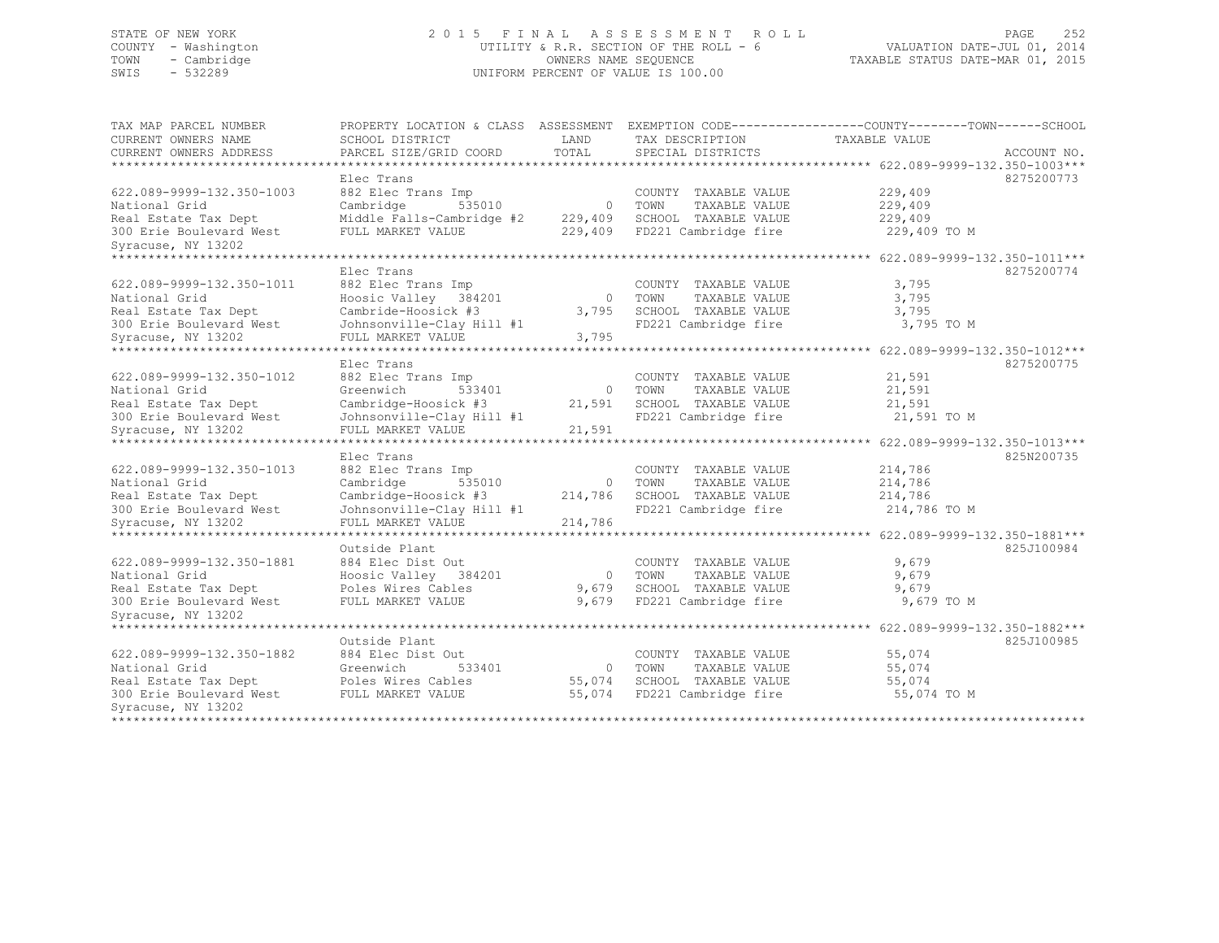## STATE OF NEW YORK 2 0 1 5 F I N A L A S S E S S M E N T R O L L PAGE 252 COUNTY - Washington UTILITY & R.R. SECTION OF THE ROLL - 6 VALUATION DATE-JUL 01, 2014 TOWN - Cambridge OWNERS NAME SEQUENCE TAXABLE STATUS DATE-MAR 01, 2015 SWIS - 532289 UNIFORM PERCENT OF VALUE IS 100.00

| TAX MAP PARCEL NUMBER     | PROPERTY LOCATION & CLASS ASSESSMENT |          | EXEMPTION CODE----------------COUNTY-------TOWN------SCHOOL |                                         |             |
|---------------------------|--------------------------------------|----------|-------------------------------------------------------------|-----------------------------------------|-------------|
| CURRENT OWNERS NAME       | SCHOOL DISTRICT                      | LAND     | TAX DESCRIPTION                                             | TAXABLE VALUE                           |             |
| CURRENT OWNERS ADDRESS    | PARCEL SIZE/GRID COORD               | TOTAL    | SPECIAL DISTRICTS                                           |                                         | ACCOUNT NO. |
| ********************      |                                      |          |                                                             |                                         |             |
|                           | Elec Trans                           |          |                                                             |                                         | 8275200773  |
| 622.089-9999-132.350-1003 | 882 Elec Trans Imp                   |          | COUNTY TAXABLE VALUE                                        | 229,409                                 |             |
| National Grid             | Cambridge<br>535010                  | $\circ$  | TAXABLE VALUE<br>TOWN                                       | 229,409                                 |             |
| Real Estate Tax Dept      | Middle Falls-Cambridge #2            | 229,409  | SCHOOL TAXABLE VALUE                                        | 229,409                                 |             |
| 300 Erie Boulevard West   | FULL MARKET VALUE                    | 229,409  | FD221 Cambridge fire                                        | 229,409 TO M                            |             |
| Syracuse, NY 13202        |                                      |          |                                                             |                                         |             |
| ***************           |                                      |          |                                                             | ********* 622.089-9999-132.350-1011***  |             |
|                           | Elec Trans                           |          |                                                             |                                         | 8275200774  |
| 622.089-9999-132.350-1011 | 882 Elec Trans Imp                   |          | COUNTY TAXABLE VALUE                                        | 3,795                                   |             |
| National Grid             | Hoosic Valley 384201                 | $\Omega$ | TOWN<br>TAXABLE VALUE                                       | 3,795                                   |             |
| Real Estate Tax Dept      | Cambride-Hoosick #3                  | 3,795    | SCHOOL TAXABLE VALUE                                        | 3,795                                   |             |
| 300 Erie Boulevard West   | Johnsonville-Clay Hill #1            |          | FD221 Cambridge fire                                        | 3,795 TO M                              |             |
| Syracuse, NY 13202        | FULL MARKET VALUE                    | 3,795    |                                                             |                                         |             |
|                           |                                      |          |                                                             | ********** 622.089-9999-132.350-1012*** |             |
|                           | Elec Trans                           |          |                                                             |                                         | 8275200775  |
| 622.089-9999-132.350-1012 | 882 Elec Trans Imp                   |          | COUNTY TAXABLE VALUE                                        | 21,591                                  |             |
| National Grid             | Greenwich<br>533401                  | $\circ$  | TAXABLE VALUE<br>TOWN                                       | 21,591                                  |             |
| Real Estate Tax Dept      | Cambridge-Hoosick #3                 | 21,591   | SCHOOL TAXABLE VALUE                                        | 21,591                                  |             |
| 300 Erie Boulevard West   | Johnsonville-Clay Hill #1            |          | FD221 Cambridge fire                                        | 21,591 TO M                             |             |
| Syracuse, NY 13202        | FULL MARKET VALUE                    | 21,591   |                                                             |                                         |             |
| ************************  |                                      |          |                                                             |                                         |             |
|                           | Elec Trans                           |          |                                                             |                                         | 825N200735  |
| 622.089-9999-132.350-1013 | 882 Elec Trans Imp                   |          | COUNTY TAXABLE VALUE                                        | 214,786                                 |             |
| National Grid             | Cambridge<br>535010                  | $\circ$  | TAXABLE VALUE<br>TOWN                                       | 214,786                                 |             |
| Real Estate Tax Dept      | Cambridge-Hoosick #3                 | 214,786  | SCHOOL TAXABLE VALUE                                        | 214,786                                 |             |
| 300 Erie Boulevard West   | Johnsonville-Clay Hill #1            |          | FD221 Cambridge fire                                        | 214,786 TO M                            |             |
| Syracuse, NY 13202        | FULL MARKET VALUE                    | 214,786  |                                                             |                                         |             |
|                           |                                      |          |                                                             | ******* 622.089-9999-132.350-1881***    |             |
|                           | Outside Plant                        |          |                                                             |                                         | 825J100984  |
| 622.089-9999-132.350-1881 | 884 Elec Dist Out                    |          | COUNTY TAXABLE VALUE                                        | 9,679                                   |             |
| National Grid             | Hoosic Valley 384201                 | $\circ$  | TAXABLE VALUE<br>TOWN                                       | 9,679                                   |             |
| Real Estate Tax Dept      | Poles Wires Cables                   | 9,679    | SCHOOL TAXABLE VALUE                                        | 9,679                                   |             |
| 300 Erie Boulevard West   | FULL MARKET VALUE                    | 9,679    | FD221 Cambridge fire                                        | 9,679 TO M                              |             |
| Syracuse, NY 13202        |                                      |          |                                                             |                                         |             |
| *********************     |                                      |          |                                                             |                                         |             |
|                           | Outside Plant                        |          |                                                             |                                         | 825J100985  |
| 622.089-9999-132.350-1882 | 884 Elec Dist Out                    |          | COUNTY TAXABLE VALUE                                        | 55,074                                  |             |
| National Grid             | Greenwich<br>533401                  | $\circ$  | TAXABLE VALUE<br>TOWN                                       | 55,074                                  |             |
| Real Estate Tax Dept      | Poles Wires Cables                   | 55,074   | SCHOOL TAXABLE VALUE                                        | 55,074                                  |             |
| 300 Erie Boulevard West   | FULL MARKET VALUE                    | 55,074   | FD221 Cambridge fire                                        | 55,074 TO M                             |             |
| Syracuse, NY 13202        |                                      |          |                                                             |                                         |             |
| **************            |                                      |          |                                                             |                                         |             |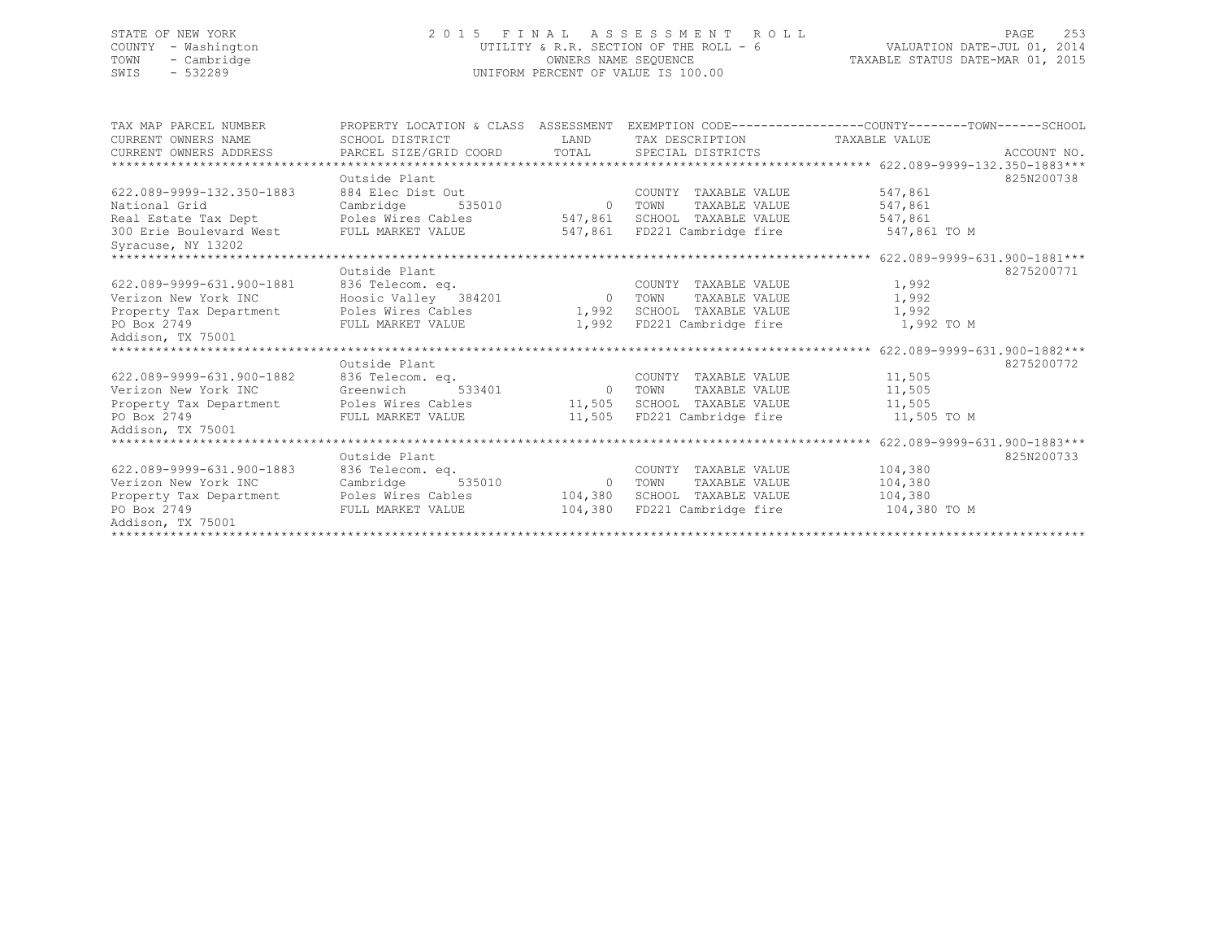## STATE OF NEW YORK 2 0 1 5 F I N A L A S S E S S M E N T R O L L PAGE 253 COUNTY - Washington UTILITY & R.R. SECTION OF THE ROLL - 6 VALUATION DATE-JUL 01, 2014 TOWN - Cambridge OWNERS NAME SEQUENCE TAXABLE STATUS DATE-MAR 01, 2015 SWIS - 532289 UNIFORM PERCENT OF VALUE IS 100.00

| TAX MAP PARCEL NUMBER                   | PROPERTY LOCATION & CLASS ASSESSMENT EXEMPTION CODE----------------COUNTY-------TOWN-----SCHOOL |                |                               |              |            |
|-----------------------------------------|-------------------------------------------------------------------------------------------------|----------------|-------------------------------|--------------|------------|
| CURRENT OWNERS NAME                     | SCHOOL DISTRICT                                                                                 | LAND           | TAX DESCRIPTION TAXABLE VALUE |              |            |
|                                         |                                                                                                 |                |                               |              |            |
|                                         |                                                                                                 |                |                               |              |            |
|                                         | Outside Plant                                                                                   |                |                               |              | 825N200738 |
| 622.089-9999-132.350-1883               | 884 Elec Dist Out                                                                               |                | COUNTY TAXABLE VALUE          | 547,861      |            |
| National Grid                           | Cambridge<br>535010                                                                             | $\overline{0}$ | TAXABLE VALUE<br>TOWN         | 547,861      |            |
| Real Estate Tax Dept Poles Wires Cables |                                                                                                 | 547,861        | SCHOOL TAXABLE VALUE          | 547,861      |            |
| 300 Erie Boulevard West                 | FULL MARKET VALUE                                                                               | 547,861        | FD221 Cambridge fire          | 547,861 TO M |            |
| Syracuse, NY 13202                      |                                                                                                 |                |                               |              |            |
|                                         |                                                                                                 |                |                               |              |            |
|                                         | Outside Plant                                                                                   |                |                               |              | 8275200771 |
| 622.089-9999-631.900-1881               | 836 Telecom. eq.                                                                                |                | COUNTY TAXABLE VALUE          | 1,992        |            |
| Verizon New York INC                    | 836 Telecom. eq.<br>Hoosic Valley - 384201                                                      |                | 0 TOWN<br>TAXABLE VALUE       | 1,992        |            |
| Property Tax Department                 | Poles Wires Cables                                                                              | 1,992          | SCHOOL TAXABLE VALUE          | 1,992        |            |
| PO Box 2749                             | FULL MARKET VALUE                                                                               |                | 1,992 FD221 Cambridge fire    | 1,992 TO M   |            |
| Addison, TX 75001                       |                                                                                                 |                |                               |              |            |
|                                         |                                                                                                 |                |                               |              |            |
|                                         | Outside Plant                                                                                   |                |                               |              | 8275200772 |
| 622.089-9999-631.900-1882               | 836 Telecom. eq.                                                                                |                | COUNTY TAXABLE VALUE          | 11,505       |            |
| Verizon New York INC                    | 533401<br>Greenwich                                                                             | $\overline{0}$ | TOWN<br>TAXABLE VALUE         | 11,505       |            |
| Property Tax Department                 | Poles Wires Cables                                                                              |                | 11,505 SCHOOL TAXABLE VALUE   | 11,505       |            |
| PO Box 2749                             | FULL MARKET VALUE                                                                               |                | 11,505 FD221 Cambridge fire   | 11,505 TO M  |            |
| Addison, TX 75001                       |                                                                                                 |                |                               |              |            |
| ******************************          |                                                                                                 |                |                               |              |            |
|                                         | Outside Plant                                                                                   |                |                               |              | 825N200733 |
| 622.089-9999-631.900-1883               | 836 Telecom. eq.                                                                                |                | COUNTY TAXABLE VALUE          | 104,380      |            |
| Verizon New York INC                    | Cambridge<br>535010                                                                             | $\overline{0}$ | TOWN<br>TAXABLE VALUE         | 104,380      |            |
| Property Tax Department                 | Poles Wires Cables                                                                              | 104,380        | SCHOOL TAXABLE VALUE          | 104,380      |            |
| PO Box 2749                             | FULL MARKET VALUE                                                                               | 104,380        | FD221 Cambridge fire          | 104,380 TO M |            |
| Addison, TX 75001                       |                                                                                                 |                |                               |              |            |
|                                         |                                                                                                 |                |                               |              |            |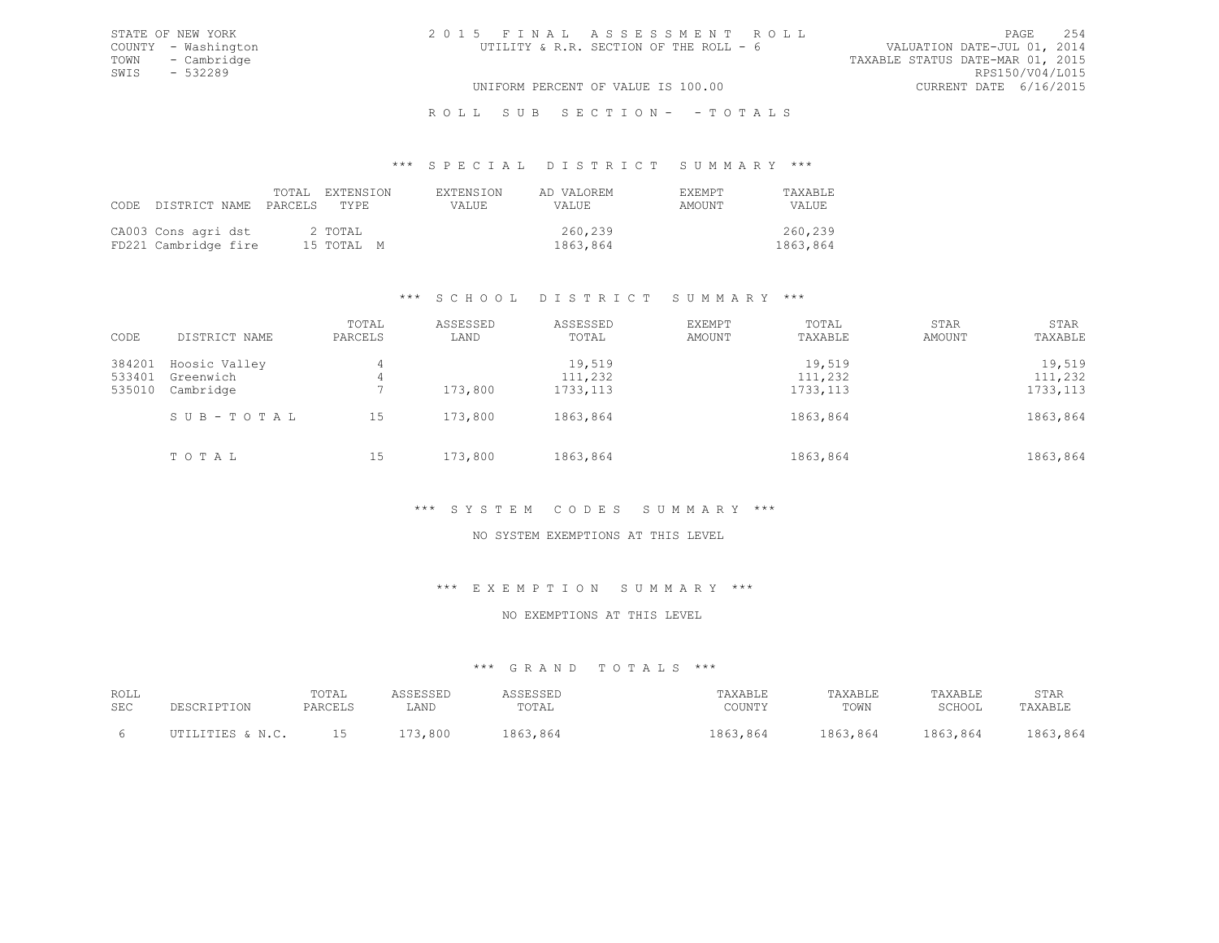### \*\*\* S P E C I A L D I S T R I C T S U M M A R Y \*\*\*

| CODE DISTRICT NAME PARCELS TYPE             | TOTAL EXTENSION |                       | <b>EXTENSION</b><br>VALUE. | AD VALOREM<br>VALUE. | EXEMPT<br>AMOUNT | TAXABLE<br>VALUE.   |
|---------------------------------------------|-----------------|-----------------------|----------------------------|----------------------|------------------|---------------------|
| CA003 Cons agri dst<br>FD221 Cambridge fire |                 | 2 TOTAL<br>15 TOTAL M |                            | 260,239<br>1863,864  |                  | 260,239<br>1863,864 |

# \*\*\* S C H O O L D I S T R I C T S U M M A R Y \*\*\*

| CODE                       | DISTRICT NAME                           | TOTAL<br>PARCELS | ASSESSED<br>LAND | ASSESSED<br>TOTAL              | <b>EXEMPT</b><br>AMOUNT | TOTAL<br>TAXABLE               | <b>STAR</b><br>AMOUNT | <b>STAR</b><br>TAXABLE         |
|----------------------------|-----------------------------------------|------------------|------------------|--------------------------------|-------------------------|--------------------------------|-----------------------|--------------------------------|
| 384201<br>533401<br>535010 | Hoosic Valley<br>Greenwich<br>Cambridge | 4<br>4           | 173,800          | 19,519<br>111,232<br>1733, 113 |                         | 19,519<br>111,232<br>1733, 113 |                       | 19,519<br>111,232<br>1733, 113 |
|                            | SUB-TOTAL                               | 15               | 173,800          | 1863,864                       |                         | 1863,864                       |                       | 1863,864                       |
|                            | TOTAL                                   | 15               | 173,800          | 1863,864                       |                         | 1863,864                       |                       | 1863,864                       |

# \*\*\* S Y S T E M C O D E S S U M M A R Y \*\*\*

### NO SYSTEM EXEMPTIONS AT THIS LEVEL

### \*\*\* E X E M P T I O N S U M M A R Y \*\*\*

### NO EXEMPTIONS AT THIS LEVEL

| ROLL<br><b>SEC</b> | CRIPTION<br>ים הדרי | TOTAL<br><b>PARCELS</b> | LAND         | <b>`ESSED</b><br>TOTAL | TAXABLE<br>COUNTY | TAXABLE<br>TOWN | TAXABLE<br>SCHOOL | STAR<br>TAXABLE |
|--------------------|---------------------|-------------------------|--------------|------------------------|-------------------|-----------------|-------------------|-----------------|
|                    | TTTEC CNC<br>.      | --                      | 3,800<br>- 1 | R63<br>,864            | 1863,864          | 1863,864        | 1863,864          | 1863,864        |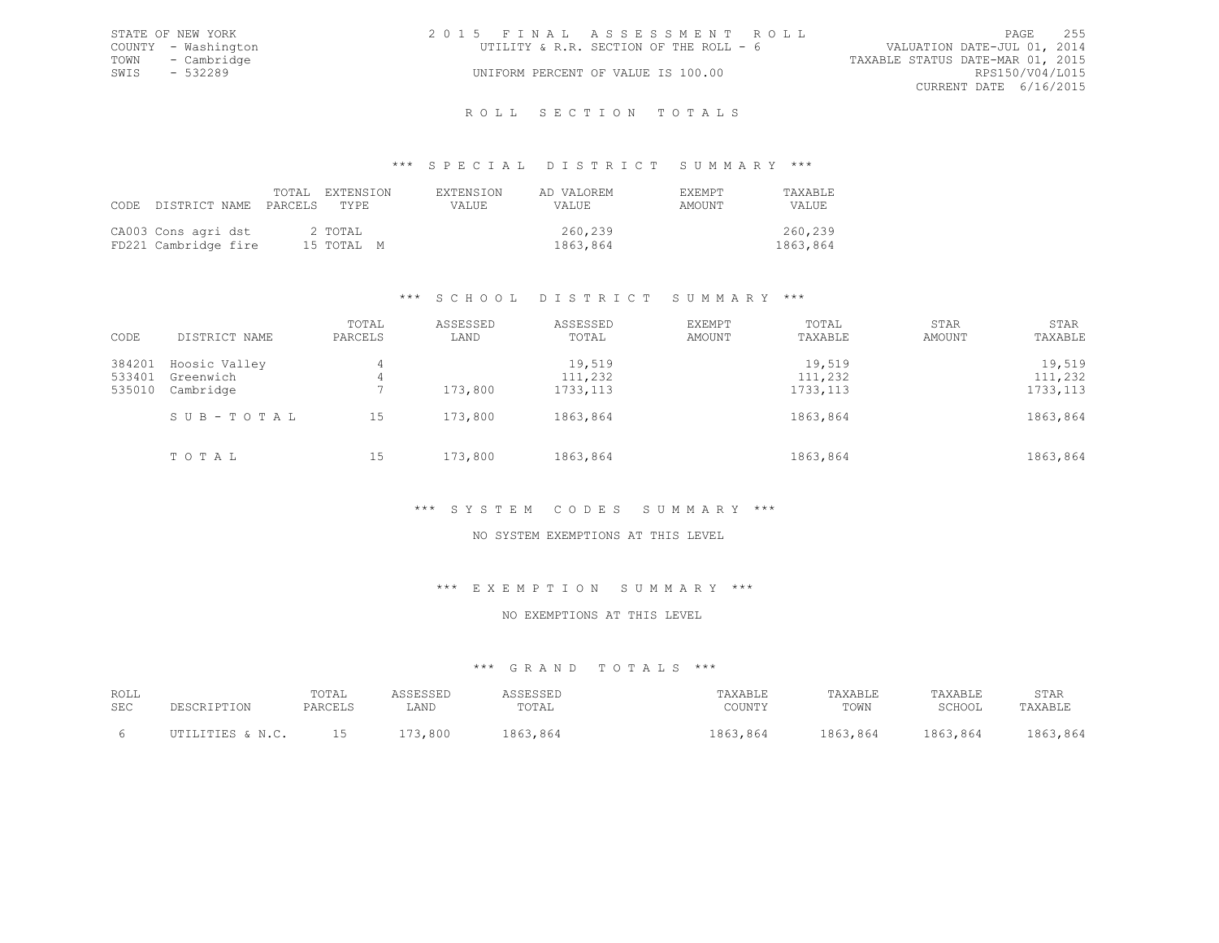|      | STATE OF NEW YORK   | 2015 FINAL ASSESSMENT ROLL |                                        |                                  |                        | PAGE | 255 |
|------|---------------------|----------------------------|----------------------------------------|----------------------------------|------------------------|------|-----|
|      | COUNTY - Washington |                            | UTILITY & R.R. SECTION OF THE ROLL - 6 | VALUATION DATE-JUL 01, 2014      |                        |      |     |
|      | TOWN - Cambridge    |                            |                                        | TAXABLE STATUS DATE-MAR 01, 2015 |                        |      |     |
| SWIS | - 532289            |                            | UNIFORM PERCENT OF VALUE IS 100.00     |                                  | RPS150/V04/L015        |      |     |
|      |                     |                            |                                        |                                  | CURRENT DATE 6/16/2015 |      |     |
|      |                     |                            |                                        |                                  |                        |      |     |

### R O L L S E C T I O N T O T A L S

### \*\*\* S P E C I A L D I S T R I C T S U M M A R Y \*\*\*

| CODE DISTRICT NAME PARCELS TYPE             |  | TOTAL EXTENSION       | EXTENSION<br>VALUE. | AD VALOREM<br>VALUE | <b>FXEMPT</b><br>AMOUNT | TAXABLE<br>VALUE.   |
|---------------------------------------------|--|-----------------------|---------------------|---------------------|-------------------------|---------------------|
| CA003 Cons agri dst<br>FD221 Cambridge fire |  | 2 TOTAL<br>15 TOTAL M |                     | 260,239<br>1863,864 |                         | 260,239<br>1863,864 |

# \*\*\* S C H O O L D I S T R I C T S U M M A R Y \*\*\*

| CODE                       | DISTRICT NAME                           | TOTAL<br>PARCELS | ASSESSED<br>LAND | ASSESSED<br>TOTAL              | <b>EXEMPT</b><br>AMOUNT | TOTAL<br>TAXABLE               | <b>STAR</b><br>AMOUNT | <b>STAR</b><br>TAXABLE         |
|----------------------------|-----------------------------------------|------------------|------------------|--------------------------------|-------------------------|--------------------------------|-----------------------|--------------------------------|
| 384201<br>533401<br>535010 | Hoosic Valley<br>Greenwich<br>Cambridge | 4<br>4           | 173,800          | 19,519<br>111,232<br>1733, 113 |                         | 19,519<br>111,232<br>1733, 113 |                       | 19,519<br>111,232<br>1733, 113 |
|                            | SUB-TOTAL                               | 15               | 173,800          | 1863,864                       |                         | 1863,864                       |                       | 1863,864                       |
|                            | TOTAL                                   | 15               | 173,800          | 1863,864                       |                         | 1863,864                       |                       | 1863,864                       |

# \*\*\* S Y S T E M C O D E S S U M M A R Y \*\*\*

# NO SYSTEM EXEMPTIONS AT THIS LEVEL

### \*\*\* E X E M P T I O N S U M M A R Y \*\*\*

### NO EXEMPTIONS AT THIS LEVEL

| ROLL<br><b>SEC</b> | $C$ ס ד ס ד ס ה<br>ים הדרי<br>. 1 1 1 1 1 1 | $m \wedge m \wedge r$<br>TUTAL<br>PARCELS | LAND | <b>CCLCCLI</b><br>ى ئاتان بايد<br>TOTAL | TAXABLE<br>COUNTY | TAXABLE<br>TOWN | 'AXABLE<br>SCHOOL | STAR<br>TAXABLE |
|--------------------|---------------------------------------------|-------------------------------------------|------|-----------------------------------------|-------------------|-----------------|-------------------|-----------------|
|                    | T.TTTES & N C<br>.                          | ∸ ~                                       | 800  | $R$ $63$<br>1863,864                    | .864              | 1863,864        | ,864<br>QG        | 8664<br>863     |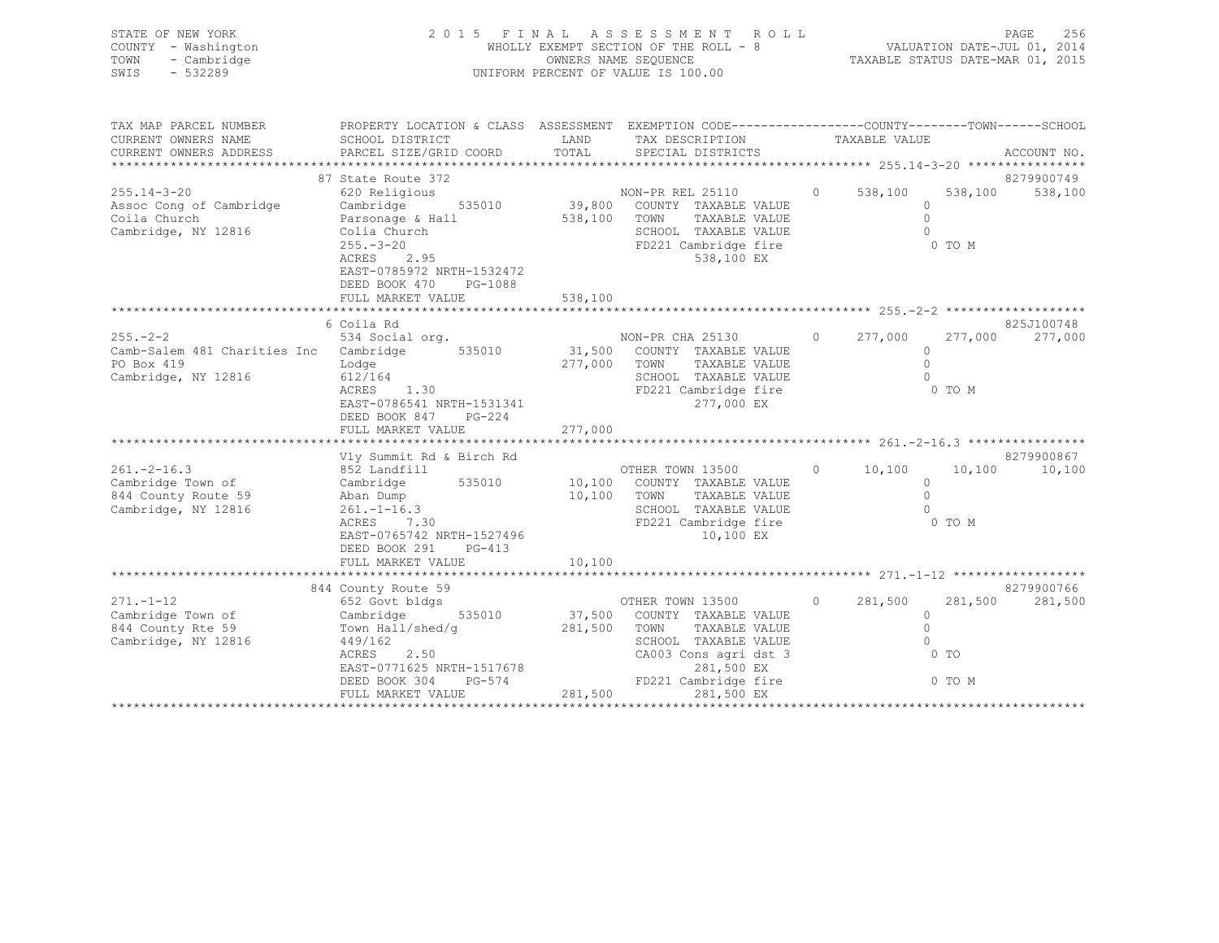| STATE OF NEW YORK<br>COUNTY - Washington<br>- Cambridge<br>TOWN<br>SWIS - 532289                                                                                                                                                                                   | 2015 FINAL ASSESSMENT ROLL                                                                                                                                                | 256<br>PAGE<br>WHOLLY EXEMPT SECTION OF THE ROLL - 8 WALUATION DATE-JUL 01, 2014<br>OWNERS NAME SEQUENCE TAXABLE STATUS DATE-MAR 01, 2015<br>UNIFORM PERCENT OF VALUE IS 100.00 |                                                                                                                                    |                            |             |
|--------------------------------------------------------------------------------------------------------------------------------------------------------------------------------------------------------------------------------------------------------------------|---------------------------------------------------------------------------------------------------------------------------------------------------------------------------|---------------------------------------------------------------------------------------------------------------------------------------------------------------------------------|------------------------------------------------------------------------------------------------------------------------------------|----------------------------|-------------|
| TAX MAP PARCEL NUMBER THE PROPERTY LOCATION & CLASS ASSESSMENT EXEMPTION CODE---------------COUNTY-------TOWN------SCHOOL<br>CURRENT OWNERS NAME SCHOOL DISTRICT                                                                                                   |                                                                                                                                                                           |                                                                                                                                                                                 | LAND TAX DESCRIPTION TAXABLE VALUE                                                                                                 |                            |             |
| .CURRENT OWNERS ADDRESS PARCEL SIZE/GRID COORD TOTAL SPECIAL DISTRICTS ACCOUNT NO ACCOUNT NO ACCOUNT NO ACCOUNT                                                                                                                                                    |                                                                                                                                                                           |                                                                                                                                                                                 |                                                                                                                                    |                            | ACCOUNT NO. |
|                                                                                                                                                                                                                                                                    | 87 State Route 372                                                                                                                                                        |                                                                                                                                                                                 |                                                                                                                                    |                            | 8279900749  |
| Coila Church<br>Cambridge, NY 12816<br>Collia Church<br>255.-3-20<br>ACRES 2.95<br>EAST-0785972 NRTH-1532472<br>EAST-0785972 NRTH-1532472<br>COLLIA COLLIA SCHOOL TAXABLE VALUE<br>SCHOOL TAXABLE VALUE<br>SCHOOL TAXABLE VALUE<br>SCHOOL TAXABLE VALUE<br>SSR,100 | Parsonage & Hall 538,100 TOWN<br>EAST-0785972 NRTH-1532472<br>DEED BOOK 470 PG-1088<br>FULL MARKET VALUE                                                                  | 538,100                                                                                                                                                                         | TAXABLE VALUE                                                                                                                      | $\Omega$                   |             |
|                                                                                                                                                                                                                                                                    | 6 Coila Rd                                                                                                                                                                |                                                                                                                                                                                 |                                                                                                                                    |                            | 825J100748  |
| $255. - 2 - 2$<br>Camb-Salem 481 Charities Inc Cambridge 535010 31,500 COUNTY TAXABLE VALUE<br>PO Box 419<br>Cambridge, NY 12816                                                                                                                                   | 534 Social org. 600 CM NON-PR CHA 25130 CM 277,000 277,000 277,000<br>Lodge<br>612/164<br>012/103<br>ACRES 1.30<br>EAST-0786541 NRTH-1531341<br>DEED BOOK 847<br>$PG-224$ |                                                                                                                                                                                 | 277,000 TOWN TAXABLE VALUE<br>SCHOOL TAXABLE VALUE<br>SCHOOL TAXABLE VALUE<br>FD221 Cambridge fire the the CD O TO M<br>277,000 EX | $\Omega$<br>$\overline{0}$ |             |

|                                    | FULL MARKET VALUE         | 277,000 |                                    |                |         |                 |            |
|------------------------------------|---------------------------|---------|------------------------------------|----------------|---------|-----------------|------------|
|                                    | Vly Summit Rd & Birch Rd  |         |                                    |                |         |                 | 8279900867 |
| $261. - 2 - 16.3$                  | 852 Landfill              |         | OTHER TOWN 13500                   | $\circ$        | 10,100  | 10,100          | 10,100     |
| Cambridge Town of                  | Cambridge 535010          | 10,100  | COUNTY<br>TAXABLE VALUE            |                |         |                 |            |
| 844 County Route 59                | Aban Dump                 | 10,100  | TOWN<br>TAXABLE VALUE              |                |         |                 |            |
| Cambridge, NY 12816                | $261 - 1 - 16.3$          |         | TAXABLE VALUE<br>SCHOOL            |                |         |                 |            |
|                                    | ACRES 7.30                |         | FD221 Cambridge fire               |                |         | 0 TO M          |            |
|                                    | EAST-0765742 NRTH-1527496 |         | 10,100 EX                          |                |         |                 |            |
|                                    | DEED BOOK 291<br>$PG-413$ |         |                                    |                |         |                 |            |
|                                    | FULL MARKET VALUE         | 10,100  |                                    |                |         |                 |            |
|                                    |                           |         |                                    |                |         |                 |            |
|                                    | 844 County Route 59       |         |                                    |                |         |                 | 8279900766 |
| $271. - 1 - 12$                    | 652 Govt bldgs            |         | OTHER TOWN 13500                   | $\overline{0}$ | 281,500 | 281,500 281,500 |            |
| Cambridge Town of                  | Cambridge                 |         | 535010 37,500 COUNTY TAXABLE VALUE |                |         |                 |            |
| 844 County Rte 59 Town Hall/shed/q |                           | 281,500 | TAXABLE VALUE<br>TOWN              |                |         |                 |            |
| Cambridge, NY 12816                | 449/162                   |         | TAXABLE VALUE<br>SCHOOL            |                |         |                 |            |
|                                    | ACRES 2.50                |         | CA003 Cons agri dst 3              |                |         | $0$ TO          |            |
|                                    | EAST-0771625 NRTH-1517678 |         | 281,500 EX                         |                |         |                 |            |
|                                    | PG-574<br>DEED BOOK 304   |         | FD221 Cambridge fire               |                |         | 0 TO M          |            |
|                                    | FULL MARKET VALUE         | 281,500 | 281,500 EX                         |                |         |                 |            |
|                                    |                           |         |                                    |                |         |                 |            |
|                                    |                           |         |                                    |                |         |                 |            |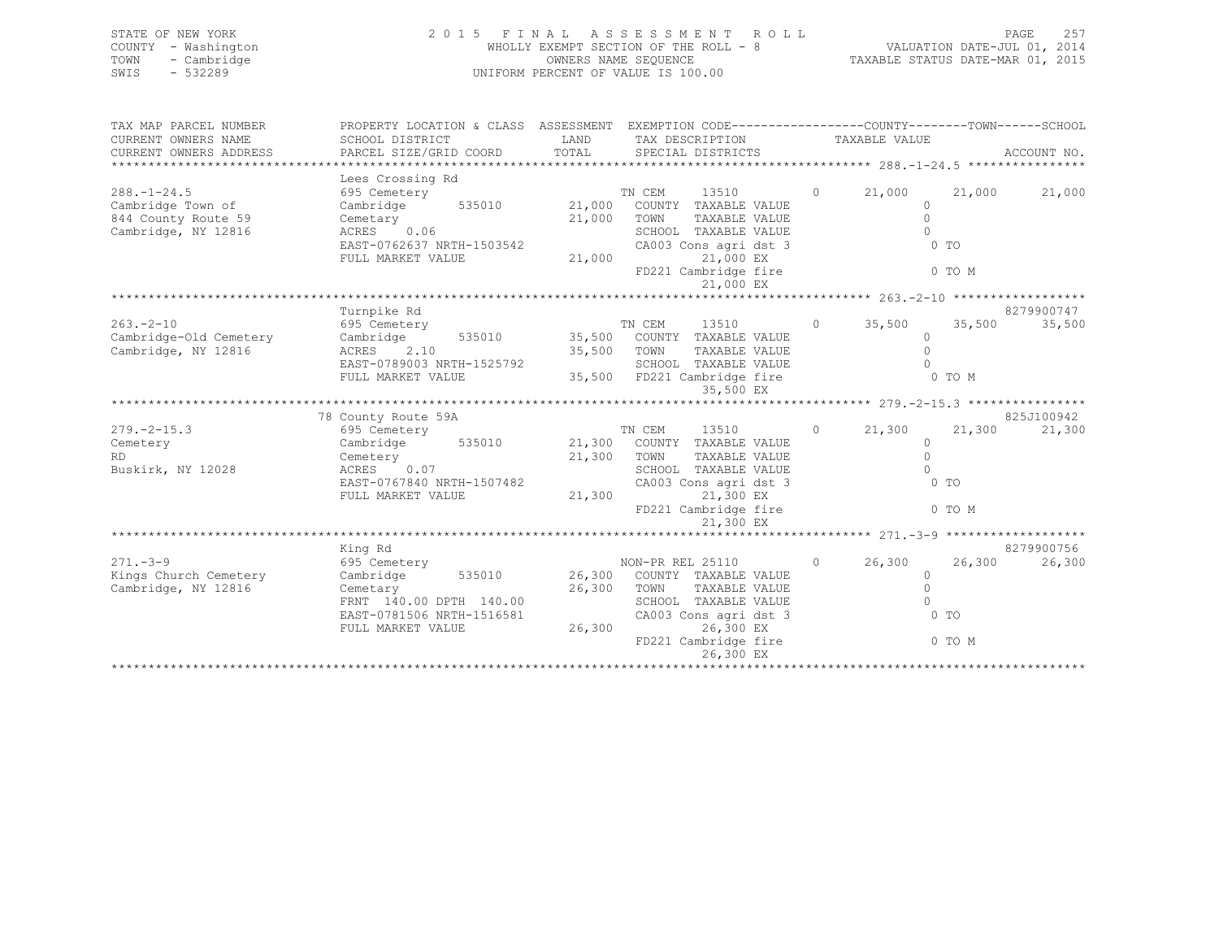| STATE OF NEW YORK   | 2015 FINAL ASSESSMENT ROLL            | 2.57<br>PAGE                     |
|---------------------|---------------------------------------|----------------------------------|
| COUNTY - Washington | WHOLLY EXEMPT SECTION OF THE ROLL - 8 | VALUATION DATE-JUL 01, 2014      |
| TOWN - Cambridge    | OWNERS NAME SEQUENCE                  | TAXABLE STATUS DATE-MAR 01, 2015 |
| $-532289$<br>SWIS   | UNIFORM PERCENT OF VALUE IS 100.00    |                                  |
|                     |                                       |                                  |

| TAX MAP PARCEL NUMBER  | PROPERTY LOCATION & CLASS ASSESSMENT EXEMPTION CODE----------------COUNTY-------TOWN------SCHOOL |             |                                    |         |                |        |             |
|------------------------|--------------------------------------------------------------------------------------------------|-------------|------------------------------------|---------|----------------|--------|-------------|
| CURRENT OWNERS NAME    | SCHOOL DISTRICT                                                                                  |             | LAND TAX DESCRIPTION TAXABLE VALUE |         |                |        |             |
| CURRENT OWNERS ADDRESS | PARCEL SIZE/GRID COORD                                                                           |             | TOTAL SPECIAL DISTRICTS            |         |                |        | ACCOUNT NO. |
|                        |                                                                                                  |             |                                    |         |                |        |             |
|                        | Lees Crossing Rd                                                                                 |             |                                    |         |                |        |             |
| $288. - 1 - 24.5$      |                                                                                                  |             |                                    | $\circ$ | 21,000         | 21,000 | 21,000      |
| Cambridge Town of      |                                                                                                  |             |                                    |         | $\Omega$       |        |             |
| 844 County Route 59    | Cemetary                                                                                         | 21,000 TOWN | TAXABLE VALUE                      |         | $\cap$         |        |             |
| Cambridge, NY 12816    | ACRES 0.06                                                                                       |             | SCHOOL TAXABLE VALUE               |         | $\cap$         |        |             |
|                        | EAST-0762637 NRTH-1503542                                                                        |             | CA003 Cons agri dst 3              |         | $0$ TO         |        |             |
|                        | FULL MARKET VALUE                                                                                |             | 21,000 EX<br>21,000                |         |                |        |             |
|                        |                                                                                                  |             | FD221 Cambridge fire               |         | 0 TO M         |        |             |
|                        |                                                                                                  |             | 21,000 EX                          |         |                |        |             |
|                        |                                                                                                  |             |                                    |         |                |        |             |
|                        | Turnpike Rd                                                                                      |             |                                    |         |                |        | 8279900747  |
| $263 - 2 - 10$         | 695 Cemetery                                                                                     |             | TN CEM<br>13510                    | $\circ$ | 35,500         | 35,500 | 35,500      |
| Cambridge-Old Cemetery | Cambridge                                                                                        |             | 535010 35,500 COUNTY TAXABLE VALUE |         | $\bigcap$      |        |             |
| Cambridge, NY 12816    | ACRES 2.10                                                                                       | 35,500 TOWN | TAXABLE VALUE                      |         | $\cap$         |        |             |
|                        | EAST-0789003 NRTH-1525792                                                                        |             | SCHOOL TAXABLE VALUE               |         | $\Omega$       |        |             |
|                        | FULL MARKET VALUE                                                                                |             | 35,500 FD221 Cambridge fire        |         | 0 TO M         |        |             |
|                        |                                                                                                  |             | 35,500 EX                          |         |                |        |             |
|                        |                                                                                                  |             |                                    |         |                |        |             |
|                        | 78 County Route 59A                                                                              |             |                                    |         |                |        | 825J100942  |
| $279. - 2 - 15.3$      | 695 Cemetery 13510<br>Cambridge 535010 21,300 COUNTY TAXABLE VALUE                               |             | 13510                              | $\circ$ | 21,300         | 21,300 | 21,300      |
| Cemetery               |                                                                                                  |             |                                    |         | $\cap$         |        |             |
| RD.                    | Cemetery                                                                                         | 21,300 TOWN | TAXABLE VALUE                      |         | $\Omega$       |        |             |
| Buskirk, NY 12028      | ACRES 0.07                                                                                       |             | SCHOOL TAXABLE VALUE               |         | $\cap$         |        |             |
|                        | EAST-0767840 NRTH-1507482                                                                        |             | CA003 Cons agri dst 3              |         | 0 <sub>T</sub> |        |             |
|                        | FULL MARKET VALUE                                                                                | 21,300      | 21,300 EX                          |         |                |        |             |
|                        |                                                                                                  |             | FD221 Cambridge fire               |         | 0 TO M         |        |             |
|                        |                                                                                                  |             | 21,300 EX                          |         |                |        |             |
|                        |                                                                                                  |             |                                    |         |                |        |             |
|                        | King Rd                                                                                          |             |                                    |         |                |        | 8279900756  |
| $271 - 3 - 9$          | 695 Cemetery                                                                                     |             | NON-PR REL 25110                   | $\circ$ | 26,300         | 26,300 | 26,300      |
| Kings Church Cemetery  | Cambridge 535010 26,300 COUNTY TAXABLE VALUE                                                     |             |                                    |         | $\Omega$       |        |             |
| Cambridge, NY 12816    | Cemetary                                                                                         | 26,300 TOWN | TAXABLE VALUE                      |         | $\bigcap$      |        |             |
|                        | FRNT 140.00 DPTH 140.00                                                                          |             | SCHOOL TAXABLE VALUE               |         | $\cap$         |        |             |
|                        | EAST-0781506 NRTH-1516581                                                                        |             | CA003 Cons agri dst 3              |         | $0$ TO         |        |             |
|                        | FULL MARKET VALUE                                                                                | 26,300      | 26,300 EX                          |         |                |        |             |
|                        |                                                                                                  |             | FD221 Cambridge fire               |         |                | 0 TO M |             |
|                        |                                                                                                  |             | 26,300 EX                          |         |                |        |             |
|                        |                                                                                                  |             |                                    |         |                |        |             |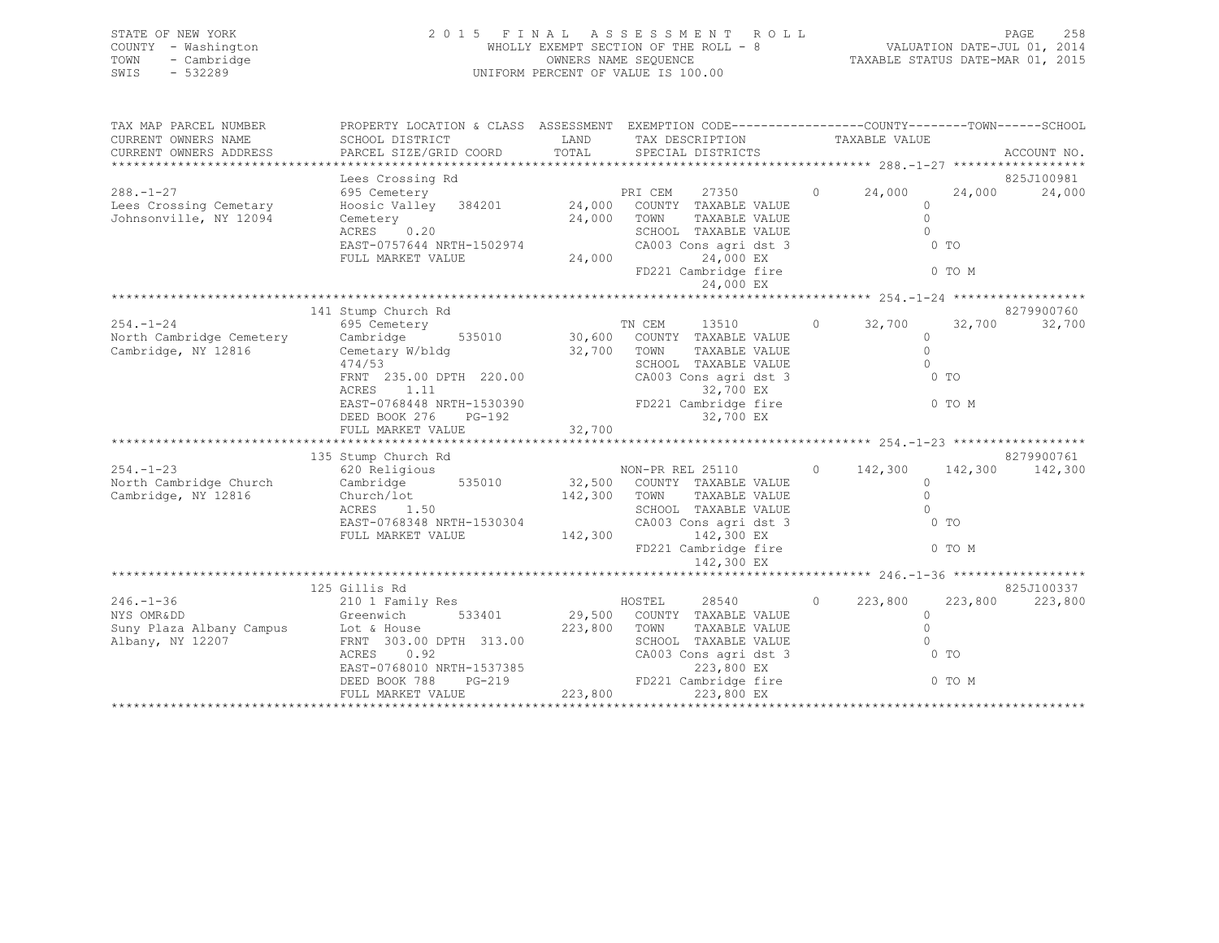| STATE OF NEW YORK   | 2015 FINAL ASSESSMENT ROLL            | - 2.58<br>PAGE                   |
|---------------------|---------------------------------------|----------------------------------|
| COUNTY - Washington | WHOLLY EXEMPT SECTION OF THE ROLL - 8 | VALUATION DATE-JUL 01, 2014      |
| TOWN - Cambridge    | OWNERS NAME SEQUENCE                  | TAXABLE STATUS DATE-MAR 01, 2015 |
| $-532289$<br>SWIS   | UNIFORM PERCENT OF VALUE IS 100.00    |                                  |
|                     |                                       |                                  |

| TAX MAP PARCEL NUMBER  | PROPERTY LOCATION & CLASS ASSESSMENT EXEMPTION CODE----------------COUNTY-------TOWN------SCHOOL                                                                                                                                     |                                               |                                       |                |                 |
|------------------------|--------------------------------------------------------------------------------------------------------------------------------------------------------------------------------------------------------------------------------------|-----------------------------------------------|---------------------------------------|----------------|-----------------|
| CURRENT OWNERS NAME    | SCHOOL DISTRICT                                                                                                                                                                                                                      | LAND TAX DESCRIPTION TAXABLE VALUE            |                                       |                |                 |
|                        |                                                                                                                                                                                                                                      |                                               |                                       |                |                 |
|                        |                                                                                                                                                                                                                                      |                                               |                                       |                |                 |
|                        |                                                                                                                                                                                                                                      |                                               |                                       |                |                 |
| $288. -1 - 27$         |                                                                                                                                                                                                                                      |                                               |                                       |                |                 |
| Lees Crossing Cemetary |                                                                                                                                                                                                                                      |                                               |                                       |                |                 |
| Johnsonville, NY 12094 |                                                                                                                                                                                                                                      |                                               |                                       |                |                 |
|                        |                                                                                                                                                                                                                                      |                                               |                                       |                |                 |
|                        |                                                                                                                                                                                                                                      |                                               | 0 <sub>T</sub>                        |                |                 |
|                        | ACRES 0.20<br>EAST-0757644 NRTH-1502974<br>FULL MARKET VALUE 24,000<br>24,000<br>24,000<br>EX                                                                                                                                        |                                               |                                       |                |                 |
|                        |                                                                                                                                                                                                                                      | FD221 Cambridge fire 6 0 TO M                 |                                       |                |                 |
|                        |                                                                                                                                                                                                                                      |                                               |                                       |                |                 |
|                        |                                                                                                                                                                                                                                      |                                               |                                       |                |                 |
|                        | 141 Stump Church Rd                                                                                                                                                                                                                  |                                               |                                       |                | 8279900760      |
|                        | 254.-1-24 695 Cemetery 695 Cemetery 71 CEM 13510 0 32,700<br>North Cambridge Cemetery Cambridge 535010 30,600 COUNTY TAXABLE VALUE                                                                                                   |                                               |                                       |                | 32,700 32,700   |
|                        |                                                                                                                                                                                                                                      |                                               |                                       |                |                 |
| Cambridge, NY 12816    | Cemetary W/bldg 32,700 TOWN                                                                                                                                                                                                          | TAXABLE VALUE                                 | $\begin{array}{c} 0 \\ 0 \end{array}$ |                |                 |
|                        | 474/53                                                                                                                                                                                                                               | SCHOOL TAXABLE VALUE                          |                                       |                |                 |
|                        | FRNT 235.00 DPTH 220.00<br>ACRES 1 11                                                                                                                                                                                                |                                               | 0 <sub>T</sub>                        |                |                 |
|                        |                                                                                                                                                                                                                                      |                                               |                                       |                |                 |
|                        |                                                                                                                                                                                                                                      |                                               |                                       |                |                 |
|                        |                                                                                                                                                                                                                                      |                                               |                                       |                |                 |
|                        |                                                                                                                                                                                                                                      |                                               |                                       |                |                 |
|                        | 135 Stump Church Rd                                                                                                                                                                                                                  |                                               |                                       |                | 8279900761      |
|                        |                                                                                                                                                                                                                                      |                                               |                                       |                |                 |
|                        |                                                                                                                                                                                                                                      |                                               |                                       |                |                 |
|                        | 354.-1-23 620 Religious<br>Non-PR REL 25110 0 142,300 142,300 142,300 142,300<br>Cambridge, NY 12816 Church/lot Church/lot 142,300 TOWN TAXABLE VALUE<br>ACRES 1.50 1620 2000 142,300 2000 142,300 12816 2010 1500 2010 142,300 142, |                                               |                                       |                |                 |
|                        |                                                                                                                                                                                                                                      |                                               |                                       |                |                 |
|                        | ACRES 1.50 SCHOOL TAXABLE VALUE EAST-0768348 NRTH-1530304 CA003 Cons agri dst 3<br>FULL MARKET VALUE 142,300 142,300 EX                                                                                                              |                                               |                                       | 0 <sub>T</sub> |                 |
|                        |                                                                                                                                                                                                                                      |                                               |                                       |                |                 |
|                        |                                                                                                                                                                                                                                      | FD221 Cambridge fire 0 TO M                   |                                       |                |                 |
|                        |                                                                                                                                                                                                                                      | 142,300 EX                                    |                                       |                |                 |
|                        |                                                                                                                                                                                                                                      |                                               |                                       |                |                 |
|                        | 125 Gillis Rd                                                                                                                                                                                                                        |                                               |                                       |                | 825J100337      |
|                        | OIIIIS KQ<br>210 1 Family Res<br>246.-1-36 210 1 Family Res<br>NYS OMRⅅ COUNTY TAXABLE VALUE<br>Greenwich 533401 29,500 COUNTY TAXABLE VALUE                                                                                         | $HOSTEL$ 28540 0 223,800                      |                                       |                | 223,800 223,800 |
|                        |                                                                                                                                                                                                                                      |                                               |                                       | $\Omega$       |                 |
|                        | NYS OMRⅅ<br>Suny Plaza Albany Campus<br>Albany, NY 12207 FORM TOWN<br>RERNT 303.00 DPTH 313.00 SCHOO SCHOO CA003<br>CA003                                                                                                            | TAXABLE VALUE                                 | $\Omega$                              |                |                 |
|                        |                                                                                                                                                                                                                                      | SCHOOL TAXABLE VALUE<br>CA003 Cons agri dst 3 | $\bigcirc$                            |                |                 |
|                        | ACRES 0.92                                                                                                                                                                                                                           |                                               | 0 <sub>T</sub>                        |                |                 |
|                        |                                                                                                                                                                                                                                      |                                               |                                       |                |                 |
|                        |                                                                                                                                                                                                                                      |                                               |                                       |                |                 |
|                        |                                                                                                                                                                                                                                      |                                               |                                       |                |                 |
|                        |                                                                                                                                                                                                                                      |                                               |                                       |                |                 |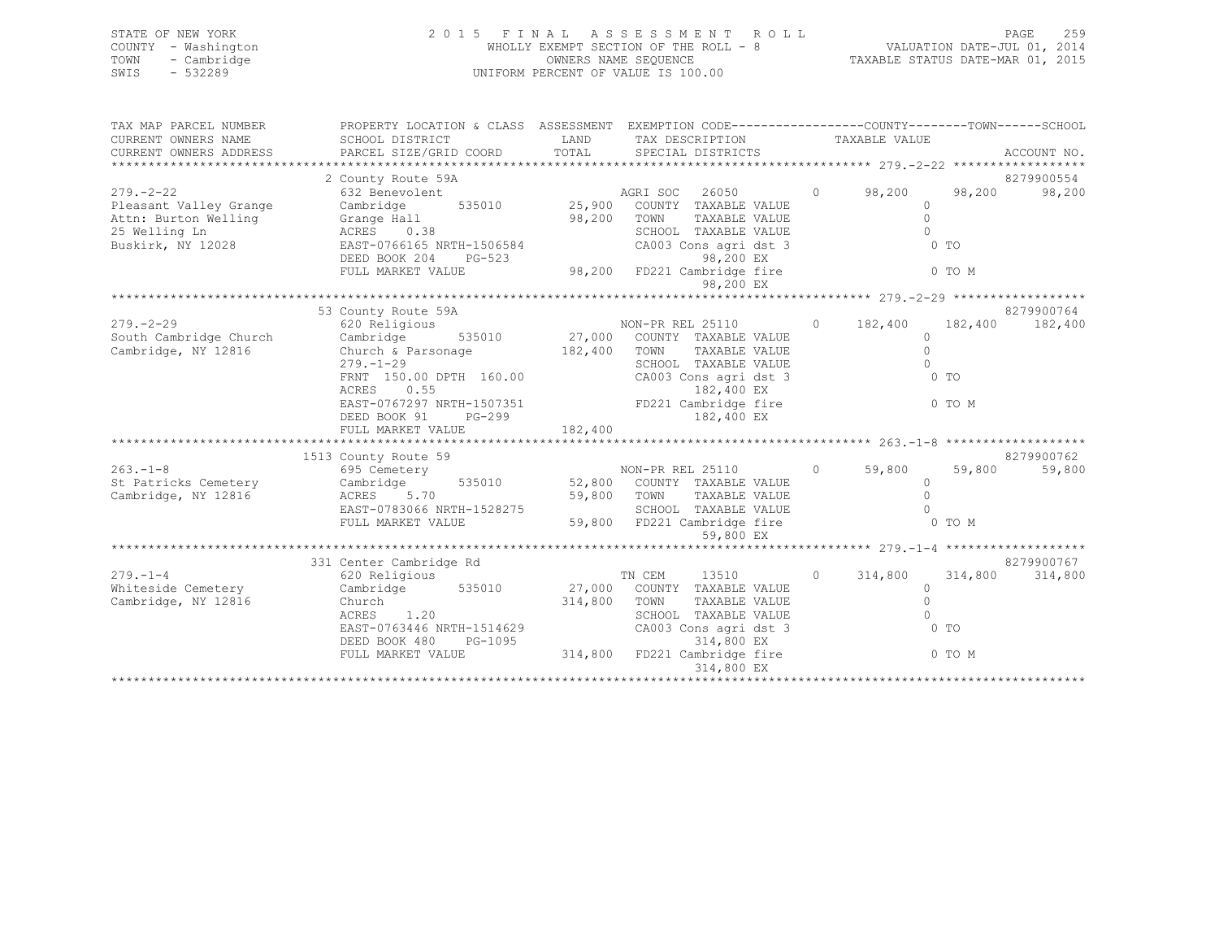| STATE OF NEW YORK   | 2015 FINAL ASSESSMENT ROLL            | 2.59<br><b>PAGE</b>              |
|---------------------|---------------------------------------|----------------------------------|
| COUNTY - Washington | WHOLLY EXEMPT SECTION OF THE ROLL - 8 | VALUATION DATE-JUL 01, 2014      |
| TOWN - Cambridge    | OWNERS NAME SEOUENCE                  | TAXABLE STATUS DATE-MAR 01, 2015 |
| - 532289<br>SWIS    | UNIFORM PERCENT OF VALUE IS 100.00    |                                  |
|                     |                                       |                                  |
|                     |                                       |                                  |

| TAX MAP PARCEL NUMBER  | PROPERTY LOCATION & CLASS ASSESSMENT EXEMPTION CODE----------------COUNTY-------TOWN-----SCHOOL                                                                                                                                                  |                                    |                                                   |                           |            |
|------------------------|--------------------------------------------------------------------------------------------------------------------------------------------------------------------------------------------------------------------------------------------------|------------------------------------|---------------------------------------------------|---------------------------|------------|
| CURRENT OWNERS NAME    | SCHOOL DISTRICT                                                                                                                                                                                                                                  | LAND TAX DESCRIPTION TAXABLE VALUE |                                                   |                           |            |
| CURRENT OWNERS ADDRESS |                                                                                                                                                                                                                                                  |                                    |                                                   |                           |            |
|                        |                                                                                                                                                                                                                                                  |                                    |                                                   |                           |            |
|                        | 2 County Route 59A                                                                                                                                                                                                                               |                                    |                                                   |                           | 8279900554 |
| $279. - 2 - 22$        | 632 Benevolent                                                                                                                                                                                                                                   | AGRI SOC 26050 0 98,200 98,200     |                                                   |                           | 98,200     |
|                        |                                                                                                                                                                                                                                                  | 535010 25,900 COUNTY TAXABLE VALUE |                                                   | $\Omega$                  |            |
|                        |                                                                                                                                                                                                                                                  | 98,200 TOWN<br>SCHOC               | TOWN      TAXABLE VALUE<br>SCHOOL   TAXABLE VALUE | $\circ$                   |            |
|                        | Pleasant Valley Grange Cambridge 535010 25,900<br>Attn: Burton Welling Grange Hall 98,200<br>25 Welling Ln ACRES 0.38<br>Buskirk, NY 12028 EAST-0766165 NRTH-1506584                                                                             |                                    |                                                   | $\overline{0}$            |            |
|                        |                                                                                                                                                                                                                                                  |                                    | CA003 Cons agri dst 3                             | $\sim$ 0 TO               |            |
|                        | DEED BOOK 204 PG-523 98,200 EX<br>FULL MARKET VALUE 98,200 FD221 Cambridge fire 0 0 TO M                                                                                                                                                         |                                    |                                                   |                           |            |
|                        |                                                                                                                                                                                                                                                  |                                    |                                                   |                           |            |
|                        |                                                                                                                                                                                                                                                  |                                    | 98,200 EX                                         |                           |            |
|                        | 53 County Route 59A                                                                                                                                                                                                                              |                                    |                                                   |                           | 8279900764 |
|                        |                                                                                                                                                                                                                                                  |                                    |                                                   |                           |            |
|                        |                                                                                                                                                                                                                                                  |                                    |                                                   |                           |            |
| Cambridge, NY 12816    | Church & Parsonage 182,400 TOWN                                                                                                                                                                                                                  |                                    | TAXABLE VALUE                                     | $\Omega$                  |            |
|                        | $279. - 1 - 29$                                                                                                                                                                                                                                  |                                    | SCHOOL TAXABLE VALUE                              | $\Omega$                  |            |
|                        | 279.-1-29<br>FRNT 150.00 DPTH 160.00 CA003 Cons agri dst 3<br>RENT 150.00 DPTH 160.00 CA003 Cons agri dst 3                                                                                                                                      |                                    |                                                   | $0$ TO                    |            |
|                        |                                                                                                                                                                                                                                                  |                                    |                                                   |                           |            |
|                        | ACRES 0.55 0.55 182,400 EX<br>EAST-0767297 NRTH-1507351 FD221 Cambridge fire 0 0 TO M                                                                                                                                                            |                                    |                                                   |                           |            |
|                        |                                                                                                                                                                                                                                                  |                                    |                                                   |                           |            |
|                        |                                                                                                                                                                                                                                                  |                                    |                                                   |                           |            |
|                        |                                                                                                                                                                                                                                                  |                                    |                                                   |                           |            |
|                        | 1513 County Route 59                                                                                                                                                                                                                             |                                    |                                                   |                           | 8279900762 |
|                        | 1513 County Route 59<br>1513 County Route 59<br>695 Cemetery<br>Cambridge Cambridge, NY 12816<br>Cambridge, NY 12816<br>EAST-0783066 NRTH-1528275<br>FULL MARKET VALUE<br>59,800 FD221 Cambridge Sample VALUE<br>59,800 FD221 Cambridge fire<br> |                                    |                                                   |                           | 59,800     |
|                        |                                                                                                                                                                                                                                                  |                                    |                                                   |                           |            |
|                        |                                                                                                                                                                                                                                                  |                                    |                                                   |                           |            |
|                        |                                                                                                                                                                                                                                                  |                                    |                                                   |                           |            |
|                        |                                                                                                                                                                                                                                                  |                                    |                                                   |                           |            |
|                        |                                                                                                                                                                                                                                                  |                                    | 59,800 EX                                         |                           |            |
|                        |                                                                                                                                                                                                                                                  |                                    |                                                   |                           |            |
|                        | 331 Center Cambridge Rd                                                                                                                                                                                                                          |                                    |                                                   |                           | 8279900767 |
| $279. - 1 - 4$         | 620 Religious                                                                                                                                                                                                                                    | TN CEM                             | 13510                                             | $0 \t 314,800 \t 314,800$ | 314,800    |
| Whiteside Cemetery     | Cambridge 535010 27,000 COUNTY TAXABLE VALUE                                                                                                                                                                                                     |                                    |                                                   | $\circ$                   |            |
| Cambridge, NY 12816    | Church<br>ACRES 1.20                                                                                                                                                                                                                             | 314,800 TOWN                       | TAXABLE VALUE<br>TAXABLE VALUE                    | $\circ$                   |            |
|                        |                                                                                                                                                                                                                                                  |                                    | SCHOOL TAXABLE VALUE                              | $\cap$<br>$\sim$ 0 TO     |            |
|                        | EAST-0763446 NRTH-1514629                                                                                                                                                                                                                        |                                    | CA003 Cons agri dst 3                             |                           |            |
|                        |                                                                                                                                                                                                                                                  |                                    |                                                   |                           |            |
|                        | DEED BOOK 480 PG-1095<br>FULL MARKET VALUE 314,800 FD221 Cambridge fire 0 TO M<br>314,800 FD221 Cambridge fire 0 10 M                                                                                                                            |                                    | 314,800 EX                                        |                           |            |
|                        |                                                                                                                                                                                                                                                  |                                    |                                                   |                           |            |
|                        |                                                                                                                                                                                                                                                  |                                    |                                                   |                           |            |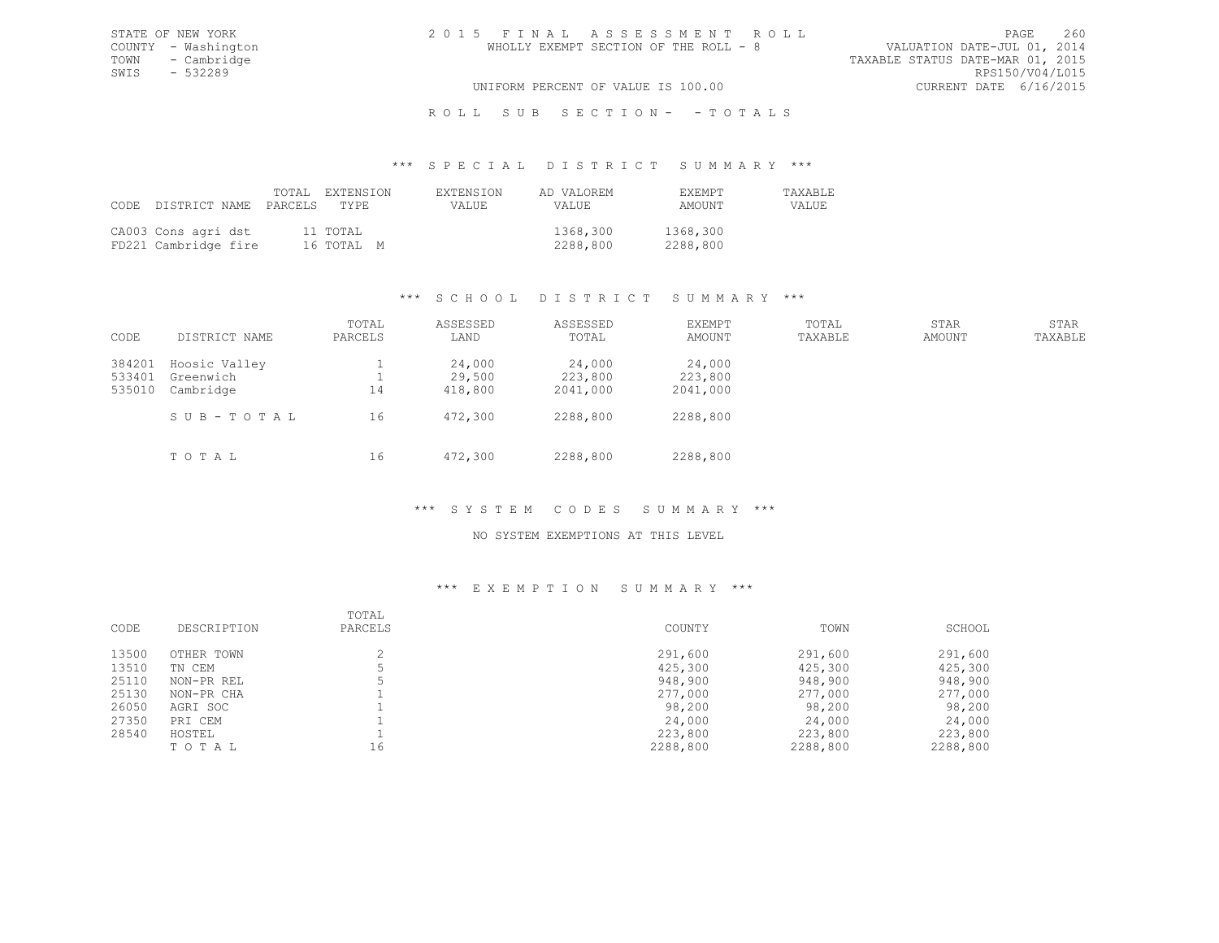TOWN - Cambridge TAXABLE STATUS DATE-MAR 01, 2015 SWIS - 532289<br>UNIFORM PERCENT OF VALUE IS 100.00

# UNIFORM PERCENT OF VALUE IS 100.00

# R O L L S U B S E C T I O N - - T O T A L S

### \*\*\* S P E C I A L D I S T R I C T S U M M A R Y \*\*\*

|                                             | CODE DISTRICT NAME PARCELS TYPE | TOTAL EXTENSION        | EXTENSION<br>VALUE. | AD VALOREM<br><b>VALUE</b> | <b>FXFMPT</b><br>AMOUNT | <b>TAXABLE</b><br>VALUE |
|---------------------------------------------|---------------------------------|------------------------|---------------------|----------------------------|-------------------------|-------------------------|
| CA003 Cons agri dst<br>FD221 Cambridge fire |                                 | 11 TOTAL<br>16 ТОТАЬ М |                     | 1368,300<br>2288,800       | 1368,300<br>2288,800    |                         |

# \*\*\* S C H O O L D I S T R I C T S U M M A R Y \*\*\*

| CODE                       | DISTRICT NAME                                        | TOTAL<br>PARCELS | ASSESSED<br>LAND                       | ASSESSED<br>TOTAL                         | EXEMPT<br>AMOUNT                          | TOTAL<br>TAXABLE | STAR<br>AMOUNT | STAR<br>TAXABLE |
|----------------------------|------------------------------------------------------|------------------|----------------------------------------|-------------------------------------------|-------------------------------------------|------------------|----------------|-----------------|
| 384201<br>533401<br>535010 | Hoosic Valley<br>Greenwich<br>Cambridge<br>SUB-TOTAL | 14<br>16         | 24,000<br>29,500<br>418,800<br>472,300 | 24,000<br>223,800<br>2041,000<br>2288,800 | 24,000<br>223,800<br>2041,000<br>2288,800 |                  |                |                 |
|                            | TOTAL                                                | 16               | 472,300                                | 2288,800                                  | 2288,800                                  |                  |                |                 |

# \*\*\* S Y S T E M C O D E S S U M M A R Y \*\*\*

### NO SYSTEM EXEMPTIONS AT THIS LEVEL

| CODE  | DESCRIPTION | TOTAL<br>PARCELS | COUNTY   | TOWN     | SCHOOL   |
|-------|-------------|------------------|----------|----------|----------|
| 13500 | OTHER TOWN  |                  | 291,600  | 291,600  | 291,600  |
| 13510 | TN CEM      |                  | 425,300  | 425,300  | 425,300  |
| 25110 | NON-PR REL  |                  | 948,900  | 948,900  | 948,900  |
| 25130 | NON-PR CHA  |                  | 277,000  | 277,000  | 277,000  |
| 26050 | AGRI SOC    |                  | 98,200   | 98,200   | 98,200   |
| 27350 | PRI CEM     |                  | 24,000   | 24,000   | 24,000   |
| 28540 | HOSTEL      |                  | 223,800  | 223,800  | 223,800  |
|       | TOTAL       | 16               | 2288,800 | 2288,800 | 2288,800 |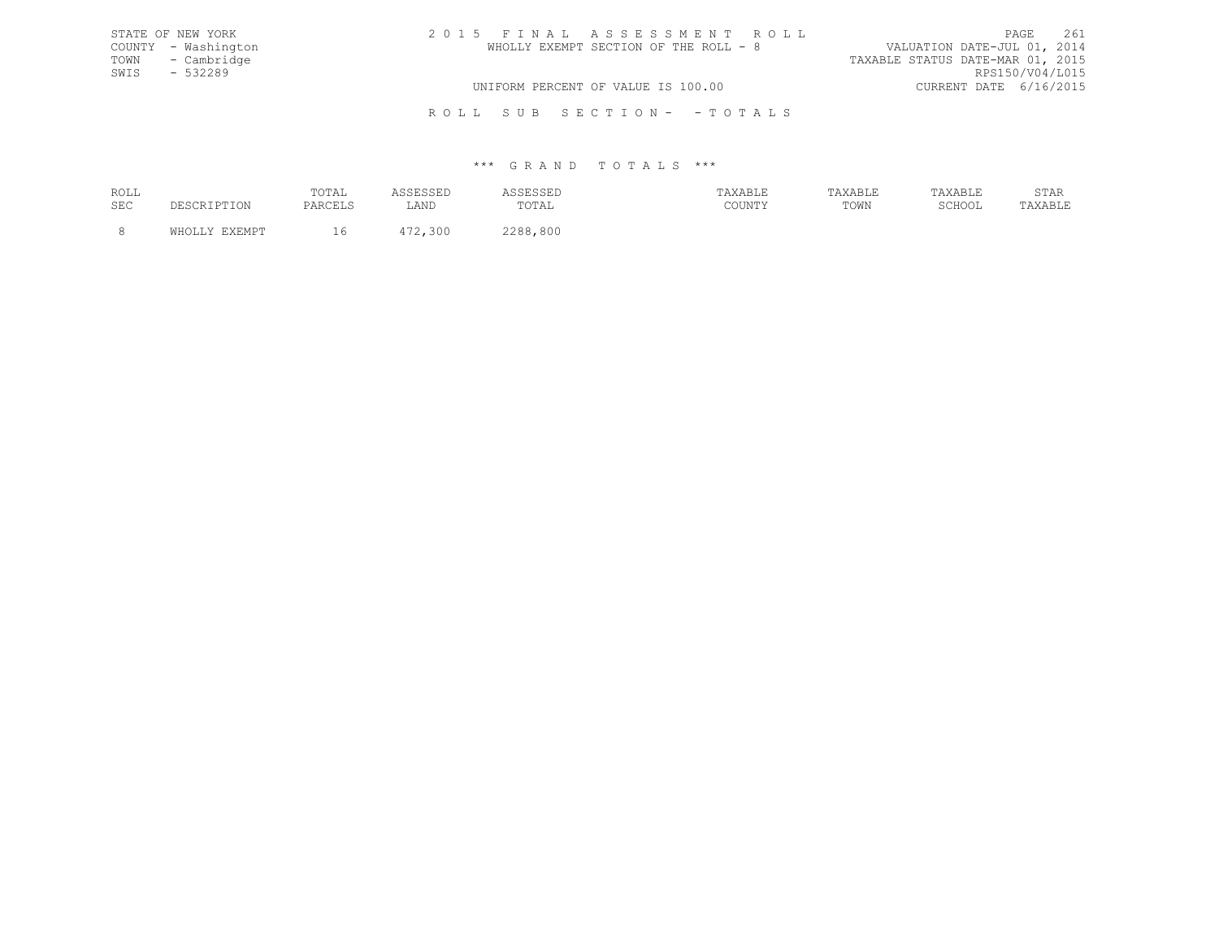| STATE OF NEW YORK   | 2015 FINAL ASSESSMENT ROLL            | 261<br>PAGE                      |
|---------------------|---------------------------------------|----------------------------------|
| COUNTY - Washington | WHOLLY EXEMPT SECTION OF THE ROLL - 8 | VALUATION DATE-JUL 01, 2014      |
| TOWN - Cambridge    |                                       | TAXABLE STATUS DATE-MAR 01, 2015 |
| SWIS - 532289       |                                       | RPS150/V04/L015                  |
|                     | UNIFORM PERCENT OF VALUE IS 100.00    | CURRENT DATE 6/16/2015           |
|                     |                                       |                                  |

R O L L S U B S E C T I O N - - T O T A L S

| ROLL       |        | $T \cap T \mathbb{Z}$ T.<br>1017 | ----- | .                                           | בשבת המצלח. | <b>TAVARIE</b><br>تتنس سندعدت | YAR<br>سللتك سندعد عسا                             | $\cap$ m $\geq$ n<br>STAR |
|------------|--------|----------------------------------|-------|---------------------------------------------|-------------|-------------------------------|----------------------------------------------------|---------------------------|
| <b>SEC</b> | ⊥⊥⊥∪⊥∖ | FANCBIG                          | LAND  | $T$ $\cap$ $T$ $\Delta$ $\Gamma$ .<br>----- | COUNTY      | TOWN                          | $\cap$ $\cap$ $\cap$ $\cap$ $\cap$ $\cap$<br>JUUUL | A X A R I . F<br>-------- |
|            |        |                                  |       | 1.800<br>ס מר                               |             |                               |                                                    |                           |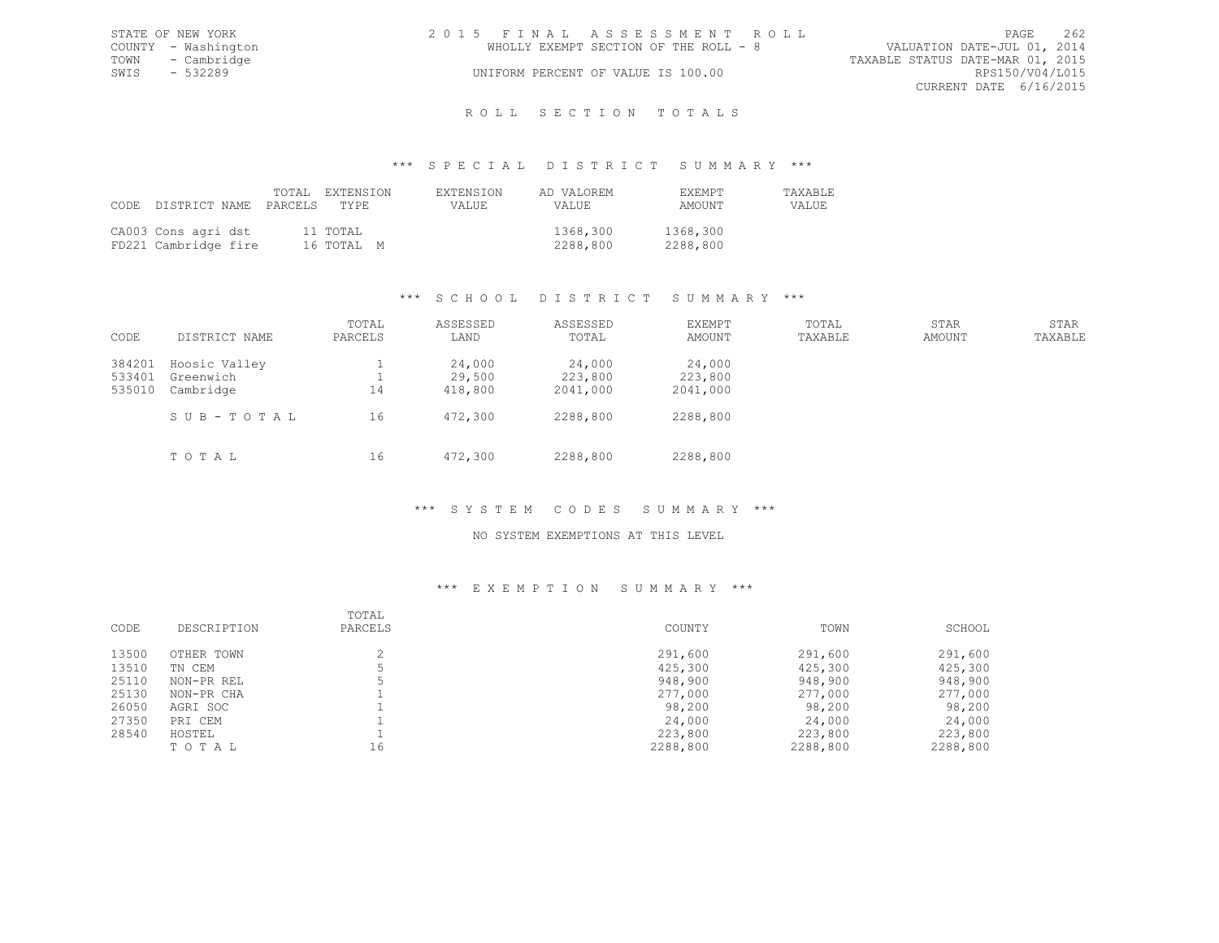|      | STATE OF NEW YORK   | 2015 FINAL ASSESSMENT ROLL |                                       |                                  |                        | PAGE | 262 |
|------|---------------------|----------------------------|---------------------------------------|----------------------------------|------------------------|------|-----|
|      | COUNTY - Washington |                            | WHOLLY EXEMPT SECTION OF THE ROLL - 8 | VALUATION DATE-JUL 01, 2014      |                        |      |     |
|      | TOWN - Cambridge    |                            |                                       | TAXABLE STATUS DATE-MAR 01, 2015 |                        |      |     |
| SWIS | $-532289$           |                            | UNIFORM PERCENT OF VALUE IS 100.00    |                                  | RPS150/V04/L015        |      |     |
|      |                     |                            |                                       |                                  | CURRENT DATE 6/16/2015 |      |     |
|      |                     |                            |                                       |                                  |                        |      |     |

# ROLL SECTION TOTALS

### \*\*\* S P E C I A L D I S T R I C T S U M M A R Y \*\*\*

| CODE DISTRICT NAME PARCELS                  | TOTAL EXTENSION<br>TYPE | <b>EXTENSION</b><br>VALUE | AD VALOREM<br>VALUE  | <b>FXEMPT</b><br>AMOUNT | <b>TAXABLE</b><br>VALUE |
|---------------------------------------------|-------------------------|---------------------------|----------------------|-------------------------|-------------------------|
| CA003 Cons agri dst<br>FD221 Cambridge fire | 11 TOTAL<br>16 ТОТАЬ М  |                           | 1368,300<br>2288,800 | 1368,300<br>2288,800    |                         |

# \*\*\* S C H O O L D I S T R I C T S U M M A R Y \*\*\*

| CODE                       | DISTRICT NAME                           | TOTAL<br>PARCELS | ASSESSED<br>LAND            | ASSESSED<br>TOTAL             | <b>EXEMPT</b><br>AMOUNT       | TOTAL<br>TAXABLE | STAR<br>AMOUNT | STAR<br>TAXABLE |
|----------------------------|-----------------------------------------|------------------|-----------------------------|-------------------------------|-------------------------------|------------------|----------------|-----------------|
| 384201<br>533401<br>535010 | Hoosic Valley<br>Greenwich<br>Cambridge | 14               | 24,000<br>29,500<br>418,800 | 24,000<br>223,800<br>2041,000 | 24,000<br>223,800<br>2041,000 |                  |                |                 |
|                            | SUB-TOTAL<br>TOTAL                      | 16<br>16         | 472,300<br>472,300          | 2288,800<br>2288,800          | 2288,800<br>2288,800          |                  |                |                 |

# \*\*\* S Y S T E M C O D E S S U M M A R Y \*\*\*

### NO SYSTEM EXEMPTIONS AT THIS LEVEL

|       |             | TOTAL   |          |          |          |
|-------|-------------|---------|----------|----------|----------|
| CODE  | DESCRIPTION | PARCELS | COUNTY   | TOWN     | SCHOOL   |
| 13500 | OTHER TOWN  |         | 291,600  | 291,600  | 291,600  |
| 13510 | TN CEM      |         | 425,300  | 425,300  | 425,300  |
| 25110 | NON-PR REL  |         | 948,900  | 948,900  | 948,900  |
| 25130 | NON-PR CHA  |         | 277,000  | 277,000  | 277,000  |
| 26050 | AGRI SOC    |         | 98,200   | 98,200   | 98,200   |
| 27350 | PRI CEM     |         | 24,000   | 24,000   | 24,000   |
| 28540 | HOSTEL      |         | 223,800  | 223,800  | 223,800  |
|       | TOTAL       | 16      | 2288,800 | 2288,800 | 2288,800 |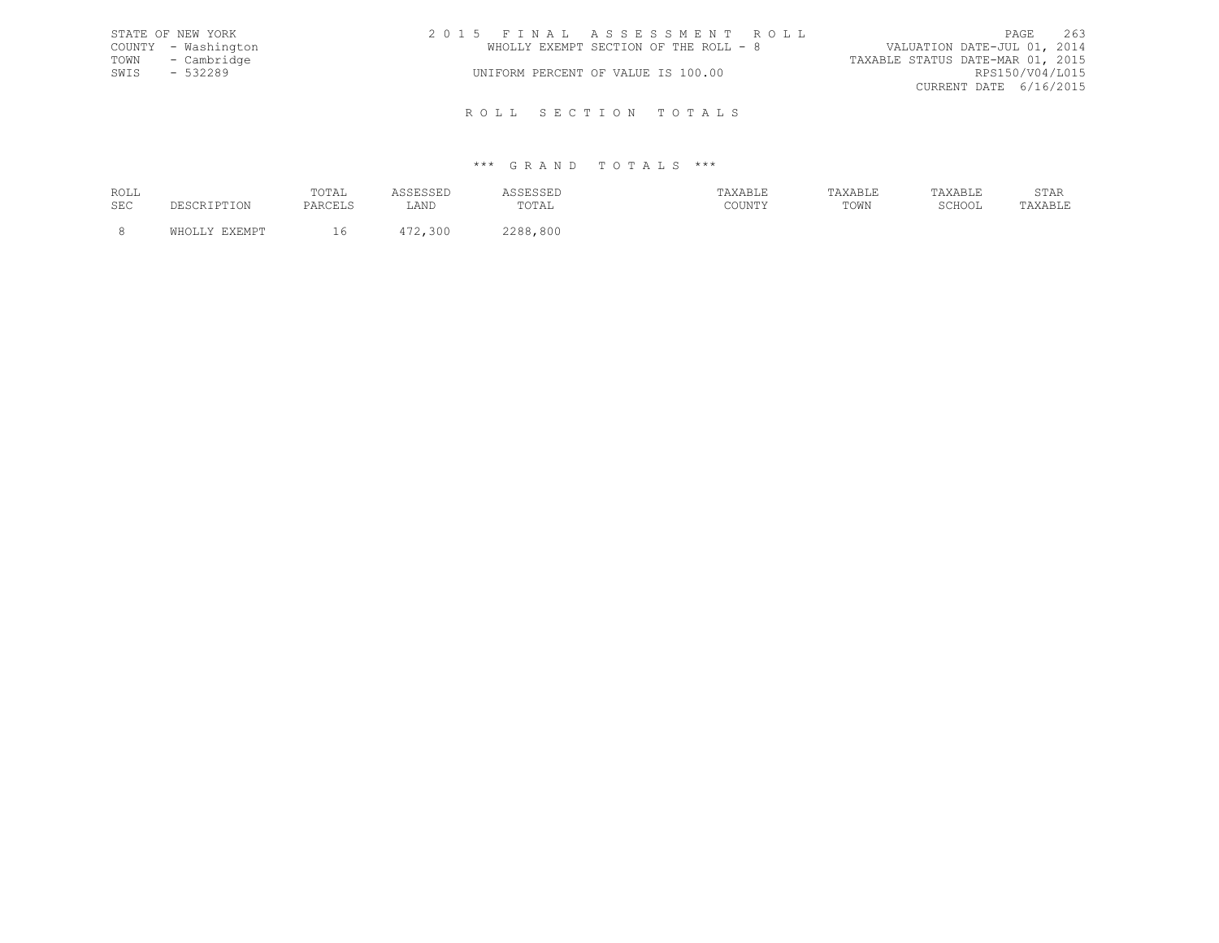|      | STATE OF NEW YORK   | 2015 FINAL ASSESSMENT ROLL            | PAGE                             | 263 |
|------|---------------------|---------------------------------------|----------------------------------|-----|
|      | COUNTY - Washington | WHOLLY EXEMPT SECTION OF THE ROLL - 8 | VALUATION DATE-JUL 01, 2014      |     |
|      | TOWN - Cambridge    |                                       | TAXABLE STATUS DATE-MAR 01, 2015 |     |
| SWIS | - 532289            | UNIFORM PERCENT OF VALUE IS 100.00    | RPS150/V04/L015                  |     |
|      |                     |                                       | CURRENT DATE 6/16/2015           |     |
|      |                     |                                       |                                  |     |

R O L L S E C T I O N T O T A L S

| ROLL | TOTAL |      |             | $\cdots$ $\cdots$ $\cdots$<br>хавьь |      |        | U 111  |
|------|-------|------|-------------|-------------------------------------|------|--------|--------|
| SEC  |       | ∴AND | ∵¶∩∏<br>◡⊥◚ | $C$ $C$ $T$ $T$ $T$ $T$ $T$ $T$ $T$ | TOWN | SCHOOL | .AD LI |
|      |       |      | 800<br>ס מר |                                     |      |        |        |
|      |       |      |             |                                     |      |        |        |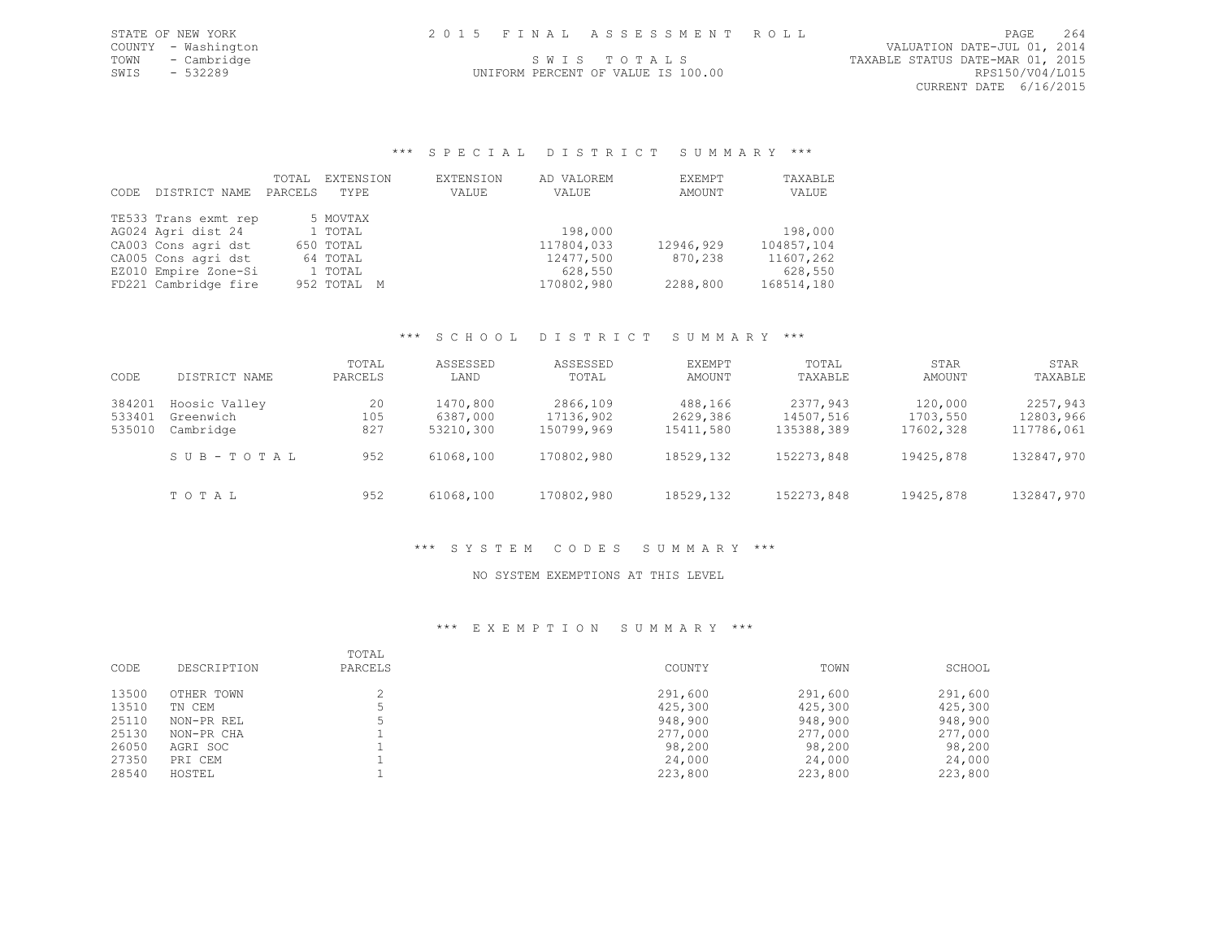| 2015 FINAL ASSESSMENT ROLL<br>STATE OF NEW YORK<br>PAGE | 264 |
|---------------------------------------------------------|-----|
|---------------------------------------------------------|-----|

COUNTY - Washington VALUATION DATE-JUL 01, 2014 TOWN - Cambridge S W I S T O T A L S TAXABLE STATUS DATE-MAR 01, 2015 CURRENT DATE 6/16/2015

# UNIFORM PERCENT OF VALUE IS 100.00

\*\*\* S P E C I A L D I S T R I C T S U M M A R Y \*\*\*

| CODE | DISTRICT NAME        | TOTAL<br>PARCELS | EXTENSION<br>TYPE | EXTENSION<br>VALUE | AD VALOREM<br>VALUE | EXEMPT<br>AMOUNT | TAXABLE<br>VALUE |
|------|----------------------|------------------|-------------------|--------------------|---------------------|------------------|------------------|
|      | TE533 Trans exmt rep |                  | 5 MOVTAX          |                    |                     |                  |                  |
|      | AG024 Agri dist 24   |                  | 1 TOTAL           |                    | 198,000             |                  | 198,000          |
|      | CA003 Cons agri dst  |                  | 650 TOTAL         |                    | 117804,033          | 12946,929        | 104857,104       |
|      | CA005 Cons agri dst  |                  | 64 TOTAL          |                    | 12477,500           | 870,238          | 11607,262        |
|      | EZ010 Empire Zone-Si |                  | 1 TOTAL           |                    | 628,550             |                  | 628,550          |
|      | FD221 Cambridge fire |                  | 952 TOTAL M       |                    | 170802,980          | 2288,800         | 168514,180       |

### \*\*\* S C H O O L D I S T R I C T S U M M A R Y \*\*\*

| CODE   | DISTRICT NAME | TOTAL<br>PARCELS | ASSESSED<br>LAND | ASSESSED<br>TOTAL | EXEMPT<br>AMOUNT | TOTAL<br>TAXABLE | STAR<br>AMOUNT | STAR<br>TAXABLE |
|--------|---------------|------------------|------------------|-------------------|------------------|------------------|----------------|-----------------|
| 384201 | Hoosic Valley | 20               | 1470,800         | 2866,109          | 488,166          | 2377,943         | 120,000        | 2257,943        |
| 533401 | Greenwich     | 105              | 6387,000         | 17136,902         | 2629,386         | 14507,516        | 1703,550       | 12803,966       |
| 535010 | Cambridge     | 827              | 53210,300        | 150799,969        | 15411,580        | 135388,389       | 17602,328      | 117786,061      |
|        | SUB-TOTAL     | 952              | 61068,100        | 170802,980        | 18529,132        | 152273,848       | 19425,878      | 132847,970      |
|        | TOTAL         | 952              | 61068,100        | 170802,980        | 18529,132        | 152273,848       | 19425,878      | 132847,970      |

# \*\*\* S Y S T E M C O D E S S U M M A R Y \*\*\*

### NO SYSTEM EXEMPTIONS AT THIS LEVEL

| CODE  | DESCRIPTION | TOTAL<br>PARCELS | COUNTY  | TOWN    | SCHOOL  |
|-------|-------------|------------------|---------|---------|---------|
| 13500 | OTHER TOWN  |                  | 291,600 | 291,600 | 291,600 |
| 13510 | TN CEM      |                  | 425,300 | 425,300 | 425,300 |
| 25110 | NON-PR REL  |                  | 948,900 | 948,900 | 948,900 |
| 25130 | NON-PR CHA  |                  | 277,000 | 277,000 | 277,000 |
| 26050 | AGRI SOC    |                  | 98,200  | 98,200  | 98,200  |
| 27350 | PRI CEM     |                  | 24,000  | 24,000  | 24,000  |
| 28540 | HOSTEL      |                  | 223,800 | 223,800 | 223,800 |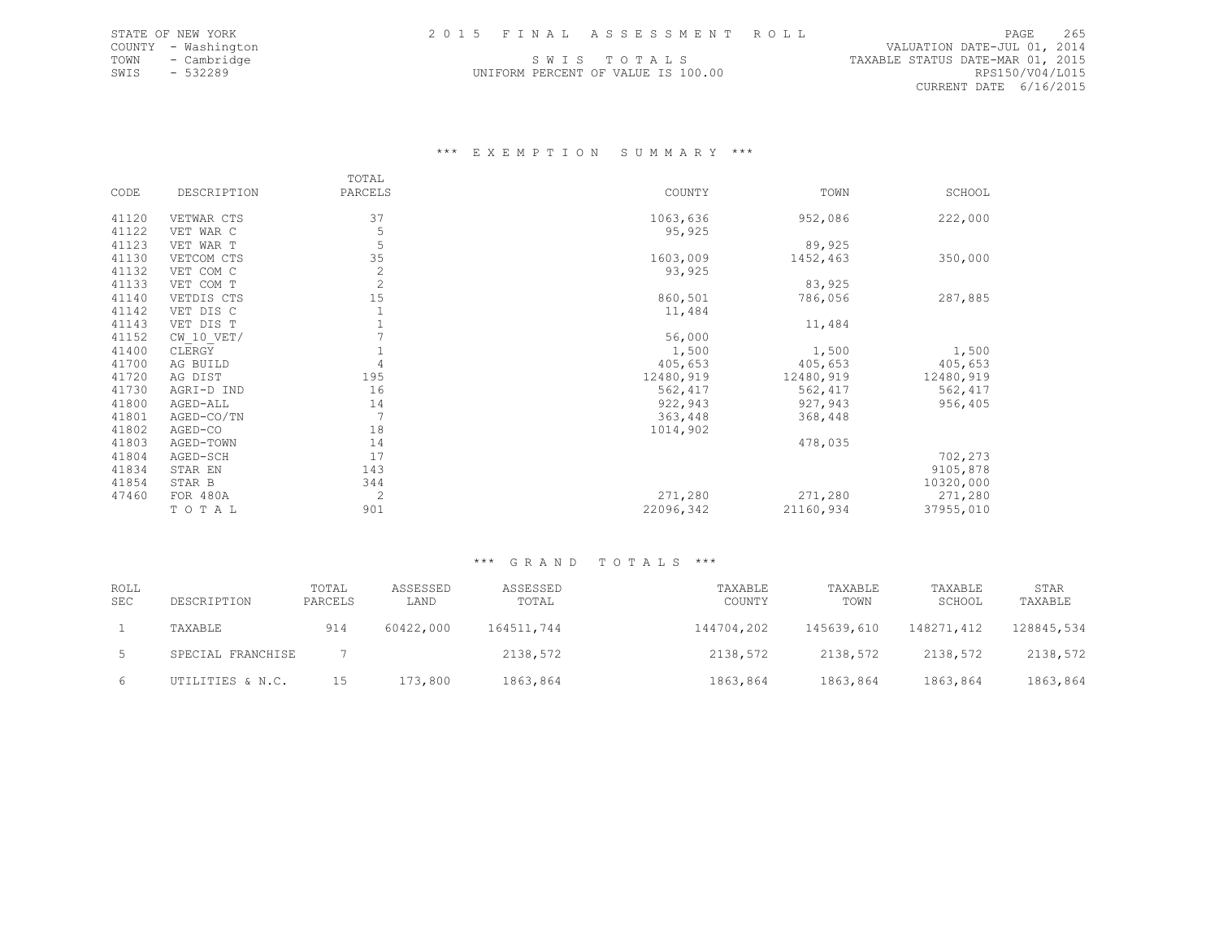UNIFORM PERCENT OF VALUE IS 100.00

دن - سماعة المسلم المسلم المسلم المسلم المسلم المسلم المسلم المسلم المسلم المسلم المسلم المسلم المسلم المسلم ا<br>VALUATION DATE-JUL 01, 2014<br>TOWN - Cambridge | SWISTOTALS | STOTALS TRAABLE STATUS DATE-MAR 01, 2015 TOWN - Cambridge  $\begin{array}{ccc} 5.2015 & 5.301 & 5.301 & 5.301 & 5.301 & 5.301 & 5.301 & 5.301 & 5.301 & 5.301 & 5.301 & 5.301 & 5.301 & 5.301 & 5.301 & 5.301 & 5.301 & 5.301 & 5.301 & 5.301 & 5.301 & 5.301 & 5.301 & 5.301 & 5.301 & 5.301 & 5.301 & 5.301 &$ CURRENT DATE 6/16/2015

### \*\*\* E X E M P T I O N S U M M A R Y \*\*\*

|       |                | TOTAL          |           |           |           |
|-------|----------------|----------------|-----------|-----------|-----------|
| CODE  | DESCRIPTION    | PARCELS        | COUNTY    | TOWN      | SCHOOL    |
|       |                |                |           |           |           |
| 41120 | VETWAR CTS     | 37             | 1063,636  | 952,086   | 222,000   |
| 41122 | VET WAR C      | 5              | 95,925    |           |           |
| 41123 | VET WAR T      | 5              |           | 89,925    |           |
| 41130 | VETCOM CTS     | 35             | 1603,009  | 1452,463  | 350,000   |
| 41132 | VET COM C      | $\mathbf{2}$   | 93,925    |           |           |
| 41133 | VET COM T      | $\overline{2}$ |           | 83,925    |           |
| 41140 | VETDIS CTS     | 15             | 860,501   | 786,056   | 287,885   |
| 41142 | VET DIS C      |                | 11,484    |           |           |
| 41143 | VET DIS T      |                |           | 11,484    |           |
| 41152 | $CW$ 10 $VET/$ |                | 56,000    |           |           |
| 41400 | CLERGY         |                | 1,500     | 1,500     | 1,500     |
| 41700 | AG BUILD       |                | 405,653   | 405,653   | 405,653   |
| 41720 | AG DIST        | 195            | 12480,919 | 12480,919 | 12480,919 |
| 41730 | AGRI-D IND     | 16             | 562,417   | 562,417   | 562,417   |
| 41800 | AGED-ALL       | 14             | 922,943   | 927,943   | 956,405   |
| 41801 | AGED-CO/TN     | 7              | 363,448   | 368,448   |           |
| 41802 | AGED-CO        | 18             | 1014,902  |           |           |
| 41803 | AGED-TOWN      | 14             |           | 478,035   |           |
| 41804 | AGED-SCH       | 17             |           |           | 702,273   |
| 41834 | STAR EN        | 143            |           |           | 9105,878  |
| 41854 | STAR B         | 344            |           |           | 10320,000 |
| 47460 | FOR 480A       | 2              | 271,280   | 271,280   | 271,280   |
|       | TOTAL          | 901            | 22096,342 | 21160,934 | 37955,010 |

| <b>ROLL</b><br><b>SEC</b> | DESCRIPTION       | TOTAL<br>PARCELS | ASSESSED<br>LAND | ASSESSED<br>TOTAL | TAXABLE<br>COUNTY | TAXABLE<br>TOWN | TAXABLE<br>SCHOOL | STAR<br>TAXABLE |
|---------------------------|-------------------|------------------|------------------|-------------------|-------------------|-----------------|-------------------|-----------------|
|                           | TAXABLE           | 914              | 60422,000        | 164511,744        | 144704,202        | 145639,610      | 148271,412        | 128845,534      |
|                           | SPECIAL FRANCHISE |                  |                  | 2138,572          | 2138,572          | 2138,572        | 2138,572          | 2138,572        |
| 6                         | UTILITIES & N.C.  | 15               | 173,800          | 1863,864          | 1863,864          | 1863,864        | 1863,864          | 1863,864        |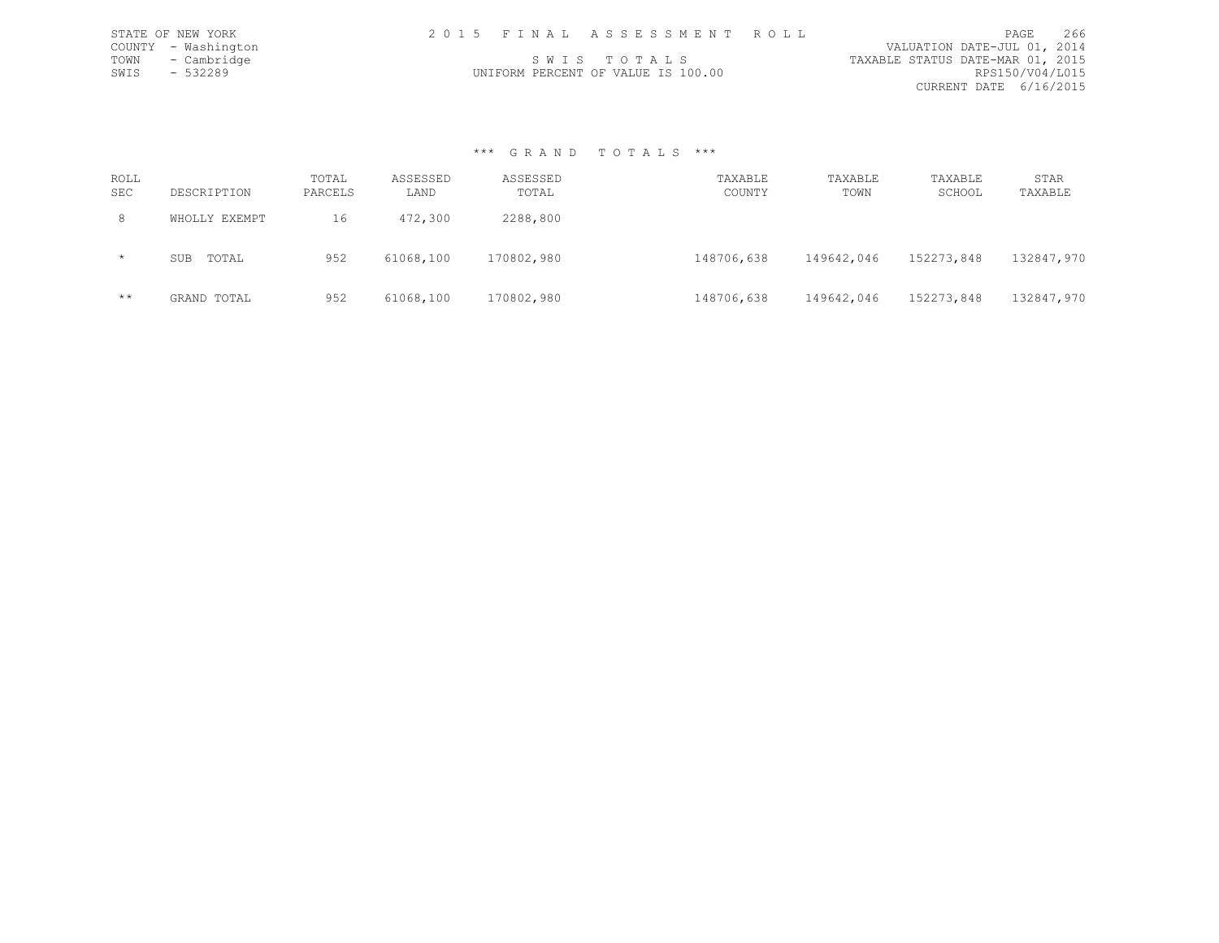|      | STATE OF NEW YORK   |  | 2015 FINAL ASSESSMENT ROLL         |                                  | <b>PAGE</b>     | 266 |
|------|---------------------|--|------------------------------------|----------------------------------|-----------------|-----|
|      | COUNTY - Washington |  |                                    | VALUATION DATE-JUL 01, 2014      |                 |     |
| TOWN | - Cambridge         |  | SWIS TOTALS                        | TAXABLE STATUS DATE-MAR 01, 2015 |                 |     |
| SWIS | $-532289$           |  | UNIFORM PERCENT OF VALUE IS 100.00 |                                  | RPS150/V04/L015 |     |
|      |                     |  |                                    | CURRENT DATE 6/16/2015           |                 |     |

| ROLL<br><b>SEC</b> | DESCRIPTION         | TOTAL<br>PARCELS | ASSESSED<br>LAND | ASSESSED<br>TOTAL | TAXABLE<br>COUNTY | TAXABLE<br>TOWN | TAXABLE<br>SCHOOL | STAR<br>TAXABLE |
|--------------------|---------------------|------------------|------------------|-------------------|-------------------|-----------------|-------------------|-----------------|
| 8                  | WHOLLY EXEMPT       | 16               | 472,300          | 2288,800          |                   |                 |                   |                 |
| $\star$            | TOTAL<br><b>SUB</b> | 952              | 61068,100        | 170802,980        | 148706,638        | 149642,046      | 152273,848        | 132847,970      |
| $***$              | GRAND TOTAL         | 952              | 61068,100        | 170802,980        | 148706,638        | 149642,046      | 152273,848        | 132847,970      |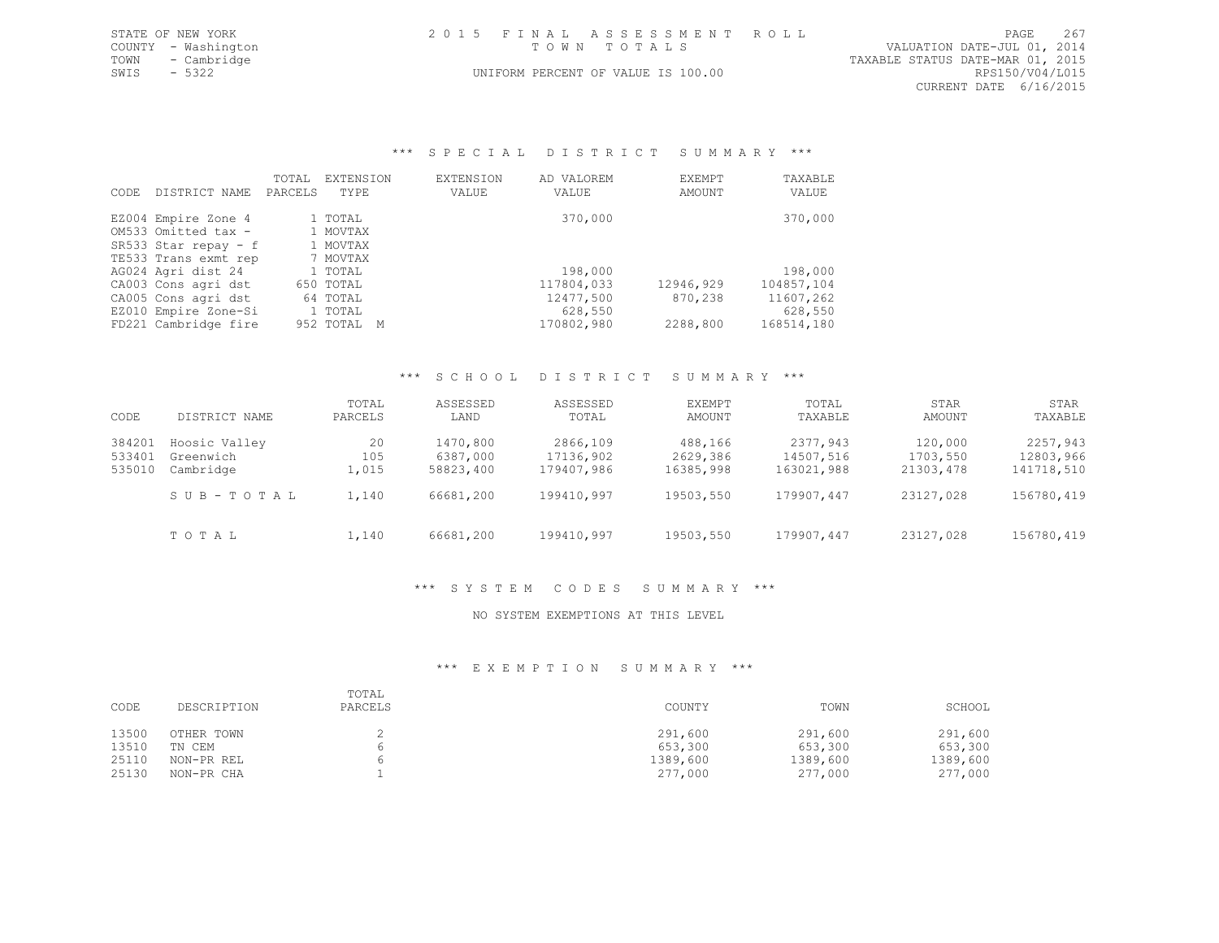|             | STATE OF NEW YORK   | 2015 FINAL ASSESSMENT ROLL         | PAGE                        | 267 |  |  |
|-------------|---------------------|------------------------------------|-----------------------------|-----|--|--|
|             | COUNTY - Washington | TOWN TOTALS                        | VALUATION DATE-JUL 01, 2014 |     |  |  |
|             | TOWN - Cambridge    | TAXABLE STATUS DATE-MAR 01, 2015   |                             |     |  |  |
| SWTS - 5322 |                     | UNIFORM PERCENT OF VALUE IS 100.00 | RPS150/V04/L015             |     |  |  |
|             |                     |                                    | CURRENT DATE 6/16/2015      |     |  |  |

### \*\*\* S P E C I A L D I S T R I C T S U M M A R Y \*\*\*

| CODE. | DISTRICT NAME        | TOTAL<br>PARCELS | EXTENSION<br>TYPE | EXTENSION<br>VALUE | AD VALOREM<br>VALUE | EXEMPT<br>AMOUNT | TAXABLE<br>VALUE |
|-------|----------------------|------------------|-------------------|--------------------|---------------------|------------------|------------------|
|       | EZ004 Empire Zone 4  |                  | 1 TOTAL           |                    | 370,000             |                  | 370,000          |
|       | OM533 Omitted tax -  |                  | 1 MOVTAX          |                    |                     |                  |                  |
|       | SR533 Star repay - f |                  | 1 MOVTAX          |                    |                     |                  |                  |
|       | TE533 Trans exmt rep |                  | 7 MOVTAX          |                    |                     |                  |                  |
|       | AG024 Agri dist 24   |                  | 1 TOTAL           |                    | 198,000             |                  | 198,000          |
|       | CA003 Cons agri dst  |                  | 650 TOTAL         |                    | 117804,033          | 12946,929        | 104857,104       |
|       | CA005 Cons agri dst  |                  | 64 TOTAL          |                    | 12477,500           | 870,238          | 11607,262        |
|       | EZ010 Empire Zone-Si |                  | 1 TOTAL           |                    | 628,550             |                  | 628,550          |
|       | FD221 Cambridge fire |                  | 952 TOTAL M       |                    | 170802,980          | 2288,800         | 168514,180       |

### \*\*\* S C H O O L D I S T R I C T S U M M A R Y \*\*\*

| CODE                       | DISTRICT NAME                           | TOTAL<br>PARCELS   | ASSESSED<br>LAND                  | ASSESSED<br>TOTAL                   | EXEMPT<br>AMOUNT                 | TOTAL<br>TAXABLE                    | STAR<br>AMOUNT                   | STAR<br>TAXABLE                     |
|----------------------------|-----------------------------------------|--------------------|-----------------------------------|-------------------------------------|----------------------------------|-------------------------------------|----------------------------------|-------------------------------------|
| 384201<br>533401<br>535010 | Hoosic Valley<br>Greenwich<br>Cambridge | 20<br>105<br>1,015 | 1470,800<br>6387,000<br>58823,400 | 2866,109<br>17136,902<br>179407,986 | 488,166<br>2629,386<br>16385,998 | 2377,943<br>14507,516<br>163021,988 | 120,000<br>1703,550<br>21303,478 | 2257,943<br>12803,966<br>141718,510 |
|                            | SUB-TOTAL                               | 1,140              | 66681,200                         | 199410,997                          | 19503,550                        | 179907,447                          | 23127,028                        | 156780,419                          |
|                            | TOTAL                                   | 1,140              | 66681,200                         | 199410,997                          | 19503,550                        | 179907,447                          | 23127,028                        | 156780,419                          |

# \*\*\* S Y S T E M C O D E S S U M M A R Y \*\*\*

### NO SYSTEM EXEMPTIONS AT THIS LEVEL

| CODE  | DESCRIPTION | TOTAL<br>PARCELS | COUNTY   | TOWN     | SCHOOL   |
|-------|-------------|------------------|----------|----------|----------|
| 13500 | OTHER TOWN  |                  | 291,600  | 291,600  | 291,600  |
| 13510 | TN CEM      |                  | 653,300  | 653,300  | 653,300  |
| 25110 | NON-PR REL  |                  | 1389,600 | 1389,600 | 1389,600 |
| 25130 | NON-PR CHA  |                  | 277,000  | 277,000  | 277,000  |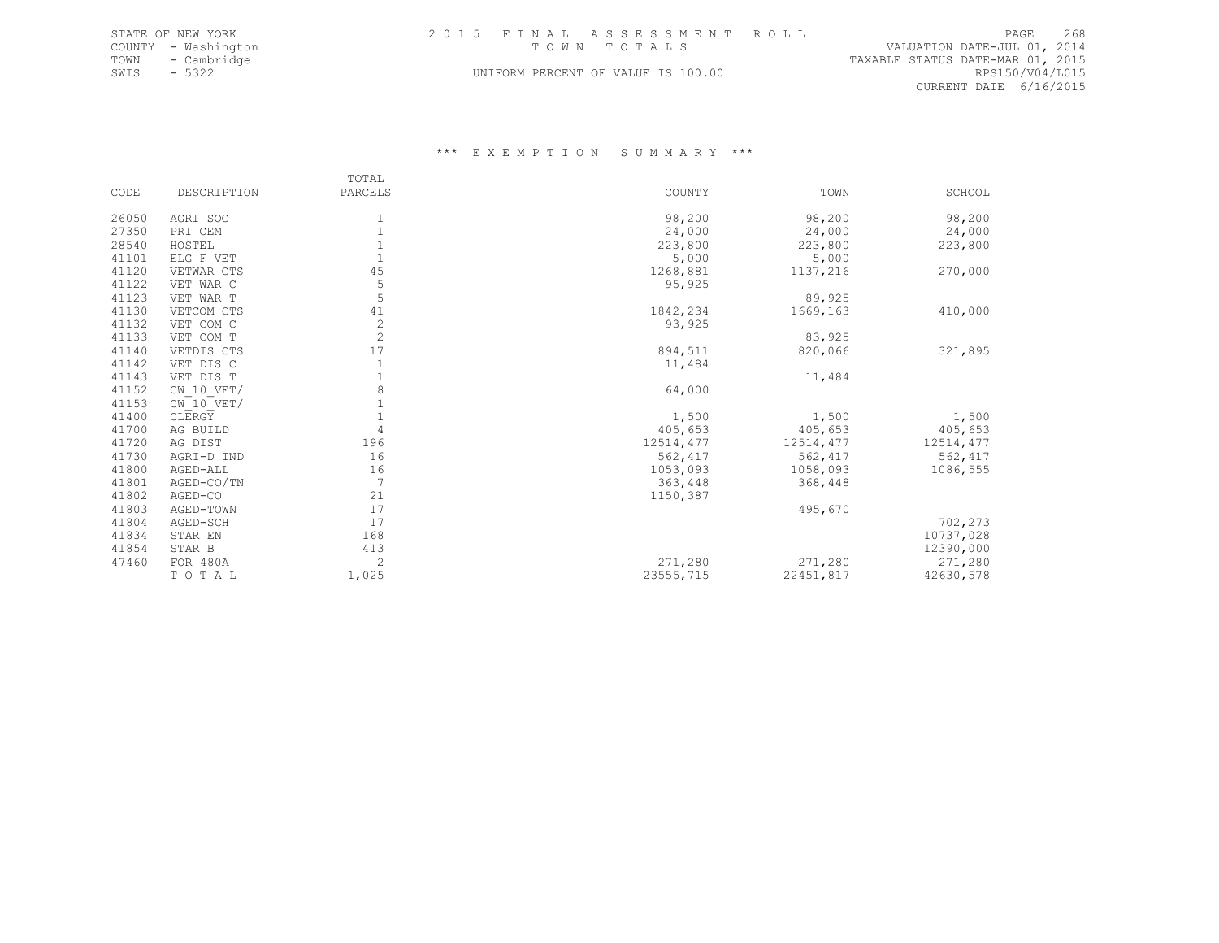|      | STATE OF NEW YORK   | 2015 FINAL ASSESSMENT ROLL         |                                  | 268<br>PAGE     |  |
|------|---------------------|------------------------------------|----------------------------------|-----------------|--|
|      | COUNTY - Washington | TOWN TOTALS                        | VALUATION DATE-JUL 01, 2014      |                 |  |
| TOWN | - Cambridge         |                                    | TAXABLE STATUS DATE-MAR 01, 2015 |                 |  |
| SWIS | - 5322              | UNIFORM PERCENT OF VALUE IS 100.00 |                                  | RPS150/V04/L015 |  |
|      |                     |                                    | CURRENT DATE 6/16/2015           |                 |  |

|       |                | TOTAL          |           |            |           |
|-------|----------------|----------------|-----------|------------|-----------|
| CODE  | DESCRIPTION    | PARCELS        | COUNTY    | TOWN       | SCHOOL    |
| 26050 | AGRI SOC       | 1              | 98,200    | 98,200     | 98,200    |
| 27350 | PRI CEM        | $\mathbf{1}$   | 24,000    | 24,000     | 24,000    |
| 28540 | HOSTEL         | $\overline{1}$ | 223,800   | 223,800    |           |
| 41101 | ELG F VET      | $\mathbf{1}$   | 5,000     |            | 223,800   |
|       |                | 45             |           | 5,000      |           |
| 41120 | VETWAR CTS     |                | 1268,881  | 1137,216   | 270,000   |
| 41122 | VET WAR C      | 5              | 95,925    |            |           |
| 41123 | VET WAR T      | 5              |           | 89,925     |           |
| 41130 | VETCOM CTS     | 41             | 1842,234  | 1669,163   | 410,000   |
| 41132 | VET COM C      | $\frac{2}{2}$  | 93,925    |            |           |
| 41133 | VET COM T      |                |           | 83,925     |           |
| 41140 | VETDIS CTS     | 17             | 894,511   | 820,066    | 321,895   |
| 41142 | VET DIS C      | $\mathbf{1}$   | 11,484    |            |           |
| 41143 | VET DIS T      | $\mathbf{1}$   |           | 11,484     |           |
| 41152 | $CW$ 10 $VET/$ | $\,8\,$        | 64,000    |            |           |
| 41153 | CW 10 VET/     | $\overline{1}$ |           |            |           |
| 41400 | CLERGY         | $\mathbf{1}$   | 1,500     | 1,500      | 1,500     |
| 41700 | AG BUILD       | $\overline{4}$ | 405,653   | 405,653    | 405,653   |
| 41720 | AG DIST        | 196            | 12514,477 | 12514, 477 | 12514,477 |
| 41730 | AGRI-D IND     | 16             | 562,417   | 562,417    | 562,417   |
| 41800 | AGED-ALL       | 16             | 1053,093  | 1058,093   | 1086,555  |
| 41801 | AGED-CO/TN     | 7              | 363,448   | 368,448    |           |
| 41802 | AGED-CO        | 21             | 1150,387  |            |           |
| 41803 | AGED-TOWN      | 17             |           | 495,670    |           |
| 41804 | AGED-SCH       | 17             |           |            | 702,273   |
| 41834 | STAR EN        | 168            |           |            | 10737,028 |
| 41854 | STAR B         | 413            |           |            | 12390,000 |
| 47460 | FOR 480A       | $\overline{c}$ | 271,280   | 271,280    | 271,280   |
|       | TOTAL          | 1,025          | 23555,715 | 22451,817  | 42630,578 |
|       |                |                |           |            |           |